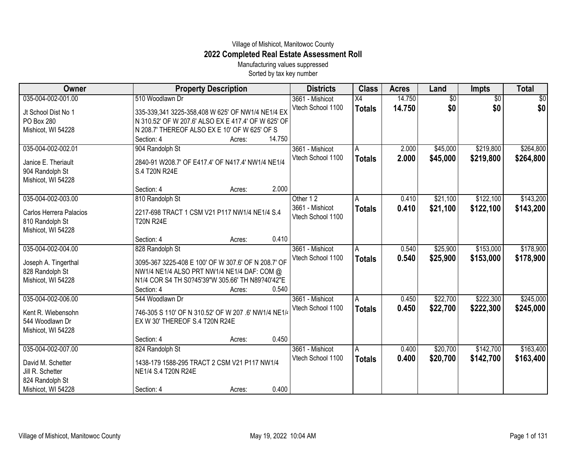## Village of Mishicot, Manitowoc County **2022 Completed Real Estate Assessment Roll**

Manufacturing values suppressed Sorted by tax key number

| Owner                                   | <b>Property Description</b>                                                                        |                  | <b>Districts</b>  | <b>Class</b>    | <b>Acres</b> | Land            | <b>Impts</b>    | <b>Total</b>    |
|-----------------------------------------|----------------------------------------------------------------------------------------------------|------------------|-------------------|-----------------|--------------|-----------------|-----------------|-----------------|
| 035-004-002-001.00                      | 510 Woodlawn Dr                                                                                    |                  | 3661 - Mishicot   | $\overline{X4}$ | 14.750       | $\overline{60}$ | $\overline{30}$ | $\overline{30}$ |
| Jt School Dist No 1                     | 335-339,341 3225-358,408 W 625' OF NW1/4 NE1/4 EX                                                  |                  | Vtech School 1100 | <b>Totals</b>   | 14.750       | \$0             | \$0             | \$0             |
| PO Box 280                              | N 310.52' OF W 207.6' ALSO EX E 417.4' OF W 625' OF                                                |                  |                   |                 |              |                 |                 |                 |
| Mishicot, WI 54228                      | N 208.7' THEREOF ALSO EX E 10' OF W 625' OF S                                                      |                  |                   |                 |              |                 |                 |                 |
|                                         | Section: 4                                                                                         | 14.750<br>Acres: |                   |                 |              |                 |                 |                 |
| 035-004-002-002.01                      | 904 Randolph St                                                                                    |                  | 3661 - Mishicot   | A               | 2.000        | \$45,000        | \$219,800       | \$264,800       |
| Janice E. Theriault                     | 2840-91 W208.7' OF E417.4' OF N417.4' NW1/4 NE1/4                                                  |                  | Vtech School 1100 | <b>Totals</b>   | 2.000        | \$45,000        | \$219,800       | \$264,800       |
| 904 Randolph St                         | S.4 T20N R24E                                                                                      |                  |                   |                 |              |                 |                 |                 |
| Mishicot, WI 54228                      |                                                                                                    |                  |                   |                 |              |                 |                 |                 |
|                                         | Section: 4                                                                                         | 2.000<br>Acres:  |                   |                 |              |                 |                 |                 |
| 035-004-002-003.00                      | 810 Randolph St                                                                                    |                  | Other 12          | A               | 0.410        | \$21,100        | \$122,100       | \$143,200       |
| Carlos Herrera Palacios                 | 2217-698 TRACT 1 CSM V21 P117 NW1/4 NE1/4 S.4                                                      |                  | 3661 - Mishicot   | <b>Totals</b>   | 0.410        | \$21,100        | \$122,100       | \$143,200       |
| 810 Randolph St                         | <b>T20N R24E</b>                                                                                   |                  | Vtech School 1100 |                 |              |                 |                 |                 |
| Mishicot, WI 54228                      |                                                                                                    |                  |                   |                 |              |                 |                 |                 |
|                                         | Section: 4                                                                                         | 0.410<br>Acres:  |                   |                 |              |                 |                 |                 |
| 035-004-002-004.00                      | 828 Randolph St                                                                                    |                  | 3661 - Mishicot   | A               | 0.540        | \$25,900        | \$153,000       | \$178,900       |
|                                         |                                                                                                    |                  | Vtech School 1100 | <b>Totals</b>   | 0.540        | \$25,900        | \$153,000       | \$178,900       |
| Joseph A. Tingerthal<br>828 Randolph St | 3095-367 3225-408 E 100' OF W 307.6' OF N 208.7' OF<br>NW1/4 NE1/4 ALSO PRT NW1/4 NE1/4 DAF: COM @ |                  |                   |                 |              |                 |                 |                 |
| Mishicot, WI 54228                      | N1/4 COR S4 TH S0?45'39"W 305.66' TH N89?40'42"E                                                   |                  |                   |                 |              |                 |                 |                 |
|                                         | Section: 4                                                                                         | 0.540<br>Acres:  |                   |                 |              |                 |                 |                 |
| 035-004-002-006.00                      | 544 Woodlawn Dr                                                                                    |                  | 3661 - Mishicot   | A               | 0.450        | \$22,700        | \$222,300       | \$245,000       |
|                                         |                                                                                                    |                  | Vtech School 1100 | <b>Totals</b>   | 0.450        | \$22,700        | \$222,300       | \$245,000       |
| Kent R. Wiebensohn                      | 746-305 S 110' OF N 310.52' OF W 207 .6' NW1/4 NE1/4                                               |                  |                   |                 |              |                 |                 |                 |
| 544 Woodlawn Dr                         | EX W 30' THEREOF S.4 T20N R24E                                                                     |                  |                   |                 |              |                 |                 |                 |
| Mishicot, WI 54228                      | Section: 4                                                                                         | 0.450            |                   |                 |              |                 |                 |                 |
| 035-004-002-007.00                      | 824 Randolph St                                                                                    | Acres:           | 3661 - Mishicot   | A               | 0.400        | \$20,700        | \$142,700       | \$163,400       |
|                                         |                                                                                                    |                  | Vtech School 1100 |                 | 0.400        |                 |                 |                 |
| David M. Schetter                       | 1438-179 1588-295 TRACT 2 CSM V21 P117 NW1/4                                                       |                  |                   | <b>Totals</b>   |              | \$20,700        | \$142,700       | \$163,400       |
| Jill R. Schetter                        | NE1/4 S.4 T20N R24E                                                                                |                  |                   |                 |              |                 |                 |                 |
| 824 Randolph St                         |                                                                                                    |                  |                   |                 |              |                 |                 |                 |
| Mishicot, WI 54228                      | Section: 4                                                                                         | 0.400<br>Acres:  |                   |                 |              |                 |                 |                 |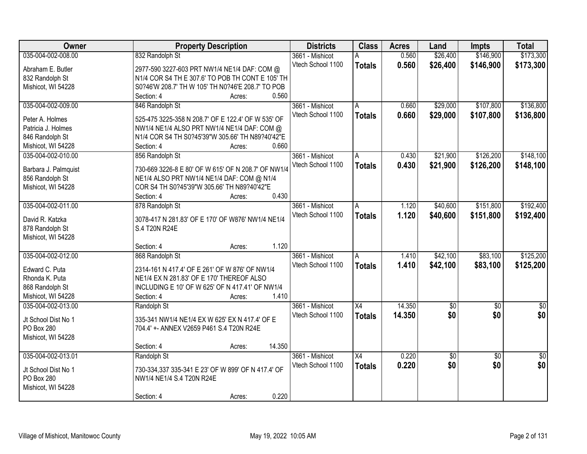| Owner                | <b>Property Description</b>                         | <b>Districts</b>  | <b>Class</b>    | <b>Acres</b> | Land       | <b>Impts</b>    | <b>Total</b>    |
|----------------------|-----------------------------------------------------|-------------------|-----------------|--------------|------------|-----------------|-----------------|
| 035-004-002-008.00   | 832 Randolph St                                     | 3661 - Mishicot   | А               | 0.560        | \$26,400   | \$146,900       | \$173,300       |
| Abraham E. Butler    | 2977-590 3227-603 PRT NW1/4 NE1/4 DAF: COM @        | Vtech School 1100 | <b>Totals</b>   | 0.560        | \$26,400   | \$146,900       | \$173,300       |
| 832 Randolph St      | N1/4 COR S4 TH E 307.6' TO POB TH CONT E 105' TH    |                   |                 |              |            |                 |                 |
| Mishicot, WI 54228   | S0?46'W 208.7' TH W 105' TH N0?46'E 208.7' TO POB   |                   |                 |              |            |                 |                 |
|                      | 0.560<br>Section: 4<br>Acres:                       |                   |                 |              |            |                 |                 |
| 035-004-002-009.00   | 846 Randolph St                                     | 3661 - Mishicot   | A               | 0.660        | \$29,000   | \$107,800       | \$136,800       |
|                      |                                                     | Vtech School 1100 | <b>Totals</b>   | 0.660        | \$29,000   | \$107,800       | \$136,800       |
| Peter A. Holmes      | 525-475 3225-358 N 208.7' OF E 122.4' OF W 535' OF  |                   |                 |              |            |                 |                 |
| Patricia J. Holmes   | NW1/4 NE1/4 ALSO PRT NW1/4 NE1/4 DAF: COM @         |                   |                 |              |            |                 |                 |
| 846 Randolph St      | N1/4 COR S4 TH S0?45'39"W 305.66' TH N89?40'42"E    |                   |                 |              |            |                 |                 |
| Mishicot, WI 54228   | 0.660<br>Section: 4<br>Acres:                       |                   |                 |              |            |                 |                 |
| 035-004-002-010.00   | 856 Randolph St                                     | 3661 - Mishicot   | A               | 0.430        | \$21,900   | \$126,200       | \$148,100       |
| Barbara J. Palmquist | 730-669 3226-8 E 80' OF W 615' OF N 208.7' OF NW1/4 | Vtech School 1100 | <b>Totals</b>   | 0.430        | \$21,900   | \$126,200       | \$148,100       |
| 856 Randolph St      | NE1/4 ALSO PRT NW1/4 NE1/4 DAF: COM @ N1/4          |                   |                 |              |            |                 |                 |
|                      | COR S4 TH S0?45'39"W 305.66' TH N89?40'42"E         |                   |                 |              |            |                 |                 |
| Mishicot, WI 54228   | 0.430                                               |                   |                 |              |            |                 |                 |
|                      | Section: 4<br>Acres:                                |                   |                 |              |            |                 |                 |
| 035-004-002-011.00   | 878 Randolph St                                     | 3661 - Mishicot   | A               | 1.120        | \$40,600   | \$151,800       | \$192,400       |
| David R. Katzka      | 3078-417 N 281.83' OF E 170' OF W876' NW1/4 NE1/4   | Vtech School 1100 | <b>Totals</b>   | 1.120        | \$40,600   | \$151,800       | \$192,400       |
| 878 Randolph St      | S.4 T20N R24E                                       |                   |                 |              |            |                 |                 |
| Mishicot, WI 54228   |                                                     |                   |                 |              |            |                 |                 |
|                      | 1.120<br>Section: 4<br>Acres:                       |                   |                 |              |            |                 |                 |
| 035-004-002-012.00   | 868 Randolph St                                     | 3661 - Mishicot   | A               | 1.410        | \$42,100   | \$83,100        | \$125,200       |
|                      |                                                     | Vtech School 1100 | <b>Totals</b>   | 1.410        | \$42,100   | \$83,100        | \$125,200       |
| Edward C. Puta       | 2314-161 N 417.4' OF E 261' OF W 876' OF NW1/4      |                   |                 |              |            |                 |                 |
| Rhonda K. Puta       | NE1/4 EX N 281.83' OF E 170' THEREOF ALSO           |                   |                 |              |            |                 |                 |
| 868 Randolph St      | INCLUDING E 10' OF W 625' OF N 417.41' OF NW1/4     |                   |                 |              |            |                 |                 |
| Mishicot, WI 54228   | 1.410<br>Section: 4<br>Acres:                       |                   |                 |              |            |                 |                 |
| 035-004-002-013.00   | Randolph St                                         | 3661 - Mishicot   | $\overline{X4}$ | 14.350       | $\sqrt{6}$ | $\overline{60}$ | $\sqrt{50}$     |
| Jt School Dist No 1  | 335-341 NW1/4 NE1/4 EX W 625' EX N 417.4' OF E      | Vtech School 1100 | <b>Totals</b>   | 14.350       | \$0        | \$0             | \$0             |
| PO Box 280           | 704.4' +- ANNEX V2659 P461 S.4 T20N R24E            |                   |                 |              |            |                 |                 |
| Mishicot, WI 54228   |                                                     |                   |                 |              |            |                 |                 |
|                      | 14.350<br>Section: 4                                |                   |                 |              |            |                 |                 |
|                      | Acres:                                              |                   |                 |              |            |                 |                 |
| 035-004-002-013.01   | Randolph St                                         | 3661 - Mishicot   | $\overline{X4}$ | 0.220        | \$0        | $\overline{50}$ | $\overline{50}$ |
| Jt School Dist No 1  | 730-334,337 335-341 E 23' OF W 899' OF N 417.4' OF  | Vtech School 1100 | <b>Totals</b>   | 0.220        | \$0        | \$0             | \$0             |
| PO Box 280           | NW1/4 NE1/4 S.4 T20N R24E                           |                   |                 |              |            |                 |                 |
| Mishicot, WI 54228   |                                                     |                   |                 |              |            |                 |                 |
|                      | 0.220<br>Section: 4<br>Acres:                       |                   |                 |              |            |                 |                 |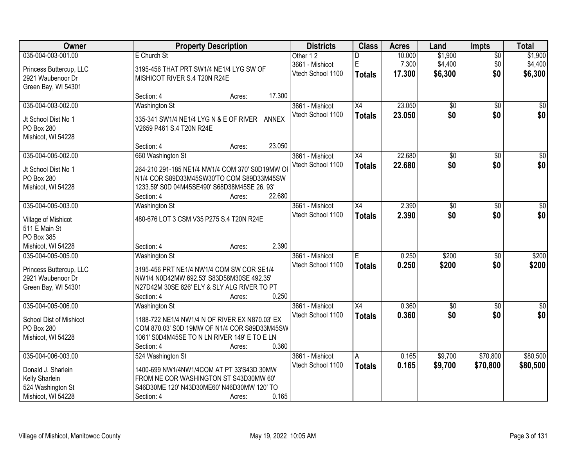| Owner                   | <b>Property Description</b>                     | <b>Districts</b>  | <b>Class</b>    | <b>Acres</b> | Land            | <b>Impts</b>    | <b>Total</b>    |
|-------------------------|-------------------------------------------------|-------------------|-----------------|--------------|-----------------|-----------------|-----------------|
| 035-004-003-001.00      | E Church St                                     | Other 12          | D               | 10.000       | \$1,900         | $\sqrt{$0}$     | \$1,900         |
| Princess Buttercup, LLC | 3195-456 THAT PRT SW1/4 NE1/4 LYG SW OF         | 3661 - Mishicot   | $\mathsf E$     | 7.300        | \$4,400         | \$0             | \$4,400         |
| 2921 Waubenoor Dr       | MISHICOT RIVER S.4 T20N R24E                    | Vtech School 1100 | <b>Totals</b>   | 17.300       | \$6,300         | \$0             | \$6,300         |
| Green Bay, WI 54301     |                                                 |                   |                 |              |                 |                 |                 |
|                         | 17.300<br>Section: 4<br>Acres:                  |                   |                 |              |                 |                 |                 |
| 035-004-003-002.00      | <b>Washington St</b>                            | 3661 - Mishicot   | $\overline{X4}$ | 23.050       | \$0             | $\overline{50}$ | \$0             |
| Jt School Dist No 1     | 335-341 SW1/4 NE1/4 LYG N & E OF RIVER ANNEX    | Vtech School 1100 | <b>Totals</b>   | 23.050       | \$0             | \$0             | \$0             |
| <b>PO Box 280</b>       | V2659 P461 S.4 T20N R24E                        |                   |                 |              |                 |                 |                 |
| Mishicot, WI 54228      |                                                 |                   |                 |              |                 |                 |                 |
|                         | 23.050<br>Section: 4<br>Acres:                  |                   |                 |              |                 |                 |                 |
| 035-004-005-002.00      | 660 Washington St                               | 3661 - Mishicot   | X4              | 22.680       | $\overline{50}$ | \$0             | $\overline{50}$ |
| Jt School Dist No 1     | 264-210 291-185 NE1/4 NW1/4 COM 370' S0D19MW OF | Vtech School 1100 | <b>Totals</b>   | 22.680       | \$0             | \$0             | \$0             |
| PO Box 280              | N1/4 COR S89D33M45SW30'TO COM S89D33M45SW       |                   |                 |              |                 |                 |                 |
| Mishicot, WI 54228      | 1233.59' S0D 04M45SE490' S68D38M45SE 26.93'     |                   |                 |              |                 |                 |                 |
|                         | 22.680<br>Section: 4<br>Acres:                  |                   |                 |              |                 |                 |                 |
| 035-004-005-003.00      | <b>Washington St</b>                            | 3661 - Mishicot   | X4              | 2.390        | \$0             | $\sqrt{6}$      | $\sqrt{50}$     |
| Village of Mishicot     | 480-676 LOT 3 CSM V35 P275 S.4 T20N R24E        | Vtech School 1100 | <b>Totals</b>   | 2.390        | \$0             | \$0             | \$0             |
| 511 E Main St           |                                                 |                   |                 |              |                 |                 |                 |
| PO Box 385              |                                                 |                   |                 |              |                 |                 |                 |
| Mishicot, WI 54228      | 2.390<br>Section: 4<br>Acres:                   |                   |                 |              |                 |                 |                 |
| 035-004-005-005.00      | <b>Washington St</b>                            | 3661 - Mishicot   | E               | 0.250        | \$200           | $\overline{30}$ | \$200           |
| Princess Buttercup, LLC | 3195-456 PRT NE1/4 NW1/4 COM SW COR SE1/4       | Vtech School 1100 | <b>Totals</b>   | 0.250        | \$200           | \$0             | \$200           |
| 2921 Waubenoor Dr       | NW1/4 N0D42MW 692.53' S83D58M30SE 492.35'       |                   |                 |              |                 |                 |                 |
| Green Bay, WI 54301     | N27D42M 30SE 826' ELY & SLY ALG RIVER TO PT     |                   |                 |              |                 |                 |                 |
|                         | 0.250<br>Section: 4<br>Acres:                   |                   |                 |              |                 |                 |                 |
| 035-004-005-006.00      | Washington St                                   | 3661 - Mishicot   | X4              | 0.360        | $\overline{50}$ | $\overline{50}$ | $\sqrt{$0]}$    |
| School Dist of Mishicot | 1188-722 NE1/4 NW1/4 N OF RIVER EX N870.03' EX  | Vtech School 1100 | <b>Totals</b>   | 0.360        | \$0             | \$0             | \$0             |
| PO Box 280              | COM 870.03' S0D 19MW OF N1/4 COR S89D33M45SW    |                   |                 |              |                 |                 |                 |
| Mishicot, WI 54228      | 1061' S0D4M45SE TO N LN RIVER 149' E TO E LN    |                   |                 |              |                 |                 |                 |
|                         | 0.360<br>Section: 4<br>Acres:                   |                   |                 |              |                 |                 |                 |
| 035-004-006-003.00      | 524 Washington St                               | 3661 - Mishicot   | A               | 0.165        | \$9,700         | \$70,800        | \$80,500        |
| Donald J. Sharlein      | 1400-699 NW1/4NW1/4COM AT PT 33'S43D 30MW       | Vtech School 1100 | <b>Totals</b>   | 0.165        | \$9,700         | \$70,800        | \$80,500        |
| Kelly Sharlein          | FROM NE COR WASHINGTON ST S43D30MW 60'          |                   |                 |              |                 |                 |                 |
| 524 Washington St       | S46D30ME 120' N43D30ME60' N46D30MW 120' TO      |                   |                 |              |                 |                 |                 |
| Mishicot, WI 54228      | 0.165<br>Section: 4<br>Acres:                   |                   |                 |              |                 |                 |                 |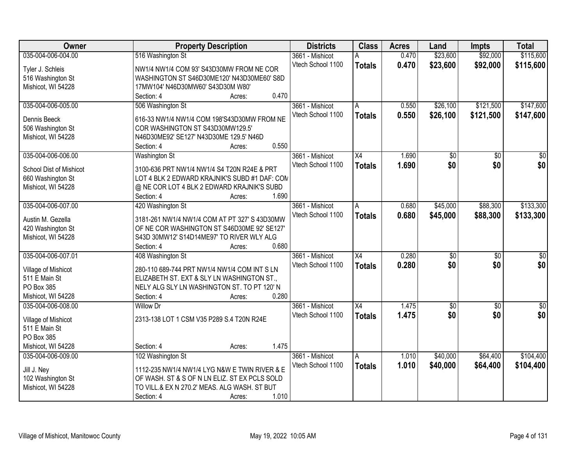| Owner                                   | <b>Property Description</b>                                                     | <b>Districts</b>  | <b>Class</b>    | <b>Acres</b> | Land            | <b>Impts</b>    | <b>Total</b>     |
|-----------------------------------------|---------------------------------------------------------------------------------|-------------------|-----------------|--------------|-----------------|-----------------|------------------|
| 035-004-006-004.00                      | 516 Washington St                                                               | 3661 - Mishicot   | А               | 0.470        | \$23,600        | \$92,000        | \$115,600        |
| Tyler J. Schleis                        | NW1/4 NW1/4 COM 93' S43D30MW FROM NE COR                                        | Vtech School 1100 | <b>Totals</b>   | 0.470        | \$23,600        | \$92,000        | \$115,600        |
| 516 Washington St                       | WASHINGTON ST S46D30ME120' N43D30ME60' S8D                                      |                   |                 |              |                 |                 |                  |
| Mishicot, WI 54228                      | 17MW104' N46D30MW60' S43D30M W80'                                               |                   |                 |              |                 |                 |                  |
|                                         | 0.470<br>Section: 4<br>Acres:                                                   |                   |                 |              |                 |                 |                  |
| 035-004-006-005.00                      | 506 Washington St                                                               | 3661 - Mishicot   | A               | 0.550        | \$26,100        | \$121,500       | \$147,600        |
|                                         |                                                                                 | Vtech School 1100 | <b>Totals</b>   | 0.550        | \$26,100        | \$121,500       | \$147,600        |
| Dennis Beeck                            | 616-33 NW1/4 NW1/4 COM 198'S43D30MW FROM NE<br>COR WASHINGTON ST S43D30MW129.5' |                   |                 |              |                 |                 |                  |
| 506 Washington St<br>Mishicot, WI 54228 | N46D30ME92' SE127' N43D30ME 129.5' N46D                                         |                   |                 |              |                 |                 |                  |
|                                         | 0.550<br>Section: 4<br>Acres:                                                   |                   |                 |              |                 |                 |                  |
| 035-004-006-006.00                      | Washington St                                                                   | 3661 - Mishicot   | $\overline{X4}$ | 1.690        | $\overline{50}$ | $\overline{50}$ | $\overline{50}$  |
|                                         |                                                                                 | Vtech School 1100 | <b>Totals</b>   | 1.690        | \$0             | \$0             | \$0              |
| School Dist of Mishicot                 | 3100-636 PRT NW1/4 NW1/4 S4 T20N R24E & PRT                                     |                   |                 |              |                 |                 |                  |
| 660 Washington St                       | LOT 4 BLK 2 EDWARD KRAJNIK'S SUBD #1 DAF: CON                                   |                   |                 |              |                 |                 |                  |
| Mishicot, WI 54228                      | @ NE COR LOT 4 BLK 2 EDWARD KRAJNIK'S SUBD                                      |                   |                 |              |                 |                 |                  |
|                                         | 1.690<br>Section: 4<br>Acres:                                                   |                   |                 |              |                 |                 |                  |
| 035-004-006-007.00                      | 420 Washington St                                                               | 3661 - Mishicot   | A               | 0.680        | \$45,000        | \$88,300        | \$133,300        |
| Austin M. Gezella                       | 3181-261 NW1/4 NW1/4 COM AT PT 327' S 43D30MW                                   | Vtech School 1100 | <b>Totals</b>   | 0.680        | \$45,000        | \$88,300        | \$133,300        |
| 420 Washington St                       | OF NE COR WASHINGTON ST S46D30ME 92' SE127'                                     |                   |                 |              |                 |                 |                  |
| Mishicot, WI 54228                      | S43D 30MW12' S14D14ME97' TO RIVER WLY ALG                                       |                   |                 |              |                 |                 |                  |
|                                         | 0.680<br>Section: 4<br>Acres:                                                   |                   |                 |              |                 |                 |                  |
| 035-004-006-007.01                      | 408 Washington St                                                               | 3661 - Mishicot   | $\overline{X4}$ | 0.280        | $\overline{30}$ | $\overline{30}$ | $\overline{\$0}$ |
| Village of Mishicot                     | 280-110 689-744 PRT NW1/4 NW1/4 COM INT S LN                                    | Vtech School 1100 | <b>Totals</b>   | 0.280        | \$0             | \$0             | \$0              |
| 511 E Main St                           | ELIZABETH ST. EXT & SLY LN WASHINGTON ST.,                                      |                   |                 |              |                 |                 |                  |
| PO Box 385                              | NELY ALG SLY LN WASHINGTON ST. TO PT 120' N                                     |                   |                 |              |                 |                 |                  |
| Mishicot, WI 54228                      | 0.280<br>Section: 4<br>Acres:                                                   |                   |                 |              |                 |                 |                  |
| 035-004-006-008.00                      | Willow Dr                                                                       | 3661 - Mishicot   | X4              | 1.475        | $\sqrt{$0}$     | $\sqrt{6}$      | $\frac{1}{6}$    |
|                                         |                                                                                 | Vtech School 1100 | <b>Totals</b>   | 1.475        | \$0             | \$0             | \$0              |
| Village of Mishicot                     | 2313-138 LOT 1 CSM V35 P289 S.4 T20N R24E                                       |                   |                 |              |                 |                 |                  |
| 511 E Main St                           |                                                                                 |                   |                 |              |                 |                 |                  |
| PO Box 385                              |                                                                                 |                   |                 |              |                 |                 |                  |
| Mishicot, WI 54228                      | 1.475<br>Section: 4<br>Acres:                                                   |                   |                 |              |                 |                 |                  |
| 035-004-006-009.00                      | 102 Washington St                                                               | 3661 - Mishicot   | А               | 1.010        | \$40,000        | \$64,400        | \$104,400        |
| Jill J. Ney                             | 1112-235 NW1/4 NW1/4 LYG N&W E TWIN RIVER & E                                   | Vtech School 1100 | <b>Totals</b>   | 1.010        | \$40,000        | \$64,400        | \$104,400        |
| 102 Washington St                       | OF WASH. ST & S OF N LN ELIZ. ST EX PCLS SOLD                                   |                   |                 |              |                 |                 |                  |
| Mishicot, WI 54228                      | TO VILL.& EX N 270.2' MEAS. ALG WASH. ST BUT                                    |                   |                 |              |                 |                 |                  |
|                                         | 1.010<br>Section: 4<br>Acres:                                                   |                   |                 |              |                 |                 |                  |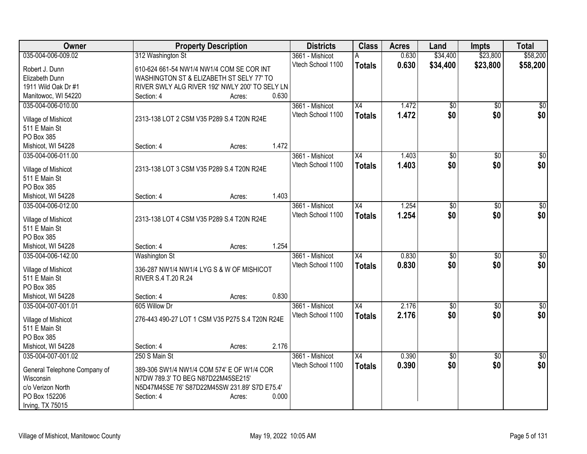| Owner                          | <b>Property Description</b>                                                         |        |       | <b>Districts</b>  | <b>Class</b>  | <b>Acres</b> | Land            | <b>Impts</b>    | <b>Total</b> |
|--------------------------------|-------------------------------------------------------------------------------------|--------|-------|-------------------|---------------|--------------|-----------------|-----------------|--------------|
| 035-004-006-009.02             | 312 Washington St                                                                   |        |       | 3661 - Mishicot   | A             | 0.630        | \$34,400        | \$23,800        | \$58,200     |
| Robert J. Dunn                 | 610-624 661-54 NW1/4 NW1/4 COM SE COR INT                                           |        |       | Vtech School 1100 | <b>Totals</b> | 0.630        | \$34,400        | \$23,800        | \$58,200     |
| Elizabeth Dunn                 | WASHINGTON ST & ELIZABETH ST SELY 77' TO                                            |        |       |                   |               |              |                 |                 |              |
| 1911 Wild Oak Dr #1            | RIVER SWLY ALG RIVER 192' NWLY 200' TO SELY LN                                      |        |       |                   |               |              |                 |                 |              |
| Manitowoc, WI 54220            | Section: 4                                                                          | Acres: | 0.630 |                   |               |              |                 |                 |              |
| 035-004-006-010.00             |                                                                                     |        |       | 3661 - Mishicot   | X4            | 1.472        | \$0             | $\overline{30}$ | \$0          |
|                                |                                                                                     |        |       | Vtech School 1100 | <b>Totals</b> | 1.472        | \$0             | \$0             | \$0          |
| Village of Mishicot            | 2313-138 LOT 2 CSM V35 P289 S.4 T20N R24E                                           |        |       |                   |               |              |                 |                 |              |
| 511 E Main St                  |                                                                                     |        |       |                   |               |              |                 |                 |              |
| PO Box 385                     |                                                                                     |        | 1.472 |                   |               |              |                 |                 |              |
| Mishicot, WI 54228             | Section: 4                                                                          | Acres: |       |                   |               |              |                 |                 |              |
| 035-004-006-011.00             |                                                                                     |        |       | 3661 - Mishicot   | X4            | 1.403        | $\overline{50}$ | \$0             | $\sqrt{50}$  |
| Village of Mishicot            | 2313-138 LOT 3 CSM V35 P289 S.4 T20N R24E                                           |        |       | Vtech School 1100 | <b>Totals</b> | 1.403        | \$0             | \$0             | \$0          |
| 511 E Main St                  |                                                                                     |        |       |                   |               |              |                 |                 |              |
| PO Box 385                     |                                                                                     |        |       |                   |               |              |                 |                 |              |
| Mishicot, WI 54228             | Section: 4                                                                          | Acres: | 1.403 |                   |               |              |                 |                 |              |
| 035-004-006-012.00             |                                                                                     |        |       | 3661 - Mishicot   | X4            | 1.254        | \$0             | \$0             | $\sqrt{50}$  |
| Village of Mishicot            | 2313-138 LOT 4 CSM V35 P289 S.4 T20N R24E                                           |        |       | Vtech School 1100 | <b>Totals</b> | 1.254        | \$0             | \$0             | \$0          |
| 511 E Main St                  |                                                                                     |        |       |                   |               |              |                 |                 |              |
| PO Box 385                     |                                                                                     |        |       |                   |               |              |                 |                 |              |
| Mishicot, WI 54228             | Section: 4                                                                          | Acres: | 1.254 |                   |               |              |                 |                 |              |
| 035-004-006-142.00             | <b>Washington St</b>                                                                |        |       | 3661 - Mishicot   | X4            | 0.830        | $\overline{50}$ | $\overline{50}$ | $\sqrt{50}$  |
|                                |                                                                                     |        |       | Vtech School 1100 | <b>Totals</b> | 0.830        | \$0             | \$0             | \$0          |
| Village of Mishicot            | 336-287 NW1/4 NW1/4 LYG S & W OF MISHICOT                                           |        |       |                   |               |              |                 |                 |              |
| 511 E Main St                  | RIVER S.4 T.20 R.24                                                                 |        |       |                   |               |              |                 |                 |              |
| PO Box 385                     |                                                                                     |        |       |                   |               |              |                 |                 |              |
| Mishicot, WI 54228             | Section: 4                                                                          | Acres: | 0.830 |                   |               |              |                 |                 |              |
| 035-004-007-001.01             | 605 Willow Dr                                                                       |        |       | 3661 - Mishicot   | X4            | 2.176        | $\sqrt{6}$      | $\overline{50}$ | \$0          |
| Village of Mishicot            | 276-443 490-27 LOT 1 CSM V35 P275 S.4 T20N R24E                                     |        |       | Vtech School 1100 | <b>Totals</b> | 2.176        | \$0             | \$0             | \$0          |
| 511 E Main St                  |                                                                                     |        |       |                   |               |              |                 |                 |              |
| PO Box 385                     |                                                                                     |        |       |                   |               |              |                 |                 |              |
| Mishicot, WI 54228             | Section: 4                                                                          | Acres: | 2.176 |                   |               |              |                 |                 |              |
| 035-004-007-001.02             | 250 S Main St                                                                       |        |       | 3661 - Mishicot   | X4            | 0.390        | $\overline{50}$ | $\overline{30}$ | $\sqrt{50}$  |
|                                |                                                                                     |        |       | Vtech School 1100 | <b>Totals</b> | 0.390        | \$0             | \$0             | \$0          |
| General Telephone Company of   | 389-306 SW1/4 NW1/4 COM 574' E OF W1/4 COR                                          |        |       |                   |               |              |                 |                 |              |
| Wisconsin<br>c/o Verizon North | N7DW 789.3' TO BEG N87D22M45SE215'<br>N5D47M45SE 76' S87D22M45SW 231.89' S7D E75.4' |        |       |                   |               |              |                 |                 |              |
| PO Box 152206                  | Section: 4                                                                          |        | 0.000 |                   |               |              |                 |                 |              |
| Irving, TX 75015               |                                                                                     | Acres: |       |                   |               |              |                 |                 |              |
|                                |                                                                                     |        |       |                   |               |              |                 |                 |              |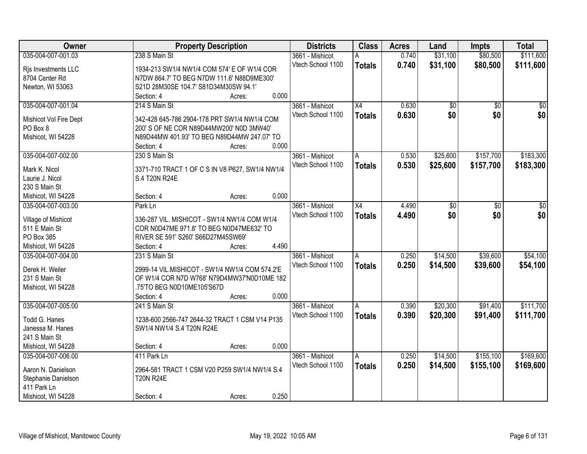| Owner                               | <b>Property Description</b>                                               | <b>Districts</b>  | <b>Class</b>    | <b>Acres</b> | Land     | <b>Impts</b>    | <b>Total</b>    |
|-------------------------------------|---------------------------------------------------------------------------|-------------------|-----------------|--------------|----------|-----------------|-----------------|
| 035-004-007-001.03                  | 238 S Main St                                                             | 3661 - Mishicot   | А               | 0.740        | \$31,100 | \$80,500        | \$111,600       |
| Rjs Investments LLC                 | 1934-213 SW1/4 NW1/4 COM 574' E OF W1/4 COR                               | Vtech School 1100 | <b>Totals</b>   | 0.740        | \$31,100 | \$80,500        | \$111,600       |
| 8704 Center Rd                      | N7DW 864.7' TO BEG N7DW 111.6' N88D9ME300'                                |                   |                 |              |          |                 |                 |
| Newton, WI 53063                    | S21D 28M30SE 104.7' S81D34M30SW 94.1'                                     |                   |                 |              |          |                 |                 |
|                                     | 0.000<br>Section: 4<br>Acres:                                             |                   |                 |              |          |                 |                 |
| 035-004-007-001.04                  | 214 S Main St                                                             | 3661 - Mishicot   | $\overline{X4}$ | 0.630        | \$0      | $\overline{50}$ | $\overline{50}$ |
|                                     | 342-428 645-786 2904-178 PRT SW1/4 NW1/4 COM                              | Vtech School 1100 | <b>Totals</b>   | 0.630        | \$0      | \$0             | \$0             |
| Mishicot Vol Fire Dept<br>PO Box 8  | 200' S OF NE COR N89D44MW200' N0D 3MW40'                                  |                   |                 |              |          |                 |                 |
| Mishicot, WI 54228                  | N89D44MW 401.93' TO BEG N89D44MW 247.07' TO                               |                   |                 |              |          |                 |                 |
|                                     | 0.000<br>Section: 4<br>Acres:                                             |                   |                 |              |          |                 |                 |
| 035-004-007-002.00                  | 230 S Main St                                                             | 3661 - Mishicot   | A               | 0.530        | \$25,600 | \$157,700       | \$183,300       |
|                                     |                                                                           | Vtech School 1100 | <b>Totals</b>   | 0.530        | \$25,600 | \$157,700       | \$183,300       |
| Mark K. Nicol                       | 3371-710 TRACT 1 OF C S IN V8 P627, SW1/4 NW1/4                           |                   |                 |              |          |                 |                 |
| Laurie J. Nicol                     | S.4 T20N R24E                                                             |                   |                 |              |          |                 |                 |
| 230 S Main St                       |                                                                           |                   |                 |              |          |                 |                 |
| Mishicot, WI 54228                  | 0.000<br>Section: 4<br>Acres:                                             |                   |                 |              |          |                 |                 |
| 035-004-007-003.00                  | Park Ln                                                                   | 3661 - Mishicot   | X4              | 4.490        | \$0      | \$0             | \$0             |
| Village of Mishicot                 | 336-287 VIL. MISHICOT - SW1/4 NW1/4 COM W1/4                              | Vtech School 1100 | <b>Totals</b>   | 4.490        | \$0      | \$0             | \$0             |
| 511 E Main St                       | COR N0D47ME 971.8' TO BEG N0D47ME632' TO                                  |                   |                 |              |          |                 |                 |
| PO Box 385                          | RIVER SE 591' S260' S66D27M45SW69'                                        |                   |                 |              |          |                 |                 |
| Mishicot, WI 54228                  | 4.490<br>Section: 4<br>Acres:                                             |                   |                 |              |          |                 |                 |
| 035-004-007-004.00                  | 231 S Main St                                                             | 3661 - Mishicot   | A               | 0.250        | \$14,500 | \$39,600        | \$54,100        |
|                                     |                                                                           | Vtech School 1100 | <b>Totals</b>   | 0.250        | \$14,500 | \$39,600        | \$54,100        |
| Derek H. Weiler                     | 2999-14 VIL.MISHICOT - SW1/4 NW1/4 COM 574.2'E                            |                   |                 |              |          |                 |                 |
| 231 S Main St<br>Mishicot, WI 54228 | OF W1/4 COR N7D W768' N79D4MW37'N0D10ME 182<br>.75'TO BEG N0D10ME105'S67D |                   |                 |              |          |                 |                 |
|                                     | 0.000<br>Section: 4<br>Acres:                                             |                   |                 |              |          |                 |                 |
| 035-004-007-005.00                  | 241 S Main St                                                             | 3661 - Mishicot   | A               | 0.390        | \$20,300 | \$91,400        | \$111,700       |
|                                     |                                                                           | Vtech School 1100 |                 | 0.390        | \$20,300 |                 | \$111,700       |
| Todd G. Hanes                       | 1238-600 2566-747 2644-32 TRACT 1 CSM V14 P135                            |                   | <b>Totals</b>   |              |          | \$91,400        |                 |
| Janessa M. Hanes                    | SW1/4 NW1/4 S.4 T20N R24E                                                 |                   |                 |              |          |                 |                 |
| 241 S Main St                       |                                                                           |                   |                 |              |          |                 |                 |
| Mishicot, WI 54228                  | 0.000<br>Section: 4<br>Acres:                                             |                   |                 |              |          |                 |                 |
| 035-004-007-006.00                  | 411 Park Ln                                                               | 3661 - Mishicot   | Α               | 0.250        | \$14,500 | \$155,100       | \$169,600       |
| Aaron N. Danielson                  | 2964-581 TRACT 1 CSM V20 P259 SW1/4 NW1/4 S.4                             | Vtech School 1100 | <b>Totals</b>   | 0.250        | \$14,500 | \$155,100       | \$169,600       |
| Stephanie Danielson                 | <b>T20N R24E</b>                                                          |                   |                 |              |          |                 |                 |
| 411 Park Ln                         |                                                                           |                   |                 |              |          |                 |                 |
| Mishicot, WI 54228                  | 0.250<br>Section: 4<br>Acres:                                             |                   |                 |              |          |                 |                 |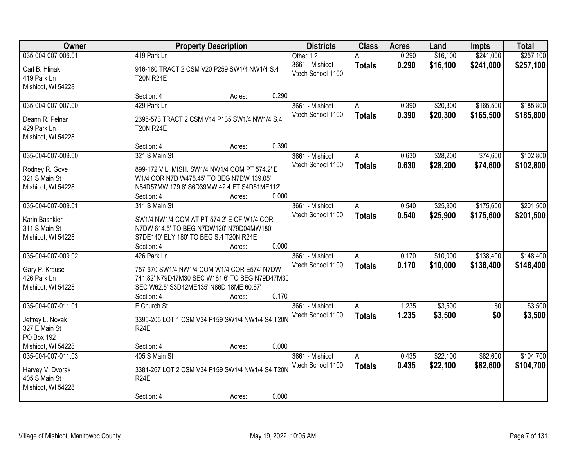| Owner              | <b>Property Description</b>                                                        |                 | <b>Districts</b>  | <b>Class</b>  | <b>Acres</b> | Land     | <b>Impts</b> | <b>Total</b> |
|--------------------|------------------------------------------------------------------------------------|-----------------|-------------------|---------------|--------------|----------|--------------|--------------|
| 035-004-007-006.01 | 419 Park Ln                                                                        |                 | Other 12          |               | 0.290        | \$16,100 | \$241,000    | \$257,100    |
| Carl B. Hlinak     | 916-180 TRACT 2 CSM V20 P259 SW1/4 NW1/4 S.4                                       |                 | 3661 - Mishicot   | <b>Totals</b> | 0.290        | \$16,100 | \$241,000    | \$257,100    |
| 419 Park Ln        | <b>T20N R24E</b>                                                                   |                 | Vtech School 1100 |               |              |          |              |              |
| Mishicot, WI 54228 |                                                                                    |                 |                   |               |              |          |              |              |
|                    | Section: 4                                                                         | 0.290<br>Acres: |                   |               |              |          |              |              |
| 035-004-007-007.00 | 429 Park Ln                                                                        |                 | 3661 - Mishicot   |               | 0.390        | \$20,300 | \$165,500    | \$185,800    |
| Deann R. Pelnar    | 2395-573 TRACT 2 CSM V14 P135 SW1/4 NW1/4 S.4                                      |                 | Vtech School 1100 | <b>Totals</b> | 0.390        | \$20,300 | \$165,500    | \$185,800    |
| 429 Park Ln        | <b>T20N R24E</b>                                                                   |                 |                   |               |              |          |              |              |
| Mishicot, WI 54228 |                                                                                    |                 |                   |               |              |          |              |              |
|                    | Section: 4                                                                         | 0.390<br>Acres: |                   |               |              |          |              |              |
| 035-004-007-009.00 | 321 S Main St                                                                      |                 | 3661 - Mishicot   | A             | 0.630        | \$28,200 | \$74,600     | \$102,800    |
| Rodney R. Gove     | 899-172 VIL. MISH. SW1/4 NW1/4 COM PT 574.2' E                                     |                 | Vtech School 1100 | <b>Totals</b> | 0.630        | \$28,200 | \$74,600     | \$102,800    |
| 321 S Main St      | W1/4 COR N7D W475.45' TO BEG N7DW 139.05'                                          |                 |                   |               |              |          |              |              |
| Mishicot, WI 54228 | N84D57MW 179.6' S6D39MW 42.4 FT S4D51ME112'                                        |                 |                   |               |              |          |              |              |
|                    | Section: 4                                                                         | 0.000<br>Acres: |                   |               |              |          |              |              |
| 035-004-007-009.01 | 311 S Main St                                                                      |                 | 3661 - Mishicot   | A             | 0.540        | \$25,900 | \$175,600    | \$201,500    |
|                    |                                                                                    |                 | Vtech School 1100 | <b>Totals</b> | 0.540        | \$25,900 | \$175,600    | \$201,500    |
| Karin Bashkier     | SW1/4 NW1/4 COM AT PT 574.2' E OF W1/4 COR                                         |                 |                   |               |              |          |              |              |
| 311 S Main St      | N7DW 614.5' TO BEG N7DW120' N79D04MW180'<br>S7DE140' ELY 180' TO BEG S.4 T20N R24E |                 |                   |               |              |          |              |              |
| Mishicot, WI 54228 | Section: 4                                                                         | 0.000<br>Acres: |                   |               |              |          |              |              |
| 035-004-007-009.02 | 426 Park Ln                                                                        |                 | 3661 - Mishicot   | A             | 0.170        | \$10,000 | \$138,400    | \$148,400    |
|                    |                                                                                    |                 | Vtech School 1100 | <b>Totals</b> | 0.170        | \$10,000 | \$138,400    | \$148,400    |
| Gary P. Krause     | 757-670 SW1/4 NW1/4 COM W1/4 COR E574' N7DW                                        |                 |                   |               |              |          |              |              |
| 426 Park Ln        | 741.82' N79D47M30 SEC W181.6' TO BEG N79D47M30                                     |                 |                   |               |              |          |              |              |
| Mishicot, WI 54228 | SEC W62.5' S3D42ME135' N86D 18ME 60.67'                                            |                 |                   |               |              |          |              |              |
|                    | Section: 4                                                                         | 0.170<br>Acres: |                   |               |              |          |              |              |
| 035-004-007-011.01 | E Church St                                                                        |                 | 3661 - Mishicot   | A             | 1.235        | \$3,500  | \$0          | \$3,500      |
| Jeffrey L. Novak   | 3395-205 LOT 1 CSM V34 P159 SW1/4 NW1/4 S4 T20N                                    |                 | Vtech School 1100 | <b>Totals</b> | 1.235        | \$3,500  | \$0          | \$3,500      |
| 327 E Main St      | R <sub>24</sub> E                                                                  |                 |                   |               |              |          |              |              |
| PO Box 192         |                                                                                    |                 |                   |               |              |          |              |              |
| Mishicot, WI 54228 | Section: 4                                                                         | 0.000<br>Acres: |                   |               |              |          |              |              |
| 035-004-007-011.03 | 405 S Main St                                                                      |                 | 3661 - Mishicot   | A             | 0.435        | \$22,100 | \$82,600     | \$104,700    |
| Harvey V. Dvorak   | 3381-267 LOT 2 CSM V34 P159 SW1/4 NW1/4 S4 T20N                                    |                 | Vtech School 1100 | <b>Totals</b> | 0.435        | \$22,100 | \$82,600     | \$104,700    |
| 405 S Main St      | <b>R24E</b>                                                                        |                 |                   |               |              |          |              |              |
| Mishicot, WI 54228 |                                                                                    |                 |                   |               |              |          |              |              |
|                    | Section: 4                                                                         | 0.000<br>Acres: |                   |               |              |          |              |              |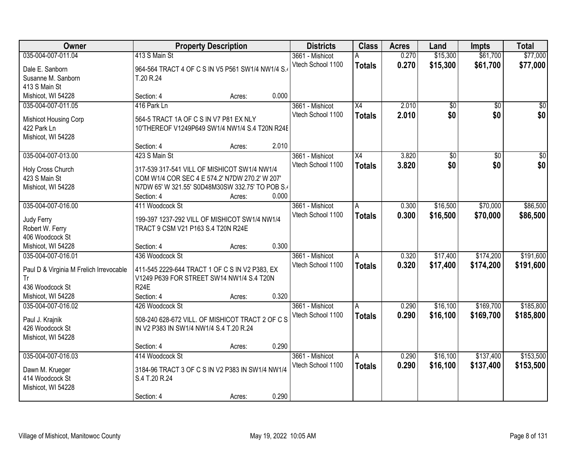| 035-004-007-011.04<br>\$61,700<br>\$77,000<br>413 S Main St<br>0.270<br>\$15,300<br>3661 - Mishicot<br>0.270<br>Vtech School 1100<br>\$15,300<br>\$61,700<br>\$77,000<br><b>Totals</b><br>964-564 TRACT 4 OF C S IN V5 P561 SW1/4 NW1/4 S.<br>Dale E. Sanborn<br>Susanne M. Sanborn<br>T.20 R.24<br>413 S Main St<br>0.000<br>Mishicot, WI 54228<br>Section: 4<br>Acres:<br>416 Park Ln<br>$\overline{X4}$<br>2.010<br>035-004-007-011.05<br>3661 - Mishicot<br>\$0<br>$\overline{50}$<br>\$0<br>2.010<br>\$0<br>Vtech School 1100<br><b>Totals</b><br>564-5 TRACT 1A OF C S IN V7 P81 EX NLY<br>Mishicot Housing Corp<br>422 Park Ln<br>10'THEREOF V1249P649 SW1/4 NW1/4 S.4 T20N R24E<br>Mishicot, WI 54228<br>2.010<br>Section: 4<br>Acres:<br>035-004-007-013.00<br>X4<br>$\overline{50}$<br>423 S Main St<br>3661 - Mishicot<br>3.820<br> 30 <br>\$0<br>Vtech School 1100<br>\$0<br>3.820<br><b>Totals</b><br>Holy Cross Church<br>317-539 317-541 VILL OF MISHICOT SW1/4 NW1/4<br>423 S Main St<br>COM W1/4 COR SEC 4 E 574.2' N7DW 270.2' W 207'<br>N7DW 65' W 321.55' S0D48M30SW 332.75' TO POB S.4<br>Mishicot, WI 54228<br>0.000<br>Section: 4<br>Acres:<br>035-004-007-016.00<br>\$16,500<br>\$70,000<br>411 Woodcock St<br>3661 - Mishicot<br>0.300<br>A<br>Vtech School 1100<br>0.300<br>\$16,500<br>\$70,000<br><b>Totals</b><br>Judy Ferry<br>199-397 1237-292 VILL OF MISHICOT SW1/4 NW1/4<br>TRACT 9 CSM V21 P163 S.4 T20N R24E<br>Robert W. Ferry<br>406 Woodcock St<br>0.300<br>Mishicot, WI 54228<br>Section: 4<br>Acres:<br>436 Woodcock St<br>\$17,400<br>\$174,200<br>035-004-007-016.01<br>3661 - Mishicot<br>0.320<br>Α<br>0.320<br>\$17,400<br>Vtech School 1100<br>\$174,200<br><b>Totals</b><br>411-545 2229-644 TRACT 1 OF C S IN V2 P383, EX<br>Paul D & Virginia M Frelich Irrevocable<br>V1249 P639 FOR STREET SW14 NW1/4 S.4 T20N<br>Tr<br>436 Woodcock St<br><b>R24E</b><br>Mishicot, WI 54228<br>Section: 4<br>0.320<br>Acres:<br>\$169,700<br>035-004-007-016.02<br>3661 - Mishicot<br>\$16,100<br>426 Woodcock St<br>0.290<br>A<br>Vtech School 1100<br>0.290<br>\$16,100<br>\$169,700<br><b>Totals</b><br>508-240 628-672 VILL. OF MISHICOT TRACT 2 OF C S<br>Paul J. Krajnik<br>426 Woodcock St<br>IN V2 P383 IN SW1/4 NW1/4 S.4 T.20 R.24<br>Mishicot, WI 54228<br>0.290<br>Section: 4<br>Acres:<br>035-004-007-016.03<br>\$16,100<br>\$137,400<br>414 Woodcock St<br>0.290<br>3661 - Mishicot<br>A<br>Vtech School 1100<br>0.290<br>\$16,100<br>\$137,400<br><b>Totals</b><br>3184-96 TRACT 3 OF C S IN V2 P383 IN SW1/4 NW1/4<br>Dawn M. Krueger<br>414 Woodcock St<br>S.4 T.20 R.24<br>Mishicot, WI 54228 | Owner | <b>Property Description</b> | <b>Districts</b> | <b>Class</b> | <b>Acres</b> | Land | <b>Impts</b> | <b>Total</b> |
|------------------------------------------------------------------------------------------------------------------------------------------------------------------------------------------------------------------------------------------------------------------------------------------------------------------------------------------------------------------------------------------------------------------------------------------------------------------------------------------------------------------------------------------------------------------------------------------------------------------------------------------------------------------------------------------------------------------------------------------------------------------------------------------------------------------------------------------------------------------------------------------------------------------------------------------------------------------------------------------------------------------------------------------------------------------------------------------------------------------------------------------------------------------------------------------------------------------------------------------------------------------------------------------------------------------------------------------------------------------------------------------------------------------------------------------------------------------------------------------------------------------------------------------------------------------------------------------------------------------------------------------------------------------------------------------------------------------------------------------------------------------------------------------------------------------------------------------------------------------------------------------------------------------------------------------------------------------------------------------------------------------------------------------------------------------------------------------------------------------------------------------------------------------------------------------------------------------------------------------------------------------------------------------------------------------------------------------------------------------------------------------------------------------------------------------------------------------------------------------------------------------------------------------------------------------------------------------------------------------------------------------------------|-------|-----------------------------|------------------|--------------|--------------|------|--------------|--------------|
|                                                                                                                                                                                                                                                                                                                                                                                                                                                                                                                                                                                                                                                                                                                                                                                                                                                                                                                                                                                                                                                                                                                                                                                                                                                                                                                                                                                                                                                                                                                                                                                                                                                                                                                                                                                                                                                                                                                                                                                                                                                                                                                                                                                                                                                                                                                                                                                                                                                                                                                                                                                                                                                      |       |                             |                  |              |              |      |              |              |
|                                                                                                                                                                                                                                                                                                                                                                                                                                                                                                                                                                                                                                                                                                                                                                                                                                                                                                                                                                                                                                                                                                                                                                                                                                                                                                                                                                                                                                                                                                                                                                                                                                                                                                                                                                                                                                                                                                                                                                                                                                                                                                                                                                                                                                                                                                                                                                                                                                                                                                                                                                                                                                                      |       |                             |                  |              |              |      |              |              |
|                                                                                                                                                                                                                                                                                                                                                                                                                                                                                                                                                                                                                                                                                                                                                                                                                                                                                                                                                                                                                                                                                                                                                                                                                                                                                                                                                                                                                                                                                                                                                                                                                                                                                                                                                                                                                                                                                                                                                                                                                                                                                                                                                                                                                                                                                                                                                                                                                                                                                                                                                                                                                                                      |       |                             |                  |              |              |      |              |              |
|                                                                                                                                                                                                                                                                                                                                                                                                                                                                                                                                                                                                                                                                                                                                                                                                                                                                                                                                                                                                                                                                                                                                                                                                                                                                                                                                                                                                                                                                                                                                                                                                                                                                                                                                                                                                                                                                                                                                                                                                                                                                                                                                                                                                                                                                                                                                                                                                                                                                                                                                                                                                                                                      |       |                             |                  |              |              |      |              |              |
| \$0<br>\$0<br>$\frac{1}{2}$<br>\$0<br>\$86,500<br>\$86,500<br>\$185,800<br>\$153,500                                                                                                                                                                                                                                                                                                                                                                                                                                                                                                                                                                                                                                                                                                                                                                                                                                                                                                                                                                                                                                                                                                                                                                                                                                                                                                                                                                                                                                                                                                                                                                                                                                                                                                                                                                                                                                                                                                                                                                                                                                                                                                                                                                                                                                                                                                                                                                                                                                                                                                                                                                 |       |                             |                  |              |              |      |              |              |
|                                                                                                                                                                                                                                                                                                                                                                                                                                                                                                                                                                                                                                                                                                                                                                                                                                                                                                                                                                                                                                                                                                                                                                                                                                                                                                                                                                                                                                                                                                                                                                                                                                                                                                                                                                                                                                                                                                                                                                                                                                                                                                                                                                                                                                                                                                                                                                                                                                                                                                                                                                                                                                                      |       |                             |                  |              |              |      |              |              |
|                                                                                                                                                                                                                                                                                                                                                                                                                                                                                                                                                                                                                                                                                                                                                                                                                                                                                                                                                                                                                                                                                                                                                                                                                                                                                                                                                                                                                                                                                                                                                                                                                                                                                                                                                                                                                                                                                                                                                                                                                                                                                                                                                                                                                                                                                                                                                                                                                                                                                                                                                                                                                                                      |       |                             |                  |              |              |      |              |              |
|                                                                                                                                                                                                                                                                                                                                                                                                                                                                                                                                                                                                                                                                                                                                                                                                                                                                                                                                                                                                                                                                                                                                                                                                                                                                                                                                                                                                                                                                                                                                                                                                                                                                                                                                                                                                                                                                                                                                                                                                                                                                                                                                                                                                                                                                                                                                                                                                                                                                                                                                                                                                                                                      |       |                             |                  |              |              |      |              |              |
|                                                                                                                                                                                                                                                                                                                                                                                                                                                                                                                                                                                                                                                                                                                                                                                                                                                                                                                                                                                                                                                                                                                                                                                                                                                                                                                                                                                                                                                                                                                                                                                                                                                                                                                                                                                                                                                                                                                                                                                                                                                                                                                                                                                                                                                                                                                                                                                                                                                                                                                                                                                                                                                      |       |                             |                  |              |              |      |              |              |
|                                                                                                                                                                                                                                                                                                                                                                                                                                                                                                                                                                                                                                                                                                                                                                                                                                                                                                                                                                                                                                                                                                                                                                                                                                                                                                                                                                                                                                                                                                                                                                                                                                                                                                                                                                                                                                                                                                                                                                                                                                                                                                                                                                                                                                                                                                                                                                                                                                                                                                                                                                                                                                                      |       |                             |                  |              |              |      |              |              |
|                                                                                                                                                                                                                                                                                                                                                                                                                                                                                                                                                                                                                                                                                                                                                                                                                                                                                                                                                                                                                                                                                                                                                                                                                                                                                                                                                                                                                                                                                                                                                                                                                                                                                                                                                                                                                                                                                                                                                                                                                                                                                                                                                                                                                                                                                                                                                                                                                                                                                                                                                                                                                                                      |       |                             |                  |              |              |      |              |              |
|                                                                                                                                                                                                                                                                                                                                                                                                                                                                                                                                                                                                                                                                                                                                                                                                                                                                                                                                                                                                                                                                                                                                                                                                                                                                                                                                                                                                                                                                                                                                                                                                                                                                                                                                                                                                                                                                                                                                                                                                                                                                                                                                                                                                                                                                                                                                                                                                                                                                                                                                                                                                                                                      |       |                             |                  |              |              |      |              |              |
|                                                                                                                                                                                                                                                                                                                                                                                                                                                                                                                                                                                                                                                                                                                                                                                                                                                                                                                                                                                                                                                                                                                                                                                                                                                                                                                                                                                                                                                                                                                                                                                                                                                                                                                                                                                                                                                                                                                                                                                                                                                                                                                                                                                                                                                                                                                                                                                                                                                                                                                                                                                                                                                      |       |                             |                  |              |              |      |              |              |
|                                                                                                                                                                                                                                                                                                                                                                                                                                                                                                                                                                                                                                                                                                                                                                                                                                                                                                                                                                                                                                                                                                                                                                                                                                                                                                                                                                                                                                                                                                                                                                                                                                                                                                                                                                                                                                                                                                                                                                                                                                                                                                                                                                                                                                                                                                                                                                                                                                                                                                                                                                                                                                                      |       |                             |                  |              |              |      |              |              |
|                                                                                                                                                                                                                                                                                                                                                                                                                                                                                                                                                                                                                                                                                                                                                                                                                                                                                                                                                                                                                                                                                                                                                                                                                                                                                                                                                                                                                                                                                                                                                                                                                                                                                                                                                                                                                                                                                                                                                                                                                                                                                                                                                                                                                                                                                                                                                                                                                                                                                                                                                                                                                                                      |       |                             |                  |              |              |      |              |              |
|                                                                                                                                                                                                                                                                                                                                                                                                                                                                                                                                                                                                                                                                                                                                                                                                                                                                                                                                                                                                                                                                                                                                                                                                                                                                                                                                                                                                                                                                                                                                                                                                                                                                                                                                                                                                                                                                                                                                                                                                                                                                                                                                                                                                                                                                                                                                                                                                                                                                                                                                                                                                                                                      |       |                             |                  |              |              |      |              |              |
|                                                                                                                                                                                                                                                                                                                                                                                                                                                                                                                                                                                                                                                                                                                                                                                                                                                                                                                                                                                                                                                                                                                                                                                                                                                                                                                                                                                                                                                                                                                                                                                                                                                                                                                                                                                                                                                                                                                                                                                                                                                                                                                                                                                                                                                                                                                                                                                                                                                                                                                                                                                                                                                      |       |                             |                  |              |              |      |              |              |
|                                                                                                                                                                                                                                                                                                                                                                                                                                                                                                                                                                                                                                                                                                                                                                                                                                                                                                                                                                                                                                                                                                                                                                                                                                                                                                                                                                                                                                                                                                                                                                                                                                                                                                                                                                                                                                                                                                                                                                                                                                                                                                                                                                                                                                                                                                                                                                                                                                                                                                                                                                                                                                                      |       |                             |                  |              |              |      |              |              |
|                                                                                                                                                                                                                                                                                                                                                                                                                                                                                                                                                                                                                                                                                                                                                                                                                                                                                                                                                                                                                                                                                                                                                                                                                                                                                                                                                                                                                                                                                                                                                                                                                                                                                                                                                                                                                                                                                                                                                                                                                                                                                                                                                                                                                                                                                                                                                                                                                                                                                                                                                                                                                                                      |       |                             |                  |              |              |      |              |              |
| \$191,600<br>\$191,600<br>\$185,800<br>\$153,500                                                                                                                                                                                                                                                                                                                                                                                                                                                                                                                                                                                                                                                                                                                                                                                                                                                                                                                                                                                                                                                                                                                                                                                                                                                                                                                                                                                                                                                                                                                                                                                                                                                                                                                                                                                                                                                                                                                                                                                                                                                                                                                                                                                                                                                                                                                                                                                                                                                                                                                                                                                                     |       |                             |                  |              |              |      |              |              |
|                                                                                                                                                                                                                                                                                                                                                                                                                                                                                                                                                                                                                                                                                                                                                                                                                                                                                                                                                                                                                                                                                                                                                                                                                                                                                                                                                                                                                                                                                                                                                                                                                                                                                                                                                                                                                                                                                                                                                                                                                                                                                                                                                                                                                                                                                                                                                                                                                                                                                                                                                                                                                                                      |       |                             |                  |              |              |      |              |              |
|                                                                                                                                                                                                                                                                                                                                                                                                                                                                                                                                                                                                                                                                                                                                                                                                                                                                                                                                                                                                                                                                                                                                                                                                                                                                                                                                                                                                                                                                                                                                                                                                                                                                                                                                                                                                                                                                                                                                                                                                                                                                                                                                                                                                                                                                                                                                                                                                                                                                                                                                                                                                                                                      |       |                             |                  |              |              |      |              |              |
|                                                                                                                                                                                                                                                                                                                                                                                                                                                                                                                                                                                                                                                                                                                                                                                                                                                                                                                                                                                                                                                                                                                                                                                                                                                                                                                                                                                                                                                                                                                                                                                                                                                                                                                                                                                                                                                                                                                                                                                                                                                                                                                                                                                                                                                                                                                                                                                                                                                                                                                                                                                                                                                      |       |                             |                  |              |              |      |              |              |
|                                                                                                                                                                                                                                                                                                                                                                                                                                                                                                                                                                                                                                                                                                                                                                                                                                                                                                                                                                                                                                                                                                                                                                                                                                                                                                                                                                                                                                                                                                                                                                                                                                                                                                                                                                                                                                                                                                                                                                                                                                                                                                                                                                                                                                                                                                                                                                                                                                                                                                                                                                                                                                                      |       |                             |                  |              |              |      |              |              |
|                                                                                                                                                                                                                                                                                                                                                                                                                                                                                                                                                                                                                                                                                                                                                                                                                                                                                                                                                                                                                                                                                                                                                                                                                                                                                                                                                                                                                                                                                                                                                                                                                                                                                                                                                                                                                                                                                                                                                                                                                                                                                                                                                                                                                                                                                                                                                                                                                                                                                                                                                                                                                                                      |       |                             |                  |              |              |      |              |              |
|                                                                                                                                                                                                                                                                                                                                                                                                                                                                                                                                                                                                                                                                                                                                                                                                                                                                                                                                                                                                                                                                                                                                                                                                                                                                                                                                                                                                                                                                                                                                                                                                                                                                                                                                                                                                                                                                                                                                                                                                                                                                                                                                                                                                                                                                                                                                                                                                                                                                                                                                                                                                                                                      |       |                             |                  |              |              |      |              |              |
|                                                                                                                                                                                                                                                                                                                                                                                                                                                                                                                                                                                                                                                                                                                                                                                                                                                                                                                                                                                                                                                                                                                                                                                                                                                                                                                                                                                                                                                                                                                                                                                                                                                                                                                                                                                                                                                                                                                                                                                                                                                                                                                                                                                                                                                                                                                                                                                                                                                                                                                                                                                                                                                      |       |                             |                  |              |              |      |              |              |
|                                                                                                                                                                                                                                                                                                                                                                                                                                                                                                                                                                                                                                                                                                                                                                                                                                                                                                                                                                                                                                                                                                                                                                                                                                                                                                                                                                                                                                                                                                                                                                                                                                                                                                                                                                                                                                                                                                                                                                                                                                                                                                                                                                                                                                                                                                                                                                                                                                                                                                                                                                                                                                                      |       |                             |                  |              |              |      |              |              |
|                                                                                                                                                                                                                                                                                                                                                                                                                                                                                                                                                                                                                                                                                                                                                                                                                                                                                                                                                                                                                                                                                                                                                                                                                                                                                                                                                                                                                                                                                                                                                                                                                                                                                                                                                                                                                                                                                                                                                                                                                                                                                                                                                                                                                                                                                                                                                                                                                                                                                                                                                                                                                                                      |       |                             |                  |              |              |      |              |              |
|                                                                                                                                                                                                                                                                                                                                                                                                                                                                                                                                                                                                                                                                                                                                                                                                                                                                                                                                                                                                                                                                                                                                                                                                                                                                                                                                                                                                                                                                                                                                                                                                                                                                                                                                                                                                                                                                                                                                                                                                                                                                                                                                                                                                                                                                                                                                                                                                                                                                                                                                                                                                                                                      |       |                             |                  |              |              |      |              |              |
|                                                                                                                                                                                                                                                                                                                                                                                                                                                                                                                                                                                                                                                                                                                                                                                                                                                                                                                                                                                                                                                                                                                                                                                                                                                                                                                                                                                                                                                                                                                                                                                                                                                                                                                                                                                                                                                                                                                                                                                                                                                                                                                                                                                                                                                                                                                                                                                                                                                                                                                                                                                                                                                      |       |                             |                  |              |              |      |              |              |
|                                                                                                                                                                                                                                                                                                                                                                                                                                                                                                                                                                                                                                                                                                                                                                                                                                                                                                                                                                                                                                                                                                                                                                                                                                                                                                                                                                                                                                                                                                                                                                                                                                                                                                                                                                                                                                                                                                                                                                                                                                                                                                                                                                                                                                                                                                                                                                                                                                                                                                                                                                                                                                                      |       |                             |                  |              |              |      |              |              |
|                                                                                                                                                                                                                                                                                                                                                                                                                                                                                                                                                                                                                                                                                                                                                                                                                                                                                                                                                                                                                                                                                                                                                                                                                                                                                                                                                                                                                                                                                                                                                                                                                                                                                                                                                                                                                                                                                                                                                                                                                                                                                                                                                                                                                                                                                                                                                                                                                                                                                                                                                                                                                                                      |       |                             |                  |              |              |      |              |              |
|                                                                                                                                                                                                                                                                                                                                                                                                                                                                                                                                                                                                                                                                                                                                                                                                                                                                                                                                                                                                                                                                                                                                                                                                                                                                                                                                                                                                                                                                                                                                                                                                                                                                                                                                                                                                                                                                                                                                                                                                                                                                                                                                                                                                                                                                                                                                                                                                                                                                                                                                                                                                                                                      |       |                             |                  |              |              |      |              |              |
|                                                                                                                                                                                                                                                                                                                                                                                                                                                                                                                                                                                                                                                                                                                                                                                                                                                                                                                                                                                                                                                                                                                                                                                                                                                                                                                                                                                                                                                                                                                                                                                                                                                                                                                                                                                                                                                                                                                                                                                                                                                                                                                                                                                                                                                                                                                                                                                                                                                                                                                                                                                                                                                      |       |                             |                  |              |              |      |              |              |
| 0.290<br>Section: 4<br>Acres:                                                                                                                                                                                                                                                                                                                                                                                                                                                                                                                                                                                                                                                                                                                                                                                                                                                                                                                                                                                                                                                                                                                                                                                                                                                                                                                                                                                                                                                                                                                                                                                                                                                                                                                                                                                                                                                                                                                                                                                                                                                                                                                                                                                                                                                                                                                                                                                                                                                                                                                                                                                                                        |       |                             |                  |              |              |      |              |              |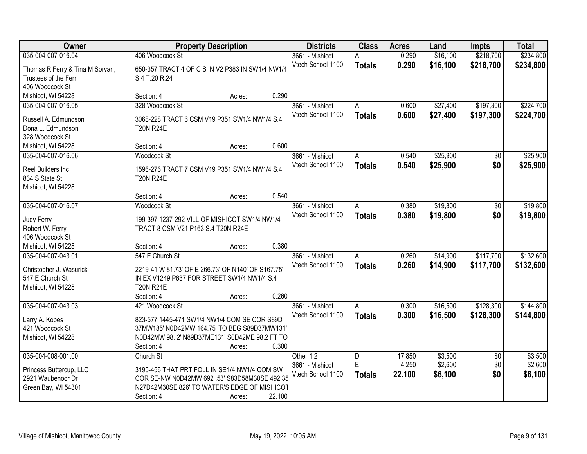| Owner                                 |                                                                 | <b>Property Description</b> |        | <b>Districts</b>  | <b>Class</b>   | <b>Acres</b> | Land     | <b>Impts</b>    | <b>Total</b> |
|---------------------------------------|-----------------------------------------------------------------|-----------------------------|--------|-------------------|----------------|--------------|----------|-----------------|--------------|
| 035-004-007-016.04                    | 406 Woodcock St                                                 |                             |        | 3661 - Mishicot   | А              | 0.290        | \$16,100 | \$218,700       | \$234,800    |
| Thomas R Ferry & Tina M Sorvari,      | 650-357 TRACT 4 OF C S IN V2 P383 IN SW1/4 NW1/4                |                             |        | Vtech School 1100 | <b>Totals</b>  | 0.290        | \$16,100 | \$218,700       | \$234,800    |
| Trustees of the Ferr                  | S.4 T.20 R.24                                                   |                             |        |                   |                |              |          |                 |              |
| 406 Woodcock St                       |                                                                 |                             |        |                   |                |              |          |                 |              |
| Mishicot, WI 54228                    | Section: 4                                                      | Acres:                      | 0.290  |                   |                |              |          |                 |              |
| 035-004-007-016.05                    | 328 Woodcock St                                                 |                             |        | 3661 - Mishicot   | A              | 0.600        | \$27,400 | \$197,300       | \$224,700    |
|                                       |                                                                 |                             |        | Vtech School 1100 | <b>Totals</b>  | 0.600        | \$27,400 | \$197,300       | \$224,700    |
| Russell A. Edmundson                  | 3068-228 TRACT 6 CSM V19 P351 SW1/4 NW1/4 S.4                   |                             |        |                   |                |              |          |                 |              |
| Dona L. Edmundson                     | <b>T20N R24E</b>                                                |                             |        |                   |                |              |          |                 |              |
| 328 Woodcock St<br>Mishicot, WI 54228 | Section: 4                                                      | Acres:                      | 0.600  |                   |                |              |          |                 |              |
| 035-004-007-016.06                    | <b>Woodcock St</b>                                              |                             |        | 3661 - Mishicot   | A              | 0.540        | \$25,900 | \$0             | \$25,900     |
|                                       |                                                                 |                             |        | Vtech School 1100 |                |              |          |                 |              |
| Reel Builders Inc                     | 1596-276 TRACT 7 CSM V19 P351 SW1/4 NW1/4 S.4                   |                             |        |                   | <b>Totals</b>  | 0.540        | \$25,900 | \$0             | \$25,900     |
| 834 S State St                        | <b>T20N R24E</b>                                                |                             |        |                   |                |              |          |                 |              |
| Mishicot, WI 54228                    |                                                                 |                             |        |                   |                |              |          |                 |              |
|                                       | Section: 4                                                      | Acres:                      | 0.540  |                   |                |              |          |                 |              |
| 035-004-007-016.07                    | Woodcock St                                                     |                             |        | 3661 - Mishicot   | A              | 0.380        | \$19,800 | \$0             | \$19,800     |
| Judy Ferry                            | 199-397 1237-292 VILL OF MISHICOT SW1/4 NW1/4                   |                             |        | Vtech School 1100 | <b>Totals</b>  | 0.380        | \$19,800 | \$0             | \$19,800     |
| Robert W. Ferry                       | TRACT 8 CSM V21 P163 S.4 T20N R24E                              |                             |        |                   |                |              |          |                 |              |
| 406 Woodcock St                       |                                                                 |                             |        |                   |                |              |          |                 |              |
| Mishicot, WI 54228                    | Section: 4                                                      | Acres:                      | 0.380  |                   |                |              |          |                 |              |
| 035-004-007-043.01                    | 547 E Church St                                                 |                             |        | 3661 - Mishicot   | $\overline{A}$ | 0.260        | \$14,900 | \$117,700       | \$132,600    |
|                                       |                                                                 |                             |        | Vtech School 1100 | <b>Totals</b>  | 0.260        | \$14,900 | \$117,700       | \$132,600    |
| Christopher J. Wasurick               | 2219-41 W 81.73' OF E 266.73' OF N140' OF S167.75'              |                             |        |                   |                |              |          |                 |              |
| 547 E Church St                       | IN EX V1249 P637 FOR STREET SW1/4 NW1/4 S.4<br><b>T20N R24E</b> |                             |        |                   |                |              |          |                 |              |
| Mishicot, WI 54228                    | Section: 4                                                      |                             | 0.260  |                   |                |              |          |                 |              |
| 035-004-007-043.03                    |                                                                 | Acres:                      |        | 3661 - Mishicot   |                |              | \$16,500 | \$128,300       | \$144,800    |
|                                       | 421 Woodcock St                                                 |                             |        | Vtech School 1100 | A              | 0.300        |          |                 |              |
| Larry A. Kobes                        | 823-577 1445-471 SW1/4 NW1/4 COM SE COR S89D                    |                             |        |                   | <b>Totals</b>  | 0.300        | \$16,500 | \$128,300       | \$144,800    |
| 421 Woodcock St                       | 37MW185' N0D42MW 164.75' TO BEG S89D37MW131'                    |                             |        |                   |                |              |          |                 |              |
| Mishicot, WI 54228                    | N0D42MW 98. 2' N89D37ME131' S0D42ME 98.2 FT TO                  |                             |        |                   |                |              |          |                 |              |
|                                       | Section: 4                                                      | Acres:                      | 0.300  |                   |                |              |          |                 |              |
| 035-004-008-001.00                    | Church St                                                       |                             |        | Other 12          | $\overline{D}$ | 17.850       | \$3,500  | $\overline{30}$ | \$3,500      |
| Princess Buttercup, LLC               | 3195-456 THAT PRT FOLL IN SE1/4 NW1/4 COM SW                    |                             |        | 3661 - Mishicot   | E              | 4.250        | \$2,600  | \$0             | \$2,600      |
| 2921 Waubenoor Dr                     | COR SE-NW N0D42MW 692 .53' S83D58M30SE 492.35                   |                             |        | Vtech School 1100 | <b>Totals</b>  | 22.100       | \$6,100  | \$0             | \$6,100      |
| Green Bay, WI 54301                   | N27D42M30SE 826' TO WATER'S EDGE OF MISHICOT                    |                             |        |                   |                |              |          |                 |              |
|                                       | Section: 4                                                      | Acres:                      | 22.100 |                   |                |              |          |                 |              |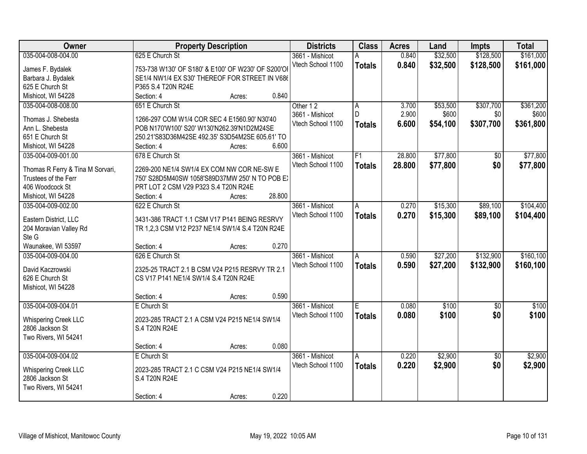| Owner                                   |                                                    | <b>Property Description</b> |        | <b>Districts</b>  | <b>Class</b>  | <b>Acres</b> | Land     | <b>Impts</b>    | <b>Total</b> |
|-----------------------------------------|----------------------------------------------------|-----------------------------|--------|-------------------|---------------|--------------|----------|-----------------|--------------|
| 035-004-008-004.00                      | 625 E Church St                                    |                             |        | 3661 - Mishicot   | А             | 0.840        | \$32,500 | \$128,500       | \$161,000    |
| James F. Bydalek                        | 753-738 W130' OF S180' & E100' OF W230' OF S200'OI |                             |        | Vtech School 1100 | <b>Totals</b> | 0.840        | \$32,500 | \$128,500       | \$161,000    |
| Barbara J. Bydalek                      | SE1/4 NW1/4 EX S30' THEREOF FOR STREET IN V686     |                             |        |                   |               |              |          |                 |              |
| 625 E Church St                         | P365 S.4 T20N R24E                                 |                             |        |                   |               |              |          |                 |              |
| Mishicot, WI 54228                      | Section: 4                                         | Acres:                      | 0.840  |                   |               |              |          |                 |              |
| 035-004-008-008.00                      | 651 E Church St                                    |                             |        | Other 12          | Α             | 3.700        | \$53,500 | \$307,700       | \$361,200    |
|                                         |                                                    |                             |        | 3661 - Mishicot   | D             | 2.900        | \$600    | \$0             | \$600        |
| Thomas J. Shebesta                      | 1266-297 COM W1/4 COR SEC 4 E1560.90' N30'40       |                             |        | Vtech School 1100 | <b>Totals</b> | 6.600        | \$54,100 | \$307,700       | \$361,800    |
| Ann L. Shebesta                         | POB N170'W100' S20' W130'N262.39'N1D2M24SE         |                             |        |                   |               |              |          |                 |              |
| 651 E Church St                         | 250.21'S83D36M42SE 492.35' S3D54M2SE 605.61' TO    |                             |        |                   |               |              |          |                 |              |
| Mishicot, WI 54228                      | Section: 4                                         | Acres:                      | 6.600  |                   |               |              |          |                 |              |
| 035-004-009-001.00                      | 678 E Church St                                    |                             |        | 3661 - Mishicot   | F1            | 28.800       | \$77,800 | $\overline{50}$ | \$77,800     |
| Thomas R Ferry & Tina M Sorvari,        | 2269-200 NE1/4 SW1/4 EX COM NW COR NE-SW E         |                             |        | Vtech School 1100 | <b>Totals</b> | 28.800       | \$77,800 | \$0             | \$77,800     |
| Trustees of the Ferr                    | 750' S28D5M40SW 1058'S89D37MW 250' N TO POB E)     |                             |        |                   |               |              |          |                 |              |
| 406 Woodcock St                         | PRT LOT 2 CSM V29 P323 S.4 T20N R24E               |                             |        |                   |               |              |          |                 |              |
| Mishicot, WI 54228                      | Section: 4                                         | Acres:                      | 28.800 |                   |               |              |          |                 |              |
| 035-004-009-002.00                      | 622 E Church St                                    |                             |        | 3661 - Mishicot   | A             | 0.270        | \$15,300 | \$89,100        | \$104,400    |
|                                         |                                                    |                             |        | Vtech School 1100 |               | 0.270        | \$15,300 | \$89,100        | \$104,400    |
| Eastern District, LLC                   | 3431-386 TRACT 1.1 CSM V17 P141 BEING RESRVY       |                             |        |                   | <b>Totals</b> |              |          |                 |              |
| 204 Moravian Valley Rd                  | TR 1,2,3 CSM V12 P237 NE1/4 SW1/4 S.4 T20N R24E    |                             |        |                   |               |              |          |                 |              |
| Ste G                                   |                                                    |                             |        |                   |               |              |          |                 |              |
| Waunakee, WI 53597                      | Section: 4                                         | Acres:                      | 0.270  |                   |               |              |          |                 |              |
| 035-004-009-004.00                      | 626 E Church St                                    |                             |        | 3661 - Mishicot   | A             | 0.590        | \$27,200 | \$132,900       | \$160, 100   |
| David Kaczrowski                        | 2325-25 TRACT 2.1 B CSM V24 P215 RESRVY TR 2.1     |                             |        | Vtech School 1100 | <b>Totals</b> | 0.590        | \$27,200 | \$132,900       | \$160,100    |
| 626 E Church St                         | CS V17 P141 NE1/4 SW1/4 S.4 T20N R24E              |                             |        |                   |               |              |          |                 |              |
| Mishicot, WI 54228                      |                                                    |                             |        |                   |               |              |          |                 |              |
|                                         | Section: 4                                         | Acres:                      | 0.590  |                   |               |              |          |                 |              |
| 035-004-009-004.01                      | E Church St                                        |                             |        | 3661 - Mishicot   | E.            | 0.080        | \$100    | $\sqrt{6}$      | \$100        |
|                                         |                                                    |                             |        | Vtech School 1100 |               |              |          |                 |              |
| <b>Whispering Creek LLC</b>             | 2023-285 TRACT 2.1 A CSM V24 P215 NE1/4 SW1/4      |                             |        |                   | <b>Totals</b> | 0.080        | \$100    | \$0             | \$100        |
| 2806 Jackson St                         | S.4 T20N R24E                                      |                             |        |                   |               |              |          |                 |              |
| Two Rivers, WI 54241                    |                                                    |                             |        |                   |               |              |          |                 |              |
|                                         | Section: 4                                         | Acres:                      | 0.080  |                   |               |              |          |                 |              |
| 035-004-009-004.02                      | E Church St                                        |                             |        | 3661 - Mishicot   | Α             | 0.220        | \$2,900  | $\overline{30}$ | \$2,900      |
|                                         | 2023-285 TRACT 2.1 C CSM V24 P215 NE1/4 SW1/4      |                             |        | Vtech School 1100 | <b>Totals</b> | 0.220        | \$2,900  | \$0             | \$2,900      |
| Whispering Creek LLC<br>2806 Jackson St | S.4 T20N R24E                                      |                             |        |                   |               |              |          |                 |              |
| Two Rivers, WI 54241                    |                                                    |                             |        |                   |               |              |          |                 |              |
|                                         |                                                    |                             |        |                   |               |              |          |                 |              |
|                                         | Section: 4                                         | Acres:                      | 0.220  |                   |               |              |          |                 |              |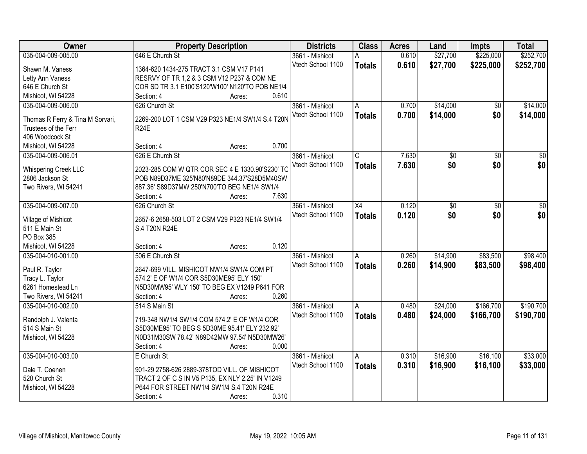| Owner                            | <b>Property Description</b>                      | <b>Districts</b>  | <b>Class</b>            | <b>Acres</b> | Land     | <b>Impts</b>    | <b>Total</b>    |
|----------------------------------|--------------------------------------------------|-------------------|-------------------------|--------------|----------|-----------------|-----------------|
| 035-004-009-005.00               | 646 E Church St                                  | 3661 - Mishicot   | А                       | 0.610        | \$27,700 | \$225,000       | \$252,700       |
| Shawn M. Vaness                  | 1364-620 1434-275 TRACT 3.1 CSM V17 P141         | Vtech School 1100 | <b>Totals</b>           | 0.610        | \$27,700 | \$225,000       | \$252,700       |
| Letty Ann Vaness                 | RESRVY OF TR 1,2 & 3 CSM V12 P237 & COM NE       |                   |                         |              |          |                 |                 |
| 646 E Church St                  | COR SD TR 3.1 E100'S120'W100' N120'TO POB NE1/4  |                   |                         |              |          |                 |                 |
| Mishicot, WI 54228               | 0.610<br>Section: 4<br>Acres:                    |                   |                         |              |          |                 |                 |
| 035-004-009-006.00               | 626 Church St                                    | 3661 - Mishicot   | A                       | 0.700        | \$14,000 | \$0             | \$14,000        |
|                                  |                                                  | Vtech School 1100 | <b>Totals</b>           | 0.700        | \$14,000 | \$0             | \$14,000        |
| Thomas R Ferry & Tina M Sorvari, | 2269-200 LOT 1 CSM V29 P323 NE1/4 SW1/4 S.4 T20N |                   |                         |              |          |                 |                 |
| Trustees of the Ferr             | <b>R24E</b>                                      |                   |                         |              |          |                 |                 |
| 406 Woodcock St                  |                                                  |                   |                         |              |          |                 |                 |
| Mishicot, WI 54228               | 0.700<br>Section: 4<br>Acres:                    |                   |                         |              |          |                 |                 |
| 035-004-009-006.01               | 626 E Church St                                  | 3661 - Mishicot   | $\overline{\mathsf{C}}$ | 7.630        | \$0      | $\overline{50}$ | $\overline{50}$ |
| <b>Whispering Creek LLC</b>      | 2023-285 COM W QTR COR SEC 4 E 1330.90'S230' TC  | Vtech School 1100 | <b>Totals</b>           | 7.630        | \$0      | \$0             | \$0             |
| 2806 Jackson St                  | POB N89D37ME 325'N80'N89DE 344.37'S28D5M40SW     |                   |                         |              |          |                 |                 |
| Two Rivers, WI 54241             | 887.36' S89D37MW 250'N700'TO BEG NE1/4 SW1/4     |                   |                         |              |          |                 |                 |
|                                  | 7.630<br>Section: 4<br>Acres:                    |                   |                         |              |          |                 |                 |
| 035-004-009-007.00               | 626 Church St                                    | 3661 - Mishicot   | X4                      | 0.120        | \$0      | \$0             | \$0             |
|                                  |                                                  | Vtech School 1100 |                         | 0.120        | \$0      | \$0             | \$0             |
| Village of Mishicot              | 2657-6 2658-503 LOT 2 CSM V29 P323 NE1/4 SW1/4   |                   | <b>Totals</b>           |              |          |                 |                 |
| 511 E Main St                    | S.4 T20N R24E                                    |                   |                         |              |          |                 |                 |
| PO Box 385                       |                                                  |                   |                         |              |          |                 |                 |
| Mishicot, WI 54228               | 0.120<br>Section: 4<br>Acres:                    |                   |                         |              |          |                 |                 |
| 035-004-010-001.00               | 506 E Church St                                  | 3661 - Mishicot   | A                       | 0.260        | \$14,900 | \$83,500        | \$98,400        |
| Paul R. Taylor                   | 2647-699 VILL. MISHICOT NW1/4 SW1/4 COM PT       | Vtech School 1100 | <b>Totals</b>           | 0.260        | \$14,900 | \$83,500        | \$98,400        |
| Tracy L. Taylor                  | 574.2' E OF W1/4 COR S5D30ME95' ELY 150'         |                   |                         |              |          |                 |                 |
| 6261 Homestead Ln                | N5D30MW95' WLY 150' TO BEG EX V1249 P641 FOR     |                   |                         |              |          |                 |                 |
| Two Rivers, WI 54241             | 0.260<br>Section: 4<br>Acres:                    |                   |                         |              |          |                 |                 |
|                                  | 514 S Main St                                    |                   |                         |              |          | \$166,700       | \$190,700       |
| 035-004-010-002.00               |                                                  | 3661 - Mishicot   | A                       | 0.480        | \$24,000 |                 |                 |
| Randolph J. Valenta              | 719-348 NW1/4 SW1/4 COM 574.2' E OF W1/4 COR     | Vtech School 1100 | <b>Totals</b>           | 0.480        | \$24,000 | \$166,700       | \$190,700       |
| 514 S Main St                    | S5D30ME95' TO BEG S 5D30ME 95.41' ELY 232.92'    |                   |                         |              |          |                 |                 |
| Mishicot, WI 54228               | N0D31M30SW 78.42' N89D42MW 97.54' N5D30MW26'     |                   |                         |              |          |                 |                 |
|                                  | 0.000<br>Section: 4<br>Acres:                    |                   |                         |              |          |                 |                 |
| 035-004-010-003.00               | E Church St                                      | 3661 - Mishicot   | Α                       | 0.310        | \$16,900 | \$16,100        | \$33,000        |
|                                  |                                                  | Vtech School 1100 | <b>Totals</b>           | 0.310        | \$16,900 | \$16,100        | \$33,000        |
| Dale T. Coenen                   | 901-29 2758-626 2889-378TOD VILL. OF MISHICOT    |                   |                         |              |          |                 |                 |
| 520 Church St                    | TRACT 2 OF C S IN V5 P135, EX NLY 2.25' IN V1249 |                   |                         |              |          |                 |                 |
| Mishicot, WI 54228               | P644 FOR STREET NW1/4 SW1/4 S.4 T20N R24E        |                   |                         |              |          |                 |                 |
|                                  | 0.310<br>Section: 4<br>Acres:                    |                   |                         |              |          |                 |                 |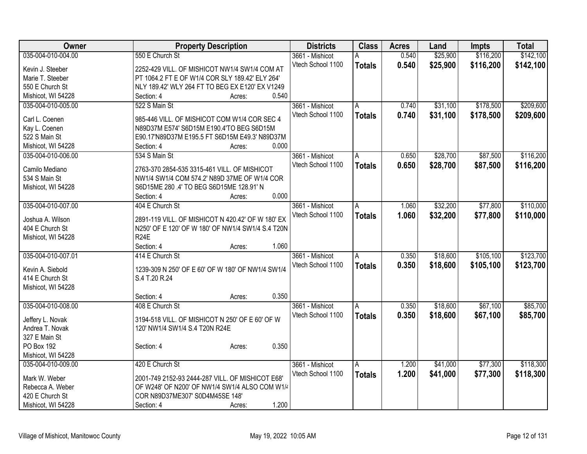| Owner              | <b>Property Description</b>                       | <b>Districts</b>  | <b>Class</b>  | <b>Acres</b> | Land     | <b>Impts</b> | <b>Total</b> |
|--------------------|---------------------------------------------------|-------------------|---------------|--------------|----------|--------------|--------------|
| 035-004-010-004.00 | 550 E Church St                                   | 3661 - Mishicot   |               | 0.540        | \$25,900 | \$116,200    | \$142,100    |
| Kevin J. Steeber   | 2252-429 VILL. OF MISHICOT NW1/4 SW1/4 COM AT     | Vtech School 1100 | <b>Totals</b> | 0.540        | \$25,900 | \$116,200    | \$142,100    |
| Marie T. Steeber   | PT 1064.2 FT E OF W1/4 COR SLY 189.42' ELY 264'   |                   |               |              |          |              |              |
| 550 E Church St    | NLY 189.42' WLY 264 FT TO BEG EX E120' EX V1249   |                   |               |              |          |              |              |
| Mishicot, WI 54228 | Section: 4<br>0.540<br>Acres:                     |                   |               |              |          |              |              |
| 035-004-010-005.00 | 522 S Main St                                     | 3661 - Mishicot   | Α             | 0.740        | \$31,100 | \$178,500    | \$209,600    |
|                    |                                                   | Vtech School 1100 | <b>Totals</b> | 0.740        | \$31,100 | \$178,500    | \$209,600    |
| Carl L. Coenen     | 985-446 VILL. OF MISHICOT COM W1/4 COR SEC 4      |                   |               |              |          |              |              |
| Kay L. Coenen      | N89D37M E574' S6D15M E190.4'TO BEG S6D15M         |                   |               |              |          |              |              |
| 522 S Main St      | E90.17'N89D37M E195.5 FT S6D15M E49.3' N89D37M    |                   |               |              |          |              |              |
| Mishicot, WI 54228 | 0.000<br>Section: 4<br>Acres:                     |                   |               |              |          |              |              |
| 035-004-010-006.00 | 534 S Main St                                     | 3661 - Mishicot   | A             | 0.650        | \$28,700 | \$87,500     | \$116,200    |
| Camilo Mediano     | 2763-370 2854-535 3315-461 VILL. OF MISHICOT      | Vtech School 1100 | <b>Totals</b> | 0.650        | \$28,700 | \$87,500     | \$116,200    |
| 534 S Main St      | NW1/4 SW1/4 COM 574.2' N89D 37ME OF W1/4 COR      |                   |               |              |          |              |              |
| Mishicot, WI 54228 | S6D15ME 280 .4' TO BEG S6D15ME 128.91' N          |                   |               |              |          |              |              |
|                    | 0.000<br>Section: 4<br>Acres:                     |                   |               |              |          |              |              |
| 035-004-010-007.00 | 404 E Church St                                   | 3661 - Mishicot   | A             | 1.060        | \$32,200 | \$77,800     | \$110,000    |
|                    |                                                   | Vtech School 1100 |               | 1.060        | \$32,200 | \$77,800     |              |
| Joshua A. Wilson   | 2891-119 VILL. OF MISHICOT N 420.42' OF W 180' EX |                   | <b>Totals</b> |              |          |              | \$110,000    |
| 404 E Church St    | N250' OF E 120' OF W 180' OF NW1/4 SW1/4 S.4 T20N |                   |               |              |          |              |              |
| Mishicot, WI 54228 | <b>R24E</b>                                       |                   |               |              |          |              |              |
|                    | 1.060<br>Section: 4<br>Acres:                     |                   |               |              |          |              |              |
| 035-004-010-007.01 | 414 E Church St                                   | 3661 - Mishicot   | A             | 0.350        | \$18,600 | \$105,100    | \$123,700    |
| Kevin A. Siebold   | 1239-309 N 250' OF E 60' OF W 180' OF NW1/4 SW1/4 | Vtech School 1100 | <b>Totals</b> | 0.350        | \$18,600 | \$105,100    | \$123,700    |
| 414 E Church St    | S.4 T.20 R.24                                     |                   |               |              |          |              |              |
|                    |                                                   |                   |               |              |          |              |              |
| Mishicot, WI 54228 | 0.350                                             |                   |               |              |          |              |              |
|                    | Section: 4<br>Acres:                              |                   |               |              |          |              |              |
| 035-004-010-008.00 | 408 E Church St                                   | 3661 - Mishicot   | A             | 0.350        | \$18,600 | \$67,100     | \$85,700     |
| Jeffery L. Novak   | 3194-518 VILL. OF MISHICOT N 250' OF E 60' OF W   | Vtech School 1100 | <b>Totals</b> | 0.350        | \$18,600 | \$67,100     | \$85,700     |
| Andrea T. Novak    | 120' NW1/4 SW1/4 S.4 T20N R24E                    |                   |               |              |          |              |              |
| 327 E Main St      |                                                   |                   |               |              |          |              |              |
| PO Box 192         | 0.350<br>Section: 4<br>Acres:                     |                   |               |              |          |              |              |
| Mishicot, WI 54228 |                                                   |                   |               |              |          |              |              |
| 035-004-010-009.00 | 420 E Church St                                   | 3661 - Mishicot   | A             | 1.200        | \$41,000 | \$77,300     | \$118,300    |
|                    |                                                   | Vtech School 1100 | <b>Totals</b> | 1.200        | \$41,000 | \$77,300     | \$118,300    |
| Mark W. Weber      | 2001-749 2152-93 2444-287 VILL. OF MISHICOT E68'  |                   |               |              |          |              |              |
| Rebecca A. Weber   | OF W248' OF N200' OF NW1/4 SW1/4 ALSO COM W1/4    |                   |               |              |          |              |              |
| 420 E Church St    | COR N89D37ME307' S0D4M45SE 148'                   |                   |               |              |          |              |              |
| Mishicot, WI 54228 | 1.200<br>Section: 4<br>Acres:                     |                   |               |              |          |              |              |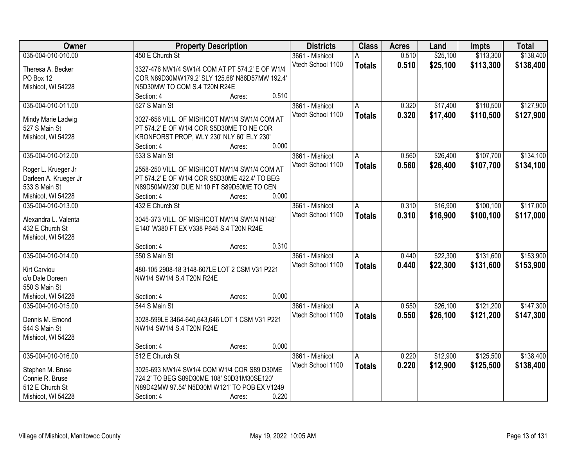| <b>Owner</b>          | <b>Property Description</b>                     | <b>Districts</b>  | <b>Class</b>   | <b>Acres</b> | Land     | <b>Impts</b> | <b>Total</b> |
|-----------------------|-------------------------------------------------|-------------------|----------------|--------------|----------|--------------|--------------|
| 035-004-010-010.00    | 450 E Church St                                 | 3661 - Mishicot   |                | 0.510        | \$25,100 | \$113,300    | \$138,400    |
| Theresa A. Becker     | 3327-476 NW1/4 SW1/4 COM AT PT 574.2' E OF W1/4 | Vtech School 1100 | <b>Totals</b>  | 0.510        | \$25,100 | \$113,300    | \$138,400    |
| PO Box 12             | COR N89D30MW179.2' SLY 125.68' N86D57MW 192.4'  |                   |                |              |          |              |              |
| Mishicot, WI 54228    | N5D30MW TO COM S.4 T20N R24E                    |                   |                |              |          |              |              |
|                       | 0.510<br>Section: 4<br>Acres:                   |                   |                |              |          |              |              |
| 035-004-010-011.00    | 527 S Main St                                   | 3661 - Mishicot   | A              | 0.320        | \$17,400 | \$110,500    | \$127,900    |
|                       |                                                 | Vtech School 1100 | <b>Totals</b>  | 0.320        | \$17,400 | \$110,500    | \$127,900    |
| Mindy Marie Ladwig    | 3027-656 VILL. OF MISHICOT NW1/4 SW1/4 COM AT   |                   |                |              |          |              |              |
| 527 S Main St         | PT 574.2' E OF W1/4 COR S5D30ME TO NE COR       |                   |                |              |          |              |              |
| Mishicot, WI 54228    | KRONFORST PROP, WLY 230' NLY 60' ELY 230'       |                   |                |              |          |              |              |
|                       | 0.000<br>Section: 4<br>Acres:                   |                   |                |              |          |              |              |
| 035-004-010-012.00    | 533 S Main St                                   | 3661 - Mishicot   | A              | 0.560        | \$26,400 | \$107,700    | \$134,100    |
| Roger L. Krueger Jr   | 2558-250 VILL. OF MISHICOT NW1/4 SW1/4 COM AT   | Vtech School 1100 | <b>Totals</b>  | 0.560        | \$26,400 | \$107,700    | \$134,100    |
| Darleen A. Krueger Jr | PT 574.2' E OF W1/4 COR S5D30ME 422.4' TO BEG   |                   |                |              |          |              |              |
| 533 S Main St         | N89D50MW230' DUE N110 FT S89D50ME TO CEN        |                   |                |              |          |              |              |
| Mishicot, WI 54228    | 0.000<br>Section: 4<br>Acres:                   |                   |                |              |          |              |              |
| 035-004-010-013.00    | 432 E Church St                                 | 3661 - Mishicot   | $\overline{A}$ | 0.310        | \$16,900 | \$100,100    | \$117,000    |
|                       |                                                 | Vtech School 1100 |                | 0.310        | \$16,900 | \$100,100    | \$117,000    |
| Alexandra L. Valenta  | 3045-373 VILL. OF MISHICOT NW1/4 SW1/4 N148'    |                   | <b>Totals</b>  |              |          |              |              |
| 432 E Church St       | E140' W380 FT EX V338 P645 S.4 T20N R24E        |                   |                |              |          |              |              |
| Mishicot, WI 54228    |                                                 |                   |                |              |          |              |              |
|                       | 0.310<br>Section: 4<br>Acres:                   |                   |                |              |          |              |              |
| 035-004-010-014.00    | 550 S Main St                                   | 3661 - Mishicot   | A              | 0.440        | \$22,300 | \$131,600    | \$153,900    |
| Kirt Carviou          | 480-105 2908-18 3148-607LE LOT 2 CSM V31 P221   | Vtech School 1100 | <b>Totals</b>  | 0.440        | \$22,300 | \$131,600    | \$153,900    |
| c/o Dale Doreen       | NW1/4 SW1/4 S.4 T20N R24E                       |                   |                |              |          |              |              |
| 550 S Main St         |                                                 |                   |                |              |          |              |              |
| Mishicot, WI 54228    | 0.000<br>Section: 4<br>Acres:                   |                   |                |              |          |              |              |
| 035-004-010-015.00    | 544 S Main St                                   | 3661 - Mishicot   | A.             | 0.550        | \$26,100 | \$121,200    | \$147,300    |
|                       |                                                 | Vtech School 1100 |                | 0.550        | \$26,100 | \$121,200    | \$147,300    |
| Dennis M. Emond       | 3028-599LE 3464-640,643,646 LOT 1 CSM V31 P221  |                   | <b>Totals</b>  |              |          |              |              |
| 544 S Main St         | NW1/4 SW1/4 S.4 T20N R24E                       |                   |                |              |          |              |              |
| Mishicot, WI 54228    |                                                 |                   |                |              |          |              |              |
|                       | 0.000<br>Section: 4<br>Acres:                   |                   |                |              |          |              |              |
| 035-004-010-016.00    | 512 E Church St                                 | 3661 - Mishicot   | A              | 0.220        | \$12,900 | \$125,500    | \$138,400    |
| Stephen M. Bruse      | 3025-693 NW1/4 SW1/4 COM W1/4 COR S89 D30ME     | Vtech School 1100 | <b>Totals</b>  | 0.220        | \$12,900 | \$125,500    | \$138,400    |
| Connie R. Bruse       | 724.2' TO BEG S89D30ME 108' S0D31M30SE120'      |                   |                |              |          |              |              |
| 512 E Church St       | N89D42MW 97.54' N5D30M W121' TO POB EX V1249    |                   |                |              |          |              |              |
|                       |                                                 |                   |                |              |          |              |              |
| Mishicot, WI 54228    | 0.220<br>Section: 4<br>Acres:                   |                   |                |              |          |              |              |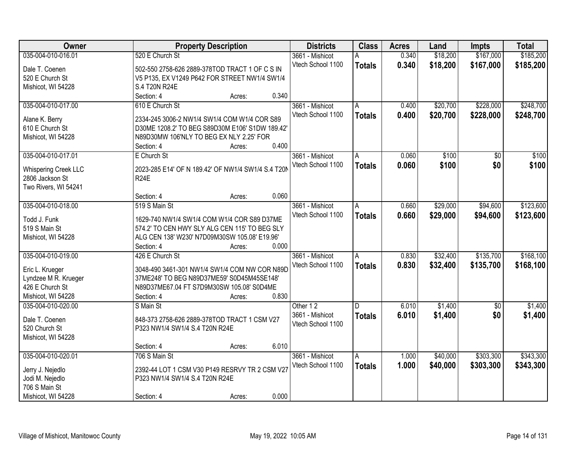| Owner                       | <b>Property Description</b>                                 |                 | <b>Districts</b>  | <b>Class</b>  | <b>Acres</b> | Land     | <b>Impts</b>    | <b>Total</b> |
|-----------------------------|-------------------------------------------------------------|-----------------|-------------------|---------------|--------------|----------|-----------------|--------------|
| 035-004-010-016.01          | 520 E Church St                                             |                 | 3661 - Mishicot   | А             | 0.340        | \$18,200 | \$167,000       | \$185,200    |
| Dale T. Coenen              | 502-550 2758-626 2889-378TOD TRACT 1 OF C S IN              |                 | Vtech School 1100 | <b>Totals</b> | 0.340        | \$18,200 | \$167,000       | \$185,200    |
| 520 E Church St             | V5 P135, EX V1249 P642 FOR STREET NW1/4 SW1/4               |                 |                   |               |              |          |                 |              |
| Mishicot, WI 54228          | S.4 T20N R24E                                               |                 |                   |               |              |          |                 |              |
|                             | Section: 4                                                  | 0.340<br>Acres: |                   |               |              |          |                 |              |
| 035-004-010-017.00          | 610 E Church St                                             |                 | 3661 - Mishicot   | A             | 0.400        | \$20,700 | \$228,000       | \$248,700    |
|                             |                                                             |                 | Vtech School 1100 | <b>Totals</b> | 0.400        | \$20,700 | \$228,000       | \$248,700    |
| Alane K. Berry              | 2334-245 3006-2 NW1/4 SW1/4 COM W1/4 COR S89                |                 |                   |               |              |          |                 |              |
| 610 E Church St             | D30ME 1208.2' TO BEG S89D30M E106' S1DW 189.42'             |                 |                   |               |              |          |                 |              |
| Mishicot, WI 54228          | N89D30MW 106'NLY TO BEG EX NLY 2.25' FOR                    |                 |                   |               |              |          |                 |              |
|                             | Section: 4                                                  | 0.400<br>Acres: |                   |               |              |          |                 |              |
| 035-004-010-017.01          | E Church St                                                 |                 | 3661 - Mishicot   | A             | 0.060        | \$100    | \$0             | \$100        |
| <b>Whispering Creek LLC</b> | 2023-285 E14' OF N 189.42' OF NW1/4 SW1/4 S.4 T20N          |                 | Vtech School 1100 | <b>Totals</b> | 0.060        | \$100    | \$0             | \$100        |
| 2806 Jackson St             | <b>R24E</b>                                                 |                 |                   |               |              |          |                 |              |
| Two Rivers, WI 54241        |                                                             |                 |                   |               |              |          |                 |              |
|                             | Section: 4                                                  | 0.060<br>Acres: |                   |               |              |          |                 |              |
| 035-004-010-018.00          | 519 S Main St                                               |                 | 3661 - Mishicot   | A             | 0.660        | \$29,000 | \$94,600        | \$123,600    |
|                             |                                                             |                 | Vtech School 1100 | <b>Totals</b> | 0.660        | \$29,000 | \$94,600        | \$123,600    |
| Todd J. Funk                | 1629-740 NW1/4 SW1/4 COM W1/4 COR S89 D37ME                 |                 |                   |               |              |          |                 |              |
| 519 S Main St               | 574.2' TO CEN HWY SLY ALG CEN 115' TO BEG SLY               |                 |                   |               |              |          |                 |              |
| Mishicot, WI 54228          | ALG CEN 138' W230' N7D09M30SW 105.08' E19.96'<br>Section: 4 | 0.000           |                   |               |              |          |                 |              |
|                             |                                                             | Acres:          |                   |               |              |          |                 |              |
| 035-004-010-019.00          | 426 E Church St                                             |                 | 3661 - Mishicot   | A             | 0.830        | \$32,400 | \$135,700       | \$168,100    |
| Eric L. Krueger             | 3048-490 3461-301 NW1/4 SW1/4 COM NW COR N89D               |                 | Vtech School 1100 | <b>Totals</b> | 0.830        | \$32,400 | \$135,700       | \$168,100    |
| Lyndzee M R. Krueger        | 37ME248' TO BEG N89D37ME59' S0D45M45SE148'                  |                 |                   |               |              |          |                 |              |
| 426 E Church St             | N89D37ME67.04 FT S7D9M30SW 105.08' S0D4ME                   |                 |                   |               |              |          |                 |              |
| Mishicot, WI 54228          | Section: 4                                                  | 0.830<br>Acres: |                   |               |              |          |                 |              |
| 035-004-010-020.00          | S Main St                                                   |                 | Other 12          | D.            | 6.010        | \$1,400  | $\overline{50}$ | \$1,400      |
|                             |                                                             |                 | 3661 - Mishicot   | <b>Totals</b> | 6.010        | \$1,400  | \$0             | \$1,400      |
| Dale T. Coenen              | 848-373 2758-626 2889-378TOD TRACT 1 CSM V27                |                 | Vtech School 1100 |               |              |          |                 |              |
| 520 Church St               | P323 NW1/4 SW1/4 S.4 T20N R24E                              |                 |                   |               |              |          |                 |              |
| Mishicot, WI 54228          |                                                             |                 |                   |               |              |          |                 |              |
|                             | Section: 4                                                  | 6.010<br>Acres: |                   |               |              |          |                 |              |
| 035-004-010-020.01          | 706 S Main St                                               |                 | 3661 - Mishicot   | A             | 1.000        | \$40,000 | \$303,300       | \$343,300    |
| Jerry J. Nejedlo            | 2392-44 LOT 1 CSM V30 P149 RESRVY TR 2 CSM V27              |                 | Vtech School 1100 | <b>Totals</b> | 1.000        | \$40,000 | \$303,300       | \$343,300    |
| Jodi M. Nejedlo             | P323 NW1/4 SW1/4 S.4 T20N R24E                              |                 |                   |               |              |          |                 |              |
| 706 S Main St               |                                                             |                 |                   |               |              |          |                 |              |
| Mishicot, WI 54228          | Section: 4                                                  | 0.000<br>Acres: |                   |               |              |          |                 |              |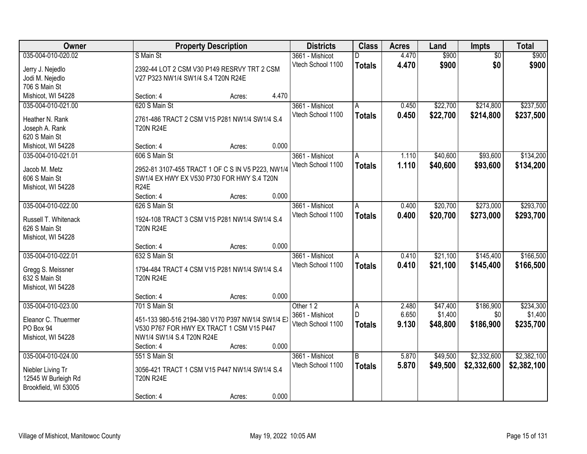| Owner                           | <b>Property Description</b>                                            | <b>Districts</b>  | <b>Class</b>  | <b>Acres</b> | Land     | <b>Impts</b>    | <b>Total</b> |
|---------------------------------|------------------------------------------------------------------------|-------------------|---------------|--------------|----------|-----------------|--------------|
| 035-004-010-020.02              | S Main St                                                              | 3661 - Mishicot   |               | 4.470        | \$900    | $\overline{50}$ | \$900        |
| Jerry J. Nejedlo                | 2392-44 LOT 2 CSM V30 P149 RESRVY TRT 2 CSM                            | Vtech School 1100 | <b>Totals</b> | 4.470        | \$900    | \$0             | \$900        |
| Jodi M. Nejedlo                 | V27 P323 NW1/4 SW1/4 S.4 T20N R24E                                     |                   |               |              |          |                 |              |
| 706 S Main St                   |                                                                        |                   |               |              |          |                 |              |
| Mishicot, WI 54228              | Section: 4<br>Acres:                                                   | 4.470             |               |              |          |                 |              |
| 035-004-010-021.00              | 620 S Main St                                                          | 3661 - Mishicot   | A             | 0.450        | \$22,700 | \$214,800       | \$237,500    |
| Heather N. Rank                 | 2761-486 TRACT 2 CSM V15 P281 NW1/4 SW1/4 S.4                          | Vtech School 1100 | <b>Totals</b> | 0.450        | \$22,700 | \$214,800       | \$237,500    |
| Joseph A. Rank                  | <b>T20N R24E</b>                                                       |                   |               |              |          |                 |              |
| 620 S Main St                   |                                                                        |                   |               |              |          |                 |              |
| Mishicot, WI 54228              | Section: 4<br>Acres:                                                   | 0.000             |               |              |          |                 |              |
| 035-004-010-021.01              | 606 S Main St                                                          | 3661 - Mishicot   | A             | 1.110        | \$40,600 | \$93,600        | \$134,200    |
|                                 |                                                                        | Vtech School 1100 | <b>Totals</b> | 1.110        | \$40,600 | \$93,600        | \$134,200    |
| Jacob M. Metz                   | 2952-81 3107-455 TRACT 1 OF C S IN V5 P223, NW1/4                      |                   |               |              |          |                 |              |
| 606 S Main St                   | SW1/4 EX HWY EX V530 P730 FOR HWY S.4 T20N                             |                   |               |              |          |                 |              |
| Mishicot, WI 54228              | <b>R24E</b>                                                            |                   |               |              |          |                 |              |
|                                 | Section: 4<br>Acres:                                                   | 0.000             |               |              |          |                 |              |
| 035-004-010-022.00              | 626 S Main St                                                          | 3661 - Mishicot   | A             | 0.400        | \$20,700 | \$273,000       | \$293,700    |
| Russell T. Whitenack            | 1924-108 TRACT 3 CSM V15 P281 NW1/4 SW1/4 S.4                          | Vtech School 1100 | <b>Totals</b> | 0.400        | \$20,700 | \$273,000       | \$293,700    |
| 626 S Main St                   | <b>T20N R24E</b>                                                       |                   |               |              |          |                 |              |
| Mishicot, WI 54228              |                                                                        |                   |               |              |          |                 |              |
|                                 | Section: 4<br>Acres:                                                   | 0.000             |               |              |          |                 |              |
| 035-004-010-022.01              | 632 S Main St                                                          | 3661 - Mishicot   | Α             | 0.410        | \$21,100 | \$145,400       | \$166,500    |
| Gregg S. Meissner               | 1794-484 TRACT 4 CSM V15 P281 NW1/4 SW1/4 S.4                          | Vtech School 1100 | <b>Totals</b> | 0.410        | \$21,100 | \$145,400       | \$166,500    |
| 632 S Main St                   | <b>T20N R24E</b>                                                       |                   |               |              |          |                 |              |
| Mishicot, WI 54228              |                                                                        |                   |               |              |          |                 |              |
|                                 | Section: 4<br>Acres:                                                   | 0.000             |               |              |          |                 |              |
| 035-004-010-023.00              | 701 S Main St                                                          | Other 12          | A             | 2.480        | \$47,400 | \$186,900       | \$234,300    |
|                                 |                                                                        | 3661 - Mishicot   | D             | 6.650        | \$1,400  | \$0             | \$1,400      |
| Eleanor C. Thuermer             | 451-133 980-516 2194-380 V170 P397 NW1/4 SW1/4 EX                      | Vtech School 1100 | <b>Totals</b> | 9.130        | \$48,800 | \$186,900       | \$235,700    |
| PO Box 94<br>Mishicot, WI 54228 | V530 P767 FOR HWY EX TRACT 1 CSM V15 P447<br>NW1/4 SW1/4 S.4 T20N R24E |                   |               |              |          |                 |              |
|                                 | Section: 4<br>Acres:                                                   | 0.000             |               |              |          |                 |              |
| 035-004-010-024.00              | 551 S Main St                                                          | 3661 - Mishicot   | B             | 5.870        | \$49,500 | \$2,332,600     | \$2,382,100  |
|                                 |                                                                        | Vtech School 1100 | <b>Totals</b> | 5.870        | \$49,500 | \$2,332,600     | \$2,382,100  |
| Niebler Living Tr               | 3056-421 TRACT 1 CSM V15 P447 NW1/4 SW1/4 S.4                          |                   |               |              |          |                 |              |
| 12545 W Burleigh Rd             | <b>T20N R24E</b>                                                       |                   |               |              |          |                 |              |
| Brookfield, WI 53005            |                                                                        |                   |               |              |          |                 |              |
|                                 | Section: 4<br>Acres:                                                   | 0.000             |               |              |          |                 |              |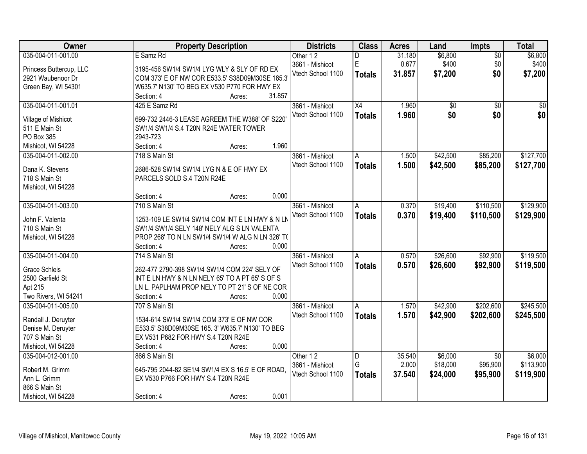| Owner                   | <b>Property Description</b>                       | <b>Districts</b>  | <b>Class</b>  | <b>Acres</b> | Land     | Impts           | <b>Total</b>    |
|-------------------------|---------------------------------------------------|-------------------|---------------|--------------|----------|-----------------|-----------------|
| 035-004-011-001.00      | E Samz Rd                                         | Other 12          |               | 31.180       | \$6,800  | $\overline{60}$ | \$6,800         |
| Princess Buttercup, LLC | 3195-456 SW1/4 SW1/4 LYG WLY & SLY OF RD EX       | 3661 - Mishicot   | E             | 0.677        | \$400    | \$0             | \$400           |
| 2921 Waubenoor Dr       | COM 373' E OF NW COR E533.5' S38D09M30SE 165.3    | Vtech School 1100 | <b>Totals</b> | 31.857       | \$7,200  | \$0             | \$7,200         |
| Green Bay, WI 54301     | W635.7' N130' TO BEG EX V530 P770 FOR HWY EX      |                   |               |              |          |                 |                 |
|                         | 31.857<br>Section: 4<br>Acres:                    |                   |               |              |          |                 |                 |
| 035-004-011-001.01      | 425 E Samz Rd                                     | 3661 - Mishicot   | X4            | 1.960        | \$0      | $\overline{50}$ | $\overline{50}$ |
|                         |                                                   | Vtech School 1100 | <b>Totals</b> | 1.960        | \$0      | \$0             | \$0             |
| Village of Mishicot     | 699-732 2446-3 LEASE AGREEM THE W388' OF S220'    |                   |               |              |          |                 |                 |
| 511 E Main St           | SW1/4 SW1/4 S.4 T20N R24E WATER TOWER             |                   |               |              |          |                 |                 |
| PO Box 385              | 2943-723<br>1.960                                 |                   |               |              |          |                 |                 |
| Mishicot, WI 54228      | Section: 4<br>Acres:                              |                   |               |              |          |                 |                 |
| 035-004-011-002.00      | 718 S Main St                                     | 3661 - Mishicot   | A             | 1.500        | \$42,500 | \$85,200        | \$127,700       |
| Dana K. Stevens         | 2686-528 SW1/4 SW1/4 LYG N & E OF HWY EX          | Vtech School 1100 | <b>Totals</b> | 1.500        | \$42,500 | \$85,200        | \$127,700       |
| 718 S Main St           | PARCELS SOLD S.4 T20N R24E                        |                   |               |              |          |                 |                 |
| Mishicot, WI 54228      |                                                   |                   |               |              |          |                 |                 |
|                         | 0.000<br>Section: 4<br>Acres:                     |                   |               |              |          |                 |                 |
| 035-004-011-003.00      | 710 S Main St                                     | 3661 - Mishicot   | A             | 0.370        | \$19,400 | \$110,500       | \$129,900       |
|                         |                                                   | Vtech School 1100 | <b>Totals</b> | 0.370        | \$19,400 | \$110,500       | \$129,900       |
| John F. Valenta         | 1253-109 LE SW1/4 SW1/4 COM INT E LN HWY & N LN   |                   |               |              |          |                 |                 |
| 710 S Main St           | SW1/4 SW1/4 SELY 148' NELY ALG S LN VALENTA       |                   |               |              |          |                 |                 |
| Mishicot, WI 54228      | PROP 268' TO N LN SW1/4 SW1/4 W ALG N LN 326' TO  |                   |               |              |          |                 |                 |
|                         | 0.000<br>Section: 4<br>Acres:                     |                   |               |              |          |                 |                 |
| 035-004-011-004.00      | 714 S Main St                                     | 3661 - Mishicot   | A             | 0.570        | \$26,600 | \$92,900        | \$119,500       |
| <b>Grace Schleis</b>    | 262-477 2790-398 SW1/4 SW1/4 COM 224' SELY OF     | Vtech School 1100 | <b>Totals</b> | 0.570        | \$26,600 | \$92,900        | \$119,500       |
| 2500 Garfield St        | INT E LN HWY & N LN NELY 65' TO A PT 65' S OF S   |                   |               |              |          |                 |                 |
| Apt 215                 | LN L. PAPLHAM PROP NELY TO PT 21'S OF NE COR      |                   |               |              |          |                 |                 |
| Two Rivers, WI 54241    | 0.000<br>Section: 4<br>Acres:                     |                   |               |              |          |                 |                 |
|                         | 707 S Main St                                     |                   |               |              |          |                 |                 |
| 035-004-011-005.00      |                                                   | 3661 - Mishicot   | A             | 1.570        | \$42,900 | \$202,600       | \$245,500       |
| Randall J. Deruyter     | 1534-614 SW1/4 SW1/4 COM 373' E OF NW COR         | Vtech School 1100 | <b>Totals</b> | 1.570        | \$42,900 | \$202,600       | \$245,500       |
| Denise M. Deruyter      | E533.5' S38D09M30SE 165. 3' W635.7' N130' TO BEG  |                   |               |              |          |                 |                 |
| 707 S Main St           | EX V531 P682 FOR HWY S.4 T20N R24E                |                   |               |              |          |                 |                 |
| Mishicot, WI 54228      | 0.000<br>Section: 4<br>Acres:                     |                   |               |              |          |                 |                 |
| 035-004-012-001.00      | 866 S Main St                                     | Other 12          | D             | 35.540       | \$6,000  | $\overline{50}$ | \$6,000         |
| Robert M. Grimm         | 645-795 2044-82 SE1/4 SW1/4 EX S 16.5' E OF ROAD, | 3661 - Mishicot   | G             | 2.000        | \$18,000 | \$95,900        | \$113,900       |
| Ann L. Grimm            | EX V530 P766 FOR HWY S.4 T20N R24E                | Vtech School 1100 | <b>Totals</b> | 37.540       | \$24,000 | \$95,900        | \$119,900       |
| 866 S Main St           |                                                   |                   |               |              |          |                 |                 |
|                         | 0.001                                             |                   |               |              |          |                 |                 |
| Mishicot, WI 54228      | Section: 4<br>Acres:                              |                   |               |              |          |                 |                 |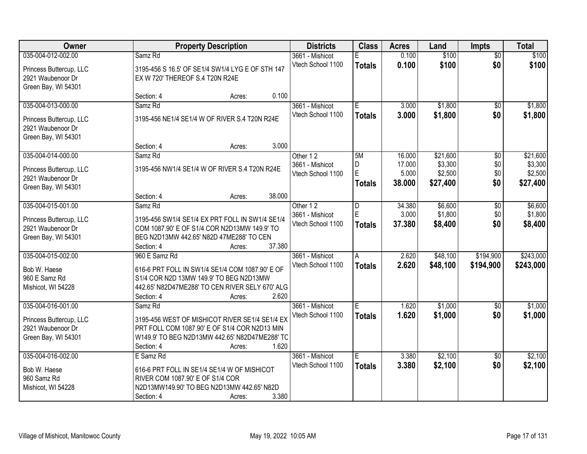| Owner                                        | <b>Property Description</b>                                                                     |        | <b>Districts</b>  | <b>Class</b>   | <b>Acres</b> | Land     | <b>Impts</b>           | <b>Total</b> |
|----------------------------------------------|-------------------------------------------------------------------------------------------------|--------|-------------------|----------------|--------------|----------|------------------------|--------------|
| 035-004-012-002.00                           | Samz <sub>Rd</sub>                                                                              |        | 3661 - Mishicot   |                | 0.100        | \$100    | $\overline{50}$        | \$100        |
| Princess Buttercup, LLC                      | 3195-456 S 16.5' OF SE1/4 SW1/4 LYG E OF STH 147                                                |        | Vtech School 1100 | <b>Totals</b>  | 0.100        | \$100    | \$0                    | \$100        |
| 2921 Waubenoor Dr                            | EX W 720' THEREOF S.4 T20N R24E                                                                 |        |                   |                |              |          |                        |              |
| Green Bay, WI 54301                          |                                                                                                 |        |                   |                |              |          |                        |              |
|                                              | Section: 4<br>Acres:                                                                            | 0.100  |                   |                |              |          |                        |              |
| 035-004-013-000.00                           | Samz <sub>Rd</sub>                                                                              |        | 3661 - Mishicot   | Έ              | 3.000        | \$1,800  | $\overline{50}$        | \$1,800      |
| Princess Buttercup, LLC                      | 3195-456 NE1/4 SE1/4 W OF RIVER S.4 T20N R24E                                                   |        | Vtech School 1100 | <b>Totals</b>  | 3.000        | \$1,800  | \$0                    | \$1,800      |
| 2921 Waubenoor Dr                            |                                                                                                 |        |                   |                |              |          |                        |              |
| Green Bay, WI 54301                          |                                                                                                 |        |                   |                |              |          |                        |              |
|                                              | Section: 4<br>Acres:                                                                            | 3.000  |                   |                |              |          |                        |              |
| 035-004-014-000.00                           | Samz Rd                                                                                         |        | Other 12          | 5M             | 16.000       | \$21,600 | \$0                    | \$21,600     |
| Princess Buttercup, LLC                      | 3195-456 NW1/4 SE1/4 W OF RIVER S.4 T20N R24E                                                   |        | 3661 - Mishicot   | D              | 17.000       | \$3,300  | \$0                    | \$3,300      |
| 2921 Waubenoor Dr                            |                                                                                                 |        | Vtech School 1100 | $\overline{E}$ | 5.000        | \$2,500  | \$0                    | \$2,500      |
| Green Bay, WI 54301                          |                                                                                                 |        |                   | <b>Totals</b>  | 38,000       | \$27,400 | \$0                    | \$27,400     |
|                                              | Section: 4<br>Acres:                                                                            | 38.000 |                   |                |              |          |                        |              |
| 035-004-015-001.00                           | Samz Rd                                                                                         |        | Other 12          | D              | 34.380       | \$6,600  | \$0                    | \$6,600      |
|                                              |                                                                                                 |        | 3661 - Mishicot   | $\mathsf E$    | 3.000        | \$1,800  | \$0                    | \$1,800      |
| Princess Buttercup, LLC<br>2921 Waubenoor Dr | 3195-456 SW1/4 SE1/4 EX PRT FOLL IN SW1/4 SE1/4<br>COM 1087.90' E OF S1/4 COR N2D13MW 149.9' TO |        | Vtech School 1100 | <b>Totals</b>  | 37.380       | \$8,400  | \$0                    | \$8,400      |
| Green Bay, WI 54301                          | BEG N2D13MW 442.65' N82D 47ME288' TO CEN                                                        |        |                   |                |              |          |                        |              |
|                                              | Section: 4<br>Acres:                                                                            | 37.380 |                   |                |              |          |                        |              |
| 035-004-015-002.00                           | 960 E Samz Rd                                                                                   |        | 3661 - Mishicot   | A              | 2.620        | \$48,100 | \$194,900              | \$243,000    |
|                                              |                                                                                                 |        | Vtech School 1100 | <b>Totals</b>  | 2.620        | \$48,100 | \$194,900              | \$243,000    |
| Bob W. Haese                                 | 616-6 PRT FOLL IN SW1/4 SE1/4 COM 1087.90' E OF                                                 |        |                   |                |              |          |                        |              |
| 960 E Samz Rd                                | S1/4 COR N2D 13MW 149.9' TO BEG N2D13MW                                                         |        |                   |                |              |          |                        |              |
| Mishicot, WI 54228                           | 442.65' N82D47ME288' TO CEN RIVER SELY 670' ALG                                                 |        |                   |                |              |          |                        |              |
| 035-004-016-001.00                           | Section: 4<br>Acres:<br>Samz <sub>Rd</sub>                                                      | 2.620  | 3661 - Mishicot   |                | 1.620        | \$1,000  |                        | \$1,000      |
|                                              |                                                                                                 |        | Vtech School 1100 | Е              | 1.620        |          | $\overline{60}$<br>\$0 |              |
| Princess Buttercup, LLC                      | 3195-456 WEST OF MISHICOT RIVER SE1/4 SE1/4 EX                                                  |        |                   | <b>Totals</b>  |              | \$1,000  |                        | \$1,000      |
| 2921 Waubenoor Dr                            | PRT FOLL COM 1087.90' E OF S1/4 COR N2D13 MIN                                                   |        |                   |                |              |          |                        |              |
| Green Bay, WI 54301                          | W149.9' TO BEG N2D13MW 442.65' N82D47ME288' TC                                                  |        |                   |                |              |          |                        |              |
|                                              | Section: 4<br>Acres:                                                                            | 1.620  |                   |                |              |          |                        |              |
| 035-004-016-002.00                           | E Samz Rd                                                                                       |        | 3661 - Mishicot   | E              | 3.380        | \$2,100  | $\overline{50}$        | \$2,100      |
| Bob W. Haese                                 | 616-6 PRT FOLL IN SE1/4 SE1/4 W OF MISHICOT                                                     |        | Vtech School 1100 | <b>Totals</b>  | 3.380        | \$2,100  | \$0                    | \$2,100      |
| 960 Samz Rd                                  | RIVER COM 1087.90' E OF S1/4 COR                                                                |        |                   |                |              |          |                        |              |
| Mishicot, WI 54228                           | N2D13MW149.90' TO BEG N2D13MW 442.65' N82D                                                      |        |                   |                |              |          |                        |              |
|                                              | Section: 4<br>Acres:                                                                            | 3.380  |                   |                |              |          |                        |              |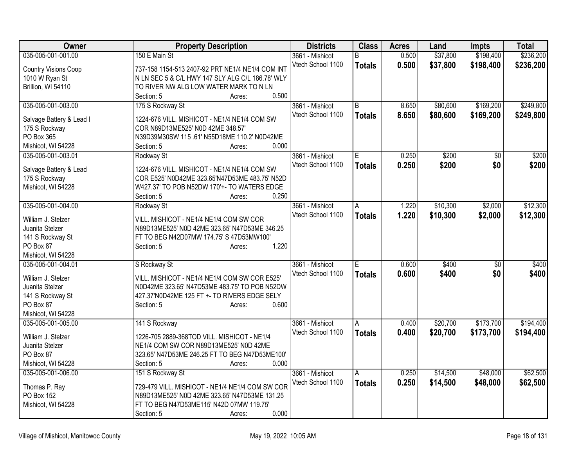| <b>Owner</b>                | <b>Property Description</b>                      | <b>Districts</b>  | <b>Class</b>   | <b>Acres</b> | Land     | <b>Impts</b>    | <b>Total</b> |
|-----------------------------|--------------------------------------------------|-------------------|----------------|--------------|----------|-----------------|--------------|
| 035-005-001-001.00          | 150 E Main St                                    | 3661 - Mishicot   | B              | 0.500        | \$37,800 | \$198,400       | \$236,200    |
| <b>Country Visions Coop</b> | 737-158 1154-513 2407-92 PRT NE1/4 NE1/4 COM INT | Vtech School 1100 | <b>Totals</b>  | 0.500        | \$37,800 | \$198,400       | \$236,200    |
| 1010 W Ryan St              | N LN SEC 5 & C/L HWY 147 SLY ALG C/L 186.78' WLY |                   |                |              |          |                 |              |
| Brillion, WI 54110          | TO RIVER NW ALG LOW WATER MARK TO N LN           |                   |                |              |          |                 |              |
|                             | 0.500<br>Section: 5<br>Acres:                    |                   |                |              |          |                 |              |
| 035-005-001-003.00          | 175 S Rockway St                                 | 3661 - Mishicot   | $\overline{B}$ | 8.650        | \$80,600 | \$169,200       | \$249,800    |
|                             | 1224-676 VILL. MISHICOT - NE1/4 NE1/4 COM SW     | Vtech School 1100 | <b>Totals</b>  | 8.650        | \$80,600 | \$169,200       | \$249,800    |
| Salvage Battery & Lead I    | COR N89D13ME525' N0D 42ME 348.57'                |                   |                |              |          |                 |              |
| 175 S Rockway<br>PO Box 365 | N39D39M30SW 115 .61' N55D18ME 110.2' N0D42ME     |                   |                |              |          |                 |              |
|                             | 0.000<br>Section: 5<br>Acres:                    |                   |                |              |          |                 |              |
| Mishicot, WI 54228          |                                                  |                   |                |              |          |                 |              |
| 035-005-001-003.01          | Rockway St                                       | 3661 - Mishicot   | E              | 0.250        | \$200    | $\overline{50}$ | \$200        |
| Salvage Battery & Lead      | 1224-676 VILL. MISHICOT - NE1/4 NE1/4 COM SW     | Vtech School 1100 | <b>Totals</b>  | 0.250        | \$200    | \$0             | \$200        |
| 175 S Rockway               | COR E525' N0D42ME 323.65'N47D53ME 483.75' N52D   |                   |                |              |          |                 |              |
| Mishicot, WI 54228          | W427.37' TO POB N52DW 170'+- TO WATERS EDGE      |                   |                |              |          |                 |              |
|                             | 0.250<br>Section: 5<br>Acres:                    |                   |                |              |          |                 |              |
| 035-005-001-004.00          | Rockway St                                       | 3661 - Mishicot   | A              | 1.220        | \$10,300 | \$2,000         | \$12,300     |
|                             |                                                  | Vtech School 1100 | <b>Totals</b>  | 1.220        | \$10,300 | \$2,000         | \$12,300     |
| William J. Stelzer          | VILL. MISHICOT - NE1/4 NE1/4 COM SW COR          |                   |                |              |          |                 |              |
| Juanita Stelzer             | N89D13ME525' N0D 42ME 323.65' N47D53ME 346.25    |                   |                |              |          |                 |              |
| 141 S Rockway St            | FT TO BEG N42D07MW 174.75' S 47D53MW100'         |                   |                |              |          |                 |              |
| PO Box 87                   | 1.220<br>Section: 5<br>Acres:                    |                   |                |              |          |                 |              |
| Mishicot, WI 54228          |                                                  |                   |                |              |          |                 |              |
| 035-005-001-004.01          | S Rockway St                                     | 3661 - Mishicot   | E              | 0.600        | \$400    | $\overline{50}$ | \$400        |
| William J. Stelzer          | VILL. MISHICOT - NE1/4 NE1/4 COM SW COR E525'    | Vtech School 1100 | <b>Totals</b>  | 0.600        | \$400    | \$0             | \$400        |
| Juanita Stelzer             | N0D42ME 323.65' N47D53ME 483.75' TO POB N52DW    |                   |                |              |          |                 |              |
| 141 S Rockway St            | 427.37'N0D42ME 125 FT +- TO RIVERS EDGE SELY     |                   |                |              |          |                 |              |
| PO Box 87                   | 0.600<br>Section: 5<br>Acres:                    |                   |                |              |          |                 |              |
| Mishicot, WI 54228          |                                                  |                   |                |              |          |                 |              |
| 035-005-001-005.00          | 141 S Rockway                                    | 3661 - Mishicot   | l A            | 0.400        | \$20,700 | \$173,700       | \$194,400    |
|                             |                                                  | Vtech School 1100 |                | 0.400        | \$20,700 | \$173,700       | \$194,400    |
| William J. Stelzer          | 1226-705 2889-368TOD VILL. MISHICOT - NE1/4      |                   | <b>Totals</b>  |              |          |                 |              |
| Juanita Stelzer             | NE1/4 COM SW COR N89D13ME525' N0D 42ME           |                   |                |              |          |                 |              |
| PO Box 87                   | 323.65' N47D53ME 246.25 FT TO BEG N47D53ME100'   |                   |                |              |          |                 |              |
| Mishicot, WI 54228          | 0.000<br>Section: 5<br>Acres:                    |                   |                |              |          |                 |              |
| 035-005-001-006.00          | 151 S Rockway St                                 | 3661 - Mishicot   | l A            | 0.250        | \$14,500 | \$48,000        | \$62,500     |
|                             |                                                  | Vtech School 1100 | <b>Totals</b>  | 0.250        | \$14,500 | \$48,000        | \$62,500     |
| Thomas P. Ray               | 729-479 VILL. MISHICOT - NE1/4 NE1/4 COM SW COR  |                   |                |              |          |                 |              |
| PO Box 152                  | N89D13ME525' N0D 42ME 323.65' N47D53ME 131.25    |                   |                |              |          |                 |              |
| Mishicot, WI 54228          | FT TO BEG N47D53ME115' N42D 07MW 119.75'         |                   |                |              |          |                 |              |
|                             | 0.000<br>Section: 5<br>Acres:                    |                   |                |              |          |                 |              |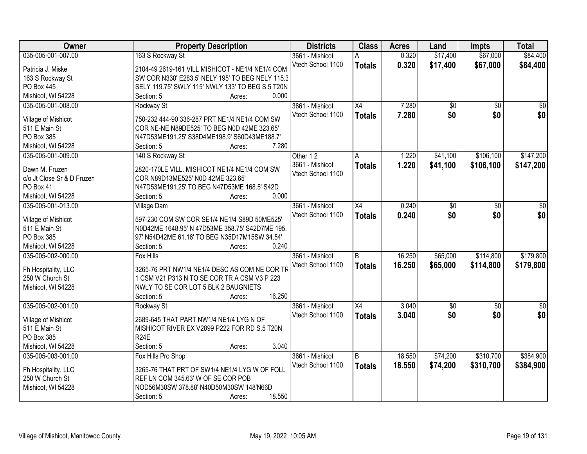| Owner                                    | <b>Property Description</b>                      | <b>Districts</b>  | <b>Class</b>    | <b>Acres</b> | Land            | <b>Impts</b>    | <b>Total</b>    |
|------------------------------------------|--------------------------------------------------|-------------------|-----------------|--------------|-----------------|-----------------|-----------------|
| 035-005-001-007.00                       | 163 S Rockway St                                 | 3661 - Mishicot   | A               | 0.320        | \$17,400        | \$67,000        | \$84,400        |
| Patricia J. Miske                        | 2104-49 2619-161 VILL MISHICOT - NE1/4 NE1/4 COM | Vtech School 1100 | <b>Totals</b>   | 0.320        | \$17,400        | \$67,000        | \$84,400        |
| 163 S Rockway St                         | SW COR N330' E283.5' NELY 195' TO BEG NELY 115.3 |                   |                 |              |                 |                 |                 |
| PO Box 445                               | SELY 119.75' SWLY 115' NWLY 133' TO BEG S.5 T20N |                   |                 |              |                 |                 |                 |
| Mishicot, WI 54228                       | 0.000<br>Section: 5<br>Acres:                    |                   |                 |              |                 |                 |                 |
| 035-005-001-008.00                       | Rockway St                                       | 3661 - Mishicot   | $\overline{X4}$ | 7.280        | $\overline{50}$ | $\overline{50}$ | $\overline{50}$ |
|                                          |                                                  | Vtech School 1100 |                 | 7.280        | \$0             | \$0             | \$0             |
| Village of Mishicot                      | 750-232 444-90 336-287 PRT NE1/4 NE1/4 COM SW    |                   | <b>Totals</b>   |              |                 |                 |                 |
| 511 E Main St                            | COR NE-NE N89DE525' TO BEG N0D 42ME 323.65'      |                   |                 |              |                 |                 |                 |
| PO Box 385                               | N47D53ME191.25' S38D4ME198.9' S60D43ME188.7'     |                   |                 |              |                 |                 |                 |
| Mishicot, WI 54228                       | 7.280<br>Section: 5<br>Acres:                    |                   |                 |              |                 |                 |                 |
| 035-005-001-009.00                       | 140 S Rockway St                                 | Other 12          | Α               | 1.220        | \$41,100        | \$106,100       | \$147,200       |
| Dawn M. Fruzen                           | 2820-170LE VILL. MISHICOT NE1/4 NE1/4 COM SW     | 3661 - Mishicot   | <b>Totals</b>   | 1.220        | \$41,100        | \$106,100       | \$147,200       |
| c/o Jt Close Sr & D Fruzen               | COR N89D13ME525' N0D 42ME 323.65'                | Vtech School 1100 |                 |              |                 |                 |                 |
| PO Box 41                                | N47D53ME191.25' TO BEG N47D53ME 168.5' S42D      |                   |                 |              |                 |                 |                 |
|                                          | 0.000<br>Section: 5                              |                   |                 |              |                 |                 |                 |
| Mishicot, WI 54228<br>035-005-001-013.00 | Acres:                                           |                   |                 |              |                 |                 |                 |
|                                          | <b>Village Dam</b>                               | 3661 - Mishicot   | X4              | 0.240        | \$0             | \$0             | \$0             |
| Village of Mishicot                      | 597-230 COM SW COR SE1/4 NE1/4 S89D 50ME525'     | Vtech School 1100 | <b>Totals</b>   | 0.240        | \$0             | \$0             | \$0             |
| 511 E Main St                            | N0D42ME 1648.95' N 47D53ME 358.75' S42D7ME 195.  |                   |                 |              |                 |                 |                 |
| PO Box 385                               | 97' N54D42ME 61.16' TO BEG N35D17M15SW 34.54'    |                   |                 |              |                 |                 |                 |
| Mishicot, WI 54228                       | 0.240<br>Section: 5<br>Acres:                    |                   |                 |              |                 |                 |                 |
| 035-005-002-000.00                       | <b>Fox Hills</b>                                 | 3661 - Mishicot   | B               | 16.250       | \$65,000        | \$114,800       | \$179,800       |
|                                          |                                                  | Vtech School 1100 | <b>Totals</b>   | 16.250       | \$65,000        | \$114,800       | \$179,800       |
| Fh Hospitality, LLC                      | 3265-76 PRT NW1/4 NE1/4 DESC AS COM NE COR TR    |                   |                 |              |                 |                 |                 |
| 250 W Church St                          | 1 CSM V21 P313 N TO SE COR TR A CSM V3 P 223     |                   |                 |              |                 |                 |                 |
| Mishicot, WI 54228                       | NWLY TO SE COR LOT 5 BLK 2 BAUGNIETS             |                   |                 |              |                 |                 |                 |
|                                          | 16.250<br>Section: 5<br>Acres:                   |                   |                 |              |                 |                 |                 |
| 035-005-002-001.00                       | Rockway St                                       | 3661 - Mishicot   | X4              | 3.040        | $\sqrt{$0}$     | $\overline{50}$ | $\frac{1}{6}$   |
| Village of Mishicot                      | 2689-645 THAT PART NW1/4 NE1/4 LYG N OF          | Vtech School 1100 | <b>Totals</b>   | 3.040        | \$0             | \$0             | \$0             |
| 511 E Main St                            | MISHICOT RIVER EX V2899 P222 FOR RD S.5 T20N     |                   |                 |              |                 |                 |                 |
| PO Box 385                               | <b>R24E</b>                                      |                   |                 |              |                 |                 |                 |
| Mishicot, WI 54228                       | 3.040<br>Section: 5<br>Acres:                    |                   |                 |              |                 |                 |                 |
| 035-005-003-001.00                       | Fox Hills Pro Shop                               | 3661 - Mishicot   | B               | 18.550       | \$74,200        | \$310,700       | \$384,900       |
|                                          |                                                  | Vtech School 1100 | <b>Totals</b>   | 18.550       | \$74,200        | \$310,700       | \$384,900       |
| Fh Hospitality, LLC                      | 3265-76 THAT PRT OF SW1/4 NE1/4 LYG W OF FOLL    |                   |                 |              |                 |                 |                 |
| 250 W Church St                          | REF LN COM 345.63' W OF SE COR POB               |                   |                 |              |                 |                 |                 |
| Mishicot, WI 54228                       | NOD56M30SW 378.88' N40D50M30SW 148'N66D          |                   |                 |              |                 |                 |                 |
|                                          | 18.550<br>Section: 5<br>Acres:                   |                   |                 |              |                 |                 |                 |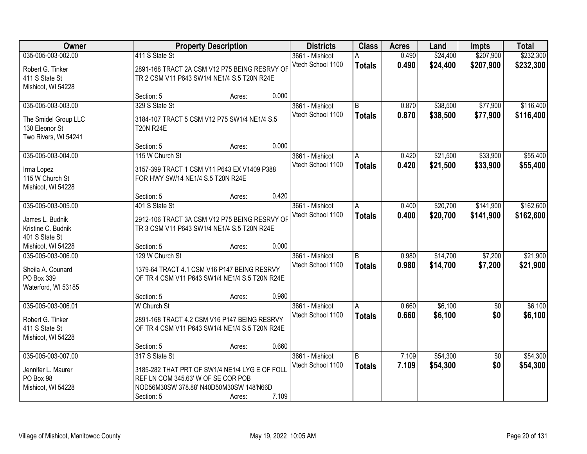| Owner                |                                                | <b>Property Description</b> |       | <b>Districts</b>  | <b>Class</b>   | <b>Acres</b> | Land     | <b>Impts</b>    | <b>Total</b> |
|----------------------|------------------------------------------------|-----------------------------|-------|-------------------|----------------|--------------|----------|-----------------|--------------|
| 035-005-003-002.00   | 411 S State St                                 |                             |       | 3661 - Mishicot   | А              | 0.490        | \$24,400 | \$207,900       | \$232,300    |
| Robert G. Tinker     | 2891-168 TRACT 2A CSM V12 P75 BEING RESRVY OF  |                             |       | Vtech School 1100 | <b>Totals</b>  | 0.490        | \$24,400 | \$207,900       | \$232,300    |
| 411 S State St       | TR 2 CSM V11 P643 SW1/4 NE1/4 S.5 T20N R24E    |                             |       |                   |                |              |          |                 |              |
| Mishicot, WI 54228   |                                                |                             |       |                   |                |              |          |                 |              |
|                      | Section: 5                                     | Acres:                      | 0.000 |                   |                |              |          |                 |              |
| 035-005-003-003.00   | 329 S State St                                 |                             |       | 3661 - Mishicot   | B              | 0.870        | \$38,500 | \$77,900        | \$116,400    |
| The Smidel Group LLC | 3184-107 TRACT 5 CSM V12 P75 SW1/4 NE1/4 S.5   |                             |       | Vtech School 1100 | <b>Totals</b>  | 0.870        | \$38,500 | \$77,900        | \$116,400    |
| 130 Eleonor St       | <b>T20N R24E</b>                               |                             |       |                   |                |              |          |                 |              |
| Two Rivers, WI 54241 |                                                |                             |       |                   |                |              |          |                 |              |
|                      | Section: 5                                     | Acres:                      | 0.000 |                   |                |              |          |                 |              |
| 035-005-003-004.00   | 115 W Church St                                |                             |       | 3661 - Mishicot   | l A            | 0.420        | \$21,500 | \$33,900        | \$55,400     |
| Irma Lopez           | 3157-399 TRACT 1 CSM V11 P643 EX V1409 P388    |                             |       | Vtech School 1100 | <b>Totals</b>  | 0.420        | \$21,500 | \$33,900        | \$55,400     |
| 115 W Church St      | FOR HWY SW/14 NE1/4 S.5 T20N R24E              |                             |       |                   |                |              |          |                 |              |
| Mishicot, WI 54228   |                                                |                             |       |                   |                |              |          |                 |              |
|                      | Section: 5                                     | Acres:                      | 0.420 |                   |                |              |          |                 |              |
| 035-005-003-005.00   | 401 S State St                                 |                             |       | 3661 - Mishicot   | Α              | 0.400        | \$20,700 | \$141,900       | \$162,600    |
| James L. Budnik      | 2912-106 TRACT 3A CSM V12 P75 BEING RESRVY OF  |                             |       | Vtech School 1100 | <b>Totals</b>  | 0.400        | \$20,700 | \$141,900       | \$162,600    |
| Kristine C. Budnik   | TR 3 CSM V11 P643 SW1/4 NE1/4 S.5 T20N R24E    |                             |       |                   |                |              |          |                 |              |
| 401 S State St       |                                                |                             |       |                   |                |              |          |                 |              |
| Mishicot, WI 54228   | Section: 5                                     | Acres:                      | 0.000 |                   |                |              |          |                 |              |
| 035-005-003-006.00   | 129 W Church St                                |                             |       | 3661 - Mishicot   | $\overline{B}$ | 0.980        | \$14,700 | \$7,200         | \$21,900     |
| Sheila A. Counard    | 1379-64 TRACT 4.1 CSM V16 P147 BEING RESRVY    |                             |       | Vtech School 1100 | <b>Totals</b>  | 0.980        | \$14,700 | \$7,200         | \$21,900     |
| PO Box 339           | OF TR 4 CSM V11 P643 SW1/4 NE1/4 S.5 T20N R24E |                             |       |                   |                |              |          |                 |              |
| Waterford, WI 53185  |                                                |                             |       |                   |                |              |          |                 |              |
|                      | Section: 5                                     | Acres:                      | 0.980 |                   |                |              |          |                 |              |
| 035-005-003-006.01   | <b>W</b> Church St                             |                             |       | 3661 - Mishicot   | A              | 0.660        | \$6,100  | \$0             | \$6,100      |
| Robert G. Tinker     | 2891-168 TRACT 4.2 CSM V16 P147 BEING RESRVY   |                             |       | Vtech School 1100 | <b>Totals</b>  | 0.660        | \$6,100  | \$0             | \$6,100      |
| 411 S State St       | OF TR 4 CSM V11 P643 SW1/4 NE1/4 S.5 T20N R24E |                             |       |                   |                |              |          |                 |              |
| Mishicot, WI 54228   |                                                |                             |       |                   |                |              |          |                 |              |
|                      | Section: 5                                     | Acres:                      | 0.660 |                   |                |              |          |                 |              |
| 035-005-003-007.00   | 317 S State St                                 |                             |       | 3661 - Mishicot   | $\overline{B}$ | 7.109        | \$54,300 | $\overline{50}$ | \$54,300     |
| Jennifer L. Maurer   | 3185-282 THAT PRT OF SW1/4 NE1/4 LYG E OF FOLL |                             |       | Vtech School 1100 | <b>Totals</b>  | 7.109        | \$54,300 | \$0             | \$54,300     |
| PO Box 98            | REF LN COM 345.63' W OF SE COR POB             |                             |       |                   |                |              |          |                 |              |
| Mishicot, WI 54228   | NOD56M30SW 378.88' N40D50M30SW 148'N66D        |                             |       |                   |                |              |          |                 |              |
|                      | Section: 5                                     | Acres:                      | 7.109 |                   |                |              |          |                 |              |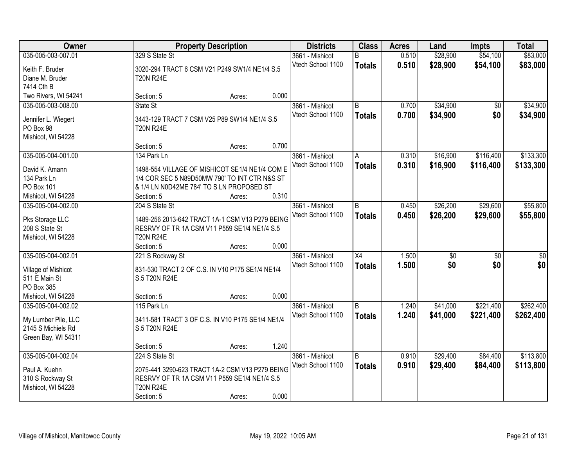| Owner                |                                                  | <b>Property Description</b> | <b>Districts</b>  | <b>Class</b>    | <b>Acres</b> | Land     | <b>Impts</b> | <b>Total</b> |
|----------------------|--------------------------------------------------|-----------------------------|-------------------|-----------------|--------------|----------|--------------|--------------|
| 035-005-003-007.01   | 329 S State St                                   |                             | 3661 - Mishicot   | R.              | 0.510        | \$28,900 | \$54,100     | \$83,000     |
| Keith F. Bruder      | 3020-294 TRACT 6 CSM V21 P249 SW1/4 NE1/4 S.5    |                             | Vtech School 1100 | <b>Totals</b>   | 0.510        | \$28,900 | \$54,100     | \$83,000     |
| Diane M. Bruder      | <b>T20N R24E</b>                                 |                             |                   |                 |              |          |              |              |
| 7414 Cth B           |                                                  |                             |                   |                 |              |          |              |              |
| Two Rivers, WI 54241 | Section: 5                                       | Acres:                      | 0.000             |                 |              |          |              |              |
| 035-005-003-008.00   | State St                                         |                             | 3661 - Mishicot   | B               | 0.700        | \$34,900 | \$0          | \$34,900     |
|                      |                                                  |                             | Vtech School 1100 | <b>Totals</b>   | 0.700        | \$34,900 | \$0          | \$34,900     |
| Jennifer L. Wiegert  | 3443-129 TRACT 7 CSM V25 P89 SW1/4 NE1/4 S.5     |                             |                   |                 |              |          |              |              |
| PO Box 98            | <b>T20N R24E</b>                                 |                             |                   |                 |              |          |              |              |
| Mishicot, WI 54228   | Section: 5                                       | Acres:                      | 0.700             |                 |              |          |              |              |
| 035-005-004-001.00   | 134 Park Ln                                      |                             | 3661 - Mishicot   | A               | 0.310        | \$16,900 | \$116,400    | \$133,300    |
|                      |                                                  |                             | Vtech School 1100 |                 | 0.310        | \$16,900 |              |              |
| David K. Amann       | 1498-554 VILLAGE OF MISHICOT SE1/4 NE1/4 COM E   |                             |                   | <b>Totals</b>   |              |          | \$116,400    | \$133,300    |
| 134 Park Ln          | 1/4 COR SEC 5 N89D50MW 790' TO INT CTR N&S ST    |                             |                   |                 |              |          |              |              |
| PO Box 101           | & 1/4 LN N0D42ME 784' TO S LN PROPOSED ST        |                             |                   |                 |              |          |              |              |
| Mishicot, WI 54228   | Section: 5                                       | Acres:                      | 0.310             |                 |              |          |              |              |
| 035-005-004-002.00   | 204 S State St                                   |                             | 3661 - Mishicot   | B               | 0.450        | \$26,200 | \$29,600     | \$55,800     |
| Pks Storage LLC      | 1489-256 2013-642 TRACT 1A-1 CSM V13 P279 BEING  |                             | Vtech School 1100 | <b>Totals</b>   | 0.450        | \$26,200 | \$29,600     | \$55,800     |
| 208 S State St       | RESRVY OF TR 1A CSM V11 P559 SE1/4 NE1/4 S.5     |                             |                   |                 |              |          |              |              |
| Mishicot, WI 54228   | <b>T20N R24E</b>                                 |                             |                   |                 |              |          |              |              |
|                      | Section: 5                                       | Acres:                      | 0.000             |                 |              |          |              |              |
| 035-005-004-002.01   | 221 S Rockway St                                 |                             | 3661 - Mishicot   | $\overline{X4}$ | 1.500        | \$0      | \$0          | \$0          |
|                      |                                                  |                             | Vtech School 1100 | <b>Totals</b>   | 1.500        | \$0      | \$0          | \$0          |
| Village of Mishicot  | 831-530 TRACT 2 OF C.S. IN V10 P175 SE1/4 NE1/4  |                             |                   |                 |              |          |              |              |
| 511 E Main St        | S.5 T20N R24E                                    |                             |                   |                 |              |          |              |              |
| PO Box 385           |                                                  |                             |                   |                 |              |          |              |              |
| Mishicot, WI 54228   | Section: 5                                       | Acres:                      | 0.000             |                 |              |          |              |              |
| 035-005-004-002.02   | 115 Park Ln                                      |                             | 3661 - Mishicot   | B               | 1.240        | \$41,000 | \$221,400    | \$262,400    |
| My Lumber Pile, LLC  | 3411-581 TRACT 3 OF C.S. IN V10 P175 SE1/4 NE1/4 |                             | Vtech School 1100 | <b>Totals</b>   | 1.240        | \$41,000 | \$221,400    | \$262,400    |
| 2145 S Michiels Rd   | S.5 T20N R24E                                    |                             |                   |                 |              |          |              |              |
| Green Bay, WI 54311  |                                                  |                             |                   |                 |              |          |              |              |
|                      | Section: 5                                       | Acres:                      | 1.240             |                 |              |          |              |              |
| 035-005-004-002.04   | 224 S State St                                   |                             | 3661 - Mishicot   | B               | 0.910        | \$29,400 | \$84,400     | \$113,800    |
| Paul A. Kuehn        | 2075-441 3290-623 TRACT 1A-2 CSM V13 P279 BEING  |                             | Vtech School 1100 | <b>Totals</b>   | 0.910        | \$29,400 | \$84,400     | \$113,800    |
| 310 S Rockway St     | RESRVY OF TR 1A CSM V11 P559 SE1/4 NE1/4 S.5     |                             |                   |                 |              |          |              |              |
| Mishicot, WI 54228   | <b>T20N R24E</b>                                 |                             |                   |                 |              |          |              |              |
|                      | Section: 5                                       | Acres:                      | 0.000             |                 |              |          |              |              |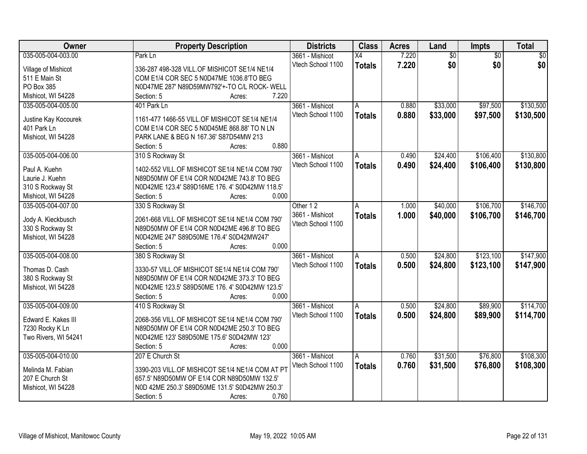| <b>Owner</b>         | <b>Property Description</b>                                     | <b>Districts</b>  | <b>Class</b>    | <b>Acres</b> | Land            | Impts           | <b>Total</b>    |
|----------------------|-----------------------------------------------------------------|-------------------|-----------------|--------------|-----------------|-----------------|-----------------|
| 035-005-004-003.00   | Park Ln                                                         | 3661 - Mishicot   | $\overline{X4}$ | 7.220        | $\overline{60}$ | $\overline{50}$ | $\overline{50}$ |
| Village of Mishicot  | 336-287 498-328 VILL.OF MISHICOT SE1/4 NE1/4                    | Vtech School 1100 | <b>Totals</b>   | 7.220        | \$0             | \$0             | \$0             |
| 511 E Main St        | COM E1/4 COR SEC 5 N0D47ME 1036.8'TO BEG                        |                   |                 |              |                 |                 |                 |
| PO Box 385           | N0D47ME 287' N89D59MW792'+-TO C/L ROCK- WELL                    |                   |                 |              |                 |                 |                 |
| Mishicot, WI 54228   | 7.220<br>Section: 5<br>Acres:                                   |                   |                 |              |                 |                 |                 |
| 035-005-004-005.00   | 401 Park Ln                                                     | 3661 - Mishicot   | A               | 0.880        | \$33,000        | \$97,500        | \$130,500       |
|                      |                                                                 | Vtech School 1100 | <b>Totals</b>   | 0.880        | \$33,000        | \$97,500        | \$130,500       |
| Justine Kay Kocourek | 1161-477 1466-55 VILL.OF MISHICOT SE1/4 NE1/4                   |                   |                 |              |                 |                 |                 |
| 401 Park Ln          | COM E1/4 COR SEC 5 N0D45ME 868.88' TO N LN                      |                   |                 |              |                 |                 |                 |
| Mishicot, WI 54228   | PARK LANE & BEG N 167.36' S87D54MW 213                          |                   |                 |              |                 |                 |                 |
|                      | 0.880<br>Section: 5<br>Acres:                                   |                   |                 |              |                 |                 |                 |
| 035-005-004-006.00   | 310 S Rockway St                                                | 3661 - Mishicot   | А               | 0.490        | \$24,400        | \$106,400       | \$130,800       |
| Paul A. Kuehn        | 1402-552 VILL.OF MISHICOT SE1/4 NE1/4 COM 790'                  | Vtech School 1100 | <b>Totals</b>   | 0.490        | \$24,400        | \$106,400       | \$130,800       |
| Laurie J. Kuehn      | N89D50MW OF E1/4 COR N0D42ME 743.8' TO BEG                      |                   |                 |              |                 |                 |                 |
| 310 S Rockway St     | N0D42ME 123.4' S89D16ME 176.4' S0D42MW 118.5'                   |                   |                 |              |                 |                 |                 |
| Mishicot, WI 54228   | 0.000<br>Section: 5<br>Acres:                                   |                   |                 |              |                 |                 |                 |
| 035-005-004-007.00   | 330 S Rockway St                                                | Other 12          | A               | 1.000        | \$40,000        | \$106,700       | \$146,700       |
|                      |                                                                 | 3661 - Mishicot   | <b>Totals</b>   | 1.000        | \$40,000        | \$106,700       | \$146,700       |
| Jody A. Kieckbusch   | 2061-668 VILL.OF MISHICOT SE1/4 NE1/4 COM 790'                  | Vtech School 1100 |                 |              |                 |                 |                 |
| 330 S Rockway St     | N89D50MW OF E1/4 COR N0D42ME 496.8' TO BEG                      |                   |                 |              |                 |                 |                 |
| Mishicot, WI 54228   | N0D42ME 247' S89D50ME 176.4' S0D42MW247'<br>0.000<br>Section: 5 |                   |                 |              |                 |                 |                 |
| 035-005-004-008.00   | Acres:<br>380 S Rockway St                                      | 3661 - Mishicot   | A               | 0.500        | \$24,800        | \$123,100       | \$147,900       |
|                      |                                                                 | Vtech School 1100 |                 |              |                 |                 |                 |
| Thomas D. Cash       | 3330-57 VILL.OF MISHICOT SE1/4 NE1/4 COM 790'                   |                   | <b>Totals</b>   | 0.500        | \$24,800        | \$123,100       | \$147,900       |
| 380 S Rockway St     | N89D50MW OF E1/4 COR N0D42ME 373.3' TO BEG                      |                   |                 |              |                 |                 |                 |
| Mishicot, WI 54228   | N0D42ME 123.5' S89D50ME 176.4' S0D42MW 123.5'                   |                   |                 |              |                 |                 |                 |
|                      | 0.000<br>Section: 5<br>Acres:                                   |                   |                 |              |                 |                 |                 |
| 035-005-004-009.00   | 410 S Rockway St                                                | 3661 - Mishicot   | A               | 0.500        | \$24,800        | \$89,900        | \$114,700       |
| Edward E. Kakes III  | 2068-356 VILL.OF MISHICOT SE1/4 NE1/4 COM 790'                  | Vtech School 1100 | <b>Totals</b>   | 0.500        | \$24,800        | \$89,900        | \$114,700       |
| 7230 Rocky K Ln      | N89D50MW OF E1/4 COR N0D42ME 250.3' TO BEG                      |                   |                 |              |                 |                 |                 |
| Two Rivers, WI 54241 | N0D42ME 123' S89D50ME 175.6' S0D42MW 123'                       |                   |                 |              |                 |                 |                 |
|                      | 0.000<br>Section: 5<br>Acres:                                   |                   |                 |              |                 |                 |                 |
| 035-005-004-010.00   | 207 E Church St                                                 | 3661 - Mishicot   | Α               | 0.760        | \$31,500        | \$76,800        | \$108,300       |
|                      |                                                                 | Vtech School 1100 | <b>Totals</b>   | 0.760        | \$31,500        | \$76,800        | \$108,300       |
| Melinda M. Fabian    | 3390-203 VILL.OF MISHICOT SE1/4 NE1/4 COM AT PT                 |                   |                 |              |                 |                 |                 |
| 207 E Church St      | 657.5' N89D50MW OF E1/4 COR N89D50MW 132.5'                     |                   |                 |              |                 |                 |                 |
| Mishicot, WI 54228   | N0D 42ME 250.3' S89D50ME 131.5' S0D42MW 250.3'                  |                   |                 |              |                 |                 |                 |
|                      | 0.760<br>Section: 5<br>Acres:                                   |                   |                 |              |                 |                 |                 |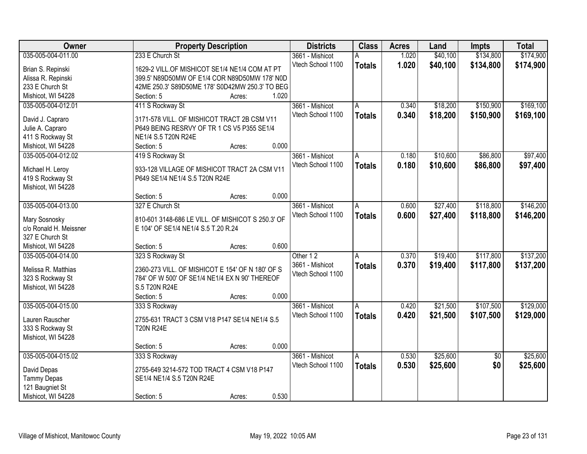| Owner                  |                                                   | <b>Property Description</b> |       | <b>Districts</b>  | <b>Class</b>  | <b>Acres</b> | Land     | <b>Impts</b>    | <b>Total</b> |
|------------------------|---------------------------------------------------|-----------------------------|-------|-------------------|---------------|--------------|----------|-----------------|--------------|
| 035-005-004-011.00     | 233 E Church St                                   |                             |       | 3661 - Mishicot   | А             | 1.020        | \$40,100 | \$134,800       | \$174,900    |
| Brian S. Repinski      | 1629-2 VILL.OF MISHICOT SE1/4 NE1/4 COM AT PT     |                             |       | Vtech School 1100 | <b>Totals</b> | 1.020        | \$40,100 | \$134,800       | \$174,900    |
| Alissa R. Repinski     | 399.5' N89D50MW OF E1/4 COR N89D50MW 178' N0D     |                             |       |                   |               |              |          |                 |              |
| 233 E Church St        | 42ME 250.3' S89D50ME 178' S0D42MW 250.3' TO BEG   |                             |       |                   |               |              |          |                 |              |
| Mishicot, WI 54228     | Section: 5                                        | Acres:                      | 1.020 |                   |               |              |          |                 |              |
| 035-005-004-012.01     | 411 S Rockway St                                  |                             |       | 3661 - Mishicot   | A             | 0.340        | \$18,200 | \$150,900       | \$169,100    |
|                        |                                                   |                             |       | Vtech School 1100 | <b>Totals</b> | 0.340        | \$18,200 | \$150,900       | \$169,100    |
| David J. Capraro       | 3171-578 VILL. OF MISHICOT TRACT 2B CSM V11       |                             |       |                   |               |              |          |                 |              |
| Julie A. Capraro       | P649 BEING RESRVY OF TR 1 CS V5 P355 SE1/4        |                             |       |                   |               |              |          |                 |              |
| 411 S Rockway St       | NE1/4 S.5 T20N R24E                               |                             |       |                   |               |              |          |                 |              |
| Mishicot, WI 54228     | Section: 5                                        | Acres:                      | 0.000 |                   |               |              |          |                 |              |
| 035-005-004-012.02     | 419 S Rockway St                                  |                             |       | 3661 - Mishicot   | A             | 0.180        | \$10,600 | \$86,800        | \$97,400     |
| Michael H. Leroy       | 933-128 VILLAGE OF MISHICOT TRACT 2A CSM V11      |                             |       | Vtech School 1100 | <b>Totals</b> | 0.180        | \$10,600 | \$86,800        | \$97,400     |
| 419 S Rockway St       | P649 SE1/4 NE1/4 S.5 T20N R24E                    |                             |       |                   |               |              |          |                 |              |
| Mishicot, WI 54228     |                                                   |                             |       |                   |               |              |          |                 |              |
|                        | Section: 5                                        | Acres:                      | 0.000 |                   |               |              |          |                 |              |
| 035-005-004-013.00     | 327 E Church St                                   |                             |       | 3661 - Mishicot   | A             | 0.600        | \$27,400 | \$118,800       | \$146,200    |
|                        |                                                   |                             |       | Vtech School 1100 | <b>Totals</b> | 0.600        | \$27,400 | \$118,800       | \$146,200    |
| Mary Sosnosky          | 810-601 3148-686 LE VILL. OF MISHICOT S 250.3' OF |                             |       |                   |               |              |          |                 |              |
| c/o Ronald H. Meissner | E 104' OF SE1/4 NE1/4 S.5 T.20 R.24               |                             |       |                   |               |              |          |                 |              |
| 327 E Church St        |                                                   |                             |       |                   |               |              |          |                 |              |
| Mishicot, WI 54228     | Section: 5                                        | Acres:                      | 0.600 |                   |               |              |          |                 |              |
| 035-005-004-014.00     | 323 S Rockway St                                  |                             |       | Other 12          | Α             | 0.370        | \$19,400 | \$117,800       | \$137,200    |
| Melissa R. Matthias    | 2360-273 VILL. OF MISHICOT E 154' OF N 180' OF S  |                             |       | 3661 - Mishicot   | <b>Totals</b> | 0.370        | \$19,400 | \$117,800       | \$137,200    |
| 323 S Rockway St       | 784' OF W 500' OF SE1/4 NE1/4 EX N 90' THEREOF    |                             |       | Vtech School 1100 |               |              |          |                 |              |
| Mishicot, WI 54228     | S.5 T20N R24E                                     |                             |       |                   |               |              |          |                 |              |
|                        | Section: 5                                        | Acres:                      | 0.000 |                   |               |              |          |                 |              |
| 035-005-004-015.00     | 333 S Rockway                                     |                             |       | 3661 - Mishicot   | A             | 0.420        | \$21,500 | \$107,500       | \$129,000    |
|                        |                                                   |                             |       | Vtech School 1100 |               | 0.420        | \$21,500 | \$107,500       | \$129,000    |
| Lauren Rauscher        | 2755-631 TRACT 3 CSM V18 P147 SE1/4 NE1/4 S.5     |                             |       |                   | <b>Totals</b> |              |          |                 |              |
| 333 S Rockway St       | <b>T20N R24E</b>                                  |                             |       |                   |               |              |          |                 |              |
| Mishicot, WI 54228     |                                                   |                             |       |                   |               |              |          |                 |              |
|                        | Section: 5                                        | Acres:                      | 0.000 |                   |               |              |          |                 |              |
| 035-005-004-015.02     | 333 S Rockway                                     |                             |       | 3661 - Mishicot   | Α             | 0.530        | \$25,600 | $\overline{50}$ | \$25,600     |
| David Depas            | 2755-649 3214-572 TOD TRACT 4 CSM V18 P147        |                             |       | Vtech School 1100 | <b>Totals</b> | 0.530        | \$25,600 | \$0             | \$25,600     |
| <b>Tammy Depas</b>     | SE1/4 NE1/4 S.5 T20N R24E                         |                             |       |                   |               |              |          |                 |              |
| 121 Baugniet St        |                                                   |                             |       |                   |               |              |          |                 |              |
| Mishicot, WI 54228     | Section: 5                                        | Acres:                      | 0.530 |                   |               |              |          |                 |              |
|                        |                                                   |                             |       |                   |               |              |          |                 |              |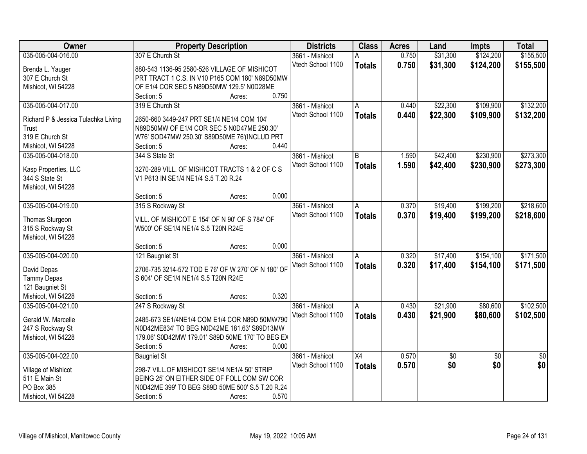| Owner                                  | <b>Property Description</b>                           | <b>Districts</b>  | <b>Class</b>    | <b>Acres</b> | Land        | <b>Impts</b>    | <b>Total</b>    |
|----------------------------------------|-------------------------------------------------------|-------------------|-----------------|--------------|-------------|-----------------|-----------------|
| 035-005-004-016.00                     | 307 E Church St                                       | 3661 - Mishicot   | А               | 0.750        | \$31,300    | \$124,200       | \$155,500       |
| Brenda L. Yauger                       | 880-543 1136-95 2580-526 VILLAGE OF MISHICOT          | Vtech School 1100 | <b>Totals</b>   | 0.750        | \$31,300    | \$124,200       | \$155,500       |
| 307 E Church St                        | PRT TRACT 1 C.S. IN V10 P165 COM 180' N89D50MW        |                   |                 |              |             |                 |                 |
| Mishicot, WI 54228                     | OF E1/4 COR SEC 5 N89D50MW 129.5' N0D28ME             |                   |                 |              |             |                 |                 |
|                                        | 0.750<br>Section: 5<br>Acres:                         |                   |                 |              |             |                 |                 |
| 035-005-004-017.00                     | 319 E Church St                                       | 3661 - Mishicot   | A               | 0.440        | \$22,300    | \$109,900       | \$132,200       |
|                                        |                                                       | Vtech School 1100 | <b>Totals</b>   | 0.440        | \$22,300    | \$109,900       | \$132,200       |
| Richard P & Jessica Tulachka Living    | 2650-660 3449-247 PRT SE1/4 NE1/4 COM 104'            |                   |                 |              |             |                 |                 |
| Trust<br>319 E Church St               | N89D50MW OF E1/4 COR SEC 5 N0D47ME 250.30'            |                   |                 |              |             |                 |                 |
|                                        | W76' SOD47MW 250.30' S89D50ME 76'(INCLUD PRT<br>0.440 |                   |                 |              |             |                 |                 |
| Mishicot, WI 54228                     | Section: 5<br>Acres:                                  |                   |                 |              |             |                 |                 |
| 035-005-004-018.00                     | 344 S State St                                        | 3661 - Mishicot   | В               | 1.590        | \$42,400    | \$230,900       | \$273,300       |
| Kasp Properties, LLC                   | 3270-289 VILL. OF MISHICOT TRACTS 1 & 2 OF C S        | Vtech School 1100 | <b>Totals</b>   | 1.590        | \$42,400    | \$230,900       | \$273,300       |
| 344 S State St                         | V1 P613 IN SE1/4 NE1/4 S.5 T.20 R.24                  |                   |                 |              |             |                 |                 |
| Mishicot, WI 54228                     |                                                       |                   |                 |              |             |                 |                 |
|                                        | 0.000<br>Section: 5<br>Acres:                         |                   |                 |              |             |                 |                 |
| 035-005-004-019.00                     | 315 S Rockway St                                      | 3661 - Mishicot   | A               | 0.370        | \$19,400    | \$199,200       | \$218,600       |
|                                        | VILL. OF MISHICOT E 154' OF N 90' OF S 784' OF        | Vtech School 1100 | <b>Totals</b>   | 0.370        | \$19,400    | \$199,200       | \$218,600       |
| Thomas Sturgeon                        | W500' OF SE1/4 NE1/4 S.5 T20N R24E                    |                   |                 |              |             |                 |                 |
| 315 S Rockway St<br>Mishicot, WI 54228 |                                                       |                   |                 |              |             |                 |                 |
|                                        | 0.000<br>Section: 5<br>Acres:                         |                   |                 |              |             |                 |                 |
| 035-005-004-020.00                     | 121 Baugniet St                                       | 3661 - Mishicot   | A               | 0.320        | \$17,400    | \$154,100       | \$171,500       |
|                                        |                                                       | Vtech School 1100 |                 | 0.320        |             |                 |                 |
| David Depas                            | 2706-735 3214-572 TOD E 76' OF W 270' OF N 180' OF    |                   | <b>Totals</b>   |              | \$17,400    | \$154,100       | \$171,500       |
| <b>Tammy Depas</b>                     | S 604' OF SE1/4 NE1/4 S.5 T20N R24E                   |                   |                 |              |             |                 |                 |
| 121 Baugniet St                        |                                                       |                   |                 |              |             |                 |                 |
| Mishicot, WI 54228                     | 0.320<br>Section: 5<br>Acres:                         |                   |                 |              |             |                 |                 |
| 035-005-004-021.00                     | 247 S Rockway St                                      | 3661 - Mishicot   | A               | 0.430        | \$21,900    | \$80,600        | \$102,500       |
| Gerald W. Marcelle                     | 2485-673 SE1/4NE1/4 COM E1/4 COR N89D 50MW790         | Vtech School 1100 | <b>Totals</b>   | 0.430        | \$21,900    | \$80,600        | \$102,500       |
| 247 S Rockway St                       | N0D42ME834' TO BEG N0D42ME 181.63' S89D13MW           |                   |                 |              |             |                 |                 |
| Mishicot, WI 54228                     | 179.06' S0D42MW 179.01' S89D 50ME 170' TO BEG EX      |                   |                 |              |             |                 |                 |
|                                        | Section: 5<br>0.000<br>Acres:                         |                   |                 |              |             |                 |                 |
| 035-005-004-022.00                     | <b>Baugniet St</b>                                    | 3661 - Mishicot   | $\overline{X4}$ | 0.570        | $\sqrt{$0}$ | $\overline{50}$ | $\overline{50}$ |
|                                        |                                                       | Vtech School 1100 | <b>Totals</b>   | 0.570        | \$0         | \$0             | \$0             |
| Village of Mishicot                    | 298-7 VILL.OF MISHICOT SE1/4 NE1/4 50' STRIP          |                   |                 |              |             |                 |                 |
| 511 E Main St                          | BEING 25' ON EITHER SIDE OF FOLL COM SW COR           |                   |                 |              |             |                 |                 |
| PO Box 385                             | N0D42ME 399' TO BEG S89D 50ME 500' S.5 T.20 R.24      |                   |                 |              |             |                 |                 |
| Mishicot, WI 54228                     | 0.570<br>Section: 5<br>Acres:                         |                   |                 |              |             |                 |                 |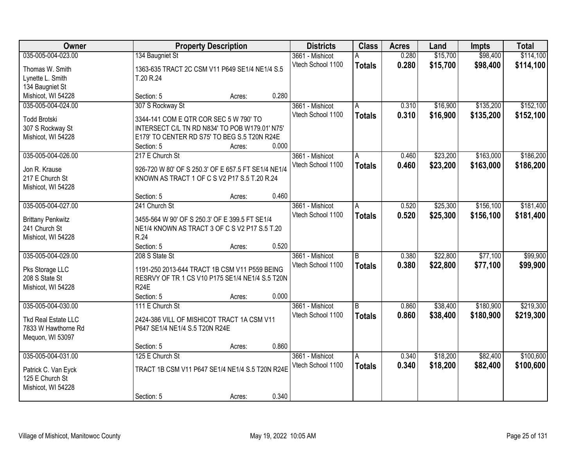| Owner                    |                                                                                                | <b>Property Description</b> |       | <b>Districts</b>  | <b>Class</b>            | <b>Acres</b> | Land     | <b>Impts</b> | <b>Total</b> |
|--------------------------|------------------------------------------------------------------------------------------------|-----------------------------|-------|-------------------|-------------------------|--------------|----------|--------------|--------------|
| 035-005-004-023.00       | 134 Baugniet St                                                                                |                             |       | 3661 - Mishicot   | А                       | 0.280        | \$15,700 | \$98,400     | \$114,100    |
| Thomas W. Smith          | 1363-635 TRACT 2C CSM V11 P649 SE1/4 NE1/4 S.5                                                 |                             |       | Vtech School 1100 | <b>Totals</b>           | 0.280        | \$15,700 | \$98,400     | \$114,100    |
| Lynette L. Smith         | T.20 R.24                                                                                      |                             |       |                   |                         |              |          |              |              |
| 134 Baugniet St          |                                                                                                |                             |       |                   |                         |              |          |              |              |
| Mishicot, WI 54228       | Section: 5                                                                                     | Acres:                      | 0.280 |                   |                         |              |          |              |              |
| 035-005-004-024.00       | 307 S Rockway St                                                                               |                             |       | 3661 - Mishicot   | A                       | 0.310        | \$16,900 | \$135,200    | \$152,100    |
|                          |                                                                                                |                             |       | Vtech School 1100 | <b>Totals</b>           | 0.310        | \$16,900 | \$135,200    | \$152,100    |
| <b>Todd Brotski</b>      | 3344-141 COM E QTR COR SEC 5 W 790' TO                                                         |                             |       |                   |                         |              |          |              |              |
| 307 S Rockway St         | INTERSECT C/L TN RD N834' TO POB W179.01' N75'<br>E179' TO CENTER RD S75' TO BEG S.5 T20N R24E |                             |       |                   |                         |              |          |              |              |
| Mishicot, WI 54228       | Section: 5                                                                                     | Acres:                      | 0.000 |                   |                         |              |          |              |              |
| 035-005-004-026.00       | 217 E Church St                                                                                |                             |       | 3661 - Mishicot   | A                       | 0.460        | \$23,200 | \$163,000    | \$186,200    |
|                          |                                                                                                |                             |       | Vtech School 1100 |                         | 0.460        |          |              |              |
| Jon R. Krause            | 926-720 W 80' OF S 250.3' OF E 657.5 FT SE1/4 NE1/4                                            |                             |       |                   | <b>Totals</b>           |              | \$23,200 | \$163,000    | \$186,200    |
| 217 E Church St          | KNOWN AS TRACT 1 OF C S V2 P17 S.5 T.20 R.24                                                   |                             |       |                   |                         |              |          |              |              |
| Mishicot, WI 54228       |                                                                                                |                             |       |                   |                         |              |          |              |              |
|                          | Section: 5                                                                                     | Acres:                      | 0.460 |                   |                         |              |          |              |              |
| 035-005-004-027.00       | 241 Church St                                                                                  |                             |       | 3661 - Mishicot   | A                       | 0.520        | \$25,300 | \$156,100    | \$181,400    |
| <b>Brittany Penkwitz</b> | 3455-564 W 90' OF S 250.3' OF E 399.5 FT SE1/4                                                 |                             |       | Vtech School 1100 | <b>Totals</b>           | 0.520        | \$25,300 | \$156,100    | \$181,400    |
| 241 Church St            | NE1/4 KNOWN AS TRACT 3 OF C S V2 P17 S.5 T.20                                                  |                             |       |                   |                         |              |          |              |              |
| Mishicot, WI 54228       | R.24                                                                                           |                             |       |                   |                         |              |          |              |              |
|                          | Section: 5                                                                                     | Acres:                      | 0.520 |                   |                         |              |          |              |              |
| 035-005-004-029.00       | 208 S State St                                                                                 |                             |       | 3661 - Mishicot   | $\overline{\mathsf{B}}$ | 0.380        | \$22,800 | \$77,100     | \$99,900     |
|                          |                                                                                                |                             |       | Vtech School 1100 | <b>Totals</b>           | 0.380        | \$22,800 | \$77,100     | \$99,900     |
| Pks Storage LLC          | 1191-250 2013-644 TRACT 1B CSM V11 P559 BEING                                                  |                             |       |                   |                         |              |          |              |              |
| 208 S State St           | RESRVY OF TR 1 CS V10 P175 SE1/4 NE1/4 S.5 T20N<br><b>R24E</b>                                 |                             |       |                   |                         |              |          |              |              |
| Mishicot, WI 54228       | Section: 5                                                                                     |                             | 0.000 |                   |                         |              |          |              |              |
| 035-005-004-030.00       | 111 E Church St                                                                                | Acres:                      |       | 3661 - Mishicot   | $\overline{B}$          | 0.860        | \$38,400 | \$180,900    | \$219,300    |
|                          |                                                                                                |                             |       | Vtech School 1100 |                         | 0.860        | \$38,400 |              |              |
| Tkd Real Estate LLC      | 2424-386 VILL OF MISHICOT TRACT 1A CSM V11                                                     |                             |       |                   | <b>Totals</b>           |              |          | \$180,900    | \$219,300    |
| 7833 W Hawthorne Rd      | P647 SE1/4 NE1/4 S.5 T20N R24E                                                                 |                             |       |                   |                         |              |          |              |              |
| Mequon, WI 53097         |                                                                                                |                             |       |                   |                         |              |          |              |              |
|                          | Section: 5                                                                                     | Acres:                      | 0.860 |                   |                         |              |          |              |              |
| 035-005-004-031.00       | 125 E Church St                                                                                |                             |       | 3661 - Mishicot   | $\overline{A}$          | 0.340        | \$18,200 | \$82,400     | \$100,600    |
| Patrick C. Van Eyck      | TRACT 1B CSM V11 P647 SE1/4 NE1/4 S.5 T20N R24E                                                |                             |       | Vtech School 1100 | <b>Totals</b>           | 0.340        | \$18,200 | \$82,400     | \$100,600    |
| 125 E Church St          |                                                                                                |                             |       |                   |                         |              |          |              |              |
| Mishicot, WI 54228       |                                                                                                |                             |       |                   |                         |              |          |              |              |
|                          | Section: 5                                                                                     | Acres:                      | 0.340 |                   |                         |              |          |              |              |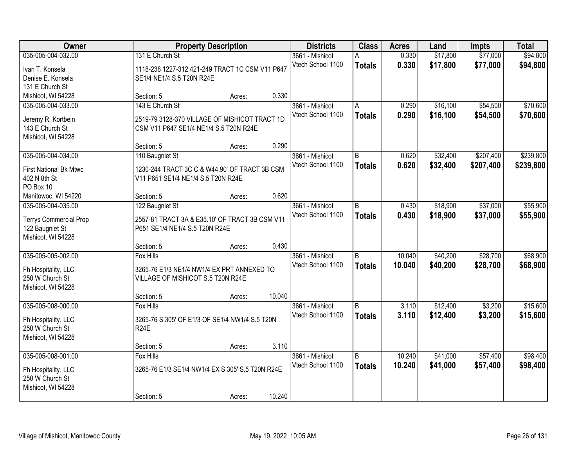| Owner                                            |                                                                                 | <b>Property Description</b> |        | <b>Districts</b>  | <b>Class</b>   | <b>Acres</b> | Land     | <b>Impts</b> | <b>Total</b> |
|--------------------------------------------------|---------------------------------------------------------------------------------|-----------------------------|--------|-------------------|----------------|--------------|----------|--------------|--------------|
| 035-005-004-032.00                               | 131 E Church St                                                                 |                             |        | 3661 - Mishicot   |                | 0.330        | \$17,800 | \$77,000     | \$94,800     |
| Ivan T. Konsela                                  | 1118-238 1227-312 421-249 TRACT 1C CSM V11 P647                                 |                             |        | Vtech School 1100 | <b>Totals</b>  | 0.330        | \$17,800 | \$77,000     | \$94,800     |
| Denise E. Konsela                                | SE1/4 NE1/4 S.5 T20N R24E                                                       |                             |        |                   |                |              |          |              |              |
| 131 E Church St                                  |                                                                                 |                             |        |                   |                |              |          |              |              |
| Mishicot, WI 54228                               | Section: 5                                                                      | Acres:                      | 0.330  |                   |                |              |          |              |              |
| 035-005-004-033.00                               | 143 E Church St                                                                 |                             |        | 3661 - Mishicot   | A              | 0.290        | \$16,100 | \$54,500     | \$70,600     |
| Jeremy R. Kortbein                               | 2519-79 3128-370 VILLAGE OF MISHICOT TRACT 1D                                   |                             |        | Vtech School 1100 | <b>Totals</b>  | 0.290        | \$16,100 | \$54,500     | \$70,600     |
| 143 E Church St                                  | CSM V11 P647 SE1/4 NE1/4 S.5 T20N R24E                                          |                             |        |                   |                |              |          |              |              |
| Mishicot, WI 54228                               |                                                                                 |                             |        |                   |                |              |          |              |              |
|                                                  | Section: 5                                                                      | Acres:                      | 0.290  |                   |                |              |          |              |              |
| 035-005-004-034.00                               | 110 Baugniet St                                                                 |                             |        | 3661 - Mishicot   | B              | 0.620        | \$32,400 | \$207,400    | \$239,800    |
| <b>First National Bk Mtwc</b>                    | 1230-244 TRACT 3C C & W44.90' OF TRACT 3B CSM                                   |                             |        | Vtech School 1100 | <b>Totals</b>  | 0.620        | \$32,400 | \$207,400    | \$239,800    |
| 402 N 8th St                                     | V11 P651 SE1/4 NE1/4 S.5 T20N R24E                                              |                             |        |                   |                |              |          |              |              |
| PO Box 10                                        |                                                                                 |                             |        |                   |                |              |          |              |              |
| Manitowoc, WI 54220                              | Section: 5                                                                      | Acres:                      | 0.620  |                   |                |              |          |              |              |
| 035-005-004-035.00                               | 122 Baugniet St                                                                 |                             |        | 3661 - Mishicot   | B              | 0.430        | \$18,900 | \$37,000     | \$55,900     |
|                                                  | 2557-81 TRACT 3A & E35.10' OF TRACT 3B CSM V11                                  |                             |        | Vtech School 1100 | <b>Totals</b>  | 0.430        | \$18,900 | \$37,000     | \$55,900     |
| <b>Terrys Commercial Prop</b><br>122 Baugniet St | P651 SE1/4 NE1/4 S.5 T20N R24E                                                  |                             |        |                   |                |              |          |              |              |
| Mishicot, WI 54228                               |                                                                                 |                             |        |                   |                |              |          |              |              |
|                                                  | Section: 5                                                                      | Acres:                      | 0.430  |                   |                |              |          |              |              |
| 035-005-005-002.00                               | Fox Hills                                                                       |                             |        | 3661 - Mishicot   | $\overline{B}$ | 10.040       | \$40,200 | \$28,700     | \$68,900     |
|                                                  |                                                                                 |                             |        | Vtech School 1100 | <b>Totals</b>  | 10.040       | \$40,200 | \$28,700     | \$68,900     |
| Fh Hospitality, LLC<br>250 W Church St           | 3265-76 E1/3 NE1/4 NW1/4 EX PRT ANNEXED TO<br>VILLAGE OF MISHICOT S.5 T20N R24E |                             |        |                   |                |              |          |              |              |
| Mishicot, WI 54228                               |                                                                                 |                             |        |                   |                |              |          |              |              |
|                                                  | Section: 5                                                                      | Acres:                      | 10.040 |                   |                |              |          |              |              |
| 035-005-008-000.00                               | <b>Fox Hills</b>                                                                |                             |        | 3661 - Mishicot   | B              | 3.110        | \$12,400 | \$3,200      | \$15,600     |
| Fh Hospitality, LLC                              | 3265-76 S 305' OF E1/3 OF SE1/4 NW1/4 S.5 T20N                                  |                             |        | Vtech School 1100 | <b>Totals</b>  | 3.110        | \$12,400 | \$3,200      | \$15,600     |
| 250 W Church St                                  | R <sub>24</sub> E                                                               |                             |        |                   |                |              |          |              |              |
| Mishicot, WI 54228                               |                                                                                 |                             |        |                   |                |              |          |              |              |
|                                                  | Section: 5                                                                      | Acres:                      | 3.110  |                   |                |              |          |              |              |
| 035-005-008-001.00                               | <b>Fox Hills</b>                                                                |                             |        | 3661 - Mishicot   | B              | 10.240       | \$41,000 | \$57,400     | \$98,400     |
| Fh Hospitality, LLC                              | 3265-76 E1/3 SE1/4 NW1/4 EX S 305' S.5 T20N R24E                                |                             |        | Vtech School 1100 | <b>Totals</b>  | 10.240       | \$41,000 | \$57,400     | \$98,400     |
| 250 W Church St                                  |                                                                                 |                             |        |                   |                |              |          |              |              |
| Mishicot, WI 54228                               |                                                                                 |                             |        |                   |                |              |          |              |              |
|                                                  | Section: 5                                                                      | Acres:                      | 10.240 |                   |                |              |          |              |              |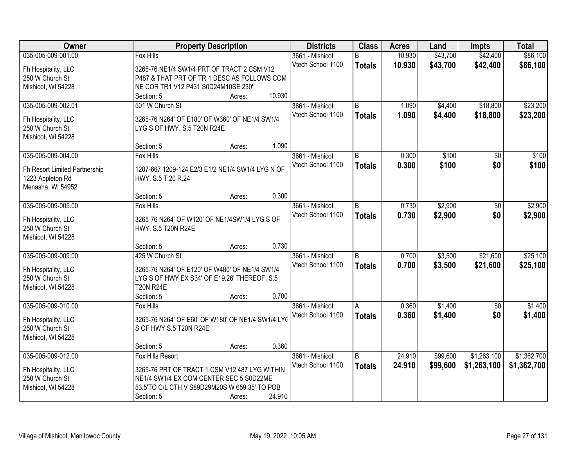| Owner                         |                                                   | <b>Property Description</b> |        | <b>Districts</b>  | <b>Class</b>   | <b>Acres</b> | Land     | <b>Impts</b>  | <b>Total</b> |
|-------------------------------|---------------------------------------------------|-----------------------------|--------|-------------------|----------------|--------------|----------|---------------|--------------|
| 035-005-009-001.00            | <b>Fox Hills</b>                                  |                             |        | 3661 - Mishicot   | B              | 10.930       | \$43,700 | \$42,400      | \$86,100     |
| Fh Hospitality, LLC           | 3265-76 NE1/4 SW1/4 PRT OF TRACT 2 CSM V12        |                             |        | Vtech School 1100 | <b>Totals</b>  | 10.930       | \$43,700 | \$42,400      | \$86,100     |
| 250 W Church St               | P487 & THAT PRT OF TR 1 DESC AS FOLLOWS COM       |                             |        |                   |                |              |          |               |              |
| Mishicot, WI 54228            | NE COR TR1 V12 P431 S0D24M10SE 230'               |                             |        |                   |                |              |          |               |              |
|                               | Section: 5                                        | Acres:                      | 10.930 |                   |                |              |          |               |              |
| 035-005-009-002.01            | 501 W Church St                                   |                             |        | 3661 - Mishicot   | B              | 1.090        | \$4,400  | \$18,800      | \$23,200     |
|                               |                                                   |                             |        | Vtech School 1100 | <b>Totals</b>  | 1.090        | \$4,400  | \$18,800      | \$23,200     |
| Fh Hospitality, LLC           | 3265-76 N264' OF E180' OF W360' OF NE1/4 SW1/4    |                             |        |                   |                |              |          |               |              |
| 250 W Church St               | LYG S OF HWY. S.5 T20N R24E                       |                             |        |                   |                |              |          |               |              |
| Mishicot, WI 54228            | Section: 5                                        | Acres:                      | 1.090  |                   |                |              |          |               |              |
| 035-005-009-004.00            | <b>Fox Hills</b>                                  |                             |        | 3661 - Mishicot   | B              | 0.300        | \$100    | \$0           | \$100        |
|                               |                                                   |                             |        | Vtech School 1100 |                | 0.300        | \$100    | \$0           | \$100        |
| Fh Resort Limited Partnership | 1207-667 1209-124 E2/3 E1/2 NE1/4 SW1/4 LYG N OF  |                             |        |                   | <b>Totals</b>  |              |          |               |              |
| 1223 Appleton Rd              | HWY. S.5 T.20 R.24                                |                             |        |                   |                |              |          |               |              |
| Menasha, WI 54952             |                                                   |                             |        |                   |                |              |          |               |              |
|                               | Section: 5                                        | Acres:                      | 0.300  |                   |                |              |          |               |              |
| 035-005-009-005.00            | Fox Hills                                         |                             |        | 3661 - Mishicot   | ΙB.            | 0.730        | \$2,900  | $\sqrt[6]{3}$ | \$2,900      |
| Fh Hospitality, LLC           | 3265-76 N264' OF W120' OF NE1/4SW1/4 LYG S OF     |                             |        | Vtech School 1100 | <b>Totals</b>  | 0.730        | \$2,900  | \$0           | \$2,900      |
| 250 W Church St               | HWY. S.5 T20N R24E                                |                             |        |                   |                |              |          |               |              |
| Mishicot, WI 54228            |                                                   |                             |        |                   |                |              |          |               |              |
|                               | Section: 5                                        | Acres:                      | 0.730  |                   |                |              |          |               |              |
| 035-005-009-009.00            | 425 W Church St                                   |                             |        | 3661 - Mishicot   | B              | 0.700        | \$3,500  | \$21,600      | \$25,100     |
|                               |                                                   |                             |        | Vtech School 1100 | <b>Totals</b>  | 0.700        | \$3,500  | \$21,600      | \$25,100     |
| Fh Hospitality, LLC           | 3265-76 N264' OF E120' OF W480' OF NE1/4 SW1/4    |                             |        |                   |                |              |          |               |              |
| 250 W Church St               | LYG S OF HWY EX S34' OF E19.26' THEREOF. S.5      |                             |        |                   |                |              |          |               |              |
| Mishicot, WI 54228            | <b>T20N R24E</b>                                  |                             | 0.700  |                   |                |              |          |               |              |
| 035-005-009-010.00            | Section: 5                                        | Acres:                      |        | 3661 - Mishicot   |                | 0.360        | \$1,400  |               | \$1,400      |
|                               | Fox Hills                                         |                             |        | Vtech School 1100 | A              |              |          | \$0           |              |
| Fh Hospitality, LLC           | 3265-76 N264' OF E60' OF W180' OF NE1/4 SW1/4 LYC |                             |        |                   | <b>Totals</b>  | 0.360        | \$1,400  | \$0           | \$1,400      |
| 250 W Church St               | S OF HWY S.5 T20N R24E                            |                             |        |                   |                |              |          |               |              |
| Mishicot, WI 54228            |                                                   |                             |        |                   |                |              |          |               |              |
|                               | Section: 5                                        | Acres:                      | 0.360  |                   |                |              |          |               |              |
| 035-005-009-012.00            | Fox Hills Resort                                  |                             |        | 3661 - Mishicot   | $\overline{B}$ | 24.910       | \$99,600 | \$1,263,100   | \$1,362,700  |
| Fh Hospitality, LLC           | 3265-76 PRT OF TRACT 1 CSM V12 487 LYG WITHIN     |                             |        | Vtech School 1100 | <b>Totals</b>  | 24.910       | \$99,600 | \$1,263,100   | \$1,362,700  |
| 250 W Church St               | NE1/4 SW1/4 EX COM CENTER SEC 5 S0D22ME           |                             |        |                   |                |              |          |               |              |
| Mishicot, WI 54228            | 53.5'TO C/L CTH V S89D29M20S W 659.35' TO POB     |                             |        |                   |                |              |          |               |              |
|                               | Section: 5                                        | Acres:                      | 24.910 |                   |                |              |          |               |              |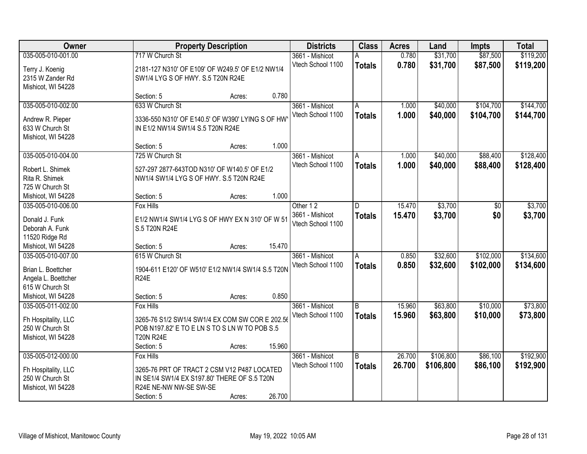| Owner               |                                                   | <b>Property Description</b> |        | <b>Districts</b>  | <b>Class</b>  | <b>Acres</b> | Land      | <b>Impts</b> | <b>Total</b> |
|---------------------|---------------------------------------------------|-----------------------------|--------|-------------------|---------------|--------------|-----------|--------------|--------------|
| 035-005-010-001.00  | 717 W Church St                                   |                             |        | 3661 - Mishicot   | Α             | 0.780        | \$31,700  | \$87,500     | \$119,200    |
| Terry J. Koenig     | 2181-127 N310' OF E109' OF W249.5' OF E1/2 NW1/4  |                             |        | Vtech School 1100 | <b>Totals</b> | 0.780        | \$31,700  | \$87,500     | \$119,200    |
| 2315 W Zander Rd    | SW1/4 LYG S OF HWY. S.5 T20N R24E                 |                             |        |                   |               |              |           |              |              |
| Mishicot, WI 54228  |                                                   |                             |        |                   |               |              |           |              |              |
|                     | Section: 5                                        | Acres:                      | 0.780  |                   |               |              |           |              |              |
| 035-005-010-002.00  | 633 W Church St                                   |                             |        | 3661 - Mishicot   | A             | 1.000        | \$40,000  | \$104,700    | \$144,700    |
|                     |                                                   |                             |        | Vtech School 1100 | <b>Totals</b> | 1.000        | \$40,000  | \$104,700    | \$144,700    |
| Andrew R. Pieper    | 3336-550 N310' OF E140.5' OF W390' LYING S OF HW  |                             |        |                   |               |              |           |              |              |
| 633 W Church St     | IN E1/2 NW1/4 SW1/4 S.5 T20N R24E                 |                             |        |                   |               |              |           |              |              |
| Mishicot, WI 54228  |                                                   |                             | 1.000  |                   |               |              |           |              |              |
|                     | Section: 5                                        | Acres:                      |        |                   |               |              |           |              |              |
| 035-005-010-004.00  | 725 W Church St                                   |                             |        | 3661 - Mishicot   | A             | 1.000        | \$40,000  | \$88,400     | \$128,400    |
| Robert L. Shimek    | 527-297 2877-643TOD N310' OF W140.5' OF E1/2      |                             |        | Vtech School 1100 | <b>Totals</b> | 1.000        | \$40,000  | \$88,400     | \$128,400    |
| Rita R. Shimek      | NW1/4 SW1/4 LYG S OF HWY. S.5 T20N R24E           |                             |        |                   |               |              |           |              |              |
| 725 W Church St     |                                                   |                             |        |                   |               |              |           |              |              |
| Mishicot, WI 54228  | Section: 5                                        | Acres:                      | 1.000  |                   |               |              |           |              |              |
| 035-005-010-006.00  | <b>Fox Hills</b>                                  |                             |        | Other 12          | D.            | 15.470       | \$3,700   | \$0          | \$3,700      |
|                     |                                                   |                             |        | 3661 - Mishicot   | <b>Totals</b> | 15.470       | \$3,700   | \$0          | \$3,700      |
| Donald J. Funk      | E1/2 NW1/4 SW1/4 LYG S OF HWY EX N 310' OF W 51   |                             |        | Vtech School 1100 |               |              |           |              |              |
| Deborah A. Funk     | S.5 T20N R24E                                     |                             |        |                   |               |              |           |              |              |
| 11520 Ridge Rd      |                                                   |                             |        |                   |               |              |           |              |              |
| Mishicot, WI 54228  | Section: 5                                        | Acres:                      | 15.470 |                   |               |              |           |              |              |
| 035-005-010-007.00  | 615 W Church St                                   |                             |        | 3661 - Mishicot   | A             | 0.850        | \$32,600  | \$102,000    | \$134,600    |
| Brian L. Boettcher  | 1904-611 E120' OF W510' E1/2 NW1/4 SW1/4 S.5 T20N |                             |        | Vtech School 1100 | <b>Totals</b> | 0.850        | \$32,600  | \$102,000    | \$134,600    |
| Angela L. Boettcher | <b>R24E</b>                                       |                             |        |                   |               |              |           |              |              |
| 615 W Church St     |                                                   |                             |        |                   |               |              |           |              |              |
| Mishicot, WI 54228  | Section: 5                                        | Acres:                      | 0.850  |                   |               |              |           |              |              |
| 035-005-011-002.00  | Fox Hills                                         |                             |        | 3661 - Mishicot   | B             | 15.960       | \$63,800  | \$10,000     | \$73,800     |
|                     |                                                   |                             |        | Vtech School 1100 | <b>Totals</b> | 15.960       | \$63,800  | \$10,000     | \$73,800     |
| Fh Hospitality, LLC | 3265-76 S1/2 SW1/4 SW1/4 EX COM SW COR E 202.56   |                             |        |                   |               |              |           |              |              |
| 250 W Church St     | POB N197.82' E TO E LN S TO S LN W TO POB S.5     |                             |        |                   |               |              |           |              |              |
| Mishicot, WI 54228  | <b>T20N R24E</b>                                  |                             |        |                   |               |              |           |              |              |
|                     | Section: 5                                        | Acres:                      | 15.960 |                   |               |              |           |              |              |
| 035-005-012-000.00  | Fox Hills                                         |                             |        | 3661 - Mishicot   | B             | 26.700       | \$106,800 | \$86,100     | \$192,900    |
| Fh Hospitality, LLC | 3265-76 PRT OF TRACT 2 CSM V12 P487 LOCATED       |                             |        | Vtech School 1100 | <b>Totals</b> | 26.700       | \$106,800 | \$86,100     | \$192,900    |
| 250 W Church St     | IN SE1/4 SW1/4 EX S197.80' THERE OF S.5 T20N      |                             |        |                   |               |              |           |              |              |
| Mishicot, WI 54228  | R24E NE-NW NW-SE SW-SE                            |                             |        |                   |               |              |           |              |              |
|                     | Section: 5                                        | Acres:                      | 26.700 |                   |               |              |           |              |              |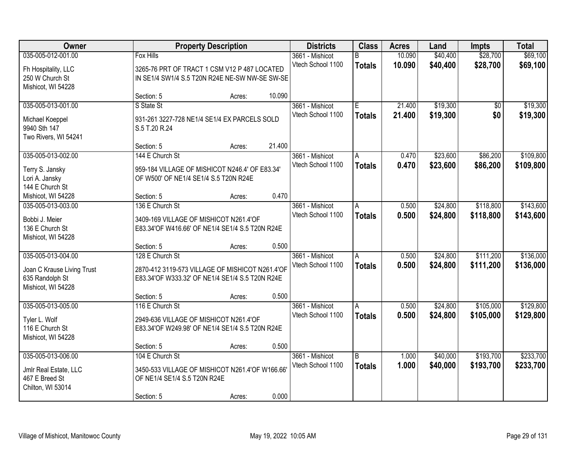| Owner                      |                                                 | <b>Property Description</b> |        | <b>Districts</b>  | <b>Class</b>  | <b>Acres</b> | Land     | <b>Impts</b> | <b>Total</b> |
|----------------------------|-------------------------------------------------|-----------------------------|--------|-------------------|---------------|--------------|----------|--------------|--------------|
| 035-005-012-001.00         | <b>Fox Hills</b>                                |                             |        | 3661 - Mishicot   | B             | 10.090       | \$40,400 | \$28,700     | \$69,100     |
| Fh Hospitality, LLC        | 3265-76 PRT OF TRACT 1 CSM V12 P 487 LOCATED    |                             |        | Vtech School 1100 | <b>Totals</b> | 10.090       | \$40,400 | \$28,700     | \$69,100     |
| 250 W Church St            | IN SE1/4 SW1/4 S.5 T20N R24E NE-SW NW-SE SW-SE  |                             |        |                   |               |              |          |              |              |
| Mishicot, WI 54228         |                                                 |                             |        |                   |               |              |          |              |              |
|                            | Section: 5                                      | Acres:                      | 10.090 |                   |               |              |          |              |              |
| 035-005-013-001.00         | S State St                                      |                             |        | 3661 - Mishicot   | E             | 21.400       | \$19,300 | \$0          | \$19,300     |
| Michael Koeppel            | 931-261 3227-728 NE1/4 SE1/4 EX PARCELS SOLD    |                             |        | Vtech School 1100 | <b>Totals</b> | 21.400       | \$19,300 | \$0          | \$19,300     |
| 9940 Sth 147               | S.5 T.20 R.24                                   |                             |        |                   |               |              |          |              |              |
| Two Rivers, WI 54241       |                                                 |                             |        |                   |               |              |          |              |              |
|                            | Section: 5                                      | Acres:                      | 21.400 |                   |               |              |          |              |              |
| 035-005-013-002.00         | 144 E Church St                                 |                             |        | 3661 - Mishicot   | A             | 0.470        | \$23,600 | \$86,200     | \$109,800    |
| Terry S. Jansky            | 959-184 VILLAGE OF MISHICOT N246.4' OF E83.34'  |                             |        | Vtech School 1100 | <b>Totals</b> | 0.470        | \$23,600 | \$86,200     | \$109,800    |
| Lori A. Jansky             | OF W500' OF NE1/4 SE1/4 S.5 T20N R24E           |                             |        |                   |               |              |          |              |              |
| 144 E Church St            |                                                 |                             |        |                   |               |              |          |              |              |
| Mishicot, WI 54228         | Section: 5                                      | Acres:                      | 0.470  |                   |               |              |          |              |              |
| 035-005-013-003.00         | 136 E Church St                                 |                             |        | 3661 - Mishicot   | A             | 0.500        | \$24,800 | \$118,800    | \$143,600    |
|                            |                                                 |                             |        | Vtech School 1100 | <b>Totals</b> | 0.500        | \$24,800 | \$118,800    | \$143,600    |
| Bobbi J. Meier             | 3409-169 VILLAGE OF MISHICOT N261.4'OF          |                             |        |                   |               |              |          |              |              |
| 136 E Church St            | E83.34'OF W416.66' OF NE1/4 SE1/4 S.5 T20N R24E |                             |        |                   |               |              |          |              |              |
| Mishicot, WI 54228         |                                                 |                             | 0.500  |                   |               |              |          |              |              |
| 035-005-013-004.00         | Section: 5<br>128 E Church St                   | Acres:                      |        | 3661 - Mishicot   | A             | 0.500        | \$24,800 | \$111,200    | \$136,000    |
|                            |                                                 |                             |        | Vtech School 1100 |               |              |          |              |              |
| Joan C Krause Living Trust | 2870-412 3119-573 VILLAGE OF MISHICOT N261.4'OF |                             |        |                   | <b>Totals</b> | 0.500        | \$24,800 | \$111,200    | \$136,000    |
| 635 Randolph St            | E83.34'OF W333.32' OF NE1/4 SE1/4 S.5 T20N R24E |                             |        |                   |               |              |          |              |              |
| Mishicot, WI 54228         |                                                 |                             |        |                   |               |              |          |              |              |
|                            | Section: 5                                      | Acres:                      | 0.500  |                   |               |              |          |              |              |
| 035-005-013-005.00         | 116 E Church St                                 |                             |        | 3661 - Mishicot   | A             | 0.500        | \$24,800 | \$105,000    | \$129,800    |
| Tyler L. Wolf              | 2949-636 VILLAGE OF MISHICOT N261.4'OF          |                             |        | Vtech School 1100 | <b>Totals</b> | 0.500        | \$24,800 | \$105,000    | \$129,800    |
| 116 E Church St            | E83.34'OF W249.98' OF NE1/4 SE1/4 S.5 T20N R24E |                             |        |                   |               |              |          |              |              |
| Mishicot, WI 54228         |                                                 |                             |        |                   |               |              |          |              |              |
|                            | Section: 5                                      | Acres:                      | 0.500  |                   |               |              |          |              |              |
| 035-005-013-006.00         | 104 E Church St                                 |                             |        | 3661 - Mishicot   | B             | 1.000        | \$40,000 | \$193,700    | \$233,700    |
| Jmlr Real Estate, LLC      | 3450-533 VILLAGE OF MISHICOT N261.4'OF W166.66  |                             |        | Vtech School 1100 | <b>Totals</b> | 1.000        | \$40,000 | \$193,700    | \$233,700    |
| 467 E Breed St             | OF NE1/4 SE1/4 S.5 T20N R24E                    |                             |        |                   |               |              |          |              |              |
| Chilton, WI 53014          |                                                 |                             |        |                   |               |              |          |              |              |
|                            | Section: 5                                      | Acres:                      | 0.000  |                   |               |              |          |              |              |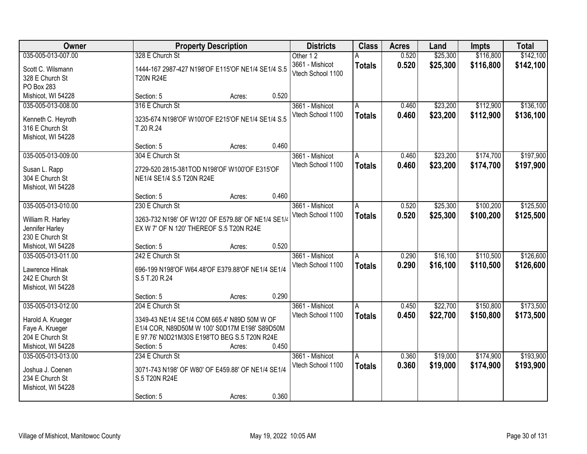| Owner                                 | <b>Property Description</b>                        |       | <b>Districts</b>  | <b>Class</b>  | <b>Acres</b> | Land     | <b>Impts</b> | <b>Total</b> |
|---------------------------------------|----------------------------------------------------|-------|-------------------|---------------|--------------|----------|--------------|--------------|
| 035-005-013-007.00                    | 328 E Church St                                    |       | Other 12          |               | 0.520        | \$25,300 | \$116,800    | \$142,100    |
| Scott C. Wilsmann                     | 1444-167 2987-427 N198'OF E115'OF NE1/4 SE1/4 S.5  |       | 3661 - Mishicot   | <b>Totals</b> | 0.520        | \$25,300 | \$116,800    | \$142,100    |
| 328 E Church St                       | <b>T20N R24E</b>                                   |       | Vtech School 1100 |               |              |          |              |              |
| PO Box 283                            |                                                    |       |                   |               |              |          |              |              |
| Mishicot, WI 54228                    | Section: 5<br>Acres:                               | 0.520 |                   |               |              |          |              |              |
| 035-005-013-008.00                    | 316 E Church St                                    |       | 3661 - Mishicot   | A             | 0.460        | \$23,200 | \$112,900    | \$136,100    |
|                                       |                                                    |       | Vtech School 1100 | <b>Totals</b> | 0.460        | \$23,200 | \$112,900    | \$136,100    |
| Kenneth C. Heyroth                    | 3235-674 N198'OF W100'OF E215'OF NE1/4 SE1/4 S.5   |       |                   |               |              |          |              |              |
| 316 E Church St                       | T.20 R.24                                          |       |                   |               |              |          |              |              |
| Mishicot, WI 54228                    |                                                    |       |                   |               |              |          |              |              |
|                                       | Section: 5<br>Acres:                               | 0.460 |                   |               |              |          |              |              |
| 035-005-013-009.00                    | 304 E Church St                                    |       | 3661 - Mishicot   | A             | 0.460        | \$23,200 | \$174,700    | \$197,900    |
| Susan L. Rapp                         | 2729-520 2815-381TOD N198'OF W100'OF E315'OF       |       | Vtech School 1100 | <b>Totals</b> | 0.460        | \$23,200 | \$174,700    | \$197,900    |
| 304 E Church St                       | NE1/4 SE1/4 S.5 T20N R24E                          |       |                   |               |              |          |              |              |
| Mishicot, WI 54228                    |                                                    |       |                   |               |              |          |              |              |
|                                       | Section: 5<br>Acres:                               | 0.460 |                   |               |              |          |              |              |
| 035-005-013-010.00                    | 230 E Church St                                    |       | 3661 - Mishicot   | A             | 0.520        | \$25,300 | \$100,200    | \$125,500    |
|                                       |                                                    |       | Vtech School 1100 | <b>Totals</b> | 0.520        | \$25,300 | \$100,200    | \$125,500    |
| William R. Harley                     | 3263-732 N198' OF W120' OF E579.88' OF NE1/4 SE1/4 |       |                   |               |              |          |              |              |
| Jennifer Harley                       | EX W 7' OF N 120' THEREOF S.5 T20N R24E            |       |                   |               |              |          |              |              |
| 230 E Church St<br>Mishicot, WI 54228 |                                                    | 0.520 |                   |               |              |          |              |              |
| 035-005-013-011.00                    | Section: 5<br>Acres:<br>242 E Church St            |       |                   |               | 0.290        | \$16,100 | \$110,500    | \$126,600    |
|                                       |                                                    |       | 3661 - Mishicot   | A             |              |          |              |              |
| Lawrence Hlinak                       | 696-199 N198'OF W64.48'OF E379.88'OF NE1/4 SE1/4   |       | Vtech School 1100 | <b>Totals</b> | 0.290        | \$16,100 | \$110,500    | \$126,600    |
| 242 E Church St                       | S.5 T.20 R.24                                      |       |                   |               |              |          |              |              |
| Mishicot, WI 54228                    |                                                    |       |                   |               |              |          |              |              |
|                                       | Section: 5<br>Acres:                               | 0.290 |                   |               |              |          |              |              |
| 035-005-013-012.00                    | 204 E Church St                                    |       | 3661 - Mishicot   | A             | 0.450        | \$22,700 | \$150,800    | \$173,500    |
| Harold A. Krueger                     | 3349-43 NE1/4 SE1/4 COM 665.4' N89D 50M W OF       |       | Vtech School 1100 | <b>Totals</b> | 0.450        | \$22,700 | \$150,800    | \$173,500    |
| Faye A. Krueger                       | E1/4 COR, N89D50M W 100' S0D17M E198' S89D50M      |       |                   |               |              |          |              |              |
| 204 E Church St                       | E 97.76' N0D21M30S E198'TO BEG S.5 T20N R24E       |       |                   |               |              |          |              |              |
| Mishicot, WI 54228                    | Section: 5<br>Acres:                               | 0.450 |                   |               |              |          |              |              |
| 035-005-013-013.00                    | 234 E Church St                                    |       | 3661 - Mishicot   | A             | 0.360        | \$19,000 | \$174,900    | \$193,900    |
|                                       |                                                    |       | Vtech School 1100 | <b>Totals</b> | 0.360        | \$19,000 | \$174,900    | \$193,900    |
| Joshua J. Coenen                      | 3071-743 N198' OF W80' OF E459.88' OF NE1/4 SE1/4  |       |                   |               |              |          |              |              |
| 234 E Church St                       | S.5 T20N R24E                                      |       |                   |               |              |          |              |              |
| Mishicot, WI 54228                    |                                                    |       |                   |               |              |          |              |              |
|                                       | Section: 5<br>Acres:                               | 0.360 |                   |               |              |          |              |              |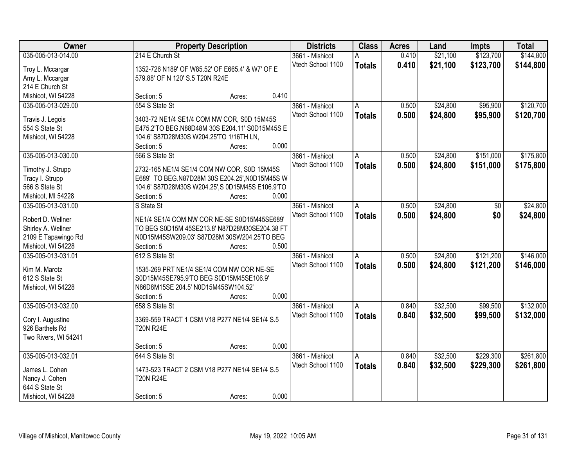| Owner                | <b>Property Description</b>                      |       | <b>Districts</b>  | <b>Class</b>   | <b>Acres</b> | Land     | <b>Impts</b> | <b>Total</b> |
|----------------------|--------------------------------------------------|-------|-------------------|----------------|--------------|----------|--------------|--------------|
| 035-005-013-014.00   | 214 E Church St                                  |       | 3661 - Mishicot   | Α              | 0.410        | \$21,100 | \$123,700    | \$144,800    |
| Troy L. Mccargar     | 1352-726 N189' OF W85.52' OF E665.4' & W7' OF E  |       | Vtech School 1100 | <b>Totals</b>  | 0.410        | \$21,100 | \$123,700    | \$144,800    |
| Amy L. Mccargar      | 579.88' OF N 120' S.5 T20N R24E                  |       |                   |                |              |          |              |              |
| 214 E Church St      |                                                  |       |                   |                |              |          |              |              |
| Mishicot, WI 54228   | Section: 5<br>Acres:                             | 0.410 |                   |                |              |          |              |              |
| 035-005-013-029.00   | 554 S State St                                   |       | 3661 - Mishicot   | Α              | 0.500        | \$24,800 | \$95,900     | \$120,700    |
|                      |                                                  |       | Vtech School 1100 | <b>Totals</b>  | 0.500        | \$24,800 | \$95,900     | \$120,700    |
| Travis J. Legois     | 3403-72 NE1/4 SE1/4 COM NW COR, S0D 15M45S       |       |                   |                |              |          |              |              |
| 554 S State St       | E475.2'TO BEG.N88D48M 30S E204.11' S0D15M45S E   |       |                   |                |              |          |              |              |
| Mishicot, WI 54228   | 104.6' S87D28M30S W204.25'TO 1/16TH LN,          |       |                   |                |              |          |              |              |
|                      | Section: 5<br>Acres:                             | 0.000 |                   |                |              |          |              |              |
| 035-005-013-030.00   | 566 S State St                                   |       | 3661 - Mishicot   | A              | 0.500        | \$24,800 | \$151,000    | \$175,800    |
| Timothy J. Strupp    | 2732-165 NE1/4 SE1/4 COM NW COR, S0D 15M45S      |       | Vtech School 1100 | <b>Totals</b>  | 0.500        | \$24,800 | \$151,000    | \$175,800    |
| Tracy I. Strupp      | E689' TO BEG.N87D28M 30S E204.25', N0D15M45S W   |       |                   |                |              |          |              |              |
| 566 S State St       | 104.6' S87D28M30S W204.25', S 0D15M45S E106.9'TO |       |                   |                |              |          |              |              |
| Mishicot, MI 54228   | Section: 5<br>Acres:                             | 0.000 |                   |                |              |          |              |              |
| 035-005-013-031.00   | S State St                                       |       | 3661 - Mishicot   | A              | 0.500        | \$24,800 | \$0          | \$24,800     |
|                      |                                                  |       | Vtech School 1100 | <b>Totals</b>  | 0.500        | \$24,800 | \$0          | \$24,800     |
| Robert D. Wellner    | NE1/4 SE1/4 COM NW COR NE-SE S0D15M45SE689'      |       |                   |                |              |          |              |              |
| Shirley A. Wellner   | TO BEG S0D15M 45SE213.8' N87D28M30SE204.38 FT    |       |                   |                |              |          |              |              |
| 2109 E Tapawingo Rd  | N0D15M45SW209.03' S87D28M 30SW204.25'TO BEG      |       |                   |                |              |          |              |              |
| Mishicot, WI 54228   | Section: 5<br>Acres:                             | 0.500 |                   |                |              |          |              |              |
| 035-005-013-031.01   | 612 S State St                                   |       | 3661 - Mishicot   | $\overline{A}$ | 0.500        | \$24,800 | \$121,200    | \$146,000    |
| Kim M. Marotz        | 1535-269 PRT NE1/4 SE1/4 COM NW COR NE-SE        |       | Vtech School 1100 | <b>Totals</b>  | 0.500        | \$24,800 | \$121,200    | \$146,000    |
| 612 S State St       | S0D15M45SE795.9'TO BEG S0D15M45SE106.9'          |       |                   |                |              |          |              |              |
| Mishicot, WI 54228   | N86D8M15SE 204.5' N0D15M45SW104.52'              |       |                   |                |              |          |              |              |
|                      | Section: 5<br>Acres:                             | 0.000 |                   |                |              |          |              |              |
| 035-005-013-032.00   | 658 S State St                                   |       | 3661 - Mishicot   | l A            | 0.840        | \$32,500 | \$99,500     | \$132,000    |
|                      |                                                  |       | Vtech School 1100 |                | 0.840        | \$32,500 | \$99,500     | \$132,000    |
| Cory I. Augustine    | 3369-559 TRACT 1 CSM V18 P277 NE1/4 SE1/4 S.5    |       |                   | <b>Totals</b>  |              |          |              |              |
| 926 Barthels Rd      | <b>T20N R24E</b>                                 |       |                   |                |              |          |              |              |
| Two Rivers, WI 54241 |                                                  |       |                   |                |              |          |              |              |
|                      | Section: 5<br>Acres:                             | 0.000 |                   |                |              |          |              |              |
| 035-005-013-032.01   | 644 S State St                                   |       | 3661 - Mishicot   | A              | 0.840        | \$32,500 | \$229,300    | \$261,800    |
| James L. Cohen       | 1473-523 TRACT 2 CSM V18 P277 NE1/4 SE1/4 S.5    |       | Vtech School 1100 | <b>Totals</b>  | 0.840        | \$32,500 | \$229,300    | \$261,800    |
| Nancy J. Cohen       | <b>T20N R24E</b>                                 |       |                   |                |              |          |              |              |
| 644 S State St       |                                                  |       |                   |                |              |          |              |              |
|                      |                                                  |       |                   |                |              |          |              |              |
| Mishicot, WI 54228   | Section: 5<br>Acres:                             | 0.000 |                   |                |              |          |              |              |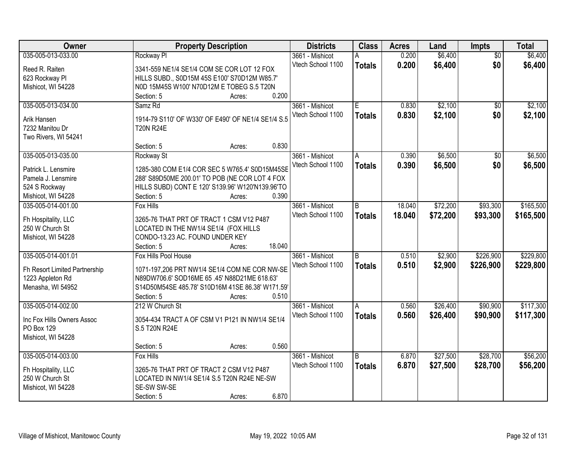| Owner                         | <b>Property Description</b>                        |        |        | <b>Districts</b>  | <b>Class</b>   | <b>Acres</b> | Land     | <b>Impts</b>    | <b>Total</b> |
|-------------------------------|----------------------------------------------------|--------|--------|-------------------|----------------|--------------|----------|-----------------|--------------|
| 035-005-013-033.00            | Rockway Pl                                         |        |        | 3661 - Mishicot   | А              | 0.200        | \$6,400  | $\overline{50}$ | \$6,400      |
| Reed R. Raiten                | 3341-559 NE1/4 SE1/4 COM SE COR LOT 12 FOX         |        |        | Vtech School 1100 | <b>Totals</b>  | 0.200        | \$6,400  | \$0             | \$6,400      |
| 623 Rockway Pl                | HILLS SUBD., S0D15M 45S E100' S70D12M W85.7'       |        |        |                   |                |              |          |                 |              |
| Mishicot, WI 54228            | N0D 15M45S W100' N70D12M E TOBEG S.5 T20N          |        |        |                   |                |              |          |                 |              |
|                               | Section: 5                                         | Acres: | 0.200  |                   |                |              |          |                 |              |
| 035-005-013-034.00            | Samz <sub>Rd</sub>                                 |        |        | 3661 - Mishicot   | F.             | 0.830        | \$2,100  | $\overline{50}$ | \$2,100      |
|                               |                                                    |        |        | Vtech School 1100 | <b>Totals</b>  | 0.830        | \$2,100  | \$0             | \$2,100      |
| Arik Hansen                   | 1914-79 S110' OF W330' OF E490' OF NE1/4 SE1/4 S.5 |        |        |                   |                |              |          |                 |              |
| 7232 Manitou Dr               | <b>T20N R24E</b>                                   |        |        |                   |                |              |          |                 |              |
| Two Rivers, WI 54241          |                                                    |        |        |                   |                |              |          |                 |              |
|                               | Section: 5                                         | Acres: | 0.830  |                   |                |              |          |                 |              |
| 035-005-013-035.00            | Rockway St                                         |        |        | 3661 - Mishicot   | A              | 0.390        | \$6,500  | $\overline{50}$ | \$6,500      |
| Patrick L. Lensmire           | 1285-380 COM E1/4 COR SEC 5 W765.4' S0D15M45SE     |        |        | Vtech School 1100 | <b>Totals</b>  | 0.390        | \$6,500  | \$0             | \$6,500      |
| Pamela J. Lensmire            | 288' S89D50ME 200.01' TO POB (NE COR LOT 4 FOX     |        |        |                   |                |              |          |                 |              |
| 524 S Rockway                 | HILLS SUBD) CONT E 120' S139.96' W120'N139.96'TO   |        |        |                   |                |              |          |                 |              |
| Mishicot, WI 54228            | Section: 5                                         | Acres: | 0.390  |                   |                |              |          |                 |              |
| 035-005-014-001.00            | Fox Hills                                          |        |        | 3661 - Mishicot   | B              | 18,040       | \$72,200 | \$93,300        | \$165,500    |
|                               |                                                    |        |        | Vtech School 1100 | <b>Totals</b>  | 18.040       | \$72,200 | \$93,300        | \$165,500    |
| Fh Hospitality, LLC           | 3265-76 THAT PRT OF TRACT 1 CSM V12 P487           |        |        |                   |                |              |          |                 |              |
| 250 W Church St               | LOCATED IN THE NW1/4 SE1/4 (FOX HILLS              |        |        |                   |                |              |          |                 |              |
| Mishicot, WI 54228            | CONDO-13.23 AC. FOUND UNDER KEY                    |        |        |                   |                |              |          |                 |              |
|                               | Section: 5                                         | Acres: | 18.040 |                   |                |              |          |                 |              |
| 035-005-014-001.01            | Fox Hills Pool House                               |        |        | 3661 - Mishicot   | $\overline{B}$ | 0.510        | \$2,900  | \$226,900       | \$229,800    |
| Fh Resort Limited Partnership | 1071-197,206 PRT NW1/4 SE1/4 COM NE COR NW-SE      |        |        | Vtech School 1100 | <b>Totals</b>  | 0.510        | \$2,900  | \$226,900       | \$229,800    |
| 1223 Appleton Rd              | N89DW706.6' SOD16ME 65 .45' N88D21ME 618.63'       |        |        |                   |                |              |          |                 |              |
| Menasha, WI 54952             | S14D50M54SE 485.78' S10D16M 41SE 86.38' W171.59'   |        |        |                   |                |              |          |                 |              |
|                               | Section: 5                                         | Acres: | 0.510  |                   |                |              |          |                 |              |
| 035-005-014-002.00            | 212 W Church St                                    |        |        | 3661 - Mishicot   | A              | 0.560        | \$26,400 | \$90,900        | \$117,300    |
|                               |                                                    |        |        | Vtech School 1100 | <b>Totals</b>  | 0.560        | \$26,400 | \$90,900        | \$117,300    |
| Inc Fox Hills Owners Assoc    | 3054-434 TRACT A OF CSM V1 P121 IN NW1/4 SE1/4     |        |        |                   |                |              |          |                 |              |
| PO Box 129                    | S.5 T20N R24E                                      |        |        |                   |                |              |          |                 |              |
| Mishicot, WI 54228            |                                                    |        |        |                   |                |              |          |                 |              |
|                               | Section: 5                                         | Acres: | 0.560  |                   |                |              |          |                 |              |
| 035-005-014-003.00            | <b>Fox Hills</b>                                   |        |        | 3661 - Mishicot   | B              | 6.870        | \$27,500 | \$28,700        | \$56,200     |
| Fh Hospitality, LLC           | 3265-76 THAT PRT OF TRACT 2 CSM V12 P487           |        |        | Vtech School 1100 | <b>Totals</b>  | 6.870        | \$27,500 | \$28,700        | \$56,200     |
| 250 W Church St               | LOCATED IN NW1/4 SE1/4 S.5 T20N R24E NE-SW         |        |        |                   |                |              |          |                 |              |
| Mishicot, WI 54228            | SE-SW SW-SE                                        |        |        |                   |                |              |          |                 |              |
|                               | Section: 5                                         | Acres: | 6.870  |                   |                |              |          |                 |              |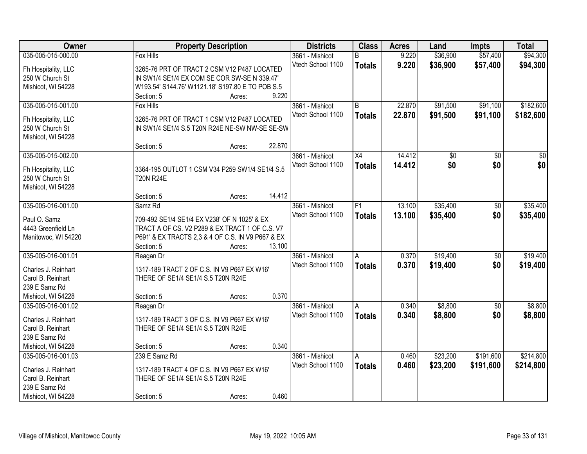| Owner               |                                                                 | <b>Property Description</b> |        | <b>Districts</b>  | <b>Class</b>  | <b>Acres</b> | Land            | <b>Impts</b>    | <b>Total</b>    |
|---------------------|-----------------------------------------------------------------|-----------------------------|--------|-------------------|---------------|--------------|-----------------|-----------------|-----------------|
| 035-005-015-000.00  | <b>Fox Hills</b>                                                |                             |        | 3661 - Mishicot   | B             | 9.220        | \$36,900        | \$57,400        | \$94,300        |
| Fh Hospitality, LLC | 3265-76 PRT OF TRACT 2 CSM V12 P487 LOCATED                     |                             |        | Vtech School 1100 | <b>Totals</b> | 9.220        | \$36,900        | \$57,400        | \$94,300        |
| 250 W Church St     | IN SW1/4 SE1/4 EX COM SE COR SW-SE N 339.47'                    |                             |        |                   |               |              |                 |                 |                 |
| Mishicot, WI 54228  | W193.54' S144.76' W1121.18' S197.80 E TO POB S.5                |                             |        |                   |               |              |                 |                 |                 |
|                     | Section: 5                                                      | Acres:                      | 9.220  |                   |               |              |                 |                 |                 |
| 035-005-015-001.00  | <b>Fox Hills</b>                                                |                             |        | 3661 - Mishicot   | B             | 22.870       | \$91,500        | \$91,100        | \$182,600       |
|                     |                                                                 |                             |        | Vtech School 1100 | <b>Totals</b> | 22.870       | \$91,500        | \$91,100        | \$182,600       |
| Fh Hospitality, LLC | 3265-76 PRT OF TRACT 1 CSM V12 P487 LOCATED                     |                             |        |                   |               |              |                 |                 |                 |
| 250 W Church St     | IN SW1/4 SE1/4 S.5 T20N R24E NE-SW NW-SE SE-SW                  |                             |        |                   |               |              |                 |                 |                 |
| Mishicot, WI 54228  |                                                                 |                             |        |                   |               |              |                 |                 |                 |
|                     | Section: 5                                                      | Acres:                      | 22.870 |                   |               |              |                 |                 | $\overline{30}$ |
| 035-005-015-002.00  |                                                                 |                             |        | 3661 - Mishicot   | X4            | 14.412       | $\overline{50}$ | \$0             |                 |
| Fh Hospitality, LLC | 3364-195 OUTLOT 1 CSM V34 P259 SW1/4 SE1/4 S.5                  |                             |        | Vtech School 1100 | <b>Totals</b> | 14.412       | \$0             | \$0             | \$0             |
| 250 W Church St     | <b>T20N R24E</b>                                                |                             |        |                   |               |              |                 |                 |                 |
| Mishicot, WI 54228  |                                                                 |                             |        |                   |               |              |                 |                 |                 |
|                     | Section: 5                                                      | Acres:                      | 14.412 |                   |               |              |                 |                 |                 |
| 035-005-016-001.00  | Samz Rd                                                         |                             |        | 3661 - Mishicot   | F1            | 13.100       | \$35,400        | \$0             | \$35,400        |
| Paul O. Samz        |                                                                 |                             |        | Vtech School 1100 | <b>Totals</b> | 13.100       | \$35,400        | \$0             | \$35,400        |
|                     | 709-492 SE1/4 SE1/4 EX V238' OF N 1025' & EX                    |                             |        |                   |               |              |                 |                 |                 |
| 4443 Greenfield Ln  | TRACT A OF CS. V2 P289 & EX TRACT 1 OF C.S. V7                  |                             |        |                   |               |              |                 |                 |                 |
| Manitowoc, WI 54220 | P691' & EX TRACTS 2,3 & 4 OF C.S. IN V9 P667 & EX<br>Section: 5 |                             | 13.100 |                   |               |              |                 |                 |                 |
|                     |                                                                 | Acres:                      |        |                   |               | 0.370        | \$19,400        |                 | \$19,400        |
| 035-005-016-001.01  | Reagan Dr                                                       |                             |        | 3661 - Mishicot   | A             |              |                 | $\overline{50}$ |                 |
| Charles J. Reinhart | 1317-189 TRACT 2 OF C.S. IN V9 P667 EX W16'                     |                             |        | Vtech School 1100 | <b>Totals</b> | 0.370        | \$19,400        | \$0             | \$19,400        |
| Carol B. Reinhart   | THERE OF SE1/4 SE1/4 S.5 T20N R24E                              |                             |        |                   |               |              |                 |                 |                 |
| 239 E Samz Rd       |                                                                 |                             |        |                   |               |              |                 |                 |                 |
| Mishicot, WI 54228  | Section: 5                                                      | Acres:                      | 0.370  |                   |               |              |                 |                 |                 |
| 035-005-016-001.02  | Reagan Dr                                                       |                             |        | 3661 - Mishicot   | A             | 0.340        | \$8,800         | \$0             | \$8,800         |
| Charles J. Reinhart | 1317-189 TRACT 3 OF C.S. IN V9 P667 EX W16'                     |                             |        | Vtech School 1100 | <b>Totals</b> | 0.340        | \$8,800         | \$0             | \$8,800         |
| Carol B. Reinhart   | THERE OF SE1/4 SE1/4 S.5 T20N R24E                              |                             |        |                   |               |              |                 |                 |                 |
| 239 E Samz Rd       |                                                                 |                             |        |                   |               |              |                 |                 |                 |
| Mishicot, WI 54228  | Section: 5                                                      |                             | 0.340  |                   |               |              |                 |                 |                 |
|                     | 239 E Samz Rd                                                   | Acres:                      |        |                   |               |              |                 |                 |                 |
| 035-005-016-001.03  |                                                                 |                             |        | 3661 - Mishicot   | A             | 0.460        | \$23,200        | \$191,600       | \$214,800       |
| Charles J. Reinhart | 1317-189 TRACT 4 OF C.S. IN V9 P667 EX W16'                     |                             |        | Vtech School 1100 | <b>Totals</b> | 0.460        | \$23,200        | \$191,600       | \$214,800       |
| Carol B. Reinhart   | THERE OF SE1/4 SE1/4 S.5 T20N R24E                              |                             |        |                   |               |              |                 |                 |                 |
| 239 E Samz Rd       |                                                                 |                             |        |                   |               |              |                 |                 |                 |
| Mishicot, WI 54228  | Section: 5                                                      | Acres:                      | 0.460  |                   |               |              |                 |                 |                 |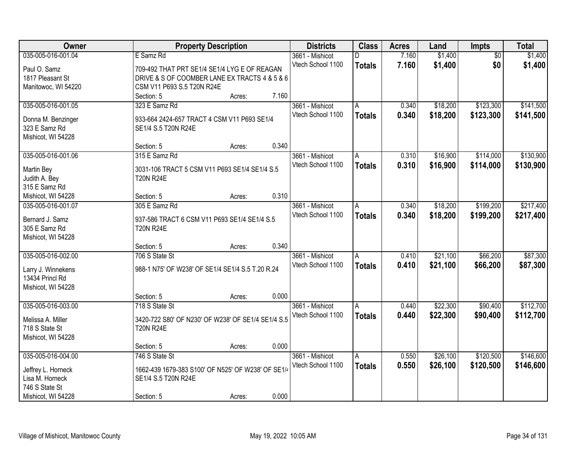| Owner                               |                                                                    | <b>Property Description</b> |       | <b>Districts</b>  | <b>Class</b>  | <b>Acres</b> | Land     | Impts           | <b>Total</b> |
|-------------------------------------|--------------------------------------------------------------------|-----------------------------|-------|-------------------|---------------|--------------|----------|-----------------|--------------|
| 035-005-016-001.04                  | E Samz Rd                                                          |                             |       | 3661 - Mishicot   | D             | 7.160        | \$1,400  | $\overline{50}$ | \$1,400      |
| Paul O. Samz                        | 709-492 THAT PRT SE1/4 SE1/4 LYG E OF REAGAN                       |                             |       | Vtech School 1100 | <b>Totals</b> | 7.160        | \$1,400  | \$0             | \$1,400      |
| 1817 Pleasant St                    | DRIVE & S OF COOMBER LANE EX TRACTS 4 & 5 & 6                      |                             |       |                   |               |              |          |                 |              |
| Manitowoc, WI 54220                 | CSM V11 P693 S.5 T20N R24E                                         |                             |       |                   |               |              |          |                 |              |
|                                     | Section: 5                                                         | Acres:                      | 7.160 |                   |               |              |          |                 |              |
| 035-005-016-001.05                  | 323 E Samz Rd                                                      |                             |       | 3661 - Mishicot   | A             | 0.340        | \$18,200 | \$123,300       | \$141,500    |
|                                     |                                                                    |                             |       | Vtech School 1100 | <b>Totals</b> | 0.340        | \$18,200 | \$123,300       | \$141,500    |
| Donna M. Benzinger<br>323 E Samz Rd | 933-664 2424-657 TRACT 4 CSM V11 P693 SE1/4<br>SE1/4 S.5 T20N R24E |                             |       |                   |               |              |          |                 |              |
|                                     |                                                                    |                             |       |                   |               |              |          |                 |              |
| Mishicot, WI 54228                  | Section: 5                                                         | Acres:                      | 0.340 |                   |               |              |          |                 |              |
| 035-005-016-001.06                  | 315 E Samz Rd                                                      |                             |       | 3661 - Mishicot   | A             | 0.310        | \$16,900 | \$114,000       | \$130,900    |
|                                     |                                                                    |                             |       | Vtech School 1100 | <b>Totals</b> | 0.310        | \$16,900 | \$114,000       | \$130,900    |
| Martin Bey                          | 3031-106 TRACT 5 CSM V11 P693 SE1/4 SE1/4 S.5                      |                             |       |                   |               |              |          |                 |              |
| Judith A. Bey                       | <b>T20N R24E</b>                                                   |                             |       |                   |               |              |          |                 |              |
| 315 E Samz Rd                       |                                                                    |                             |       |                   |               |              |          |                 |              |
| Mishicot, WI 54228                  | Section: 5                                                         | Acres:                      | 0.310 |                   |               |              |          |                 |              |
| 035-005-016-001.07                  | 305 E Samz Rd                                                      |                             |       | 3661 - Mishicot   | A             | 0.340        | \$18,200 | \$199,200       | \$217,400    |
| Bernard J. Samz                     | 937-586 TRACT 6 CSM V11 P693 SE1/4 SE1/4 S.5                       |                             |       | Vtech School 1100 | <b>Totals</b> | 0.340        | \$18,200 | \$199,200       | \$217,400    |
| 305 E Samz Rd                       | <b>T20N R24E</b>                                                   |                             |       |                   |               |              |          |                 |              |
| Mishicot, WI 54228                  |                                                                    |                             |       |                   |               |              |          |                 |              |
|                                     | Section: 5                                                         | Acres:                      | 0.340 |                   |               |              |          |                 |              |
| 035-005-016-002.00                  | 706 S State St                                                     |                             |       | 3661 - Mishicot   | Α             | 0.410        | \$21,100 | \$66,200        | \$87,300     |
| Larry J. Winnekens                  | 988-1 N75' OF W238' OF SE1/4 SE1/4 S.5 T.20 R.24                   |                             |       | Vtech School 1100 | <b>Totals</b> | 0.410        | \$21,100 | \$66,200        | \$87,300     |
| 13434 Princl Rd                     |                                                                    |                             |       |                   |               |              |          |                 |              |
| Mishicot, WI 54228                  |                                                                    |                             |       |                   |               |              |          |                 |              |
|                                     | Section: 5                                                         | Acres:                      | 0.000 |                   |               |              |          |                 |              |
| 035-005-016-003.00                  | 718 S State St                                                     |                             |       | 3661 - Mishicot   | A             | 0.440        | \$22,300 | \$90,400        | \$112,700    |
|                                     |                                                                    |                             |       | Vtech School 1100 | <b>Totals</b> | 0.440        | \$22,300 | \$90,400        | \$112,700    |
| Melissa A. Miller                   | 3420-722 S80' OF N230' OF W238' OF SE1/4 SE1/4 S.5                 |                             |       |                   |               |              |          |                 |              |
| 718 S State St                      | <b>T20N R24E</b>                                                   |                             |       |                   |               |              |          |                 |              |
| Mishicot, WI 54228                  |                                                                    |                             | 0.000 |                   |               |              |          |                 |              |
|                                     | Section: 5                                                         | Acres:                      |       |                   |               |              |          |                 |              |
| 035-005-016-004.00                  | 746 S State St                                                     |                             |       | 3661 - Mishicot   | Α             | 0.550        | \$26,100 | \$120,500       | \$146,600    |
| Jeffrey L. Horneck                  | 1662-439 1679-383 S100' OF N525' OF W238' OF SE1/4                 |                             |       | Vtech School 1100 | <b>Totals</b> | 0.550        | \$26,100 | \$120,500       | \$146,600    |
| Lisa M. Horneck                     | SE1/4 S.5 T20N R24E                                                |                             |       |                   |               |              |          |                 |              |
| 746 S State St                      |                                                                    |                             |       |                   |               |              |          |                 |              |
| Mishicot, WI 54228                  | Section: 5                                                         | Acres:                      | 0.000 |                   |               |              |          |                 |              |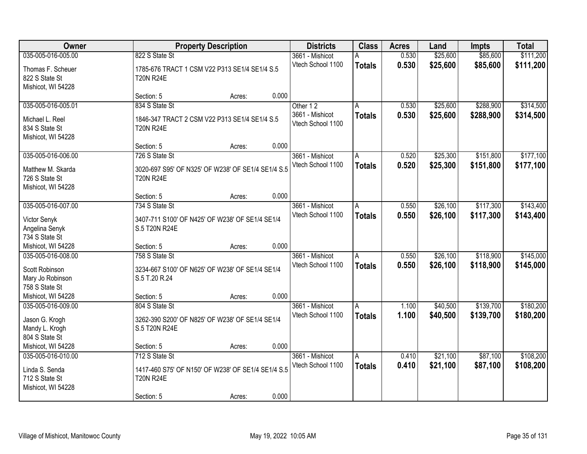| Owner                                                                        | <b>Property Description</b>                                                              |        |       | <b>Districts</b>                                 | <b>Class</b>       | <b>Acres</b>   | Land                 | <b>Impts</b>           | <b>Total</b>           |
|------------------------------------------------------------------------------|------------------------------------------------------------------------------------------|--------|-------|--------------------------------------------------|--------------------|----------------|----------------------|------------------------|------------------------|
| 035-005-016-005.00                                                           | 822 S State St                                                                           |        |       | 3661 - Mishicot                                  | Α                  | 0.530          | \$25,600             | \$85,600               | \$111,200              |
| Thomas F. Scheuer<br>822 S State St<br>Mishicot, WI 54228                    | 1785-676 TRACT 1 CSM V22 P313 SE1/4 SE1/4 S.5<br><b>T20N R24E</b>                        |        |       | Vtech School 1100                                | <b>Totals</b>      | 0.530          | \$25,600             | \$85,600               | \$111,200              |
|                                                                              | Section: 5                                                                               | Acres: | 0.000 |                                                  |                    |                |                      |                        |                        |
| 035-005-016-005.01<br>Michael L. Reel<br>834 S State St                      | 834 S State St<br>1846-347 TRACT 2 CSM V22 P313 SE1/4 SE1/4 S.5<br><b>T20N R24E</b>      |        |       | Other 12<br>3661 - Mishicot<br>Vtech School 1100 | А<br><b>Totals</b> | 0.530<br>0.530 | \$25,600<br>\$25,600 | \$288,900<br>\$288,900 | \$314,500<br>\$314,500 |
| Mishicot, WI 54228                                                           | Section: 5                                                                               | Acres: | 0.000 |                                                  |                    |                |                      |                        |                        |
| 035-005-016-006.00                                                           | 726 S State St                                                                           |        |       | 3661 - Mishicot                                  | A                  | 0.520          | \$25,300             | \$151,800              | \$177,100              |
| Matthew M. Skarda<br>726 S State St<br>Mishicot, WI 54228                    | 3020-697 S95' OF N325' OF W238' OF SE1/4 SE1/4 S.5<br><b>T20N R24E</b>                   |        |       | Vtech School 1100                                | <b>Totals</b>      | 0.520          | \$25,300             | \$151,800              | \$177,100              |
|                                                                              | Section: 5                                                                               | Acres: | 0.000 |                                                  |                    |                |                      |                        |                        |
| 035-005-016-007.00                                                           | 734 S State St                                                                           |        |       | 3661 - Mishicot                                  | A                  | 0.550          | \$26,100             | \$117,300              | \$143,400              |
| Victor Senyk<br>Angelina Senyk<br>734 S State St                             | 3407-711 S100' OF N425' OF W238' OF SE1/4 SE1/4<br>S.5 T20N R24E                         |        |       | Vtech School 1100                                | <b>Totals</b>      | 0.550          | \$26,100             | \$117,300              | \$143,400              |
| Mishicot, WI 54228                                                           | Section: 5                                                                               | Acres: | 0.000 |                                                  |                    |                |                      |                        |                        |
| 035-005-016-008.00<br>Scott Robinson<br>Mary Jo Robinson<br>758 S State St   | 758 S State St<br>3234-667 S100' OF N625' OF W238' OF SE1/4 SE1/4<br>S.5 T.20 R.24       |        |       | 3661 - Mishicot<br>Vtech School 1100             | A<br><b>Totals</b> | 0.550<br>0.550 | \$26,100<br>\$26,100 | \$118,900<br>\$118,900 | \$145,000<br>\$145,000 |
| Mishicot, WI 54228                                                           | Section: 5                                                                               | Acres: | 0.000 |                                                  |                    |                |                      |                        |                        |
| 035-005-016-009.00<br>Jason G. Krogh<br>Mandy L. Krogh<br>804 S State St     | 804 S State St<br>3262-390 S200' OF N825' OF W238' OF SE1/4 SE1/4<br>S.5 T20N R24E       |        |       | 3661 - Mishicot<br>Vtech School 1100             | A<br><b>Totals</b> | 1.100<br>1.100 | \$40,500<br>\$40,500 | \$139,700<br>\$139,700 | \$180,200<br>\$180,200 |
| Mishicot, WI 54228                                                           | Section: 5                                                                               | Acres: | 0.000 |                                                  |                    |                |                      |                        |                        |
| 035-005-016-010.00<br>Linda S. Senda<br>712 S State St<br>Mishicot, WI 54228 | 712 S State St<br>1417-460 S75' OF N150' OF W238' OF SE1/4 SE1/4 S.5<br><b>T20N R24E</b> |        |       | 3661 - Mishicot<br>Vtech School 1100             | A<br><b>Totals</b> | 0.410<br>0.410 | \$21,100<br>\$21,100 | \$87,100<br>\$87,100   | \$108,200<br>\$108,200 |
|                                                                              | Section: 5                                                                               | Acres: | 0.000 |                                                  |                    |                |                      |                        |                        |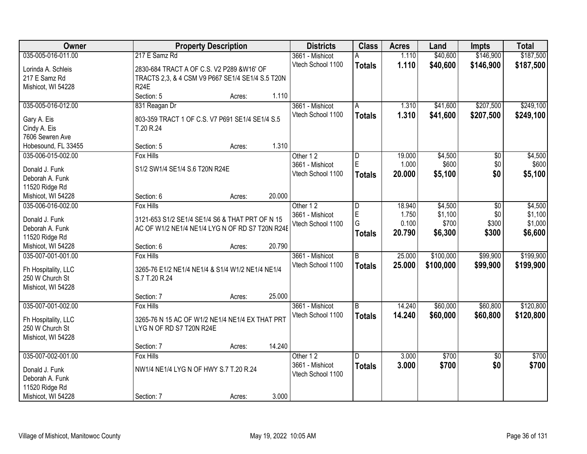| Owner                                  |                                                  | <b>Property Description</b> |        | <b>Districts</b>  | <b>Class</b>  | <b>Acres</b> | Land      | Impts           | <b>Total</b> |
|----------------------------------------|--------------------------------------------------|-----------------------------|--------|-------------------|---------------|--------------|-----------|-----------------|--------------|
| 035-005-016-011.00                     | 217 E Samz Rd                                    |                             |        | 3661 - Mishicot   | Α             | 1.110        | \$40,600  | \$146,900       | \$187,500    |
| Lorinda A. Schleis                     | 2830-684 TRACT A OF C.S. V2 P289 &W16' OF        |                             |        | Vtech School 1100 | <b>Totals</b> | 1.110        | \$40,600  | \$146,900       | \$187,500    |
| 217 E Samz Rd                          | TRACTS 2,3, & 4 CSM V9 P667 SE1/4 SE1/4 S.5 T20N |                             |        |                   |               |              |           |                 |              |
| Mishicot, WI 54228                     | <b>R24E</b>                                      |                             |        |                   |               |              |           |                 |              |
|                                        | Section: 5                                       | Acres:                      | 1.110  |                   |               |              |           |                 |              |
| 035-005-016-012.00                     | 831 Reagan Dr                                    |                             |        | 3661 - Mishicot   | A             | 1.310        | \$41,600  | \$207,500       | \$249,100    |
|                                        |                                                  |                             |        | Vtech School 1100 | <b>Totals</b> | 1.310        | \$41,600  | \$207,500       | \$249,100    |
| Gary A. Eis                            | 803-359 TRACT 1 OF C.S. V7 P691 SE1/4 SE1/4 S.5  |                             |        |                   |               |              |           |                 |              |
| Cindy A. Eis                           | T.20 R.24                                        |                             |        |                   |               |              |           |                 |              |
| 7606 Sewren Ave                        |                                                  |                             |        |                   |               |              |           |                 |              |
| Hobesound, FL 33455                    | Section: 5                                       | Acres:                      | 1.310  |                   |               |              |           |                 |              |
| 035-006-015-002.00                     | <b>Fox Hills</b>                                 |                             |        | Other 12          | D             | 19.000       | \$4,500   | \$0             | \$4,500      |
| Donald J. Funk                         | S1/2 SW1/4 SE1/4 S.6 T20N R24E                   |                             |        | 3661 - Mishicot   | $\mathsf E$   | 1.000        | \$600     | \$0             | \$600        |
| Deborah A. Funk                        |                                                  |                             |        | Vtech School 1100 | <b>Totals</b> | 20.000       | \$5,100   | \$0             | \$5,100      |
| 11520 Ridge Rd                         |                                                  |                             |        |                   |               |              |           |                 |              |
| Mishicot, WI 54228                     | Section: 6                                       | Acres:                      | 20.000 |                   |               |              |           |                 |              |
| 035-006-016-002.00                     | <b>Fox Hills</b>                                 |                             |        | Other 12          | D             | 18.940       | \$4,500   | $\sqrt[6]{}$    | \$4,500      |
|                                        |                                                  |                             |        | 3661 - Mishicot   | E             | 1.750        | \$1,100   | \$0             | \$1,100      |
| Donald J. Funk                         | 3121-653 S1/2 SE1/4 SE1/4 S6 & THAT PRT OF N 15  |                             |        | Vtech School 1100 | G             | 0.100        | \$700     | \$300           | \$1,000      |
| Deborah A. Funk                        | AC OF W1/2 NE1/4 NE1/4 LYG N OF RD S7 T20N R24E  |                             |        |                   |               | 20.790       |           | \$300           |              |
| 11520 Ridge Rd                         |                                                  |                             |        |                   | <b>Totals</b> |              | \$6,300   |                 | \$6,600      |
| Mishicot, WI 54228                     | Section: 6                                       | Acres:                      | 20.790 |                   |               |              |           |                 |              |
| 035-007-001-001.00                     | <b>Fox Hills</b>                                 |                             |        | 3661 - Mishicot   | B             | 25.000       | \$100,000 | \$99,900        | \$199,900    |
|                                        | 3265-76 E1/2 NE1/4 NE1/4 & S1/4 W1/2 NE1/4 NE1/4 |                             |        | Vtech School 1100 | <b>Totals</b> | 25.000       | \$100,000 | \$99,900        | \$199,900    |
| Fh Hospitality, LLC<br>250 W Church St | S.7 T.20 R.24                                    |                             |        |                   |               |              |           |                 |              |
| Mishicot, WI 54228                     |                                                  |                             |        |                   |               |              |           |                 |              |
|                                        | Section: 7                                       |                             | 25.000 |                   |               |              |           |                 |              |
|                                        |                                                  | Acres:                      |        |                   |               | 14.240       |           |                 |              |
| 035-007-001-002.00                     | Fox Hills                                        |                             |        | 3661 - Mishicot   | l B           |              | \$60,000  | \$60,800        | \$120,800    |
| Fh Hospitality, LLC                    | 3265-76 N 15 AC OF W1/2 NE1/4 NE1/4 EX THAT PRT  |                             |        | Vtech School 1100 | <b>Totals</b> | 14.240       | \$60,000  | \$60,800        | \$120,800    |
| 250 W Church St                        | LYG N OF RD S7 T20N R24E                         |                             |        |                   |               |              |           |                 |              |
| Mishicot, WI 54228                     |                                                  |                             |        |                   |               |              |           |                 |              |
|                                        | Section: 7                                       | Acres:                      | 14.240 |                   |               |              |           |                 |              |
| 035-007-002-001.00                     | <b>Fox Hills</b>                                 |                             |        | Other 12          | D.            | 3.000        | \$700     | $\overline{50}$ | \$700        |
|                                        | NW1/4 NE1/4 LYG N OF HWY S.7 T.20 R.24           |                             |        | 3661 - Mishicot   | <b>Totals</b> | 3.000        | \$700     | \$0             | \$700        |
| Donald J. Funk<br>Deborah A. Funk      |                                                  |                             |        | Vtech School 1100 |               |              |           |                 |              |
|                                        |                                                  |                             |        |                   |               |              |           |                 |              |
| 11520 Ridge Rd                         |                                                  |                             |        |                   |               |              |           |                 |              |
| Mishicot, WI 54228                     | Section: 7                                       | Acres:                      | 3.000  |                   |               |              |           |                 |              |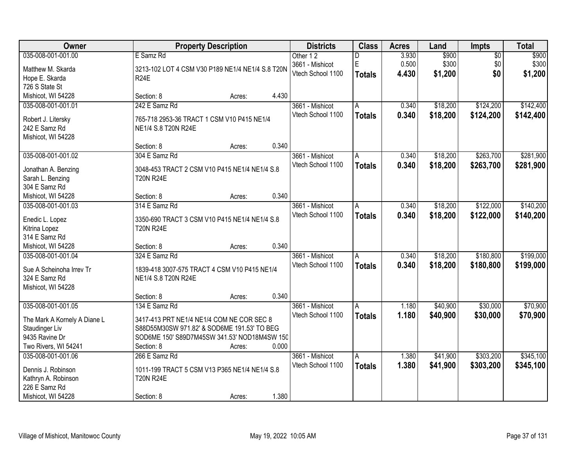| Owner                        |                                                  | <b>Property Description</b> |       |                                      | <b>Class</b>   | <b>Acres</b> | Land     | <b>Impts</b>    | <b>Total</b> |
|------------------------------|--------------------------------------------------|-----------------------------|-------|--------------------------------------|----------------|--------------|----------|-----------------|--------------|
| 035-008-001-001.00           | E Samz Rd                                        |                             |       | Other 12                             | D              | 3.930        | \$900    | $\overline{50}$ | \$900        |
| Matthew M. Skarda            | 3213-102 LOT 4 CSM V30 P189 NE1/4 NE1/4 S.8 T20N |                             |       | 3661 - Mishicot                      | E              | 0.500        | \$300    | \$0             | \$300        |
| Hope E. Skarda               | <b>R24E</b>                                      |                             |       | Vtech School 1100                    | <b>Totals</b>  | 4.430        | \$1,200  | \$0             | \$1,200      |
| 726 S State St               |                                                  |                             |       |                                      |                |              |          |                 |              |
| Mishicot, WI 54228           | Section: 8                                       | Acres:                      | 4.430 |                                      |                |              |          |                 |              |
| 035-008-001-001.01           | 242 E Samz Rd                                    |                             |       | 3661 - Mishicot                      | A              | 0.340        | \$18,200 | \$124,200       | \$142,400    |
|                              |                                                  |                             |       | Vtech School 1100                    | <b>Totals</b>  | 0.340        | \$18,200 | \$124,200       | \$142,400    |
| Robert J. Litersky           | 765-718 2953-36 TRACT 1 CSM V10 P415 NE1/4       |                             |       |                                      |                |              |          |                 |              |
| 242 E Samz Rd                | NE1/4 S.8 T20N R24E                              |                             |       |                                      |                |              |          |                 |              |
| Mishicot, WI 54228           |                                                  |                             |       |                                      |                |              |          |                 |              |
|                              | Section: 8                                       | Acres:                      | 0.340 |                                      |                |              |          |                 |              |
| 035-008-001-001.02           | 304 E Samz Rd                                    |                             |       | 3661 - Mishicot                      | A              | 0.340        | \$18,200 | \$263,700       | \$281,900    |
| Jonathan A. Benzing          | 3048-453 TRACT 2 CSM V10 P415 NE1/4 NE1/4 S.8    |                             |       | Vtech School 1100                    | <b>Totals</b>  | 0.340        | \$18,200 | \$263,700       | \$281,900    |
| Sarah L. Benzing             | <b>T20N R24E</b>                                 |                             |       |                                      |                |              |          |                 |              |
| 304 E Samz Rd                |                                                  |                             |       |                                      |                |              |          |                 |              |
| Mishicot, WI 54228           | Section: 8                                       | Acres:                      | 0.340 |                                      |                |              |          |                 |              |
| 035-008-001-001.03           | 314 E Samz Rd                                    |                             |       | 3661 - Mishicot                      | A              | 0.340        | \$18,200 | \$122,000       | \$140,200    |
|                              |                                                  |                             |       | Vtech School 1100                    | <b>Totals</b>  | 0.340        | \$18,200 | \$122,000       | \$140,200    |
| Enedic L. Lopez              | 3350-690 TRACT 3 CSM V10 P415 NE1/4 NE1/4 S.8    |                             |       |                                      |                |              |          |                 |              |
| Kitrina Lopez                | <b>T20N R24E</b>                                 |                             |       |                                      |                |              |          |                 |              |
| 314 E Samz Rd                |                                                  |                             |       |                                      |                |              |          |                 |              |
| Mishicot, WI 54228           | Section: 8                                       | Acres:                      | 0.340 |                                      |                |              |          |                 |              |
| 035-008-001-001.04           | 324 E Samz Rd                                    |                             |       | 3661 - Mishicot                      | $\overline{A}$ | 0.340        | \$18,200 | \$180,800       | \$199,000    |
| Sue A Scheinoha Irrev Tr     | 1839-418 3007-575 TRACT 4 CSM V10 P415 NE1/4     |                             |       | Vtech School 1100                    | <b>Totals</b>  | 0.340        | \$18,200 | \$180,800       | \$199,000    |
| 324 E Samz Rd                | NE1/4 S.8 T20N R24E                              |                             |       |                                      |                |              |          |                 |              |
| Mishicot, WI 54228           |                                                  |                             |       |                                      |                |              |          |                 |              |
|                              | Section: 8                                       | Acres:                      | 0.340 |                                      |                |              |          |                 |              |
| 035-008-001-001.05           |                                                  |                             |       |                                      |                |              | \$40,900 | \$30,000        | \$70,900     |
|                              | 134 E Samz Rd                                    |                             |       | 3661 - Mishicot<br>Vtech School 1100 | A              | 1.180        |          |                 |              |
| The Mark A Kornely A Diane L | 3417-413 PRT NE1/4 NE1/4 COM NE COR SEC 8        |                             |       |                                      | <b>Totals</b>  | 1.180        | \$40,900 | \$30,000        | \$70,900     |
| Staudinger Liv               | S88D55M30SW 971.82' & SOD6ME 191.53' TO BEG      |                             |       |                                      |                |              |          |                 |              |
| 9435 Ravine Dr               | SOD6ME 150' S89D7M45SW 341.53' NOD18M4SW 150     |                             |       |                                      |                |              |          |                 |              |
| Two Rivers, WI 54241         | Section: 8                                       | Acres:                      | 0.000 |                                      |                |              |          |                 |              |
| 035-008-001-001.06           | 266 E Samz Rd                                    |                             |       | 3661 - Mishicot                      | A              | 1.380        | \$41,900 | \$303,200       | \$345,100    |
|                              |                                                  |                             |       | Vtech School 1100                    | <b>Totals</b>  | 1.380        | \$41,900 | \$303,200       | \$345,100    |
| Dennis J. Robinson           | 1011-199 TRACT 5 CSM V13 P365 NE1/4 NE1/4 S.8    |                             |       |                                      |                |              |          |                 |              |
| Kathryn A. Robinson          | <b>T20N R24E</b>                                 |                             |       |                                      |                |              |          |                 |              |
| 226 E Samz Rd                |                                                  |                             |       |                                      |                |              |          |                 |              |
| Mishicot, WI 54228           | Section: 8                                       | Acres:                      | 1.380 |                                      |                |              |          |                 |              |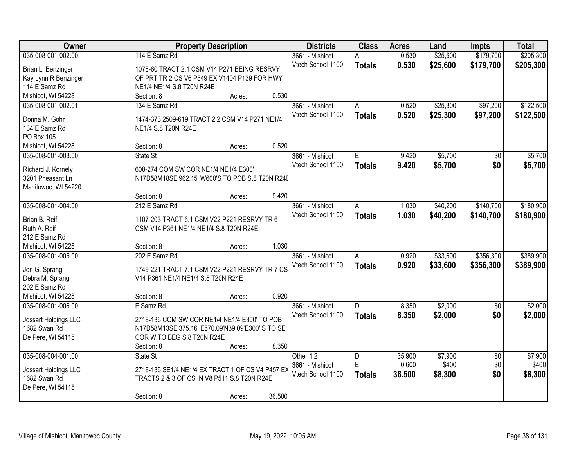| Owner                                | <b>Property Description</b>                                                                     | <b>Districts</b>  | <b>Class</b>  | <b>Acres</b> | Land     | <b>Impts</b>    | <b>Total</b> |
|--------------------------------------|-------------------------------------------------------------------------------------------------|-------------------|---------------|--------------|----------|-----------------|--------------|
| 035-008-001-002.00                   | 114 E Samz Rd                                                                                   | 3661 - Mishicot   | A             | 0.530        | \$25,600 | \$179,700       | \$205,300    |
| Brian L. Benzinger                   | 1078-60 TRACT 2.1 CSM V14 P271 BEING RESRVY                                                     | Vtech School 1100 | <b>Totals</b> | 0.530        | \$25,600 | \$179,700       | \$205,300    |
| Kay Lynn R Benzinger                 | OF PRT TR 2 CS V6 P549 EX V1404 P139 FOR HWY                                                    |                   |               |              |          |                 |              |
| 114 E Samz Rd                        | NE1/4 NE1/4 S.8 T20N R24E                                                                       |                   |               |              |          |                 |              |
| Mishicot, WI 54228                   | 0.530<br>Section: 8<br>Acres:                                                                   |                   |               |              |          |                 |              |
| 035-008-001-002.01                   | 134 E Samz Rd                                                                                   | 3661 - Mishicot   | A             | 0.520        | \$25,300 | \$97,200        | \$122,500    |
|                                      |                                                                                                 | Vtech School 1100 | <b>Totals</b> | 0.520        | \$25,300 | \$97,200        | \$122,500    |
| Donna M. Gohr                        | 1474-373 2509-619 TRACT 2.2 CSM V14 P271 NE1/4                                                  |                   |               |              |          |                 |              |
| 134 E Samz Rd                        | NE1/4 S.8 T20N R24E                                                                             |                   |               |              |          |                 |              |
| PO Box 105                           |                                                                                                 |                   |               |              |          |                 |              |
| Mishicot, WI 54228                   | 0.520<br>Section: 8<br>Acres:                                                                   |                   |               |              |          |                 |              |
| 035-008-001-003.00                   | State St                                                                                        | 3661 - Mishicot   | E             | 9.420        | \$5,700  | $\overline{50}$ | \$5,700      |
| Richard J. Kornely                   | 608-274 COM SW COR NE1/4 NE1/4 E300'                                                            | Vtech School 1100 | <b>Totals</b> | 9.420        | \$5,700  | \$0             | \$5,700      |
| 3201 Pheasant Ln                     | N17D58M18SE 962.15' W600'S TO POB S.8 T20N R24E                                                 |                   |               |              |          |                 |              |
| Manitowoc, WI 54220                  |                                                                                                 |                   |               |              |          |                 |              |
|                                      | 9.420<br>Section: 8<br>Acres:                                                                   |                   |               |              |          |                 |              |
| 035-008-001-004.00                   | 212 E Samz Rd                                                                                   | 3661 - Mishicot   | A             | 1.030        | \$40,200 | \$140,700       | \$180,900    |
|                                      |                                                                                                 | Vtech School 1100 |               | 1.030        | \$40,200 |                 |              |
| Brian B. Reif                        | 1107-203 TRACT 6.1 CSM V22 P221 RESRVY TR 6                                                     |                   | <b>Totals</b> |              |          | \$140,700       | \$180,900    |
| Ruth A. Reif                         | CSM V14 P361 NE1/4 NE1/4 S.8 T20N R24E                                                          |                   |               |              |          |                 |              |
| 212 E Samz Rd                        |                                                                                                 |                   |               |              |          |                 |              |
| Mishicot, WI 54228                   | 1.030<br>Section: 8<br>Acres:                                                                   |                   |               |              |          |                 |              |
| 035-008-001-005.00                   | 202 E Samz Rd                                                                                   | 3661 - Mishicot   | A             | 0.920        | \$33,600 | \$356,300       | \$389,900    |
| Jon G. Sprang                        | 1749-221 TRACT 7.1 CSM V22 P221 RESRVY TR 7 CS                                                  | Vtech School 1100 | <b>Totals</b> | 0.920        | \$33,600 | \$356,300       | \$389,900    |
| Debra M. Sprang                      | V14 P361 NE1/4 NE1/4 S.8 T20N R24E                                                              |                   |               |              |          |                 |              |
| 202 E Samz Rd                        |                                                                                                 |                   |               |              |          |                 |              |
| Mishicot, WI 54228                   | 0.920<br>Section: 8<br>Acres:                                                                   |                   |               |              |          |                 |              |
| 035-008-001-006.00                   | E Samz Rd                                                                                       | 3661 - Mishicot   | D.            | 8.350        | \$2,000  |                 | \$2,000      |
|                                      |                                                                                                 | Vtech School 1100 |               |              |          | \$0             |              |
| Jossart Holdings LLC                 | 2718-136 COM SW COR NE1/4 NE1/4 E300' TO POB                                                    |                   | <b>Totals</b> | 8.350        | \$2,000  | \$0             | \$2,000      |
| 1682 Swan Rd                         | N17D58M13SE 375.16' E570.09'N39.09'E300' S TO SE                                                |                   |               |              |          |                 |              |
| De Pere, WI 54115                    | COR W TO BEG S.8 T20N R24E                                                                      |                   |               |              |          |                 |              |
|                                      | 8.350<br>Section: 8<br>Acres:                                                                   |                   |               |              |          |                 |              |
| 035-008-004-001.00                   | State St                                                                                        | Other 12          | D             | 35.900       | \$7,900  | $\overline{50}$ | \$7,900      |
|                                      |                                                                                                 | 3661 - Mishicot   | E             | 0.600        | \$400    | \$0             | \$400        |
| Jossart Holdings LLC<br>1682 Swan Rd | 2718-136 SE1/4 NE1/4 EX TRACT 1 OF CS V4 P457 EX<br>TRACTS 2 & 3 OF CS IN V8 P511 S.8 T20N R24E | Vtech School 1100 | <b>Totals</b> | 36.500       | \$8,300  | \$0             | \$8,300      |
| De Pere, WI 54115                    |                                                                                                 |                   |               |              |          |                 |              |
|                                      | 36.500                                                                                          |                   |               |              |          |                 |              |
|                                      | Section: 8<br>Acres:                                                                            |                   |               |              |          |                 |              |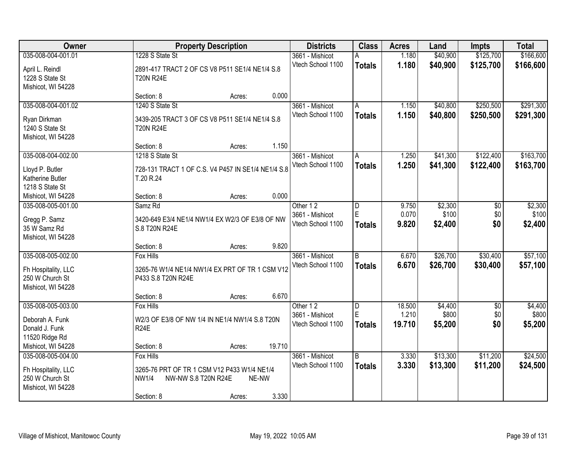| Owner               |                                                    | <b>Property Description</b> |        |                   | <b>Class</b>   | <b>Acres</b> | Land     | <b>Impts</b> | <b>Total</b> |
|---------------------|----------------------------------------------------|-----------------------------|--------|-------------------|----------------|--------------|----------|--------------|--------------|
| 035-008-004-001.01  | 1228 S State St                                    |                             |        | 3661 - Mishicot   | А              | 1.180        | \$40,900 | \$125,700    | \$166,600    |
| April L. Reindl     | 2891-417 TRACT 2 OF CS V8 P511 SE1/4 NE1/4 S.8     |                             |        | Vtech School 1100 | <b>Totals</b>  | 1.180        | \$40,900 | \$125,700    | \$166,600    |
| 1228 S State St     | <b>T20N R24E</b>                                   |                             |        |                   |                |              |          |              |              |
| Mishicot, WI 54228  |                                                    |                             |        |                   |                |              |          |              |              |
|                     | Section: 8                                         | Acres:                      | 0.000  |                   |                |              |          |              |              |
| 035-008-004-001.02  | 1240 S State St                                    |                             |        | 3661 - Mishicot   | Α              | 1.150        | \$40,800 | \$250,500    | \$291,300    |
| Ryan Dirkman        | 3439-205 TRACT 3 OF CS V8 P511 SE1/4 NE1/4 S.8     |                             |        | Vtech School 1100 | <b>Totals</b>  | 1.150        | \$40,800 | \$250,500    | \$291,300    |
| 1240 S State St     | <b>T20N R24E</b>                                   |                             |        |                   |                |              |          |              |              |
| Mishicot, WI 54228  |                                                    |                             |        |                   |                |              |          |              |              |
|                     | Section: 8                                         | Acres:                      | 1.150  |                   |                |              |          |              |              |
| 035-008-004-002.00  | 1218 S State St                                    |                             |        | 3661 - Mishicot   | A              | 1.250        | \$41,300 | \$122,400    | \$163,700    |
| Lloyd P. Butler     | 728-131 TRACT 1 OF C.S. V4 P457 IN SE1/4 NE1/4 S.8 |                             |        | Vtech School 1100 | <b>Totals</b>  | 1.250        | \$41,300 | \$122,400    | \$163,700    |
| Katherine Butler    | T.20 R.24                                          |                             |        |                   |                |              |          |              |              |
| 1218 S State St     |                                                    |                             |        |                   |                |              |          |              |              |
| Mishicot, WI 54228  | Section: 8                                         | Acres:                      | 0.000  |                   |                |              |          |              |              |
| 035-008-005-001.00  | Samz <sub>Rd</sub>                                 |                             |        | Other 12          | D              | 9.750        | \$2,300  | \$0          | \$2,300      |
| Gregg P. Samz       | 3420-649 E3/4 NE1/4 NW1/4 EX W2/3 OF E3/8 OF NW    |                             |        | 3661 - Mishicot   | E              | 0.070        | \$100    | \$0          | \$100        |
| 35 W Samz Rd        | S.8 T20N R24E                                      |                             |        | Vtech School 1100 | <b>Totals</b>  | 9.820        | \$2,400  | \$0          | \$2,400      |
| Mishicot, WI 54228  |                                                    |                             |        |                   |                |              |          |              |              |
|                     | Section: 8                                         | Acres:                      | 9.820  |                   |                |              |          |              |              |
| 035-008-005-002.00  | <b>Fox Hills</b>                                   |                             |        | 3661 - Mishicot   | $\overline{B}$ | 6.670        | \$26,700 | \$30,400     | \$57,100     |
| Fh Hospitality, LLC | 3265-76 W1/4 NE1/4 NW1/4 EX PRT OF TR 1 CSM V12    |                             |        | Vtech School 1100 | <b>Totals</b>  | 6.670        | \$26,700 | \$30,400     | \$57,100     |
| 250 W Church St     | P433 S.8 T20N R24E                                 |                             |        |                   |                |              |          |              |              |
| Mishicot, WI 54228  |                                                    |                             |        |                   |                |              |          |              |              |
|                     | Section: 8                                         | Acres:                      | 6.670  |                   |                |              |          |              |              |
| 035-008-005-003.00  | Fox Hills                                          |                             |        | Other 12          | D              | 18.500       | \$4,400  | $\sqrt{6}$   | \$4,400      |
| Deborah A. Funk     | W2/3 OF E3/8 OF NW 1/4 IN NE1/4 NW1/4 S.8 T20N     |                             |        | 3661 - Mishicot   | $\mathsf E$    | 1.210        | \$800    | \$0          | \$800        |
| Donald J. Funk      | <b>R24E</b>                                        |                             |        | Vtech School 1100 | <b>Totals</b>  | 19.710       | \$5,200  | \$0          | \$5,200      |
| 11520 Ridge Rd      |                                                    |                             |        |                   |                |              |          |              |              |
| Mishicot, WI 54228  | Section: 8                                         | Acres:                      | 19.710 |                   |                |              |          |              |              |
| 035-008-005-004.00  | <b>Fox Hills</b>                                   |                             |        | 3661 - Mishicot   | B              | 3.330        | \$13,300 | \$11,200     | \$24,500     |
| Fh Hospitality, LLC | 3265-76 PRT OF TR 1 CSM V12 P433 W1/4 NE1/4        |                             |        | Vtech School 1100 | <b>Totals</b>  | 3.330        | \$13,300 | \$11,200     | \$24,500     |
| 250 W Church St     | <b>NW1/4</b><br>NW-NW S.8 T20N R24E                |                             | NE-NW  |                   |                |              |          |              |              |
| Mishicot, WI 54228  |                                                    |                             |        |                   |                |              |          |              |              |
|                     | Section: 8                                         | Acres:                      | 3.330  |                   |                |              |          |              |              |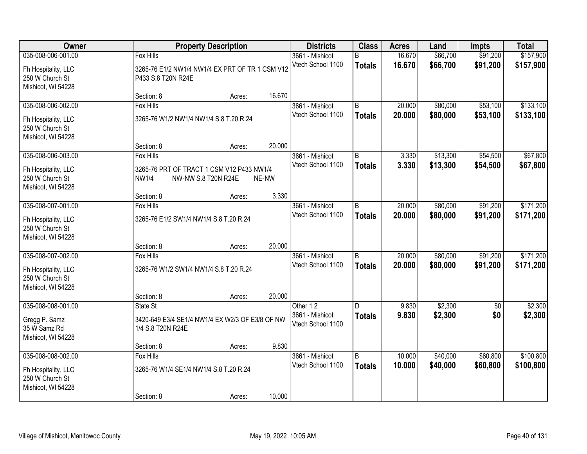| Owner                                  |                                                 | <b>Property Description</b> |        |                                      | <b>Class</b>   | <b>Acres</b> | Land     | <b>Impts</b> | <b>Total</b> |
|----------------------------------------|-------------------------------------------------|-----------------------------|--------|--------------------------------------|----------------|--------------|----------|--------------|--------------|
| 035-008-006-001.00                     | <b>Fox Hills</b>                                |                             |        | 3661 - Mishicot                      | B              | 16.670       | \$66,700 | \$91,200     | \$157,900    |
| Fh Hospitality, LLC                    | 3265-76 E1/2 NW1/4 NW1/4 EX PRT OF TR 1 CSM V12 |                             |        | Vtech School 1100                    | <b>Totals</b>  | 16.670       | \$66,700 | \$91,200     | \$157,900    |
| 250 W Church St                        | P433 S.8 T20N R24E                              |                             |        |                                      |                |              |          |              |              |
| Mishicot, WI 54228                     |                                                 |                             |        |                                      |                |              |          |              |              |
|                                        | Section: 8                                      | Acres:                      | 16.670 |                                      |                |              |          |              |              |
| 035-008-006-002.00                     | <b>Fox Hills</b>                                |                             |        | 3661 - Mishicot                      | B              | 20.000       | \$80,000 | \$53,100     | \$133,100    |
| Fh Hospitality, LLC                    | 3265-76 W1/2 NW1/4 NW1/4 S.8 T.20 R.24          |                             |        | Vtech School 1100                    | <b>Totals</b>  | 20.000       | \$80,000 | \$53,100     | \$133,100    |
| 250 W Church St                        |                                                 |                             |        |                                      |                |              |          |              |              |
| Mishicot, WI 54228                     |                                                 |                             |        |                                      |                |              |          |              |              |
|                                        | Section: 8                                      | Acres:                      | 20.000 |                                      |                |              |          |              |              |
| 035-008-006-003.00                     | <b>Fox Hills</b>                                |                             |        | 3661 - Mishicot<br>Vtech School 1100 | $\overline{B}$ | 3.330        | \$13,300 | \$54,500     | \$67,800     |
| Fh Hospitality, LLC                    | 3265-76 PRT OF TRACT 1 CSM V12 P433 NW1/4       |                             |        |                                      | <b>Totals</b>  | 3.330        | \$13,300 | \$54,500     | \$67,800     |
| 250 W Church St                        | <b>NW1/4</b><br>NW-NW S.8 T20N R24E             |                             | NE-NW  |                                      |                |              |          |              |              |
| Mishicot, WI 54228                     | Section: 8                                      |                             | 3.330  |                                      |                |              |          |              |              |
| 035-008-007-001.00                     | Fox Hills                                       | Acres:                      |        | 3661 - Mishicot                      | B              | 20.000       | \$80,000 | \$91,200     | \$171,200    |
|                                        |                                                 |                             |        | Vtech School 1100                    | <b>Totals</b>  | 20.000       | \$80,000 | \$91,200     | \$171,200    |
| Fh Hospitality, LLC                    | 3265-76 E1/2 SW1/4 NW1/4 S.8 T.20 R.24          |                             |        |                                      |                |              |          |              |              |
| 250 W Church St<br>Mishicot, WI 54228  |                                                 |                             |        |                                      |                |              |          |              |              |
|                                        | Section: 8                                      | Acres:                      | 20.000 |                                      |                |              |          |              |              |
| 035-008-007-002.00                     | <b>Fox Hills</b>                                |                             |        | 3661 - Mishicot                      | B              | 20.000       | \$80,000 | \$91,200     | \$171,200    |
|                                        |                                                 |                             |        | Vtech School 1100                    | <b>Totals</b>  | 20.000       | \$80,000 | \$91,200     | \$171,200    |
| Fh Hospitality, LLC<br>250 W Church St | 3265-76 W1/2 SW1/4 NW1/4 S.8 T.20 R.24          |                             |        |                                      |                |              |          |              |              |
| Mishicot, WI 54228                     |                                                 |                             |        |                                      |                |              |          |              |              |
|                                        | Section: 8                                      | Acres:                      | 20.000 |                                      |                |              |          |              |              |
| 035-008-008-001.00                     | State St                                        |                             |        | Other 12                             | D.             | 9.830        | \$2,300  | $\sqrt{6}$   | \$2,300      |
| Gregg P. Samz                          | 3420-649 E3/4 SE1/4 NW1/4 EX W2/3 OF E3/8 OF NW |                             |        | 3661 - Mishicot                      | <b>Totals</b>  | 9.830        | \$2,300  | \$0          | \$2,300      |
| 35 W Samz Rd                           | 1/4 S.8 T20N R24E                               |                             |        | Vtech School 1100                    |                |              |          |              |              |
| Mishicot, WI 54228                     |                                                 |                             |        |                                      |                |              |          |              |              |
|                                        | Section: 8                                      | Acres:                      | 9.830  |                                      |                |              |          |              |              |
| 035-008-008-002.00                     | <b>Fox Hills</b>                                |                             |        | 3661 - Mishicot                      | B              | 10.000       | \$40,000 | \$60,800     | \$100,800    |
| Fh Hospitality, LLC                    | 3265-76 W1/4 SE1/4 NW1/4 S.8 T.20 R.24          |                             |        | Vtech School 1100                    | <b>Totals</b>  | 10.000       | \$40,000 | \$60,800     | \$100,800    |
| 250 W Church St                        |                                                 |                             |        |                                      |                |              |          |              |              |
| Mishicot, WI 54228                     |                                                 |                             |        |                                      |                |              |          |              |              |
|                                        | Section: 8                                      | Acres:                      | 10.000 |                                      |                |              |          |              |              |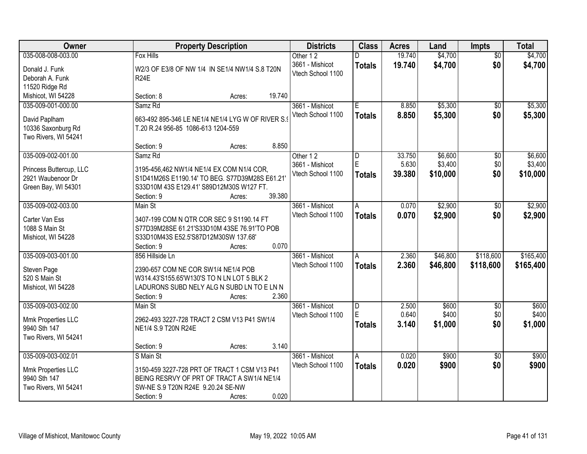| <b>Owner</b>            | <b>Property Description</b>                       |        |        | <b>Districts</b>  | <b>Class</b>   | <b>Acres</b> | Land     | <b>Impts</b>    | <b>Total</b> |
|-------------------------|---------------------------------------------------|--------|--------|-------------------|----------------|--------------|----------|-----------------|--------------|
| 035-008-008-003.00      | <b>Fox Hills</b>                                  |        |        | Other 12          | D              | 19.740       | \$4,700  | $\overline{50}$ | \$4,700      |
| Donald J. Funk          | W2/3 OF E3/8 OF NW 1/4 IN SE1/4 NW1/4 S.8 T20N    |        |        | 3661 - Mishicot   | <b>Totals</b>  | 19.740       | \$4,700  | \$0             | \$4,700      |
| Deborah A. Funk         | <b>R24E</b>                                       |        |        | Vtech School 1100 |                |              |          |                 |              |
| 11520 Ridge Rd          |                                                   |        |        |                   |                |              |          |                 |              |
| Mishicot, WI 54228      | Section: 8                                        | Acres: | 19.740 |                   |                |              |          |                 |              |
| 035-009-001-000.00      | Samz <sub>Rd</sub>                                |        |        | 3661 - Mishicot   | Ε              | 8.850        | \$5,300  | $\overline{50}$ | \$5,300      |
|                         |                                                   |        |        | Vtech School 1100 | <b>Totals</b>  | 8.850        | \$5,300  | \$0             | \$5,300      |
| David Paplham           | 663-492 895-346 LE NE1/4 NE1/4 LYG W OF RIVER S.9 |        |        |                   |                |              |          |                 |              |
| 10336 Saxonburg Rd      | T.20 R.24 956-85 1086-613 1204-559                |        |        |                   |                |              |          |                 |              |
| Two Rivers, WI 54241    |                                                   |        |        |                   |                |              |          |                 |              |
|                         | Section: 9                                        | Acres: | 8.850  |                   |                |              |          |                 |              |
| 035-009-002-001.00      | Samz Rd                                           |        |        | Other 12          | D              | 33.750       | \$6,600  | \$0             | \$6,600      |
| Princess Buttercup, LLC | 3195-456,462 NW1/4 NE1/4 EX COM N1/4 COR,         |        |        | 3661 - Mishicot   | $\mathsf E$    | 5.630        | \$3,400  | \$0             | \$3,400      |
| 2921 Waubenoor Dr       | S1D41M26S E1190.14' TO BEG. S77D39M28S E61.21'    |        |        | Vtech School 1100 | <b>Totals</b>  | 39.380       | \$10,000 | \$0             | \$10,000     |
| Green Bay, WI 54301     | S33D10M 43S E129.41' S89D12M30S W127 FT.          |        |        |                   |                |              |          |                 |              |
|                         | Section: 9                                        | Acres: | 39.380 |                   |                |              |          |                 |              |
| 035-009-002-003.00      | Main St                                           |        |        | 3661 - Mishicot   | A              | 0.070        | \$2,900  | \$0             | \$2,900      |
|                         |                                                   |        |        | Vtech School 1100 | <b>Totals</b>  | 0.070        | \$2,900  | \$0             | \$2,900      |
| Carter Van Ess          | 3407-199 COM N QTR COR SEC 9 S1190.14 FT          |        |        |                   |                |              |          |                 |              |
| 1088 S Main St          | S77D39M28SE 61.21'S33D10M 43SE 76.91'TO POB       |        |        |                   |                |              |          |                 |              |
| Mishicot, WI 54228      | S33D10M43S E52.5'S87D12M30SW 137.68'              |        | 0.070  |                   |                |              |          |                 |              |
|                         | Section: 9<br>856 Hillside Ln                     | Acres: |        |                   |                |              |          | \$118,600       |              |
| 035-009-003-001.00      |                                                   |        |        | 3661 - Mishicot   | A              | 2.360        | \$46,800 |                 | \$165,400    |
| Steven Page             | 2390-657 COM NE COR SW1/4 NE1/4 POB               |        |        | Vtech School 1100 | <b>Totals</b>  | 2.360        | \$46,800 | \$118,600       | \$165,400    |
| 520 S Main St           | W314.43'S155.65'W130'S TO N LN LOT 5 BLK 2        |        |        |                   |                |              |          |                 |              |
| Mishicot, WI 54228      | LADURONS SUBD NELY ALG N SUBD LN TO E LN N        |        |        |                   |                |              |          |                 |              |
|                         | Section: 9                                        | Acres: | 2.360  |                   |                |              |          |                 |              |
| 035-009-003-002.00      | Main St                                           |        |        | 3661 - Mishicot   | $\overline{D}$ | 2.500        | \$600    | $\overline{60}$ | \$600        |
| Mmk Properties LLC      | 2962-493 3227-728 TRACT 2 CSM V13 P41 SW1/4       |        |        | Vtech School 1100 | E              | 0.640        | \$400    | \$0             | \$400        |
| 9940 Sth 147            | NE1/4 S.9 T20N R24E                               |        |        |                   | <b>Totals</b>  | 3.140        | \$1,000  | \$0             | \$1,000      |
| Two Rivers, WI 54241    |                                                   |        |        |                   |                |              |          |                 |              |
|                         | Section: 9                                        | Acres: | 3.140  |                   |                |              |          |                 |              |
| 035-009-003-002.01      | S Main St                                         |        |        | 3661 - Mishicot   | A              | 0.020        | \$900    | $\overline{30}$ | \$900        |
|                         |                                                   |        |        | Vtech School 1100 |                | 0.020        | \$900    | \$0             | \$900        |
| Mmk Properties LLC      | 3150-459 3227-728 PRT OF TRACT 1 CSM V13 P41      |        |        |                   | <b>Totals</b>  |              |          |                 |              |
| 9940 Sth 147            | BEING RESRVY OF PRT OF TRACT A SW1/4 NE1/4        |        |        |                   |                |              |          |                 |              |
| Two Rivers, WI 54241    | SW-NE S.9 T20N R24E 9.20.24 SE-NW                 |        |        |                   |                |              |          |                 |              |
|                         | Section: 9                                        | Acres: | 0.020  |                   |                |              |          |                 |              |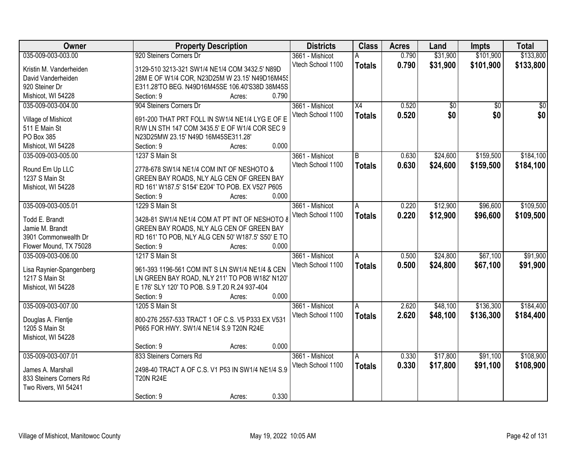| Owner                    | <b>Property Description</b>                       | <b>Districts</b>  | <b>Class</b>    | <b>Acres</b> | Land     | <b>Impts</b>    | <b>Total</b>    |
|--------------------------|---------------------------------------------------|-------------------|-----------------|--------------|----------|-----------------|-----------------|
| 035-009-003-003.00       | 920 Steiners Corners Dr                           | 3661 - Mishicot   | Α               | 0.790        | \$31,900 | \$101,900       | \$133,800       |
| Kristin M. Vanderheiden  | 3129-510 3213-321 SW1/4 NE1/4 COM 3432.5' N89D    | Vtech School 1100 | <b>Totals</b>   | 0.790        | \$31,900 | \$101,900       | \$133,800       |
| David Vanderheiden       | 28M E OF W1/4 COR, N23D25M W 23.15' N49D16M45S    |                   |                 |              |          |                 |                 |
| 920 Steiner Dr           | E311.28'TO BEG. N49D16M45SE 106.40'S38D 38M45S    |                   |                 |              |          |                 |                 |
| Mishicot, WI 54228       | 0.790<br>Section: 9<br>Acres:                     |                   |                 |              |          |                 |                 |
| 035-009-003-004.00       | 904 Steiners Corners Dr                           | 3661 - Mishicot   | $\overline{X4}$ | 0.520        | \$0      | $\overline{30}$ | $\overline{50}$ |
|                          |                                                   | Vtech School 1100 | <b>Totals</b>   | 0.520        | \$0      | \$0             | \$0             |
| Village of Mishicot      | 691-200 THAT PRT FOLL IN SW1/4 NE1/4 LYG E OF E   |                   |                 |              |          |                 |                 |
| 511 E Main St            | R/W LN STH 147 COM 3435.5' E OF W1/4 COR SEC 9    |                   |                 |              |          |                 |                 |
| PO Box 385               | N23D25MW 23.15' N49D 16M45SE311.28'               |                   |                 |              |          |                 |                 |
| Mishicot, WI 54228       | 0.000<br>Section: 9<br>Acres:                     |                   |                 |              |          |                 |                 |
| 035-009-003-005.00       | 1237 S Main St                                    | 3661 - Mishicot   | B               | 0.630        | \$24,600 | \$159,500       | \$184,100       |
| Round Em Up LLC          | 2778-678 SW1/4 NE1/4 COM INT OF NESHOTO &         | Vtech School 1100 | <b>Totals</b>   | 0.630        | \$24,600 | \$159,500       | \$184,100       |
| 1237 S Main St           | GREEN BAY ROADS, NLY ALG CEN OF GREEN BAY         |                   |                 |              |          |                 |                 |
| Mishicot, WI 54228       | RD 161' W187.5' S154' E204' TO POB. EX V527 P605  |                   |                 |              |          |                 |                 |
|                          | 0.000<br>Section: 9<br>Acres:                     |                   |                 |              |          |                 |                 |
| 035-009-003-005.01       | 1229 S Main St                                    | 3661 - Mishicot   | A               | 0.220        | \$12,900 | \$96,600        | \$109,500       |
|                          |                                                   | Vtech School 1100 | <b>Totals</b>   | 0.220        | \$12,900 | \$96,600        | \$109,500       |
| Todd E. Brandt           | 3428-81 SW1/4 NE1/4 COM AT PT INT OF NESHOTO 8    |                   |                 |              |          |                 |                 |
| Jamie M. Brandt          | GREEN BAY ROADS, NLY ALG CEN OF GREEN BAY         |                   |                 |              |          |                 |                 |
| 3901 Commonwealth Dr     | RD 161' TO POB, NLY ALG CEN 50' W187.5' S50' E TO |                   |                 |              |          |                 |                 |
| Flower Mound, TX 75028   | 0.000<br>Section: 9<br>Acres:                     |                   |                 |              |          |                 |                 |
| 035-009-003-006.00       | 1217 S Main St                                    | 3661 - Mishicot   | A               | 0.500        | \$24,800 | \$67,100        | \$91,900        |
| Lisa Raynier-Spangenberg | 961-393 1196-561 COM INT S LN SW1/4 NE1/4 & CEN   | Vtech School 1100 | <b>Totals</b>   | 0.500        | \$24,800 | \$67,100        | \$91,900        |
| 1217 S Main St           | LN GREEN BAY ROAD, NLY 211' TO POB W182' N120'    |                   |                 |              |          |                 |                 |
| Mishicot, WI 54228       | E 176' SLY 120' TO POB. S.9 T.20 R.24 937-404     |                   |                 |              |          |                 |                 |
|                          | Section: 9<br>0.000<br>Acres:                     |                   |                 |              |          |                 |                 |
| 035-009-003-007.00       | 1205 S Main St                                    | 3661 - Mishicot   | A               | 2.620        | \$48,100 | \$136,300       | \$184,400       |
|                          |                                                   | Vtech School 1100 | <b>Totals</b>   | 2.620        | \$48,100 | \$136,300       | \$184,400       |
| Douglas A. Flentje       | 800-276 2557-533 TRACT 1 OF C.S. V5 P333 EX V531  |                   |                 |              |          |                 |                 |
| 1205 S Main St           | P665 FOR HWY. SW1/4 NE1/4 S.9 T20N R24E           |                   |                 |              |          |                 |                 |
| Mishicot, WI 54228       |                                                   |                   |                 |              |          |                 |                 |
|                          | 0.000<br>Section: 9<br>Acres:                     |                   |                 |              |          |                 |                 |
| 035-009-003-007.01       | 833 Steiners Corners Rd                           | 3661 - Mishicot   | A               | 0.330        | \$17,800 | \$91,100        | \$108,900       |
| James A. Marshall        | 2498-40 TRACT A OF C.S. V1 P53 IN SW1/4 NE1/4 S.9 | Vtech School 1100 | <b>Totals</b>   | 0.330        | \$17,800 | \$91,100        | \$108,900       |
| 833 Steiners Corners Rd  | <b>T20N R24E</b>                                  |                   |                 |              |          |                 |                 |
| Two Rivers, WI 54241     |                                                   |                   |                 |              |          |                 |                 |
|                          | 0.330<br>Section: 9<br>Acres:                     |                   |                 |              |          |                 |                 |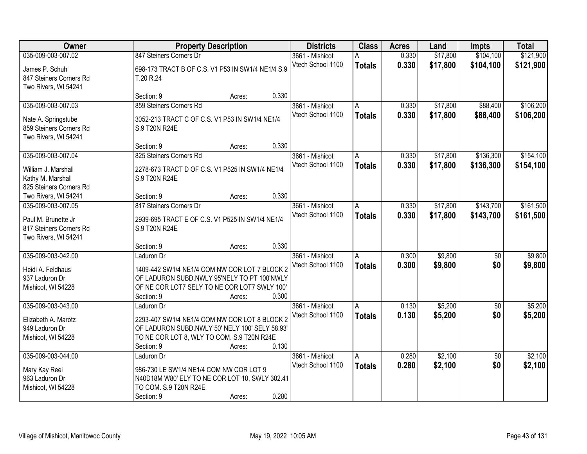| Owner                                                                  | <b>Property Description</b>                                      | <b>Districts</b>                     | <b>Class</b>       | <b>Acres</b> | Land     | <b>Impts</b>      | <b>Total</b> |
|------------------------------------------------------------------------|------------------------------------------------------------------|--------------------------------------|--------------------|--------------|----------|-------------------|--------------|
| 035-009-003-007.02                                                     | 847 Steiners Corners Dr                                          | 3661 - Mishicot                      | А                  | 0.330        | \$17,800 | \$104,100         | \$121,900    |
| James P. Schuh<br>847 Steiners Corners Rd<br>Two Rivers, WI 54241      | 698-173 TRACT B OF C.S. V1 P53 IN SW1/4 NE1/4 S.9<br>T.20 R.24   | Vtech School 1100                    | <b>Totals</b>      | 0.330        | \$17,800 | \$104,100         | \$121,900    |
|                                                                        | 0.330<br>Section: 9<br>Acres:                                    |                                      |                    |              |          |                   |              |
| 035-009-003-007.03                                                     | 859 Steiners Corners Rd                                          | 3661 - Mishicot                      | A                  | 0.330        | \$17,800 | \$88,400          | \$106,200    |
| Nate A. Springstube<br>859 Steiners Corners Rd<br>Two Rivers, WI 54241 | 3052-213 TRACT C OF C.S. V1 P53 IN SW1/4 NE1/4<br>S.9 T20N R24E  | Vtech School 1100                    | <b>Totals</b>      | 0.330        | \$17,800 | \$88,400          | \$106,200    |
|                                                                        | 0.330<br>Section: 9<br>Acres:                                    |                                      |                    |              |          |                   |              |
| 035-009-003-007.04                                                     | 825 Steiners Corners Rd                                          | 3661 - Mishicot                      | A                  | 0.330        | \$17,800 | \$136,300         | \$154,100    |
| William J. Marshall<br>Kathy M. Marshall<br>825 Steiners Corners Rd    | 2278-673 TRACT D OF C.S. V1 P525 IN SW1/4 NE1/4<br>S.9 T20N R24E | Vtech School 1100                    | <b>Totals</b>      | 0.330        | \$17,800 | \$136,300         | \$154,100    |
| Two Rivers, WI 54241                                                   | 0.330<br>Section: 9<br>Acres:                                    |                                      |                    |              |          |                   |              |
| 035-009-003-007.05                                                     | 817 Steiners Corners Dr                                          | 3661 - Mishicot                      | A                  | 0.330        | \$17,800 | \$143,700         | \$161,500    |
| Paul M. Brunette Jr<br>817 Steiners Corners Rd<br>Two Rivers, WI 54241 | 2939-695 TRACT E OF C.S. V1 P525 IN SW1/4 NE1/4<br>S.9 T20N R24E | Vtech School 1100                    | <b>Totals</b>      | 0.330        | \$17,800 | \$143,700         | \$161,500    |
|                                                                        | 0.330<br>Section: 9<br>Acres:                                    |                                      |                    |              |          |                   |              |
| 035-009-003-042.00                                                     | Laduron Dr                                                       | 3661 - Mishicot<br>Vtech School 1100 | A                  | 0.300        | \$9,800  | \$0               | \$9,800      |
| Heidi A. Feldhaus                                                      | 1409-442 SW1/4 NE1/4 COM NW COR LOT 7 BLOCK 2                    |                                      | <b>Totals</b>      | 0.300        | \$9,800  | \$0               | \$9,800      |
| 937 Laduron Dr                                                         | OF LADURON SUBD.NWLY 95'NELY TO PT 100'NWLY                      |                                      |                    |              |          |                   |              |
| Mishicot, WI 54228                                                     | OF NE COR LOT7 SELY TO NE COR LOT7 SWLY 100'                     |                                      |                    |              |          |                   |              |
| 035-009-003-043.00                                                     | 0.300<br>Section: 9<br>Acres:<br>Laduron Dr                      | 3661 - Mishicot                      |                    | 0.130        | \$5,200  |                   | \$5,200      |
|                                                                        |                                                                  | Vtech School 1100                    | A<br><b>Totals</b> | 0.130        | \$5,200  | $\sqrt{6}$<br>\$0 | \$5,200      |
| Elizabeth A. Marotz                                                    | 2293-407 SW1/4 NE1/4 COM NW COR LOT 8 BLOCK 2                    |                                      |                    |              |          |                   |              |
| 949 Laduron Dr                                                         | OF LADURON SUBD.NWLY 50' NELY 100' SELY 58.93'                   |                                      |                    |              |          |                   |              |
| Mishicot, WI 54228                                                     | TO NE COR LOT 8, WLY TO COM. S.9 T20N R24E<br>0.130              |                                      |                    |              |          |                   |              |
| 035-009-003-044.00                                                     | Section: 9<br>Acres:<br>Laduron Dr                               | 3661 - Mishicot                      | A                  | 0.280        | \$2,100  | $\overline{30}$   | \$2,100      |
|                                                                        |                                                                  | Vtech School 1100                    | <b>Totals</b>      | 0.280        | \$2,100  | \$0               | \$2,100      |
| Mary Kay Reel                                                          | 986-730 LE SW1/4 NE1/4 COM NW COR LOT 9                          |                                      |                    |              |          |                   |              |
| 963 Laduron Dr                                                         | N40D18M W80' ELY TO NE COR LOT 10, SWLY 302.41                   |                                      |                    |              |          |                   |              |
| Mishicot, WI 54228                                                     | TO COM. S.9 T20N R24E<br>0.280<br>Section: 9<br>Acres:           |                                      |                    |              |          |                   |              |
|                                                                        |                                                                  |                                      |                    |              |          |                   |              |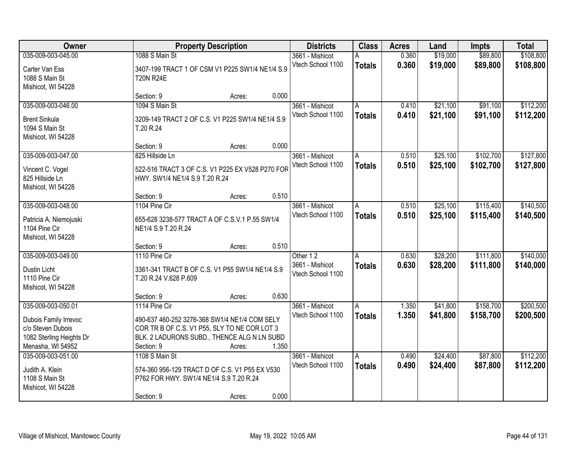| Owner                                                         |                                                                                           | <b>Property Description</b> |       |                                      | <b>Class</b>       | <b>Acres</b>   | Land                 | <b>Impts</b>         | <b>Total</b>           |
|---------------------------------------------------------------|-------------------------------------------------------------------------------------------|-----------------------------|-------|--------------------------------------|--------------------|----------------|----------------------|----------------------|------------------------|
| 035-009-003-045.00                                            | 1088 S Main St                                                                            |                             |       | 3661 - Mishicot                      | А                  | 0.360          | \$19,000             | \$89,800             | \$108,800              |
| Carter Van Ess<br>1088 S Main St<br>Mishicot, WI 54228        | 3407-199 TRACT 1 OF CSM V1 P225 SW1/4 NE1/4 S.9<br><b>T20N R24E</b>                       |                             |       | Vtech School 1100                    | <b>Totals</b>      | 0.360          | \$19,000             | \$89,800             | \$108,800              |
|                                                               | Section: 9                                                                                | Acres:                      | 0.000 |                                      |                    |                |                      |                      |                        |
| 035-009-003-046.00                                            | 1094 S Main St                                                                            |                             |       | 3661 - Mishicot<br>Vtech School 1100 | A<br><b>Totals</b> | 0.410<br>0.410 | \$21,100<br>\$21,100 | \$91,100<br>\$91,100 | \$112,200<br>\$112,200 |
| <b>Brent Sinkula</b><br>1094 S Main St<br>Mishicot, WI 54228  | 3209-149 TRACT 2 OF C.S. V1 P225 SW1/4 NE1/4 S.9<br>T.20 R.24                             |                             |       |                                      |                    |                |                      |                      |                        |
|                                                               | Section: 9                                                                                | Acres:                      | 0.000 |                                      |                    |                |                      |                      |                        |
| 035-009-003-047.00                                            | 825 Hillside Ln                                                                           |                             |       | 3661 - Mishicot                      | A                  | 0.510          | \$25,100             | \$102,700            | \$127,800              |
| Vincent C. Vogel<br>825 Hillside Ln<br>Mishicot, WI 54228     | 522-516 TRACT 3 OF C.S. V1 P225 EX V528 P270 FOR<br>HWY. SW1/4 NE1/4 S.9 T.20 R.24        |                             |       | Vtech School 1100                    | <b>Totals</b>      | 0.510          | \$25,100             | \$102,700            | \$127,800              |
|                                                               | Section: 9                                                                                | Acres:                      | 0.510 |                                      |                    |                |                      |                      |                        |
| 035-009-003-048.00                                            | 1104 Pine Cir                                                                             |                             |       | 3661 - Mishicot                      | A                  | 0.510          | \$25,100             | \$115,400            | \$140,500              |
| Patricia A. Niemojuski<br>1104 Pine Cir<br>Mishicot, WI 54228 | 655-628 3238-577 TRACT A OF C.S.V.1 P.55 SW1/4<br>NE1/4 S.9 T.20 R.24                     |                             |       | Vtech School 1100                    | <b>Totals</b>      | 0.510          | \$25,100             | \$115,400            | \$140,500              |
|                                                               | Section: 9                                                                                | Acres:                      | 0.510 |                                      |                    |                |                      |                      |                        |
| 035-009-003-049.00                                            | 1110 Pine Cir                                                                             |                             |       | Other 12                             | A                  | 0.630          | \$28,200             | \$111,800            | \$140,000              |
| Dustin Licht<br>1110 Pine Cir<br>Mishicot, WI 54228           | 3361-341 TRACT B OF C.S. V1 P55 SW1/4 NE1/4 S.9<br>T.20 R.24 V.628 P.609                  |                             |       | 3661 - Mishicot<br>Vtech School 1100 | <b>Totals</b>      | 0.630          | \$28,200             | \$111,800            | \$140,000              |
|                                                               | Section: 9                                                                                | Acres:                      | 0.630 |                                      |                    |                |                      |                      |                        |
| 035-009-003-050.01                                            | 1114 Pine Cir                                                                             |                             |       | 3661 - Mishicot                      | A                  | 1.350          | \$41,800             | \$158,700            | \$200,500              |
| Dubois Family Irrevoc                                         | 490-637 460-252 3276-368 SW1/4 NE1/4 COM SELY                                             |                             |       | Vtech School 1100                    | <b>Totals</b>      | 1.350          | \$41,800             | \$158,700            | \$200,500              |
| c/o Steven Dubois                                             | COR TR B OF C.S. V1 P55, SLY TO NE COR LOT 3                                              |                             |       |                                      |                    |                |                      |                      |                        |
| 1082 Sterling Heights Dr                                      | BLK. 2 LADURONS SUBD., THENCE ALG N LN SUBD                                               |                             |       |                                      |                    |                |                      |                      |                        |
| Menasha, WI 54952                                             | Section: 9                                                                                | Acres:                      | 1.350 |                                      |                    |                |                      |                      |                        |
| 035-009-003-051.00                                            | 1108 S Main St                                                                            |                             |       | 3661 - Mishicot                      | A                  | 0.490          | \$24,400             | \$87,800             | \$112,200              |
| Judith A. Klein<br>1108 S Main St<br>Mishicot, WI 54228       | 574-360 956-129 TRACT D OF C.S. V1 P55 EX V530<br>P762 FOR HWY. SW1/4 NE1/4 S.9 T.20 R.24 |                             |       | Vtech School 1100                    | <b>Totals</b>      | 0.490          | \$24,400             | \$87,800             | \$112,200              |
|                                                               | Section: 9                                                                                | Acres:                      | 0.000 |                                      |                    |                |                      |                      |                        |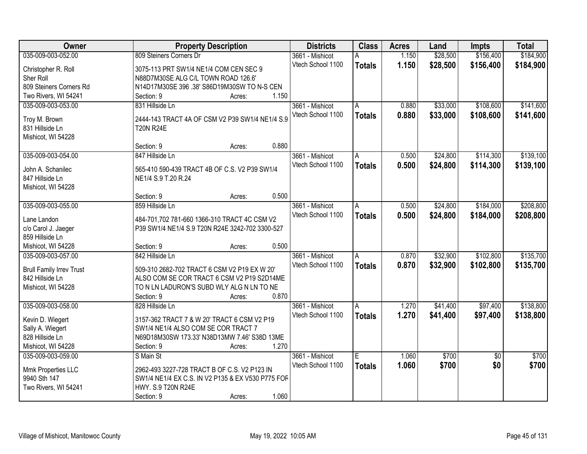| Owner                           | <b>Property Description</b>                       | <b>Districts</b>  | <b>Class</b>  | <b>Acres</b> | Land     | <b>Impts</b>    | <b>Total</b> |
|---------------------------------|---------------------------------------------------|-------------------|---------------|--------------|----------|-----------------|--------------|
| 035-009-003-052.00              | 809 Steiners Corners Dr                           | 3661 - Mishicot   | А             | 1.150        | \$28,500 | \$156,400       | \$184,900    |
| Christopher R. Roll             | 3075-113 PRT SW1/4 NE1/4 COM CEN SEC 9            | Vtech School 1100 | <b>Totals</b> | 1.150        | \$28,500 | \$156,400       | \$184,900    |
| Sher Roll                       | N88D7M30SE ALG C/L TOWN ROAD 126.6'               |                   |               |              |          |                 |              |
| 809 Steiners Corners Rd         | N14D17M30SE 396 .38' S86D19M30SW TO N-S CEN       |                   |               |              |          |                 |              |
| Two Rivers, WI 54241            | 1.150<br>Section: 9<br>Acres:                     |                   |               |              |          |                 |              |
| 035-009-003-053.00              | 831 Hillside Ln                                   | 3661 - Mishicot   | A             | 0.880        | \$33,000 | \$108,600       | \$141,600    |
|                                 |                                                   | Vtech School 1100 |               | 0.880        | \$33,000 | \$108,600       |              |
| Troy M. Brown                   | 2444-143 TRACT 4A OF CSM V2 P39 SW1/4 NE1/4 S.9   |                   | <b>Totals</b> |              |          |                 | \$141,600    |
| 831 Hillside Ln                 | <b>T20N R24E</b>                                  |                   |               |              |          |                 |              |
| Mishicot, WI 54228              |                                                   |                   |               |              |          |                 |              |
|                                 | 0.880<br>Section: 9<br>Acres:                     |                   |               |              |          |                 |              |
| 035-009-003-054.00              | 847 Hillside Ln                                   | 3661 - Mishicot   | A             | 0.500        | \$24,800 | \$114,300       | \$139,100    |
|                                 |                                                   | Vtech School 1100 | <b>Totals</b> | 0.500        | \$24,800 | \$114,300       | \$139,100    |
| John A. Schanilec               | 565-410 590-439 TRACT 4B OF C.S. V2 P39 SW1/4     |                   |               |              |          |                 |              |
| 847 Hillside Ln                 | NE1/4 S.9 T.20 R.24                               |                   |               |              |          |                 |              |
| Mishicot, WI 54228              | 0.500                                             |                   |               |              |          |                 |              |
|                                 | Section: 9<br>Acres:                              |                   |               |              |          |                 |              |
| 035-009-003-055.00              | 859 Hillside Ln                                   | 3661 - Mishicot   | A             | 0.500        | \$24,800 | \$184,000       | \$208,800    |
| Lane Landon                     | 484-701,702 781-660 1366-310 TRACT 4C CSM V2      | Vtech School 1100 | <b>Totals</b> | 0.500        | \$24,800 | \$184,000       | \$208,800    |
| c/o Carol J. Jaeger             | P39 SW1/4 NE1/4 S.9 T20N R24E 3242-702 3300-527   |                   |               |              |          |                 |              |
| 859 Hillside Ln                 |                                                   |                   |               |              |          |                 |              |
| Mishicot, WI 54228              | 0.500<br>Section: 9<br>Acres:                     |                   |               |              |          |                 |              |
| 035-009-003-057.00              | 842 Hillside Ln                                   | 3661 - Mishicot   | A             | 0.870        | \$32,900 | \$102,800       | \$135,700    |
|                                 |                                                   | Vtech School 1100 | <b>Totals</b> | 0.870        | \$32,900 | \$102,800       | \$135,700    |
| <b>Brull Family Irrev Trust</b> | 509-310 2682-702 TRACT 6 CSM V2 P19 EX W 20'      |                   |               |              |          |                 |              |
| 842 Hillside Ln                 | ALSO COM SE COR TRACT 6 CSM V2 P19 S2D14ME        |                   |               |              |          |                 |              |
| Mishicot, WI 54228              | TO N LN LADURON'S SUBD WLY ALG N LN TO NE         |                   |               |              |          |                 |              |
|                                 | 0.870<br>Section: 9<br>Acres:                     |                   |               |              |          |                 |              |
| 035-009-003-058.00              | 828 Hillside Ln                                   | 3661 - Mishicot   | A             | 1.270        | \$41,400 | \$97,400        | \$138,800    |
| Kevin D. Wiegert                | 3157-362 TRACT 7 & W 20' TRACT 6 CSM V2 P19       | Vtech School 1100 | <b>Totals</b> | 1.270        | \$41,400 | \$97,400        | \$138,800    |
| Sally A. Wiegert                | SW1/4 NE1/4 ALSO COM SE COR TRACT 7               |                   |               |              |          |                 |              |
| 828 Hillside Ln                 | N69D18M30SW 173.33' N38D13MW 7.46' S38D 13ME      |                   |               |              |          |                 |              |
| Mishicot, WI 54228              | 1.270<br>Section: 9<br>Acres:                     |                   |               |              |          |                 |              |
| 035-009-003-059.00              | S Main St                                         | 3661 - Mishicot   | E.            | 1.060        | \$700    | $\overline{50}$ | \$700        |
|                                 |                                                   | Vtech School 1100 | <b>Totals</b> | 1.060        | \$700    | \$0             | \$700        |
| Mmk Properties LLC              | 2962-493 3227-728 TRACT B OF C.S. V2 P123 IN      |                   |               |              |          |                 |              |
| 9940 Sth 147                    | SW1/4 NE1/4 EX C.S. IN V2 P135 & EX V530 P775 FOF |                   |               |              |          |                 |              |
| Two Rivers, WI 54241            | HWY. S.9 T20N R24E                                |                   |               |              |          |                 |              |
|                                 | 1.060<br>Section: 9<br>Acres:                     |                   |               |              |          |                 |              |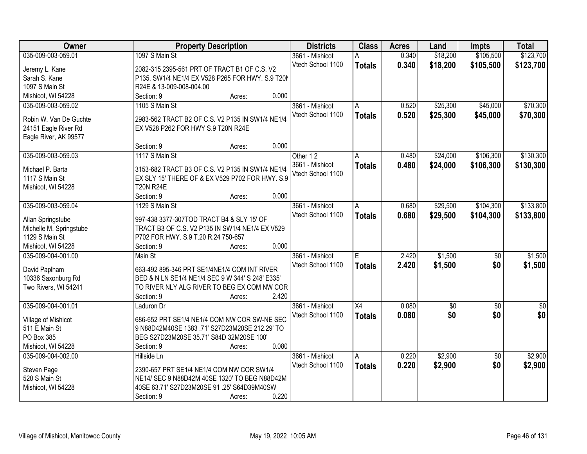| Owner                   | <b>Property Description</b>                      | <b>Districts</b>  | <b>Class</b>  | <b>Acres</b> | Land       | <b>Impts</b>    | <b>Total</b>  |
|-------------------------|--------------------------------------------------|-------------------|---------------|--------------|------------|-----------------|---------------|
| 035-009-003-059.01      | 1097 S Main St                                   | 3661 - Mishicot   | Α             | 0.340        | \$18,200   | \$105,500       | \$123,700     |
| Jeremy L. Kane          | 2082-315 2395-561 PRT OF TRACT B1 OF C.S. V2     | Vtech School 1100 | <b>Totals</b> | 0.340        | \$18,200   | \$105,500       | \$123,700     |
| Sarah S. Kane           | P135, SW1/4 NE1/4 EX V528 P265 FOR HWY. S.9 T20N |                   |               |              |            |                 |               |
| 1097 S Main St          | R24E & 13-009-008-004.00                         |                   |               |              |            |                 |               |
| Mishicot, WI 54228      | 0.000<br>Section: 9<br>Acres:                    |                   |               |              |            |                 |               |
| 035-009-003-059.02      | 1105 S Main St                                   | 3661 - Mishicot   | A             | 0.520        | \$25,300   | \$45,000        | \$70,300      |
|                         |                                                  | Vtech School 1100 | <b>Totals</b> | 0.520        | \$25,300   | \$45,000        | \$70,300      |
| Robin W. Van De Guchte  | 2983-562 TRACT B2 OF C.S. V2 P135 IN SW1/4 NE1/4 |                   |               |              |            |                 |               |
| 24151 Eagle River Rd    | EX V528 P262 FOR HWY S.9 T20N R24E               |                   |               |              |            |                 |               |
| Eagle River, AK 99577   |                                                  |                   |               |              |            |                 |               |
|                         | 0.000<br>Section: 9<br>Acres:                    |                   |               |              |            |                 |               |
| 035-009-003-059.03      | 1117 S Main St                                   | Other 12          | Α             | 0.480        | \$24,000   | \$106,300       | \$130,300     |
| Michael P. Barta        | 3153-682 TRACT B3 OF C.S. V2 P135 IN SW1/4 NE1/4 | 3661 - Mishicot   | <b>Totals</b> | 0.480        | \$24,000   | \$106,300       | \$130,300     |
| 1117 S Main St          | EX SLY 15' THERE OF & EX V529 P702 FOR HWY. S.9  | Vtech School 1100 |               |              |            |                 |               |
| Mishicot, WI 54228      | <b>T20N R24E</b>                                 |                   |               |              |            |                 |               |
|                         | Section: 9<br>0.000<br>Acres:                    |                   |               |              |            |                 |               |
| 035-009-003-059.04      | 1129 S Main St                                   | 3661 - Mishicot   | A             | 0.680        | \$29,500   | \$104,300       | \$133,800     |
|                         |                                                  | Vtech School 1100 | <b>Totals</b> | 0.680        | \$29,500   | \$104,300       | \$133,800     |
| Allan Springstube       | 997-438 3377-307TOD TRACT B4 & SLY 15' OF        |                   |               |              |            |                 |               |
| Michelle M. Springstube | TRACT B3 OF C.S. V2 P135 IN SW1/4 NE1/4 EX V529  |                   |               |              |            |                 |               |
| 1129 S Main St          | P702 FOR HWY. S.9 T.20 R.24 750-657              |                   |               |              |            |                 |               |
| Mishicot, WI 54228      | 0.000<br>Section: 9<br>Acres:                    |                   |               |              |            |                 |               |
| 035-009-004-001.00      | Main St                                          | 3661 - Mishicot   | Ē             | 2.420        | \$1,500    | $\overline{50}$ | \$1,500       |
| David Paplham           | 663-492 895-346 PRT SE1/4NE1/4 COM INT RIVER     | Vtech School 1100 | <b>Totals</b> | 2.420        | \$1,500    | \$0             | \$1,500       |
| 10336 Saxonburg Rd      | BED & N LN SE1/4 NE1/4 SEC 9 W 344' S 248' E335' |                   |               |              |            |                 |               |
| Two Rivers, WI 54241    | TO RIVER NLY ALG RIVER TO BEG EX COM NW COR      |                   |               |              |            |                 |               |
|                         | 2.420<br>Section: 9<br>Acres:                    |                   |               |              |            |                 |               |
| 035-009-004-001.01      | Laduron Dr                                       | 3661 - Mishicot   | X4            | 0.080        | $\sqrt{6}$ | $\sqrt{6}$      | $\frac{6}{3}$ |
|                         |                                                  | Vtech School 1100 | <b>Totals</b> | 0.080        | \$0        | \$0             | \$0           |
| Village of Mishicot     | 686-652 PRT SE1/4 NE1/4 COM NW COR SW-NE SEC     |                   |               |              |            |                 |               |
| 511 E Main St           | 9 N88D42M40SE 1383 .71' S27D23M20SE 212.29' TO   |                   |               |              |            |                 |               |
| PO Box 385              | BEG S27D23M20SE 35.71' S84D 32M20SE 100'         |                   |               |              |            |                 |               |
| Mishicot, WI 54228      | 0.080<br>Section: 9<br>Acres:                    |                   |               |              |            |                 |               |
| 035-009-004-002.00      | Hillside Ln                                      | 3661 - Mishicot   | A             | 0.220        | \$2,900    | $\overline{30}$ | \$2,900       |
| Steven Page             | 2390-657 PRT SE1/4 NE1/4 COM NW COR SW1/4        | Vtech School 1100 | <b>Totals</b> | 0.220        | \$2,900    | \$0             | \$2,900       |
| 520 S Main St           | NE14/ SEC 9 N88D42M 40SE 1320' TO BEG N88D42M    |                   |               |              |            |                 |               |
| Mishicot, WI 54228      | 40SE 63.71' S27D23M20SE 91 .25' S64D39M40SW      |                   |               |              |            |                 |               |
|                         | 0.220<br>Section: 9<br>Acres:                    |                   |               |              |            |                 |               |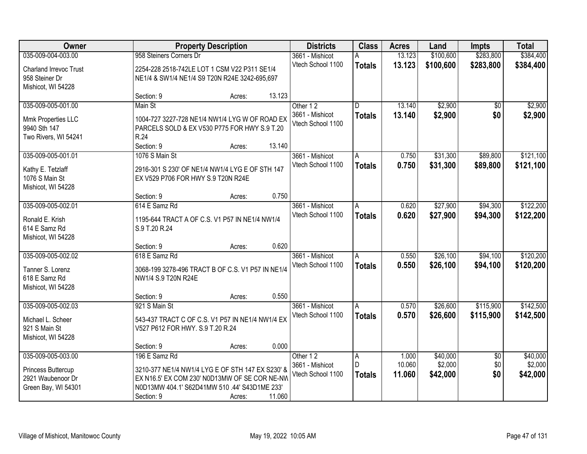| \$384,400<br>035-009-004-003.00<br>958 Steiners Corners Dr<br>13.123<br>\$100,600<br>\$283,800<br>3661 - Mishicot<br>A<br>Vtech School 1100<br>13.123<br>\$100,600<br>\$283,800<br>\$384,400<br><b>Totals</b><br>2254-228 2518-742LE LOT 1 CSM V22 P311 SE1/4<br><b>Charland Irrevoc Trust</b><br>958 Steiner Dr<br>NE1/4 & SW1/4 NE1/4 S9 T20N R24E 3242-695,697<br>Mishicot, WI 54228<br>13.123<br>Section: 9<br>Acres:<br>\$2,900<br>\$2,900<br>035-009-005-001.00<br>Main St<br>13.140<br>Other 12<br>D.<br>$\overline{50}$<br>13.140<br>\$2,900<br>\$0<br>3661 - Mishicot<br>\$2,900<br><b>Totals</b><br>Mmk Properties LLC<br>1004-727 3227-728 NE1/4 NW1/4 LYG W OF ROAD EX<br>Vtech School 1100<br>9940 Sth 147<br>PARCELS SOLD & EX V530 P775 FOR HWY S.9 T.20<br>Two Rivers, WI 54241<br>R.24<br>Section: 9<br>13.140<br>Acres:<br>\$31,300<br>\$121,100<br>035-009-005-001.01<br>1076 S Main St<br>0.750<br>\$89,800<br>3661 - Mishicot<br>A<br>Vtech School 1100<br>0.750<br>\$31,300<br>\$89,800<br>\$121,100<br><b>Totals</b><br>2916-301 S 230' OF NE1/4 NW1/4 LYG E OF STH 147<br>Kathy E. Tetzlaff<br>1076 S Main St<br>EX V529 P706 FOR HWY S.9 T20N R24E<br>Mishicot, WI 54228<br>0.750<br>Section: 9<br>Acres:<br>035-009-005-002.01<br>\$27,900<br>\$94,300<br>\$122,200<br>614 E Samz Rd<br>3661 - Mishicot<br>0.620<br>A<br>Vtech School 1100<br>0.620<br>\$27,900<br>\$94,300<br>\$122,200<br><b>Totals</b><br>1195-644 TRACT A OF C.S. V1 P57 IN NE1/4 NW1/4<br>Ronald E. Krish<br>614 E Samz Rd<br>S.9 T.20 R.24<br>Mishicot, WI 54228<br>0.620<br>Section: 9<br>Acres:<br>\$26,100<br>\$94,100<br>\$120,200<br>035-009-005-002.02<br>618 E Samz Rd<br>0.550<br>3661 - Mishicot<br>A<br>Vtech School 1100<br>0.550<br>\$26,100<br>\$94,100<br>\$120,200<br><b>Totals</b><br>Tanner S. Lorenz<br>3068-199 3278-496 TRACT B OF C.S. V1 P57 IN NE1/4<br>618 E Samz Rd<br>NW1/4 S.9 T20N R24E<br>Mishicot, WI 54228<br>0.550<br>Section: 9<br>Acres:<br>\$26,600<br>\$115,900<br>\$142,500<br>035-009-005-002.03<br>921 S Main St<br>3661 - Mishicot<br>0.570<br>A<br>0.570<br>\$26,600<br>Vtech School 1100<br>\$115,900<br>\$142,500<br><b>Totals</b><br>Michael L. Scheer<br>543-437 TRACT C OF C.S. V1 P57 IN NE1/4 NW1/4 EX<br>V527 P612 FOR HWY. S.9 T.20 R.24<br>921 S Main St<br>Mishicot, WI 54228<br>0.000<br>Section: 9<br>Acres:<br>035-009-005-003.00<br>196 E Samz Rd<br>\$40,000<br>\$40,000<br>Other 12<br>1.000<br>$\overline{50}$<br>A<br>\$2,000<br>D<br>10.060<br>\$0<br>\$2,000<br>3661 - Mishicot<br>Princess Buttercup<br>3210-377 NE1/4 NW1/4 LYG E OF STH 147 EX S230' &<br>\$0<br>\$42,000<br>Vtech School 1100<br>11.060<br>\$42,000<br><b>Totals</b><br>2921 Waubenoor Dr<br>EX N16.5' EX COM 230' N0D13MW OF SE COR NE-NW<br>N0D13MW 404.1' S62D41MW 510 .44' S43D1ME 233'<br>Green Bay, WI 54301 | Owner |            | <b>Property Description</b> |        |  | <b>Class</b> | <b>Acres</b> | Land | <b>Impts</b> | <b>Total</b> |
|------------------------------------------------------------------------------------------------------------------------------------------------------------------------------------------------------------------------------------------------------------------------------------------------------------------------------------------------------------------------------------------------------------------------------------------------------------------------------------------------------------------------------------------------------------------------------------------------------------------------------------------------------------------------------------------------------------------------------------------------------------------------------------------------------------------------------------------------------------------------------------------------------------------------------------------------------------------------------------------------------------------------------------------------------------------------------------------------------------------------------------------------------------------------------------------------------------------------------------------------------------------------------------------------------------------------------------------------------------------------------------------------------------------------------------------------------------------------------------------------------------------------------------------------------------------------------------------------------------------------------------------------------------------------------------------------------------------------------------------------------------------------------------------------------------------------------------------------------------------------------------------------------------------------------------------------------------------------------------------------------------------------------------------------------------------------------------------------------------------------------------------------------------------------------------------------------------------------------------------------------------------------------------------------------------------------------------------------------------------------------------------------------------------------------------------------------------------------------------------------------------------------------------------------------------------------------------------------------------------------------------------------------------------------------------------------------------------------------------------------------------------------------------------------------------------------------------------------------|-------|------------|-----------------------------|--------|--|--------------|--------------|------|--------------|--------------|
|                                                                                                                                                                                                                                                                                                                                                                                                                                                                                                                                                                                                                                                                                                                                                                                                                                                                                                                                                                                                                                                                                                                                                                                                                                                                                                                                                                                                                                                                                                                                                                                                                                                                                                                                                                                                                                                                                                                                                                                                                                                                                                                                                                                                                                                                                                                                                                                                                                                                                                                                                                                                                                                                                                                                                                                                                                                      |       |            |                             |        |  |              |              |      |              |              |
|                                                                                                                                                                                                                                                                                                                                                                                                                                                                                                                                                                                                                                                                                                                                                                                                                                                                                                                                                                                                                                                                                                                                                                                                                                                                                                                                                                                                                                                                                                                                                                                                                                                                                                                                                                                                                                                                                                                                                                                                                                                                                                                                                                                                                                                                                                                                                                                                                                                                                                                                                                                                                                                                                                                                                                                                                                                      |       |            |                             |        |  |              |              |      |              |              |
|                                                                                                                                                                                                                                                                                                                                                                                                                                                                                                                                                                                                                                                                                                                                                                                                                                                                                                                                                                                                                                                                                                                                                                                                                                                                                                                                                                                                                                                                                                                                                                                                                                                                                                                                                                                                                                                                                                                                                                                                                                                                                                                                                                                                                                                                                                                                                                                                                                                                                                                                                                                                                                                                                                                                                                                                                                                      |       |            |                             |        |  |              |              |      |              |              |
|                                                                                                                                                                                                                                                                                                                                                                                                                                                                                                                                                                                                                                                                                                                                                                                                                                                                                                                                                                                                                                                                                                                                                                                                                                                                                                                                                                                                                                                                                                                                                                                                                                                                                                                                                                                                                                                                                                                                                                                                                                                                                                                                                                                                                                                                                                                                                                                                                                                                                                                                                                                                                                                                                                                                                                                                                                                      |       |            |                             |        |  |              |              |      |              |              |
|                                                                                                                                                                                                                                                                                                                                                                                                                                                                                                                                                                                                                                                                                                                                                                                                                                                                                                                                                                                                                                                                                                                                                                                                                                                                                                                                                                                                                                                                                                                                                                                                                                                                                                                                                                                                                                                                                                                                                                                                                                                                                                                                                                                                                                                                                                                                                                                                                                                                                                                                                                                                                                                                                                                                                                                                                                                      |       |            |                             |        |  |              |              |      |              |              |
|                                                                                                                                                                                                                                                                                                                                                                                                                                                                                                                                                                                                                                                                                                                                                                                                                                                                                                                                                                                                                                                                                                                                                                                                                                                                                                                                                                                                                                                                                                                                                                                                                                                                                                                                                                                                                                                                                                                                                                                                                                                                                                                                                                                                                                                                                                                                                                                                                                                                                                                                                                                                                                                                                                                                                                                                                                                      |       |            |                             |        |  |              |              |      |              |              |
|                                                                                                                                                                                                                                                                                                                                                                                                                                                                                                                                                                                                                                                                                                                                                                                                                                                                                                                                                                                                                                                                                                                                                                                                                                                                                                                                                                                                                                                                                                                                                                                                                                                                                                                                                                                                                                                                                                                                                                                                                                                                                                                                                                                                                                                                                                                                                                                                                                                                                                                                                                                                                                                                                                                                                                                                                                                      |       |            |                             |        |  |              |              |      |              |              |
|                                                                                                                                                                                                                                                                                                                                                                                                                                                                                                                                                                                                                                                                                                                                                                                                                                                                                                                                                                                                                                                                                                                                                                                                                                                                                                                                                                                                                                                                                                                                                                                                                                                                                                                                                                                                                                                                                                                                                                                                                                                                                                                                                                                                                                                                                                                                                                                                                                                                                                                                                                                                                                                                                                                                                                                                                                                      |       |            |                             |        |  |              |              |      |              |              |
|                                                                                                                                                                                                                                                                                                                                                                                                                                                                                                                                                                                                                                                                                                                                                                                                                                                                                                                                                                                                                                                                                                                                                                                                                                                                                                                                                                                                                                                                                                                                                                                                                                                                                                                                                                                                                                                                                                                                                                                                                                                                                                                                                                                                                                                                                                                                                                                                                                                                                                                                                                                                                                                                                                                                                                                                                                                      |       |            |                             |        |  |              |              |      |              |              |
|                                                                                                                                                                                                                                                                                                                                                                                                                                                                                                                                                                                                                                                                                                                                                                                                                                                                                                                                                                                                                                                                                                                                                                                                                                                                                                                                                                                                                                                                                                                                                                                                                                                                                                                                                                                                                                                                                                                                                                                                                                                                                                                                                                                                                                                                                                                                                                                                                                                                                                                                                                                                                                                                                                                                                                                                                                                      |       |            |                             |        |  |              |              |      |              |              |
|                                                                                                                                                                                                                                                                                                                                                                                                                                                                                                                                                                                                                                                                                                                                                                                                                                                                                                                                                                                                                                                                                                                                                                                                                                                                                                                                                                                                                                                                                                                                                                                                                                                                                                                                                                                                                                                                                                                                                                                                                                                                                                                                                                                                                                                                                                                                                                                                                                                                                                                                                                                                                                                                                                                                                                                                                                                      |       |            |                             |        |  |              |              |      |              |              |
|                                                                                                                                                                                                                                                                                                                                                                                                                                                                                                                                                                                                                                                                                                                                                                                                                                                                                                                                                                                                                                                                                                                                                                                                                                                                                                                                                                                                                                                                                                                                                                                                                                                                                                                                                                                                                                                                                                                                                                                                                                                                                                                                                                                                                                                                                                                                                                                                                                                                                                                                                                                                                                                                                                                                                                                                                                                      |       |            |                             |        |  |              |              |      |              |              |
|                                                                                                                                                                                                                                                                                                                                                                                                                                                                                                                                                                                                                                                                                                                                                                                                                                                                                                                                                                                                                                                                                                                                                                                                                                                                                                                                                                                                                                                                                                                                                                                                                                                                                                                                                                                                                                                                                                                                                                                                                                                                                                                                                                                                                                                                                                                                                                                                                                                                                                                                                                                                                                                                                                                                                                                                                                                      |       |            |                             |        |  |              |              |      |              |              |
|                                                                                                                                                                                                                                                                                                                                                                                                                                                                                                                                                                                                                                                                                                                                                                                                                                                                                                                                                                                                                                                                                                                                                                                                                                                                                                                                                                                                                                                                                                                                                                                                                                                                                                                                                                                                                                                                                                                                                                                                                                                                                                                                                                                                                                                                                                                                                                                                                                                                                                                                                                                                                                                                                                                                                                                                                                                      |       |            |                             |        |  |              |              |      |              |              |
|                                                                                                                                                                                                                                                                                                                                                                                                                                                                                                                                                                                                                                                                                                                                                                                                                                                                                                                                                                                                                                                                                                                                                                                                                                                                                                                                                                                                                                                                                                                                                                                                                                                                                                                                                                                                                                                                                                                                                                                                                                                                                                                                                                                                                                                                                                                                                                                                                                                                                                                                                                                                                                                                                                                                                                                                                                                      |       |            |                             |        |  |              |              |      |              |              |
|                                                                                                                                                                                                                                                                                                                                                                                                                                                                                                                                                                                                                                                                                                                                                                                                                                                                                                                                                                                                                                                                                                                                                                                                                                                                                                                                                                                                                                                                                                                                                                                                                                                                                                                                                                                                                                                                                                                                                                                                                                                                                                                                                                                                                                                                                                                                                                                                                                                                                                                                                                                                                                                                                                                                                                                                                                                      |       |            |                             |        |  |              |              |      |              |              |
|                                                                                                                                                                                                                                                                                                                                                                                                                                                                                                                                                                                                                                                                                                                                                                                                                                                                                                                                                                                                                                                                                                                                                                                                                                                                                                                                                                                                                                                                                                                                                                                                                                                                                                                                                                                                                                                                                                                                                                                                                                                                                                                                                                                                                                                                                                                                                                                                                                                                                                                                                                                                                                                                                                                                                                                                                                                      |       |            |                             |        |  |              |              |      |              |              |
|                                                                                                                                                                                                                                                                                                                                                                                                                                                                                                                                                                                                                                                                                                                                                                                                                                                                                                                                                                                                                                                                                                                                                                                                                                                                                                                                                                                                                                                                                                                                                                                                                                                                                                                                                                                                                                                                                                                                                                                                                                                                                                                                                                                                                                                                                                                                                                                                                                                                                                                                                                                                                                                                                                                                                                                                                                                      |       |            |                             |        |  |              |              |      |              |              |
|                                                                                                                                                                                                                                                                                                                                                                                                                                                                                                                                                                                                                                                                                                                                                                                                                                                                                                                                                                                                                                                                                                                                                                                                                                                                                                                                                                                                                                                                                                                                                                                                                                                                                                                                                                                                                                                                                                                                                                                                                                                                                                                                                                                                                                                                                                                                                                                                                                                                                                                                                                                                                                                                                                                                                                                                                                                      |       |            |                             |        |  |              |              |      |              |              |
|                                                                                                                                                                                                                                                                                                                                                                                                                                                                                                                                                                                                                                                                                                                                                                                                                                                                                                                                                                                                                                                                                                                                                                                                                                                                                                                                                                                                                                                                                                                                                                                                                                                                                                                                                                                                                                                                                                                                                                                                                                                                                                                                                                                                                                                                                                                                                                                                                                                                                                                                                                                                                                                                                                                                                                                                                                                      |       |            |                             |        |  |              |              |      |              |              |
|                                                                                                                                                                                                                                                                                                                                                                                                                                                                                                                                                                                                                                                                                                                                                                                                                                                                                                                                                                                                                                                                                                                                                                                                                                                                                                                                                                                                                                                                                                                                                                                                                                                                                                                                                                                                                                                                                                                                                                                                                                                                                                                                                                                                                                                                                                                                                                                                                                                                                                                                                                                                                                                                                                                                                                                                                                                      |       |            |                             |        |  |              |              |      |              |              |
|                                                                                                                                                                                                                                                                                                                                                                                                                                                                                                                                                                                                                                                                                                                                                                                                                                                                                                                                                                                                                                                                                                                                                                                                                                                                                                                                                                                                                                                                                                                                                                                                                                                                                                                                                                                                                                                                                                                                                                                                                                                                                                                                                                                                                                                                                                                                                                                                                                                                                                                                                                                                                                                                                                                                                                                                                                                      |       |            |                             |        |  |              |              |      |              |              |
|                                                                                                                                                                                                                                                                                                                                                                                                                                                                                                                                                                                                                                                                                                                                                                                                                                                                                                                                                                                                                                                                                                                                                                                                                                                                                                                                                                                                                                                                                                                                                                                                                                                                                                                                                                                                                                                                                                                                                                                                                                                                                                                                                                                                                                                                                                                                                                                                                                                                                                                                                                                                                                                                                                                                                                                                                                                      |       |            |                             |        |  |              |              |      |              |              |
|                                                                                                                                                                                                                                                                                                                                                                                                                                                                                                                                                                                                                                                                                                                                                                                                                                                                                                                                                                                                                                                                                                                                                                                                                                                                                                                                                                                                                                                                                                                                                                                                                                                                                                                                                                                                                                                                                                                                                                                                                                                                                                                                                                                                                                                                                                                                                                                                                                                                                                                                                                                                                                                                                                                                                                                                                                                      |       |            |                             |        |  |              |              |      |              |              |
|                                                                                                                                                                                                                                                                                                                                                                                                                                                                                                                                                                                                                                                                                                                                                                                                                                                                                                                                                                                                                                                                                                                                                                                                                                                                                                                                                                                                                                                                                                                                                                                                                                                                                                                                                                                                                                                                                                                                                                                                                                                                                                                                                                                                                                                                                                                                                                                                                                                                                                                                                                                                                                                                                                                                                                                                                                                      |       |            |                             |        |  |              |              |      |              |              |
|                                                                                                                                                                                                                                                                                                                                                                                                                                                                                                                                                                                                                                                                                                                                                                                                                                                                                                                                                                                                                                                                                                                                                                                                                                                                                                                                                                                                                                                                                                                                                                                                                                                                                                                                                                                                                                                                                                                                                                                                                                                                                                                                                                                                                                                                                                                                                                                                                                                                                                                                                                                                                                                                                                                                                                                                                                                      |       |            |                             |        |  |              |              |      |              |              |
|                                                                                                                                                                                                                                                                                                                                                                                                                                                                                                                                                                                                                                                                                                                                                                                                                                                                                                                                                                                                                                                                                                                                                                                                                                                                                                                                                                                                                                                                                                                                                                                                                                                                                                                                                                                                                                                                                                                                                                                                                                                                                                                                                                                                                                                                                                                                                                                                                                                                                                                                                                                                                                                                                                                                                                                                                                                      |       |            |                             |        |  |              |              |      |              |              |
|                                                                                                                                                                                                                                                                                                                                                                                                                                                                                                                                                                                                                                                                                                                                                                                                                                                                                                                                                                                                                                                                                                                                                                                                                                                                                                                                                                                                                                                                                                                                                                                                                                                                                                                                                                                                                                                                                                                                                                                                                                                                                                                                                                                                                                                                                                                                                                                                                                                                                                                                                                                                                                                                                                                                                                                                                                                      |       |            |                             |        |  |              |              |      |              |              |
|                                                                                                                                                                                                                                                                                                                                                                                                                                                                                                                                                                                                                                                                                                                                                                                                                                                                                                                                                                                                                                                                                                                                                                                                                                                                                                                                                                                                                                                                                                                                                                                                                                                                                                                                                                                                                                                                                                                                                                                                                                                                                                                                                                                                                                                                                                                                                                                                                                                                                                                                                                                                                                                                                                                                                                                                                                                      |       |            |                             |        |  |              |              |      |              |              |
|                                                                                                                                                                                                                                                                                                                                                                                                                                                                                                                                                                                                                                                                                                                                                                                                                                                                                                                                                                                                                                                                                                                                                                                                                                                                                                                                                                                                                                                                                                                                                                                                                                                                                                                                                                                                                                                                                                                                                                                                                                                                                                                                                                                                                                                                                                                                                                                                                                                                                                                                                                                                                                                                                                                                                                                                                                                      |       |            |                             |        |  |              |              |      |              |              |
|                                                                                                                                                                                                                                                                                                                                                                                                                                                                                                                                                                                                                                                                                                                                                                                                                                                                                                                                                                                                                                                                                                                                                                                                                                                                                                                                                                                                                                                                                                                                                                                                                                                                                                                                                                                                                                                                                                                                                                                                                                                                                                                                                                                                                                                                                                                                                                                                                                                                                                                                                                                                                                                                                                                                                                                                                                                      |       |            |                             |        |  |              |              |      |              |              |
|                                                                                                                                                                                                                                                                                                                                                                                                                                                                                                                                                                                                                                                                                                                                                                                                                                                                                                                                                                                                                                                                                                                                                                                                                                                                                                                                                                                                                                                                                                                                                                                                                                                                                                                                                                                                                                                                                                                                                                                                                                                                                                                                                                                                                                                                                                                                                                                                                                                                                                                                                                                                                                                                                                                                                                                                                                                      |       |            |                             |        |  |              |              |      |              |              |
|                                                                                                                                                                                                                                                                                                                                                                                                                                                                                                                                                                                                                                                                                                                                                                                                                                                                                                                                                                                                                                                                                                                                                                                                                                                                                                                                                                                                                                                                                                                                                                                                                                                                                                                                                                                                                                                                                                                                                                                                                                                                                                                                                                                                                                                                                                                                                                                                                                                                                                                                                                                                                                                                                                                                                                                                                                                      |       |            |                             |        |  |              |              |      |              |              |
|                                                                                                                                                                                                                                                                                                                                                                                                                                                                                                                                                                                                                                                                                                                                                                                                                                                                                                                                                                                                                                                                                                                                                                                                                                                                                                                                                                                                                                                                                                                                                                                                                                                                                                                                                                                                                                                                                                                                                                                                                                                                                                                                                                                                                                                                                                                                                                                                                                                                                                                                                                                                                                                                                                                                                                                                                                                      |       |            |                             |        |  |              |              |      |              |              |
|                                                                                                                                                                                                                                                                                                                                                                                                                                                                                                                                                                                                                                                                                                                                                                                                                                                                                                                                                                                                                                                                                                                                                                                                                                                                                                                                                                                                                                                                                                                                                                                                                                                                                                                                                                                                                                                                                                                                                                                                                                                                                                                                                                                                                                                                                                                                                                                                                                                                                                                                                                                                                                                                                                                                                                                                                                                      |       |            |                             |        |  |              |              |      |              |              |
|                                                                                                                                                                                                                                                                                                                                                                                                                                                                                                                                                                                                                                                                                                                                                                                                                                                                                                                                                                                                                                                                                                                                                                                                                                                                                                                                                                                                                                                                                                                                                                                                                                                                                                                                                                                                                                                                                                                                                                                                                                                                                                                                                                                                                                                                                                                                                                                                                                                                                                                                                                                                                                                                                                                                                                                                                                                      |       |            |                             |        |  |              |              |      |              |              |
|                                                                                                                                                                                                                                                                                                                                                                                                                                                                                                                                                                                                                                                                                                                                                                                                                                                                                                                                                                                                                                                                                                                                                                                                                                                                                                                                                                                                                                                                                                                                                                                                                                                                                                                                                                                                                                                                                                                                                                                                                                                                                                                                                                                                                                                                                                                                                                                                                                                                                                                                                                                                                                                                                                                                                                                                                                                      |       | Section: 9 | Acres:                      | 11.060 |  |              |              |      |              |              |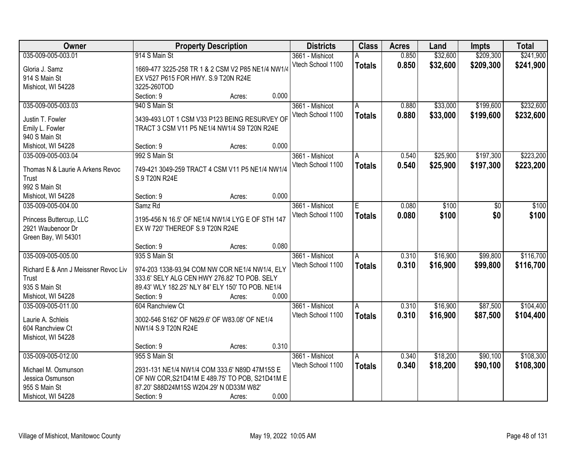| Owner                                | <b>Property Description</b>                       |        |       | <b>Districts</b>  | <b>Class</b>  | <b>Acres</b> | Land     | <b>Impts</b> | <b>Total</b> |
|--------------------------------------|---------------------------------------------------|--------|-------|-------------------|---------------|--------------|----------|--------------|--------------|
| 035-009-005-003.01                   | 914 S Main St                                     |        |       | 3661 - Mishicot   | А             | 0.850        | \$32,600 | \$209,300    | \$241,900    |
| Gloria J. Samz                       | 1669-477 3225-258 TR 1 & 2 CSM V2 P85 NE1/4 NW1/4 |        |       | Vtech School 1100 | <b>Totals</b> | 0.850        | \$32,600 | \$209,300    | \$241,900    |
| 914 S Main St                        | EX V527 P615 FOR HWY. S.9 T20N R24E               |        |       |                   |               |              |          |              |              |
| Mishicot, WI 54228                   | 3225-260TOD                                       |        |       |                   |               |              |          |              |              |
|                                      | Section: 9                                        | Acres: | 0.000 |                   |               |              |          |              |              |
| 035-009-005-003.03                   | 940 S Main St                                     |        |       | 3661 - Mishicot   | A             | 0.880        | \$33,000 | \$199,600    | \$232,600    |
|                                      |                                                   |        |       | Vtech School 1100 | <b>Totals</b> | 0.880        | \$33,000 | \$199,600    | \$232,600    |
| Justin T. Fowler                     | 3439-493 LOT 1 CSM V33 P123 BEING RESURVEY OF     |        |       |                   |               |              |          |              |              |
| Emily L. Fowler                      | TRACT 3 CSM V11 P5 NE1/4 NW1/4 S9 T20N R24E       |        |       |                   |               |              |          |              |              |
| 940 S Main St                        |                                                   |        |       |                   |               |              |          |              |              |
| Mishicot, WI 54228                   | Section: 9                                        | Acres: | 0.000 |                   |               |              |          |              |              |
| 035-009-005-003.04                   | 992 S Main St                                     |        |       | 3661 - Mishicot   | A             | 0.540        | \$25,900 | \$197,300    | \$223,200    |
| Thomas N & Laurie A Arkens Revoc     | 749-421 3049-259 TRACT 4 CSM V11 P5 NE1/4 NW1/4   |        |       | Vtech School 1100 | <b>Totals</b> | 0.540        | \$25,900 | \$197,300    | \$223,200    |
| Trust                                | S.9 T20N R24E                                     |        |       |                   |               |              |          |              |              |
| 992 S Main St                        |                                                   |        |       |                   |               |              |          |              |              |
| Mishicot, WI 54228                   | Section: 9                                        | Acres: | 0.000 |                   |               |              |          |              |              |
| 035-009-005-004.00                   | Samz Rd                                           |        |       | 3661 - Mishicot   | E             | 0.080        | \$100    | \$0          | \$100        |
|                                      |                                                   |        |       | Vtech School 1100 | <b>Totals</b> | 0.080        | \$100    | \$0          | \$100        |
| Princess Buttercup, LLC              | 3195-456 N 16.5' OF NE1/4 NW1/4 LYG E OF STH 147  |        |       |                   |               |              |          |              |              |
| 2921 Waubenoor Dr                    | EX W 720' THEREOF S.9 T20N R24E                   |        |       |                   |               |              |          |              |              |
| Green Bay, WI 54301                  |                                                   |        |       |                   |               |              |          |              |              |
|                                      | Section: 9                                        | Acres: | 0.080 |                   |               |              |          |              |              |
| 035-009-005-005.00                   | 935 S Main St                                     |        |       | 3661 - Mishicot   | A             | 0.310        | \$16,900 | \$99,800     | \$116,700    |
| Richard E & Ann J Meissner Revoc Liv | 974-203 1338-93,94 COM NW COR NE1/4 NW1/4, ELY    |        |       | Vtech School 1100 | <b>Totals</b> | 0.310        | \$16,900 | \$99,800     | \$116,700    |
| Trust                                | 333.6' SELY ALG CEN HWY 276.82' TO POB. SELY      |        |       |                   |               |              |          |              |              |
| 935 S Main St                        | 89.43' WLY 182.25' NLY 84' ELY 150' TO POB. NE1/4 |        |       |                   |               |              |          |              |              |
| Mishicot, WI 54228                   | Section: 9                                        |        | 0.000 |                   |               |              |          |              |              |
|                                      |                                                   | Acres: |       |                   |               |              |          |              |              |
| 035-009-005-011.00                   | 604 Ranchview Ct                                  |        |       | 3661 - Mishicot   | A             | 0.310        | \$16,900 | \$87,500     | \$104,400    |
| Laurie A. Schleis                    | 3002-546 S162' OF N629.6' OF W83.08' OF NE1/4     |        |       | Vtech School 1100 | <b>Totals</b> | 0.310        | \$16,900 | \$87,500     | \$104,400    |
| 604 Ranchview Ct                     | NW1/4 S.9 T20N R24E                               |        |       |                   |               |              |          |              |              |
| Mishicot, WI 54228                   |                                                   |        |       |                   |               |              |          |              |              |
|                                      | Section: 9                                        | Acres: | 0.310 |                   |               |              |          |              |              |
| 035-009-005-012.00                   | 955 S Main St                                     |        |       | 3661 - Mishicot   | Α             | 0.340        | \$18,200 | \$90,100     | \$108,300    |
|                                      |                                                   |        |       | Vtech School 1100 | <b>Totals</b> | 0.340        | \$18,200 | \$90,100     | \$108,300    |
| Michael M. Osmunson                  | 2931-131 NE1/4 NW1/4 COM 333.6' N89D 47M15S E     |        |       |                   |               |              |          |              |              |
| Jessica Osmunson                     | OF NW COR, S21D41M E 489.75' TO POB, S21D41M E    |        |       |                   |               |              |          |              |              |
| 955 S Main St                        | 87.20' S88D24M15S W204.29' N 0D33M W82'           |        |       |                   |               |              |          |              |              |
| Mishicot, WI 54228                   | Section: 9                                        | Acres: | 0.000 |                   |               |              |          |              |              |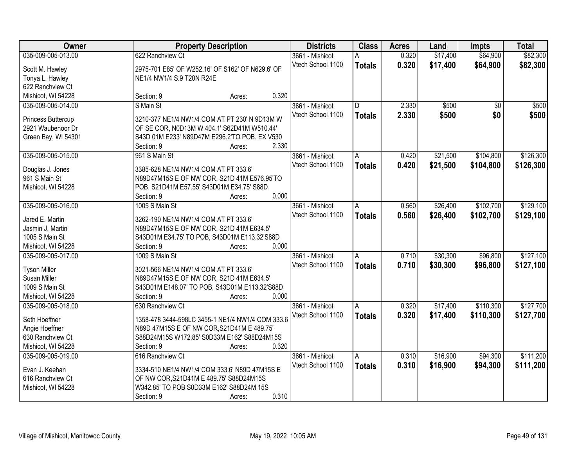| Owner               | <b>Property Description</b>                      | <b>Districts</b>  | <b>Class</b>  | <b>Acres</b> | Land     | <b>Impts</b>    | <b>Total</b> |
|---------------------|--------------------------------------------------|-------------------|---------------|--------------|----------|-----------------|--------------|
| 035-009-005-013.00  | 622 Ranchview Ct                                 | 3661 - Mishicot   | Α             | 0.320        | \$17,400 | \$64,900        | \$82,300     |
| Scott M. Hawley     | 2975-701 E85' OF W252.16' OF S162' OF N629.6' OF | Vtech School 1100 | <b>Totals</b> | 0.320        | \$17,400 | \$64,900        | \$82,300     |
| Tonya L. Hawley     | NE1/4 NW1/4 S.9 T20N R24E                        |                   |               |              |          |                 |              |
| 622 Ranchview Ct    |                                                  |                   |               |              |          |                 |              |
| Mishicot, WI 54228  | 0.320<br>Section: 9<br>Acres:                    |                   |               |              |          |                 |              |
| 035-009-005-014.00  | S Main St                                        | 3661 - Mishicot   | D.            | 2.330        | \$500    | $\overline{50}$ | \$500        |
|                     |                                                  | Vtech School 1100 | <b>Totals</b> | 2.330        | \$500    | \$0             | \$500        |
| Princess Buttercup  | 3210-377 NE1/4 NW1/4 COM AT PT 230' N 9D13M W    |                   |               |              |          |                 |              |
| 2921 Waubenoor Dr   | OF SE COR, N0D13M W 404.1' S62D41M W510.44'      |                   |               |              |          |                 |              |
| Green Bay, WI 54301 | S43D 01M E233' N89D47M E296.2'TO POB. EX V530    |                   |               |              |          |                 |              |
|                     | 2.330<br>Section: 9<br>Acres:                    |                   |               |              |          |                 |              |
| 035-009-005-015.00  | 961 S Main St                                    | 3661 - Mishicot   | A             | 0.420        | \$21,500 | \$104,800       | \$126,300    |
| Douglas J. Jones    | 3385-628 NE1/4 NW1/4 COM AT PT 333.6'            | Vtech School 1100 | <b>Totals</b> | 0.420        | \$21,500 | \$104,800       | \$126,300    |
| 961 S Main St       | N89D47M15S E OF NW COR, S21D 41M E576.95'TO      |                   |               |              |          |                 |              |
| Mishicot, WI 54228  | POB. S21D41M E57.55' S43D01M E34.75' S88D        |                   |               |              |          |                 |              |
|                     | 0.000<br>Section: 9<br>Acres:                    |                   |               |              |          |                 |              |
| 035-009-005-016.00  | 1005 S Main St                                   | 3661 - Mishicot   | A             | 0.560        | \$26,400 | \$102,700       | \$129,100    |
|                     |                                                  | Vtech School 1100 |               | 0.560        | \$26,400 | \$102,700       | \$129,100    |
| Jared E. Martin     | 3262-190 NE1/4 NW1/4 COM AT PT 333.6'            |                   | <b>Totals</b> |              |          |                 |              |
| Jasmin J. Martin    | N89D47M15S E OF NW COR, S21D 41M E634.5'         |                   |               |              |          |                 |              |
| 1005 S Main St      | S43D01M E34.75' TO POB, S43D01M E113.32'S88D     |                   |               |              |          |                 |              |
| Mishicot, WI 54228  | 0.000<br>Section: 9<br>Acres:                    |                   |               |              |          |                 |              |
| 035-009-005-017.00  | 1009 S Main St                                   | 3661 - Mishicot   | A             | 0.710        | \$30,300 | \$96,800        | \$127,100    |
| <b>Tyson Miller</b> | 3021-566 NE1/4 NW1/4 COM AT PT 333.6'            | Vtech School 1100 | <b>Totals</b> | 0.710        | \$30,300 | \$96,800        | \$127,100    |
| Susan Miller        | N89D47M15S E OF NW COR, S21D 41M E634.5'         |                   |               |              |          |                 |              |
| 1009 S Main St      | S43D01M E148.07' TO POB, S43D01M E113.32'S88D    |                   |               |              |          |                 |              |
| Mishicot, WI 54228  | Section: 9<br>0.000<br>Acres:                    |                   |               |              |          |                 |              |
| 035-009-005-018.00  | 630 Ranchview Ct                                 | 3661 - Mishicot   | A             | 0.320        | \$17,400 | \$110,300       | \$127,700    |
|                     |                                                  | Vtech School 1100 |               | 0.320        | \$17,400 | \$110,300       |              |
| Seth Hoeffner       | 1358-478 3444-598LC 3455-1 NE1/4 NW1/4 COM 333.6 |                   | <b>Totals</b> |              |          |                 | \$127,700    |
| Angie Hoeffner      | N89D 47M15S E OF NW COR, S21D41M E 489.75'       |                   |               |              |          |                 |              |
| 630 Ranchview Ct    | S88D24M15S W172.85' S0D33M E162' S88D24M15S      |                   |               |              |          |                 |              |
| Mishicot, WI 54228  | 0.320<br>Section: 9<br>Acres:                    |                   |               |              |          |                 |              |
| 035-009-005-019.00  | 616 Ranchview Ct                                 | 3661 - Mishicot   | A             | 0.310        | \$16,900 | \$94,300        | \$111,200    |
| Evan J. Keehan      | 3334-510 NE1/4 NW1/4 COM 333.6' N89D 47M15S E    | Vtech School 1100 | <b>Totals</b> | 0.310        | \$16,900 | \$94,300        | \$111,200    |
| 616 Ranchview Ct    | OF NW COR, S21D41M E 489.75' S88D24M15S          |                   |               |              |          |                 |              |
| Mishicot, WI 54228  | W342.85' TO POB S0D33M E162' S88D24M 15S         |                   |               |              |          |                 |              |
|                     | 0.310                                            |                   |               |              |          |                 |              |
|                     | Section: 9<br>Acres:                             |                   |               |              |          |                 |              |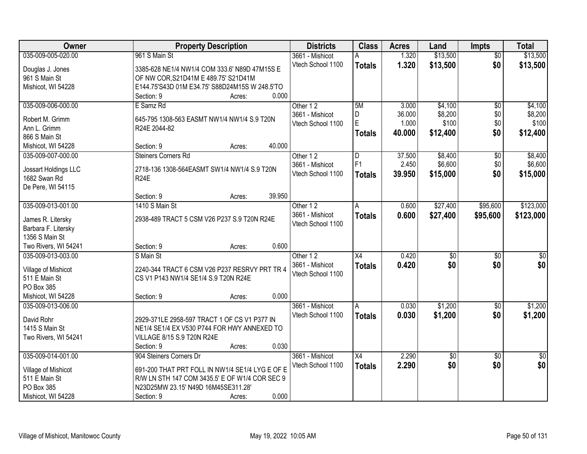| Owner                | <b>Property Description</b>                     | <b>Districts</b>  | <b>Class</b>    | <b>Acres</b> | Land            | <b>Impts</b>    | <b>Total</b>     |
|----------------------|-------------------------------------------------|-------------------|-----------------|--------------|-----------------|-----------------|------------------|
| 035-009-005-020.00   | 961 S Main St                                   | 3661 - Mishicot   | Α               | 1.320        | \$13,500        | $\overline{50}$ | \$13,500         |
| Douglas J. Jones     | 3385-628 NE1/4 NW1/4 COM 333.6' N89D 47M15S E   | Vtech School 1100 | <b>Totals</b>   | 1.320        | \$13,500        | \$0             | \$13,500         |
| 961 S Main St        | OF NW COR, S21D41M E 489.75' S21D41M            |                   |                 |              |                 |                 |                  |
| Mishicot, WI 54228   | E144.75'S43D 01M E34.75' S88D24M15S W 248.5'TO  |                   |                 |              |                 |                 |                  |
|                      | 0.000<br>Section: 9<br>Acres:                   |                   |                 |              |                 |                 |                  |
| 035-009-006-000.00   | E Samz Rd                                       | Other 12          | 5M              | 3.000        | \$4,100         | $\overline{50}$ | \$4,100          |
|                      |                                                 | 3661 - Mishicot   | D               | 36.000       | \$8,200         | \$0             | \$8,200          |
| Robert M. Grimm      | 645-795 1308-563 EASMT NW1/4 NW1/4 S.9 T20N     | Vtech School 1100 | E               | 1.000        | \$100           | \$0             | \$100            |
| Ann L. Grimm         | R24E 2044-82                                    |                   | <b>Totals</b>   | 40.000       | \$12,400        | \$0             | \$12,400         |
| 866 S Main St        |                                                 |                   |                 |              |                 |                 |                  |
| Mishicot, WI 54228   | 40.000<br>Section: 9<br>Acres:                  |                   |                 |              |                 |                 |                  |
| 035-009-007-000.00   | <b>Steiners Corners Rd</b>                      | Other 12          | D               | 37.500       | \$8,400         | $\overline{50}$ | \$8,400          |
| Jossart Holdings LLC | 2718-136 1308-564EASMT SW1/4 NW1/4 S.9 T20N     | 3661 - Mishicot   | F <sub>1</sub>  | 2.450        | \$6,600         | \$0             | \$6,600          |
| 1682 Swan Rd         | <b>R24E</b>                                     | Vtech School 1100 | <b>Totals</b>   | 39.950       | \$15,000        | \$0             | \$15,000         |
| De Pere, WI 54115    |                                                 |                   |                 |              |                 |                 |                  |
|                      | 39.950<br>Section: 9<br>Acres:                  |                   |                 |              |                 |                 |                  |
| 035-009-013-001.00   | 1410 S Main St                                  | Other 12          | A               | 0.600        | \$27,400        | \$95,600        | \$123,000        |
|                      |                                                 | 3661 - Mishicot   | <b>Totals</b>   | 0.600        | \$27,400        | \$95,600        | \$123,000        |
| James R. Litersky    | 2938-489 TRACT 5 CSM V26 P237 S.9 T20N R24E     | Vtech School 1100 |                 |              |                 |                 |                  |
| Barbara F. Litersky  |                                                 |                   |                 |              |                 |                 |                  |
| 1356 S Main St       | 0.600<br>Section: 9                             |                   |                 |              |                 |                 |                  |
| Two Rivers, WI 54241 | Acres:<br>S Main St                             |                   | $\overline{X4}$ | 0.420        |                 |                 |                  |
| 035-009-013-003.00   |                                                 | Other 12          |                 |              | $\overline{30}$ | $\overline{30}$ | $\overline{\$0}$ |
| Village of Mishicot  | 2240-344 TRACT 6 CSM V26 P237 RESRVY PRT TR 4   | 3661 - Mishicot   | <b>Totals</b>   | 0.420        | \$0             | \$0             | \$0              |
| 511 E Main St        | CS V1 P143 NW1/4 SE1/4 S.9 T20N R24E            | Vtech School 1100 |                 |              |                 |                 |                  |
| PO Box 385           |                                                 |                   |                 |              |                 |                 |                  |
| Mishicot, WI 54228   | 0.000<br>Section: 9<br>Acres:                   |                   |                 |              |                 |                 |                  |
| 035-009-013-006.00   |                                                 | 3661 - Mishicot   | A               | 0.030        | \$1,200         | $\sqrt{6}$      | \$1,200          |
| David Rohr           | 2929-371LE 2958-597 TRACT 1 OF CS V1 P377 IN    | Vtech School 1100 | <b>Totals</b>   | 0.030        | \$1,200         | \$0             | \$1,200          |
| 1415 S Main St       | NE1/4 SE1/4 EX V530 P744 FOR HWY ANNEXED TO     |                   |                 |              |                 |                 |                  |
| Two Rivers, WI 54241 | VILLAGE 8/15 S.9 T20N R24E                      |                   |                 |              |                 |                 |                  |
|                      | 0.030<br>Section: 9<br>Acres:                   |                   |                 |              |                 |                 |                  |
| 035-009-014-001.00   | 904 Steiners Corners Dr                         | 3661 - Mishicot   | X4              | 2.290        | $\overline{50}$ | $\overline{50}$ | $\overline{50}$  |
|                      |                                                 | Vtech School 1100 | <b>Totals</b>   | 2.290        | \$0             | \$0             | \$0              |
| Village of Mishicot  | 691-200 THAT PRT FOLL IN NW1/4 SE1/4 LYG E OF E |                   |                 |              |                 |                 |                  |
| 511 E Main St        | R/W LN STH 147 COM 3435.5' E OF W1/4 COR SEC 9  |                   |                 |              |                 |                 |                  |
| PO Box 385           | N23D25MW 23.15' N49D 16M45SE311.28'             |                   |                 |              |                 |                 |                  |
| Mishicot, WI 54228   | 0.000<br>Section: 9<br>Acres:                   |                   |                 |              |                 |                 |                  |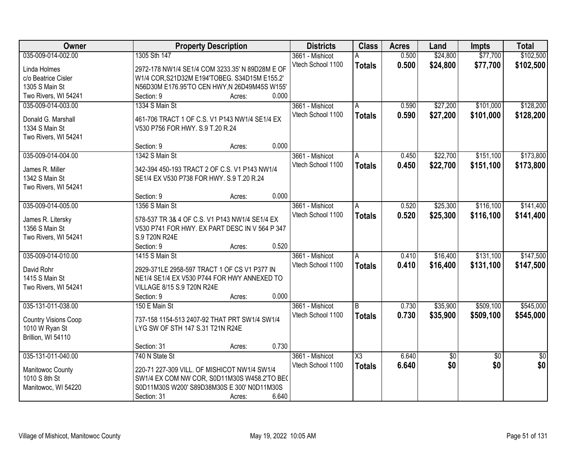| Owner                       | <b>Property Description</b>                     | <b>Districts</b>  | <b>Class</b>  | <b>Acres</b> | Land       | <b>Impts</b>    | <b>Total</b> |
|-----------------------------|-------------------------------------------------|-------------------|---------------|--------------|------------|-----------------|--------------|
| 035-009-014-002.00          | 1305 Sth 147                                    | 3661 - Mishicot   | A             | 0.500        | \$24,800   | \$77,700        | \$102,500    |
| Linda Holmes                | 2972-178 NW1/4 SE1/4 COM 3233.35' N 89D28M E OF | Vtech School 1100 | <b>Totals</b> | 0.500        | \$24,800   | \$77,700        | \$102,500    |
| c/o Beatrice Cisler         | W1/4 COR, S21D32M E194'TOBEG. S34D15M E155.2'   |                   |               |              |            |                 |              |
| 1305 S Main St              | N56D30M E176.95'TO CEN HWY, N 26D49M45S W155'   |                   |               |              |            |                 |              |
| Two Rivers, WI 54241        | 0.000<br>Section: 9<br>Acres:                   |                   |               |              |            |                 |              |
| 035-009-014-003.00          | 1334 S Main St                                  | 3661 - Mishicot   | A             | 0.590        | \$27,200   | \$101,000       | \$128,200    |
|                             |                                                 | Vtech School 1100 | <b>Totals</b> | 0.590        | \$27,200   | \$101,000       | \$128,200    |
| Donald G. Marshall          | 461-706 TRACT 1 OF C.S. V1 P143 NW1/4 SE1/4 EX  |                   |               |              |            |                 |              |
| 1334 S Main St              | V530 P756 FOR HWY. S.9 T.20 R.24                |                   |               |              |            |                 |              |
| Two Rivers, WI 54241        |                                                 |                   |               |              |            |                 |              |
|                             | 0.000<br>Section: 9<br>Acres:                   |                   |               |              |            |                 |              |
| 035-009-014-004.00          | 1342 S Main St                                  | 3661 - Mishicot   | A             | 0.450        | \$22,700   | \$151,100       | \$173,800    |
| James R. Miller             | 342-394 450-193 TRACT 2 OF C.S. V1 P143 NW1/4   | Vtech School 1100 | <b>Totals</b> | 0.450        | \$22,700   | \$151,100       | \$173,800    |
| 1342 S Main St              | SE1/4 EX V530 P738 FOR HWY. S.9 T.20 R.24       |                   |               |              |            |                 |              |
| Two Rivers, WI 54241        |                                                 |                   |               |              |            |                 |              |
|                             | 0.000<br>Section: 9<br>Acres:                   |                   |               |              |            |                 |              |
| 035-009-014-005.00          | 1356 S Main St                                  | 3661 - Mishicot   | A             | 0.520        | \$25,300   | \$116,100       | \$141,400    |
|                             |                                                 | Vtech School 1100 | <b>Totals</b> | 0.520        | \$25,300   | \$116,100       | \$141,400    |
| James R. Litersky           | 578-537 TR 3& 4 OF C.S. V1 P143 NW1/4 SE1/4 EX  |                   |               |              |            |                 |              |
| 1356 S Main St              | V530 P741 FOR HWY. EX PART DESC IN V 564 P 347  |                   |               |              |            |                 |              |
| Two Rivers, WI 54241        | S.9 T20N R24E                                   |                   |               |              |            |                 |              |
|                             | 0.520<br>Section: 9<br>Acres:                   |                   |               |              |            |                 |              |
| 035-009-014-010.00          | 1415 S Main St                                  | 3661 - Mishicot   | A             | 0.410        | \$16,400   | \$131,100       | \$147,500    |
| David Rohr                  | 2929-371LE 2958-597 TRACT 1 OF CS V1 P377 IN    | Vtech School 1100 | <b>Totals</b> | 0.410        | \$16,400   | \$131,100       | \$147,500    |
| 1415 S Main St              | NE1/4 SE1/4 EX V530 P744 FOR HWY ANNEXED TO     |                   |               |              |            |                 |              |
| Two Rivers, WI 54241        | VILLAGE 8/15 S.9 T20N R24E                      |                   |               |              |            |                 |              |
|                             | 0.000<br>Section: 9<br>Acres:                   |                   |               |              |            |                 |              |
| 035-131-011-038.00          | 150 E Main St                                   | 3661 - Mishicot   | B             | 0.730        | \$35,900   | \$509,100       | \$545,000    |
|                             |                                                 | Vtech School 1100 |               |              |            |                 |              |
| <b>Country Visions Coop</b> | 737-158 1154-513 2407-92 THAT PRT SW1/4 SW1/4   |                   | <b>Totals</b> | 0.730        | \$35,900   | \$509,100       | \$545,000    |
| 1010 W Ryan St              | LYG SW OF STH 147 S.31 T21N R24E                |                   |               |              |            |                 |              |
| Brillion, WI 54110          |                                                 |                   |               |              |            |                 |              |
|                             | 0.730<br>Section: 31<br>Acres:                  |                   |               |              |            |                 |              |
| 035-131-011-040.00          | 740 N State St                                  | 3661 - Mishicot   | X3            | 6.640        | $\sqrt{6}$ | $\overline{50}$ | \$0          |
| Manitowoc County            | 220-71 227-309 VILL. OF MISHICOT NW1/4 SW1/4    | Vtech School 1100 | <b>Totals</b> | 6.640        | \$0        | \$0             | \$0          |
| 1010 S 8th St               | SW1/4 EX COM NW COR, S0D11M30S W458.2'TO BEC    |                   |               |              |            |                 |              |
| Manitowoc, WI 54220         | S0D11M30S W200' S89D38M30S E 300' N0D11M30S     |                   |               |              |            |                 |              |
|                             | 6.640<br>Section: 31<br>Acres:                  |                   |               |              |            |                 |              |
|                             |                                                 |                   |               |              |            |                 |              |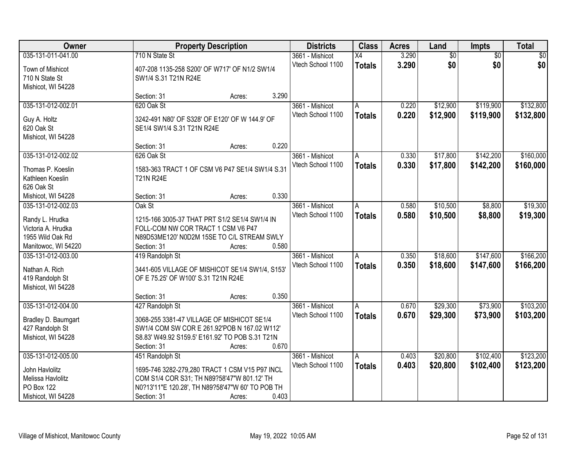| Owner               | <b>Property Description</b>                      | <b>Districts</b>  | <b>Class</b>    | <b>Acres</b> | Land     | <b>Impts</b>    | <b>Total</b> |
|---------------------|--------------------------------------------------|-------------------|-----------------|--------------|----------|-----------------|--------------|
| 035-131-011-041.00  | 710 N State St                                   | 3661 - Mishicot   | $\overline{X4}$ | 3.290        | \$0      | $\overline{50}$ | \$0          |
| Town of Mishicot    | 407-208 1135-258 S200' OF W717' OF N1/2 SW1/4    | Vtech School 1100 | <b>Totals</b>   | 3.290        | \$0      | \$0             | \$0          |
| 710 N State St      | SW1/4 S.31 T21N R24E                             |                   |                 |              |          |                 |              |
| Mishicot, WI 54228  |                                                  |                   |                 |              |          |                 |              |
|                     | 3.290<br>Section: 31<br>Acres:                   |                   |                 |              |          |                 |              |
| 035-131-012-002.01  | 620 Oak St                                       | 3661 - Mishicot   | Α               | 0.220        | \$12,900 | \$119,900       | \$132,800    |
|                     |                                                  | Vtech School 1100 | <b>Totals</b>   | 0.220        | \$12,900 | \$119,900       | \$132,800    |
| Guy A. Holtz        | 3242-491 N80' OF S328' OF E120' OF W 144.9' OF   |                   |                 |              |          |                 |              |
| 620 Oak St          | SE1/4 SW1/4 S.31 T21N R24E                       |                   |                 |              |          |                 |              |
| Mishicot, WI 54228  |                                                  |                   |                 |              |          |                 |              |
|                     | 0.220<br>Section: 31<br>Acres:                   |                   |                 |              |          |                 |              |
| 035-131-012-002.02  | 626 Oak St                                       | 3661 - Mishicot   | A               | 0.330        | \$17,800 | \$142,200       | \$160,000    |
| Thomas P. Koeslin   | 1583-363 TRACT 1 OF CSM V6 P47 SE1/4 SW1/4 S.31  | Vtech School 1100 | <b>Totals</b>   | 0.330        | \$17,800 | \$142,200       | \$160,000    |
| Kathleen Koeslin    | <b>T21N R24E</b>                                 |                   |                 |              |          |                 |              |
| 626 Oak St          |                                                  |                   |                 |              |          |                 |              |
| Mishicot, WI 54228  | 0.330<br>Section: 31<br>Acres:                   |                   |                 |              |          |                 |              |
| 035-131-012-002.03  | Oak St                                           | 3661 - Mishicot   | A               | 0.580        | \$10,500 | \$8,800         | \$19,300     |
| Randy L. Hrudka     | 1215-166 3005-37 THAT PRT S1/2 SE1/4 SW1/4 IN    | Vtech School 1100 | <b>Totals</b>   | 0.580        | \$10,500 | \$8,800         | \$19,300     |
| Victoria A. Hrudka  | FOLL-COM NW COR TRACT 1 CSM V6 P47               |                   |                 |              |          |                 |              |
| 1955 Wild Oak Rd    | N89D53ME120' N0D2M 15SE TO C/L STREAM SWLY       |                   |                 |              |          |                 |              |
| Manitowoc, WI 54220 | 0.580<br>Section: 31<br>Acres:                   |                   |                 |              |          |                 |              |
| 035-131-012-003.00  | 419 Randolph St                                  | 3661 - Mishicot   | Α               | 0.350        | \$18,600 | \$147,600       | \$166,200    |
|                     |                                                  | Vtech School 1100 | <b>Totals</b>   | 0.350        | \$18,600 | \$147,600       | \$166,200    |
| Nathan A. Rich      | 3441-605 VILLAGE OF MISHICOT SE1/4 SW1/4, S153'  |                   |                 |              |          |                 |              |
| 419 Randolph St     | OF E 75.25' OF W100' S.31 T21N R24E              |                   |                 |              |          |                 |              |
| Mishicot, WI 54228  |                                                  |                   |                 |              |          |                 |              |
|                     | 0.350<br>Section: 31<br>Acres:                   |                   |                 |              |          |                 |              |
| 035-131-012-004.00  | 427 Randolph St                                  | 3661 - Mishicot   | A               | 0.670        | \$29,300 | \$73,900        | \$103,200    |
| Bradley D. Baumgart | 3068-255 3381-47 VILLAGE OF MISHICOT SE1/4       | Vtech School 1100 | <b>Totals</b>   | 0.670        | \$29,300 | \$73,900        | \$103,200    |
| 427 Randolph St     | SW1/4 COM SW COR E 261.92'POB N 167.02 W112'     |                   |                 |              |          |                 |              |
| Mishicot, WI 54228  | S8.83' W49.92 S159.5' E161.92' TO POB S.31 T21N  |                   |                 |              |          |                 |              |
|                     | 0.670<br>Section: 31<br>Acres:                   |                   |                 |              |          |                 |              |
| 035-131-012-005.00  | 451 Randolph St                                  | 3661 - Mishicot   | Α               | 0.403        | \$20,800 | \$102,400       | \$123,200    |
|                     |                                                  | Vtech School 1100 | <b>Totals</b>   | 0.403        | \$20,800 | \$102,400       | \$123,200    |
| John Havlolitz      | 1695-746 3282-279,280 TRACT 1 CSM V15 P97 INCL   |                   |                 |              |          |                 |              |
| Melissa Havlolitz   | COM S1/4 COR S31; TH N89?58'47"W 801.12' TH      |                   |                 |              |          |                 |              |
| <b>PO Box 122</b>   | N0?13'11"E 120.28', TH N89?58'47"W 60' TO POB TH |                   |                 |              |          |                 |              |
| Mishicot, WI 54228  | Section: 31<br>0.403<br>Acres:                   |                   |                 |              |          |                 |              |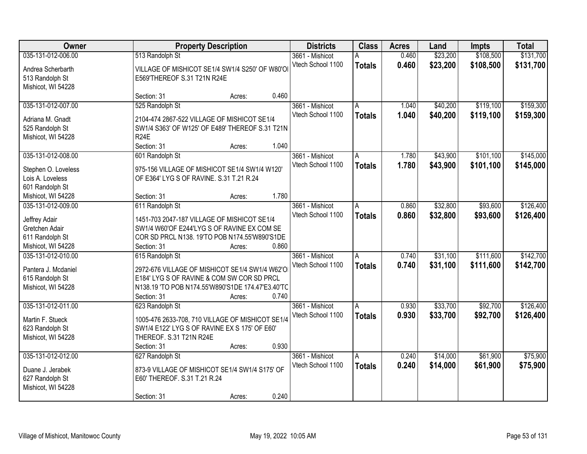| Owner               |                                                   | <b>Property Description</b> |       | <b>Districts</b>  | <b>Class</b>  | <b>Acres</b> | Land     | <b>Impts</b> | <b>Total</b> |
|---------------------|---------------------------------------------------|-----------------------------|-------|-------------------|---------------|--------------|----------|--------------|--------------|
| 035-131-012-006.00  | 513 Randolph St                                   |                             |       | 3661 - Mishicot   | А             | 0.460        | \$23,200 | \$108,500    | \$131,700    |
| Andrea Scherbarth   | VILLAGE OF MISHICOT SE1/4 SW1/4 S250' OF W80'O    |                             |       | Vtech School 1100 | <b>Totals</b> | 0.460        | \$23,200 | \$108,500    | \$131,700    |
| 513 Randolph St     | E569'THEREOF S.31 T21N R24E                       |                             |       |                   |               |              |          |              |              |
| Mishicot, WI 54228  |                                                   |                             |       |                   |               |              |          |              |              |
|                     | Section: 31                                       | Acres:                      | 0.460 |                   |               |              |          |              |              |
| 035-131-012-007.00  | 525 Randolph St                                   |                             |       | 3661 - Mishicot   | A             | 1.040        | \$40,200 | \$119,100    | \$159,300    |
| Adriana M. Gnadt    | 2104-474 2867-522 VILLAGE OF MISHICOT SE1/4       |                             |       | Vtech School 1100 | <b>Totals</b> | 1.040        | \$40,200 | \$119,100    | \$159,300    |
| 525 Randolph St     | SW1/4 S363' OF W125' OF E489' THEREOF S.31 T21N   |                             |       |                   |               |              |          |              |              |
| Mishicot, WI 54228  | <b>R24E</b>                                       |                             |       |                   |               |              |          |              |              |
|                     | Section: 31                                       | Acres:                      | 1.040 |                   |               |              |          |              |              |
| 035-131-012-008.00  | 601 Randolph St                                   |                             |       | 3661 - Mishicot   | A             | 1.780        | \$43,900 | \$101,100    | \$145,000    |
|                     |                                                   |                             |       | Vtech School 1100 | <b>Totals</b> | 1.780        | \$43,900 | \$101,100    | \$145,000    |
| Stephen O. Loveless | 975-156 VILLAGE OF MISHICOT SE1/4 SW1/4 W120'     |                             |       |                   |               |              |          |              |              |
| Lois A. Loveless    | OF E364' LYG S OF RAVINE. S.31 T.21 R.24          |                             |       |                   |               |              |          |              |              |
| 601 Randolph St     |                                                   |                             | 1.780 |                   |               |              |          |              |              |
| Mishicot, WI 54228  | Section: 31                                       | Acres:                      |       |                   |               |              |          |              |              |
| 035-131-012-009.00  | 611 Randolph St                                   |                             |       | 3661 - Mishicot   | A             | 0.860        | \$32,800 | \$93,600     | \$126,400    |
| Jeffrey Adair       | 1451-703 2047-187 VILLAGE OF MISHICOT SE1/4       |                             |       | Vtech School 1100 | <b>Totals</b> | 0.860        | \$32,800 | \$93,600     | \$126,400    |
| Gretchen Adair      | SW1/4 W60'OF E244'LYG S OF RAVINE EX COM SE       |                             |       |                   |               |              |          |              |              |
| 611 Randolph St     | COR SD PRCL N138. 19'TO POB N174.55'W890'S1DE     |                             |       |                   |               |              |          |              |              |
| Mishicot, WI 54228  | Section: 31                                       | Acres:                      | 0.860 |                   |               |              |          |              |              |
| 035-131-012-010.00  | 615 Randolph St                                   |                             |       | 3661 - Mishicot   | A             | 0.740        | \$31,100 | \$111,600    | \$142,700    |
| Pantera J. Mcdaniel | 2972-676 VILLAGE OF MISHICOT SE1/4 SW1/4 W62'O    |                             |       | Vtech School 1100 | <b>Totals</b> | 0.740        | \$31,100 | \$111,600    | \$142,700    |
| 615 Randolph St     | E184' LYG S OF RAVINE & COM SW COR SD PRCL        |                             |       |                   |               |              |          |              |              |
| Mishicot, WI 54228  | N138.19 'TO POB N174.55'W890'S1DE 174.47'E3.40'TC |                             |       |                   |               |              |          |              |              |
|                     | Section: 31                                       | Acres:                      | 0.740 |                   |               |              |          |              |              |
| 035-131-012-011.00  | 623 Randolph St                                   |                             |       | 3661 - Mishicot   | A             | 0.930        | \$33,700 | \$92,700     | \$126,400    |
|                     |                                                   |                             |       | Vtech School 1100 |               | 0.930        | \$33,700 | \$92,700     | \$126,400    |
| Martin F. Stueck    | 1005-476 2633-708, 710 VILLAGE OF MISHICOT SE1/4  |                             |       |                   | <b>Totals</b> |              |          |              |              |
| 623 Randolph St     | SW1/4 E122' LYG S OF RAVINE EX S 175' OF E60'     |                             |       |                   |               |              |          |              |              |
| Mishicot, WI 54228  | THEREOF. S.31 T21N R24E                           |                             |       |                   |               |              |          |              |              |
|                     | Section: 31                                       | Acres:                      | 0.930 |                   |               |              |          |              |              |
| 035-131-012-012.00  | 627 Randolph St                                   |                             |       | 3661 - Mishicot   | A             | 0.240        | \$14,000 | \$61,900     | \$75,900     |
| Duane J. Jerabek    | 873-9 VILLAGE OF MISHICOT SE1/4 SW1/4 S175' OF    |                             |       | Vtech School 1100 | <b>Totals</b> | 0.240        | \$14,000 | \$61,900     | \$75,900     |
| 627 Randolph St     | E60' THEREOF. S.31 T.21 R.24                      |                             |       |                   |               |              |          |              |              |
| Mishicot, WI 54228  |                                                   |                             |       |                   |               |              |          |              |              |
|                     | Section: 31                                       | Acres:                      | 0.240 |                   |               |              |          |              |              |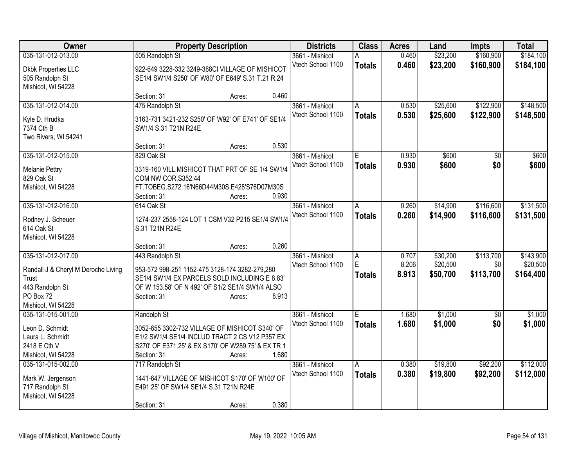| <b>Class</b><br>Owner<br><b>Property Description</b><br><b>Districts</b><br><b>Acres</b><br>Land                                         | <b>Impts</b>    | <b>Total</b> |
|------------------------------------------------------------------------------------------------------------------------------------------|-----------------|--------------|
| \$23,200<br>035-131-012-013.00<br>505 Randolph St<br>0.460<br>3661 - Mishicot                                                            | \$160,900       | \$184,100    |
| 0.460<br>\$23,200<br>Vtech School 1100<br><b>Totals</b><br>922-649 3228-332 3249-388CI VILLAGE OF MISHICOT<br><b>Dkbk Properties LLC</b> | \$160,900       | \$184,100    |
| SE1/4 SW1/4 S250' OF W80' OF E649' S.31 T.21 R.24<br>505 Randolph St                                                                     |                 |              |
| Mishicot, WI 54228                                                                                                                       |                 |              |
| 0.460<br>Section: 31<br>Acres:                                                                                                           |                 |              |
| 475 Randolph St<br>\$25,600<br>035-131-012-014.00<br>3661 - Mishicot<br>0.530<br>Α                                                       | \$122,900       | \$148,500    |
| 0.530<br>\$25,600<br>Vtech School 1100<br><b>Totals</b><br>3163-731 3421-232 S250' OF W92' OF E741' OF SE1/4                             | \$122,900       | \$148,500    |
| Kyle D. Hrudka<br>7374 Cth B<br>SW1/4 S.31 T21N R24E                                                                                     |                 |              |
| Two Rivers, WI 54241                                                                                                                     |                 |              |
| 0.530<br>Section: 31<br>Acres:                                                                                                           |                 |              |
| 035-131-012-015.00<br>829 Oak St<br>0.930<br>\$600<br>3661 - Mishicot<br>E.                                                              | \$0             | \$600        |
| 0.930<br>Vtech School 1100<br>\$600                                                                                                      | \$0             | \$600        |
| <b>Totals</b><br>3319-160 VILL.MISHICOT THAT PRT OF SE 1/4 SW1/4<br><b>Melanie Pettry</b>                                                |                 |              |
| 829 Oak St<br>COM NW COR, S352.44                                                                                                        |                 |              |
| FT.TOBEG.S272.16'N66D44M30S E428'S76D07M30S<br>Mishicot, WI 54228                                                                        |                 |              |
| 0.930<br>Section: 31<br>Acres:                                                                                                           |                 |              |
| 035-131-012-016.00<br>0.260<br>\$14,900<br>614 Oak St<br>3661 - Mishicot<br>A                                                            | \$116,600       | \$131,500    |
| Vtech School 1100<br>0.260<br>\$14,900<br><b>Totals</b><br>1274-237 2558-124 LOT 1 CSM V32 P215 SE1/4 SW1/4<br>Rodney J. Scheuer         | \$116,600       | \$131,500    |
| 614 Oak St<br>S.31 T21N R24E                                                                                                             |                 |              |
| Mishicot, WI 54228                                                                                                                       |                 |              |
| 0.260<br>Section: 31<br>Acres:                                                                                                           |                 |              |
| 035-131-012-017.00<br>443 Randolph St<br>\$30,200<br>0.707<br>3661 - Mishicot<br>A                                                       | \$113,700       | \$143,900    |
| E<br>8.206<br>\$20,500<br>Vtech School 1100                                                                                              | \$0             | \$20,500     |
| 953-572 998-251 1152-475 3128-174 3282-279,280<br>Randall J & Cheryl M Deroche Living<br>8.913<br>\$50,700<br><b>Totals</b>              | \$113,700       | \$164,400    |
| SE1/4 SW1/4 EX PARCELS SOLD INCLUDING E 8.83'<br><b>Trust</b>                                                                            |                 |              |
| 443 Randolph St<br>OF W 153.58' OF N 492' OF S1/2 SE1/4 SW1/4 ALSO                                                                       |                 |              |
| PO Box 72<br>8.913<br>Section: 31<br>Acres:                                                                                              |                 |              |
| Mishicot, WI 54228                                                                                                                       |                 |              |
| \$1,000<br>035-131-015-001.00<br>E<br>Randolph St<br>3661 - Mishicot<br>1.680                                                            | $\overline{30}$ | \$1,000      |
| 1.680<br>\$1,000<br>Vtech School 1100<br><b>Totals</b><br>3052-655 3302-732 VILLAGE OF MISHICOT S340' OF<br>Leon D. Schmidt              | \$0             | \$1,000      |
| Laura L. Schmidt<br>E1/2 SW1/4 SE1/4 INCLUD TRACT 2 CS V12 P357 EX                                                                       |                 |              |
| 2418 E Cth V<br>S270' OF E371.25' & EX S170' OF W289.75' & EX TR 1                                                                       |                 |              |
| 1.680<br>Mishicot, WI 54228<br>Section: 31<br>Acres:                                                                                     |                 |              |
| \$19,800<br>035-131-015-002.00<br>3661 - Mishicot<br>0.380<br>717 Randolph St<br>Α                                                       | \$92,200        | \$112,000    |
| Vtech School 1100<br>0.380<br>\$19,800<br><b>Totals</b><br>1441-647 VILLAGE OF MISHICOT S170' OF W100' OF<br>Mark W. Jergenson           | \$92,200        | \$112,000    |
| 717 Randolph St<br>E491.25' OF SW1/4 SE1/4 S.31 T21N R24E                                                                                |                 |              |
| Mishicot, WI 54228                                                                                                                       |                 |              |
| 0.380<br>Section: 31<br>Acres:                                                                                                           |                 |              |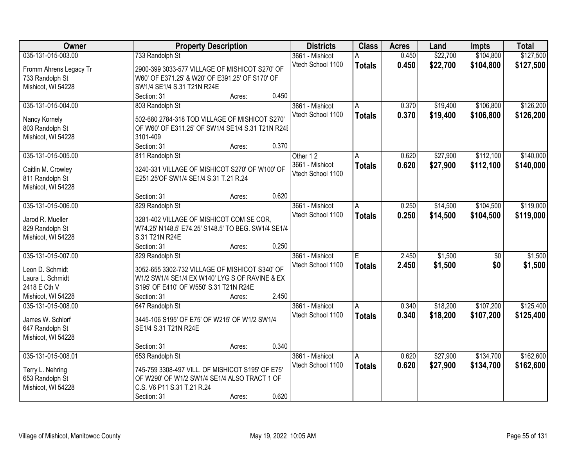| Owner                  |                                                     | <b>Property Description</b> |       | <b>Districts</b>  | <b>Class</b>  | <b>Acres</b> | Land     | <b>Impts</b>    | <b>Total</b> |
|------------------------|-----------------------------------------------------|-----------------------------|-------|-------------------|---------------|--------------|----------|-----------------|--------------|
| 035-131-015-003.00     | 733 Randolph St                                     |                             |       | 3661 - Mishicot   |               | 0.450        | \$22,700 | \$104,800       | \$127,500    |
| Fromm Ahrens Legacy Tr | 2900-399 3033-577 VILLAGE OF MISHICOT S270' OF      |                             |       | Vtech School 1100 | <b>Totals</b> | 0.450        | \$22,700 | \$104,800       | \$127,500    |
| 733 Randolph St        | W60' OF E371.25' & W20' OF E391.25' OF S170' OF     |                             |       |                   |               |              |          |                 |              |
| Mishicot, WI 54228     | SW1/4 SE1/4 S.31 T21N R24E                          |                             |       |                   |               |              |          |                 |              |
|                        | Section: 31                                         | Acres:                      | 0.450 |                   |               |              |          |                 |              |
| 035-131-015-004.00     | 803 Randolph St                                     |                             |       | 3661 - Mishicot   | A             | 0.370        | \$19,400 | \$106,800       | \$126,200    |
|                        |                                                     |                             |       | Vtech School 1100 | <b>Totals</b> | 0.370        | \$19,400 | \$106,800       | \$126,200    |
| Nancy Kornely          | 502-680 2784-318 TOD VILLAGE OF MISHICOT S270'      |                             |       |                   |               |              |          |                 |              |
| 803 Randolph St        | OF W60' OF E311.25' OF SW1/4 SE1/4 S.31 T21N R24E   |                             |       |                   |               |              |          |                 |              |
| Mishicot, WI 54228     | 3101-409                                            |                             |       |                   |               |              |          |                 |              |
|                        | Section: 31                                         | Acres:                      | 0.370 |                   |               |              |          |                 |              |
| 035-131-015-005.00     | 811 Randolph St                                     |                             |       | Other 12          | A             | 0.620        | \$27,900 | \$112,100       | \$140,000    |
| Caitlin M. Crowley     | 3240-331 VILLAGE OF MISHICOT S270' OF W100' OF      |                             |       | 3661 - Mishicot   | <b>Totals</b> | 0.620        | \$27,900 | \$112,100       | \$140,000    |
| 811 Randolph St        | E251.25'OF SW1/4 SE1/4 S.31 T.21 R.24               |                             |       | Vtech School 1100 |               |              |          |                 |              |
| Mishicot, WI 54228     |                                                     |                             |       |                   |               |              |          |                 |              |
|                        | Section: 31                                         | Acres:                      | 0.620 |                   |               |              |          |                 |              |
| 035-131-015-006.00     |                                                     |                             |       | 3661 - Mishicot   |               | 0.250        | \$14,500 | \$104,500       | \$119,000    |
|                        | 829 Randolph St                                     |                             |       | Vtech School 1100 | A             |              |          |                 |              |
| Jarod R. Mueller       | 3281-402 VILLAGE OF MISHICOT COM SE COR,            |                             |       |                   | <b>Totals</b> | 0.250        | \$14,500 | \$104,500       | \$119,000    |
| 829 Randolph St        | W74.25' N148.5' E74.25' S148.5' TO BEG. SW1/4 SE1/4 |                             |       |                   |               |              |          |                 |              |
| Mishicot, WI 54228     | S.31 T21N R24E                                      |                             |       |                   |               |              |          |                 |              |
|                        | Section: 31                                         | Acres:                      | 0.250 |                   |               |              |          |                 |              |
| 035-131-015-007.00     | 829 Randolph St                                     |                             |       | 3661 - Mishicot   | E             | 2.450        | \$1,500  | $\overline{50}$ | \$1,500      |
|                        |                                                     |                             |       | Vtech School 1100 | <b>Totals</b> | 2.450        | \$1,500  | \$0             | \$1,500      |
| Leon D. Schmidt        | 3052-655 3302-732 VILLAGE OF MISHICOT S340' OF      |                             |       |                   |               |              |          |                 |              |
| Laura L. Schmidt       | W1/2 SW1/4 SE1/4 EX W140' LYG S OF RAVINE & EX      |                             |       |                   |               |              |          |                 |              |
| 2418 E Cth V           | S195' OF E410' OF W550' S.31 T21N R24E              |                             |       |                   |               |              |          |                 |              |
| Mishicot, WI 54228     | Section: 31                                         | Acres:                      | 2.450 |                   |               |              |          |                 |              |
| 035-131-015-008.00     | 647 Randolph St                                     |                             |       | 3661 - Mishicot   | A             | 0.340        | \$18,200 | \$107,200       | \$125,400    |
| James W. Schlorf       | 3445-106 S195' OF E75' OF W215' OF W1/2 SW1/4       |                             |       | Vtech School 1100 | <b>Totals</b> | 0.340        | \$18,200 | \$107,200       | \$125,400    |
| 647 Randolph St        | SE1/4 S.31 T21N R24E                                |                             |       |                   |               |              |          |                 |              |
| Mishicot, WI 54228     |                                                     |                             |       |                   |               |              |          |                 |              |
|                        | Section: 31                                         | Acres:                      | 0.340 |                   |               |              |          |                 |              |
| 035-131-015-008.01     | 653 Randolph St                                     |                             |       | 3661 - Mishicot   | A             | 0.620        | \$27,900 | \$134,700       | \$162,600    |
|                        |                                                     |                             |       | Vtech School 1100 | <b>Totals</b> | 0.620        | \$27,900 | \$134,700       | \$162,600    |
| Terry L. Nehring       | 745-759 3308-497 VILL. OF MISHICOT S195' OF E75'    |                             |       |                   |               |              |          |                 |              |
| 653 Randolph St        | OF W290' OF W1/2 SW1/4 SE1/4 ALSO TRACT 1 OF        |                             |       |                   |               |              |          |                 |              |
| Mishicot, WI 54228     | C.S. V6 P11 S.31 T.21 R.24                          |                             |       |                   |               |              |          |                 |              |
|                        | Section: 31                                         | Acres:                      | 0.620 |                   |               |              |          |                 |              |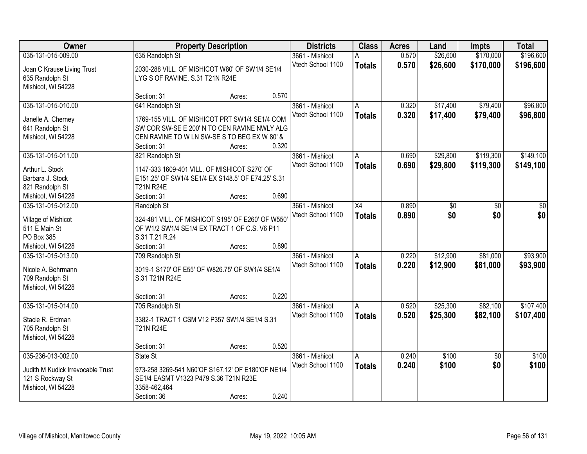| Owner                                 |                                                                                              | <b>Property Description</b> |       | <b>Districts</b>  | <b>Class</b>  | <b>Acres</b> | Land     | <b>Impts</b>    | <b>Total</b> |
|---------------------------------------|----------------------------------------------------------------------------------------------|-----------------------------|-------|-------------------|---------------|--------------|----------|-----------------|--------------|
| 035-131-015-009.00                    | 635 Randolph St                                                                              |                             |       | 3661 - Mishicot   |               | 0.570        | \$26,600 | \$170,000       | \$196,600    |
| Joan C Krause Living Trust            | 2030-288 VILL. OF MISHICOT W80' OF SW1/4 SE1/4                                               |                             |       | Vtech School 1100 | <b>Totals</b> | 0.570        | \$26,600 | \$170,000       | \$196,600    |
| 635 Randolph St                       | LYG S OF RAVINE. S.31 T21N R24E                                                              |                             |       |                   |               |              |          |                 |              |
| Mishicot, WI 54228                    |                                                                                              |                             |       |                   |               |              |          |                 |              |
|                                       | Section: 31                                                                                  | Acres:                      | 0.570 |                   |               |              |          |                 |              |
| 035-131-015-010.00                    | 641 Randolph St                                                                              |                             |       | 3661 - Mishicot   | A             | 0.320        | \$17,400 | \$79,400        | \$96,800     |
|                                       |                                                                                              |                             |       | Vtech School 1100 | <b>Totals</b> | 0.320        | \$17,400 | \$79,400        | \$96,800     |
| Janelle A. Cherney                    | 1769-155 VILL. OF MISHICOT PRT SW1/4 SE1/4 COM                                               |                             |       |                   |               |              |          |                 |              |
| 641 Randolph St<br>Mishicot, WI 54228 | SW COR SW-SE E 200' N TO CEN RAVINE NWLY ALG<br>CEN RAVINE TO W LN SW-SE S TO BEG EX W 80' & |                             |       |                   |               |              |          |                 |              |
|                                       | Section: 31                                                                                  | Acres:                      | 0.320 |                   |               |              |          |                 |              |
| 035-131-015-011.00                    | 821 Randolph St                                                                              |                             |       | 3661 - Mishicot   | A             | 0.690        | \$29,800 | \$119,300       | \$149,100    |
|                                       |                                                                                              |                             |       | Vtech School 1100 |               | 0.690        | \$29,800 | \$119,300       |              |
| Arthur L. Stock                       | 1147-333 1609-401 VILL. OF MISHICOT S270' OF                                                 |                             |       |                   | <b>Totals</b> |              |          |                 | \$149,100    |
| Barbara J. Stock                      | E151.25' OF SW1/4 SE1/4 EX S148.5' OF E74.25' S.31                                           |                             |       |                   |               |              |          |                 |              |
| 821 Randolph St                       | <b>T21N R24E</b>                                                                             |                             |       |                   |               |              |          |                 |              |
| Mishicot, WI 54228                    | Section: 31                                                                                  | Acres:                      | 0.690 |                   |               |              |          |                 |              |
| 035-131-015-012.00                    | Randolph St                                                                                  |                             |       | 3661 - Mishicot   | X4            | 0.890        | \$0      | \$0             | \$0          |
| Village of Mishicot                   | 324-481 VILL. OF MISHICOT S195' OF E260' OF W550'                                            |                             |       | Vtech School 1100 | <b>Totals</b> | 0.890        | \$0      | \$0             | \$0          |
| 511 E Main St                         | OF W1/2 SW1/4 SE1/4 EX TRACT 1 OF C.S. V6 P11                                                |                             |       |                   |               |              |          |                 |              |
| PO Box 385                            | S.31 T.21 R.24                                                                               |                             |       |                   |               |              |          |                 |              |
| Mishicot, WI 54228                    | Section: 31                                                                                  | Acres:                      | 0.890 |                   |               |              |          |                 |              |
| 035-131-015-013.00                    | 709 Randolph St                                                                              |                             |       | 3661 - Mishicot   | A             | 0.220        | \$12,900 | \$81,000        | \$93,900     |
|                                       |                                                                                              |                             |       | Vtech School 1100 | <b>Totals</b> | 0.220        | \$12,900 | \$81,000        | \$93,900     |
| Nicole A. Behrmann                    | 3019-1 S170' OF E55' OF W826.75' OF SW1/4 SE1/4                                              |                             |       |                   |               |              |          |                 |              |
| 709 Randolph St                       | S.31 T21N R24E                                                                               |                             |       |                   |               |              |          |                 |              |
| Mishicot, WI 54228                    |                                                                                              |                             |       |                   |               |              |          |                 |              |
|                                       | Section: 31                                                                                  | Acres:                      | 0.220 |                   |               |              |          |                 |              |
| 035-131-015-014.00                    | 705 Randolph St                                                                              |                             |       | 3661 - Mishicot   | A             | 0.520        | \$25,300 | \$82,100        | \$107,400    |
| Stacie R. Erdman                      | 3382-1 TRACT 1 CSM V12 P357 SW1/4 SE1/4 S.31                                                 |                             |       | Vtech School 1100 | <b>Totals</b> | 0.520        | \$25,300 | \$82,100        | \$107,400    |
| 705 Randolph St                       | <b>T21N R24E</b>                                                                             |                             |       |                   |               |              |          |                 |              |
| Mishicot, WI 54228                    |                                                                                              |                             |       |                   |               |              |          |                 |              |
|                                       | Section: 31                                                                                  | Acres:                      | 0.520 |                   |               |              |          |                 |              |
| 035-236-013-002.00                    | State St                                                                                     |                             |       | 3661 - Mishicot   | A             | 0.240        | \$100    | $\overline{50}$ | \$100        |
|                                       |                                                                                              |                             |       | Vtech School 1100 | <b>Totals</b> | 0.240        | \$100    | \$0             | \$100        |
| Judith M Kudick Irrevocable Trust     | 973-258 3269-541 N60'OF S167.12' OF E180'OF NE1/4                                            |                             |       |                   |               |              |          |                 |              |
| 121 S Rockway St                      | SE1/4 EASMT V1323 P479 S.36 T21N R23E                                                        |                             |       |                   |               |              |          |                 |              |
| Mishicot, WI 54228                    | 3358-462,464                                                                                 |                             |       |                   |               |              |          |                 |              |
|                                       | Section: 36                                                                                  | Acres:                      | 0.240 |                   |               |              |          |                 |              |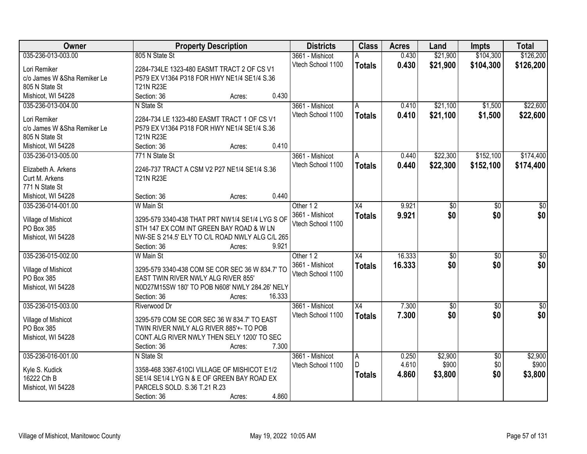| Owner                             | <b>Property Description</b>                     | <b>Districts</b>  | <b>Class</b>    | <b>Acres</b> | Land            | <b>Impts</b>    | <b>Total</b>    |
|-----------------------------------|-------------------------------------------------|-------------------|-----------------|--------------|-----------------|-----------------|-----------------|
| 035-236-013-003.00                | 805 N State St                                  | 3661 - Mishicot   | Α               | 0.430        | \$21,900        | \$104,300       | \$126,200       |
| Lori Remiker                      | 2284-734LE 1323-480 EASMT TRACT 2 OF CS V1      | Vtech School 1100 | <b>Totals</b>   | 0.430        | \$21,900        | \$104,300       | \$126,200       |
| c/o James W &Sha Remiker Le       | P579 EX V1364 P318 FOR HWY NE1/4 SE1/4 S.36     |                   |                 |              |                 |                 |                 |
| 805 N State St                    | <b>T21N R23E</b>                                |                   |                 |              |                 |                 |                 |
| Mishicot, WI 54228                | 0.430<br>Section: 36<br>Acres:                  |                   |                 |              |                 |                 |                 |
| 035-236-013-004.00                | N State St                                      | 3661 - Mishicot   | A               | 0.410        | \$21,100        | \$1,500         | \$22,600        |
|                                   |                                                 | Vtech School 1100 | <b>Totals</b>   | 0.410        | \$21,100        | \$1,500         | \$22,600        |
| Lori Remiker                      | 2284-734 LE 1323-480 EASMT TRACT 1 OF CS V1     |                   |                 |              |                 |                 |                 |
| c/o James W & Sha Remiker Le      | P579 EX V1364 P318 FOR HWY NE1/4 SE1/4 S.36     |                   |                 |              |                 |                 |                 |
| 805 N State St                    | <b>T21N R23E</b>                                |                   |                 |              |                 |                 |                 |
| Mishicot, WI 54228                | 0.410<br>Section: 36<br>Acres:                  |                   |                 |              |                 |                 |                 |
| 035-236-013-005.00                | 771 N State St                                  | 3661 - Mishicot   | A               | 0.440        | \$22,300        | \$152,100       | \$174,400       |
| Elizabeth A. Arkens               | 2246-737 TRACT A CSM V2 P27 NE1/4 SE1/4 S.36    | Vtech School 1100 | <b>Totals</b>   | 0.440        | \$22,300        | \$152,100       | \$174,400       |
| Curt M. Arkens                    | <b>T21N R23E</b>                                |                   |                 |              |                 |                 |                 |
| 771 N State St                    |                                                 |                   |                 |              |                 |                 |                 |
| Mishicot, WI 54228                | 0.440<br>Section: 36<br>Acres:                  |                   |                 |              |                 |                 |                 |
| 035-236-014-001.00                | W Main St                                       | Other 12          | $\overline{X4}$ | 9.921        | $\overline{50}$ | \$0             | $\overline{50}$ |
|                                   |                                                 | 3661 - Mishicot   | <b>Totals</b>   | 9.921        | \$0             | \$0             | \$0             |
| Village of Mishicot               | 3295-579 3340-438 THAT PRT NW1/4 SE1/4 LYG S OF | Vtech School 1100 |                 |              |                 |                 |                 |
| PO Box 385                        | STH 147 EX COM INT GREEN BAY ROAD & W LN        |                   |                 |              |                 |                 |                 |
| Mishicot, WI 54228                | NW-SE S 214.5' ELY TO C/L ROAD NWLY ALG C/L 265 |                   |                 |              |                 |                 |                 |
|                                   | 9.921<br>Section: 36<br>Acres:                  |                   |                 |              |                 |                 |                 |
| 035-236-015-002.00                | W Main St                                       | Other 12          | $\overline{X4}$ | 16.333       | $\overline{50}$ | $\overline{30}$ | $\overline{30}$ |
|                                   | 3295-579 3340-438 COM SE COR SEC 36 W 834.7' TO | 3661 - Mishicot   | <b>Totals</b>   | 16.333       | \$0             | \$0             | \$0             |
| Village of Mishicot<br>PO Box 385 | EAST TWIN RIVER NWLY ALG RIVER 855'             | Vtech School 1100 |                 |              |                 |                 |                 |
| Mishicot, WI 54228                | N0D27M15SW 180' TO POB N608' NWLY 284.26' NELY  |                   |                 |              |                 |                 |                 |
|                                   | 16.333<br>Section: 36                           |                   |                 |              |                 |                 |                 |
|                                   | Acres:                                          |                   |                 |              |                 |                 |                 |
| 035-236-015-003.00                | Riverwood Dr                                    | 3661 - Mishicot   | X4              | 7.300        | $\overline{50}$ | $\overline{50}$ | $\sqrt{50}$     |
| Village of Mishicot               | 3295-579 COM SE COR SEC 36 W 834.7' TO EAST     | Vtech School 1100 | <b>Totals</b>   | 7.300        | \$0             | \$0             | \$0             |
| PO Box 385                        | TWIN RIVER NWLY ALG RIVER 885'+- TO POB         |                   |                 |              |                 |                 |                 |
| Mishicot, WI 54228                | CONT.ALG RIVER NWLY THEN SELY 1200' TO SEC      |                   |                 |              |                 |                 |                 |
|                                   | Section: 36<br>7.300<br>Acres:                  |                   |                 |              |                 |                 |                 |
| 035-236-016-001.00                | N State St                                      | 3661 - Mishicot   | A               | 0.250        | \$2,900         | $\overline{50}$ | \$2,900         |
|                                   |                                                 | Vtech School 1100 | $\mathsf{D}$    | 4.610        | \$900           | \$0             | \$900           |
| Kyle S. Kudick                    | 3358-468 3367-610Cl VILLAGE OF MISHICOT E1/2    |                   | <b>Totals</b>   | 4.860        | \$3,800         | \$0             | \$3,800         |
| 16222 Cth B                       | SE1/4 SE1/4 LYG N & E OF GREEN BAY ROAD EX      |                   |                 |              |                 |                 |                 |
| Mishicot, WI 54228                | PARCELS SOLD. S.36 T.21 R.23                    |                   |                 |              |                 |                 |                 |
|                                   | 4.860<br>Section: 36<br>Acres:                  |                   |                 |              |                 |                 |                 |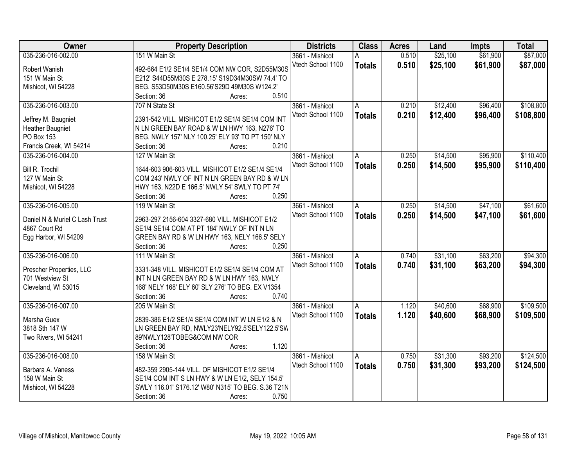| Owner                          | <b>Property Description</b>                        | <b>Districts</b>  | <b>Class</b>   | <b>Acres</b> | Land     | <b>Impts</b> | <b>Total</b> |
|--------------------------------|----------------------------------------------------|-------------------|----------------|--------------|----------|--------------|--------------|
| 035-236-016-002.00             | 151 W Main St                                      | 3661 - Mishicot   | А              | 0.510        | \$25,100 | \$61,900     | \$87,000     |
| Robert Wanish                  | 492-664 E1/2 SE1/4 SE1/4 COM NW COR, S2D55M30S     | Vtech School 1100 | <b>Totals</b>  | 0.510        | \$25,100 | \$61,900     | \$87,000     |
| 151 W Main St                  | E212' S44D55M30S E 278.15' S19D34M30SW 74.4' TO    |                   |                |              |          |              |              |
| Mishicot, WI 54228             | BEG. S53D50M30S E160.56'S29D 49M30S W124.2'        |                   |                |              |          |              |              |
|                                | 0.510<br>Section: 36<br>Acres:                     |                   |                |              |          |              |              |
| 035-236-016-003.00             | 707 N State St                                     | 3661 - Mishicot   | A              | 0.210        | \$12,400 | \$96,400     | \$108,800    |
|                                |                                                    | Vtech School 1100 | <b>Totals</b>  | 0.210        | \$12,400 | \$96,400     | \$108,800    |
| Jeffrey M. Baugniet            | 2391-542 VILL. MISHICOT E1/2 SE1/4 SE1/4 COM INT   |                   |                |              |          |              |              |
| <b>Heather Baugniet</b>        | N LN GREEN BAY ROAD & W LN HWY 163, N276' TO       |                   |                |              |          |              |              |
| PO Box 153                     | BEG. NWLY 157' NLY 100.25' ELY 93' TO PT 150' NLY  |                   |                |              |          |              |              |
| Francis Creek, WI 54214        | 0.210<br>Section: 36<br>Acres:                     |                   |                |              |          |              |              |
| 035-236-016-004.00             | 127 W Main St                                      | 3661 - Mishicot   | ΙA             | 0.250        | \$14,500 | \$95,900     | \$110,400    |
| <b>Bill R. Trochil</b>         | 1644-603 906-603 VILL. MISHICOT E1/2 SE1/4 SE1/4   | Vtech School 1100 | <b>Totals</b>  | 0.250        | \$14,500 | \$95,900     | \$110,400    |
| 127 W Main St                  | COM 243' NWLY OF INT N LN GREEN BAY RD & W LN      |                   |                |              |          |              |              |
| Mishicot, WI 54228             | HWY 163, N22D E 166.5' NWLY 54' SWLY TO PT 74'     |                   |                |              |          |              |              |
|                                | Section: 36<br>0.250<br>Acres:                     |                   |                |              |          |              |              |
| 035-236-016-005.00             | 119 W Main St                                      | 3661 - Mishicot   | $\overline{A}$ | 0.250        | \$14,500 | \$47,100     | \$61,600     |
|                                |                                                    | Vtech School 1100 |                |              |          |              |              |
| Daniel N & Muriel C Lash Trust | 2963-297 2156-604 3327-680 VILL. MISHICOT E1/2     |                   | <b>Totals</b>  | 0.250        | \$14,500 | \$47,100     | \$61,600     |
| 4867 Court Rd                  | SE1/4 SE1/4 COM AT PT 184' NWLY OF INT N LN        |                   |                |              |          |              |              |
| Egg Harbor, WI 54209           | GREEN BAY RD & W LN HWY 163, NELY 166.5' SELY      |                   |                |              |          |              |              |
|                                | 0.250<br>Section: 36<br>Acres:                     |                   |                |              |          |              |              |
| 035-236-016-006.00             | 111 W Main St                                      | 3661 - Mishicot   | A              | 0.740        | \$31,100 | \$63,200     | \$94,300     |
|                                |                                                    | Vtech School 1100 | <b>Totals</b>  | 0.740        | \$31,100 | \$63,200     | \$94,300     |
| Prescher Properties, LLC       | 3331-348 VILL. MISHICOT E1/2 SE1/4 SE1/4 COM AT    |                   |                |              |          |              |              |
| 701 Westview St                | INT N LN GREEN BAY RD & W LN HWY 163, NWLY         |                   |                |              |          |              |              |
| Cleveland, WI 53015            | 168' NELY 168' ELY 60' SLY 276' TO BEG. EX V1354   |                   |                |              |          |              |              |
|                                | 0.740<br>Section: 36<br>Acres:                     |                   |                |              |          |              |              |
| 035-236-016-007.00             | 205 W Main St                                      | 3661 - Mishicot   | $\overline{A}$ | 1.120        | \$40,600 | \$68,900     | \$109,500    |
| Marsha Guex                    | 2839-386 E1/2 SE1/4 SE1/4 COM INT W LN E1/2 & N    | Vtech School 1100 | <b>Totals</b>  | 1.120        | \$40,600 | \$68,900     | \$109,500    |
| 3818 Sth 147 W                 | LN GREEN BAY RD, NWLY23'NELY92.5'SELY122.5'SW      |                   |                |              |          |              |              |
| Two Rivers, WI 54241           | 89'NWLY128'TOBEG&COM NW COR                        |                   |                |              |          |              |              |
|                                | 1.120<br>Section: 36<br>Acres:                     |                   |                |              |          |              |              |
| 035-236-016-008.00             | 158 W Main St                                      | 3661 - Mishicot   | A              | 0.750        | \$31,300 | \$93,200     | \$124,500    |
|                                |                                                    | Vtech School 1100 | <b>Totals</b>  | 0.750        | \$31,300 | \$93,200     | \$124,500    |
| Barbara A. Vaness              | 482-359 2905-144 VILL. OF MISHICOT E1/2 SE1/4      |                   |                |              |          |              |              |
| 158 W Main St                  | SE1/4 COM INT S LN HWY & W LN E1/2, SELY 154.5'    |                   |                |              |          |              |              |
| Mishicot, WI 54228             | SWLY 116.01' S176.12' W80' N315' TO BEG. S.36 T21N |                   |                |              |          |              |              |
|                                | 0.750<br>Section: 36<br>Acres:                     |                   |                |              |          |              |              |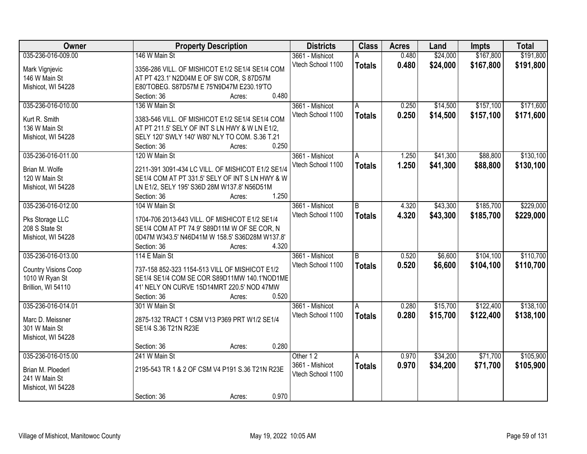| Owner                       | <b>Property Description</b>                       | <b>Districts</b>  | <b>Class</b>  | <b>Acres</b> | Land     | <b>Impts</b> | <b>Total</b> |
|-----------------------------|---------------------------------------------------|-------------------|---------------|--------------|----------|--------------|--------------|
| 035-236-016-009.00          | 146 W Main St                                     | 3661 - Mishicot   | A             | 0.480        | \$24,000 | \$167,800    | \$191,800    |
| Mark Vignjevic              | 3356-286 VILL. OF MISHICOT E1/2 SE1/4 SE1/4 COM   | Vtech School 1100 | <b>Totals</b> | 0.480        | \$24,000 | \$167,800    | \$191,800    |
| 146 W Main St               | AT PT 423.1' N2D04M E OF SW COR, S 87D57M         |                   |               |              |          |              |              |
| Mishicot, WI 54228          | E80'TOBEG. S87D57M E 75'N9D47M E230.19'TO         |                   |               |              |          |              |              |
|                             | 0.480<br>Section: 36<br>Acres:                    |                   |               |              |          |              |              |
| 035-236-016-010.00          | 136 W Main St                                     | 3661 - Mishicot   | A             | 0.250        | \$14,500 | \$157,100    | \$171,600    |
|                             |                                                   | Vtech School 1100 |               |              |          |              |              |
| Kurt R. Smith               | 3383-546 VILL. OF MISHICOT E1/2 SE1/4 SE1/4 COM   |                   | <b>Totals</b> | 0.250        | \$14,500 | \$157,100    | \$171,600    |
| 136 W Main St               | AT PT 211.5' SELY OF INT S LN HWY & W LN E1/2,    |                   |               |              |          |              |              |
| Mishicot, WI 54228          | SELY 120' SWLY 140' W80' NLY TO COM. S.36 T.21    |                   |               |              |          |              |              |
|                             | 0.250<br>Section: 36<br>Acres:                    |                   |               |              |          |              |              |
| 035-236-016-011.00          | 120 W Main St                                     | 3661 - Mishicot   | A             | 1.250        | \$41,300 | \$88,800     | \$130,100    |
|                             |                                                   | Vtech School 1100 | <b>Totals</b> | 1.250        | \$41,300 | \$88,800     | \$130,100    |
| Brian M. Wolfe              | 2211-391 3091-434 LC VILL. OF MISHICOT E1/2 SE1/4 |                   |               |              |          |              |              |
| 120 W Main St               | SE1/4 COM AT PT 331.5' SELY OF INT S LN HWY & W   |                   |               |              |          |              |              |
| Mishicot, WI 54228          | LN E1/2, SELY 195' S36D 28M W137.8' N56D51M       |                   |               |              |          |              |              |
|                             | 1.250<br>Section: 36<br>Acres:                    |                   |               |              |          |              |              |
| 035-236-016-012.00          | 104 W Main St                                     | 3661 - Mishicot   | B             | 4.320        | \$43,300 | \$185,700    | \$229,000    |
| Pks Storage LLC             | 1704-706 2013-643 VILL. OF MISHICOT E1/2 SE1/4    | Vtech School 1100 | <b>Totals</b> | 4.320        | \$43,300 | \$185,700    | \$229,000    |
| 208 S State St              | SE1/4 COM AT PT 74.9' S89D11M W OF SE COR, N      |                   |               |              |          |              |              |
| Mishicot, WI 54228          | 0D47M W343.5' N46D41M W 158.5' S36D28M W137.8'    |                   |               |              |          |              |              |
|                             | 4.320<br>Section: 36<br>Acres:                    |                   |               |              |          |              |              |
| 035-236-016-013.00          | 114 E Main St                                     | 3661 - Mishicot   | B             | 0.520        | \$6,600  | \$104,100    | \$110,700    |
|                             |                                                   | Vtech School 1100 | <b>Totals</b> | 0.520        | \$6,600  | \$104,100    | \$110,700    |
| <b>Country Visions Coop</b> | 737-158 852-323 1154-513 VILL OF MISHICOT E1/2    |                   |               |              |          |              |              |
| 1010 W Ryan St              | SE1/4 SE1/4 COM SE COR S89D11MW 140.1'NOD1ME      |                   |               |              |          |              |              |
| Brillion, WI 54110          | 41' NELY ON CURVE 15D14MRT 220.5' NOD 47MW        |                   |               |              |          |              |              |
|                             | 0.520<br>Section: 36<br>Acres:                    |                   |               |              |          |              |              |
| 035-236-016-014.01          | 301 W Main St                                     | 3661 - Mishicot   | A             | 0.280        | \$15,700 | \$122,400    | \$138,100    |
| Marc D. Meissner            | 2875-132 TRACT 1 CSM V13 P369 PRT W1/2 SE1/4      | Vtech School 1100 | <b>Totals</b> | 0.280        | \$15,700 | \$122,400    | \$138,100    |
| 301 W Main St               | SE1/4 S.36 T21N R23E                              |                   |               |              |          |              |              |
| Mishicot, WI 54228          |                                                   |                   |               |              |          |              |              |
|                             | 0.280<br>Section: 36<br>Acres:                    |                   |               |              |          |              |              |
| 035-236-016-015.00          | 241 W Main St                                     | Other 12          | A             | 0.970        | \$34,200 | \$71,700     | \$105,900    |
|                             |                                                   |                   |               |              |          |              |              |
| Brian M. Ploederl           | 2195-543 TR 1 & 2 OF CSM V4 P191 S.36 T21N R23E   | 3661 - Mishicot   | <b>Totals</b> | 0.970        | \$34,200 | \$71,700     | \$105,900    |
| 241 W Main St               |                                                   | Vtech School 1100 |               |              |          |              |              |
| Mishicot, WI 54228          |                                                   |                   |               |              |          |              |              |
|                             | 0.970<br>Section: 36<br>Acres:                    |                   |               |              |          |              |              |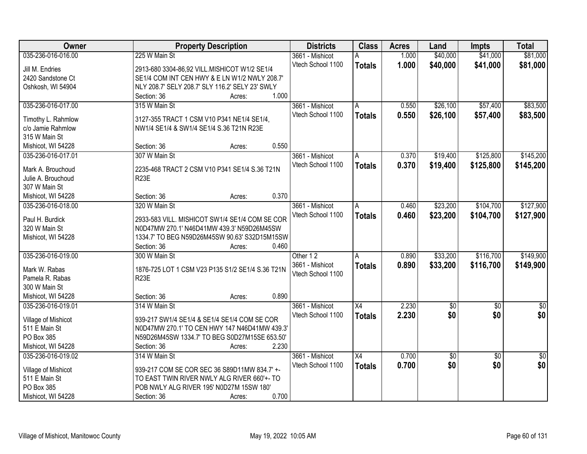| Owner               | <b>Property Description</b>                      | <b>Districts</b>  | <b>Class</b>    | <b>Acres</b> | Land       | <b>Impts</b>    | <b>Total</b>    |
|---------------------|--------------------------------------------------|-------------------|-----------------|--------------|------------|-----------------|-----------------|
| 035-236-016-016.00  | 225 W Main St                                    | 3661 - Mishicot   |                 | 1.000        | \$40,000   | \$41,000        | \$81,000        |
| Jill M. Endries     | 2913-680 3304-86,92 VILL.MISHICOT W1/2 SE1/4     | Vtech School 1100 | <b>Totals</b>   | 1.000        | \$40,000   | \$41,000        | \$81,000        |
| 2420 Sandstone Ct   | SE1/4 COM INT CEN HWY & E LN W1/2 NWLY 208.7'    |                   |                 |              |            |                 |                 |
| Oshkosh, WI 54904   | NLY 208.7' SELY 208.7' SLY 116.2' SELY 23' SWLY  |                   |                 |              |            |                 |                 |
|                     | 1.000<br>Section: 36<br>Acres:                   |                   |                 |              |            |                 |                 |
| 035-236-016-017.00  | 315 W Main St                                    | 3661 - Mishicot   | A               | 0.550        | \$26,100   | \$57,400        | \$83,500        |
|                     |                                                  | Vtech School 1100 | <b>Totals</b>   | 0.550        | \$26,100   | \$57,400        | \$83,500        |
| Timothy L. Rahmlow  | 3127-355 TRACT 1 CSM V10 P341 NE1/4 SE1/4,       |                   |                 |              |            |                 |                 |
| c/o Jamie Rahmlow   | NW1/4 SE1/4 & SW1/4 SE1/4 S.36 T21N R23E         |                   |                 |              |            |                 |                 |
| 315 W Main St       |                                                  |                   |                 |              |            |                 |                 |
| Mishicot, WI 54228  | 0.550<br>Section: 36<br>Acres:                   |                   |                 |              |            |                 |                 |
| 035-236-016-017.01  | 307 W Main St                                    | 3661 - Mishicot   | A               | 0.370        | \$19,400   | \$125,800       | \$145,200       |
| Mark A. Brouchoud   | 2235-468 TRACT 2 CSM V10 P341 SE1/4 S.36 T21N    | Vtech School 1100 | <b>Totals</b>   | 0.370        | \$19,400   | \$125,800       | \$145,200       |
| Julie A. Brouchoud  | R <sub>23</sub> E                                |                   |                 |              |            |                 |                 |
| 307 W Main St       |                                                  |                   |                 |              |            |                 |                 |
|                     | 0.370                                            |                   |                 |              |            |                 |                 |
| Mishicot, WI 54228  | Section: 36<br>Acres:                            |                   |                 |              |            |                 |                 |
| 035-236-016-018.00  | 320 W Main St                                    | 3661 - Mishicot   | A               | 0.460        | \$23,200   | \$104,700       | \$127,900       |
| Paul H. Burdick     | 2933-583 VILL. MISHICOT SW1/4 SE1/4 COM SE COR   | Vtech School 1100 | <b>Totals</b>   | 0.460        | \$23,200   | \$104,700       | \$127,900       |
| 320 W Main St       | N0D47MW 270.1' N46D41MW 439.3' N59D26M45SW       |                   |                 |              |            |                 |                 |
| Mishicot, WI 54228  | 1334.7' TO BEG N59D26M45SW 90.63' S32D15M15SW    |                   |                 |              |            |                 |                 |
|                     | 0.460<br>Section: 36<br>Acres:                   |                   |                 |              |            |                 |                 |
| 035-236-016-019.00  | 300 W Main St                                    | Other 12          | A               | 0.890        | \$33,200   | \$116,700       | \$149,900       |
|                     |                                                  | 3661 - Mishicot   | <b>Totals</b>   | 0.890        | \$33,200   | \$116,700       | \$149,900       |
| Mark W. Rabas       | 1876-725 LOT 1 CSM V23 P135 S1/2 SE1/4 S.36 T21N | Vtech School 1100 |                 |              |            |                 |                 |
| Pamela R. Rabas     | R <sub>23</sub> E                                |                   |                 |              |            |                 |                 |
| 300 W Main St       |                                                  |                   |                 |              |            |                 |                 |
| Mishicot, WI 54228  | 0.890<br>Section: 36<br>Acres:                   |                   |                 |              |            |                 |                 |
| 035-236-016-019.01  | 314 W Main St                                    | 3661 - Mishicot   | X4              | 2.230        | $\sqrt{6}$ | $\sqrt{6}$      | $\frac{1}{6}$   |
|                     | 939-217 SW1/4 SE1/4 & SE1/4 SE1/4 COM SE COR     | Vtech School 1100 | <b>Totals</b>   | 2.230        | \$0        | \$0             | \$0             |
| Village of Mishicot |                                                  |                   |                 |              |            |                 |                 |
| 511 E Main St       | N0D47MW 270.1' TO CEN HWY 147 N46D41MW 439.3'    |                   |                 |              |            |                 |                 |
| PO Box 385          | N59D26M45SW 1334.7' TO BEG S0D27M15SE 653.50'    |                   |                 |              |            |                 |                 |
| Mishicot, WI 54228  | 2.230<br>Section: 36<br>Acres:                   |                   |                 |              |            |                 |                 |
| 035-236-016-019.02  | 314 W Main St                                    | 3661 - Mishicot   | $\overline{X4}$ | 0.700        | $\sqrt{6}$ | $\overline{30}$ | $\overline{50}$ |
| Village of Mishicot | 939-217 COM SE COR SEC 36 S89D11MW 834.7' +-     | Vtech School 1100 | <b>Totals</b>   | 0.700        | \$0        | \$0             | \$0             |
| 511 E Main St       | TO EAST TWIN RIVER NWLY ALG RIVER 660'+- TO      |                   |                 |              |            |                 |                 |
| PO Box 385          | POB NWLY ALG RIVER 195' N0D27M 15SW 180'         |                   |                 |              |            |                 |                 |
| Mishicot, WI 54228  | 0.700<br>Section: 36<br>Acres:                   |                   |                 |              |            |                 |                 |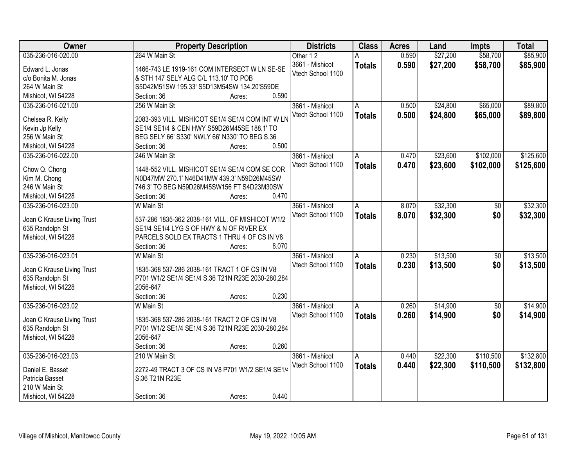| Owner                      | <b>Property Description</b>                       | <b>Districts</b>  | <b>Class</b>  | <b>Acres</b> | Land     | <b>Impts</b>    | <b>Total</b> |
|----------------------------|---------------------------------------------------|-------------------|---------------|--------------|----------|-----------------|--------------|
| 035-236-016-020.00         | 264 W Main St                                     | Other 12          |               | 0.590        | \$27,200 | \$58,700        | \$85,900     |
| Edward L. Jonas            | 1466-743 LE 1919-161 COM INTERSECT W LN SE-SE     | 3661 - Mishicot   | <b>Totals</b> | 0.590        | \$27,200 | \$58,700        | \$85,900     |
| c/o Bonita M. Jonas        | & STH 147 SELY ALG C/L 113.10' TO POB             | Vtech School 1100 |               |              |          |                 |              |
| 264 W Main St              | S5D42M51SW 195.33' S5D13M54SW 134.20'S59DE        |                   |               |              |          |                 |              |
| Mishicot, WI 54228         | 0.590<br>Section: 36<br>Acres:                    |                   |               |              |          |                 |              |
| 035-236-016-021.00         | 256 W Main St                                     | 3661 - Mishicot   | A             | 0.500        | \$24,800 | \$65,000        | \$89,800     |
|                            |                                                   | Vtech School 1100 | <b>Totals</b> | 0.500        | \$24,800 | \$65,000        | \$89,800     |
| Chelsea R. Kelly           | 2083-393 VILL. MISHICOT SE1/4 SE1/4 COM INT W LN  |                   |               |              |          |                 |              |
| Kevin Jp Kelly             | SE1/4 SE1/4 & CEN HWY S59D26M45SE 188.1' TO       |                   |               |              |          |                 |              |
| 256 W Main St              | BEG SELY 66' S330' NWLY 66' N330' TO BEG S.36     |                   |               |              |          |                 |              |
| Mishicot, WI 54228         | 0.500<br>Section: 36<br>Acres:                    |                   |               |              |          |                 |              |
| 035-236-016-022.00         | 246 W Main St                                     | 3661 - Mishicot   | A             | 0.470        | \$23,600 | \$102,000       | \$125,600    |
| Chow Q. Chong              | 1448-552 VILL. MISHICOT SE1/4 SE1/4 COM SE COR    | Vtech School 1100 | <b>Totals</b> | 0.470        | \$23,600 | \$102,000       | \$125,600    |
| Kim M. Chong               | N0D47MW 270.1' N46D41MW 439.3' N59D26M45SW        |                   |               |              |          |                 |              |
| 246 W Main St              | 746.3' TO BEG N59D26M45SW156 FT S4D23M30SW        |                   |               |              |          |                 |              |
| Mishicot, WI 54228         | 0.470<br>Section: 36<br>Acres:                    |                   |               |              |          |                 |              |
| 035-236-016-023.00         | W Main St                                         | 3661 - Mishicot   | A             | 8.070        | \$32,300 | \$0             | \$32,300     |
|                            |                                                   | Vtech School 1100 |               | 8.070        |          | \$0             |              |
| Joan C Krause Living Trust | 537-286 1835-362 2038-161 VILL. OF MISHICOT W1/2  |                   | <b>Totals</b> |              | \$32,300 |                 | \$32,300     |
| 635 Randolph St            | SE1/4 SE1/4 LYG S OF HWY & N OF RIVER EX          |                   |               |              |          |                 |              |
| Mishicot, WI 54228         | PARCELS SOLD EX TRACTS 1 THRU 4 OF CS IN V8       |                   |               |              |          |                 |              |
|                            | 8.070<br>Section: 36<br>Acres:                    |                   |               |              |          |                 |              |
| 035-236-016-023.01         | W Main St                                         | 3661 - Mishicot   | A             | 0.230        | \$13,500 | $\overline{50}$ | \$13,500     |
| Joan C Krause Living Trust | 1835-368 537-286 2038-161 TRACT 1 OF CS IN V8     | Vtech School 1100 | <b>Totals</b> | 0.230        | \$13,500 | \$0             | \$13,500     |
| 635 Randolph St            | P701 W1/2 SE1/4 SE1/4 S.36 T21N R23E 2030-280,284 |                   |               |              |          |                 |              |
| Mishicot, WI 54228         | 2056-647                                          |                   |               |              |          |                 |              |
|                            | Section: 36<br>0.230<br>Acres:                    |                   |               |              |          |                 |              |
| 035-236-016-023.02         | W Main St                                         | 3661 - Mishicot   |               | 0.260        | \$14,900 | $\overline{50}$ | \$14,900     |
|                            |                                                   |                   | A             |              |          |                 |              |
| Joan C Krause Living Trust | 1835-368 537-286 2038-161 TRACT 2 OF CS IN V8     | Vtech School 1100 | <b>Totals</b> | 0.260        | \$14,900 | \$0             | \$14,900     |
| 635 Randolph St            | P701 W1/2 SE1/4 SE1/4 S.36 T21N R23E 2030-280,284 |                   |               |              |          |                 |              |
| Mishicot, WI 54228         | 2056-647                                          |                   |               |              |          |                 |              |
|                            | 0.260<br>Section: 36<br>Acres:                    |                   |               |              |          |                 |              |
| 035-236-016-023.03         | 210 W Main St                                     | 3661 - Mishicot   | A             | 0.440        | \$22,300 | \$110,500       | \$132,800    |
|                            |                                                   | Vtech School 1100 | <b>Totals</b> | 0.440        | \$22,300 | \$110,500       | \$132,800    |
| Daniel E. Basset           | 2272-49 TRACT 3 OF CS IN V8 P701 W1/2 SE1/4 SE1/4 |                   |               |              |          |                 |              |
| Patricia Basset            | S.36 T21N R23E                                    |                   |               |              |          |                 |              |
| 210 W Main St              |                                                   |                   |               |              |          |                 |              |
| Mishicot, WI 54228         | 0.440<br>Section: 36<br>Acres:                    |                   |               |              |          |                 |              |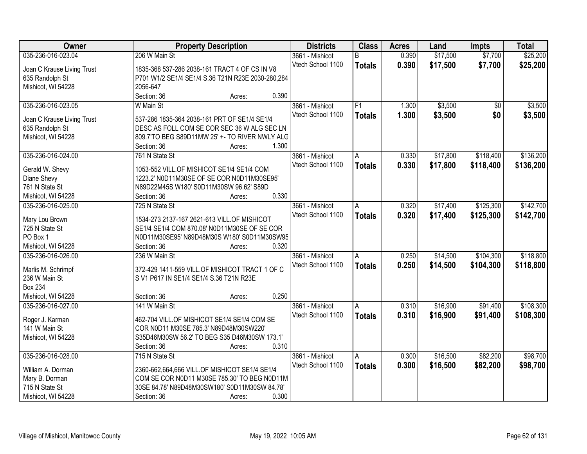| Owner                            | <b>Property Description</b>                                         | <b>Districts</b>  | <b>Class</b>  | <b>Acres</b> | Land     | <b>Impts</b> | <b>Total</b> |
|----------------------------------|---------------------------------------------------------------------|-------------------|---------------|--------------|----------|--------------|--------------|
| 035-236-016-023.04               | 206 W Main St                                                       | 3661 - Mishicot   | B             | 0.390        | \$17,500 | \$7,700      | \$25,200     |
| Joan C Krause Living Trust       | 1835-368 537-286 2038-161 TRACT 4 OF CS IN V8                       | Vtech School 1100 | <b>Totals</b> | 0.390        | \$17,500 | \$7,700      | \$25,200     |
| 635 Randolph St                  | P701 W1/2 SE1/4 SE1/4 S.36 T21N R23E 2030-280,284                   |                   |               |              |          |              |              |
| Mishicot, WI 54228               | 2056-647                                                            |                   |               |              |          |              |              |
|                                  | Section: 36<br>0.390<br>Acres:                                      |                   |               |              |          |              |              |
| 035-236-016-023.05               | W Main St                                                           | 3661 - Mishicot   | F1            | 1.300        | \$3,500  | \$0          | \$3,500      |
|                                  |                                                                     | Vtech School 1100 | <b>Totals</b> | 1.300        | \$3,500  | \$0          | \$3,500      |
| Joan C Krause Living Trust       | 537-286 1835-364 2038-161 PRT OF SE1/4 SE1/4                        |                   |               |              |          |              |              |
| 635 Randolph St                  | DESC AS FOLL COM SE COR SEC 36 W ALG SEC LN                         |                   |               |              |          |              |              |
| Mishicot, WI 54228               | 809.7'TO BEG S89D11MW 25' +- TO RIVER NWLY ALG<br>1.300             |                   |               |              |          |              |              |
|                                  | Section: 36<br>Acres:                                               |                   |               |              |          |              |              |
| 035-236-016-024.00               | 761 N State St                                                      | 3661 - Mishicot   | A             | 0.330        | \$17,800 | \$118,400    | \$136,200    |
| Gerald W. Shevy                  | 1053-552 VILL.OF MISHICOT SE1/4 SE1/4 COM                           | Vtech School 1100 | <b>Totals</b> | 0.330        | \$17,800 | \$118,400    | \$136,200    |
| Diane Shevy                      | 1223.2' N0D11M30SE OF SE COR N0D11M30SE95'                          |                   |               |              |          |              |              |
| 761 N State St                   | N89D22M45S W180' S0D11M30SW 96.62' S89D                             |                   |               |              |          |              |              |
| Mishicot, WI 54228               | 0.330<br>Section: 36<br>Acres:                                      |                   |               |              |          |              |              |
| 035-236-016-025.00               | 725 N State St                                                      | 3661 - Mishicot   | A             | 0.320        | \$17,400 | \$125,300    | \$142,700    |
|                                  |                                                                     | Vtech School 1100 | <b>Totals</b> | 0.320        | \$17,400 | \$125,300    | \$142,700    |
| Mary Lou Brown                   | 1534-273 2137-167 2621-613 VILL.OF MISHICOT                         |                   |               |              |          |              |              |
| 725 N State St<br>PO Box 1       | SE1/4 SE1/4 COM 870.08' N0D11M30SE OF SE COR                        |                   |               |              |          |              |              |
| Mishicot, WI 54228               | N0D11M30SE95' N89D48M30S W180' S0D11M30SW95<br>Section: 36<br>0.320 |                   |               |              |          |              |              |
|                                  | Acres:<br>236 W Main St                                             |                   |               |              | \$14,500 | \$104,300    | \$118,800    |
| 035-236-016-026.00               |                                                                     | 3661 - Mishicot   | A             | 0.250        |          |              |              |
| Marlis M. Schrimpf               | 372-429 1411-559 VILL.OF MISHICOT TRACT 1 OF C                      | Vtech School 1100 | <b>Totals</b> | 0.250        | \$14,500 | \$104,300    | \$118,800    |
| 236 W Main St                    | S V1 P617 IN SE1/4 SE1/4 S.36 T21N R23E                             |                   |               |              |          |              |              |
| <b>Box 234</b>                   |                                                                     |                   |               |              |          |              |              |
| Mishicot, WI 54228               | 0.250<br>Section: 36<br>Acres:                                      |                   |               |              |          |              |              |
| 035-236-016-027.00               | 141 W Main St                                                       | 3661 - Mishicot   | A             | 0.310        | \$16,900 | \$91,400     | \$108,300    |
|                                  | 462-704 VILL.OF MISHICOT SE1/4 SE1/4 COM SE                         | Vtech School 1100 | <b>Totals</b> | 0.310        | \$16,900 | \$91,400     | \$108,300    |
| Roger J. Karman<br>141 W Main St | COR N0D11 M30SE 785.3' N89D48M30SW220'                              |                   |               |              |          |              |              |
| Mishicot, WI 54228               | S35D46M30SW 56.2' TO BEG S35 D46M30SW 173.1'                        |                   |               |              |          |              |              |
|                                  | 0.310<br>Section: 36<br>Acres:                                      |                   |               |              |          |              |              |
| 035-236-016-028.00               | 715 N State St                                                      | 3661 - Mishicot   | Α             | 0.300        | \$16,500 | \$82,200     | \$98,700     |
|                                  |                                                                     | Vtech School 1100 |               | 0.300        |          |              |              |
| William A. Dorman                | 2360-662,664,666 VILL.OF MISHICOT SE1/4 SE1/4                       |                   | <b>Totals</b> |              | \$16,500 | \$82,200     | \$98,700     |
| Mary B. Dorman                   | COM SE COR N0D11 M30SE 785.30' TO BEG N0D11M                        |                   |               |              |          |              |              |
| 715 N State St                   | 30SE 84.78' N89D48M30SW180' S0D11M30SW 84.78'                       |                   |               |              |          |              |              |
| Mishicot, WI 54228               | 0.300<br>Section: 36<br>Acres:                                      |                   |               |              |          |              |              |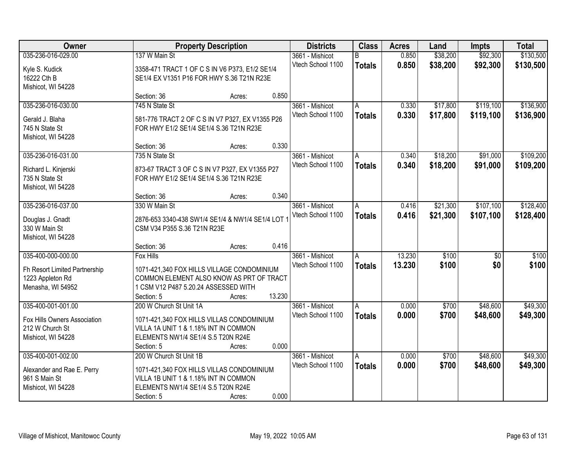| Owner                             |                                                                                            | <b>Property Description</b> |        | <b>Districts</b>  | <b>Class</b>  | <b>Acres</b> | Land     | <b>Impts</b>    | <b>Total</b> |
|-----------------------------------|--------------------------------------------------------------------------------------------|-----------------------------|--------|-------------------|---------------|--------------|----------|-----------------|--------------|
| 035-236-016-029.00                | 137 W Main St                                                                              |                             |        | 3661 - Mishicot   | B             | 0.850        | \$38,200 | \$92,300        | \$130,500    |
| Kyle S. Kudick                    | 3358-471 TRACT 1 OF C S IN V6 P373, E1/2 SE1/4                                             |                             |        | Vtech School 1100 | <b>Totals</b> | 0.850        | \$38,200 | \$92,300        | \$130,500    |
| 16222 Cth B                       | SE1/4 EX V1351 P16 FOR HWY S.36 T21N R23E                                                  |                             |        |                   |               |              |          |                 |              |
| Mishicot, WI 54228                |                                                                                            |                             |        |                   |               |              |          |                 |              |
|                                   | Section: 36                                                                                | Acres:                      | 0.850  |                   |               |              |          |                 |              |
| 035-236-016-030.00                | 745 N State St                                                                             |                             |        | 3661 - Mishicot   | A             | 0.330        | \$17,800 | \$119,100       | \$136,900    |
|                                   |                                                                                            |                             |        | Vtech School 1100 | <b>Totals</b> | 0.330        | \$17,800 | \$119,100       | \$136,900    |
| Gerald J. Blaha<br>745 N State St | 581-776 TRACT 2 OF C S IN V7 P327, EX V1355 P26<br>FOR HWY E1/2 SE1/4 SE1/4 S.36 T21N R23E |                             |        |                   |               |              |          |                 |              |
| Mishicot, WI 54228                |                                                                                            |                             |        |                   |               |              |          |                 |              |
|                                   | Section: 36                                                                                | Acres:                      | 0.330  |                   |               |              |          |                 |              |
| 035-236-016-031.00                | 735 N State St                                                                             |                             |        | 3661 - Mishicot   | А             | 0.340        | \$18,200 | \$91,000        | \$109,200    |
|                                   |                                                                                            |                             |        | Vtech School 1100 | <b>Totals</b> | 0.340        | \$18,200 | \$91,000        | \$109,200    |
| Richard L. Kinjerski              | 873-67 TRACT 3 OF C S IN V7 P327, EX V1355 P27                                             |                             |        |                   |               |              |          |                 |              |
| 735 N State St                    | FOR HWY E1/2 SE1/4 SE1/4 S.36 T21N R23E                                                    |                             |        |                   |               |              |          |                 |              |
| Mishicot, WI 54228                |                                                                                            |                             |        |                   |               |              |          |                 |              |
|                                   | Section: 36                                                                                | Acres:                      | 0.340  |                   |               |              |          |                 |              |
| 035-236-016-037.00                | 330 W Main St                                                                              |                             |        | 3661 - Mishicot   | Α             | 0.416        | \$21,300 | \$107,100       | \$128,400    |
| Douglas J. Gnadt                  | 2876-653 3340-438 SW1/4 SE1/4 & NW1/4 SE1/4 LOT 1                                          |                             |        | Vtech School 1100 | <b>Totals</b> | 0.416        | \$21,300 | \$107,100       | \$128,400    |
| 330 W Main St                     | CSM V34 P355 S.36 T21N R23E                                                                |                             |        |                   |               |              |          |                 |              |
| Mishicot, WI 54228                |                                                                                            |                             |        |                   |               |              |          |                 |              |
|                                   | Section: 36                                                                                | Acres:                      | 0.416  |                   |               |              |          |                 |              |
| 035-400-000-000.00                | <b>Fox Hills</b>                                                                           |                             |        | 3661 - Mishicot   | A             | 13.230       | \$100    | $\overline{50}$ | \$100        |
|                                   |                                                                                            |                             |        | Vtech School 1100 | <b>Totals</b> | 13.230       | \$100    | \$0             | \$100        |
| Fh Resort Limited Partnership     | 1071-421,340 FOX HILLS VILLAGE CONDOMINIUM                                                 |                             |        |                   |               |              |          |                 |              |
| 1223 Appleton Rd                  | COMMON ELEMENT ALSO KNOW AS PRT OF TRACT                                                   |                             |        |                   |               |              |          |                 |              |
| Menasha, WI 54952                 | 1 CSM V12 P487 5.20.24 ASSESSED WITH<br>Section: 5                                         |                             | 13.230 |                   |               |              |          |                 |              |
| 035-400-001-001.00                | 200 W Church St Unit 1A                                                                    | Acres:                      |        | 3661 - Mishicot   |               | 0.000        | \$700    | \$48,600        | \$49,300     |
|                                   |                                                                                            |                             |        | Vtech School 1100 | A             |              |          |                 |              |
| Fox Hills Owners Association      | 1071-421,340 FOX HILLS VILLAS CONDOMINIUM                                                  |                             |        |                   | <b>Totals</b> | 0.000        | \$700    | \$48,600        | \$49,300     |
| 212 W Church St                   | VILLA 1A UNIT 1 & 1.18% INT IN COMMON                                                      |                             |        |                   |               |              |          |                 |              |
| Mishicot, WI 54228                | ELEMENTS NW1/4 SE1/4 S.5 T20N R24E                                                         |                             |        |                   |               |              |          |                 |              |
|                                   | Section: 5                                                                                 | Acres:                      | 0.000  |                   |               |              |          |                 |              |
| 035-400-001-002.00                | 200 W Church St Unit 1B                                                                    |                             |        | 3661 - Mishicot   | A             | 0.000        | \$700    | \$48,600        | \$49,300     |
| Alexander and Rae E. Perry        | 1071-421,340 FOX HILLS VILLAS CONDOMINIUM                                                  |                             |        | Vtech School 1100 | <b>Totals</b> | 0.000        | \$700    | \$48,600        | \$49,300     |
| 961 S Main St                     | VILLA 1B UNIT 1 & 1.18% INT IN COMMON                                                      |                             |        |                   |               |              |          |                 |              |
| Mishicot, WI 54228                | ELEMENTS NW1/4 SE1/4 S.5 T20N R24E                                                         |                             |        |                   |               |              |          |                 |              |
|                                   | Section: 5                                                                                 | Acres:                      | 0.000  |                   |               |              |          |                 |              |
|                                   |                                                                                            |                             |        |                   |               |              |          |                 |              |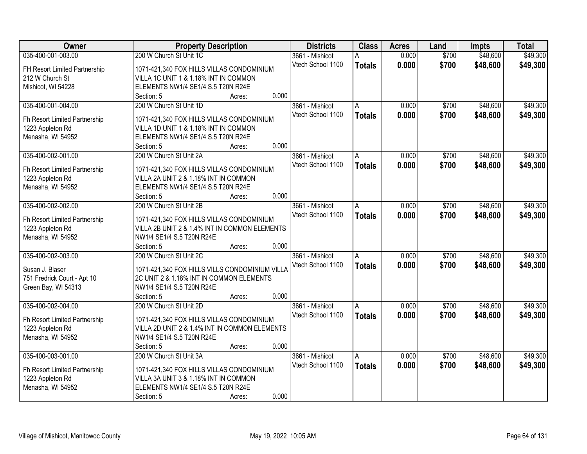| Owner                         | <b>Property Description</b>                     | <b>Districts</b>  | <b>Class</b>  | <b>Acres</b> | Land  | <b>Impts</b> | <b>Total</b> |
|-------------------------------|-------------------------------------------------|-------------------|---------------|--------------|-------|--------------|--------------|
| 035-400-001-003.00            | 200 W Church St Unit 1C                         | 3661 - Mishicot   | А             | 0.000        | \$700 | \$48,600     | \$49,300     |
| FH Resort Limited Partnership | 1071-421,340 FOX HILLS VILLAS CONDOMINIUM       | Vtech School 1100 | <b>Totals</b> | 0.000        | \$700 | \$48,600     | \$49,300     |
| 212 W Church St               | VILLA 1C UNIT 1 & 1.18% INT IN COMMON           |                   |               |              |       |              |              |
| Mishicot, WI 54228            | ELEMENTS NW1/4 SE1/4 S.5 T20N R24E              |                   |               |              |       |              |              |
|                               | 0.000<br>Section: 5<br>Acres:                   |                   |               |              |       |              |              |
| 035-400-001-004.00            | 200 W Church St Unit 1D                         | 3661 - Mishicot   | A             | 0.000        | \$700 | \$48,600     | \$49,300     |
|                               |                                                 | Vtech School 1100 | <b>Totals</b> | 0.000        | \$700 | \$48,600     | \$49,300     |
| Fh Resort Limited Partnership | 1071-421,340 FOX HILLS VILLAS CONDOMINIUM       |                   |               |              |       |              |              |
| 1223 Appleton Rd              | VILLA 1D UNIT 1 & 1.18% INT IN COMMON           |                   |               |              |       |              |              |
| Menasha, WI 54952             | ELEMENTS NW1/4 SE1/4 S.5 T20N R24E<br>0.000     |                   |               |              |       |              |              |
| 035-400-002-001.00            | Section: 5<br>Acres:<br>200 W Church St Unit 2A | 3661 - Mishicot   |               | 0.000        | \$700 | \$48,600     | \$49,300     |
|                               |                                                 | Vtech School 1100 | A             |              |       |              |              |
| Fh Resort Limited Partnership | 1071-421,340 FOX HILLS VILLAS CONDOMINIUM       |                   | <b>Totals</b> | 0.000        | \$700 | \$48,600     | \$49,300     |
| 1223 Appleton Rd              | VILLA 2A UNIT 2 & 1.18% INT IN COMMON           |                   |               |              |       |              |              |
| Menasha, WI 54952             | ELEMENTS NW1/4 SE1/4 S.5 T20N R24E              |                   |               |              |       |              |              |
|                               | 0.000<br>Section: 5<br>Acres:                   |                   |               |              |       |              |              |
| 035-400-002-002.00            | 200 W Church St Unit 2B                         | 3661 - Mishicot   | A             | 0.000        | \$700 | \$48,600     | \$49,300     |
| Fh Resort Limited Partnership | 1071-421,340 FOX HILLS VILLAS CONDOMINIUM       | Vtech School 1100 | <b>Totals</b> | 0.000        | \$700 | \$48,600     | \$49,300     |
| 1223 Appleton Rd              | VILLA 2B UNIT 2 & 1.4% INT IN COMMON ELEMENTS   |                   |               |              |       |              |              |
| Menasha, WI 54952             | NW1/4 SE1/4 S.5 T20N R24E                       |                   |               |              |       |              |              |
|                               | 0.000<br>Section: 5<br>Acres:                   |                   |               |              |       |              |              |
| 035-400-002-003.00            | 200 W Church St Unit 2C                         | 3661 - Mishicot   | A             | 0.000        | \$700 | \$48,600     | \$49,300     |
|                               |                                                 | Vtech School 1100 | <b>Totals</b> | 0.000        | \$700 | \$48,600     | \$49,300     |
| Susan J. Blaser               | 1071-421,340 FOX HILLS VILLS CONDOMINIUM VILLA  |                   |               |              |       |              |              |
| 751 Fredrick Court - Apt 10   | 2C UNIT 2 & 1.18% INT IN COMMON ELEMENTS        |                   |               |              |       |              |              |
| Green Bay, WI 54313           | NW1/4 SE1/4 S.5 T20N R24E                       |                   |               |              |       |              |              |
|                               | 0.000<br>Section: 5<br>Acres:                   |                   |               |              |       |              |              |
| 035-400-002-004.00            | 200 W Church St Unit 2D                         | 3661 - Mishicot   | A             | 0.000        | \$700 | \$48,600     | \$49,300     |
| Fh Resort Limited Partnership | 1071-421,340 FOX HILLS VILLAS CONDOMINIUM       | Vtech School 1100 | <b>Totals</b> | 0.000        | \$700 | \$48,600     | \$49,300     |
| 1223 Appleton Rd              | VILLA 2D UNIT 2 & 1.4% INT IN COMMON ELEMENTS   |                   |               |              |       |              |              |
| Menasha, WI 54952             | NW1/4 SE1/4 S.5 T20N R24E                       |                   |               |              |       |              |              |
|                               | 0.000<br>Section: 5<br>Acres:                   |                   |               |              |       |              |              |
| 035-400-003-001.00            | 200 W Church St Unit 3A                         | 3661 - Mishicot   | A             | 0.000        | \$700 | \$48,600     | \$49,300     |
|                               |                                                 | Vtech School 1100 | <b>Totals</b> | 0.000        | \$700 | \$48,600     | \$49,300     |
| Fh Resort Limited Partnership | 1071-421,340 FOX HILLS VILLAS CONDOMINIUM       |                   |               |              |       |              |              |
| 1223 Appleton Rd              | VILLA 3A UNIT 3 & 1.18% INT IN COMMON           |                   |               |              |       |              |              |
| Menasha, WI 54952             | ELEMENTS NW1/4 SE1/4 S.5 T20N R24E              |                   |               |              |       |              |              |
|                               | 0.000<br>Section: 5<br>Acres:                   |                   |               |              |       |              |              |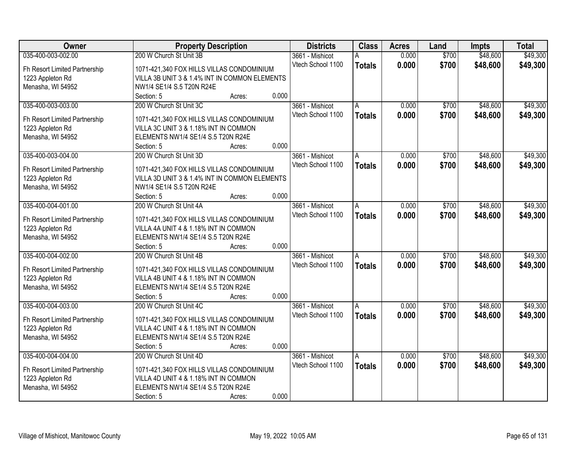| <b>Owner</b>                  | <b>Property Description</b>                               | <b>Districts</b>  | <b>Class</b>   | <b>Acres</b> | Land  | <b>Impts</b> | <b>Total</b> |
|-------------------------------|-----------------------------------------------------------|-------------------|----------------|--------------|-------|--------------|--------------|
| 035-400-003-002.00            | 200 W Church St Unit 3B                                   | 3661 - Mishicot   |                | 0.000        | \$700 | \$48,600     | \$49,300     |
| Fh Resort Limited Partnership | 1071-421,340 FOX HILLS VILLAS CONDOMINIUM                 | Vtech School 1100 | <b>Totals</b>  | 0.000        | \$700 | \$48,600     | \$49,300     |
| 1223 Appleton Rd              | VILLA 3B UNIT 3 & 1.4% INT IN COMMON ELEMENTS             |                   |                |              |       |              |              |
| Menasha, WI 54952             | NW1/4 SE1/4 S.5 T20N R24E                                 |                   |                |              |       |              |              |
|                               | 0.000<br>Section: 5<br>Acres:                             |                   |                |              |       |              |              |
| 035-400-003-003.00            | 200 W Church St Unit 3C                                   | 3661 - Mishicot   | A              | 0.000        | \$700 | \$48,600     | \$49,300     |
|                               |                                                           | Vtech School 1100 | <b>Totals</b>  | 0.000        | \$700 | \$48,600     | \$49,300     |
| Fh Resort Limited Partnership | 1071-421,340 FOX HILLS VILLAS CONDOMINIUM                 |                   |                |              |       |              |              |
| 1223 Appleton Rd              | VILLA 3C UNIT 3 & 1.18% INT IN COMMON                     |                   |                |              |       |              |              |
| Menasha, WI 54952             | ELEMENTS NW1/4 SE1/4 S.5 T20N R24E<br>0.000<br>Section: 5 |                   |                |              |       |              |              |
| 035-400-003-004.00            | Acres:<br>200 W Church St Unit 3D                         | 3661 - Mishicot   | A              | 0.000        | \$700 | \$48,600     | \$49,300     |
|                               |                                                           | Vtech School 1100 |                |              |       |              |              |
| Fh Resort Limited Partnership | 1071-421,340 FOX HILLS VILLAS CONDOMINIUM                 |                   | <b>Totals</b>  | 0.000        | \$700 | \$48,600     | \$49,300     |
| 1223 Appleton Rd              | VILLA 3D UNIT 3 & 1.4% INT IN COMMON ELEMENTS             |                   |                |              |       |              |              |
| Menasha, WI 54952             | NW1/4 SE1/4 S.5 T20N R24E                                 |                   |                |              |       |              |              |
|                               | 0.000<br>Section: 5<br>Acres:                             |                   |                |              |       |              |              |
| 035-400-004-001.00            | 200 W Church St Unit 4A                                   | 3661 - Mishicot   | $\overline{A}$ | 0.000        | \$700 | \$48,600     | \$49,300     |
| Fh Resort Limited Partnership | 1071-421,340 FOX HILLS VILLAS CONDOMINIUM                 | Vtech School 1100 | <b>Totals</b>  | 0.000        | \$700 | \$48,600     | \$49,300     |
| 1223 Appleton Rd              | VILLA 4A UNIT 4 & 1.18% INT IN COMMON                     |                   |                |              |       |              |              |
| Menasha, WI 54952             | ELEMENTS NW1/4 SE1/4 S.5 T20N R24E                        |                   |                |              |       |              |              |
|                               | 0.000<br>Section: 5<br>Acres:                             |                   |                |              |       |              |              |
| 035-400-004-002.00            | 200 W Church St Unit 4B                                   | 3661 - Mishicot   | A              | 0.000        | \$700 | \$48,600     | \$49,300     |
|                               |                                                           | Vtech School 1100 | <b>Totals</b>  | 0.000        | \$700 | \$48,600     | \$49,300     |
| Fh Resort Limited Partnership | 1071-421,340 FOX HILLS VILLAS CONDOMINIUM                 |                   |                |              |       |              |              |
| 1223 Appleton Rd              | VILLA 4B UNIT 4 & 1.18% INT IN COMMON                     |                   |                |              |       |              |              |
| Menasha, WI 54952             | ELEMENTS NW1/4 SE1/4 S.5 T20N R24E                        |                   |                |              |       |              |              |
|                               | 0.000<br>Section: 5<br>Acres:                             |                   |                |              |       |              |              |
| 035-400-004-003.00            | 200 W Church St Unit 4C                                   | 3661 - Mishicot   | l A            | 0.000        | \$700 | \$48,600     | \$49,300     |
| Fh Resort Limited Partnership | 1071-421,340 FOX HILLS VILLAS CONDOMINIUM                 | Vtech School 1100 | <b>Totals</b>  | 0.000        | \$700 | \$48,600     | \$49,300     |
| 1223 Appleton Rd              | VILLA 4C UNIT 4 & 1.18% INT IN COMMON                     |                   |                |              |       |              |              |
| Menasha, WI 54952             | ELEMENTS NW1/4 SE1/4 S.5 T20N R24E                        |                   |                |              |       |              |              |
|                               | 0.000<br>Section: 5<br>Acres:                             |                   |                |              |       |              |              |
| 035-400-004-004.00            | 200 W Church St Unit 4D                                   | 3661 - Mishicot   | A              | 0.000        | \$700 | \$48,600     | \$49,300     |
|                               |                                                           | Vtech School 1100 | <b>Totals</b>  | 0.000        | \$700 | \$48,600     | \$49,300     |
| Fh Resort Limited Partnership | 1071-421,340 FOX HILLS VILLAS CONDOMINIUM                 |                   |                |              |       |              |              |
| 1223 Appleton Rd              | VILLA 4D UNIT 4 & 1.18% INT IN COMMON                     |                   |                |              |       |              |              |
| Menasha, WI 54952             | ELEMENTS NW1/4 SE1/4 S.5 T20N R24E                        |                   |                |              |       |              |              |
|                               | 0.000<br>Section: 5<br>Acres:                             |                   |                |              |       |              |              |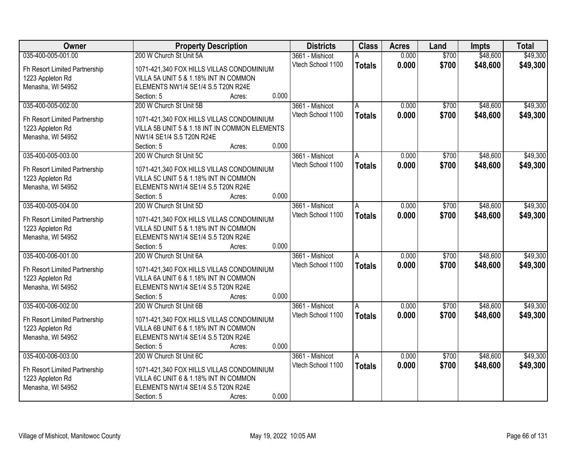| Owner                         | <b>Property Description</b>                     | <b>Districts</b>  | <b>Class</b>  | <b>Acres</b> | Land  | <b>Impts</b> | <b>Total</b> |
|-------------------------------|-------------------------------------------------|-------------------|---------------|--------------|-------|--------------|--------------|
| 035-400-005-001.00            | 200 W Church St Unit 5A                         | 3661 - Mishicot   | А             | 0.000        | \$700 | \$48,600     | \$49,300     |
| Fh Resort Limited Partnership | 1071-421,340 FOX HILLS VILLAS CONDOMINIUM       | Vtech School 1100 | <b>Totals</b> | 0.000        | \$700 | \$48,600     | \$49,300     |
| 1223 Appleton Rd              | VILLA 5A UNIT 5 & 1.18% INT IN COMMON           |                   |               |              |       |              |              |
| Menasha, WI 54952             | ELEMENTS NW1/4 SE1/4 S.5 T20N R24E              |                   |               |              |       |              |              |
|                               | 0.000<br>Section: 5<br>Acres:                   |                   |               |              |       |              |              |
| 035-400-005-002.00            | 200 W Church St Unit 5B                         | 3661 - Mishicot   | A             | 0.000        | \$700 | \$48,600     | \$49,300     |
|                               |                                                 | Vtech School 1100 | <b>Totals</b> | 0.000        | \$700 | \$48,600     | \$49,300     |
| Fh Resort Limited Partnership | 1071-421,340 FOX HILLS VILLAS CONDOMINIUM       |                   |               |              |       |              |              |
| 1223 Appleton Rd              | VILLA 5B UNIT 5 & 1.18 INT IN COMMON ELEMENTS   |                   |               |              |       |              |              |
| Menasha, WI 54952             | NW1/4 SE1/4 S.5 T20N R24E<br>0.000              |                   |               |              |       |              |              |
| 035-400-005-003.00            | Section: 5<br>Acres:<br>200 W Church St Unit 5C | 3661 - Mishicot   |               | 0.000        | \$700 | \$48,600     | \$49,300     |
|                               |                                                 | Vtech School 1100 | A             |              |       |              |              |
| Fh Resort Limited Partnership | 1071-421,340 FOX HILLS VILLAS CONDOMINIUM       |                   | <b>Totals</b> | 0.000        | \$700 | \$48,600     | \$49,300     |
| 1223 Appleton Rd              | VILLA 5C UNIT 5 & 1.18% INT IN COMMON           |                   |               |              |       |              |              |
| Menasha, WI 54952             | ELEMENTS NW1/4 SE1/4 S.5 T20N R24E              |                   |               |              |       |              |              |
|                               | 0.000<br>Section: 5<br>Acres:                   |                   |               |              |       |              |              |
| 035-400-005-004.00            | 200 W Church St Unit 5D                         | 3661 - Mishicot   | A             | 0.000        | \$700 | \$48,600     | \$49,300     |
| Fh Resort Limited Partnership | 1071-421,340 FOX HILLS VILLAS CONDOMINIUM       | Vtech School 1100 | <b>Totals</b> | 0.000        | \$700 | \$48,600     | \$49,300     |
| 1223 Appleton Rd              | VILLA 5D UNIT 5 & 1.18% INT IN COMMON           |                   |               |              |       |              |              |
| Menasha, WI 54952             | ELEMENTS NW1/4 SE1/4 S.5 T20N R24E              |                   |               |              |       |              |              |
|                               | 0.000<br>Section: 5<br>Acres:                   |                   |               |              |       |              |              |
| 035-400-006-001.00            | 200 W Church St Unit 6A                         | 3661 - Mishicot   | A             | 0.000        | \$700 | \$48,600     | \$49,300     |
|                               |                                                 | Vtech School 1100 | <b>Totals</b> | 0.000        | \$700 | \$48,600     | \$49,300     |
| Fh Resort Limited Partnership | 1071-421,340 FOX HILLS VILLAS CONDOMINIUM       |                   |               |              |       |              |              |
| 1223 Appleton Rd              | VILLA 6A UNIT 6 & 1.18% INT IN COMMON           |                   |               |              |       |              |              |
| Menasha, WI 54952             | ELEMENTS NW1/4 SE1/4 S.5 T20N R24E              |                   |               |              |       |              |              |
|                               | 0.000<br>Section: 5<br>Acres:                   |                   |               |              |       |              |              |
| 035-400-006-002.00            | 200 W Church St Unit 6B                         | 3661 - Mishicot   | A             | 0.000        | \$700 | \$48,600     | \$49,300     |
| Fh Resort Limited Partnership | 1071-421,340 FOX HILLS VILLAS CONDOMINIUM       | Vtech School 1100 | <b>Totals</b> | 0.000        | \$700 | \$48,600     | \$49,300     |
| 1223 Appleton Rd              | VILLA 6B UNIT 6 & 1.18% INT IN COMMON           |                   |               |              |       |              |              |
| Menasha, WI 54952             | ELEMENTS NW1/4 SE1/4 S.5 T20N R24E              |                   |               |              |       |              |              |
|                               | 0.000<br>Section: 5<br>Acres:                   |                   |               |              |       |              |              |
| 035-400-006-003.00            | 200 W Church St Unit 6C                         | 3661 - Mishicot   | A             | 0.000        | \$700 | \$48,600     | \$49,300     |
|                               |                                                 | Vtech School 1100 | <b>Totals</b> | 0.000        | \$700 | \$48,600     | \$49,300     |
| Fh Resort Limited Partnership | 1071-421,340 FOX HILLS VILLAS CONDOMINIUM       |                   |               |              |       |              |              |
| 1223 Appleton Rd              | VILLA 6C UNIT 6 & 1.18% INT IN COMMON           |                   |               |              |       |              |              |
| Menasha, WI 54952             | ELEMENTS NW1/4 SE1/4 S.5 T20N R24E              |                   |               |              |       |              |              |
|                               | 0.000<br>Section: 5<br>Acres:                   |                   |               |              |       |              |              |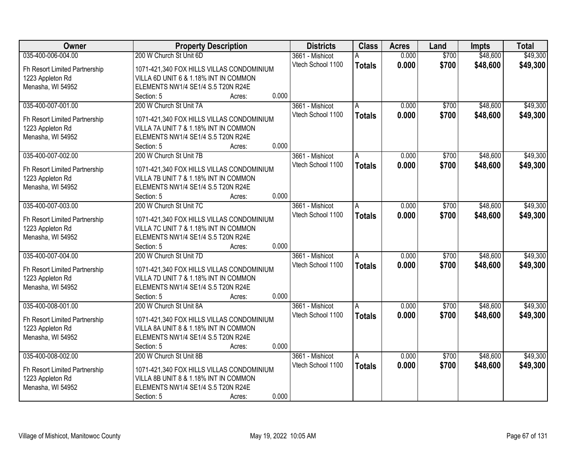| Owner                                 | <b>Property Description</b>                                                        | <b>Districts</b>  | <b>Class</b>   | <b>Acres</b> | Land  | <b>Impts</b> | <b>Total</b> |
|---------------------------------------|------------------------------------------------------------------------------------|-------------------|----------------|--------------|-------|--------------|--------------|
| 035-400-006-004.00                    | 200 W Church St Unit 6D                                                            | 3661 - Mishicot   |                | 0.000        | \$700 | \$48,600     | \$49,300     |
| Fh Resort Limited Partnership         | 1071-421,340 FOX HILLS VILLAS CONDOMINIUM                                          | Vtech School 1100 | <b>Totals</b>  | 0.000        | \$700 | \$48,600     | \$49,300     |
| 1223 Appleton Rd                      | VILLA 6D UNIT 6 & 1.18% INT IN COMMON                                              |                   |                |              |       |              |              |
| Menasha, WI 54952                     | ELEMENTS NW1/4 SE1/4 S.5 T20N R24E                                                 |                   |                |              |       |              |              |
|                                       | 0.000<br>Section: 5<br>Acres:                                                      |                   |                |              |       |              |              |
| 035-400-007-001.00                    | 200 W Church St Unit 7A                                                            | 3661 - Mishicot   | A              | 0.000        | \$700 | \$48,600     | \$49,300     |
|                                       |                                                                                    | Vtech School 1100 | <b>Totals</b>  | 0.000        | \$700 | \$48,600     | \$49,300     |
| Fh Resort Limited Partnership         | 1071-421,340 FOX HILLS VILLAS CONDOMINIUM<br>VILLA 7A UNIT 7 & 1.18% INT IN COMMON |                   |                |              |       |              |              |
| 1223 Appleton Rd<br>Menasha, WI 54952 | ELEMENTS NW1/4 SE1/4 S.5 T20N R24E                                                 |                   |                |              |       |              |              |
|                                       | 0.000<br>Section: 5<br>Acres:                                                      |                   |                |              |       |              |              |
| 035-400-007-002.00                    | 200 W Church St Unit 7B                                                            | 3661 - Mishicot   | A              | 0.000        | \$700 | \$48,600     | \$49,300     |
|                                       |                                                                                    | Vtech School 1100 | <b>Totals</b>  | 0.000        | \$700 | \$48,600     | \$49,300     |
| Fh Resort Limited Partnership         | 1071-421,340 FOX HILLS VILLAS CONDOMINIUM                                          |                   |                |              |       |              |              |
| 1223 Appleton Rd                      | VILLA 7B UNIT 7 & 1.18% INT IN COMMON                                              |                   |                |              |       |              |              |
| Menasha, WI 54952                     | ELEMENTS NW1/4 SE1/4 S.5 T20N R24E                                                 |                   |                |              |       |              |              |
|                                       | 0.000<br>Section: 5<br>Acres:                                                      |                   |                |              |       |              |              |
| 035-400-007-003.00                    | 200 W Church St Unit 7C                                                            | 3661 - Mishicot   | $\overline{A}$ | 0.000        | \$700 | \$48,600     | \$49,300     |
| Fh Resort Limited Partnership         | 1071-421,340 FOX HILLS VILLAS CONDOMINIUM                                          | Vtech School 1100 | <b>Totals</b>  | 0.000        | \$700 | \$48,600     | \$49,300     |
| 1223 Appleton Rd                      | VILLA 7C UNIT 7 & 1.18% INT IN COMMON                                              |                   |                |              |       |              |              |
| Menasha, WI 54952                     | ELEMENTS NW1/4 SE1/4 S.5 T20N R24E                                                 |                   |                |              |       |              |              |
|                                       | 0.000<br>Section: 5<br>Acres:                                                      |                   |                |              |       |              |              |
| 035-400-007-004.00                    | 200 W Church St Unit 7D                                                            | 3661 - Mishicot   | A              | 0.000        | \$700 | \$48,600     | \$49,300     |
| Fh Resort Limited Partnership         | 1071-421,340 FOX HILLS VILLAS CONDOMINIUM                                          | Vtech School 1100 | <b>Totals</b>  | 0.000        | \$700 | \$48,600     | \$49,300     |
| 1223 Appleton Rd                      | VILLA 7D UNIT 7 & 1.18% INT IN COMMON                                              |                   |                |              |       |              |              |
| Menasha, WI 54952                     | ELEMENTS NW1/4 SE1/4 S.5 T20N R24E                                                 |                   |                |              |       |              |              |
|                                       | 0.000<br>Section: 5<br>Acres:                                                      |                   |                |              |       |              |              |
| 035-400-008-001.00                    | 200 W Church St Unit 8A                                                            | 3661 - Mishicot   | l A            | 0.000        | \$700 | \$48,600     | \$49,300     |
|                                       |                                                                                    | Vtech School 1100 | <b>Totals</b>  | 0.000        | \$700 | \$48,600     | \$49,300     |
| Fh Resort Limited Partnership         | 1071-421,340 FOX HILLS VILLAS CONDOMINIUM                                          |                   |                |              |       |              |              |
| 1223 Appleton Rd                      | VILLA 8A UNIT 8 & 1.18% INT IN COMMON                                              |                   |                |              |       |              |              |
| Menasha, WI 54952                     | ELEMENTS NW1/4 SE1/4 S.5 T20N R24E<br>0.000                                        |                   |                |              |       |              |              |
|                                       | Section: 5<br>Acres:<br>200 W Church St Unit 8B                                    |                   |                |              |       |              | \$49,300     |
| 035-400-008-002.00                    |                                                                                    | 3661 - Mishicot   | A              | 0.000        | \$700 | \$48,600     |              |
| Fh Resort Limited Partnership         | 1071-421,340 FOX HILLS VILLAS CONDOMINIUM                                          | Vtech School 1100 | <b>Totals</b>  | 0.000        | \$700 | \$48,600     | \$49,300     |
| 1223 Appleton Rd                      | VILLA 8B UNIT 8 & 1.18% INT IN COMMON                                              |                   |                |              |       |              |              |
| Menasha, WI 54952                     | ELEMENTS NW1/4 SE1/4 S.5 T20N R24E                                                 |                   |                |              |       |              |              |
|                                       | 0.000<br>Section: 5<br>Acres:                                                      |                   |                |              |       |              |              |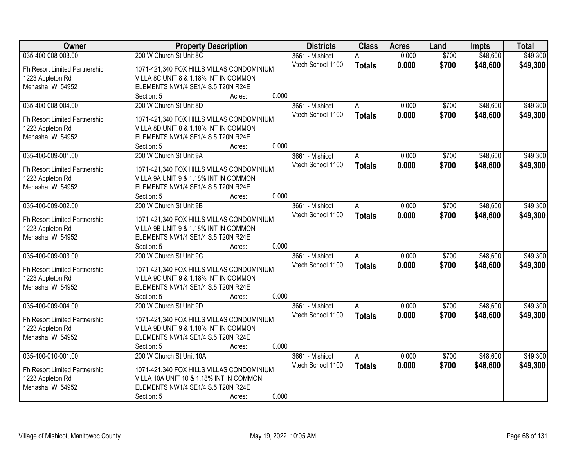| <b>Owner</b>                  | <b>Property Description</b>                               | <b>Districts</b>  | <b>Class</b>   | <b>Acres</b> | Land  | <b>Impts</b> | <b>Total</b> |
|-------------------------------|-----------------------------------------------------------|-------------------|----------------|--------------|-------|--------------|--------------|
| 035-400-008-003.00            | 200 W Church St Unit 8C                                   | 3661 - Mishicot   |                | 0.000        | \$700 | \$48,600     | \$49,300     |
| Fh Resort Limited Partnership | 1071-421,340 FOX HILLS VILLAS CONDOMINIUM                 | Vtech School 1100 | <b>Totals</b>  | 0.000        | \$700 | \$48,600     | \$49,300     |
| 1223 Appleton Rd              | VILLA 8C UNIT 8 & 1.18% INT IN COMMON                     |                   |                |              |       |              |              |
| Menasha, WI 54952             | ELEMENTS NW1/4 SE1/4 S.5 T20N R24E                        |                   |                |              |       |              |              |
|                               | 0.000<br>Section: 5<br>Acres:                             |                   |                |              |       |              |              |
| 035-400-008-004.00            | 200 W Church St Unit 8D                                   | 3661 - Mishicot   | A              | 0.000        | \$700 | \$48,600     | \$49,300     |
|                               |                                                           | Vtech School 1100 | <b>Totals</b>  | 0.000        | \$700 | \$48,600     | \$49,300     |
| Fh Resort Limited Partnership | 1071-421,340 FOX HILLS VILLAS CONDOMINIUM                 |                   |                |              |       |              |              |
| 1223 Appleton Rd              | VILLA 8D UNIT 8 & 1.18% INT IN COMMON                     |                   |                |              |       |              |              |
| Menasha, WI 54952             | ELEMENTS NW1/4 SE1/4 S.5 T20N R24E<br>0.000               |                   |                |              |       |              |              |
| 035-400-009-001.00            | Section: 5<br>Acres:<br>200 W Church St Unit 9A           |                   |                | 0.000        | \$700 | \$48,600     | \$49,300     |
|                               |                                                           | 3661 - Mishicot   | A              |              |       |              |              |
| Fh Resort Limited Partnership | 1071-421,340 FOX HILLS VILLAS CONDOMINIUM                 | Vtech School 1100 | <b>Totals</b>  | 0.000        | \$700 | \$48,600     | \$49,300     |
| 1223 Appleton Rd              | VILLA 9A UNIT 9 & 1.18% INT IN COMMON                     |                   |                |              |       |              |              |
| Menasha, WI 54952             | ELEMENTS NW1/4 SE1/4 S.5 T20N R24E                        |                   |                |              |       |              |              |
|                               | 0.000<br>Section: 5<br>Acres:                             |                   |                |              |       |              |              |
| 035-400-009-002.00            | 200 W Church St Unit 9B                                   | 3661 - Mishicot   | $\overline{A}$ | 0.000        | \$700 | \$48,600     | \$49,300     |
|                               |                                                           | Vtech School 1100 | <b>Totals</b>  | 0.000        | \$700 | \$48,600     | \$49,300     |
| Fh Resort Limited Partnership | 1071-421,340 FOX HILLS VILLAS CONDOMINIUM                 |                   |                |              |       |              |              |
| 1223 Appleton Rd              | VILLA 9B UNIT 9 & 1.18% INT IN COMMON                     |                   |                |              |       |              |              |
| Menasha, WI 54952             | ELEMENTS NW1/4 SE1/4 S.5 T20N R24E<br>0.000<br>Section: 5 |                   |                |              |       |              |              |
| 035-400-009-003.00            | Acres:<br>200 W Church St Unit 9C                         |                   |                | 0.000        | \$700 | \$48,600     | \$49,300     |
|                               |                                                           | 3661 - Mishicot   | A              |              |       |              |              |
| Fh Resort Limited Partnership | 1071-421,340 FOX HILLS VILLAS CONDOMINIUM                 | Vtech School 1100 | <b>Totals</b>  | 0.000        | \$700 | \$48,600     | \$49,300     |
| 1223 Appleton Rd              | VILLA 9C UNIT 9 & 1.18% INT IN COMMON                     |                   |                |              |       |              |              |
| Menasha, WI 54952             | ELEMENTS NW1/4 SE1/4 S.5 T20N R24E                        |                   |                |              |       |              |              |
|                               | 0.000<br>Section: 5<br>Acres:                             |                   |                |              |       |              |              |
| 035-400-009-004.00            | 200 W Church St Unit 9D                                   | 3661 - Mishicot   | l A            | 0.000        | \$700 | \$48,600     | \$49,300     |
| Fh Resort Limited Partnership | 1071-421,340 FOX HILLS VILLAS CONDOMINIUM                 | Vtech School 1100 | <b>Totals</b>  | 0.000        | \$700 | \$48,600     | \$49,300     |
| 1223 Appleton Rd              | VILLA 9D UNIT 9 & 1.18% INT IN COMMON                     |                   |                |              |       |              |              |
| Menasha, WI 54952             | ELEMENTS NW1/4 SE1/4 S.5 T20N R24E                        |                   |                |              |       |              |              |
|                               | 0.000<br>Section: 5<br>Acres:                             |                   |                |              |       |              |              |
| 035-400-010-001.00            | 200 W Church St Unit 10A                                  | 3661 - Mishicot   | A              | 0.000        | \$700 | \$48,600     | \$49,300     |
|                               |                                                           | Vtech School 1100 |                | 0.000        |       |              |              |
| Fh Resort Limited Partnership | 1071-421,340 FOX HILLS VILLAS CONDOMINIUM                 |                   | <b>Totals</b>  |              | \$700 | \$48,600     | \$49,300     |
| 1223 Appleton Rd              | VILLA 10A UNIT 10 & 1.18% INT IN COMMON                   |                   |                |              |       |              |              |
| Menasha, WI 54952             | ELEMENTS NW1/4 SE1/4 S.5 T20N R24E                        |                   |                |              |       |              |              |
|                               | 0.000<br>Section: 5<br>Acres:                             |                   |                |              |       |              |              |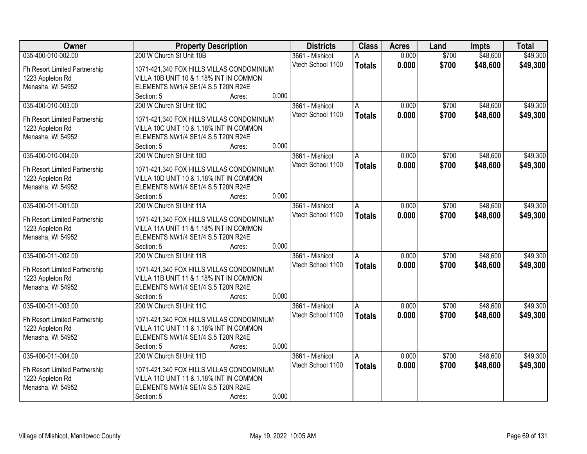| <b>Owner</b>                          | <b>Property Description</b>                                                          | <b>Districts</b>                     | <b>Class</b>   | <b>Acres</b> | Land  | <b>Impts</b> | <b>Total</b> |
|---------------------------------------|--------------------------------------------------------------------------------------|--------------------------------------|----------------|--------------|-------|--------------|--------------|
| 035-400-010-002.00                    | 200 W Church St Unit 10B                                                             | 3661 - Mishicot                      |                | 0.000        | \$700 | \$48,600     | \$49,300     |
| Fh Resort Limited Partnership         | 1071-421,340 FOX HILLS VILLAS CONDOMINIUM                                            | Vtech School 1100                    | <b>Totals</b>  | 0.000        | \$700 | \$48,600     | \$49,300     |
| 1223 Appleton Rd                      | VILLA 10B UNIT 10 & 1.18% INT IN COMMON                                              |                                      |                |              |       |              |              |
| Menasha, WI 54952                     | ELEMENTS NW1/4 SE1/4 S.5 T20N R24E                                                   |                                      |                |              |       |              |              |
|                                       | 0.000<br>Section: 5<br>Acres:                                                        |                                      |                |              |       |              |              |
| 035-400-010-003.00                    | 200 W Church St Unit 10C                                                             | 3661 - Mishicot                      | A              | 0.000        | \$700 | \$48,600     | \$49,300     |
|                                       |                                                                                      | Vtech School 1100                    | <b>Totals</b>  | 0.000        | \$700 | \$48,600     | \$49,300     |
| Fh Resort Limited Partnership         | 1071-421,340 FOX HILLS VILLAS CONDOMINIUM<br>VILLA 10C UNIT 10 & 1.18% INT IN COMMON |                                      |                |              |       |              |              |
| 1223 Appleton Rd<br>Menasha, WI 54952 | ELEMENTS NW1/4 SE1/4 S.5 T20N R24E                                                   |                                      |                |              |       |              |              |
|                                       | 0.000<br>Section: 5<br>Acres:                                                        |                                      |                |              |       |              |              |
| 035-400-010-004.00                    | 200 W Church St Unit 10D                                                             | 3661 - Mishicot                      | A              | 0.000        | \$700 | \$48,600     | \$49,300     |
|                                       |                                                                                      | Vtech School 1100                    | <b>Totals</b>  | 0.000        | \$700 | \$48,600     | \$49,300     |
| Fh Resort Limited Partnership         | 1071-421,340 FOX HILLS VILLAS CONDOMINIUM                                            |                                      |                |              |       |              |              |
| 1223 Appleton Rd                      | VILLA 10D UNIT 10 & 1.18% INT IN COMMON                                              |                                      |                |              |       |              |              |
| Menasha, WI 54952                     | ELEMENTS NW1/4 SE1/4 S.5 T20N R24E                                                   |                                      |                |              |       |              |              |
|                                       | 0.000<br>Section: 5<br>Acres:                                                        |                                      |                |              |       |              |              |
| 035-400-011-001.00                    | 200 W Church St Unit 11A                                                             | 3661 - Mishicot                      | $\overline{A}$ | 0.000        | \$700 | \$48,600     | \$49,300     |
| Fh Resort Limited Partnership         | 1071-421,340 FOX HILLS VILLAS CONDOMINIUM                                            | Vtech School 1100                    | <b>Totals</b>  | 0.000        | \$700 | \$48,600     | \$49,300     |
| 1223 Appleton Rd                      | VILLA 11A UNIT 11 & 1.18% INT IN COMMON                                              |                                      |                |              |       |              |              |
| Menasha, WI 54952                     | ELEMENTS NW1/4 SE1/4 S.5 T20N R24E                                                   |                                      |                |              |       |              |              |
|                                       | 0.000<br>Section: 5<br>Acres:                                                        |                                      |                |              |       |              |              |
| 035-400-011-002.00                    | 200 W Church St Unit 11B                                                             | 3661 - Mishicot                      | A              | 0.000        | \$700 | \$48,600     | \$49,300     |
|                                       |                                                                                      | Vtech School 1100                    | <b>Totals</b>  | 0.000        | \$700 | \$48,600     | \$49,300     |
| Fh Resort Limited Partnership         | 1071-421,340 FOX HILLS VILLAS CONDOMINIUM                                            |                                      |                |              |       |              |              |
| 1223 Appleton Rd                      | VILLA 11B UNIT 11 & 1.18% INT IN COMMON                                              |                                      |                |              |       |              |              |
| Menasha, WI 54952                     | ELEMENTS NW1/4 SE1/4 S.5 T20N R24E<br>0.000                                          |                                      |                |              |       |              |              |
| 035-400-011-003.00                    | Section: 5<br>Acres:<br>200 W Church St Unit 11C                                     |                                      |                |              | \$700 |              |              |
|                                       |                                                                                      | 3661 - Mishicot<br>Vtech School 1100 | l A            | 0.000        |       | \$48,600     | \$49,300     |
| Fh Resort Limited Partnership         | 1071-421,340 FOX HILLS VILLAS CONDOMINIUM                                            |                                      | <b>Totals</b>  | 0.000        | \$700 | \$48,600     | \$49,300     |
| 1223 Appleton Rd                      | VILLA 11C UNIT 11 & 1.18% INT IN COMMON                                              |                                      |                |              |       |              |              |
| Menasha, WI 54952                     | ELEMENTS NW1/4 SE1/4 S.5 T20N R24E                                                   |                                      |                |              |       |              |              |
|                                       | 0.000<br>Section: 5<br>Acres:                                                        |                                      |                |              |       |              |              |
| 035-400-011-004.00                    | 200 W Church St Unit 11D                                                             | 3661 - Mishicot                      | A              | 0.000        | \$700 | \$48,600     | \$49,300     |
| Fh Resort Limited Partnership         | 1071-421,340 FOX HILLS VILLAS CONDOMINIUM                                            | Vtech School 1100                    | <b>Totals</b>  | 0.000        | \$700 | \$48,600     | \$49,300     |
| 1223 Appleton Rd                      | VILLA 11D UNIT 11 & 1.18% INT IN COMMON                                              |                                      |                |              |       |              |              |
| Menasha, WI 54952                     | ELEMENTS NW1/4 SE1/4 S.5 T20N R24E                                                   |                                      |                |              |       |              |              |
|                                       | 0.000<br>Section: 5<br>Acres:                                                        |                                      |                |              |       |              |              |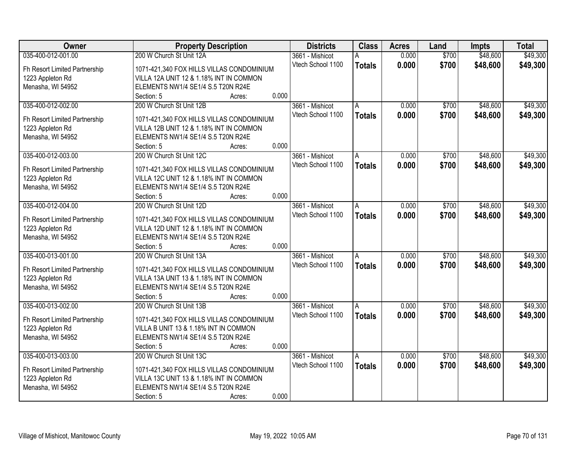| <b>Owner</b>                  | <b>Property Description</b>                      | <b>Districts</b>  | <b>Class</b>   | <b>Acres</b> | Land  | <b>Impts</b> | <b>Total</b> |
|-------------------------------|--------------------------------------------------|-------------------|----------------|--------------|-------|--------------|--------------|
| 035-400-012-001.00            | 200 W Church St Unit 12A                         | 3661 - Mishicot   |                | 0.000        | \$700 | \$48,600     | \$49,300     |
| Fh Resort Limited Partnership | 1071-421,340 FOX HILLS VILLAS CONDOMINIUM        | Vtech School 1100 | <b>Totals</b>  | 0.000        | \$700 | \$48,600     | \$49,300     |
| 1223 Appleton Rd              | VILLA 12A UNIT 12 & 1.18% INT IN COMMON          |                   |                |              |       |              |              |
| Menasha, WI 54952             | ELEMENTS NW1/4 SE1/4 S.5 T20N R24E               |                   |                |              |       |              |              |
|                               | 0.000<br>Section: 5<br>Acres:                    |                   |                |              |       |              |              |
| 035-400-012-002.00            | 200 W Church St Unit 12B                         | 3661 - Mishicot   | A              | 0.000        | \$700 | \$48,600     | \$49,300     |
|                               |                                                  | Vtech School 1100 | <b>Totals</b>  | 0.000        | \$700 | \$48,600     | \$49,300     |
| Fh Resort Limited Partnership | 1071-421,340 FOX HILLS VILLAS CONDOMINIUM        |                   |                |              |       |              |              |
| 1223 Appleton Rd              | VILLA 12B UNIT 12 & 1.18% INT IN COMMON          |                   |                |              |       |              |              |
| Menasha, WI 54952             | ELEMENTS NW1/4 SE1/4 S.5 T20N R24E<br>0.000      |                   |                |              |       |              |              |
|                               | Section: 5<br>Acres:<br>200 W Church St Unit 12C |                   |                |              |       | \$48,600     |              |
| 035-400-012-003.00            |                                                  | 3661 - Mishicot   | A              | 0.000        | \$700 |              | \$49,300     |
| Fh Resort Limited Partnership | 1071-421,340 FOX HILLS VILLAS CONDOMINIUM        | Vtech School 1100 | <b>Totals</b>  | 0.000        | \$700 | \$48,600     | \$49,300     |
| 1223 Appleton Rd              | VILLA 12C UNIT 12 & 1.18% INT IN COMMON          |                   |                |              |       |              |              |
| Menasha, WI 54952             | ELEMENTS NW1/4 SE1/4 S.5 T20N R24E               |                   |                |              |       |              |              |
|                               | 0.000<br>Section: 5<br>Acres:                    |                   |                |              |       |              |              |
| 035-400-012-004.00            | 200 W Church St Unit 12D                         | 3661 - Mishicot   | $\overline{A}$ | 0.000        | \$700 | \$48,600     | \$49,300     |
|                               |                                                  | Vtech School 1100 | <b>Totals</b>  | 0.000        | \$700 | \$48,600     | \$49,300     |
| Fh Resort Limited Partnership | 1071-421,340 FOX HILLS VILLAS CONDOMINIUM        |                   |                |              |       |              |              |
| 1223 Appleton Rd              | VILLA 12D UNIT 12 & 1.18% INT IN COMMON          |                   |                |              |       |              |              |
| Menasha, WI 54952             | ELEMENTS NW1/4 SE1/4 S.5 T20N R24E<br>0.000      |                   |                |              |       |              |              |
|                               | Section: 5<br>Acres:<br>200 W Church St Unit 13A |                   |                |              | \$700 |              |              |
| 035-400-013-001.00            |                                                  | 3661 - Mishicot   | A              | 0.000        |       | \$48,600     | \$49,300     |
| Fh Resort Limited Partnership | 1071-421,340 FOX HILLS VILLAS CONDOMINIUM        | Vtech School 1100 | <b>Totals</b>  | 0.000        | \$700 | \$48,600     | \$49,300     |
| 1223 Appleton Rd              | VILLA 13A UNIT 13 & 1.18% INT IN COMMON          |                   |                |              |       |              |              |
| Menasha, WI 54952             | ELEMENTS NW1/4 SE1/4 S.5 T20N R24E               |                   |                |              |       |              |              |
|                               | 0.000<br>Section: 5<br>Acres:                    |                   |                |              |       |              |              |
| 035-400-013-002.00            | 200 W Church St Unit 13B                         | 3661 - Mishicot   | l A            | 0.000        | \$700 | \$48,600     | \$49,300     |
| Fh Resort Limited Partnership | 1071-421,340 FOX HILLS VILLAS CONDOMINIUM        | Vtech School 1100 | <b>Totals</b>  | 0.000        | \$700 | \$48,600     | \$49,300     |
| 1223 Appleton Rd              | VILLA B UNIT 13 & 1.18% INT IN COMMON            |                   |                |              |       |              |              |
| Menasha, WI 54952             | ELEMENTS NW1/4 SE1/4 S.5 T20N R24E               |                   |                |              |       |              |              |
|                               | 0.000<br>Section: 5<br>Acres:                    |                   |                |              |       |              |              |
| 035-400-013-003.00            | 200 W Church St Unit 13C                         | 3661 - Mishicot   | A              | 0.000        | \$700 | \$48,600     | \$49,300     |
|                               |                                                  | Vtech School 1100 | <b>Totals</b>  | 0.000        | \$700 | \$48,600     | \$49,300     |
| Fh Resort Limited Partnership | 1071-421,340 FOX HILLS VILLAS CONDOMINIUM        |                   |                |              |       |              |              |
| 1223 Appleton Rd              | VILLA 13C UNIT 13 & 1.18% INT IN COMMON          |                   |                |              |       |              |              |
| Menasha, WI 54952             | ELEMENTS NW1/4 SE1/4 S.5 T20N R24E               |                   |                |              |       |              |              |
|                               | 0.000<br>Section: 5<br>Acres:                    |                   |                |              |       |              |              |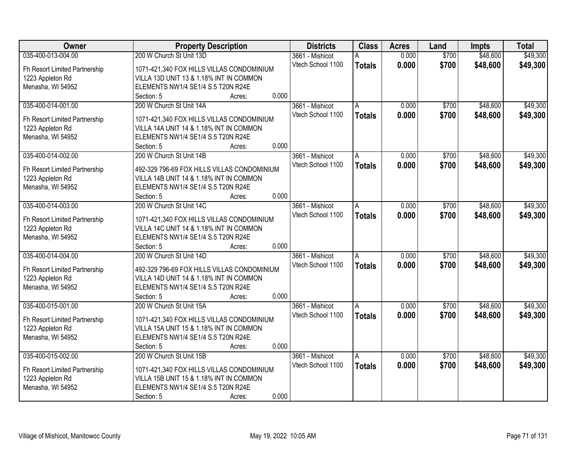| Owner                         | <b>Property Description</b>                      | <b>Districts</b>  | <b>Class</b>   | <b>Acres</b> | Land  | <b>Impts</b> | <b>Total</b> |
|-------------------------------|--------------------------------------------------|-------------------|----------------|--------------|-------|--------------|--------------|
| 035-400-013-004.00            | 200 W Church St Unit 13D                         | 3661 - Mishicot   |                | 0.000        | \$700 | \$48,600     | \$49,300     |
| Fh Resort Limited Partnership | 1071-421,340 FOX HILLS VILLAS CONDOMINIUM        | Vtech School 1100 | <b>Totals</b>  | 0.000        | \$700 | \$48,600     | \$49,300     |
| 1223 Appleton Rd              | VILLA 13D UNIT 13 & 1.18% INT IN COMMON          |                   |                |              |       |              |              |
| Menasha, WI 54952             | ELEMENTS NW1/4 SE1/4 S.5 T20N R24E               |                   |                |              |       |              |              |
|                               | 0.000<br>Section: 5<br>Acres:                    |                   |                |              |       |              |              |
| 035-400-014-001.00            | 200 W Church St Unit 14A                         | 3661 - Mishicot   | A              | 0.000        | \$700 | \$48,600     | \$49,300     |
|                               |                                                  | Vtech School 1100 | <b>Totals</b>  | 0.000        | \$700 | \$48,600     | \$49,300     |
| Fh Resort Limited Partnership | 1071-421,340 FOX HILLS VILLAS CONDOMINIUM        |                   |                |              |       |              |              |
| 1223 Appleton Rd              | VILLA 14A UNIT 14 & 1.18% INT IN COMMON          |                   |                |              |       |              |              |
| Menasha, WI 54952             | ELEMENTS NW1/4 SE1/4 S.5 T20N R24E<br>0.000      |                   |                |              |       |              |              |
|                               | Section: 5<br>Acres:                             |                   |                |              |       | \$48,600     |              |
| 035-400-014-002.00            | 200 W Church St Unit 14B                         | 3661 - Mishicot   | A              | 0.000        | \$700 |              | \$49,300     |
| Fh Resort Limited Partnership | 492-329 796-69 FOX HILLS VILLAS CONDOMINIUM      | Vtech School 1100 | <b>Totals</b>  | 0.000        | \$700 | \$48,600     | \$49,300     |
| 1223 Appleton Rd              | VILLA 14B UNIT 14 & 1.18% INT IN COMMON          |                   |                |              |       |              |              |
| Menasha, WI 54952             | ELEMENTS NW1/4 SE1/4 S.5 T20N R24E               |                   |                |              |       |              |              |
|                               | 0.000<br>Section: 5<br>Acres:                    |                   |                |              |       |              |              |
| 035-400-014-003.00            | 200 W Church St Unit 14C                         | 3661 - Mishicot   | $\overline{A}$ | 0.000        | \$700 | \$48,600     | \$49,300     |
|                               |                                                  | Vtech School 1100 | <b>Totals</b>  | 0.000        | \$700 | \$48,600     | \$49,300     |
| Fh Resort Limited Partnership | 1071-421,340 FOX HILLS VILLAS CONDOMINIUM        |                   |                |              |       |              |              |
| 1223 Appleton Rd              | VILLA 14C UNIT 14 & 1.18% INT IN COMMON          |                   |                |              |       |              |              |
| Menasha, WI 54952             | ELEMENTS NW1/4 SE1/4 S.5 T20N R24E<br>0.000      |                   |                |              |       |              |              |
| 035-400-014-004.00            | Section: 5<br>Acres:<br>200 W Church St Unit 14D |                   |                | 0.000        | \$700 | \$48,600     | \$49,300     |
|                               |                                                  | 3661 - Mishicot   | A              |              |       |              |              |
| Fh Resort Limited Partnership | 492-329 796-69 FOX HILLS VILLAS CONDOMINIUM      | Vtech School 1100 | <b>Totals</b>  | 0.000        | \$700 | \$48,600     | \$49,300     |
| 1223 Appleton Rd              | VILLA 14D UNIT 14 & 1.18% INT IN COMMON          |                   |                |              |       |              |              |
| Menasha, WI 54952             | ELEMENTS NW1/4 SE1/4 S.5 T20N R24E               |                   |                |              |       |              |              |
|                               | 0.000<br>Section: 5<br>Acres:                    |                   |                |              |       |              |              |
| 035-400-015-001.00            | 200 W Church St Unit 15A                         | 3661 - Mishicot   | l A            | 0.000        | \$700 | \$48,600     | \$49,300     |
| Fh Resort Limited Partnership | 1071-421,340 FOX HILLS VILLAS CONDOMINIUM        | Vtech School 1100 | <b>Totals</b>  | 0.000        | \$700 | \$48,600     | \$49,300     |
| 1223 Appleton Rd              | VILLA 15A UNIT 15 & 1.18% INT IN COMMON          |                   |                |              |       |              |              |
| Menasha, WI 54952             | ELEMENTS NW1/4 SE1/4 S.5 T20N R24E               |                   |                |              |       |              |              |
|                               | 0.000<br>Section: 5<br>Acres:                    |                   |                |              |       |              |              |
| 035-400-015-002.00            | 200 W Church St Unit 15B                         | 3661 - Mishicot   | A              | 0.000        | \$700 | \$48,600     | \$49,300     |
|                               |                                                  | Vtech School 1100 |                | 0.000        |       |              |              |
| Fh Resort Limited Partnership | 1071-421,340 FOX HILLS VILLAS CONDOMINIUM        |                   | <b>Totals</b>  |              | \$700 | \$48,600     | \$49,300     |
| 1223 Appleton Rd              | VILLA 15B UNIT 15 & 1.18% INT IN COMMON          |                   |                |              |       |              |              |
| Menasha, WI 54952             | ELEMENTS NW1/4 SE1/4 S.5 T20N R24E               |                   |                |              |       |              |              |
|                               | 0.000<br>Section: 5<br>Acres:                    |                   |                |              |       |              |              |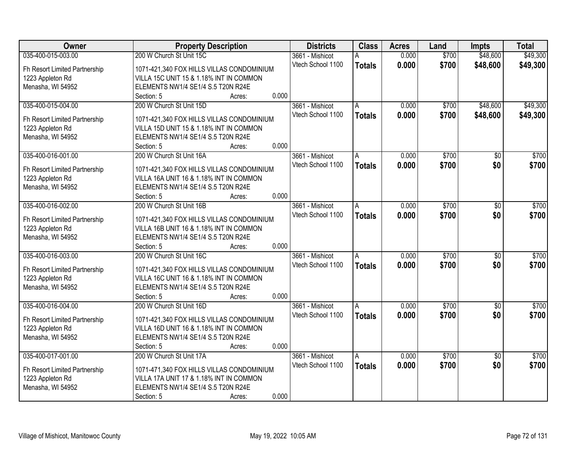| Owner                         | <b>Property Description</b>                               | <b>Districts</b>  | <b>Class</b>  | <b>Acres</b> | Land  | <b>Impts</b>    | <b>Total</b> |
|-------------------------------|-----------------------------------------------------------|-------------------|---------------|--------------|-------|-----------------|--------------|
| 035-400-015-003.00            | 200 W Church St Unit 15C                                  | 3661 - Mishicot   | А             | 0.000        | \$700 | \$48,600        | \$49,300     |
| Fh Resort Limited Partnership | 1071-421,340 FOX HILLS VILLAS CONDOMINIUM                 | Vtech School 1100 | <b>Totals</b> | 0.000        | \$700 | \$48,600        | \$49,300     |
| 1223 Appleton Rd              | VILLA 15C UNIT 15 & 1.18% INT IN COMMON                   |                   |               |              |       |                 |              |
| Menasha, WI 54952             | ELEMENTS NW1/4 SE1/4 S.5 T20N R24E                        |                   |               |              |       |                 |              |
|                               | 0.000<br>Section: 5<br>Acres:                             |                   |               |              |       |                 |              |
| 035-400-015-004.00            | 200 W Church St Unit 15D                                  | 3661 - Mishicot   | A             | 0.000        | \$700 | \$48,600        | \$49,300     |
|                               |                                                           | Vtech School 1100 | <b>Totals</b> | 0.000        | \$700 | \$48,600        | \$49,300     |
| Fh Resort Limited Partnership | 1071-421,340 FOX HILLS VILLAS CONDOMINIUM                 |                   |               |              |       |                 |              |
| 1223 Appleton Rd              | VILLA 15D UNIT 15 & 1.18% INT IN COMMON                   |                   |               |              |       |                 |              |
| Menasha, WI 54952             | ELEMENTS NW1/4 SE1/4 S.5 T20N R24E<br>0.000               |                   |               |              |       |                 |              |
|                               | Section: 5<br>Acres:<br>200 W Church St Unit 16A          |                   |               |              |       |                 |              |
| 035-400-016-001.00            |                                                           | 3661 - Mishicot   | A             | 0.000        | \$700 | $\overline{50}$ | \$700        |
| Fh Resort Limited Partnership | 1071-421,340 FOX HILLS VILLAS CONDOMINIUM                 | Vtech School 1100 | <b>Totals</b> | 0.000        | \$700 | \$0             | \$700        |
| 1223 Appleton Rd              | VILLA 16A UNIT 16 & 1.18% INT IN COMMON                   |                   |               |              |       |                 |              |
| Menasha, WI 54952             | ELEMENTS NW1/4 SE1/4 S.5 T20N R24E                        |                   |               |              |       |                 |              |
|                               | 0.000<br>Section: 5<br>Acres:                             |                   |               |              |       |                 |              |
| 035-400-016-002.00            | 200 W Church St Unit 16B                                  | 3661 - Mishicot   | A             | 0.000        | \$700 | \$0             | \$700        |
|                               |                                                           | Vtech School 1100 | <b>Totals</b> | 0.000        | \$700 | \$0             | \$700        |
| Fh Resort Limited Partnership | 1071-421,340 FOX HILLS VILLAS CONDOMINIUM                 |                   |               |              |       |                 |              |
| 1223 Appleton Rd              | VILLA 16B UNIT 16 & 1.18% INT IN COMMON                   |                   |               |              |       |                 |              |
| Menasha, WI 54952             | ELEMENTS NW1/4 SE1/4 S.5 T20N R24E<br>0.000<br>Section: 5 |                   |               |              |       |                 |              |
| 035-400-016-003.00            | Acres:<br>200 W Church St Unit 16C                        |                   |               | 0.000        | \$700 |                 | \$700        |
|                               |                                                           | 3661 - Mishicot   | A             |              |       | $\overline{30}$ |              |
| Fh Resort Limited Partnership | 1071-421,340 FOX HILLS VILLAS CONDOMINIUM                 | Vtech School 1100 | <b>Totals</b> | 0.000        | \$700 | \$0             | \$700        |
| 1223 Appleton Rd              | VILLA 16C UNIT 16 & 1.18% INT IN COMMON                   |                   |               |              |       |                 |              |
| Menasha, WI 54952             | ELEMENTS NW1/4 SE1/4 S.5 T20N R24E                        |                   |               |              |       |                 |              |
|                               | 0.000<br>Section: 5<br>Acres:                             |                   |               |              |       |                 |              |
| 035-400-016-004.00            | 200 W Church St Unit 16D                                  | 3661 - Mishicot   | A             | 0.000        | \$700 | $\sqrt{6}$      | \$700        |
| Fh Resort Limited Partnership | 1071-421,340 FOX HILLS VILLAS CONDOMINIUM                 | Vtech School 1100 | <b>Totals</b> | 0.000        | \$700 | \$0             | \$700        |
| 1223 Appleton Rd              | VILLA 16D UNIT 16 & 1.18% INT IN COMMON                   |                   |               |              |       |                 |              |
| Menasha, WI 54952             | ELEMENTS NW1/4 SE1/4 S.5 T20N R24E                        |                   |               |              |       |                 |              |
|                               | 0.000<br>Section: 5<br>Acres:                             |                   |               |              |       |                 |              |
| 035-400-017-001.00            | 200 W Church St Unit 17A                                  | 3661 - Mishicot   | A             | 0.000        | \$700 | $\overline{50}$ | \$700        |
|                               |                                                           | Vtech School 1100 | <b>Totals</b> | 0.000        | \$700 | \$0             | \$700        |
| Fh Resort Limited Partnership | 1071-471,340 FOX HILLS VILLAS CONDOMINIUM                 |                   |               |              |       |                 |              |
| 1223 Appleton Rd              | VILLA 17A UNIT 17 & 1.18% INT IN COMMON                   |                   |               |              |       |                 |              |
| Menasha, WI 54952             | ELEMENTS NW1/4 SE1/4 S.5 T20N R24E                        |                   |               |              |       |                 |              |
|                               | 0.000<br>Section: 5<br>Acres:                             |                   |               |              |       |                 |              |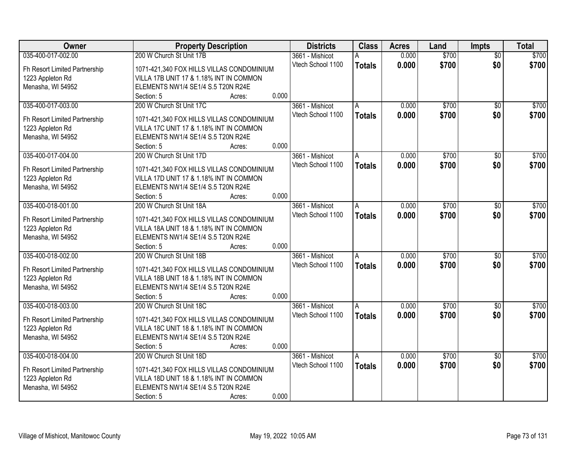| Owner                         | <b>Property Description</b>                                                   | <b>Districts</b>  | <b>Class</b>   | <b>Acres</b> | Land  | <b>Impts</b>    | <b>Total</b> |
|-------------------------------|-------------------------------------------------------------------------------|-------------------|----------------|--------------|-------|-----------------|--------------|
| 035-400-017-002.00            | 200 W Church St Unit 17B                                                      | 3661 - Mishicot   | А              | 0.000        | \$700 | $\overline{50}$ | \$700        |
| Fh Resort Limited Partnership | 1071-421,340 FOX HILLS VILLAS CONDOMINIUM                                     | Vtech School 1100 | <b>Totals</b>  | 0.000        | \$700 | \$0             | \$700        |
| 1223 Appleton Rd              | VILLA 17B UNIT 17 & 1.18% INT IN COMMON                                       |                   |                |              |       |                 |              |
| Menasha, WI 54952             | ELEMENTS NW1/4 SE1/4 S.5 T20N R24E                                            |                   |                |              |       |                 |              |
|                               | 0.000<br>Section: 5<br>Acres:                                                 |                   |                |              |       |                 |              |
| 035-400-017-003.00            | 200 W Church St Unit 17C                                                      | 3661 - Mishicot   | A              | 0.000        | \$700 | \$0             | \$700        |
|                               |                                                                               | Vtech School 1100 | <b>Totals</b>  | 0.000        | \$700 | \$0             | \$700        |
| Fh Resort Limited Partnership | 1071-421,340 FOX HILLS VILLAS CONDOMINIUM                                     |                   |                |              |       |                 |              |
| 1223 Appleton Rd              | VILLA 17C UNIT 17 & 1.18% INT IN COMMON<br>ELEMENTS NW1/4 SE1/4 S.5 T20N R24E |                   |                |              |       |                 |              |
| Menasha, WI 54952             | 0.000<br>Section: 5<br>Acres:                                                 |                   |                |              |       |                 |              |
| 035-400-017-004.00            | 200 W Church St Unit 17D                                                      | 3661 - Mishicot   | A              | 0.000        | \$700 | \$0             | \$700        |
|                               |                                                                               | Vtech School 1100 |                |              |       | \$0             |              |
| Fh Resort Limited Partnership | 1071-421,340 FOX HILLS VILLAS CONDOMINIUM                                     |                   | <b>Totals</b>  | 0.000        | \$700 |                 | \$700        |
| 1223 Appleton Rd              | VILLA 17D UNIT 17 & 1.18% INT IN COMMON                                       |                   |                |              |       |                 |              |
| Menasha, WI 54952             | ELEMENTS NW1/4 SE1/4 S.5 T20N R24E                                            |                   |                |              |       |                 |              |
|                               | 0.000<br>Section: 5<br>Acres:                                                 |                   |                |              |       |                 |              |
| 035-400-018-001.00            | 200 W Church St Unit 18A                                                      | 3661 - Mishicot   | A              | 0.000        | \$700 | $\sqrt[6]{3}$   | \$700        |
| Fh Resort Limited Partnership | 1071-421,340 FOX HILLS VILLAS CONDOMINIUM                                     | Vtech School 1100 | <b>Totals</b>  | 0.000        | \$700 | \$0             | \$700        |
| 1223 Appleton Rd              | VILLA 18A UNIT 18 & 1.18% INT IN COMMON                                       |                   |                |              |       |                 |              |
| Menasha, WI 54952             | ELEMENTS NW1/4 SE1/4 S.5 T20N R24E                                            |                   |                |              |       |                 |              |
|                               | 0.000<br>Section: 5<br>Acres:                                                 |                   |                |              |       |                 |              |
| 035-400-018-002.00            | 200 W Church St Unit 18B                                                      | 3661 - Mishicot   | $\overline{A}$ | 0.000        | \$700 | $\overline{50}$ | \$700        |
|                               |                                                                               | Vtech School 1100 | <b>Totals</b>  | 0.000        | \$700 | \$0             | \$700        |
| Fh Resort Limited Partnership | 1071-421,340 FOX HILLS VILLAS CONDOMINIUM                                     |                   |                |              |       |                 |              |
| 1223 Appleton Rd              | VILLA 18B UNIT 18 & 1.18% INT IN COMMON                                       |                   |                |              |       |                 |              |
| Menasha, WI 54952             | ELEMENTS NW1/4 SE1/4 S.5 T20N R24E                                            |                   |                |              |       |                 |              |
|                               | 0.000<br>Section: 5<br>Acres:                                                 |                   |                |              |       |                 |              |
| 035-400-018-003.00            | 200 W Church St Unit 18C                                                      | 3661 - Mishicot   | A              | 0.000        | \$700 | \$0             | \$700        |
| Fh Resort Limited Partnership | 1071-421,340 FOX HILLS VILLAS CONDOMINIUM                                     | Vtech School 1100 | <b>Totals</b>  | 0.000        | \$700 | \$0             | \$700        |
| 1223 Appleton Rd              | VILLA 18C UNIT 18 & 1.18% INT IN COMMON                                       |                   |                |              |       |                 |              |
| Menasha, WI 54952             | ELEMENTS NW1/4 SE1/4 S.5 T20N R24E                                            |                   |                |              |       |                 |              |
|                               | 0.000<br>Section: 5<br>Acres:                                                 |                   |                |              |       |                 |              |
| 035-400-018-004.00            | 200 W Church St Unit 18D                                                      | 3661 - Mishicot   | A              | 0.000        | \$700 | $\overline{30}$ | \$700        |
|                               |                                                                               | Vtech School 1100 | <b>Totals</b>  | 0.000        | \$700 | \$0             | \$700        |
| Fh Resort Limited Partnership | 1071-421,340 FOX HILLS VILLAS CONDOMINIUM                                     |                   |                |              |       |                 |              |
| 1223 Appleton Rd              | VILLA 18D UNIT 18 & 1.18% INT IN COMMON                                       |                   |                |              |       |                 |              |
| Menasha, WI 54952             | ELEMENTS NW1/4 SE1/4 S.5 T20N R24E                                            |                   |                |              |       |                 |              |
|                               | 0.000<br>Section: 5<br>Acres:                                                 |                   |                |              |       |                 |              |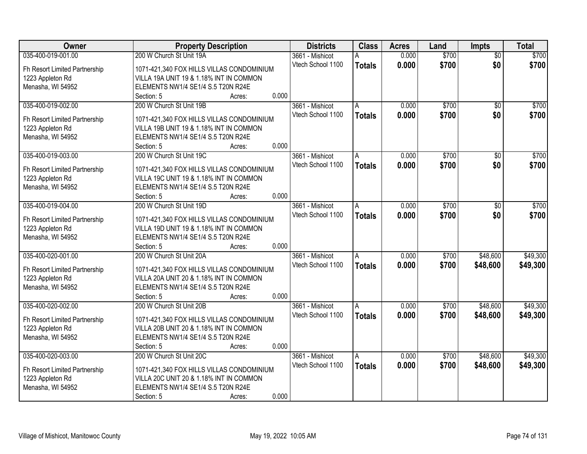| Owner                         | <b>Property Description</b>                               | <b>Districts</b>  | <b>Class</b>   | <b>Acres</b> | Land  | <b>Impts</b>    | <b>Total</b> |
|-------------------------------|-----------------------------------------------------------|-------------------|----------------|--------------|-------|-----------------|--------------|
| 035-400-019-001.00            | 200 W Church St Unit 19A                                  | 3661 - Mishicot   | А              | 0.000        | \$700 | $\overline{50}$ | \$700        |
| Fh Resort Limited Partnership | 1071-421,340 FOX HILLS VILLAS CONDOMINIUM                 | Vtech School 1100 | <b>Totals</b>  | 0.000        | \$700 | \$0             | \$700        |
| 1223 Appleton Rd              | VILLA 19A UNIT 19 & 1.18% INT IN COMMON                   |                   |                |              |       |                 |              |
| Menasha, WI 54952             | ELEMENTS NW1/4 SE1/4 S.5 T20N R24E                        |                   |                |              |       |                 |              |
|                               | 0.000<br>Section: 5<br>Acres:                             |                   |                |              |       |                 |              |
| 035-400-019-002.00            | 200 W Church St Unit 19B                                  | 3661 - Mishicot   | A              | 0.000        | \$700 | \$0             | \$700        |
|                               |                                                           | Vtech School 1100 | <b>Totals</b>  | 0.000        | \$700 | \$0             | \$700        |
| Fh Resort Limited Partnership | 1071-421,340 FOX HILLS VILLAS CONDOMINIUM                 |                   |                |              |       |                 |              |
| 1223 Appleton Rd              | VILLA 19B UNIT 19 & 1.18% INT IN COMMON                   |                   |                |              |       |                 |              |
| Menasha, WI 54952             | ELEMENTS NW1/4 SE1/4 S.5 T20N R24E<br>0.000<br>Section: 5 |                   |                |              |       |                 |              |
| 035-400-019-003.00            | Acres:<br>200 W Church St Unit 19C                        | 3661 - Mishicot   |                | 0.000        | \$700 | \$0             | \$700        |
|                               |                                                           | Vtech School 1100 | A              |              |       |                 |              |
| Fh Resort Limited Partnership | 1071-421,340 FOX HILLS VILLAS CONDOMINIUM                 |                   | <b>Totals</b>  | 0.000        | \$700 | \$0             | \$700        |
| 1223 Appleton Rd              | VILLA 19C UNIT 19 & 1.18% INT IN COMMON                   |                   |                |              |       |                 |              |
| Menasha, WI 54952             | ELEMENTS NW1/4 SE1/4 S.5 T20N R24E                        |                   |                |              |       |                 |              |
|                               | 0.000<br>Section: 5<br>Acres:                             |                   |                |              |       |                 |              |
| 035-400-019-004.00            | 200 W Church St Unit 19D                                  | 3661 - Mishicot   | A              | 0.000        | \$700 | $\sqrt[6]{3}$   | \$700        |
| Fh Resort Limited Partnership | 1071-421,340 FOX HILLS VILLAS CONDOMINIUM                 | Vtech School 1100 | <b>Totals</b>  | 0.000        | \$700 | \$0             | \$700        |
| 1223 Appleton Rd              | VILLA 19D UNIT 19 & 1.18% INT IN COMMON                   |                   |                |              |       |                 |              |
| Menasha, WI 54952             | ELEMENTS NW1/4 SE1/4 S.5 T20N R24E                        |                   |                |              |       |                 |              |
|                               | 0.000<br>Section: 5<br>Acres:                             |                   |                |              |       |                 |              |
| 035-400-020-001.00            | 200 W Church St Unit 20A                                  | 3661 - Mishicot   | $\overline{A}$ | 0.000        | \$700 | \$48,600        | \$49,300     |
|                               |                                                           | Vtech School 1100 |                | 0.000        | \$700 | \$48,600        | \$49,300     |
| Fh Resort Limited Partnership | 1071-421,340 FOX HILLS VILLAS CONDOMINIUM                 |                   | <b>Totals</b>  |              |       |                 |              |
| 1223 Appleton Rd              | VILLA 20A UNIT 20 & 1.18% INT IN COMMON                   |                   |                |              |       |                 |              |
| Menasha, WI 54952             | ELEMENTS NW1/4 SE1/4 S.5 T20N R24E                        |                   |                |              |       |                 |              |
|                               | 0.000<br>Section: 5<br>Acres:                             |                   |                |              |       |                 |              |
| 035-400-020-002.00            | 200 W Church St Unit 20B                                  | 3661 - Mishicot   | A              | 0.000        | \$700 | \$48,600        | \$49,300     |
| Fh Resort Limited Partnership | 1071-421,340 FOX HILLS VILLAS CONDOMINIUM                 | Vtech School 1100 | <b>Totals</b>  | 0.000        | \$700 | \$48,600        | \$49,300     |
| 1223 Appleton Rd              | VILLA 20B UNIT 20 & 1.18% INT IN COMMON                   |                   |                |              |       |                 |              |
| Menasha, WI 54952             | ELEMENTS NW1/4 SE1/4 S.5 T20N R24E                        |                   |                |              |       |                 |              |
|                               | 0.000<br>Section: 5<br>Acres:                             |                   |                |              |       |                 |              |
| 035-400-020-003.00            | 200 W Church St Unit 20C                                  | 3661 - Mishicot   | A              | 0.000        | \$700 | \$48,600        | \$49,300     |
|                               |                                                           | Vtech School 1100 | <b>Totals</b>  | 0.000        | \$700 | \$48,600        | \$49,300     |
| Fh Resort Limited Partnership | 1071-421,340 FOX HILLS VILLAS CONDOMINIUM                 |                   |                |              |       |                 |              |
| 1223 Appleton Rd              | VILLA 20C UNIT 20 & 1.18% INT IN COMMON                   |                   |                |              |       |                 |              |
| Menasha, WI 54952             | ELEMENTS NW1/4 SE1/4 S.5 T20N R24E                        |                   |                |              |       |                 |              |
|                               | 0.000<br>Section: 5<br>Acres:                             |                   |                |              |       |                 |              |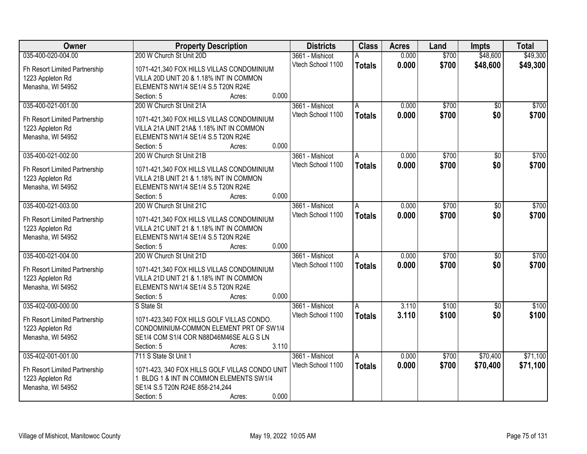| Owner                                             | <b>Property Description</b>                                                          | <b>Districts</b>  | <b>Class</b>  | <b>Acres</b> | Land  | <b>Impts</b>    | <b>Total</b> |
|---------------------------------------------------|--------------------------------------------------------------------------------------|-------------------|---------------|--------------|-------|-----------------|--------------|
| 035-400-020-004.00                                | 200 W Church St Unit 20D                                                             | 3661 - Mishicot   | А             | 0.000        | \$700 | \$48,600        | \$49,300     |
| Fh Resort Limited Partnership                     | 1071-421,340 FOX HILLS VILLAS CONDOMINIUM                                            | Vtech School 1100 | <b>Totals</b> | 0.000        | \$700 | \$48,600        | \$49,300     |
| 1223 Appleton Rd                                  | VILLA 20D UNIT 20 & 1.18% INT IN COMMON                                              |                   |               |              |       |                 |              |
| Menasha, WI 54952                                 | ELEMENTS NW1/4 SE1/4 S.5 T20N R24E                                                   |                   |               |              |       |                 |              |
|                                                   | 0.000<br>Section: 5<br>Acres:                                                        |                   |               |              |       |                 |              |
| 035-400-021-001.00                                | 200 W Church St Unit 21A                                                             | 3661 - Mishicot   | A             | 0.000        | \$700 | $\overline{50}$ | \$700        |
|                                                   |                                                                                      | Vtech School 1100 | <b>Totals</b> | 0.000        | \$700 | \$0             | \$700        |
| Fh Resort Limited Partnership                     | 1071-421,340 FOX HILLS VILLAS CONDOMINIUM<br>VILLA 21A UNIT 21A& 1.18% INT IN COMMON |                   |               |              |       |                 |              |
| 1223 Appleton Rd<br>Menasha, WI 54952             | ELEMENTS NW1/4 SE1/4 S.5 T20N R24E                                                   |                   |               |              |       |                 |              |
|                                                   | 0.000<br>Section: 5<br>Acres:                                                        |                   |               |              |       |                 |              |
| 035-400-021-002.00                                | 200 W Church St Unit 21B                                                             | 3661 - Mishicot   | A             | 0.000        | \$700 | \$0             | \$700        |
|                                                   |                                                                                      | Vtech School 1100 | <b>Totals</b> | 0.000        | \$700 | \$0             | \$700        |
| Fh Resort Limited Partnership                     | 1071-421,340 FOX HILLS VILLAS CONDOMINIUM                                            |                   |               |              |       |                 |              |
| 1223 Appleton Rd                                  | VILLA 21B UNIT 21 & 1.18% INT IN COMMON                                              |                   |               |              |       |                 |              |
| Menasha, WI 54952                                 | ELEMENTS NW1/4 SE1/4 S.5 T20N R24E                                                   |                   |               |              |       |                 |              |
|                                                   | 0.000<br>Section: 5<br>Acres:                                                        |                   |               |              |       |                 |              |
| 035-400-021-003.00                                | 200 W Church St Unit 21C                                                             | 3661 - Mishicot   | A             | 0.000        | \$700 | \$0             | \$700        |
| Fh Resort Limited Partnership                     | 1071-421,340 FOX HILLS VILLAS CONDOMINIUM                                            | Vtech School 1100 | <b>Totals</b> | 0.000        | \$700 | \$0             | \$700        |
| 1223 Appleton Rd                                  | VILLA 21C UNIT 21 & 1.18% INT IN COMMON                                              |                   |               |              |       |                 |              |
| Menasha, WI 54952                                 | ELEMENTS NW1/4 SE1/4 S.5 T20N R24E                                                   |                   |               |              |       |                 |              |
|                                                   | 0.000<br>Section: 5<br>Acres:                                                        |                   |               |              |       |                 |              |
| 035-400-021-004.00                                | 200 W Church St Unit 21D                                                             | 3661 - Mishicot   | A             | 0.000        | \$700 | $\overline{50}$ | \$700        |
|                                                   | 1071-421,340 FOX HILLS VILLAS CONDOMINIUM                                            | Vtech School 1100 | <b>Totals</b> | 0.000        | \$700 | \$0             | \$700        |
| Fh Resort Limited Partnership<br>1223 Appleton Rd | VILLA 21D UNIT 21 & 1.18% INT IN COMMON                                              |                   |               |              |       |                 |              |
| Menasha, WI 54952                                 | ELEMENTS NW1/4 SE1/4 S.5 T20N R24E                                                   |                   |               |              |       |                 |              |
|                                                   | 0.000<br>Section: 5<br>Acres:                                                        |                   |               |              |       |                 |              |
| 035-402-000-000.00                                | S State St                                                                           | 3661 - Mishicot   | A             | 3.110        | \$100 | $\sqrt{6}$      | \$100        |
|                                                   |                                                                                      | Vtech School 1100 | <b>Totals</b> | 3.110        | \$100 | \$0             | \$100        |
| Fh Resort Limited Partnership                     | 1071-423,340 FOX HILLS GOLF VILLAS CONDO.                                            |                   |               |              |       |                 |              |
| 1223 Appleton Rd                                  | CONDOMINIUM-COMMON ELEMENT PRT OF SW1/4                                              |                   |               |              |       |                 |              |
| Menasha, WI 54952                                 | SE1/4 COM S1/4 COR N88D46M46SE ALG S LN                                              |                   |               |              |       |                 |              |
|                                                   | 3.110<br>Section: 5<br>Acres:                                                        |                   |               |              |       |                 |              |
| 035-402-001-001.00                                | 711 S State St Unit 1                                                                | 3661 - Mishicot   | A             | 0.000        | \$700 | \$70,400        | \$71,100     |
| Fh Resort Limited Partnership                     | 1071-423, 340 FOX HILLS GOLF VILLAS CONDO UNIT                                       | Vtech School 1100 | <b>Totals</b> | 0.000        | \$700 | \$70,400        | \$71,100     |
| 1223 Appleton Rd                                  | 1 BLDG 1 & INT IN COMMON ELEMENTS SW1/4                                              |                   |               |              |       |                 |              |
| Menasha, WI 54952                                 | SE1/4 S.5 T20N R24E 858-214,244                                                      |                   |               |              |       |                 |              |
|                                                   | 0.000<br>Section: 5<br>Acres:                                                        |                   |               |              |       |                 |              |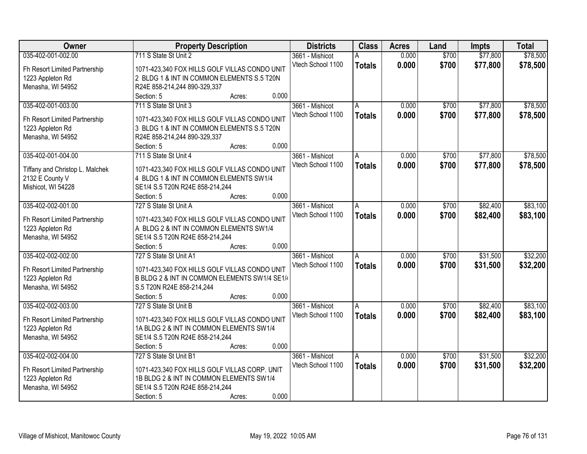| <b>Owner</b>                    | <b>Property Description</b>                   | <b>Districts</b>  | <b>Class</b>   | <b>Acres</b> | Land  | <b>Impts</b> | <b>Total</b> |
|---------------------------------|-----------------------------------------------|-------------------|----------------|--------------|-------|--------------|--------------|
| 035-402-001-002.00              | 711 S State St Unit 2                         | 3661 - Mishicot   |                | 0.000        | \$700 | \$77,800     | \$78,500     |
| Fh Resort Limited Partnership   | 1071-423,340 FOX HILLS GOLF VILLAS CONDO UNIT | Vtech School 1100 | <b>Totals</b>  | 0.000        | \$700 | \$77,800     | \$78,500     |
| 1223 Appleton Rd                | 2 BLDG 1 & INT IN COMMON ELEMENTS S.5 T20N    |                   |                |              |       |              |              |
| Menasha, WI 54952               | R24E 858-214,244 890-329,337                  |                   |                |              |       |              |              |
|                                 | 0.000<br>Section: 5<br>Acres:                 |                   |                |              |       |              |              |
| 035-402-001-003.00              | 711 S State St Unit 3                         | 3661 - Mishicot   | A              | 0.000        | \$700 | \$77,800     | \$78,500     |
|                                 |                                               | Vtech School 1100 | <b>Totals</b>  | 0.000        | \$700 | \$77,800     | \$78,500     |
| Fh Resort Limited Partnership   | 1071-423,340 FOX HILLS GOLF VILLAS CONDO UNIT |                   |                |              |       |              |              |
| 1223 Appleton Rd                | 3 BLDG 1 & INT IN COMMON ELEMENTS S.5 T20N    |                   |                |              |       |              |              |
| Menasha, WI 54952               | R24E 858-214,244 890-329,337<br>0.000         |                   |                |              |       |              |              |
|                                 | Section: 5<br>Acres:                          |                   |                |              |       |              |              |
| 035-402-001-004.00              | 711 S State St Unit 4                         | 3661 - Mishicot   | A              | 0.000        | \$700 | \$77,800     | \$78,500     |
| Tiffany and Christop L. Malchek | 1071-423,340 FOX HILLS GOLF VILLAS CONDO UNIT | Vtech School 1100 | <b>Totals</b>  | 0.000        | \$700 | \$77,800     | \$78,500     |
| 2132 E County V                 | 4 BLDG 1 & INT IN COMMON ELEMENTS SW1/4       |                   |                |              |       |              |              |
| Mishicot, WI 54228              | SE1/4 S.5 T20N R24E 858-214,244               |                   |                |              |       |              |              |
|                                 | 0.000<br>Section: 5<br>Acres:                 |                   |                |              |       |              |              |
| 035-402-002-001.00              | 727 S State St Unit A                         | 3661 - Mishicot   | $\overline{A}$ | 0.000        | \$700 | \$82,400     | \$83,100     |
|                                 |                                               | Vtech School 1100 | <b>Totals</b>  | 0.000        | \$700 | \$82,400     | \$83,100     |
| Fh Resort Limited Partnership   | 1071-423,340 FOX HILLS GOLF VILLAS CONDO UNIT |                   |                |              |       |              |              |
| 1223 Appleton Rd                | A BLDG 2 & INT IN COMMON ELEMENTS SW1/4       |                   |                |              |       |              |              |
| Menasha, WI 54952               | SE1/4 S.5 T20N R24E 858-214,244               |                   |                |              |       |              |              |
|                                 | 0.000<br>Section: 5<br>Acres:                 |                   |                |              |       |              |              |
| 035-402-002-002.00              | 727 S State St Unit A1                        | 3661 - Mishicot   | A              | 0.000        | \$700 | \$31,500     | \$32,200     |
| Fh Resort Limited Partnership   | 1071-423,340 FOX HILLS GOLF VILLAS CONDO UNIT | Vtech School 1100 | <b>Totals</b>  | 0.000        | \$700 | \$31,500     | \$32,200     |
| 1223 Appleton Rd                | B BLDG 2 & INT IN COMMON ELEMENTS SW1/4 SE1/4 |                   |                |              |       |              |              |
| Menasha, WI 54952               | S.5 T20N R24E 858-214,244                     |                   |                |              |       |              |              |
|                                 | Section: 5<br>0.000<br>Acres:                 |                   |                |              |       |              |              |
| 035-402-002-003.00              | 727 S State St Unit B                         | 3661 - Mishicot   | l A            | 0.000        | \$700 | \$82,400     | \$83,100     |
|                                 | 1071-423,340 FOX HILLS GOLF VILLAS CONDO UNIT | Vtech School 1100 | <b>Totals</b>  | 0.000        | \$700 | \$82,400     | \$83,100     |
| Fh Resort Limited Partnership   | 1A BLDG 2 & INT IN COMMON ELEMENTS SW1/4      |                   |                |              |       |              |              |
| 1223 Appleton Rd                |                                               |                   |                |              |       |              |              |
| Menasha, WI 54952               | SE1/4 S.5 T20N R24E 858-214,244<br>0.000      |                   |                |              |       |              |              |
|                                 | Section: 5<br>Acres:                          |                   |                |              |       |              |              |
| 035-402-002-004.00              | 727 S State St Unit B1                        | 3661 - Mishicot   | A              | 0.000        | \$700 | \$31,500     | \$32,200     |
| Fh Resort Limited Partnership   | 1071-423,340 FOX HILLS GOLF VILLAS CORP. UNIT | Vtech School 1100 | <b>Totals</b>  | 0.000        | \$700 | \$31,500     | \$32,200     |
| 1223 Appleton Rd                | 1B BLDG 2 & INT IN COMMON ELEMENTS SW1/4      |                   |                |              |       |              |              |
| Menasha, WI 54952               | SE1/4 S.5 T20N R24E 858-214,244               |                   |                |              |       |              |              |
|                                 | 0.000<br>Section: 5<br>Acres:                 |                   |                |              |       |              |              |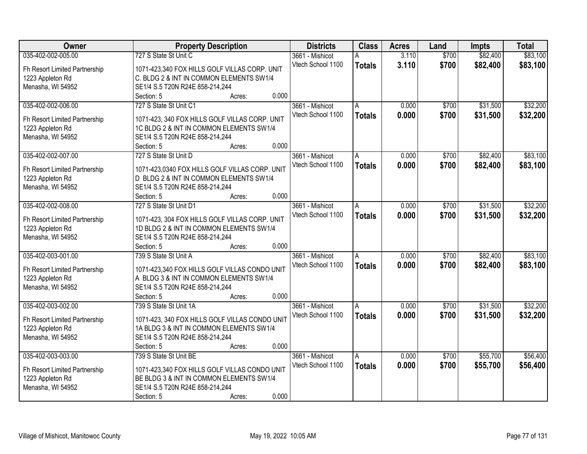| Owner                                 | <b>Property Description</b>                    | <b>Districts</b>  | <b>Class</b>  | <b>Acres</b> | Land  | <b>Impts</b> | <b>Total</b> |
|---------------------------------------|------------------------------------------------|-------------------|---------------|--------------|-------|--------------|--------------|
| 035-402-002-005.00                    | 727 S State St Unit C                          | 3661 - Mishicot   | A             | 3.110        | \$700 | \$82,400     | \$83,100     |
| Fh Resort Limited Partnership         | 1071-423,340 FOX HILLS GOLF VILLAS CORP. UNIT  | Vtech School 1100 | <b>Totals</b> | 3.110        | \$700 | \$82,400     | \$83,100     |
| 1223 Appleton Rd                      | C. BLDG 2 & INT IN COMMON ELEMENTS SW1/4       |                   |               |              |       |              |              |
| Menasha, WI 54952                     | SE1/4 S.5 T20N R24E 858-214,244                |                   |               |              |       |              |              |
|                                       | 0.000<br>Section: 5<br>Acres:                  |                   |               |              |       |              |              |
| 035-402-002-006.00                    | 727 S State St Unit C1                         | 3661 - Mishicot   | A             | 0.000        | \$700 | \$31,500     | \$32,200     |
|                                       |                                                | Vtech School 1100 | <b>Totals</b> | 0.000        | \$700 | \$31,500     | \$32,200     |
| Fh Resort Limited Partnership         | 1071-423, 340 FOX HILLS GOLF VILLAS CORP. UNIT |                   |               |              |       |              |              |
| 1223 Appleton Rd                      | 1C BLDG 2 & INT IN COMMON ELEMENTS SW1/4       |                   |               |              |       |              |              |
| Menasha, WI 54952                     | SE1/4 S.5 T20N R24E 858-214,244                |                   |               |              |       |              |              |
|                                       | 0.000<br>Section: 5<br>Acres:                  |                   |               |              |       |              |              |
| 035-402-002-007.00                    | 727 S State St Unit D                          | 3661 - Mishicot   | A.            | 0.000        | \$700 | \$82,400     | \$83,100     |
| Fh Resort Limited Partnership         | 1071-423,0340 FOX HILLS GOLF VILLAS CORP. UNIT | Vtech School 1100 | <b>Totals</b> | 0.000        | \$700 | \$82,400     | \$83,100     |
| 1223 Appleton Rd                      | D BLDG 2 & INT IN COMMON ELEMENTS SW1/4        |                   |               |              |       |              |              |
| Menasha, WI 54952                     | SE1/4 S.5 T20N R24E 858-214,244                |                   |               |              |       |              |              |
|                                       | 0.000<br>Section: 5<br>Acres:                  |                   |               |              |       |              |              |
| 035-402-002-008.00                    | 727 S State St Unit D1                         | 3661 - Mishicot   | A             | 0.000        | \$700 | \$31,500     | \$32,200     |
|                                       |                                                | Vtech School 1100 |               | 0.000        | \$700 | \$31,500     |              |
| Fh Resort Limited Partnership         | 1071-423, 304 FOX HILLS GOLF VILLAS CORP. UNIT |                   | <b>Totals</b> |              |       |              | \$32,200     |
| 1223 Appleton Rd                      | 1D BLDG 2 & INT IN COMMON ELEMENTS SW1/4       |                   |               |              |       |              |              |
| Menasha, WI 54952                     | SE1/4 S.5 T20N R24E 858-214,244                |                   |               |              |       |              |              |
|                                       | 0.000<br>Section: 5<br>Acres:                  |                   |               |              |       |              |              |
| 035-402-003-001.00                    | 739 S State St Unit A                          | 3661 - Mishicot   | A             | 0.000        | \$700 | \$82,400     | \$83,100     |
| Fh Resort Limited Partnership         | 1071-423,340 FOX HILLS GOLF VILLAS CONDO UNIT  | Vtech School 1100 | <b>Totals</b> | 0.000        | \$700 | \$82,400     | \$83,100     |
|                                       | A BLDG 3 & INT IN COMMON ELEMENTS SW1/4        |                   |               |              |       |              |              |
| 1223 Appleton Rd<br>Menasha, WI 54952 | SE1/4 S.5 T20N R24E 858-214,244                |                   |               |              |       |              |              |
|                                       | 0.000<br>Section: 5                            |                   |               |              |       |              |              |
|                                       | Acres:                                         |                   |               |              |       |              |              |
| 035-402-003-002.00                    | 739 S State St Unit 1A                         | 3661 - Mishicot   | A             | 0.000        | \$700 | \$31,500     | \$32,200     |
| Fh Resort Limited Partnership         | 1071-423, 340 FOX HILLS GOLF VILLAS CONDO UNIT | Vtech School 1100 | <b>Totals</b> | 0.000        | \$700 | \$31,500     | \$32,200     |
| 1223 Appleton Rd                      | 1A BLDG 3 & INT IN COMMON ELEMENTS SW1/4       |                   |               |              |       |              |              |
| Menasha, WI 54952                     | SE1/4 S.5 T20N R24E 858-214,244                |                   |               |              |       |              |              |
|                                       | 0.000<br>Section: 5<br>Acres:                  |                   |               |              |       |              |              |
| 035-402-003-003.00                    | 739 S State St Unit BE                         | 3661 - Mishicot   | A             | 0.000        | \$700 | \$55,700     | \$56,400     |
|                                       |                                                | Vtech School 1100 | <b>Totals</b> | 0.000        | \$700 | \$55,700     | \$56,400     |
| Fh Resort Limited Partnership         | 1071-423,340 FOX HILLS GOLF VILLAS CONDO UNIT  |                   |               |              |       |              |              |
| 1223 Appleton Rd                      | BE BLDG 3 & INT IN COMMON ELEMENTS SW1/4       |                   |               |              |       |              |              |
| Menasha, WI 54952                     | SE1/4 S.5 T20N R24E 858-214,244                |                   |               |              |       |              |              |
|                                       | 0.000<br>Section: 5<br>Acres:                  |                   |               |              |       |              |              |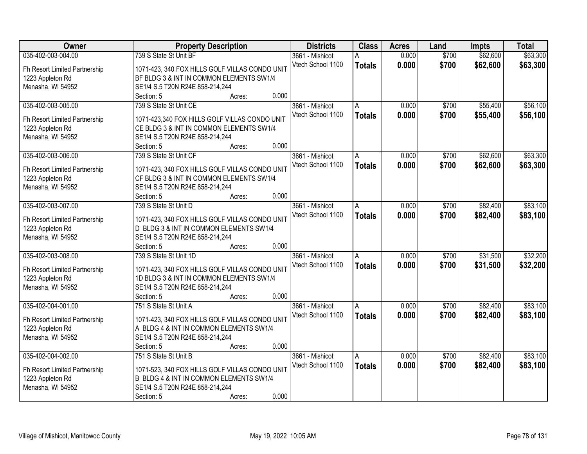| <b>Owner</b>                          | <b>Property Description</b>                                                               | <b>Districts</b>                     | <b>Class</b>   | <b>Acres</b> | Land  | <b>Impts</b> | <b>Total</b> |
|---------------------------------------|-------------------------------------------------------------------------------------------|--------------------------------------|----------------|--------------|-------|--------------|--------------|
| 035-402-003-004.00                    | 739 S State St Unit BF                                                                    | 3661 - Mishicot                      |                | 0.000        | \$700 | \$62,600     | \$63,300     |
| Fh Resort Limited Partnership         | 1071-423, 340 FOX HILLS GOLF VILLAS CONDO UNIT                                            | Vtech School 1100                    | <b>Totals</b>  | 0.000        | \$700 | \$62,600     | \$63,300     |
| 1223 Appleton Rd                      | BF BLDG 3 & INT IN COMMON ELEMENTS SW1/4                                                  |                                      |                |              |       |              |              |
| Menasha, WI 54952                     | SE1/4 S.5 T20N R24E 858-214,244                                                           |                                      |                |              |       |              |              |
|                                       | 0.000<br>Section: 5<br>Acres:                                                             |                                      |                |              |       |              |              |
| 035-402-003-005.00                    | 739 S State St Unit CE                                                                    | 3661 - Mishicot                      | A              | 0.000        | \$700 | \$55,400     | \$56,100     |
|                                       |                                                                                           | Vtech School 1100                    | <b>Totals</b>  | 0.000        | \$700 | \$55,400     | \$56,100     |
| Fh Resort Limited Partnership         | 1071-423,340 FOX HILLS GOLF VILLAS CONDO UNIT<br>CE BLDG 3 & INT IN COMMON ELEMENTS SW1/4 |                                      |                |              |       |              |              |
| 1223 Appleton Rd<br>Menasha, WI 54952 | SE1/4 S.5 T20N R24E 858-214,244                                                           |                                      |                |              |       |              |              |
|                                       | 0.000<br>Section: 5<br>Acres:                                                             |                                      |                |              |       |              |              |
| 035-402-003-006.00                    | 739 S State St Unit CF                                                                    | 3661 - Mishicot                      | A              | 0.000        | \$700 | \$62,600     | \$63,300     |
|                                       |                                                                                           | Vtech School 1100                    | <b>Totals</b>  | 0.000        | \$700 | \$62,600     | \$63,300     |
| Fh Resort Limited Partnership         | 1071-423, 340 FOX HILLS GOLF VILLAS CONDO UNIT                                            |                                      |                |              |       |              |              |
| 1223 Appleton Rd                      | CF BLDG 3 & INT IN COMMON ELEMENTS SW1/4                                                  |                                      |                |              |       |              |              |
| Menasha, WI 54952                     | SE1/4 S.5 T20N R24E 858-214,244                                                           |                                      |                |              |       |              |              |
|                                       | 0.000<br>Section: 5<br>Acres:                                                             |                                      |                |              |       |              |              |
| 035-402-003-007.00                    | 739 S State St Unit D                                                                     | 3661 - Mishicot                      | $\overline{A}$ | 0.000        | \$700 | \$82,400     | \$83,100     |
| Fh Resort Limited Partnership         | 1071-423, 340 FOX HILLS GOLF VILLAS CONDO UNIT                                            | Vtech School 1100                    | <b>Totals</b>  | 0.000        | \$700 | \$82,400     | \$83,100     |
| 1223 Appleton Rd                      | D BLDG 3 & INT IN COMMON ELEMENTS SW1/4                                                   |                                      |                |              |       |              |              |
| Menasha, WI 54952                     | SE1/4 S.5 T20N R24E 858-214,244                                                           |                                      |                |              |       |              |              |
|                                       | 0.000<br>Section: 5<br>Acres:                                                             |                                      |                |              |       |              |              |
| 035-402-003-008.00                    | 739 S State St Unit 1D                                                                    | 3661 - Mishicot                      | A              | 0.000        | \$700 | \$31,500     | \$32,200     |
|                                       |                                                                                           | Vtech School 1100                    | <b>Totals</b>  | 0.000        | \$700 | \$31,500     | \$32,200     |
| Fh Resort Limited Partnership         | 1071-423, 340 FOX HILLS GOLF VILLAS CONDO UNIT                                            |                                      |                |              |       |              |              |
| 1223 Appleton Rd                      | 1D BLDG 3 & INT IN COMMON ELEMENTS SW1/4                                                  |                                      |                |              |       |              |              |
| Menasha, WI 54952                     | SE1/4 S.5 T20N R24E 858-214,244<br>0.000                                                  |                                      |                |              |       |              |              |
|                                       | Section: 5<br>Acres:                                                                      |                                      |                |              | \$700 |              |              |
| 035-402-004-001.00                    | 751 S State St Unit A                                                                     | 3661 - Mishicot<br>Vtech School 1100 | l A            | 0.000        |       | \$82,400     | \$83,100     |
| Fh Resort Limited Partnership         | 1071-423, 340 FOX HILLS GOLF VILLAS CONDO UNIT                                            |                                      | <b>Totals</b>  | 0.000        | \$700 | \$82,400     | \$83,100     |
| 1223 Appleton Rd                      | A BLDG 4 & INT IN COMMON ELEMENTS SW1/4                                                   |                                      |                |              |       |              |              |
| Menasha, WI 54952                     | SE1/4 S.5 T20N R24E 858-214,244                                                           |                                      |                |              |       |              |              |
|                                       | 0.000<br>Section: 5<br>Acres:                                                             |                                      |                |              |       |              |              |
| 035-402-004-002.00                    | 751 S State St Unit B                                                                     | 3661 - Mishicot                      | A              | 0.000        | \$700 | \$82,400     | \$83,100     |
| Fh Resort Limited Partnership         | 1071-523, 340 FOX HILLS GOLF VILLAS CONDO UNIT                                            | Vtech School 1100                    | <b>Totals</b>  | 0.000        | \$700 | \$82,400     | \$83,100     |
| 1223 Appleton Rd                      | B BLDG 4 & INT IN COMMON ELEMENTS SW1/4                                                   |                                      |                |              |       |              |              |
| Menasha, WI 54952                     | SE1/4 S.5 T20N R24E 858-214,244                                                           |                                      |                |              |       |              |              |
|                                       | 0.000<br>Section: 5<br>Acres:                                                             |                                      |                |              |       |              |              |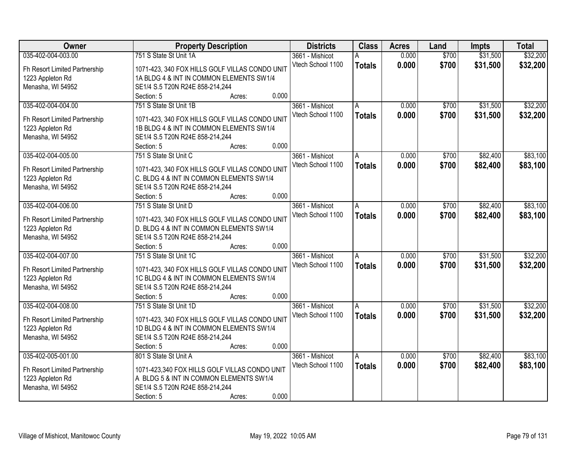| <b>Owner</b>                  | <b>Property Description</b>                                      | <b>Districts</b>  | <b>Class</b>   | <b>Acres</b> | Land  | <b>Impts</b> | <b>Total</b> |
|-------------------------------|------------------------------------------------------------------|-------------------|----------------|--------------|-------|--------------|--------------|
| 035-402-004-003.00            | 751 S State St Unit 1A                                           | 3661 - Mishicot   |                | 0.000        | \$700 | \$31,500     | \$32,200     |
| Fh Resort Limited Partnership | 1071-423, 340 FOX HILLS GOLF VILLAS CONDO UNIT                   | Vtech School 1100 | <b>Totals</b>  | 0.000        | \$700 | \$31,500     | \$32,200     |
| 1223 Appleton Rd              | 1A BLDG 4 & INT IN COMMON ELEMENTS SW1/4                         |                   |                |              |       |              |              |
| Menasha, WI 54952             | SE1/4 S.5 T20N R24E 858-214,244                                  |                   |                |              |       |              |              |
|                               | 0.000<br>Section: 5<br>Acres:                                    |                   |                |              |       |              |              |
| 035-402-004-004.00            | 751 S State St Unit 1B                                           | 3661 - Mishicot   | A              | 0.000        | \$700 | \$31,500     | \$32,200     |
|                               |                                                                  | Vtech School 1100 | <b>Totals</b>  | 0.000        | \$700 | \$31,500     | \$32,200     |
| Fh Resort Limited Partnership | 1071-423, 340 FOX HILLS GOLF VILLAS CONDO UNIT                   |                   |                |              |       |              |              |
| 1223 Appleton Rd              | 1B BLDG 4 & INT IN COMMON ELEMENTS SW1/4                         |                   |                |              |       |              |              |
| Menasha, WI 54952             | SE1/4 S.5 T20N R24E 858-214,244<br>0.000<br>Section: 5<br>Acres: |                   |                |              |       |              |              |
| 035-402-004-005.00            | 751 S State St Unit C                                            | 3661 - Mishicot   |                | 0.000        | \$700 | \$82,400     | \$83,100     |
|                               |                                                                  | Vtech School 1100 | A              |              |       |              |              |
| Fh Resort Limited Partnership | 1071-423, 340 FOX HILLS GOLF VILLAS CONDO UNIT                   |                   | <b>Totals</b>  | 0.000        | \$700 | \$82,400     | \$83,100     |
| 1223 Appleton Rd              | C. BLDG 4 & INT IN COMMON ELEMENTS SW1/4                         |                   |                |              |       |              |              |
| Menasha, WI 54952             | SE1/4 S.5 T20N R24E 858-214,244                                  |                   |                |              |       |              |              |
|                               | 0.000<br>Section: 5<br>Acres:                                    |                   |                |              |       |              |              |
| 035-402-004-006.00            | 751 S State St Unit D                                            | 3661 - Mishicot   | $\overline{A}$ | 0.000        | \$700 | \$82,400     | \$83,100     |
| Fh Resort Limited Partnership | 1071-423, 340 FOX HILLS GOLF VILLAS CONDO UNIT                   | Vtech School 1100 | <b>Totals</b>  | 0.000        | \$700 | \$82,400     | \$83,100     |
| 1223 Appleton Rd              | D. BLDG 4 & INT IN COMMON ELEMENTS SW1/4                         |                   |                |              |       |              |              |
| Menasha, WI 54952             | SE1/4 S.5 T20N R24E 858-214,244                                  |                   |                |              |       |              |              |
|                               | 0.000<br>Section: 5<br>Acres:                                    |                   |                |              |       |              |              |
| 035-402-004-007.00            | 751 S State St Unit 1C                                           | 3661 - Mishicot   | A              | 0.000        | \$700 | \$31,500     | \$32,200     |
|                               |                                                                  | Vtech School 1100 |                |              |       |              |              |
| Fh Resort Limited Partnership | 1071-423, 340 FOX HILLS GOLF VILLAS CONDO UNIT                   |                   | <b>Totals</b>  | 0.000        | \$700 | \$31,500     | \$32,200     |
| 1223 Appleton Rd              | 1C BLDG 4 & INT IN COMMON ELEMENTS SW1/4                         |                   |                |              |       |              |              |
| Menasha, WI 54952             | SE1/4 S.5 T20N R24E 858-214,244                                  |                   |                |              |       |              |              |
|                               | Section: 5<br>0.000<br>Acres:                                    |                   |                |              |       |              |              |
| 035-402-004-008.00            | 751 S State St Unit 1D                                           | 3661 - Mishicot   | l A            | 0.000        | \$700 | \$31,500     | \$32,200     |
| Fh Resort Limited Partnership | 1071-423, 340 FOX HILLS GOLF VILLAS CONDO UNIT                   | Vtech School 1100 | <b>Totals</b>  | 0.000        | \$700 | \$31,500     | \$32,200     |
| 1223 Appleton Rd              | 1D BLDG 4 & INT IN COMMON ELEMENTS SW1/4                         |                   |                |              |       |              |              |
| Menasha, WI 54952             | SE1/4 S.5 T20N R24E 858-214,244                                  |                   |                |              |       |              |              |
|                               | 0.000<br>Section: 5<br>Acres:                                    |                   |                |              |       |              |              |
| 035-402-005-001.00            | 801 S State St Unit A                                            | 3661 - Mishicot   | A              | 0.000        | \$700 | \$82,400     | \$83,100     |
|                               |                                                                  | Vtech School 1100 |                | 0.000        | \$700 | \$82,400     | \$83,100     |
| Fh Resort Limited Partnership | 1071-423,340 FOX HILLS GOLF VILLAS CONDO UNIT                    |                   | <b>Totals</b>  |              |       |              |              |
| 1223 Appleton Rd              | A BLDG 5 & INT IN COMMON ELEMENTS SW1/4                          |                   |                |              |       |              |              |
| Menasha, WI 54952             | SE1/4 S.5 T20N R24E 858-214,244                                  |                   |                |              |       |              |              |
|                               | 0.000<br>Section: 5<br>Acres:                                    |                   |                |              |       |              |              |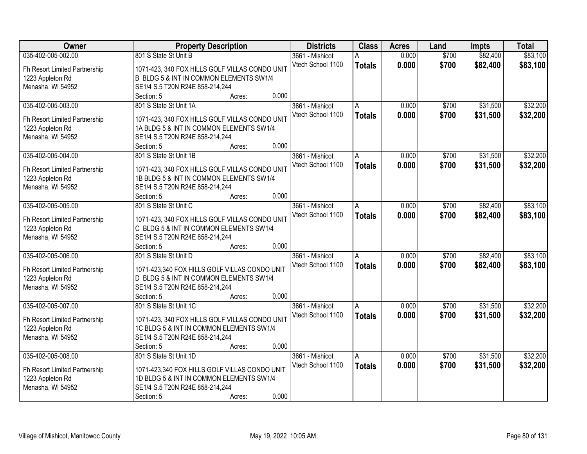| <b>Owner</b>                          | <b>Property Description</b>                                                                | <b>Districts</b>                     | <b>Class</b>   | <b>Acres</b> | Land  | <b>Impts</b> | <b>Total</b> |
|---------------------------------------|--------------------------------------------------------------------------------------------|--------------------------------------|----------------|--------------|-------|--------------|--------------|
| 035-402-005-002.00                    | 801 S State St Unit B                                                                      | 3661 - Mishicot                      |                | 0.000        | \$700 | \$82,400     | \$83,100     |
| Fh Resort Limited Partnership         | 1071-423, 340 FOX HILLS GOLF VILLAS CONDO UNIT                                             | Vtech School 1100                    | <b>Totals</b>  | 0.000        | \$700 | \$82,400     | \$83,100     |
| 1223 Appleton Rd                      | B BLDG 5 & INT IN COMMON ELEMENTS SW1/4                                                    |                                      |                |              |       |              |              |
| Menasha, WI 54952                     | SE1/4 S.5 T20N R24E 858-214,244                                                            |                                      |                |              |       |              |              |
|                                       | 0.000<br>Section: 5<br>Acres:                                                              |                                      |                |              |       |              |              |
| 035-402-005-003.00                    | 801 S State St Unit 1A                                                                     | 3661 - Mishicot                      | A              | 0.000        | \$700 | \$31,500     | \$32,200     |
|                                       |                                                                                            | Vtech School 1100                    | <b>Totals</b>  | 0.000        | \$700 | \$31,500     | \$32,200     |
| Fh Resort Limited Partnership         | 1071-423, 340 FOX HILLS GOLF VILLAS CONDO UNIT<br>1A BLDG 5 & INT IN COMMON ELEMENTS SW1/4 |                                      |                |              |       |              |              |
| 1223 Appleton Rd<br>Menasha, WI 54952 | SE1/4 S.5 T20N R24E 858-214,244                                                            |                                      |                |              |       |              |              |
|                                       | 0.000<br>Section: 5<br>Acres:                                                              |                                      |                |              |       |              |              |
| 035-402-005-004.00                    | 801 S State St Unit 1B                                                                     | 3661 - Mishicot                      | A              | 0.000        | \$700 | \$31,500     | \$32,200     |
|                                       |                                                                                            | Vtech School 1100                    | <b>Totals</b>  | 0.000        | \$700 | \$31,500     | \$32,200     |
| Fh Resort Limited Partnership         | 1071-423, 340 FOX HILLS GOLF VILLAS CONDO UNIT                                             |                                      |                |              |       |              |              |
| 1223 Appleton Rd                      | 1B BLDG 5 & INT IN COMMON ELEMENTS SW1/4                                                   |                                      |                |              |       |              |              |
| Menasha, WI 54952                     | SE1/4 S.5 T20N R24E 858-214,244                                                            |                                      |                |              |       |              |              |
|                                       | 0.000<br>Section: 5<br>Acres:                                                              |                                      |                |              |       |              |              |
| 035-402-005-005.00                    | 801 S State St Unit C                                                                      | 3661 - Mishicot                      | $\overline{A}$ | 0.000        | \$700 | \$82,400     | \$83,100     |
| Fh Resort Limited Partnership         | 1071-423, 340 FOX HILLS GOLF VILLAS CONDO UNIT                                             | Vtech School 1100                    | <b>Totals</b>  | 0.000        | \$700 | \$82,400     | \$83,100     |
| 1223 Appleton Rd                      | C BLDG 5 & INT IN COMMON ELEMENTS SW1/4                                                    |                                      |                |              |       |              |              |
| Menasha, WI 54952                     | SE1/4 S.5 T20N R24E 858-214,244                                                            |                                      |                |              |       |              |              |
|                                       | 0.000<br>Section: 5<br>Acres:                                                              |                                      |                |              |       |              |              |
| 035-402-005-006.00                    | 801 S State St Unit D                                                                      | 3661 - Mishicot                      | A              | 0.000        | \$700 | \$82,400     | \$83,100     |
|                                       |                                                                                            | Vtech School 1100                    | <b>Totals</b>  | 0.000        | \$700 | \$82,400     | \$83,100     |
| Fh Resort Limited Partnership         | 1071-423,340 FOX HILLS GOLF VILLAS CONDO UNIT                                              |                                      |                |              |       |              |              |
| 1223 Appleton Rd                      | D BLDG 5 & INT IN COMMON ELEMENTS SW1/4                                                    |                                      |                |              |       |              |              |
| Menasha, WI 54952                     | SE1/4 S.5 T20N R24E 858-214,244<br>0.000                                                   |                                      |                |              |       |              |              |
|                                       | Section: 5<br>Acres:                                                                       |                                      |                |              | \$700 |              |              |
| 035-402-005-007.00                    | 801 S State St Unit 1C                                                                     | 3661 - Mishicot<br>Vtech School 1100 | l A            | 0.000        |       | \$31,500     | \$32,200     |
| Fh Resort Limited Partnership         | 1071-423, 340 FOX HILLS GOLF VILLAS CONDO UNIT                                             |                                      | <b>Totals</b>  | 0.000        | \$700 | \$31,500     | \$32,200     |
| 1223 Appleton Rd                      | 1C BLDG 5 & INT IN COMMON ELEMENTS SW1/4                                                   |                                      |                |              |       |              |              |
| Menasha, WI 54952                     | SE1/4 S.5 T20N R24E 858-214,244                                                            |                                      |                |              |       |              |              |
|                                       | 0.000<br>Section: 5<br>Acres:                                                              |                                      |                |              |       |              |              |
| 035-402-005-008.00                    | 801 S State St Unit 1D                                                                     | 3661 - Mishicot                      | A              | 0.000        | \$700 | \$31,500     | \$32,200     |
| Fh Resort Limited Partnership         | 1071-423,340 FOX HILLS GOLF VILLAS CONDO UNIT                                              | Vtech School 1100                    | <b>Totals</b>  | 0.000        | \$700 | \$31,500     | \$32,200     |
| 1223 Appleton Rd                      | 1D BLDG 5 & INT IN COMMON ELEMENTS SW1/4                                                   |                                      |                |              |       |              |              |
| Menasha, WI 54952                     | SE1/4 S.5 T20N R24E 858-214,244                                                            |                                      |                |              |       |              |              |
|                                       | 0.000<br>Section: 5<br>Acres:                                                              |                                      |                |              |       |              |              |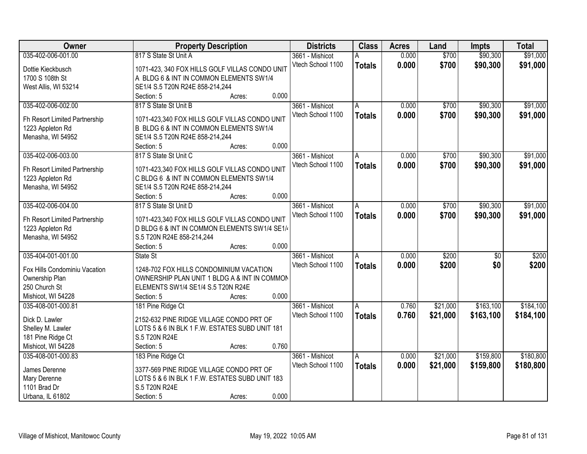| Owner                         |                                                | <b>Property Description</b> |       | <b>Districts</b>  | <b>Class</b>  | <b>Acres</b> | Land     | <b>Impts</b>    | <b>Total</b> |
|-------------------------------|------------------------------------------------|-----------------------------|-------|-------------------|---------------|--------------|----------|-----------------|--------------|
| 035-402-006-001.00            | 817 S State St Unit A                          |                             |       | 3661 - Mishicot   | А             | 0.000        | \$700    | \$90,300        | \$91,000     |
| Dottie Kieckbusch             | 1071-423, 340 FOX HILLS GOLF VILLAS CONDO UNIT |                             |       | Vtech School 1100 | <b>Totals</b> | 0.000        | \$700    | \$90,300        | \$91,000     |
| 1700 S 108th St               | A BLDG 6 & INT IN COMMON ELEMENTS SW1/4        |                             |       |                   |               |              |          |                 |              |
| West Allis, WI 53214          | SE1/4 S.5 T20N R24E 858-214,244                |                             |       |                   |               |              |          |                 |              |
|                               | Section: 5                                     | Acres:                      | 0.000 |                   |               |              |          |                 |              |
| 035-402-006-002.00            | 817 S State St Unit B                          |                             |       | 3661 - Mishicot   | A             | 0.000        | \$700    | \$90,300        | \$91,000     |
|                               |                                                |                             |       | Vtech School 1100 | <b>Totals</b> | 0.000        | \$700    | \$90,300        | \$91,000     |
| Fh Resort Limited Partnership | 1071-423,340 FOX HILLS GOLF VILLAS CONDO UNIT  |                             |       |                   |               |              |          |                 |              |
| 1223 Appleton Rd              | B BLDG 6 & INT IN COMMON ELEMENTS SW1/4        |                             |       |                   |               |              |          |                 |              |
| Menasha, WI 54952             | SE1/4 S.5 T20N R24E 858-214,244                |                             | 0.000 |                   |               |              |          |                 |              |
|                               | Section: 5                                     | Acres:                      |       |                   |               |              |          | \$90,300        |              |
| 035-402-006-003.00            | 817 S State St Unit C                          |                             |       | 3661 - Mishicot   | A             | 0.000        | \$700    |                 | \$91,000     |
| Fh Resort Limited Partnership | 1071-423,340 FOX HILLS GOLF VILLAS CONDO UNIT  |                             |       | Vtech School 1100 | <b>Totals</b> | 0.000        | \$700    | \$90,300        | \$91,000     |
| 1223 Appleton Rd              | C BLDG 6 & INT IN COMMON ELEMENTS SW1/4        |                             |       |                   |               |              |          |                 |              |
| Menasha, WI 54952             | SE1/4 S.5 T20N R24E 858-214,244                |                             |       |                   |               |              |          |                 |              |
|                               | Section: 5                                     | Acres:                      | 0.000 |                   |               |              |          |                 |              |
| 035-402-006-004.00            | 817 S State St Unit D                          |                             |       | 3661 - Mishicot   | A             | 0.000        | \$700    | \$90,300        | \$91,000     |
|                               |                                                |                             |       | Vtech School 1100 | <b>Totals</b> | 0.000        | \$700    | \$90,300        | \$91,000     |
| Fh Resort Limited Partnership | 1071-423,340 FOX HILLS GOLF VILLAS CONDO UNIT  |                             |       |                   |               |              |          |                 |              |
| 1223 Appleton Rd              | D BLDG 6 & INT IN COMMON ELEMENTS SW1/4 SE1/4  |                             |       |                   |               |              |          |                 |              |
| Menasha, WI 54952             | S.5 T20N R24E 858-214,244                      |                             | 0.000 |                   |               |              |          |                 |              |
| 035-404-001-001.00            | Section: 5                                     | Acres:                      |       |                   |               | 0.000        | \$200    |                 | \$200        |
|                               | State St                                       |                             |       | 3661 - Mishicot   | A             |              |          | $\overline{50}$ |              |
| Fox Hills Condominiu Vacation | 1248-702 FOX HILLS CONDOMINIUM VACATION        |                             |       | Vtech School 1100 | <b>Totals</b> | 0.000        | \$200    | \$0             | \$200        |
| Ownership Plan                | OWNERSHIP PLAN UNIT 1 BLDG A & INT IN COMMON   |                             |       |                   |               |              |          |                 |              |
| 250 Church St                 | ELEMENTS SW1/4 SE1/4 S.5 T20N R24E             |                             |       |                   |               |              |          |                 |              |
| Mishicot, WI 54228            | Section: 5                                     | Acres:                      | 0.000 |                   |               |              |          |                 |              |
| 035-408-001-000.81            | 181 Pine Ridge Ct                              |                             |       | 3661 - Mishicot   | A             | 0.760        | \$21,000 | \$163,100       | \$184,100    |
| Dick D. Lawler                | 2152-632 PINE RIDGE VILLAGE CONDO PRT OF       |                             |       | Vtech School 1100 | <b>Totals</b> | 0.760        | \$21,000 | \$163,100       | \$184,100    |
| Shelley M. Lawler             | LOTS 5 & 6 IN BLK 1 F.W. ESTATES SUBD UNIT 181 |                             |       |                   |               |              |          |                 |              |
| 181 Pine Ridge Ct             | S.5 T20N R24E                                  |                             |       |                   |               |              |          |                 |              |
| Mishicot, WI 54228            | Section: 5                                     | Acres:                      | 0.760 |                   |               |              |          |                 |              |
| 035-408-001-000.83            | 183 Pine Ridge Ct                              |                             |       | 3661 - Mishicot   | A             | 0.000        | \$21,000 | \$159,800       | \$180,800    |
|                               |                                                |                             |       | Vtech School 1100 |               | 0.000        | \$21,000 | \$159,800       | \$180,800    |
| James Derenne                 | 3377-569 PINE RIDGE VILLAGE CONDO PRT OF       |                             |       |                   | <b>Totals</b> |              |          |                 |              |
| Mary Derenne                  | LOTS 5 & 6 IN BLK 1 F.W. ESTATES SUBD UNIT 183 |                             |       |                   |               |              |          |                 |              |
| 1101 Brad Dr                  | S.5 T20N R24E                                  |                             |       |                   |               |              |          |                 |              |
| Urbana, IL 61802              | Section: 5                                     | Acres:                      | 0.000 |                   |               |              |          |                 |              |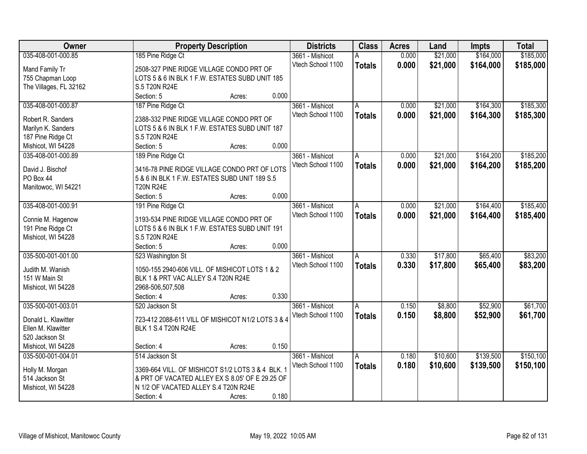| Owner                  | <b>Property Description</b>                       | <b>Districts</b>  | <b>Class</b>  | <b>Acres</b> | Land     | <b>Impts</b> | <b>Total</b> |
|------------------------|---------------------------------------------------|-------------------|---------------|--------------|----------|--------------|--------------|
| 035-408-001-000.85     | 185 Pine Ridge Ct                                 | 3661 - Mishicot   |               | 0.000        | \$21,000 | \$164,000    | \$185,000    |
| Mand Family Tr         | 2508-327 PINE RIDGE VILLAGE CONDO PRT OF          | Vtech School 1100 | <b>Totals</b> | 0.000        | \$21,000 | \$164,000    | \$185,000    |
| 755 Chapman Loop       | LOTS 5 & 6 IN BLK 1 F.W. ESTATES SUBD UNIT 185    |                   |               |              |          |              |              |
| The Villages, FL 32162 | S.5 T20N R24E                                     |                   |               |              |          |              |              |
|                        | 0.000<br>Section: 5<br>Acres:                     |                   |               |              |          |              |              |
| 035-408-001-000.87     | 187 Pine Ridge Ct                                 | 3661 - Mishicot   | A             | 0.000        | \$21,000 | \$164,300    | \$185,300    |
|                        |                                                   | Vtech School 1100 | <b>Totals</b> | 0.000        | \$21,000 | \$164,300    | \$185,300    |
| Robert R. Sanders      | 2388-332 PINE RIDGE VILLAGE CONDO PRT OF          |                   |               |              |          |              |              |
| Marilyn K. Sanders     | LOTS 5 & 6 IN BLK 1 F.W. ESTATES SUBD UNIT 187    |                   |               |              |          |              |              |
| 187 Pine Ridge Ct      | S.5 T20N R24E                                     |                   |               |              |          |              |              |
| Mishicot, WI 54228     | 0.000<br>Section: 5<br>Acres:                     |                   |               |              |          |              |              |
| 035-408-001-000.89     | 189 Pine Ridge Ct                                 | 3661 - Mishicot   | A             | 0.000        | \$21,000 | \$164,200    | \$185,200    |
| David J. Bischof       | 3416-78 PINE RIDGE VILLAGE CONDO PRT OF LOTS      | Vtech School 1100 | <b>Totals</b> | 0.000        | \$21,000 | \$164,200    | \$185,200    |
| PO Box 44              | 5 & 6 IN BLK 1 F.W. ESTATES SUBD UNIT 189 S.5     |                   |               |              |          |              |              |
| Manitowoc, WI 54221    | <b>T20N R24E</b>                                  |                   |               |              |          |              |              |
|                        | 0.000<br>Section: 5<br>Acres:                     |                   |               |              |          |              |              |
| 035-408-001-000.91     | 191 Pine Ridge Ct                                 | 3661 - Mishicot   | A             | 0.000        | \$21,000 | \$164,400    | \$185,400    |
|                        |                                                   | Vtech School 1100 | <b>Totals</b> | 0.000        | \$21,000 | \$164,400    | \$185,400    |
| Connie M. Hagenow      | 3193-534 PINE RIDGE VILLAGE CONDO PRT OF          |                   |               |              |          |              |              |
| 191 Pine Ridge Ct      | LOTS 5 & 6 IN BLK 1 F.W. ESTATES SUBD UNIT 191    |                   |               |              |          |              |              |
| Mishicot, WI 54228     | S.5 T20N R24E                                     |                   |               |              |          |              |              |
|                        | 0.000<br>Section: 5<br>Acres:                     |                   |               |              |          |              |              |
| 035-500-001-001.00     | 523 Washington St                                 | 3661 - Mishicot   | A             | 0.330        | \$17,800 | \$65,400     | \$83,200     |
| Judith M. Wanish       | 1050-155 2940-606 VILL. OF MISHICOT LOTS 1 & 2    | Vtech School 1100 | <b>Totals</b> | 0.330        | \$17,800 | \$65,400     | \$83,200     |
| 151 W Main St          | BLK 1 & PRT VAC ALLEY S.4 T20N R24E               |                   |               |              |          |              |              |
| Mishicot, WI 54228     | 2968-506,507,508                                  |                   |               |              |          |              |              |
|                        | 0.330<br>Section: 4<br>Acres:                     |                   |               |              |          |              |              |
| 035-500-001-003.01     | 520 Jackson St                                    | 3661 - Mishicot   | A             | 0.150        | \$8,800  | \$52,900     | \$61,700     |
|                        |                                                   | Vtech School 1100 | <b>Totals</b> | 0.150        | \$8,800  | \$52,900     | \$61,700     |
| Donald L. Klawitter    | 723-412 2088-611 VILL OF MISHICOT N1/2 LOTS 3 & 4 |                   |               |              |          |              |              |
| Ellen M. Klawitter     | BLK 1 S.4 T20N R24E                               |                   |               |              |          |              |              |
| 520 Jackson St         |                                                   |                   |               |              |          |              |              |
| Mishicot, WI 54228     | 0.150<br>Section: 4<br>Acres:                     |                   |               |              |          |              |              |
| 035-500-001-004.01     | 514 Jackson St                                    | 3661 - Mishicot   | Α             | 0.180        | \$10,600 | \$139,500    | \$150,100    |
| Holly M. Morgan        | 3369-664 VILL. OF MISHICOT S1/2 LOTS 3 & 4 BLK. 1 | Vtech School 1100 | <b>Totals</b> | 0.180        | \$10,600 | \$139,500    | \$150,100    |
| 514 Jackson St         | & PRT OF VACATED ALLEY EX S 8.05' OF E 29.25 OF   |                   |               |              |          |              |              |
| Mishicot, WI 54228     | N 1/2 OF VACATED ALLEY S.4 T20N R24E              |                   |               |              |          |              |              |
|                        | 0.180<br>Section: 4                               |                   |               |              |          |              |              |
|                        | Acres:                                            |                   |               |              |          |              |              |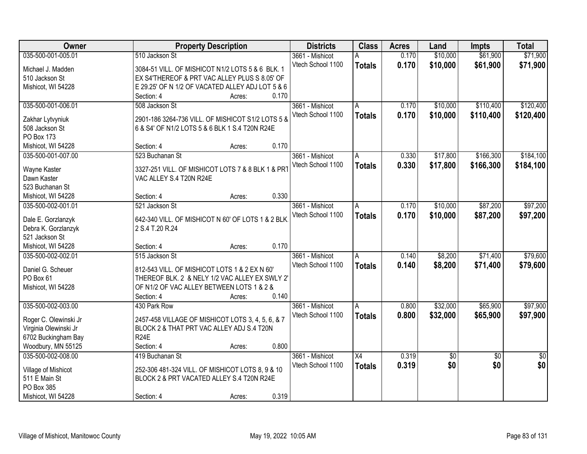| Owner                 | <b>Property Description</b>                       |       | <b>Districts</b>  | <b>Class</b>    | <b>Acres</b> | Land     | <b>Impts</b>    | <b>Total</b>    |
|-----------------------|---------------------------------------------------|-------|-------------------|-----------------|--------------|----------|-----------------|-----------------|
| 035-500-001-005.01    | 510 Jackson St                                    |       | 3661 - Mishicot   |                 | 0.170        | \$10,000 | \$61,900        | \$71,900        |
| Michael J. Madden     | 3084-51 VILL. OF MISHICOT N1/2 LOTS 5 & 6 BLK. 1  |       | Vtech School 1100 | <b>Totals</b>   | 0.170        | \$10,000 | \$61,900        | \$71,900        |
| 510 Jackson St        | EX S4'THEREOF & PRT VAC ALLEY PLUS S 8.05' OF     |       |                   |                 |              |          |                 |                 |
| Mishicot, WI 54228    | E 29.25' OF N 1/2 OF VACATED ALLEY ADJ LOT 5 & 6  |       |                   |                 |              |          |                 |                 |
|                       | Section: 4<br>Acres:                              | 0.170 |                   |                 |              |          |                 |                 |
| 035-500-001-006.01    | 508 Jackson St                                    |       | 3661 - Mishicot   | A               | 0.170        | \$10,000 | \$110,400       | \$120,400       |
|                       |                                                   |       | Vtech School 1100 | <b>Totals</b>   | 0.170        | \$10,000 | \$110,400       | \$120,400       |
| Zakhar Lytvyniuk      | 2901-186 3264-736 VILL. OF MISHICOT S1/2 LOTS 5 & |       |                   |                 |              |          |                 |                 |
| 508 Jackson St        | 6 & S4' OF N1/2 LOTS 5 & 6 BLK 1 S.4 T20N R24E    |       |                   |                 |              |          |                 |                 |
| PO Box 173            |                                                   |       |                   |                 |              |          |                 |                 |
| Mishicot, WI 54228    | Section: 4<br>Acres:                              | 0.170 |                   |                 |              |          |                 |                 |
| 035-500-001-007.00    | 523 Buchanan St                                   |       | 3661 - Mishicot   | A               | 0.330        | \$17,800 | \$166,300       | \$184,100       |
| Wayne Kaster          | 3327-251 VILL. OF MISHICOT LOTS 7 & 8 BLK 1 & PRT |       | Vtech School 1100 | <b>Totals</b>   | 0.330        | \$17,800 | \$166,300       | \$184,100       |
| Dawn Kaster           | VAC ALLEY S.4 T20N R24E                           |       |                   |                 |              |          |                 |                 |
| 523 Buchanan St       |                                                   |       |                   |                 |              |          |                 |                 |
| Mishicot, WI 54228    | Section: 4<br>Acres:                              | 0.330 |                   |                 |              |          |                 |                 |
| 035-500-002-001.01    | 521 Jackson St                                    |       | 3661 - Mishicot   | A               | 0.170        | \$10,000 | \$87,200        | \$97,200        |
|                       |                                                   |       | Vtech School 1100 | <b>Totals</b>   | 0.170        | \$10,000 | \$87,200        | \$97,200        |
| Dale E. Gorzlanzyk    | 642-340 VILL. OF MISHICOT N 60' OF LOTS 1 & 2 BLK |       |                   |                 |              |          |                 |                 |
| Debra K. Gorzlanzyk   | 2 S.4 T.20 R.24                                   |       |                   |                 |              |          |                 |                 |
| 521 Jackson St        |                                                   |       |                   |                 |              |          |                 |                 |
| Mishicot, WI 54228    | Section: 4<br>Acres:                              | 0.170 |                   |                 |              |          |                 |                 |
| 035-500-002-002.01    | 515 Jackson St                                    |       | 3661 - Mishicot   | A               | 0.140        | \$8,200  | \$71,400        | \$79,600        |
| Daniel G. Scheuer     | 812-543 VILL. OF MISHICOT LOTS 1 & 2 EX N 60'     |       | Vtech School 1100 | <b>Totals</b>   | 0.140        | \$8,200  | \$71,400        | \$79,600        |
| PO Box 61             | THEREOF BLK. 2 & NELY 1/2 VAC ALLEY EX SWLY 2'    |       |                   |                 |              |          |                 |                 |
| Mishicot, WI 54228    | OF N1/2 OF VAC ALLEY BETWEEN LOTS 1 & 2 &         |       |                   |                 |              |          |                 |                 |
|                       | Section: 4<br>Acres:                              | 0.140 |                   |                 |              |          |                 |                 |
| 035-500-002-003.00    | 430 Park Row                                      |       | 3661 - Mishicot   | A               | 0.800        | \$32,000 | \$65,900        | \$97,900        |
|                       |                                                   |       | Vtech School 1100 |                 | 0.800        | \$32,000 | \$65,900        | \$97,900        |
| Roger C. Olewinski Jr | 2457-458 VILLAGE OF MISHICOT LOTS 3, 4, 5, 6, & 7 |       |                   | <b>Totals</b>   |              |          |                 |                 |
| Virginia Olewinski Jr | BLOCK 2 & THAT PRT VAC ALLEY ADJ S.4 T20N         |       |                   |                 |              |          |                 |                 |
| 6702 Buckingham Bay   | <b>R24E</b>                                       |       |                   |                 |              |          |                 |                 |
| Woodbury, MN 55125    | Section: 4<br>Acres:                              | 0.800 |                   |                 |              |          |                 |                 |
| 035-500-002-008.00    | 419 Buchanan St                                   |       | 3661 - Mishicot   | $\overline{X4}$ | 0.319        | \$0      | $\overline{30}$ | $\overline{50}$ |
| Village of Mishicot   | 252-306 481-324 VILL. OF MISHICOT LOTS 8, 9 & 10  |       | Vtech School 1100 | <b>Totals</b>   | 0.319        | \$0      | \$0             | \$0             |
| 511 E Main St         | BLOCK 2 & PRT VACATED ALLEY S.4 T20N R24E         |       |                   |                 |              |          |                 |                 |
| PO Box 385            |                                                   |       |                   |                 |              |          |                 |                 |
| Mishicot, WI 54228    | Section: 4<br>Acres:                              | 0.319 |                   |                 |              |          |                 |                 |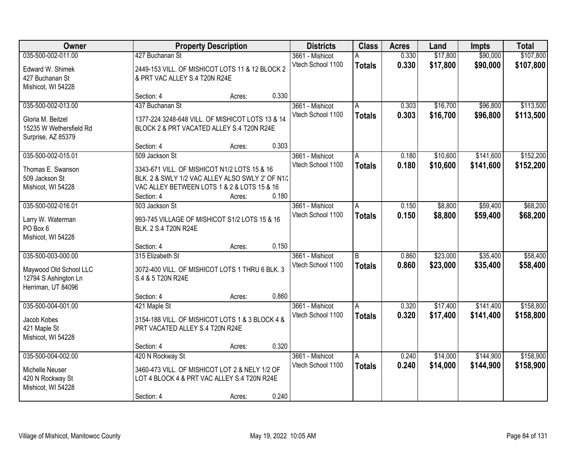| Owner                   | <b>Property Description</b>                      |        | <b>Districts</b> | <b>Class</b>      | <b>Acres</b>  | Land  | <b>Impts</b> | <b>Total</b> |           |
|-------------------------|--------------------------------------------------|--------|------------------|-------------------|---------------|-------|--------------|--------------|-----------|
| 035-500-002-011.00      | 427 Buchanan St                                  |        |                  | 3661 - Mishicot   | А             | 0.330 | \$17,800     | \$90,000     | \$107,800 |
| Edward W. Shimek        | 2449-153 VILL. OF MISHICOT LOTS 11 & 12 BLOCK 2  |        |                  | Vtech School 1100 | <b>Totals</b> | 0.330 | \$17,800     | \$90,000     | \$107,800 |
| 427 Buchanan St         | & PRT VAC ALLEY S.4 T20N R24E                    |        |                  |                   |               |       |              |              |           |
| Mishicot, WI 54228      |                                                  |        |                  |                   |               |       |              |              |           |
|                         | Section: 4                                       | Acres: | 0.330            |                   |               |       |              |              |           |
| 035-500-002-013.00      | 437 Buchanan St                                  |        |                  | 3661 - Mishicot   | A             | 0.303 | \$16,700     | \$96,800     | \$113,500 |
| Gloria M. Beitzel       | 1377-224 3248-648 VILL. OF MISHICOT LOTS 13 & 14 |        |                  | Vtech School 1100 | <b>Totals</b> | 0.303 | \$16,700     | \$96,800     | \$113,500 |
| 15235 W Wethersfield Rd | BLOCK 2 & PRT VACATED ALLEY S.4 T20N R24E        |        |                  |                   |               |       |              |              |           |
| Surprise, AZ 85379      |                                                  |        |                  |                   |               |       |              |              |           |
|                         | Section: 4                                       | Acres: | 0.303            |                   |               |       |              |              |           |
| 035-500-002-015.01      | 509 Jackson St                                   |        |                  | 3661 - Mishicot   | A             | 0.180 | \$10,600     | \$141,600    | \$152,200 |
| Thomas E. Swanson       | 3343-671 VILL. OF MISHICOT N1/2 LOTS 15 & 16     |        |                  | Vtech School 1100 | <b>Totals</b> | 0.180 | \$10,600     | \$141,600    | \$152,200 |
| 509 Jackson St          | BLK. 2 & SWLY 1/2 VAC ALLEY ALSO SWLY 2' OF N1/2 |        |                  |                   |               |       |              |              |           |
| Mishicot, WI 54228      | VAC ALLEY BETWEEN LOTS 1 & 2 & LOTS 15 & 16      |        |                  |                   |               |       |              |              |           |
|                         | Section: 4                                       | Acres: | 0.180            |                   |               |       |              |              |           |
| 035-500-002-016.01      | 503 Jackson St                                   |        |                  | 3661 - Mishicot   | A             | 0.150 | \$8,800      | \$59,400     | \$68,200  |
| Larry W. Waterman       | 993-745 VILLAGE OF MISHICOT S1/2 LOTS 15 & 16    |        |                  | Vtech School 1100 | <b>Totals</b> | 0.150 | \$8,800      | \$59,400     | \$68,200  |
| PO Box 6                | BLK. 2 S.4 T20N R24E                             |        |                  |                   |               |       |              |              |           |
| Mishicot, WI 54228      |                                                  |        |                  |                   |               |       |              |              |           |
|                         | Section: 4                                       | Acres: | 0.150            |                   |               |       |              |              |           |
| 035-500-003-000.00      | 315 Elizabeth St                                 |        |                  | 3661 - Mishicot   | B             | 0.860 | \$23,000     | \$35,400     | \$58,400  |
| Maywood Old School LLC  | 3072-400 VILL. OF MISHICOT LOTS 1 THRU 6 BLK. 3  |        |                  | Vtech School 1100 | <b>Totals</b> | 0.860 | \$23,000     | \$35,400     | \$58,400  |
| 12794 S Ashington Ln    | S.4 & 5 T20N R24E                                |        |                  |                   |               |       |              |              |           |
| Herriman, UT 84096      |                                                  |        |                  |                   |               |       |              |              |           |
|                         | Section: 4                                       | Acres: | 0.860            |                   |               |       |              |              |           |
| 035-500-004-001.00      | 421 Maple St                                     |        |                  | 3661 - Mishicot   | A             | 0.320 | \$17,400     | \$141,400    | \$158,800 |
| Jacob Kobes             | 3154-188 VILL. OF MISHICOT LOTS 1 & 3 BLOCK 4 &  |        |                  | Vtech School 1100 | <b>Totals</b> | 0.320 | \$17,400     | \$141,400    | \$158,800 |
| 421 Maple St            | PRT VACATED ALLEY S.4 T20N R24E                  |        |                  |                   |               |       |              |              |           |
| Mishicot, WI 54228      |                                                  |        |                  |                   |               |       |              |              |           |
|                         | Section: 4                                       | Acres: | 0.320            |                   |               |       |              |              |           |
| 035-500-004-002.00      | 420 N Rockway St                                 |        |                  | 3661 - Mishicot   | A             | 0.240 | \$14,000     | \$144,900    | \$158,900 |
| Michelle Neuser         | 3460-473 VILL. OF MISHICOT LOT 2 & NELY 1/2 OF   |        |                  | Vtech School 1100 | <b>Totals</b> | 0.240 | \$14,000     | \$144,900    | \$158,900 |
| 420 N Rockway St        | LOT 4 BLOCK 4 & PRT VAC ALLEY S.4 T20N R24E      |        |                  |                   |               |       |              |              |           |
| Mishicot, WI 54228      |                                                  |        |                  |                   |               |       |              |              |           |
|                         | Section: 4                                       | Acres: | 0.240            |                   |               |       |              |              |           |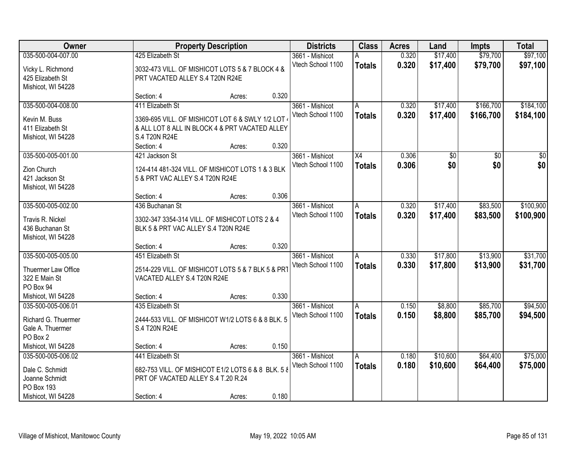| Owner                             |                                                                 | <b>Property Description</b> |       | <b>Districts</b>  | <b>Class</b>   | <b>Acres</b> | Land     | <b>Impts</b> | <b>Total</b>    |
|-----------------------------------|-----------------------------------------------------------------|-----------------------------|-------|-------------------|----------------|--------------|----------|--------------|-----------------|
| 035-500-004-007.00                | 425 Elizabeth St                                                |                             |       | 3661 - Mishicot   | A              | 0.320        | \$17,400 | \$79,700     | \$97,100        |
| Vicky L. Richmond                 | 3032-473 VILL. OF MISHICOT LOTS 5 & 7 BLOCK 4 &                 |                             |       | Vtech School 1100 | <b>Totals</b>  | 0.320        | \$17,400 | \$79,700     | \$97,100        |
| 425 Elizabeth St                  | PRT VACATED ALLEY S.4 T20N R24E                                 |                             |       |                   |                |              |          |              |                 |
| Mishicot, WI 54228                |                                                                 |                             |       |                   |                |              |          |              |                 |
|                                   | Section: 4                                                      | Acres:                      | 0.320 |                   |                |              |          |              |                 |
| 035-500-004-008.00                | 411 Elizabeth St                                                |                             |       | 3661 - Mishicot   | Α              | 0.320        | \$17,400 | \$166,700    | \$184,100       |
|                                   |                                                                 |                             |       | Vtech School 1100 | <b>Totals</b>  | 0.320        | \$17,400 | \$166,700    | \$184,100       |
| Kevin M. Buss<br>411 Elizabeth St | 3369-695 VILL. OF MISHICOT LOT 6 & SWLY 1/2 LOT                 |                             |       |                   |                |              |          |              |                 |
|                                   | & ALL LOT 8 ALL IN BLOCK 4 & PRT VACATED ALLEY<br>S.4 T20N R24E |                             |       |                   |                |              |          |              |                 |
| Mishicot, WI 54228                | Section: 4                                                      | Acres:                      | 0.320 |                   |                |              |          |              |                 |
| 035-500-005-001.00                | 421 Jackson St                                                  |                             |       | 3661 - Mishicot   | X4             | 0.306        | \$0      | \$0          | $\overline{30}$ |
|                                   |                                                                 |                             |       | Vtech School 1100 |                | 0.306        | \$0      | \$0          | \$0             |
| Zion Church                       | 124-414 481-324 VILL. OF MISHICOT LOTS 1 & 3 BLK                |                             |       |                   | <b>Totals</b>  |              |          |              |                 |
| 421 Jackson St                    | 5 & PRT VAC ALLEY S.4 T20N R24E                                 |                             |       |                   |                |              |          |              |                 |
| Mishicot, WI 54228                |                                                                 |                             |       |                   |                |              |          |              |                 |
|                                   | Section: 4                                                      | Acres:                      | 0.306 |                   |                |              |          |              |                 |
| 035-500-005-002.00                | 436 Buchanan St                                                 |                             |       | 3661 - Mishicot   | A              | 0.320        | \$17,400 | \$83,500     | \$100,900       |
| Travis R. Nickel                  | 3302-347 3354-314 VILL. OF MISHICOT LOTS 2 & 4                  |                             |       | Vtech School 1100 | <b>Totals</b>  | 0.320        | \$17,400 | \$83,500     | \$100,900       |
| 436 Buchanan St                   | BLK 5 & PRT VAC ALLEY S.4 T20N R24E                             |                             |       |                   |                |              |          |              |                 |
| Mishicot, WI 54228                |                                                                 |                             |       |                   |                |              |          |              |                 |
|                                   | Section: 4                                                      | Acres:                      | 0.320 |                   |                |              |          |              |                 |
| 035-500-005-005.00                | 451 Elizabeth St                                                |                             |       | 3661 - Mishicot   | $\overline{A}$ | 0.330        | \$17,800 | \$13,900     | \$31,700        |
|                                   |                                                                 |                             |       | Vtech School 1100 | <b>Totals</b>  | 0.330        | \$17,800 | \$13,900     | \$31,700        |
| Thuermer Law Office               | 2514-229 VILL. OF MISHICOT LOTS 5 & 7 BLK 5 & PRT               |                             |       |                   |                |              |          |              |                 |
| 322 E Main St<br>PO Box 94        | VACATED ALLEY S.4 T20N R24E                                     |                             |       |                   |                |              |          |              |                 |
| Mishicot, WI 54228                | Section: 4                                                      |                             | 0.330 |                   |                |              |          |              |                 |
| 035-500-005-006.01                | 435 Elizabeth St                                                | Acres:                      |       | 3661 - Mishicot   |                | 0.150        | \$8,800  | \$85,700     | \$94,500        |
|                                   |                                                                 |                             |       | Vtech School 1100 | A              | 0.150        |          |              |                 |
| Richard G. Thuermer               | 2444-533 VILL. OF MISHICOT W1/2 LOTS 6 & 8 BLK. 5               |                             |       |                   | <b>Totals</b>  |              | \$8,800  | \$85,700     | \$94,500        |
| Gale A. Thuermer                  | S.4 T20N R24E                                                   |                             |       |                   |                |              |          |              |                 |
| PO Box 2                          |                                                                 |                             |       |                   |                |              |          |              |                 |
| Mishicot, WI 54228                | Section: 4                                                      | Acres:                      | 0.150 |                   |                |              |          |              |                 |
| 035-500-005-006.02                | 441 Elizabeth St                                                |                             |       | 3661 - Mishicot   | A              | 0.180        | \$10,600 | \$64,400     | \$75,000        |
| Dale C. Schmidt                   | 682-753 VILL. OF MISHICOT E1/2 LOTS 6 & 8 BLK. 5 &              |                             |       | Vtech School 1100 | <b>Totals</b>  | 0.180        | \$10,600 | \$64,400     | \$75,000        |
| Joanne Schmidt                    | PRT OF VACATED ALLEY S.4 T.20 R.24                              |                             |       |                   |                |              |          |              |                 |
| PO Box 193                        |                                                                 |                             |       |                   |                |              |          |              |                 |
| Mishicot, WI 54228                | Section: 4                                                      | Acres:                      | 0.180 |                   |                |              |          |              |                 |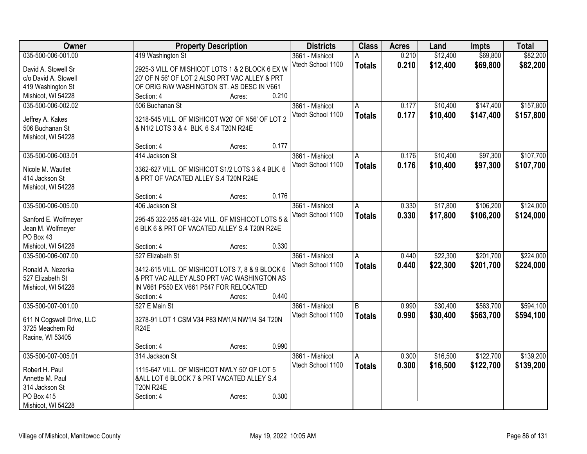| Owner                                        |                                         | <b>Property Description</b>                       | <b>Districts</b>  | <b>Class</b>  | <b>Acres</b> | Land     | <b>Impts</b> | <b>Total</b> |
|----------------------------------------------|-----------------------------------------|---------------------------------------------------|-------------------|---------------|--------------|----------|--------------|--------------|
| 035-500-006-001.00                           | 419 Washington St                       |                                                   | 3661 - Mishicot   | Α             | 0.210        | \$12,400 | \$69,800     | \$82,200     |
| David A. Stowell Sr                          |                                         | 2925-3 VILL OF MISHICOT LOTS 1 & 2 BLOCK 6 EX W   | Vtech School 1100 | <b>Totals</b> | 0.210        | \$12,400 | \$69,800     | \$82,200     |
| c/o David A. Stowell                         |                                         | 20' OF N 56' OF LOT 2 ALSO PRT VAC ALLEY & PRT    |                   |               |              |          |              |              |
| 419 Washington St                            |                                         | OF ORIG R/W WASHINGTON ST. AS DESC IN V661        |                   |               |              |          |              |              |
| Mishicot, WI 54228                           | Section: 4                              | Acres:                                            | 0.210             |               |              |          |              |              |
| 035-500-006-002.02                           | 506 Buchanan St                         |                                                   | 3661 - Mishicot   | A             | 0.177        | \$10,400 | \$147,400    | \$157,800    |
|                                              |                                         |                                                   | Vtech School 1100 | <b>Totals</b> | 0.177        | \$10,400 | \$147,400    | \$157,800    |
| Jeffrey A. Kakes                             |                                         | 3218-545 VILL. OF MISHICOT W20' OF N56' OF LOT 2  |                   |               |              |          |              |              |
| 506 Buchanan St                              | & N1/2 LOTS 3 & 4 BLK. 6 S.4 T20N R24E  |                                                   |                   |               |              |          |              |              |
| Mishicot, WI 54228                           |                                         |                                                   |                   |               |              |          |              |              |
|                                              | Section: 4                              | Acres:                                            | 0.177             |               |              |          |              |              |
| 035-500-006-003.01                           | 414 Jackson St                          |                                                   | 3661 - Mishicot   | A             | 0.176        | \$10,400 | \$97,300     | \$107,700    |
| Nicole M. Wautlet                            |                                         | 3362-627 VILL. OF MISHICOT S1/2 LOTS 3 & 4 BLK. 6 | Vtech School 1100 | <b>Totals</b> | 0.176        | \$10,400 | \$97,300     | \$107,700    |
| 414 Jackson St                               | & PRT OF VACATED ALLEY S.4 T20N R24E    |                                                   |                   |               |              |          |              |              |
| Mishicot, WI 54228                           |                                         |                                                   |                   |               |              |          |              |              |
|                                              | Section: 4                              | Acres:                                            | 0.176             |               |              |          |              |              |
| 035-500-006-005.00                           | 406 Jackson St                          |                                                   | 3661 - Mishicot   | A             | 0.330        | \$17,800 | \$106,200    | \$124,000    |
|                                              |                                         |                                                   | Vtech School 1100 | <b>Totals</b> | 0.330        | \$17,800 | \$106,200    | \$124,000    |
| Sanford E. Wolfmeyer                         |                                         | 295-45 322-255 481-324 VILL. OF MISHICOT LOTS 5 & |                   |               |              |          |              |              |
| Jean M. Wolfmeyer                            |                                         | 6 BLK 6 & PRT OF VACATED ALLEY S.4 T20N R24E      |                   |               |              |          |              |              |
| PO Box 43                                    |                                         |                                                   |                   |               |              |          |              |              |
| Mishicot, WI 54228                           | Section: 4                              | Acres:                                            | 0.330             |               |              |          |              |              |
| 035-500-006-007.00                           | 527 Elizabeth St                        |                                                   | 3661 - Mishicot   | Α             | 0.440        | \$22,300 | \$201,700    | \$224,000    |
| Ronald A. Nezerka                            |                                         | 3412-615 VILL. OF MISHICOT LOTS 7, 8 & 9 BLOCK 6  | Vtech School 1100 | <b>Totals</b> | 0.440        | \$22,300 | \$201,700    | \$224,000    |
| 527 Elizabeth St                             |                                         | & PRT VAC ALLEY ALSO PRT VAC WASHINGTON AS        |                   |               |              |          |              |              |
| Mishicot, WI 54228                           | IN V661 P550 EX V661 P547 FOR RELOCATED |                                                   |                   |               |              |          |              |              |
|                                              | Section: 4                              | Acres:                                            | 0.440             |               |              |          |              |              |
| 035-500-007-001.00                           | 527 E Main St                           |                                                   | 3661 - Mishicot   | B             | 0.990        | \$30,400 | \$563,700    | \$594,100    |
|                                              |                                         |                                                   | Vtech School 1100 | <b>Totals</b> | 0.990        | \$30,400 | \$563,700    | \$594,100    |
| 611 N Cogswell Drive, LLC<br>3725 Meachem Rd | <b>R24E</b>                             | 3278-91 LOT 1 CSM V34 P83 NW1/4 NW1/4 S4 T20N     |                   |               |              |          |              |              |
|                                              |                                         |                                                   |                   |               |              |          |              |              |
| Racine, WI 53405                             | Section: 4                              | Acres:                                            | 0.990             |               |              |          |              |              |
| 035-500-007-005.01                           | 314 Jackson St                          |                                                   | 3661 - Mishicot   | A             | 0.300        | \$16,500 | \$122,700    | \$139,200    |
|                                              |                                         |                                                   | Vtech School 1100 |               | 0.300        | \$16,500 | \$122,700    | \$139,200    |
| Robert H. Paul                               |                                         | 1115-647 VILL. OF MISHICOT NWLY 50' OF LOT 5      |                   | <b>Totals</b> |              |          |              |              |
| Annette M. Paul                              |                                         | &ALL LOT 6 BLOCK 7 & PRT VACATED ALLEY S.4        |                   |               |              |          |              |              |
| 314 Jackson St                               | <b>T20N R24E</b>                        |                                                   |                   |               |              |          |              |              |
| PO Box 415                                   | Section: 4                              | Acres:                                            | 0.300             |               |              |          |              |              |
| Mishicot, WI 54228                           |                                         |                                                   |                   |               |              |          |              |              |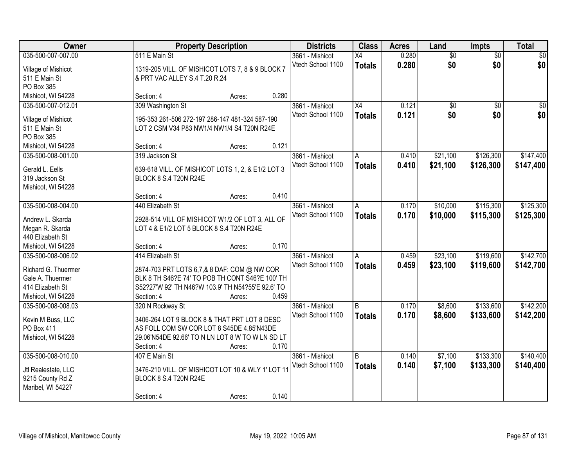| Owner               |                                                                                                | <b>Property Description</b> |       | <b>Districts</b>  | <b>Class</b>    | <b>Acres</b> | Land            | Impts           | <b>Total</b>    |
|---------------------|------------------------------------------------------------------------------------------------|-----------------------------|-------|-------------------|-----------------|--------------|-----------------|-----------------|-----------------|
| 035-500-007-007.00  | 511 E Main St                                                                                  |                             |       | 3661 - Mishicot   | $\overline{X4}$ | 0.280        | $\overline{60}$ | $\overline{50}$ | \$0             |
| Village of Mishicot | 1319-205 VILL. OF MISHICOT LOTS 7, 8 & 9 BLOCK 7                                               |                             |       | Vtech School 1100 | <b>Totals</b>   | 0.280        | \$0             | \$0             | \$0             |
| 511 E Main St       | & PRT VAC ALLEY S.4 T.20 R.24                                                                  |                             |       |                   |                 |              |                 |                 |                 |
| PO Box 385          |                                                                                                |                             |       |                   |                 |              |                 |                 |                 |
| Mishicot, WI 54228  | Section: 4                                                                                     | Acres:                      | 0.280 |                   |                 |              |                 |                 |                 |
| 035-500-007-012.01  | 309 Washington St                                                                              |                             |       | 3661 - Mishicot   | $\overline{X4}$ | 0.121        | $\overline{50}$ | $\overline{50}$ | $\overline{30}$ |
| Village of Mishicot | 195-353 261-506 272-197 286-147 481-324 587-190                                                |                             |       | Vtech School 1100 | <b>Totals</b>   | 0.121        | \$0             | \$0             | \$0             |
| 511 E Main St       | LOT 2 CSM V34 P83 NW1/4 NW1/4 S4 T20N R24E                                                     |                             |       |                   |                 |              |                 |                 |                 |
| PO Box 385          |                                                                                                |                             |       |                   |                 |              |                 |                 |                 |
| Mishicot, WI 54228  | Section: 4                                                                                     | Acres:                      | 0.121 |                   |                 |              |                 |                 |                 |
| 035-500-008-001.00  | 319 Jackson St                                                                                 |                             |       | 3661 - Mishicot   | A               | 0.410        | \$21,100        | \$126,300       | \$147,400       |
|                     |                                                                                                |                             |       | Vtech School 1100 | <b>Totals</b>   | 0.410        | \$21,100        | \$126,300       | \$147,400       |
| Gerald L. Eells     | 639-618 VILL. OF MISHICOT LOTS 1, 2, & E1/2 LOT 3                                              |                             |       |                   |                 |              |                 |                 |                 |
| 319 Jackson St      | BLOCK 8 S.4 T20N R24E                                                                          |                             |       |                   |                 |              |                 |                 |                 |
| Mishicot, WI 54228  |                                                                                                |                             |       |                   |                 |              |                 |                 |                 |
|                     | Section: 4                                                                                     | Acres:                      | 0.410 |                   |                 |              |                 |                 |                 |
| 035-500-008-004.00  | 440 Elizabeth St                                                                               |                             |       | 3661 - Mishicot   | A               | 0.170        | \$10,000        | \$115,300       | \$125,300       |
| Andrew L. Skarda    | 2928-514 VILL OF MISHICOT W1/2 OF LOT 3, ALL OF                                                |                             |       | Vtech School 1100 | <b>Totals</b>   | 0.170        | \$10,000        | \$115,300       | \$125,300       |
| Megan R. Skarda     | LOT 4 & E1/2 LOT 5 BLOCK 8 S.4 T20N R24E                                                       |                             |       |                   |                 |              |                 |                 |                 |
| 440 Elizabeth St    |                                                                                                |                             |       |                   |                 |              |                 |                 |                 |
| Mishicot, WI 54228  | Section: 4                                                                                     | Acres:                      | 0.170 |                   |                 |              |                 |                 |                 |
| 035-500-008-006.02  | 414 Elizabeth St                                                                               |                             |       | 3661 - Mishicot   | A               | 0.459        | \$23,100        | \$119,600       | \$142,700       |
| Richard G. Thuermer |                                                                                                |                             |       | Vtech School 1100 | <b>Totals</b>   | 0.459        | \$23,100        | \$119,600       | \$142,700       |
| Gale A. Thuermer    | 2874-703 PRT LOTS 6,7,& 8 DAF: COM @ NW COR<br>BLK 8 TH S46?E 74' TO POB TH CONT S46?E 100' TH |                             |       |                   |                 |              |                 |                 |                 |
| 414 Elizabeth St    | S52?27'W 92' TH N46?W 103.9' TH N54?55'E 92.6' TO                                              |                             |       |                   |                 |              |                 |                 |                 |
| Mishicot, WI 54228  | Section: 4                                                                                     | Acres:                      | 0.459 |                   |                 |              |                 |                 |                 |
| 035-500-008-008.03  | 320 N Rockway St                                                                               |                             |       | 3661 - Mishicot   | $\overline{B}$  | 0.170        | \$8,600         | \$133,600       | \$142,200       |
|                     |                                                                                                |                             |       | Vtech School 1100 | <b>Totals</b>   | 0.170        | \$8,600         | \$133,600       | \$142,200       |
| Kevin M Buss, LLC   | 3406-264 LOT 9 BLOCK 8 & THAT PRT LOT 8 DESC                                                   |                             |       |                   |                 |              |                 |                 |                 |
| PO Box 411          | AS FOLL COM SW COR LOT 8 S45DE 4.85'N43DE                                                      |                             |       |                   |                 |              |                 |                 |                 |
| Mishicot, WI 54228  | 29.06'N54DE 92.66' TO N LN LOT 8 W TO W LN SD LT                                               |                             |       |                   |                 |              |                 |                 |                 |
|                     | Section: 4                                                                                     | Acres:                      | 0.170 |                   |                 |              |                 |                 |                 |
| 035-500-008-010.00  | 407 E Main St                                                                                  |                             |       | 3661 - Mishicot   | B               | 0.140        | \$7,100         | \$133,300       | \$140,400       |
| Jtl Realestate, LLC | 3476-210 VILL. OF MISHICOT LOT 10 & WLY 1' LOT 11                                              |                             |       | Vtech School 1100 | <b>Totals</b>   | 0.140        | \$7,100         | \$133,300       | \$140,400       |
| 9215 County Rd Z    | BLOCK 8 S.4 T20N R24E                                                                          |                             |       |                   |                 |              |                 |                 |                 |
| Maribel, WI 54227   |                                                                                                |                             |       |                   |                 |              |                 |                 |                 |
|                     | Section: 4                                                                                     | Acres:                      | 0.140 |                   |                 |              |                 |                 |                 |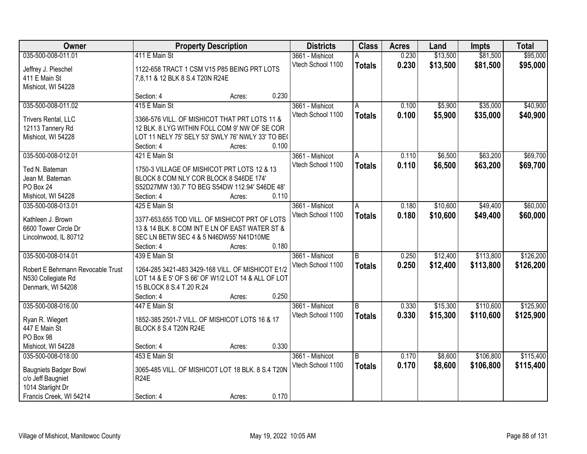| Owner                             |                                                    | <b>Property Description</b> |       |                   | <b>Class</b>   | <b>Acres</b> | Land     | <b>Impts</b> | <b>Total</b> |
|-----------------------------------|----------------------------------------------------|-----------------------------|-------|-------------------|----------------|--------------|----------|--------------|--------------|
| 035-500-008-011.01                | 411 E Main St                                      |                             |       | 3661 - Mishicot   | А              | 0.230        | \$13,500 | \$81,500     | \$95,000     |
| Jeffrey J. Pieschel               | 1122-658 TRACT 1 CSM V15 P85 BEING PRT LOTS        |                             |       | Vtech School 1100 | <b>Totals</b>  | 0.230        | \$13,500 | \$81,500     | \$95,000     |
| 411 E Main St                     | 7,8,11 & 12 BLK 8 S.4 T20N R24E                    |                             |       |                   |                |              |          |              |              |
| Mishicot, WI 54228                |                                                    |                             |       |                   |                |              |          |              |              |
|                                   | Section: 4                                         | Acres:                      | 0.230 |                   |                |              |          |              |              |
| 035-500-008-011.02                | 415 E Main St                                      |                             |       | 3661 - Mishicot   | A              | 0.100        | \$5,900  | \$35,000     | \$40,900     |
|                                   |                                                    |                             |       | Vtech School 1100 | <b>Totals</b>  | 0.100        | \$5,900  | \$35,000     | \$40,900     |
| Trivers Rental, LLC               | 3366-576 VILL. OF MISHICOT THAT PRT LOTS 11 &      |                             |       |                   |                |              |          |              |              |
| 12113 Tannery Rd                  | 12 BLK. 8 LYG WITHIN FOLL COM 9' NW OF SE COR      |                             |       |                   |                |              |          |              |              |
| Mishicot, WI 54228                | LOT 11 NELY 75' SELY 53' SWLY 76' NWLY 33' TO BE(  |                             |       |                   |                |              |          |              |              |
|                                   | Section: 4                                         | Acres:                      | 0.100 |                   |                |              |          |              |              |
| 035-500-008-012.01                | 421 E Main St                                      |                             |       | 3661 - Mishicot   | A              | 0.110        | \$6,500  | \$63,200     | \$69,700     |
| Ted N. Bateman                    | 1750-3 VILLAGE OF MISHICOT PRT LOTS 12 & 13        |                             |       | Vtech School 1100 | <b>Totals</b>  | 0.110        | \$6,500  | \$63,200     | \$69,700     |
| Jean M. Bateman                   | BLOCK 8 COM NLY COR BLOCK 8 S46DE 174'             |                             |       |                   |                |              |          |              |              |
| PO Box 24                         | S52D27MW 130.7' TO BEG S54DW 112.94' S46DE 48'     |                             |       |                   |                |              |          |              |              |
| Mishicot, WI 54228                | Section: 4                                         | Acres:                      | 0.110 |                   |                |              |          |              |              |
| 035-500-008-013.01                | 425 E Main St                                      |                             |       | 3661 - Mishicot   | A              | 0.180        | \$10,600 | \$49,400     | \$60,000     |
|                                   |                                                    |                             |       | Vtech School 1100 | <b>Totals</b>  | 0.180        | \$10,600 | \$49,400     | \$60,000     |
| Kathleen J. Brown                 | 3377-653,655 TOD VILL. OF MISHICOT PRT OF LOTS     |                             |       |                   |                |              |          |              |              |
| 6600 Tower Circle Dr              | 13 & 14 BLK. 8 COM INT E LN OF EAST WATER ST &     |                             |       |                   |                |              |          |              |              |
| Lincolnwood, IL 80712             | SEC LN BETW SEC 4 & 5 N46DW55' N41D10ME            |                             |       |                   |                |              |          |              |              |
|                                   | Section: 4                                         | Acres:                      | 0.180 |                   |                |              |          |              |              |
| 035-500-008-014.01                | 439 E Main St                                      |                             |       | 3661 - Mishicot   | $\overline{B}$ | 0.250        | \$12,400 | \$113,800    | \$126,200    |
| Robert E Behrmann Revocable Trust | 1264-285 3421-483 3429-168 VILL. OF MISHICOT E1/2  |                             |       | Vtech School 1100 | <b>Totals</b>  | 0.250        | \$12,400 | \$113,800    | \$126,200    |
| N530 Collegiate Rd                | LOT 14 & E 5' OF S 66' OF W1/2 LOT 14 & ALL OF LOT |                             |       |                   |                |              |          |              |              |
| Denmark, WI 54208                 | 15 BLOCK 8 S.4 T.20 R.24                           |                             |       |                   |                |              |          |              |              |
|                                   | Section: 4                                         | Acres:                      | 0.250 |                   |                |              |          |              |              |
| 035-500-008-016.00                | 447 E Main St                                      |                             |       | 3661 - Mishicot   | B              | 0.330        | \$15,300 | \$110,600    | \$125,900    |
|                                   | 1852-385 2501-7 VILL. OF MISHICOT LOTS 16 & 17     |                             |       | Vtech School 1100 | <b>Totals</b>  | 0.330        | \$15,300 | \$110,600    | \$125,900    |
| Ryan R. Wiegert<br>447 E Main St  |                                                    |                             |       |                   |                |              |          |              |              |
| PO Box 98                         | BLOCK 8 S.4 T20N R24E                              |                             |       |                   |                |              |          |              |              |
| Mishicot, WI 54228                | Section: 4                                         |                             | 0.330 |                   |                |              |          |              |              |
| 035-500-008-018.00                | 453 E Main St                                      | Acres:                      |       |                   | B              |              |          |              |              |
|                                   |                                                    |                             |       | 3661 - Mishicot   |                | 0.170        | \$8,600  | \$106,800    | \$115,400    |
| <b>Baugniets Badger Bowl</b>      | 3065-485 VILL. OF MISHICOT LOT 18 BLK. 8 S.4 T20N  |                             |       | Vtech School 1100 | <b>Totals</b>  | 0.170        | \$8,600  | \$106,800    | \$115,400    |
| c/o Jeff Baugniet                 | <b>R24E</b>                                        |                             |       |                   |                |              |          |              |              |
| 1014 Starlight Dr                 |                                                    |                             |       |                   |                |              |          |              |              |
| Francis Creek, WI 54214           | Section: 4                                         | Acres:                      | 0.170 |                   |                |              |          |              |              |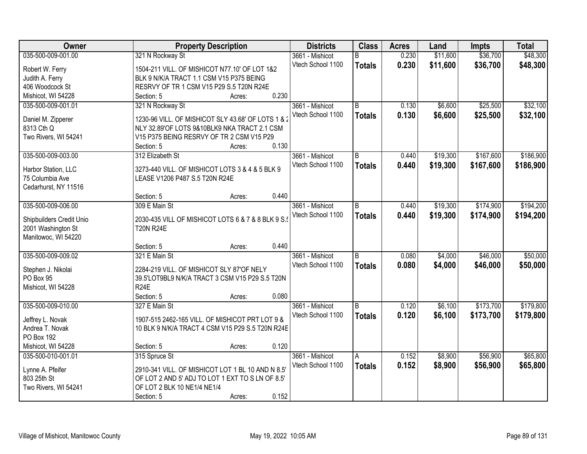| Owner                                     | <b>Property Description</b>                                           |                 | <b>Districts</b>  | <b>Class</b>   | <b>Acres</b> | Land     | <b>Impts</b> | <b>Total</b> |
|-------------------------------------------|-----------------------------------------------------------------------|-----------------|-------------------|----------------|--------------|----------|--------------|--------------|
| 035-500-009-001.00                        | 321 N Rockway St                                                      |                 | 3661 - Mishicot   | B              | 0.230        | \$11,600 | \$36,700     | \$48,300     |
| Robert W. Ferry                           | 1504-211 VILL. OF MISHICOT N77.10' OF LOT 1&2                         |                 | Vtech School 1100 | <b>Totals</b>  | 0.230        | \$11,600 | \$36,700     | \$48,300     |
| Judith A. Ferry                           | BLK 9 N/K/A TRACT 1.1 CSM V15 P375 BEING                              |                 |                   |                |              |          |              |              |
| 406 Woodcock St                           | RESRVY OF TR 1 CSM V15 P29 S.5 T20N R24E                              |                 |                   |                |              |          |              |              |
| Mishicot, WI 54228                        | Section: 5                                                            | 0.230<br>Acres: |                   |                |              |          |              |              |
| 035-500-009-001.01                        | 321 N Rockway St                                                      |                 | 3661 - Mishicot   | $\overline{B}$ | 0.130        | \$6,600  | \$25,500     | \$32,100     |
|                                           |                                                                       |                 | Vtech School 1100 | <b>Totals</b>  | 0.130        | \$6,600  | \$25,500     | \$32,100     |
| Daniel M. Zipperer                        | 1230-96 VILL. OF MISHICOT SLY 43.68' OF LOTS 1 & 2                    |                 |                   |                |              |          |              |              |
| 8313 Cth Q                                | NLY 32.89'OF LOTS 9&10BLK9 NKA TRACT 2.1 CSM                          |                 |                   |                |              |          |              |              |
| Two Rivers, WI 54241                      | V15 P375 BEING RESRVY OF TR 2 CSM V15 P29                             | 0.130           |                   |                |              |          |              |              |
|                                           | Section: 5                                                            | Acres:          |                   |                |              |          |              |              |
| 035-500-009-003.00                        | 312 Elizabeth St                                                      |                 | 3661 - Mishicot   | $\overline{B}$ | 0.440        | \$19,300 | \$167,600    | \$186,900    |
| Harbor Station, LLC                       | 3273-440 VILL. OF MISHICOT LOTS 3 & 4 & 5 BLK 9                       |                 | Vtech School 1100 | <b>Totals</b>  | 0.440        | \$19,300 | \$167,600    | \$186,900    |
| 75 Columbia Ave                           | LEASE V1206 P487 S.5 T20N R24E                                        |                 |                   |                |              |          |              |              |
| Cedarhurst, NY 11516                      |                                                                       |                 |                   |                |              |          |              |              |
|                                           | Section: 5                                                            | 0.440<br>Acres: |                   |                |              |          |              |              |
| 035-500-009-006.00                        | 309 E Main St                                                         |                 | 3661 - Mishicot   | B              | 0.440        | \$19,300 | \$174,900    | \$194,200    |
|                                           |                                                                       |                 | Vtech School 1100 | <b>Totals</b>  | 0.440        | \$19,300 | \$174,900    | \$194,200    |
| Shipbuilders Credit Unio                  | 2030-435 VILL OF MISHICOT LOTS 6 & 7 & 8 BLK 9 S.<br><b>T20N R24E</b> |                 |                   |                |              |          |              |              |
| 2001 Washington St<br>Manitowoc, WI 54220 |                                                                       |                 |                   |                |              |          |              |              |
|                                           | Section: 5                                                            | 0.440<br>Acres: |                   |                |              |          |              |              |
| 035-500-009-009.02                        | 321 E Main St                                                         |                 | 3661 - Mishicot   | $\overline{B}$ | 0.080        | \$4,000  | \$46,000     | \$50,000     |
|                                           |                                                                       |                 | Vtech School 1100 |                | 0.080        |          |              |              |
| Stephen J. Nikolai                        | 2284-219 VILL. OF MISHICOT SLY 87'OF NELY                             |                 |                   | <b>Totals</b>  |              | \$4,000  | \$46,000     | \$50,000     |
| PO Box 95                                 | 39.5'LOT9BL9 N/K/A TRACT 3 CSM V15 P29 S.5 T20N                       |                 |                   |                |              |          |              |              |
| Mishicot, WI 54228                        | <b>R24E</b>                                                           |                 |                   |                |              |          |              |              |
|                                           | Section: 5                                                            | 0.080<br>Acres: |                   |                |              |          |              |              |
| 035-500-009-010.00                        | 327 E Main St                                                         |                 | 3661 - Mishicot   | B              | 0.120        | \$6,100  | \$173,700    | \$179,800    |
| Jeffrey L. Novak                          | 1907-515 2462-165 VILL, OF MISHICOT PRT LOT 9 &                       |                 | Vtech School 1100 | <b>Totals</b>  | 0.120        | \$6,100  | \$173,700    | \$179,800    |
| Andrea T. Novak                           | 10 BLK 9 N/K/A TRACT 4 CSM V15 P29 S.5 T20N R24E                      |                 |                   |                |              |          |              |              |
| PO Box 192                                |                                                                       |                 |                   |                |              |          |              |              |
| Mishicot, WI 54228                        | Section: 5                                                            | 0.120<br>Acres: |                   |                |              |          |              |              |
| 035-500-010-001.01                        | 315 Spruce St                                                         |                 | 3661 - Mishicot   | Α              | 0.152        | \$8,900  | \$56,900     | \$65,800     |
|                                           |                                                                       |                 | Vtech School 1100 | <b>Totals</b>  | 0.152        | \$8,900  | \$56,900     | \$65,800     |
| Lynne A. Pfeifer                          | 2910-341 VILL. OF MISHICOT LOT 1 BL 10 AND N 8.5'                     |                 |                   |                |              |          |              |              |
| 803 25th St                               | OF LOT 2 AND 5' ADJ TO LOT 1 EXT TO S LN OF 8.5'                      |                 |                   |                |              |          |              |              |
| Two Rivers, WI 54241                      | OF LOT 2 BLK 10 NE1/4 NE1/4                                           |                 |                   |                |              |          |              |              |
|                                           | Section: 5                                                            | 0.152<br>Acres: |                   |                |              |          |              |              |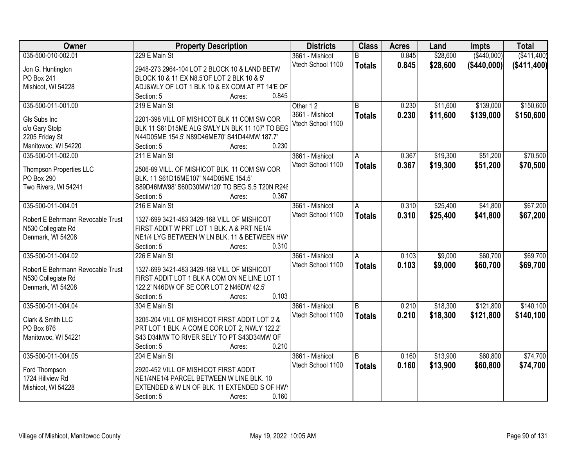| 035-500-010-002.01<br>229 E Main St<br>\$28,600<br>( \$440,000)<br>( \$411,400)<br>3661 - Mishicot<br>0.845<br>R<br>0.845<br>Vtech School 1100<br>\$28,600<br>( \$440,000]<br>( \$411,400)<br><b>Totals</b><br>2948-273 2964-104 LOT 2 BLOCK 10 & LAND BETW<br>Jon G. Huntington<br><b>PO Box 241</b><br>BLOCK 10 & 11 EX N8.5'OF LOT 2 BLK 10 & 5'<br>Mishicot, WI 54228<br>ADJ&WLY OF LOT 1 BLK 10 & EX COM AT PT 14'E OF<br>0.845<br>Section: 5<br>Acres:<br>035-500-011-001.00<br>219 E Main St<br>\$11,600<br>\$139,000<br>Other 12<br>R.<br>0.230<br>0.230<br>\$139,000<br>3661 - Mishicot<br>\$11,600<br><b>Totals</b><br>Gls Subs Inc<br>2201-398 VILL OF MISHICOT BLK 11 COM SW COR<br>Vtech School 1100<br>c/o Gary Stolp<br>BLK 11 S61D15ME ALG SWLY LN BLK 11 107' TO BEG<br>2205 Friday St<br>N44D05ME 154.5' N89D46ME70' S41D44MW 187.7'<br>0.230<br>Manitowoc, WI 54220<br>Section: 5<br>Acres:<br>035-500-011-002.00<br>\$19,300<br>\$51,200<br>211 E Main St<br>3661 - Mishicot<br>0.367<br>A<br>Vtech School 1100<br>0.367<br>\$19,300<br>\$51,200<br><b>Totals</b><br>2506-89 VILL. OF MISHICOT BLK. 11 COM SW COR<br>Thompson Properties LLC<br>PO Box 290<br>BLK. 11 S61D15ME107' N44D05ME 154.5'<br>Two Rivers, WI 54241<br>S89D46MW98' S60D30MW120' TO BEG S.5 T20N R24E<br>0.367<br>Section: 5<br>Acres: |
|----------------------------------------------------------------------------------------------------------------------------------------------------------------------------------------------------------------------------------------------------------------------------------------------------------------------------------------------------------------------------------------------------------------------------------------------------------------------------------------------------------------------------------------------------------------------------------------------------------------------------------------------------------------------------------------------------------------------------------------------------------------------------------------------------------------------------------------------------------------------------------------------------------------------------------------------------------------------------------------------------------------------------------------------------------------------------------------------------------------------------------------------------------------------------------------------------------------------------------------------------------------------------------------------------------------------------------|
|                                                                                                                                                                                                                                                                                                                                                                                                                                                                                                                                                                                                                                                                                                                                                                                                                                                                                                                                                                                                                                                                                                                                                                                                                                                                                                                                  |
|                                                                                                                                                                                                                                                                                                                                                                                                                                                                                                                                                                                                                                                                                                                                                                                                                                                                                                                                                                                                                                                                                                                                                                                                                                                                                                                                  |
|                                                                                                                                                                                                                                                                                                                                                                                                                                                                                                                                                                                                                                                                                                                                                                                                                                                                                                                                                                                                                                                                                                                                                                                                                                                                                                                                  |
|                                                                                                                                                                                                                                                                                                                                                                                                                                                                                                                                                                                                                                                                                                                                                                                                                                                                                                                                                                                                                                                                                                                                                                                                                                                                                                                                  |
| \$150,600<br>\$150,600<br>\$70,500<br>\$70,500                                                                                                                                                                                                                                                                                                                                                                                                                                                                                                                                                                                                                                                                                                                                                                                                                                                                                                                                                                                                                                                                                                                                                                                                                                                                                   |
|                                                                                                                                                                                                                                                                                                                                                                                                                                                                                                                                                                                                                                                                                                                                                                                                                                                                                                                                                                                                                                                                                                                                                                                                                                                                                                                                  |
|                                                                                                                                                                                                                                                                                                                                                                                                                                                                                                                                                                                                                                                                                                                                                                                                                                                                                                                                                                                                                                                                                                                                                                                                                                                                                                                                  |
|                                                                                                                                                                                                                                                                                                                                                                                                                                                                                                                                                                                                                                                                                                                                                                                                                                                                                                                                                                                                                                                                                                                                                                                                                                                                                                                                  |
|                                                                                                                                                                                                                                                                                                                                                                                                                                                                                                                                                                                                                                                                                                                                                                                                                                                                                                                                                                                                                                                                                                                                                                                                                                                                                                                                  |
|                                                                                                                                                                                                                                                                                                                                                                                                                                                                                                                                                                                                                                                                                                                                                                                                                                                                                                                                                                                                                                                                                                                                                                                                                                                                                                                                  |
|                                                                                                                                                                                                                                                                                                                                                                                                                                                                                                                                                                                                                                                                                                                                                                                                                                                                                                                                                                                                                                                                                                                                                                                                                                                                                                                                  |
|                                                                                                                                                                                                                                                                                                                                                                                                                                                                                                                                                                                                                                                                                                                                                                                                                                                                                                                                                                                                                                                                                                                                                                                                                                                                                                                                  |
|                                                                                                                                                                                                                                                                                                                                                                                                                                                                                                                                                                                                                                                                                                                                                                                                                                                                                                                                                                                                                                                                                                                                                                                                                                                                                                                                  |
|                                                                                                                                                                                                                                                                                                                                                                                                                                                                                                                                                                                                                                                                                                                                                                                                                                                                                                                                                                                                                                                                                                                                                                                                                                                                                                                                  |
|                                                                                                                                                                                                                                                                                                                                                                                                                                                                                                                                                                                                                                                                                                                                                                                                                                                                                                                                                                                                                                                                                                                                                                                                                                                                                                                                  |
|                                                                                                                                                                                                                                                                                                                                                                                                                                                                                                                                                                                                                                                                                                                                                                                                                                                                                                                                                                                                                                                                                                                                                                                                                                                                                                                                  |
| \$41,800<br>\$67,200<br>035-500-011-004.01<br>216 E Main St<br>\$25,400<br>3661 - Mishicot<br>0.310<br>A                                                                                                                                                                                                                                                                                                                                                                                                                                                                                                                                                                                                                                                                                                                                                                                                                                                                                                                                                                                                                                                                                                                                                                                                                         |
| Vtech School 1100<br>0.310<br>\$25,400<br>\$41,800<br>\$67,200<br><b>Totals</b>                                                                                                                                                                                                                                                                                                                                                                                                                                                                                                                                                                                                                                                                                                                                                                                                                                                                                                                                                                                                                                                                                                                                                                                                                                                  |
| Robert E Behrmann Revocable Trust<br>1327-699 3421-483 3429-168 VILL OF MISHICOT                                                                                                                                                                                                                                                                                                                                                                                                                                                                                                                                                                                                                                                                                                                                                                                                                                                                                                                                                                                                                                                                                                                                                                                                                                                 |
| N530 Collegiate Rd<br>FIRST ADDIT W PRT LOT 1 BLK. A & PRT NE1/4                                                                                                                                                                                                                                                                                                                                                                                                                                                                                                                                                                                                                                                                                                                                                                                                                                                                                                                                                                                                                                                                                                                                                                                                                                                                 |
| Denmark, WI 54208<br>NE1/4 LYG BETWEEN W LN BLK. 11 & BETWEEN HW                                                                                                                                                                                                                                                                                                                                                                                                                                                                                                                                                                                                                                                                                                                                                                                                                                                                                                                                                                                                                                                                                                                                                                                                                                                                 |
| 0.310<br>Section: 5<br>Acres:                                                                                                                                                                                                                                                                                                                                                                                                                                                                                                                                                                                                                                                                                                                                                                                                                                                                                                                                                                                                                                                                                                                                                                                                                                                                                                    |
| \$69,700<br>035-500-011-004.02<br>\$9,000<br>\$60,700<br>226 E Main St<br>0.103<br>3661 - Mishicot<br>A                                                                                                                                                                                                                                                                                                                                                                                                                                                                                                                                                                                                                                                                                                                                                                                                                                                                                                                                                                                                                                                                                                                                                                                                                          |
| 0.103<br>\$9,000<br>\$60,700<br>Vtech School 1100<br>\$69,700<br><b>Totals</b><br>Robert E Behrmann Revocable Trust<br>1327-699 3421-483 3429-168 VILL OF MISHICOT                                                                                                                                                                                                                                                                                                                                                                                                                                                                                                                                                                                                                                                                                                                                                                                                                                                                                                                                                                                                                                                                                                                                                               |
| N530 Collegiate Rd<br>FIRST ADDIT LOT 1 BLK A COM ON NE LINE LOT 1                                                                                                                                                                                                                                                                                                                                                                                                                                                                                                                                                                                                                                                                                                                                                                                                                                                                                                                                                                                                                                                                                                                                                                                                                                                               |
| Denmark, WI 54208<br>122.2' N46DW OF SE COR LOT 2 N46DW 42.5'                                                                                                                                                                                                                                                                                                                                                                                                                                                                                                                                                                                                                                                                                                                                                                                                                                                                                                                                                                                                                                                                                                                                                                                                                                                                    |
| 0.103<br>Section: 5<br>Acres:                                                                                                                                                                                                                                                                                                                                                                                                                                                                                                                                                                                                                                                                                                                                                                                                                                                                                                                                                                                                                                                                                                                                                                                                                                                                                                    |
| \$121,800<br>\$140,100<br>035-500-011-004.04<br>3661 - Mishicot<br>$\overline{B}$<br>0.210<br>\$18,300<br>304 E Main St                                                                                                                                                                                                                                                                                                                                                                                                                                                                                                                                                                                                                                                                                                                                                                                                                                                                                                                                                                                                                                                                                                                                                                                                          |
| Vtech School 1100<br>0.210<br>\$18,300<br>\$121,800<br>\$140,100<br><b>Totals</b>                                                                                                                                                                                                                                                                                                                                                                                                                                                                                                                                                                                                                                                                                                                                                                                                                                                                                                                                                                                                                                                                                                                                                                                                                                                |
| Clark & Smith LLC<br>3205-204 VILL OF MISHICOT FIRST ADDIT LOT 2 &                                                                                                                                                                                                                                                                                                                                                                                                                                                                                                                                                                                                                                                                                                                                                                                                                                                                                                                                                                                                                                                                                                                                                                                                                                                               |
| PRT LOT 1 BLK. A COM E COR LOT 2, NWLY 122.2'<br>PO Box 876                                                                                                                                                                                                                                                                                                                                                                                                                                                                                                                                                                                                                                                                                                                                                                                                                                                                                                                                                                                                                                                                                                                                                                                                                                                                      |
| S43 D34MW TO RIVER SELY TO PT S43D34MW OF<br>Manitowoc, WI 54221                                                                                                                                                                                                                                                                                                                                                                                                                                                                                                                                                                                                                                                                                                                                                                                                                                                                                                                                                                                                                                                                                                                                                                                                                                                                 |
| 0.210<br>Section: 5<br>Acres:                                                                                                                                                                                                                                                                                                                                                                                                                                                                                                                                                                                                                                                                                                                                                                                                                                                                                                                                                                                                                                                                                                                                                                                                                                                                                                    |
| 035-500-011-004.05<br>\$13,900<br>\$60,800<br>\$74,700<br>204 E Main St<br>0.160<br>3661 - Mishicot<br>B                                                                                                                                                                                                                                                                                                                                                                                                                                                                                                                                                                                                                                                                                                                                                                                                                                                                                                                                                                                                                                                                                                                                                                                                                         |
| Vtech School 1100<br>0.160<br>\$13,900<br>\$60,800<br>\$74,700<br><b>Totals</b><br>2920-452 VILL OF MISHICOT FIRST ADDIT<br>Ford Thompson                                                                                                                                                                                                                                                                                                                                                                                                                                                                                                                                                                                                                                                                                                                                                                                                                                                                                                                                                                                                                                                                                                                                                                                        |
| 1724 Hillview Rd<br>NE1/4NE1/4 PARCEL BETWEEN W LINE BLK. 10                                                                                                                                                                                                                                                                                                                                                                                                                                                                                                                                                                                                                                                                                                                                                                                                                                                                                                                                                                                                                                                                                                                                                                                                                                                                     |
| Mishicot, WI 54228<br>EXTENDED & W LN OF BLK. 11 EXTENDED S OF HWY                                                                                                                                                                                                                                                                                                                                                                                                                                                                                                                                                                                                                                                                                                                                                                                                                                                                                                                                                                                                                                                                                                                                                                                                                                                               |
| 0.160<br>Section: 5<br>Acres:                                                                                                                                                                                                                                                                                                                                                                                                                                                                                                                                                                                                                                                                                                                                                                                                                                                                                                                                                                                                                                                                                                                                                                                                                                                                                                    |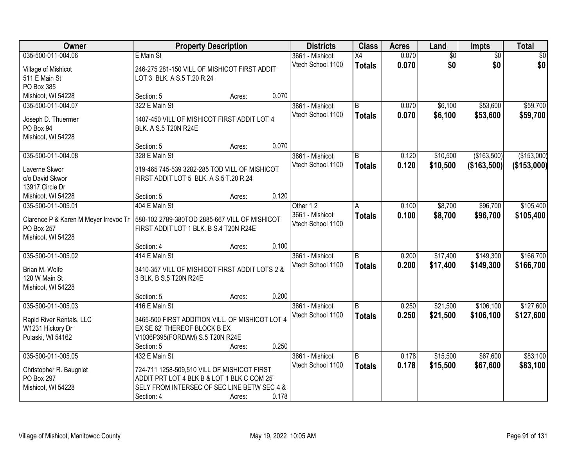| Owner                                 | <b>Property Description</b>                     |        |       | <b>Districts</b>  | <b>Class</b>    | <b>Acres</b> | Land            | <b>Impts</b>    | <b>Total</b> |
|---------------------------------------|-------------------------------------------------|--------|-------|-------------------|-----------------|--------------|-----------------|-----------------|--------------|
| 035-500-011-004.06                    | E Main St                                       |        |       | 3661 - Mishicot   | $\overline{X4}$ | 0.070        | $\overline{50}$ | $\overline{50}$ | $\sqrt{50}$  |
| Village of Mishicot                   | 246-275 281-150 VILL OF MISHICOT FIRST ADDIT    |        |       | Vtech School 1100 | <b>Totals</b>   | 0.070        | \$0             | \$0             | \$0          |
| 511 E Main St                         | LOT 3 BLK. A S.5 T.20 R.24                      |        |       |                   |                 |              |                 |                 |              |
| PO Box 385                            |                                                 |        |       |                   |                 |              |                 |                 |              |
| Mishicot, WI 54228                    | Section: 5                                      | Acres: | 0.070 |                   |                 |              |                 |                 |              |
| 035-500-011-004.07                    | 322 E Main St                                   |        |       | 3661 - Mishicot   | B               | 0.070        | \$6,100         | \$53,600        | \$59,700     |
|                                       |                                                 |        |       | Vtech School 1100 | <b>Totals</b>   | 0.070        | \$6,100         | \$53,600        | \$59,700     |
| Joseph D. Thuermer                    | 1407-450 VILL OF MISHICOT FIRST ADDIT LOT 4     |        |       |                   |                 |              |                 |                 |              |
| PO Box 94                             | BLK. A S.5 T20N R24E                            |        |       |                   |                 |              |                 |                 |              |
| Mishicot, WI 54228                    |                                                 |        | 0.070 |                   |                 |              |                 |                 |              |
|                                       | Section: 5                                      | Acres: |       |                   |                 |              |                 |                 |              |
| 035-500-011-004.08                    | 328 E Main St                                   |        |       | 3661 - Mishicot   | ΙB              | 0.120        | \$10,500        | (\$163,500)     | (\$153,000)  |
| Laverne Skwor                         | 319-465 745-539 3282-285 TOD VILL OF MISHICOT   |        |       | Vtech School 1100 | <b>Totals</b>   | 0.120        | \$10,500        | (\$163,500)     | (\$153,000)  |
| c/o David Skwor                       | FIRST ADDIT LOT 5 BLK. A S.5 T.20 R.24          |        |       |                   |                 |              |                 |                 |              |
| 13917 Circle Dr                       |                                                 |        |       |                   |                 |              |                 |                 |              |
| Mishicot, WI 54228                    | Section: 5                                      | Acres: | 0.120 |                   |                 |              |                 |                 |              |
| 035-500-011-005.01                    | 404 E Main St                                   |        |       | Other 12          | A               | 0.100        | \$8,700         | \$96,700        | \$105,400    |
| Clarence P & Karen M Meyer Irrevoc Tr | 580-102 2789-380TOD 2885-667 VILL OF MISHICOT   |        |       | 3661 - Mishicot   | <b>Totals</b>   | 0.100        | \$8,700         | \$96,700        | \$105,400    |
| PO Box 257                            | FIRST ADDIT LOT 1 BLK. B S.4 T20N R24E          |        |       | Vtech School 1100 |                 |              |                 |                 |              |
| Mishicot, WI 54228                    |                                                 |        |       |                   |                 |              |                 |                 |              |
|                                       | Section: 4                                      | Acres: | 0.100 |                   |                 |              |                 |                 |              |
| 035-500-011-005.02                    | 414 E Main St                                   |        |       | 3661 - Mishicot   | B               | 0.200        | \$17,400        | \$149,300       | \$166,700    |
|                                       |                                                 |        |       | Vtech School 1100 | <b>Totals</b>   | 0.200        | \$17,400        | \$149,300       | \$166,700    |
| Brian M. Wolfe                        | 3410-357 VILL OF MISHICOT FIRST ADDIT LOTS 2 &  |        |       |                   |                 |              |                 |                 |              |
| 120 W Main St                         | 3 BLK. B S.5 T20N R24E                          |        |       |                   |                 |              |                 |                 |              |
| Mishicot, WI 54228                    |                                                 |        |       |                   |                 |              |                 |                 |              |
|                                       | Section: 5                                      | Acres: | 0.200 |                   |                 |              |                 |                 |              |
| 035-500-011-005.03                    | 416 E Main St                                   |        |       | 3661 - Mishicot   | B               | 0.250        | \$21,500        | \$106,100       | \$127,600    |
| Rapid River Rentals, LLC              | 3465-500 FIRST ADDITION VILL. OF MISHICOT LOT 4 |        |       | Vtech School 1100 | <b>Totals</b>   | 0.250        | \$21,500        | \$106,100       | \$127,600    |
| W1231 Hickory Dr                      | EX SE 62' THEREOF BLOCK B EX                    |        |       |                   |                 |              |                 |                 |              |
| Pulaski, WI 54162                     | V1036P395(FORDAM) S.5 T20N R24E                 |        |       |                   |                 |              |                 |                 |              |
|                                       | Section: 5                                      | Acres: | 0.250 |                   |                 |              |                 |                 |              |
| 035-500-011-005.05                    | 432 E Main St                                   |        |       | 3661 - Mishicot   | l B             | 0.178        | \$15,500        | \$67,600        | \$83,100     |
|                                       |                                                 |        |       | Vtech School 1100 | <b>Totals</b>   | 0.178        | \$15,500        | \$67,600        | \$83,100     |
| Christopher R. Baugniet               | 724-711 1258-509,510 VILL OF MISHICOT FIRST     |        |       |                   |                 |              |                 |                 |              |
| PO Box 297                            | ADDIT PRT LOT 4 BLK B & LOT 1 BLK C COM 25'     |        |       |                   |                 |              |                 |                 |              |
| Mishicot, WI 54228                    | SELY FROM INTERSEC OF SEC LINE BETW SEC 4 &     |        |       |                   |                 |              |                 |                 |              |
|                                       | Section: 4                                      | Acres: | 0.178 |                   |                 |              |                 |                 |              |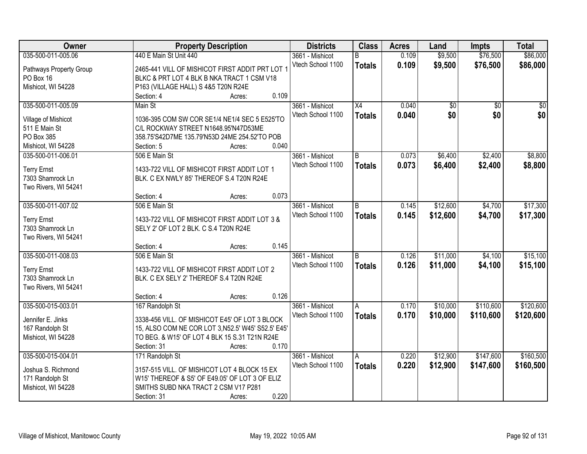| Owner                   | <b>Property Description</b>                        | <b>Districts</b>  | <b>Class</b>    | <b>Acres</b> | Land     | <b>Impts</b>    | <b>Total</b> |
|-------------------------|----------------------------------------------------|-------------------|-----------------|--------------|----------|-----------------|--------------|
| 035-500-011-005.06      | 440 E Main St Unit 440                             | 3661 - Mishicot   | R.              | 0.109        | \$9,500  | \$76,500        | \$86,000     |
| Pathways Property Group | 2465-441 VILL OF MISHICOT FIRST ADDIT PRT LOT 1    | Vtech School 1100 | <b>Totals</b>   | 0.109        | \$9,500  | \$76,500        | \$86,000     |
| PO Box 16               | BLKC & PRT LOT 4 BLK B NKA TRACT 1 CSM V18         |                   |                 |              |          |                 |              |
| Mishicot, WI 54228      | P163 (VILLAGE HALL) S 4&5 T20N R24E                |                   |                 |              |          |                 |              |
|                         | 0.109<br>Section: 4<br>Acres:                      |                   |                 |              |          |                 |              |
| 035-500-011-005.09      | Main St                                            | 3661 - Mishicot   | $\overline{X4}$ | 0.040        | \$0      | $\overline{50}$ | \$0          |
|                         |                                                    | Vtech School 1100 | <b>Totals</b>   | 0.040        | \$0      | \$0             | \$0          |
| Village of Mishicot     | 1036-395 COM SW COR SE1/4 NE1/4 SEC 5 E525'TO      |                   |                 |              |          |                 |              |
| 511 E Main St           | C/L ROCKWAY STREET N1648.95'N47D53ME               |                   |                 |              |          |                 |              |
| PO Box 385              | 358.75'S42D7ME 135.79'N53D 24ME 254.52'TO POB      |                   |                 |              |          |                 |              |
| Mishicot, WI 54228      | 0.040<br>Section: 5<br>Acres:                      |                   |                 |              |          |                 |              |
| 035-500-011-006.01      | 506 E Main St                                      | 3661 - Mishicot   | $\overline{B}$  | 0.073        | \$6,400  | \$2,400         | \$8,800      |
| <b>Terry Ernst</b>      | 1433-722 VILL OF MISHICOT FIRST ADDIT LOT 1        | Vtech School 1100 | <b>Totals</b>   | 0.073        | \$6,400  | \$2,400         | \$8,800      |
| 7303 Shamrock Ln        | BLK. C EX NWLY 85' THEREOF S.4 T20N R24E           |                   |                 |              |          |                 |              |
| Two Rivers, WI 54241    |                                                    |                   |                 |              |          |                 |              |
|                         | 0.073<br>Section: 4<br>Acres:                      |                   |                 |              |          |                 |              |
| 035-500-011-007.02      | 506 E Main St                                      | 3661 - Mishicot   | B               | 0.145        | \$12,600 | \$4,700         | \$17,300     |
|                         |                                                    | Vtech School 1100 | <b>Totals</b>   | 0.145        | \$12,600 | \$4,700         | \$17,300     |
| <b>Terry Ernst</b>      | 1433-722 VILL OF MISHICOT FIRST ADDIT LOT 3 &      |                   |                 |              |          |                 |              |
| 7303 Shamrock Ln        | SELY 2' OF LOT 2 BLK. C S.4 T20N R24E              |                   |                 |              |          |                 |              |
| Two Rivers, WI 54241    |                                                    |                   |                 |              |          |                 |              |
|                         | 0.145<br>Section: 4<br>Acres:                      |                   |                 |              |          |                 |              |
| 035-500-011-008.03      | 506 E Main St                                      | 3661 - Mishicot   | B               | 0.126        | \$11,000 | \$4,100         | \$15,100     |
| <b>Terry Ernst</b>      | 1433-722 VILL OF MISHICOT FIRST ADDIT LOT 2        | Vtech School 1100 | <b>Totals</b>   | 0.126        | \$11,000 | \$4,100         | \$15,100     |
| 7303 Shamrock Ln        | BLK. C EX SELY 2' THEREOF S.4 T20N R24E            |                   |                 |              |          |                 |              |
| Two Rivers, WI 54241    |                                                    |                   |                 |              |          |                 |              |
|                         | 0.126<br>Section: 4<br>Acres:                      |                   |                 |              |          |                 |              |
| 035-500-015-003.01      | 167 Randolph St                                    | 3661 - Mishicot   | A               | 0.170        | \$10,000 | \$110,600       | \$120,600    |
| Jennifer E. Jinks       | 3338-456 VILL. OF MISHICOT E45' OF LOT 3 BLOCK     | Vtech School 1100 | <b>Totals</b>   | 0.170        | \$10,000 | \$110,600       | \$120,600    |
|                         | 15, ALSO COM NE COR LOT 3, N52.5' W45' S52.5' E45' |                   |                 |              |          |                 |              |
| 167 Randolph St         | TO BEG. & W15' OF LOT 4 BLK 15 S.31 T21N R24E      |                   |                 |              |          |                 |              |
| Mishicot, WI 54228      | 0.170                                              |                   |                 |              |          |                 |              |
|                         | Section: 31<br>Acres:                              |                   |                 |              |          |                 |              |
| 035-500-015-004.01      | 171 Randolph St                                    | 3661 - Mishicot   | A               | 0.220        | \$12,900 | \$147,600       | \$160,500    |
| Joshua S. Richmond      | 3157-515 VILL. OF MISHICOT LOT 4 BLOCK 15 EX       | Vtech School 1100 | <b>Totals</b>   | 0.220        | \$12,900 | \$147,600       | \$160,500    |
| 171 Randolph St         | W15' THEREOF & S5' OF E49.05' OF LOT 3 OF ELIZ     |                   |                 |              |          |                 |              |
| Mishicot, WI 54228      | SMITHS SUBD NKA TRACT 2 CSM V17 P281               |                   |                 |              |          |                 |              |
|                         | 0.220<br>Section: 31<br>Acres:                     |                   |                 |              |          |                 |              |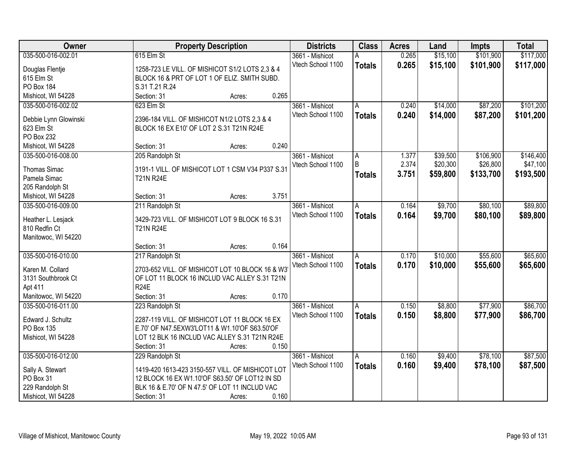| Owner                 | <b>Property Description</b>                      | <b>Districts</b>  | <b>Class</b>  | <b>Acres</b> | Land     | <b>Impts</b> | <b>Total</b> |
|-----------------------|--------------------------------------------------|-------------------|---------------|--------------|----------|--------------|--------------|
| 035-500-016-002.01    | 615 Elm St                                       | 3661 - Mishicot   | А             | 0.265        | \$15,100 | \$101,900    | \$117,000    |
| Douglas Flentje       | 1258-723 LE VILL. OF MISHICOT S1/2 LOTS 2,3 & 4  | Vtech School 1100 | <b>Totals</b> | 0.265        | \$15,100 | \$101,900    | \$117,000    |
| 615 Elm St            | BLOCK 16 & PRT OF LOT 1 OF ELIZ. SMITH SUBD.     |                   |               |              |          |              |              |
| <b>PO Box 184</b>     | S.31 T.21 R.24                                   |                   |               |              |          |              |              |
| Mishicot, WI 54228    | 0.265<br>Section: 31<br>Acres:                   |                   |               |              |          |              |              |
| 035-500-016-002.02    | 623 Elm St                                       | 3661 - Mishicot   | A             | 0.240        | \$14,000 | \$87,200     | \$101,200    |
|                       |                                                  | Vtech School 1100 | <b>Totals</b> | 0.240        | \$14,000 | \$87,200     | \$101,200    |
| Debbie Lynn Glowinski | 2396-184 VILL. OF MISHICOT N1/2 LOTS 2,3 & 4     |                   |               |              |          |              |              |
| 623 Elm St            | BLOCK 16 EX E10' OF LOT 2 S.31 T21N R24E         |                   |               |              |          |              |              |
| PO Box 232            |                                                  |                   |               |              |          |              |              |
| Mishicot, WI 54228    | 0.240<br>Section: 31<br>Acres:                   |                   |               |              |          |              |              |
| 035-500-016-008.00    | 205 Randolph St                                  | 3661 - Mishicot   | A             | 1.377        | \$39,500 | \$106,900    | \$146,400    |
| <b>Thomas Simac</b>   | 3191-1 VILL. OF MISHICOT LOT 1 CSM V34 P337 S.31 | Vtech School 1100 | B             | 2.374        | \$20,300 | \$26,800     | \$47,100     |
| Pamela Simac          | <b>T21N R24E</b>                                 |                   | <b>Totals</b> | 3.751        | \$59,800 | \$133,700    | \$193,500    |
| 205 Randolph St       |                                                  |                   |               |              |          |              |              |
| Mishicot, WI 54228    | 3.751<br>Section: 31<br>Acres:                   |                   |               |              |          |              |              |
| 035-500-016-009.00    | 211 Randolph St                                  | 3661 - Mishicot   | A             | 0.164        | \$9,700  | \$80,100     | \$89,800     |
|                       |                                                  | Vtech School 1100 | <b>Totals</b> | 0.164        | \$9,700  | \$80,100     | \$89,800     |
| Heather L. Lesjack    | 3429-723 VILL. OF MISHICOT LOT 9 BLOCK 16 S.31   |                   |               |              |          |              |              |
| 810 Redfin Ct         | <b>T21N R24E</b>                                 |                   |               |              |          |              |              |
| Manitowoc, WI 54220   |                                                  |                   |               |              |          |              |              |
|                       | 0.164<br>Section: 31<br>Acres:                   |                   |               |              |          |              |              |
| 035-500-016-010.00    | 217 Randolph St                                  | 3661 - Mishicot   | A             | 0.170        | \$10,000 | \$55,600     | \$65,600     |
| Karen M. Collard      | 2703-652 VILL. OF MISHICOT LOT 10 BLOCK 16 & W3  | Vtech School 1100 | <b>Totals</b> | 0.170        | \$10,000 | \$55,600     | \$65,600     |
| 3131 Southbrook Ct    | OF LOT 11 BLOCK 16 INCLUD VAC ALLEY S.31 T21N    |                   |               |              |          |              |              |
| Apt 411               | <b>R24E</b>                                      |                   |               |              |          |              |              |
| Manitowoc, WI 54220   | Section: 31<br>0.170<br>Acres:                   |                   |               |              |          |              |              |
| 035-500-016-011.00    | 223 Randolph St                                  | 3661 - Mishicot   | A             | 0.150        | \$8,800  | \$77,900     | \$86,700     |
|                       |                                                  | Vtech School 1100 | <b>Totals</b> | 0.150        | \$8,800  | \$77,900     | \$86,700     |
| Edward J. Schultz     | 2287-119 VILL. OF MISHICOT LOT 11 BLOCK 16 EX    |                   |               |              |          |              |              |
| PO Box 135            | E.70' OF N47.5EXW3'LOT11 & W1.10'OF S63.50'OF    |                   |               |              |          |              |              |
| Mishicot, WI 54228    | LOT 12 BLK 16 INCLUD VAC ALLEY S.31 T21N R24E    |                   |               |              |          |              |              |
|                       | 0.150<br>Section: 31<br>Acres:                   |                   |               |              |          |              |              |
| 035-500-016-012.00    | 229 Randolph St                                  | 3661 - Mishicot   | Α             | 0.160        | \$9,400  | \$78,100     | \$87,500     |
| Sally A. Stewart      | 1419-420 1613-423 3150-557 VILL. OF MISHICOT LOT | Vtech School 1100 | <b>Totals</b> | 0.160        | \$9,400  | \$78,100     | \$87,500     |
| PO Box 31             | 12 BLOCK 16 EX W1.10'OF S63.50' OF LOT12 IN SD   |                   |               |              |          |              |              |
| 229 Randolph St       | BLK 16 & E.70' OF N 47.5' OF LOT 11 INCLUD VAC   |                   |               |              |          |              |              |
| Mishicot, WI 54228    | 0.160<br>Section: 31<br>Acres:                   |                   |               |              |          |              |              |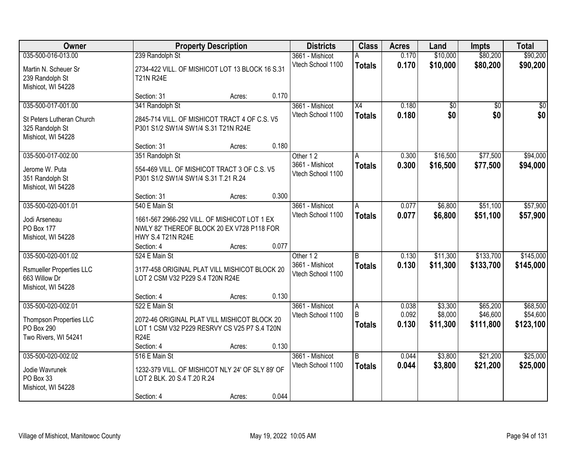| Owner                                                                                        | <b>Property Description</b>                                                                                                       | <b>Districts</b>                                 | <b>Class</b>                       | <b>Acres</b>            | Land                           | <b>Impts</b>                      | <b>Total</b>                      |
|----------------------------------------------------------------------------------------------|-----------------------------------------------------------------------------------------------------------------------------------|--------------------------------------------------|------------------------------------|-------------------------|--------------------------------|-----------------------------------|-----------------------------------|
| 035-500-016-013.00                                                                           | 239 Randolph St                                                                                                                   | 3661 - Mishicot                                  | А                                  | 0.170                   | \$10,000                       | \$80,200                          | \$90,200                          |
| Martin N. Scheuer Sr<br>239 Randolph St<br>Mishicot, WI 54228                                | 2734-422 VILL. OF MISHICOT LOT 13 BLOCK 16 S.31<br><b>T21N R24E</b>                                                               | Vtech School 1100                                | <b>Totals</b>                      | 0.170                   | \$10,000                       | \$80,200                          | \$90,200                          |
|                                                                                              | 0.170<br>Section: 31<br>Acres:                                                                                                    |                                                  |                                    |                         |                                |                                   |                                   |
| 035-500-017-001.00<br>St Peters Lutheran Church<br>325 Randolph St                           | 341 Randolph St<br>2845-714 VILL. OF MISHICOT TRACT 4 OF C.S. V5<br>P301 S1/2 SW1/4 SW1/4 S.31 T21N R24E                          | 3661 - Mishicot<br>Vtech School 1100             | $\overline{X4}$<br><b>Totals</b>   | 0.180<br>0.180          | \$0<br>\$0                     | \$0<br>\$0                        | \$0<br>\$0                        |
| Mishicot, WI 54228                                                                           | 0.180<br>Section: 31<br>Acres:                                                                                                    |                                                  |                                    |                         |                                |                                   |                                   |
| 035-500-017-002.00                                                                           | 351 Randolph St                                                                                                                   | Other 12                                         | A                                  | 0.300                   | \$16,500                       | \$77,500                          | \$94,000                          |
| Jerome W. Puta<br>351 Randolph St<br>Mishicot, WI 54228                                      | 554-469 VILL. OF MISHICOT TRACT 3 OF C.S. V5<br>P301 S1/2 SW1/4 SW1/4 S.31 T.21 R.24                                              | 3661 - Mishicot<br>Vtech School 1100             | <b>Totals</b>                      | 0.300                   | \$16,500                       | \$77,500                          | \$94,000                          |
|                                                                                              | 0.300<br>Section: 31<br>Acres:                                                                                                    |                                                  |                                    |                         |                                |                                   |                                   |
| 035-500-020-001.01                                                                           | 540 E Main St                                                                                                                     | 3661 - Mishicot                                  | A                                  | 0.077                   | \$6,800                        | \$51,100                          | \$57,900                          |
| Jodi Arseneau<br><b>PO Box 177</b><br>Mishicot, WI 54228                                     | 1661-567 2966-292 VILL. OF MISHICOT LOT 1 EX<br>NWLY 82' THEREOF BLOCK 20 EX V728 P118 FOR<br>HWY S.4 T21N R24E                   | Vtech School 1100                                | <b>Totals</b>                      | 0.077                   | \$6,800                        | \$51,100                          | \$57,900                          |
|                                                                                              | 0.077<br>Section: 4<br>Acres:                                                                                                     |                                                  |                                    |                         |                                |                                   |                                   |
| 035-500-020-001.02<br><b>Rsmueller Properties LLC</b><br>663 Willow Dr<br>Mishicot, WI 54228 | 524 E Main St<br>3177-458 ORIGINAL PLAT VILL MISHICOT BLOCK 20<br>LOT 2 CSM V32 P229 S.4 T20N R24E                                | Other 12<br>3661 - Mishicot<br>Vtech School 1100 | $\overline{B}$<br><b>Totals</b>    | 0.130<br>0.130          | \$11,300<br>\$11,300           | \$133,700<br>\$133,700            | \$145,000<br>\$145,000            |
|                                                                                              | 0.130<br>Section: 4<br>Acres:                                                                                                     |                                                  |                                    |                         |                                |                                   |                                   |
| 035-500-020-002.01<br>Thompson Properties LLC<br>PO Box 290<br>Two Rivers, WI 54241          | 522 E Main St<br>2072-46 ORIGINAL PLAT VILL MISHICOT BLOCK 20<br>LOT 1 CSM V32 P229 RESRVY CS V25 P7 S.4 T20N<br><b>R24E</b>      | 3661 - Mishicot<br>Vtech School 1100             | A<br><sub>R</sub><br><b>Totals</b> | 0.038<br>0.092<br>0.130 | \$3,300<br>\$8,000<br>\$11,300 | \$65,200<br>\$46,600<br>\$111,800 | \$68,500<br>\$54,600<br>\$123,100 |
|                                                                                              | 0.130<br>Section: 4<br>Acres:                                                                                                     |                                                  |                                    |                         |                                |                                   |                                   |
| 035-500-020-002.02<br>Jodie Wavrunek<br>PO Box 33<br>Mishicot, WI 54228                      | 516 E Main St<br>1232-379 VILL. OF MISHICOT NLY 24' OF SLY 89' OF<br>LOT 2 BLK. 20 S.4 T.20 R.24<br>0.044<br>Section: 4<br>Acres: | 3661 - Mishicot<br>Vtech School 1100             | $\overline{B}$<br><b>Totals</b>    | 0.044<br>0.044          | \$3,800<br>\$3,800             | \$21,200<br>\$21,200              | \$25,000<br>\$25,000              |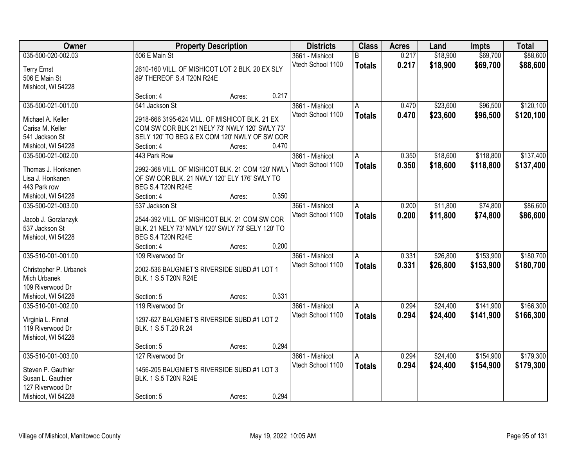| Owner                  |                                                  | <b>Property Description</b> |       |                   | <b>Class</b>  | <b>Acres</b> | Land     | <b>Impts</b> | <b>Total</b> |
|------------------------|--------------------------------------------------|-----------------------------|-------|-------------------|---------------|--------------|----------|--------------|--------------|
| 035-500-020-002.03     | 506 E Main St                                    |                             |       | 3661 - Mishicot   | B             | 0.217        | \$18,900 | \$69,700     | \$88,600     |
| <b>Terry Ernst</b>     | 2610-160 VILL. OF MISHICOT LOT 2 BLK. 20 EX SLY  |                             |       | Vtech School 1100 | <b>Totals</b> | 0.217        | \$18,900 | \$69,700     | \$88,600     |
| 506 E Main St          | 89' THEREOF S.4 T20N R24E                        |                             |       |                   |               |              |          |              |              |
| Mishicot, WI 54228     |                                                  |                             |       |                   |               |              |          |              |              |
|                        | Section: 4                                       | Acres:                      | 0.217 |                   |               |              |          |              |              |
| 035-500-021-001.00     | 541 Jackson St                                   |                             |       | 3661 - Mishicot   | A             | 0.470        | \$23,600 | \$96,500     | \$120,100    |
|                        |                                                  |                             |       | Vtech School 1100 | <b>Totals</b> | 0.470        | \$23,600 | \$96,500     | \$120,100    |
| Michael A. Keller      | 2918-666 3195-624 VILL. OF MISHICOT BLK. 21 EX   |                             |       |                   |               |              |          |              |              |
| Carisa M. Keller       | COM SW COR BLK.21 NELY 73' NWLY 120' SWLY 73'    |                             |       |                   |               |              |          |              |              |
| 541 Jackson St         | SELY 120' TO BEG & EX COM 120' NWLY OF SW COR    |                             |       |                   |               |              |          |              |              |
| Mishicot, WI 54228     | Section: 4                                       | Acres:                      | 0.470 |                   |               |              |          |              |              |
| 035-500-021-002.00     | 443 Park Row                                     |                             |       | 3661 - Mishicot   | A             | 0.350        | \$18,600 | \$118,800    | \$137,400    |
| Thomas J. Honkanen     | 2992-368 VILL. OF MISHICOT BLK. 21 COM 120' NWLY |                             |       | Vtech School 1100 | <b>Totals</b> | 0.350        | \$18,600 | \$118,800    | \$137,400    |
| Lisa J. Honkanen       | OF SW COR BLK. 21 NWLY 120' ELY 176' SWLY TO     |                             |       |                   |               |              |          |              |              |
| 443 Park row           | BEG S.4 T20N R24E                                |                             |       |                   |               |              |          |              |              |
| Mishicot, WI 54228     | Section: 4                                       | Acres:                      | 0.350 |                   |               |              |          |              |              |
| 035-500-021-003.00     | 537 Jackson St                                   |                             |       | 3661 - Mishicot   | A             | 0.200        | \$11,800 | \$74,800     | \$86,600     |
|                        |                                                  |                             |       | Vtech School 1100 | <b>Totals</b> | 0.200        | \$11,800 | \$74,800     | \$86,600     |
| Jacob J. Gorzlanzyk    | 2544-392 VILL. OF MISHICOT BLK. 21 COM SW COR    |                             |       |                   |               |              |          |              |              |
| 537 Jackson St         | BLK. 21 NELY 73' NWLY 120' SWLY 73' SELY 120' TO |                             |       |                   |               |              |          |              |              |
| Mishicot, WI 54228     | <b>BEG S.4 T20N R24E</b>                         |                             |       |                   |               |              |          |              |              |
|                        | Section: 4                                       | Acres:                      | 0.200 |                   |               |              |          |              |              |
| 035-510-001-001.00     | 109 Riverwood Dr                                 |                             |       | 3661 - Mishicot   | A             | 0.331        | \$26,800 | \$153,900    | \$180,700    |
| Christopher P. Urbanek | 2002-536 BAUGNIET'S RIVERSIDE SUBD.#1 LOT 1      |                             |       | Vtech School 1100 | <b>Totals</b> | 0.331        | \$26,800 | \$153,900    | \$180,700    |
| Mich Urbanek           | BLK. 1 S.5 T20N R24E                             |                             |       |                   |               |              |          |              |              |
| 109 Riverwood Dr       |                                                  |                             |       |                   |               |              |          |              |              |
| Mishicot, WI 54228     | Section: 5                                       | Acres:                      | 0.331 |                   |               |              |          |              |              |
| 035-510-001-002.00     | 119 Riverwood Dr                                 |                             |       | 3661 - Mishicot   |               | 0.294        | \$24,400 | \$141,900    | \$166,300    |
|                        |                                                  |                             |       |                   | A             |              |          |              |              |
| Virginia L. Finnel     | 1297-627 BAUGNIET'S RIVERSIDE SUBD.#1 LOT 2      |                             |       | Vtech School 1100 | <b>Totals</b> | 0.294        | \$24,400 | \$141,900    | \$166,300    |
| 119 Riverwood Dr       | BLK. 1 S.5 T.20 R.24                             |                             |       |                   |               |              |          |              |              |
| Mishicot, WI 54228     |                                                  |                             |       |                   |               |              |          |              |              |
|                        | Section: 5                                       | Acres:                      | 0.294 |                   |               |              |          |              |              |
| 035-510-001-003.00     | 127 Riverwood Dr                                 |                             |       | 3661 - Mishicot   | A             | 0.294        | \$24,400 | \$154,900    | \$179,300    |
| Steven P. Gauthier     | 1456-205 BAUGNIET'S RIVERSIDE SUBD.#1 LOT 3      |                             |       | Vtech School 1100 | <b>Totals</b> | 0.294        | \$24,400 | \$154,900    | \$179,300    |
| Susan L. Gauthier      | BLK. 1 S.5 T20N R24E                             |                             |       |                   |               |              |          |              |              |
| 127 Riverwood Dr       |                                                  |                             |       |                   |               |              |          |              |              |
|                        |                                                  |                             |       |                   |               |              |          |              |              |
| Mishicot, WI 54228     | Section: 5                                       | Acres:                      | 0.294 |                   |               |              |          |              |              |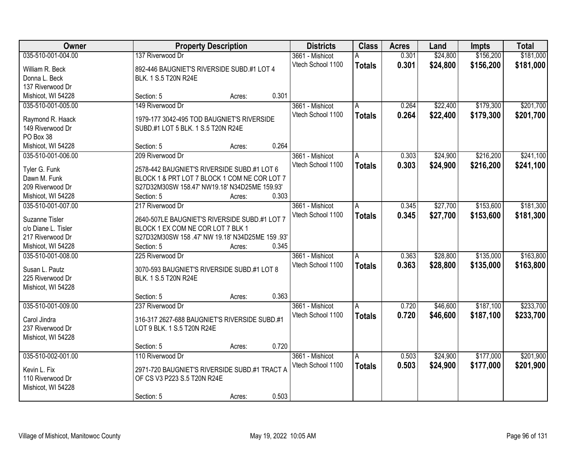| Owner               |                                                  | <b>Property Description</b> |       | <b>Districts</b>  | <b>Class</b>  | <b>Acres</b> | Land     | <b>Impts</b> | <b>Total</b> |
|---------------------|--------------------------------------------------|-----------------------------|-------|-------------------|---------------|--------------|----------|--------------|--------------|
| 035-510-001-004.00  | 137 Riverwood Dr                                 |                             |       | 3661 - Mishicot   | Α             | 0.301        | \$24,800 | \$156,200    | \$181,000    |
| William R. Beck     | 892-446 BAUGNIET'S RIVERSIDE SUBD.#1 LOT 4       |                             |       | Vtech School 1100 | <b>Totals</b> | 0.301        | \$24,800 | \$156,200    | \$181,000    |
| Donna L. Beck       | BLK. 1 S.5 T20N R24E                             |                             |       |                   |               |              |          |              |              |
| 137 Riverwood Dr    |                                                  |                             |       |                   |               |              |          |              |              |
| Mishicot, WI 54228  | Section: 5                                       | Acres:                      | 0.301 |                   |               |              |          |              |              |
| 035-510-001-005.00  | 149 Riverwood Dr                                 |                             |       | 3661 - Mishicot   | A             | 0.264        | \$22,400 | \$179,300    | \$201,700    |
|                     |                                                  |                             |       | Vtech School 1100 | <b>Totals</b> | 0.264        | \$22,400 | \$179,300    | \$201,700    |
| Raymond R. Haack    | 1979-177 3042-495 TOD BAUGNIET'S RIVERSIDE       |                             |       |                   |               |              |          |              |              |
| 149 Riverwood Dr    | SUBD.#1 LOT 5 BLK. 1 S.5 T20N R24E               |                             |       |                   |               |              |          |              |              |
| PO Box 38           |                                                  |                             |       |                   |               |              |          |              |              |
| Mishicot, WI 54228  | Section: 5                                       | Acres:                      | 0.264 |                   |               |              |          |              |              |
| 035-510-001-006.00  | 209 Riverwood Dr                                 |                             |       | 3661 - Mishicot   | A             | 0.303        | \$24,900 | \$216,200    | \$241,100    |
| Tyler G. Funk       | 2578-442 BAUGNIET'S RIVERSIDE SUBD.#1 LOT 6      |                             |       | Vtech School 1100 | <b>Totals</b> | 0.303        | \$24,900 | \$216,200    | \$241,100    |
| Dawn M. Funk        | BLOCK 1 & PRT LOT 7 BLOCK 1 COM NE COR LOT 7     |                             |       |                   |               |              |          |              |              |
| 209 Riverwood Dr    | S27D32M30SW 158.47' NW19.18' N34D25ME 159.93'    |                             |       |                   |               |              |          |              |              |
| Mishicot, WI 54228  | Section: 5                                       | Acres:                      | 0.303 |                   |               |              |          |              |              |
| 035-510-001-007.00  | 217 Riverwood Dr                                 |                             |       | 3661 - Mishicot   | A             | 0.345        | \$27,700 | \$153,600    | \$181,300    |
| Suzanne Tisler      | 2640-507LE BAUGNIET'S RIVERSIDE SUBD.#1 LOT 7    |                             |       | Vtech School 1100 | <b>Totals</b> | 0.345        | \$27,700 | \$153,600    | \$181,300    |
| c/o Diane L. Tisler | BLOCK 1 EX COM NE COR LOT 7 BLK 1                |                             |       |                   |               |              |          |              |              |
| 217 Riverwood Dr    | S27D32M30SW 158 .47' NW 19.18' N34D25ME 159 .93' |                             |       |                   |               |              |          |              |              |
| Mishicot, WI 54228  | Section: 5                                       | Acres:                      | 0.345 |                   |               |              |          |              |              |
| 035-510-001-008.00  | 225 Riverwood Dr                                 |                             |       | 3661 - Mishicot   | A             | 0.363        | \$28,800 | \$135,000    | \$163,800    |
|                     |                                                  |                             |       | Vtech School 1100 | <b>Totals</b> | 0.363        | \$28,800 | \$135,000    | \$163,800    |
| Susan L. Pautz      | 3070-593 BAUGNIET'S RIVERSIDE SUBD.#1 LOT 8      |                             |       |                   |               |              |          |              |              |
| 225 Riverwood Dr    | BLK. 1 S.5 T20N R24E                             |                             |       |                   |               |              |          |              |              |
| Mishicot, WI 54228  |                                                  |                             |       |                   |               |              |          |              |              |
|                     | Section: 5                                       | Acres:                      | 0.363 |                   |               |              |          |              |              |
| 035-510-001-009.00  | 237 Riverwood Dr                                 |                             |       | 3661 - Mishicot   | A             | 0.720        | \$46,600 | \$187,100    | \$233,700    |
| Carol Jindra        | 316-317 2627-688 BAUGNIET'S RIVERSIDE SUBD.#1    |                             |       | Vtech School 1100 | <b>Totals</b> | 0.720        | \$46,600 | \$187,100    | \$233,700    |
| 237 Riverwood Dr    | LOT 9 BLK. 1 S.5 T20N R24E                       |                             |       |                   |               |              |          |              |              |
| Mishicot, WI 54228  |                                                  |                             |       |                   |               |              |          |              |              |
|                     | Section: 5                                       | Acres:                      | 0.720 |                   |               |              |          |              |              |
| 035-510-002-001.00  | 110 Riverwood Dr                                 |                             |       | 3661 - Mishicot   | A             | 0.503        | \$24,900 | \$177,000    | \$201,900    |
|                     |                                                  |                             |       | Vtech School 1100 | <b>Totals</b> | 0.503        | \$24,900 | \$177,000    | \$201,900    |
| Kevin L. Fix        | 2971-720 BAUGNIET'S RIVERSIDE SUBD.#1 TRACT A    |                             |       |                   |               |              |          |              |              |
| 110 Riverwood Dr    | OF CS V3 P223 S.5 T20N R24E                      |                             |       |                   |               |              |          |              |              |
| Mishicot, WI 54228  |                                                  |                             |       |                   |               |              |          |              |              |
|                     | Section: 5                                       | Acres:                      | 0.503 |                   |               |              |          |              |              |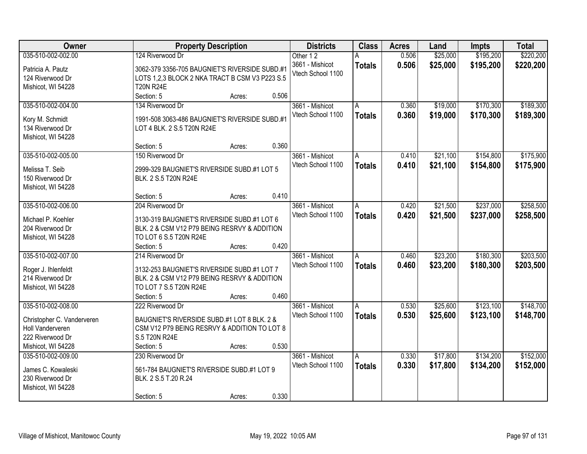| Owner                      | <b>Property Description</b>                    |        |       | <b>Districts</b>  | <b>Class</b>  | <b>Acres</b> | Land     | <b>Impts</b> | <b>Total</b> |
|----------------------------|------------------------------------------------|--------|-------|-------------------|---------------|--------------|----------|--------------|--------------|
| 035-510-002-002.00         | 124 Riverwood Dr                               |        |       | Other 12          | A             | 0.506        | \$25,000 | \$195,200    | \$220,200    |
| Patricia A. Pautz          | 3062-379 3356-705 BAUGNIET'S RIVERSIDE SUBD.#1 |        |       | 3661 - Mishicot   | <b>Totals</b> | 0.506        | \$25,000 | \$195,200    | \$220,200    |
| 124 Riverwood Dr           | LOTS 1,2,3 BLOCK 2 NKA TRACT B CSM V3 P223 S.5 |        |       | Vtech School 1100 |               |              |          |              |              |
| Mishicot, WI 54228         | <b>T20N R24E</b>                               |        |       |                   |               |              |          |              |              |
|                            | Section: 5                                     | Acres: | 0.506 |                   |               |              |          |              |              |
| 035-510-002-004.00         | 134 Riverwood Dr                               |        |       | 3661 - Mishicot   | A             | 0.360        | \$19,000 | \$170,300    | \$189,300    |
| Kory M. Schmidt            | 1991-508 3063-486 BAUGNIET'S RIVERSIDE SUBD.#1 |        |       | Vtech School 1100 | <b>Totals</b> | 0.360        | \$19,000 | \$170,300    | \$189,300    |
| 134 Riverwood Dr           | LOT 4 BLK. 2 S.5 T20N R24E                     |        |       |                   |               |              |          |              |              |
| Mishicot, WI 54228         |                                                |        |       |                   |               |              |          |              |              |
|                            | Section: 5                                     | Acres: | 0.360 |                   |               |              |          |              |              |
| 035-510-002-005.00         | 150 Riverwood Dr                               |        |       | 3661 - Mishicot   | A             | 0.410        | \$21,100 | \$154,800    | \$175,900    |
| Melissa T. Seib            | 2999-329 BAUGNIET'S RIVERSIDE SUBD.#1 LOT 5    |        |       | Vtech School 1100 | <b>Totals</b> | 0.410        | \$21,100 | \$154,800    | \$175,900    |
| 150 Riverwood Dr           | BLK. 2 S.5 T20N R24E                           |        |       |                   |               |              |          |              |              |
| Mishicot, WI 54228         |                                                |        |       |                   |               |              |          |              |              |
|                            | Section: 5                                     | Acres: | 0.410 |                   |               |              |          |              |              |
| 035-510-002-006.00         | 204 Riverwood Dr                               |        |       | 3661 - Mishicot   | A             | 0.420        | \$21,500 | \$237,000    | \$258,500    |
| Michael P. Koehler         | 3130-319 BAUGNIET'S RIVERSIDE SUBD.#1 LOT 6    |        |       | Vtech School 1100 | <b>Totals</b> | 0.420        | \$21,500 | \$237,000    | \$258,500    |
| 204 Riverwood Dr           | BLK. 2 & CSM V12 P79 BEING RESRVY & ADDITION   |        |       |                   |               |              |          |              |              |
| Mishicot, WI 54228         | TO LOT 6 S.5 T20N R24E                         |        |       |                   |               |              |          |              |              |
|                            | Section: 5                                     | Acres: | 0.420 |                   |               |              |          |              |              |
| 035-510-002-007.00         | 214 Riverwood Dr                               |        |       | 3661 - Mishicot   | A             | 0.460        | \$23,200 | \$180,300    | \$203,500    |
|                            |                                                |        |       | Vtech School 1100 | <b>Totals</b> | 0.460        | \$23,200 | \$180,300    | \$203,500    |
| Roger J. Ihlenfeldt        | 3132-253 BAUGNIET'S RIVERSIDE SUBD.#1 LOT 7    |        |       |                   |               |              |          |              |              |
| 214 Riverwood Dr           | BLK. 2 & CSM V12 P79 BEING RESRVY & ADDITION   |        |       |                   |               |              |          |              |              |
| Mishicot, WI 54228         | TO LOT 7 S.5 T20N R24E                         |        |       |                   |               |              |          |              |              |
|                            | Section: 5                                     | Acres: | 0.460 |                   |               |              |          |              |              |
| 035-510-002-008.00         | 222 Riverwood Dr                               |        |       | 3661 - Mishicot   | A             | 0.530        | \$25,600 | \$123,100    | \$148,700    |
| Christopher C. Vanderveren | BAUGNIET'S RIVERSIDE SUBD.#1 LOT 8 BLK. 2 &    |        |       | Vtech School 1100 | <b>Totals</b> | 0.530        | \$25,600 | \$123,100    | \$148,700    |
| Holl Vanderveren           | CSM V12 P79 BEING RESRVY & ADDITION TO LOT 8   |        |       |                   |               |              |          |              |              |
| 222 Riverwood Dr           | S.5 T20N R24E                                  |        |       |                   |               |              |          |              |              |
| Mishicot, WI 54228         | Section: 5                                     | Acres: | 0.530 |                   |               |              |          |              |              |
| 035-510-002-009.00         | 230 Riverwood Dr                               |        |       | 3661 - Mishicot   | A             | 0.330        | \$17,800 | \$134,200    | \$152,000    |
| James C. Kowaleski         | 561-784 BAUGNIET'S RIVERSIDE SUBD.#1 LOT 9     |        |       | Vtech School 1100 | <b>Totals</b> | 0.330        | \$17,800 | \$134,200    | \$152,000    |
| 230 Riverwood Dr           | BLK. 2 S.5 T.20 R.24                           |        |       |                   |               |              |          |              |              |
| Mishicot, WI 54228         |                                                |        |       |                   |               |              |          |              |              |
|                            | Section: 5                                     | Acres: | 0.330 |                   |               |              |          |              |              |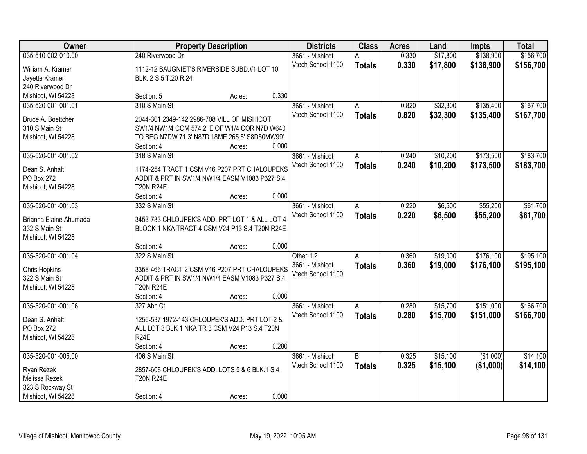| Owner                  |                                                | <b>Property Description</b> |       | <b>Districts</b>  | <b>Class</b>  | <b>Acres</b> | Land     | <b>Impts</b> | <b>Total</b> |
|------------------------|------------------------------------------------|-----------------------------|-------|-------------------|---------------|--------------|----------|--------------|--------------|
| 035-510-002-010.00     | 240 Riverwood Dr                               |                             |       | 3661 - Mishicot   | А             | 0.330        | \$17,800 | \$138,900    | \$156,700    |
| William A. Kramer      | 1112-12 BAUGNIET'S RIVERSIDE SUBD.#1 LOT 10    |                             |       | Vtech School 1100 | <b>Totals</b> | 0.330        | \$17,800 | \$138,900    | \$156,700    |
| Jayette Kramer         | BLK. 2 S.5 T.20 R.24                           |                             |       |                   |               |              |          |              |              |
| 240 Riverwood Dr       |                                                |                             |       |                   |               |              |          |              |              |
| Mishicot, WI 54228     | Section: 5                                     | Acres:                      | 0.330 |                   |               |              |          |              |              |
| 035-520-001-001.01     | 310 S Main St                                  |                             |       | 3661 - Mishicot   | A             | 0.820        | \$32,300 | \$135,400    | \$167,700    |
|                        |                                                |                             |       | Vtech School 1100 | <b>Totals</b> | 0.820        | \$32,300 | \$135,400    | \$167,700    |
| Bruce A. Boettcher     | 2044-301 2349-142 2986-708 VILL OF MISHICOT    |                             |       |                   |               |              |          |              |              |
| 310 S Main St          | SW1/4 NW1/4 COM 574.2' E OF W1/4 COR N7D W640' |                             |       |                   |               |              |          |              |              |
| Mishicot, WI 54228     | TO BEG N7DW 71.3' N87D 18ME 265.5' S8D50MW99'  |                             |       |                   |               |              |          |              |              |
|                        | Section: 4                                     | Acres:                      | 0.000 |                   |               |              |          |              |              |
| 035-520-001-001.02     | 318 S Main St                                  |                             |       | 3661 - Mishicot   | A             | 0.240        | \$10,200 | \$173,500    | \$183,700    |
| Dean S. Anhalt         | 1174-254 TRACT 1 CSM V16 P207 PRT CHALOUPEKS   |                             |       | Vtech School 1100 | <b>Totals</b> | 0.240        | \$10,200 | \$173,500    | \$183,700    |
| <b>PO Box 272</b>      | ADDIT & PRT IN SW1/4 NW1/4 EASM V1083 P327 S.4 |                             |       |                   |               |              |          |              |              |
| Mishicot, WI 54228     | <b>T20N R24E</b>                               |                             |       |                   |               |              |          |              |              |
|                        | Section: 4                                     | Acres:                      | 0.000 |                   |               |              |          |              |              |
| 035-520-001-001.03     | 332 S Main St                                  |                             |       | 3661 - Mishicot   | A             | 0.220        | \$6,500  | \$55,200     | \$61,700     |
|                        |                                                |                             |       | Vtech School 1100 | <b>Totals</b> | 0.220        | \$6,500  | \$55,200     | \$61,700     |
| Brianna Elaine Ahumada | 3453-733 CHLOUPEK'S ADD. PRT LOT 1 & ALL LOT 4 |                             |       |                   |               |              |          |              |              |
| 332 S Main St          | BLOCK 1 NKA TRACT 4 CSM V24 P13 S.4 T20N R24E  |                             |       |                   |               |              |          |              |              |
| Mishicot, WI 54228     |                                                |                             |       |                   |               |              |          |              |              |
|                        | Section: 4                                     | Acres:                      | 0.000 |                   |               |              |          |              |              |
| 035-520-001-001.04     | 322 S Main St                                  |                             |       | Other 12          | A             | 0.360        | \$19,000 | \$176,100    | \$195,100    |
| Chris Hopkins          | 3358-466 TRACT 2 CSM V16 P207 PRT CHALOUPEKS   |                             |       | 3661 - Mishicot   | <b>Totals</b> | 0.360        | \$19,000 | \$176,100    | \$195,100    |
| 322 S Main St          | ADDIT & PRT IN SW1/4 NW1/4 EASM V1083 P327 S.4 |                             |       | Vtech School 1100 |               |              |          |              |              |
| Mishicot, WI 54228     | <b>T20N R24E</b>                               |                             |       |                   |               |              |          |              |              |
|                        | Section: 4                                     | Acres:                      | 0.000 |                   |               |              |          |              |              |
| 035-520-001-001.06     | 327 Abc Ct                                     |                             |       | 3661 - Mishicot   | A             | 0.280        | \$15,700 | \$151,000    | \$166,700    |
|                        |                                                |                             |       | Vtech School 1100 | <b>Totals</b> | 0.280        | \$15,700 | \$151,000    | \$166,700    |
| Dean S. Anhalt         | 1256-537 1972-143 CHLOUPEK'S ADD. PRT LOT 2 &  |                             |       |                   |               |              |          |              |              |
| PO Box 272             | ALL LOT 3 BLK 1 NKA TR 3 CSM V24 P13 S.4 T20N  |                             |       |                   |               |              |          |              |              |
| Mishicot, WI 54228     | <b>R24E</b>                                    |                             |       |                   |               |              |          |              |              |
|                        | Section: 4                                     | Acres:                      | 0.280 |                   |               |              |          |              |              |
| 035-520-001-005.00     | 406 S Main St                                  |                             |       | 3661 - Mishicot   | B             | 0.325        | \$15,100 | (\$1,000)    | \$14,100     |
| Ryan Rezek             | 2857-608 CHLOUPEK'S ADD. LOTS 5 & 6 BLK.1 S.4  |                             |       | Vtech School 1100 | <b>Totals</b> | 0.325        | \$15,100 | (\$1,000)    | \$14,100     |
| Melissa Rezek          | <b>T20N R24E</b>                               |                             |       |                   |               |              |          |              |              |
| 323 S Rockway St       |                                                |                             |       |                   |               |              |          |              |              |
| Mishicot, WI 54228     | Section: 4                                     | Acres:                      | 0.000 |                   |               |              |          |              |              |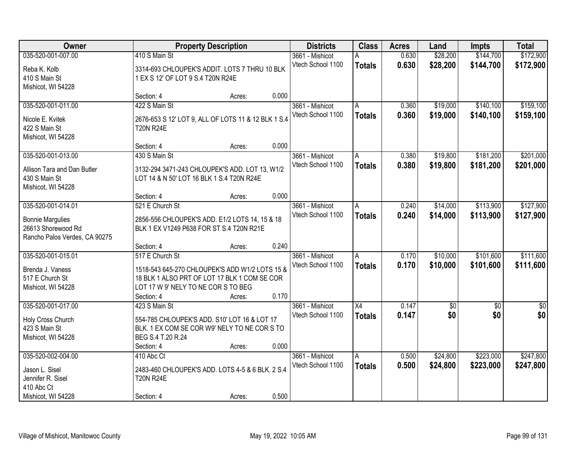| Owner                               |                                                                                             | <b>Property Description</b> |       | <b>Districts</b>  | <b>Class</b>    | <b>Acres</b> | Land            | <b>Impts</b>    | <b>Total</b>    |
|-------------------------------------|---------------------------------------------------------------------------------------------|-----------------------------|-------|-------------------|-----------------|--------------|-----------------|-----------------|-----------------|
| 035-520-001-007.00                  | 410 S Main St                                                                               |                             |       | 3661 - Mishicot   |                 | 0.630        | \$28,200        | \$144,700       | \$172,900       |
| Reba K. Kolb                        | 3314-693 CHLOUPEK'S ADDIT. LOTS 7 THRU 10 BLK                                               |                             |       | Vtech School 1100 | <b>Totals</b>   | 0.630        | \$28,200        | \$144,700       | \$172,900       |
| 410 S Main St                       | 1 EX S 12' OF LOT 9 S.4 T20N R24E                                                           |                             |       |                   |                 |              |                 |                 |                 |
| Mishicot, WI 54228                  |                                                                                             |                             |       |                   |                 |              |                 |                 |                 |
|                                     | Section: 4                                                                                  | Acres:                      | 0.000 |                   |                 |              |                 |                 |                 |
| 035-520-001-011.00                  | 422 S Main St                                                                               |                             |       | 3661 - Mishicot   | A               | 0.360        | \$19,000        | \$140,100       | \$159,100       |
| Nicole E. Kvitek                    | 2676-653 S 12' LOT 9, ALL OF LOTS 11 & 12 BLK 1 S.4                                         |                             |       | Vtech School 1100 | <b>Totals</b>   | 0.360        | \$19,000        | \$140,100       | \$159,100       |
| 422 S Main St                       | <b>T20N R24E</b>                                                                            |                             |       |                   |                 |              |                 |                 |                 |
| Mishicot, WI 54228                  |                                                                                             |                             |       |                   |                 |              |                 |                 |                 |
|                                     | Section: 4                                                                                  | Acres:                      | 0.000 |                   |                 |              |                 |                 |                 |
| 035-520-001-013.00                  | 430 S Main St                                                                               |                             |       | 3661 - Mishicot   | A               | 0.380        | \$19,800        | \$181,200       | \$201,000       |
|                                     |                                                                                             |                             |       | Vtech School 1100 | <b>Totals</b>   | 0.380        | \$19,800        | \$181,200       | \$201,000       |
| Allison Tara and Dan Butler         | 3132-294 3471-243 CHLOUPEK'S ADD. LOT 13, W1/2<br>LOT 14 & N 50' LOT 16 BLK 1 S.4 T20N R24E |                             |       |                   |                 |              |                 |                 |                 |
| 430 S Main St<br>Mishicot, WI 54228 |                                                                                             |                             |       |                   |                 |              |                 |                 |                 |
|                                     | Section: 4                                                                                  | Acres:                      | 0.000 |                   |                 |              |                 |                 |                 |
| 035-520-001-014.01                  | 521 E Church St                                                                             |                             |       | 3661 - Mishicot   | A               | 0.240        | \$14,000        | \$113,900       | \$127,900       |
|                                     |                                                                                             |                             |       | Vtech School 1100 | <b>Totals</b>   | 0.240        | \$14,000        | \$113,900       | \$127,900       |
| <b>Bonnie Margulies</b>             | 2856-556 CHLOUPEK'S ADD. E1/2 LOTS 14, 15 & 18                                              |                             |       |                   |                 |              |                 |                 |                 |
| 26613 Shorewood Rd                  | BLK 1 EX V1249 P638 FOR ST S.4 T20N R21E                                                    |                             |       |                   |                 |              |                 |                 |                 |
| Rancho Palos Verdes, CA 90275       |                                                                                             |                             |       |                   |                 |              |                 |                 |                 |
|                                     | Section: 4                                                                                  | Acres:                      | 0.240 |                   |                 |              |                 |                 |                 |
| 035-520-001-015.01                  | 517 E Church St                                                                             |                             |       | 3661 - Mishicot   | A               | 0.170        | \$10,000        | \$101,600       | \$111,600       |
| Brenda J. Vaness                    | 1518-543 645-270 CHLOUPEK'S ADD W1/2 LOTS 15 &                                              |                             |       | Vtech School 1100 | <b>Totals</b>   | 0.170        | \$10,000        | \$101,600       | \$111,600       |
| 517 E Church St                     | 18 BLK 1 ALSO PRT OF LOT 17 BLK 1 COM SE COR                                                |                             |       |                   |                 |              |                 |                 |                 |
| Mishicot, WI 54228                  | LOT 17 W 9' NELY TO NE COR S TO BEG                                                         |                             |       |                   |                 |              |                 |                 |                 |
|                                     | Section: 4                                                                                  | Acres:                      | 0.170 |                   |                 |              |                 |                 |                 |
| 035-520-001-017.00                  | 423 S Main St                                                                               |                             |       | 3661 - Mishicot   | $\overline{X4}$ | 0.147        | $\overline{50}$ | $\overline{50}$ | $\overline{50}$ |
| Holy Cross Church                   | 554-785 CHLOUPEK'S ADD. S10' LOT 16 & LOT 17                                                |                             |       | Vtech School 1100 | <b>Totals</b>   | 0.147        | \$0             | \$0             | \$0             |
| 423 S Main St                       | BLK. 1 EX COM SE COR W9' NELY TO NE COR S TO                                                |                             |       |                   |                 |              |                 |                 |                 |
| Mishicot, WI 54228                  | BEG S.4 T.20 R.24                                                                           |                             |       |                   |                 |              |                 |                 |                 |
|                                     | Section: 4                                                                                  | Acres:                      | 0.000 |                   |                 |              |                 |                 |                 |
| 035-520-002-004.00                  | 410 Abc Ct                                                                                  |                             |       | 3661 - Mishicot   | A               | 0.500        | \$24,800        | \$223,000       | \$247,800       |
| Jason L. Sisel                      | 2483-460 CHLOUPEK'S ADD. LOTS 4-5 & 6 BLK. 2 S.4                                            |                             |       | Vtech School 1100 | <b>Totals</b>   | 0.500        | \$24,800        | \$223,000       | \$247,800       |
| Jennifer R. Sisel                   | <b>T20N R24E</b>                                                                            |                             |       |                   |                 |              |                 |                 |                 |
| 410 Abc Ct                          |                                                                                             |                             |       |                   |                 |              |                 |                 |                 |
| Mishicot, WI 54228                  | Section: 4                                                                                  | Acres:                      | 0.500 |                   |                 |              |                 |                 |                 |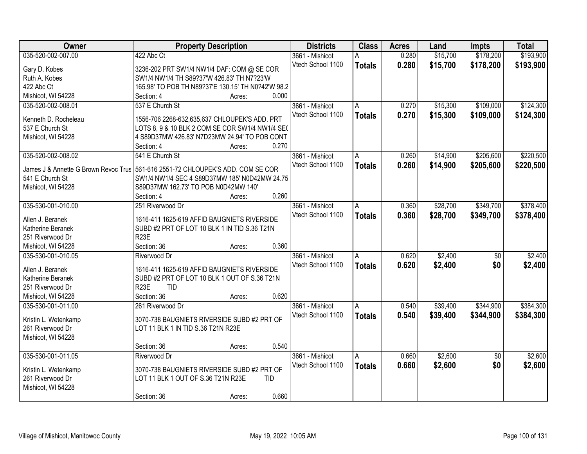| Owner                                                                           | <b>Property Description</b>                        |                 | <b>Districts</b>  | <b>Class</b>  | <b>Acres</b> | Land     | <b>Impts</b>    | <b>Total</b> |
|---------------------------------------------------------------------------------|----------------------------------------------------|-----------------|-------------------|---------------|--------------|----------|-----------------|--------------|
| 035-520-002-007.00                                                              | 422 Abc Ct                                         |                 | 3661 - Mishicot   | А             | 0.280        | \$15,700 | \$178,200       | \$193,900    |
| Gary D. Kobes                                                                   | 3236-202 PRT SW1/4 NW1/4 DAF: COM @ SE COR         |                 | Vtech School 1100 | <b>Totals</b> | 0.280        | \$15,700 | \$178,200       | \$193,900    |
| Ruth A. Kobes                                                                   | SW1/4 NW1/4 TH S89?37'W 426.83' TH N7?23'W         |                 |                   |               |              |          |                 |              |
| 422 Abc Ct                                                                      | 165.98' TO POB TH N89?37'E 130.15' TH N0?42'W 98.2 |                 |                   |               |              |          |                 |              |
| Mishicot, WI 54228                                                              | Section: 4                                         | 0.000<br>Acres: |                   |               |              |          |                 |              |
| 035-520-002-008.01                                                              | 537 E Church St                                    |                 | 3661 - Mishicot   | A             | 0.270        | \$15,300 | \$109,000       | \$124,300    |
|                                                                                 |                                                    |                 | Vtech School 1100 | <b>Totals</b> | 0.270        | \$15,300 | \$109,000       | \$124,300    |
| Kenneth D. Rocheleau                                                            | 1556-706 2268-632,635,637 CHLOUPEK'S ADD. PRT      |                 |                   |               |              |          |                 |              |
| 537 E Church St                                                                 | LOTS 8, 9 & 10 BLK 2 COM SE COR SW1/4 NW1/4 SE(    |                 |                   |               |              |          |                 |              |
| Mishicot, WI 54228                                                              | 4 S89D37MW 426.83' N7D23MW 24.94' TO POB CONT      | 0.270           |                   |               |              |          |                 |              |
|                                                                                 | Section: 4                                         | Acres:          |                   |               |              |          |                 |              |
| 035-520-002-008.02                                                              | 541 E Church St                                    |                 | 3661 - Mishicot   | A             | 0.260        | \$14,900 | \$205,600       | \$220,500    |
| James J & Annette G Brown Revoc Trus 561-616 2551-72 CHLOUPEK'S ADD. COM SE COR |                                                    |                 | Vtech School 1100 | <b>Totals</b> | 0.260        | \$14,900 | \$205,600       | \$220,500    |
| 541 E Church St                                                                 | SW1/4 NW1/4 SEC 4 S89D37MW 185' N0D42MW 24.75      |                 |                   |               |              |          |                 |              |
| Mishicot, WI 54228                                                              | S89D37MW 162.73' TO POB N0D42MW 140'               |                 |                   |               |              |          |                 |              |
|                                                                                 | Section: 4                                         | 0.260<br>Acres: |                   |               |              |          |                 |              |
| 035-530-001-010.00                                                              | 251 Riverwood Dr                                   |                 | 3661 - Mishicot   | A             | 0.360        | \$28,700 | \$349,700       | \$378,400    |
|                                                                                 |                                                    |                 | Vtech School 1100 | <b>Totals</b> | 0.360        | \$28,700 | \$349,700       | \$378,400    |
| Allen J. Beranek                                                                | 1616-411 1625-619 AFFID BAUGNIETS RIVERSIDE        |                 |                   |               |              |          |                 |              |
| Katherine Beranek                                                               | SUBD #2 PRT OF LOT 10 BLK 1 IN TID S.36 T21N       |                 |                   |               |              |          |                 |              |
| 251 Riverwood Dr                                                                | R <sub>23</sub> E                                  |                 |                   |               |              |          |                 |              |
| Mishicot, WI 54228                                                              | Section: 36                                        | 0.360<br>Acres: |                   |               |              |          |                 |              |
| 035-530-001-010.05                                                              | Riverwood Dr                                       |                 | 3661 - Mishicot   | A             | 0.620        | \$2,400  | $\overline{50}$ | \$2,400      |
| Allen J. Beranek                                                                | 1616-411 1625-619 AFFID BAUGNIETS RIVERSIDE        |                 | Vtech School 1100 | <b>Totals</b> | 0.620        | \$2,400  | \$0             | \$2,400      |
| Katherine Beranek                                                               | SUBD #2 PRT OF LOT 10 BLK 1 OUT OF S.36 T21N       |                 |                   |               |              |          |                 |              |
| 251 Riverwood Dr                                                                | <b>R23E</b><br><b>TID</b>                          |                 |                   |               |              |          |                 |              |
| Mishicot, WI 54228                                                              | Section: 36                                        | 0.620<br>Acres: |                   |               |              |          |                 |              |
| 035-530-001-011.00                                                              | 261 Riverwood Dr                                   |                 | 3661 - Mishicot   | A             | 0.540        | \$39,400 | \$344,900       | \$384,300    |
|                                                                                 |                                                    |                 | Vtech School 1100 | <b>Totals</b> | 0.540        | \$39,400 | \$344,900       | \$384,300    |
| Kristin L. Wetenkamp                                                            | 3070-738 BAUGNIETS RIVERSIDE SUBD #2 PRT OF        |                 |                   |               |              |          |                 |              |
| 261 Riverwood Dr                                                                | LOT 11 BLK 1 IN TID S.36 T21N R23E                 |                 |                   |               |              |          |                 |              |
| Mishicot, WI 54228                                                              |                                                    | 0.540           |                   |               |              |          |                 |              |
|                                                                                 | Section: 36                                        | Acres:          |                   |               |              |          |                 |              |
| 035-530-001-011.05                                                              | Riverwood Dr                                       |                 | 3661 - Mishicot   | Α             | 0.660        | \$2,600  | $\overline{30}$ | \$2,600      |
| Kristin L. Wetenkamp                                                            | 3070-738 BAUGNIETS RIVERSIDE SUBD #2 PRT OF        |                 | Vtech School 1100 | <b>Totals</b> | 0.660        | \$2,600  | \$0             | \$2,600      |
| 261 Riverwood Dr                                                                | LOT 11 BLK 1 OUT OF S.36 T21N R23E                 | <b>TID</b>      |                   |               |              |          |                 |              |
| Mishicot, WI 54228                                                              |                                                    |                 |                   |               |              |          |                 |              |
|                                                                                 | Section: 36                                        | 0.660<br>Acres: |                   |               |              |          |                 |              |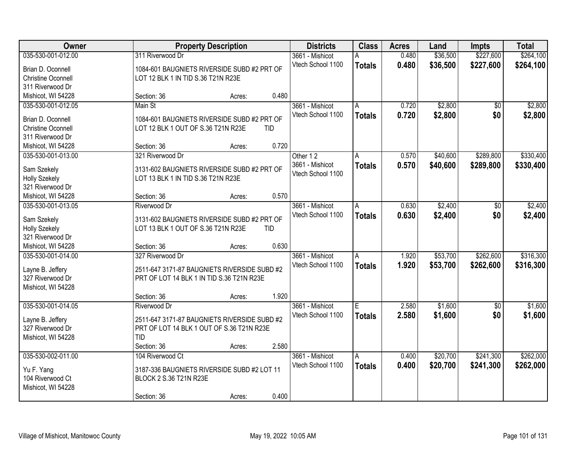| Owner                     |                                              | <b>Property Description</b> |       | <b>Districts</b>  | <b>Class</b>  | <b>Acres</b> | Land     | <b>Impts</b> | <b>Total</b> |
|---------------------------|----------------------------------------------|-----------------------------|-------|-------------------|---------------|--------------|----------|--------------|--------------|
| 035-530-001-012.00        | 311 Riverwood Dr                             |                             |       | 3661 - Mishicot   | Α             | 0.480        | \$36,500 | \$227,600    | \$264,100    |
| Brian D. Oconnell         | 1084-601 BAUGNIETS RIVERSIDE SUBD #2 PRT OF  |                             |       | Vtech School 1100 | <b>Totals</b> | 0.480        | \$36,500 | \$227,600    | \$264,100    |
| <b>Christine Oconnell</b> | LOT 12 BLK 1 IN TID S.36 T21N R23E           |                             |       |                   |               |              |          |              |              |
| 311 Riverwood Dr          |                                              |                             |       |                   |               |              |          |              |              |
| Mishicot, WI 54228        | Section: 36                                  | Acres:                      | 0.480 |                   |               |              |          |              |              |
| 035-530-001-012.05        | Main St                                      |                             |       | 3661 - Mishicot   | A             | 0.720        | \$2,800  | \$0          | \$2,800      |
|                           |                                              |                             |       | Vtech School 1100 | <b>Totals</b> | 0.720        | \$2,800  | \$0          | \$2,800      |
| Brian D. Oconnell         | 1084-601 BAUGNIETS RIVERSIDE SUBD #2 PRT OF  |                             |       |                   |               |              |          |              |              |
| <b>Christine Oconnell</b> | LOT 12 BLK 1 OUT OF S.36 T21N R23E           |                             | TID   |                   |               |              |          |              |              |
| 311 Riverwood Dr          |                                              |                             |       |                   |               |              |          |              |              |
| Mishicot, WI 54228        | Section: 36                                  | Acres:                      | 0.720 |                   |               |              |          |              |              |
| 035-530-001-013.00        | 321 Riverwood Dr                             |                             |       | Other 12          | A             | 0.570        | \$40,600 | \$289,800    | \$330,400    |
| Sam Szekely               | 3131-602 BAUGNIETS RIVERSIDE SUBD #2 PRT OF  |                             |       | 3661 - Mishicot   | <b>Totals</b> | 0.570        | \$40,600 | \$289,800    | \$330,400    |
| <b>Holly Szekely</b>      | LOT 13 BLK 1 IN TID S.36 T21N R23E           |                             |       | Vtech School 1100 |               |              |          |              |              |
| 321 Riverwood Dr          |                                              |                             |       |                   |               |              |          |              |              |
| Mishicot, WI 54228        | Section: 36                                  | Acres:                      | 0.570 |                   |               |              |          |              |              |
| 035-530-001-013.05        | Riverwood Dr                                 |                             |       | 3661 - Mishicot   | A             | 0.630        | \$2,400  | \$0          | \$2,400      |
|                           |                                              |                             |       | Vtech School 1100 |               | 0.630        |          | \$0          |              |
| Sam Szekely               | 3131-602 BAUGNIETS RIVERSIDE SUBD #2 PRT OF  |                             |       |                   | <b>Totals</b> |              | \$2,400  |              | \$2,400      |
| <b>Holly Szekely</b>      | LOT 13 BLK 1 OUT OF S.36 T21N R23E           |                             | TID   |                   |               |              |          |              |              |
| 321 Riverwood Dr          |                                              |                             |       |                   |               |              |          |              |              |
| Mishicot, WI 54228        | Section: 36                                  | Acres:                      | 0.630 |                   |               |              |          |              |              |
| 035-530-001-014.00        | 327 Riverwood Dr                             |                             |       | 3661 - Mishicot   | A             | 1.920        | \$53,700 | \$262,600    | \$316,300    |
|                           |                                              |                             |       | Vtech School 1100 | <b>Totals</b> | 1.920        | \$53,700 | \$262,600    | \$316,300    |
| Layne B. Jeffery          | 2511-647 3171-87 BAUGNIETS RIVERSIDE SUBD #2 |                             |       |                   |               |              |          |              |              |
| 327 Riverwood Dr          | PRT OF LOT 14 BLK 1 IN TID S.36 T21N R23E    |                             |       |                   |               |              |          |              |              |
| Mishicot, WI 54228        |                                              |                             |       |                   |               |              |          |              |              |
|                           | Section: 36                                  | Acres:                      | 1.920 |                   |               |              |          |              |              |
| 035-530-001-014.05        | Riverwood Dr                                 |                             |       | 3661 - Mishicot   | E             | 2.580        | \$1,600  | $\sqrt{$0}$  | \$1,600      |
| Layne B. Jeffery          | 2511-647 3171-87 BAUGNIETS RIVERSIDE SUBD #2 |                             |       | Vtech School 1100 | <b>Totals</b> | 2.580        | \$1,600  | \$0          | \$1,600      |
| 327 Riverwood Dr          | PRT OF LOT 14 BLK 1 OUT OF S.36 T21N R23E    |                             |       |                   |               |              |          |              |              |
| Mishicot, WI 54228        | <b>TID</b>                                   |                             |       |                   |               |              |          |              |              |
|                           | Section: 36                                  | Acres:                      | 2.580 |                   |               |              |          |              |              |
| 035-530-002-011.00        | 104 Riverwood Ct                             |                             |       | 3661 - Mishicot   | A             | 0.400        | \$20,700 | \$241,300    | \$262,000    |
|                           |                                              |                             |       | Vtech School 1100 | <b>Totals</b> | 0.400        | \$20,700 | \$241,300    | \$262,000    |
| Yu F. Yang                | 3187-336 BAUGNIETS RIVERSIDE SUBD #2 LOT 11  |                             |       |                   |               |              |          |              |              |
| 104 Riverwood Ct          | BLOCK 2 S.36 T21N R23E                       |                             |       |                   |               |              |          |              |              |
| Mishicot, WI 54228        |                                              |                             |       |                   |               |              |          |              |              |
|                           | Section: 36                                  | Acres:                      | 0.400 |                   |               |              |          |              |              |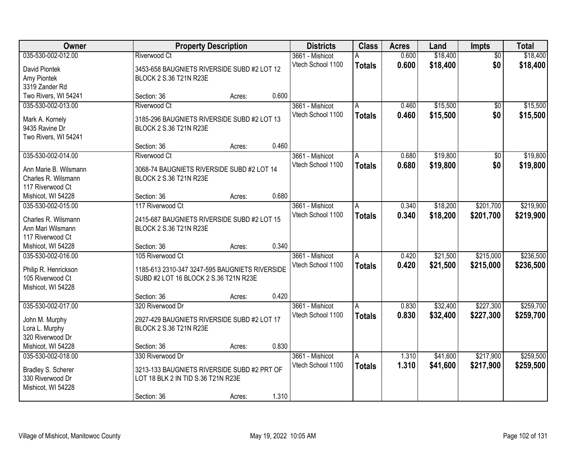| Owner                 |                                                | <b>Property Description</b> |       | <b>Districts</b>  | <b>Class</b>  | <b>Acres</b> | Land     | Impts           | <b>Total</b> |
|-----------------------|------------------------------------------------|-----------------------------|-------|-------------------|---------------|--------------|----------|-----------------|--------------|
| 035-530-002-012.00    | <b>Riverwood Ct</b>                            |                             |       | 3661 - Mishicot   | А             | 0.600        | \$18,400 | $\overline{50}$ | \$18,400     |
| David Piontek         | 3453-658 BAUGNIETS RIVERSIDE SUBD #2 LOT 12    |                             |       | Vtech School 1100 | <b>Totals</b> | 0.600        | \$18,400 | \$0             | \$18,400     |
| Amy Piontek           | BLOCK 2 S.36 T21N R23E                         |                             |       |                   |               |              |          |                 |              |
| 3319 Zander Rd        |                                                |                             |       |                   |               |              |          |                 |              |
| Two Rivers, WI 54241  | Section: 36                                    | Acres:                      | 0.600 |                   |               |              |          |                 |              |
| 035-530-002-013.00    | Riverwood Ct                                   |                             |       | 3661 - Mishicot   | A             | 0.460        | \$15,500 | $\overline{50}$ | \$15,500     |
|                       |                                                |                             |       | Vtech School 1100 | <b>Totals</b> | 0.460        | \$15,500 | \$0             | \$15,500     |
| Mark A. Kornely       | 3185-296 BAUGNIETS RIVERSIDE SUBD #2 LOT 13    |                             |       |                   |               |              |          |                 |              |
| 9435 Ravine Dr        | BLOCK 2 S.36 T21N R23E                         |                             |       |                   |               |              |          |                 |              |
| Two Rivers, WI 54241  | Section: 36                                    | Acres:                      | 0.460 |                   |               |              |          |                 |              |
| 035-530-002-014.00    | Riverwood Ct                                   |                             |       | 3661 - Mishicot   | A             | 0.680        | \$19,800 | \$0             | \$19,800     |
|                       |                                                |                             |       | Vtech School 1100 |               |              |          |                 |              |
| Ann Marie B. Wilsmann | 3068-74 BAUGNIETS RIVERSIDE SUBD #2 LOT 14     |                             |       |                   | <b>Totals</b> | 0.680        | \$19,800 | \$0             | \$19,800     |
| Charles R. Wilsmann   | BLOCK 2 S.36 T21N R23E                         |                             |       |                   |               |              |          |                 |              |
| 117 Riverwood Ct      |                                                |                             |       |                   |               |              |          |                 |              |
| Mishicot, WI 54228    | Section: 36                                    | Acres:                      | 0.680 |                   |               |              |          |                 |              |
| 035-530-002-015.00    | 117 Riverwood Ct                               |                             |       | 3661 - Mishicot   | A             | 0.340        | \$18,200 | \$201,700       | \$219,900    |
| Charles R. Wilsmann   | 2415-687 BAUGNIETS RIVERSIDE SUBD #2 LOT 15    |                             |       | Vtech School 1100 | <b>Totals</b> | 0.340        | \$18,200 | \$201,700       | \$219,900    |
| Ann Mari Wilsmann     | BLOCK 2 S.36 T21N R23E                         |                             |       |                   |               |              |          |                 |              |
| 117 Riverwood Ct      |                                                |                             |       |                   |               |              |          |                 |              |
| Mishicot, WI 54228    | Section: 36                                    | Acres:                      | 0.340 |                   |               |              |          |                 |              |
| 035-530-002-016.00    | 105 Riverwood Ct                               |                             |       | 3661 - Mishicot   | A             | 0.420        | \$21,500 | \$215,000       | \$236,500    |
|                       |                                                |                             |       | Vtech School 1100 | <b>Totals</b> | 0.420        | \$21,500 | \$215,000       | \$236,500    |
| Philip R. Henrickson  | 1185-613 2310-347 3247-595 BAUGNIETS RIVERSIDE |                             |       |                   |               |              |          |                 |              |
| 105 Riverwood Ct      | SUBD #2 LOT 16 BLOCK 2 S.36 T21N R23E          |                             |       |                   |               |              |          |                 |              |
| Mishicot, WI 54228    |                                                |                             |       |                   |               |              |          |                 |              |
|                       | Section: 36                                    | Acres:                      | 0.420 |                   |               |              |          |                 |              |
| 035-530-002-017.00    | 320 Riverwood Dr                               |                             |       | 3661 - Mishicot   | A             | 0.830        | \$32,400 | \$227,300       | \$259,700    |
| John M. Murphy        | 2927-429 BAUGNIETS RIVERSIDE SUBD #2 LOT 17    |                             |       | Vtech School 1100 | <b>Totals</b> | 0.830        | \$32,400 | \$227,300       | \$259,700    |
| Lora L. Murphy        | BLOCK 2 S.36 T21N R23E                         |                             |       |                   |               |              |          |                 |              |
| 320 Riverwood Dr      |                                                |                             |       |                   |               |              |          |                 |              |
| Mishicot, WI 54228    | Section: 36                                    | Acres:                      | 0.830 |                   |               |              |          |                 |              |
| 035-530-002-018.00    | 330 Riverwood Dr                               |                             |       | 3661 - Mishicot   | A             | 1.310        | \$41,600 | \$217,900       | \$259,500    |
|                       |                                                |                             |       | Vtech School 1100 | <b>Totals</b> | 1.310        | \$41,600 | \$217,900       | \$259,500    |
| Bradley S. Scherer    | 3213-133 BAUGNIETS RIVERSIDE SUBD #2 PRT OF    |                             |       |                   |               |              |          |                 |              |
| 330 Riverwood Dr      | LOT 18 BLK 2 IN TID S.36 T21N R23E             |                             |       |                   |               |              |          |                 |              |
| Mishicot, WI 54228    | Section: 36                                    |                             | 1.310 |                   |               |              |          |                 |              |
|                       |                                                | Acres:                      |       |                   |               |              |          |                 |              |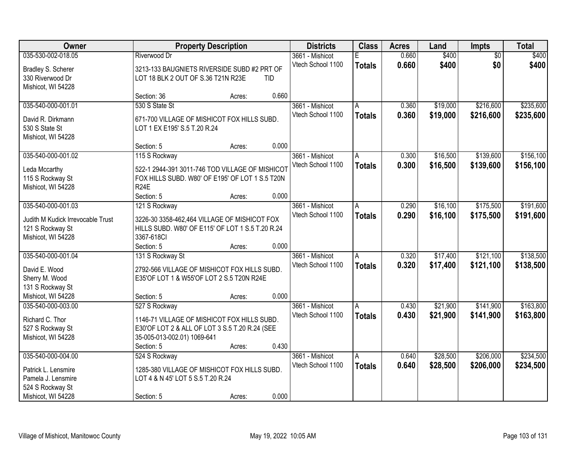| <b>Owner</b>                      |                                                  | <b>Property Description</b> |            | <b>Districts</b>  | <b>Class</b>  | <b>Acres</b> | Land     | <b>Impts</b>    | <b>Total</b> |
|-----------------------------------|--------------------------------------------------|-----------------------------|------------|-------------------|---------------|--------------|----------|-----------------|--------------|
| 035-530-002-018.05                | Riverwood Dr                                     |                             |            | 3661 - Mishicot   | F             | 0.660        | \$400    | $\overline{50}$ | \$400        |
| Bradley S. Scherer                | 3213-133 BAUGNIETS RIVERSIDE SUBD #2 PRT OF      |                             |            | Vtech School 1100 | <b>Totals</b> | 0.660        | \$400    | \$0             | \$400        |
| 330 Riverwood Dr                  | LOT 18 BLK 2 OUT OF S.36 T21N R23E               |                             | <b>TID</b> |                   |               |              |          |                 |              |
| Mishicot, WI 54228                |                                                  |                             |            |                   |               |              |          |                 |              |
|                                   | Section: 36                                      | Acres:                      | 0.660      |                   |               |              |          |                 |              |
| 035-540-000-001.01                | 530 S State St                                   |                             |            | 3661 - Mishicot   | A             | 0.360        | \$19,000 | \$216,600       | \$235,600    |
| David R. Dirkmann                 | 671-700 VILLAGE OF MISHICOT FOX HILLS SUBD.      |                             |            | Vtech School 1100 | <b>Totals</b> | 0.360        | \$19,000 | \$216,600       | \$235,600    |
| 530 S State St                    | LOT 1 EX E195' S.5 T.20 R.24                     |                             |            |                   |               |              |          |                 |              |
| Mishicot, WI 54228                |                                                  |                             |            |                   |               |              |          |                 |              |
|                                   | Section: 5                                       | Acres:                      | 0.000      |                   |               |              |          |                 |              |
| 035-540-000-001.02                | 115 S Rockway                                    |                             |            | 3661 - Mishicot   | А             | 0.300        | \$16,500 | \$139,600       | \$156,100    |
| Leda Mccarthy                     | 522-1 2944-391 3011-746 TOD VILLAGE OF MISHICOT  |                             |            | Vtech School 1100 | <b>Totals</b> | 0.300        | \$16,500 | \$139,600       | \$156,100    |
| 115 S Rockway St                  | FOX HILLS SUBD. W80' OF E195' OF LOT 1 S.5 T20N  |                             |            |                   |               |              |          |                 |              |
| Mishicot, WI 54228                | <b>R24E</b>                                      |                             |            |                   |               |              |          |                 |              |
|                                   | Section: 5                                       | Acres:                      | 0.000      |                   |               |              |          |                 |              |
| 035-540-000-001.03                | 121 S Rockway                                    |                             |            | 3661 - Mishicot   | Α             | 0.290        | \$16,100 | \$175,500       | \$191,600    |
|                                   |                                                  |                             |            | Vtech School 1100 | <b>Totals</b> | 0.290        | \$16,100 | \$175,500       | \$191,600    |
| Judith M Kudick Irrevocable Trust | 3226-30 3358-462,464 VILLAGE OF MISHICOT FOX     |                             |            |                   |               |              |          |                 |              |
| 121 S Rockway St                  | HILLS SUBD. W80' OF E115' OF LOT 1 S.5 T.20 R.24 |                             |            |                   |               |              |          |                 |              |
| Mishicot, WI 54228                | 3367-618Cl                                       |                             |            |                   |               |              |          |                 |              |
|                                   | Section: 5                                       | Acres:                      | 0.000      |                   |               |              |          |                 |              |
| 035-540-000-001.04                | 131 S Rockway St                                 |                             |            | 3661 - Mishicot   | A             | 0.320        | \$17,400 | \$121,100       | \$138,500    |
| David E. Wood                     | 2792-566 VILLAGE OF MISHICOT FOX HILLS SUBD.     |                             |            | Vtech School 1100 | <b>Totals</b> | 0.320        | \$17,400 | \$121,100       | \$138,500    |
| Sherry M. Wood                    | E35'OF LOT 1 & W55'OF LOT 2 S.5 T20N R24E        |                             |            |                   |               |              |          |                 |              |
| 131 S Rockway St                  |                                                  |                             |            |                   |               |              |          |                 |              |
| Mishicot, WI 54228                | Section: 5                                       | Acres:                      | 0.000      |                   |               |              |          |                 |              |
| 035-540-000-003.00                | 527 S Rockway                                    |                             |            | 3661 - Mishicot   | A             | 0.430        | \$21,900 | \$141,900       | \$163,800    |
| Richard C. Thor                   | 1146-71 VILLAGE OF MISHICOT FOX HILLS SUBD.      |                             |            | Vtech School 1100 | <b>Totals</b> | 0.430        | \$21,900 | \$141,900       | \$163,800    |
| 527 S Rockway St                  | E30'OF LOT 2 & ALL OF LOT 3 S.5 T.20 R.24 (SEE   |                             |            |                   |               |              |          |                 |              |
| Mishicot, WI 54228                | 35-005-013-002.01) 1069-641                      |                             |            |                   |               |              |          |                 |              |
|                                   | Section: 5                                       | Acres:                      | 0.430      |                   |               |              |          |                 |              |
| 035-540-000-004.00                | 524 S Rockway                                    |                             |            | 3661 - Mishicot   | A             | 0.640        | \$28,500 | \$206,000       | \$234,500    |
| Patrick L. Lensmire               | 1285-380 VILLAGE OF MISHICOT FOX HILLS SUBD.     |                             |            | Vtech School 1100 | <b>Totals</b> | 0.640        | \$28,500 | \$206,000       | \$234,500    |
| Pamela J. Lensmire                | LOT 4 & N 45' LOT 5 S.5 T.20 R.24                |                             |            |                   |               |              |          |                 |              |
| 524 S Rockway St                  |                                                  |                             |            |                   |               |              |          |                 |              |
| Mishicot, WI 54228                | Section: 5                                       | Acres:                      | 0.000      |                   |               |              |          |                 |              |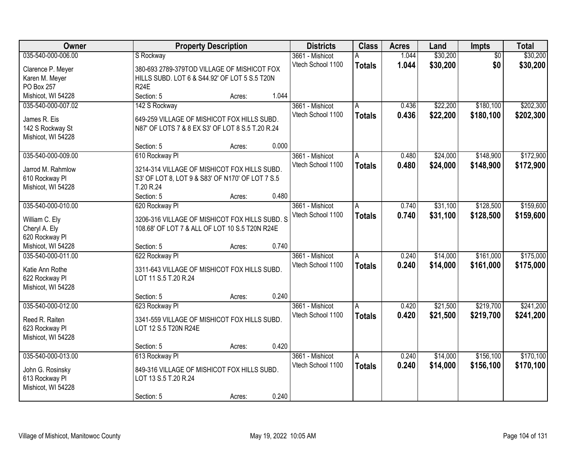| Owner                              |                                                                     | <b>Property Description</b> |       | <b>Districts</b>  | <b>Class</b>  | <b>Acres</b> | Land     | <b>Impts</b>    | <b>Total</b> |
|------------------------------------|---------------------------------------------------------------------|-----------------------------|-------|-------------------|---------------|--------------|----------|-----------------|--------------|
| 035-540-000-006.00                 | S Rockway                                                           |                             |       | 3661 - Mishicot   |               | 1.044        | \$30,200 | $\overline{50}$ | \$30,200     |
| Clarence P. Meyer                  | 380-693 2789-379TOD VILLAGE OF MISHICOT FOX                         |                             |       | Vtech School 1100 | <b>Totals</b> | 1.044        | \$30,200 | \$0             | \$30,200     |
| Karen M. Meyer                     | HILLS SUBD. LOT 6 & S44.92' OF LOT 5 S.5 T20N                       |                             |       |                   |               |              |          |                 |              |
| PO Box 257                         | <b>R24E</b>                                                         |                             |       |                   |               |              |          |                 |              |
| Mishicot, WI 54228                 | Section: 5                                                          | Acres:                      | 1.044 |                   |               |              |          |                 |              |
| 035-540-000-007.02                 | 142 S Rockway                                                       |                             |       | 3661 - Mishicot   | A             | 0.436        | \$22,200 | \$180,100       | \$202,300    |
| James R. Eis                       | 649-259 VILLAGE OF MISHICOT FOX HILLS SUBD.                         |                             |       | Vtech School 1100 | <b>Totals</b> | 0.436        | \$22,200 | \$180,100       | \$202,300    |
| 142 S Rockway St                   | N87' OF LOTS 7 & 8 EX S3' OF LOT 8 S.5 T.20 R.24                    |                             |       |                   |               |              |          |                 |              |
| Mishicot, WI 54228                 |                                                                     |                             |       |                   |               |              |          |                 |              |
|                                    | Section: 5                                                          | Acres:                      | 0.000 |                   |               |              |          |                 |              |
| 035-540-000-009.00                 | 610 Rockway PI                                                      |                             |       | 3661 - Mishicot   | A             | 0.480        | \$24,000 | \$148,900       | \$172,900    |
|                                    |                                                                     |                             |       | Vtech School 1100 | <b>Totals</b> | 0.480        | \$24,000 | \$148,900       | \$172,900    |
| Jarrod M. Rahmlow                  | 3214-314 VILLAGE OF MISHICOT FOX HILLS SUBD.                        |                             |       |                   |               |              |          |                 |              |
| 610 Rockway Pl                     | S3' OF LOT 8, LOT 9 & S83' OF N170' OF LOT 7 S.5                    |                             |       |                   |               |              |          |                 |              |
| Mishicot, WI 54228                 | T.20 R.24<br>Section: 5                                             |                             | 0.480 |                   |               |              |          |                 |              |
| 035-540-000-010.00                 | 620 Rockway Pl                                                      | Acres:                      |       | 3661 - Mishicot   | Α             | 0.740        | \$31,100 | \$128,500       | \$159,600    |
|                                    |                                                                     |                             |       | Vtech School 1100 |               | 0.740        |          |                 |              |
| William C. Ely                     | 3206-316 VILLAGE OF MISHICOT FOX HILLS SUBD. S                      |                             |       |                   | <b>Totals</b> |              | \$31,100 | \$128,500       | \$159,600    |
| Cheryl A. Ely                      | 108.68' OF LOT 7 & ALL OF LOT 10 S.5 T20N R24E                      |                             |       |                   |               |              |          |                 |              |
| 620 Rockway Pl                     |                                                                     |                             |       |                   |               |              |          |                 |              |
| Mishicot, WI 54228                 | Section: 5                                                          | Acres:                      | 0.740 |                   |               |              |          |                 |              |
| 035-540-000-011.00                 | 622 Rockway PI                                                      |                             |       | 3661 - Mishicot   | A             | 0.240        | \$14,000 | \$161,000       | \$175,000    |
| Katie Ann Rothe                    | 3311-643 VILLAGE OF MISHICOT FOX HILLS SUBD.                        |                             |       | Vtech School 1100 | <b>Totals</b> | 0.240        | \$14,000 | \$161,000       | \$175,000    |
| 622 Rockway Pl                     | LOT 11 S.5 T.20 R.24                                                |                             |       |                   |               |              |          |                 |              |
| Mishicot, WI 54228                 |                                                                     |                             |       |                   |               |              |          |                 |              |
|                                    | Section: 5                                                          | Acres:                      | 0.240 |                   |               |              |          |                 |              |
| 035-540-000-012.00                 | 623 Rockway PI                                                      |                             |       | 3661 - Mishicot   | A             | 0.420        | \$21,500 | \$219,700       | \$241,200    |
| Reed R. Raiten                     | 3341-559 VILLAGE OF MISHICOT FOX HILLS SUBD.                        |                             |       | Vtech School 1100 | <b>Totals</b> | 0.420        | \$21,500 | \$219,700       | \$241,200    |
| 623 Rockway Pl                     | LOT 12 S.5 T20N R24E                                                |                             |       |                   |               |              |          |                 |              |
| Mishicot, WI 54228                 |                                                                     |                             |       |                   |               |              |          |                 |              |
|                                    | Section: 5                                                          | Acres:                      | 0.420 |                   |               |              |          |                 |              |
| 035-540-000-013.00                 | 613 Rockway PI                                                      |                             |       | 3661 - Mishicot   | A             | 0.240        | \$14,000 | \$156,100       | \$170,100    |
|                                    |                                                                     |                             |       | Vtech School 1100 | <b>Totals</b> | 0.240        | \$14,000 | \$156,100       | \$170,100    |
| John G. Rosinsky<br>613 Rockway Pl | 849-316 VILLAGE OF MISHICOT FOX HILLS SUBD.<br>LOT 13 S.5 T.20 R.24 |                             |       |                   |               |              |          |                 |              |
| Mishicot, WI 54228                 |                                                                     |                             |       |                   |               |              |          |                 |              |
|                                    | Section: 5                                                          | Acres:                      | 0.240 |                   |               |              |          |                 |              |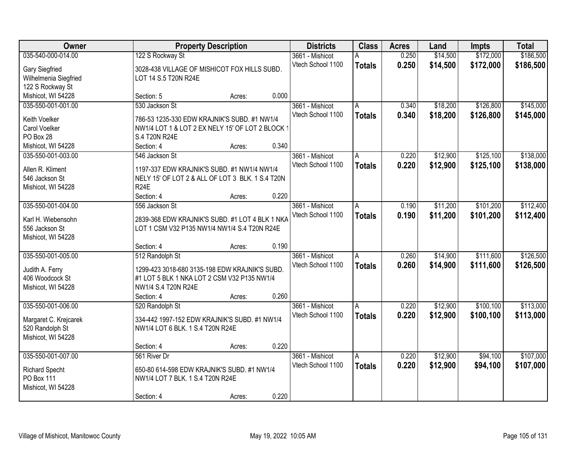| Owner                 |                                                  | <b>Property Description</b> |       | <b>Districts</b>  | <b>Class</b>  | <b>Acres</b> | Land     | <b>Impts</b> | <b>Total</b> |
|-----------------------|--------------------------------------------------|-----------------------------|-------|-------------------|---------------|--------------|----------|--------------|--------------|
| 035-540-000-014.00    | 122 S Rockway St                                 |                             |       | 3661 - Mishicot   | А             | 0.250        | \$14,500 | \$172,000    | \$186,500    |
| Gary Siegfried        | 3028-438 VILLAGE OF MISHICOT FOX HILLS SUBD.     |                             |       | Vtech School 1100 | <b>Totals</b> | 0.250        | \$14,500 | \$172,000    | \$186,500    |
| Wilhelmenia Siegfried | LOT 14 S.5 T20N R24E                             |                             |       |                   |               |              |          |              |              |
| 122 S Rockway St      |                                                  |                             |       |                   |               |              |          |              |              |
| Mishicot, WI 54228    | Section: 5                                       | Acres:                      | 0.000 |                   |               |              |          |              |              |
| 035-550-001-001.00    | 530 Jackson St                                   |                             |       | 3661 - Mishicot   | A             | 0.340        | \$18,200 | \$126,800    | \$145,000    |
|                       |                                                  |                             |       | Vtech School 1100 | <b>Totals</b> | 0.340        | \$18,200 | \$126,800    | \$145,000    |
| Keith Voelker         | 786-53 1235-330 EDW KRAJNIK'S SUBD. #1 NW1/4     |                             |       |                   |               |              |          |              |              |
| Carol Voelker         | NW1/4 LOT 1 & LOT 2 EX NELY 15' OF LOT 2 BLOCK 1 |                             |       |                   |               |              |          |              |              |
| PO Box 28             | S.4 T20N R24E                                    |                             |       |                   |               |              |          |              |              |
| Mishicot, WI 54228    | Section: 4                                       | Acres:                      | 0.340 |                   |               |              |          |              |              |
| 035-550-001-003.00    | 546 Jackson St                                   |                             |       | 3661 - Mishicot   | A             | 0.220        | \$12,900 | \$125,100    | \$138,000    |
| Allen R. Kliment      | 1197-337 EDW KRAJNIK'S SUBD. #1 NW1/4 NW1/4      |                             |       | Vtech School 1100 | <b>Totals</b> | 0.220        | \$12,900 | \$125,100    | \$138,000    |
| 546 Jackson St        | NELY 15' OF LOT 2 & ALL OF LOT 3 BLK. 1 S.4 T20N |                             |       |                   |               |              |          |              |              |
| Mishicot, WI 54228    | <b>R24E</b>                                      |                             |       |                   |               |              |          |              |              |
|                       | Section: 4                                       | Acres:                      | 0.220 |                   |               |              |          |              |              |
| 035-550-001-004.00    | 556 Jackson St                                   |                             |       | 3661 - Mishicot   | A             | 0.190        | \$11,200 | \$101,200    | \$112,400    |
|                       |                                                  |                             |       | Vtech School 1100 | <b>Totals</b> | 0.190        | \$11,200 | \$101,200    | \$112,400    |
| Karl H. Wiebensohn    | 2839-368 EDW KRAJNIK'S SUBD. #1 LOT 4 BLK 1 NKA  |                             |       |                   |               |              |          |              |              |
| 556 Jackson St        | LOT 1 CSM V32 P135 NW1/4 NW1/4 S.4 T20N R24E     |                             |       |                   |               |              |          |              |              |
| Mishicot, WI 54228    |                                                  |                             |       |                   |               |              |          |              |              |
|                       | Section: 4                                       | Acres:                      | 0.190 |                   |               |              |          |              |              |
| 035-550-001-005.00    | 512 Randolph St                                  |                             |       | 3661 - Mishicot   | A             | 0.260        | \$14,900 | \$111,600    | \$126,500    |
| Judith A. Ferry       | 1299-423 3018-680 3135-198 EDW KRAJNIK'S SUBD.   |                             |       | Vtech School 1100 | <b>Totals</b> | 0.260        | \$14,900 | \$111,600    | \$126,500    |
| 406 Woodcock St       | #1 LOT 5 BLK 1 NKA LOT 2 CSM V32 P135 NW1/4      |                             |       |                   |               |              |          |              |              |
| Mishicot, WI 54228    | NW1/4 S.4 T20N R24E                              |                             |       |                   |               |              |          |              |              |
|                       | Section: 4                                       | Acres:                      | 0.260 |                   |               |              |          |              |              |
| 035-550-001-006.00    | 520 Randolph St                                  |                             |       | 3661 - Mishicot   | A             | 0.220        | \$12,900 | \$100, 100   | \$113,000    |
|                       |                                                  |                             |       | Vtech School 1100 | <b>Totals</b> | 0.220        | \$12,900 | \$100,100    | \$113,000    |
| Margaret C. Krejcarek | 334-442 1997-152 EDW KRAJNIK'S SUBD. #1 NW1/4    |                             |       |                   |               |              |          |              |              |
| 520 Randolph St       | NW1/4 LOT 6 BLK. 1 S.4 T20N R24E                 |                             |       |                   |               |              |          |              |              |
| Mishicot, WI 54228    |                                                  |                             |       |                   |               |              |          |              |              |
|                       | Section: 4                                       | Acres:                      | 0.220 |                   |               |              |          |              |              |
| 035-550-001-007.00    | 561 River Dr                                     |                             |       | 3661 - Mishicot   | A             | 0.220        | \$12,900 | \$94,100     | \$107,000    |
| <b>Richard Specht</b> | 650-80 614-598 EDW KRAJNIK'S SUBD. #1 NW1/4      |                             |       | Vtech School 1100 | <b>Totals</b> | 0.220        | \$12,900 | \$94,100     | \$107,000    |
| PO Box 111            | NW1/4 LOT 7 BLK. 1 S.4 T20N R24E                 |                             |       |                   |               |              |          |              |              |
| Mishicot, WI 54228    |                                                  |                             |       |                   |               |              |          |              |              |
|                       | Section: 4                                       | Acres:                      | 0.220 |                   |               |              |          |              |              |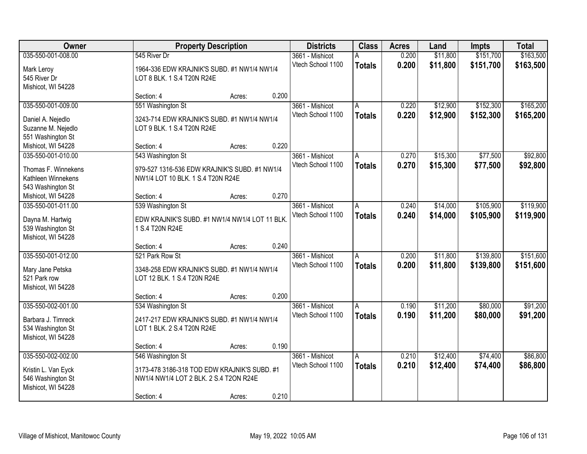| Owner               | <b>Property Description</b>                    |        |       | <b>Districts</b>  | <b>Class</b>  | <b>Acres</b> | Land     | <b>Impts</b> | <b>Total</b> |
|---------------------|------------------------------------------------|--------|-------|-------------------|---------------|--------------|----------|--------------|--------------|
| 035-550-001-008.00  | 545 River Dr                                   |        |       | 3661 - Mishicot   |               | 0.200        | \$11,800 | \$151,700    | \$163,500    |
| Mark Leroy          | 1964-336 EDW KRAJNIK'S SUBD. #1 NW1/4 NW1/4    |        |       | Vtech School 1100 | <b>Totals</b> | 0.200        | \$11,800 | \$151,700    | \$163,500    |
| 545 River Dr        | LOT 8 BLK. 1 S.4 T20N R24E                     |        |       |                   |               |              |          |              |              |
| Mishicot, WI 54228  |                                                |        |       |                   |               |              |          |              |              |
|                     | Section: 4                                     | Acres: | 0.200 |                   |               |              |          |              |              |
| 035-550-001-009.00  | 551 Washington St                              |        |       | 3661 - Mishicot   | A             | 0.220        | \$12,900 | \$152,300    | \$165,200    |
| Daniel A. Nejedlo   | 3243-714 EDW KRAJNIK'S SUBD. #1 NW1/4 NW1/4    |        |       | Vtech School 1100 | <b>Totals</b> | 0.220        | \$12,900 | \$152,300    | \$165,200    |
| Suzanne M. Nejedlo  | LOT 9 BLK. 1 S.4 T20N R24E                     |        |       |                   |               |              |          |              |              |
| 551 Washington St   |                                                |        |       |                   |               |              |          |              |              |
| Mishicot, WI 54228  | Section: 4                                     | Acres: | 0.220 |                   |               |              |          |              |              |
| 035-550-001-010.00  | 543 Washington St                              |        |       | 3661 - Mishicot   | A             | 0.270        | \$15,300 | \$77,500     | \$92,800     |
| Thomas F. Winnekens | 979-527 1316-536 EDW KRAJNIK'S SUBD. #1 NW1/4  |        |       | Vtech School 1100 | <b>Totals</b> | 0.270        | \$15,300 | \$77,500     | \$92,800     |
| Kathleen Winnekens  | NW1/4 LOT 10 BLK. 1 S.4 T20N R24E              |        |       |                   |               |              |          |              |              |
| 543 Washington St   |                                                |        |       |                   |               |              |          |              |              |
| Mishicot, WI 54228  | Section: 4                                     | Acres: | 0.270 |                   |               |              |          |              |              |
| 035-550-001-011.00  | 539 Washington St                              |        |       | 3661 - Mishicot   | A             | 0.240        | \$14,000 | \$105,900    | \$119,900    |
| Dayna M. Hartwig    | EDW KRAJNIK'S SUBD. #1 NW1/4 NW1/4 LOT 11 BLK. |        |       | Vtech School 1100 | <b>Totals</b> | 0.240        | \$14,000 | \$105,900    | \$119,900    |
| 539 Washington St   | 1 S.4 T20N R24E                                |        |       |                   |               |              |          |              |              |
| Mishicot, WI 54228  |                                                |        |       |                   |               |              |          |              |              |
|                     | Section: 4                                     | Acres: | 0.240 |                   |               |              |          |              |              |
| 035-550-001-012.00  | 521 Park Row St                                |        |       | 3661 - Mishicot   | A             | 0.200        | \$11,800 | \$139,800    | \$151,600    |
| Mary Jane Petska    | 3348-258 EDW KRAJNIK'S SUBD. #1 NW1/4 NW1/4    |        |       | Vtech School 1100 | <b>Totals</b> | 0.200        | \$11,800 | \$139,800    | \$151,600    |
| 521 Park row        | LOT 12 BLK. 1 S.4 T20N R24E                    |        |       |                   |               |              |          |              |              |
| Mishicot, WI 54228  |                                                |        |       |                   |               |              |          |              |              |
|                     | Section: 4                                     | Acres: | 0.200 |                   |               |              |          |              |              |
| 035-550-002-001.00  | 534 Washington St                              |        |       | 3661 - Mishicot   | A             | 0.190        | \$11,200 | \$80,000     | \$91,200     |
| Barbara J. Timreck  | 2417-217 EDW KRAJNIK'S SUBD. #1 NW1/4 NW1/4    |        |       | Vtech School 1100 | <b>Totals</b> | 0.190        | \$11,200 | \$80,000     | \$91,200     |
| 534 Washington St   | LOT 1 BLK. 2 S.4 T20N R24E                     |        |       |                   |               |              |          |              |              |
| Mishicot, WI 54228  |                                                |        |       |                   |               |              |          |              |              |
|                     | Section: 4                                     | Acres: | 0.190 |                   |               |              |          |              |              |
| 035-550-002-002.00  | 546 Washington St                              |        |       | 3661 - Mishicot   | A             | 0.210        | \$12,400 | \$74,400     | \$86,800     |
| Kristin L. Van Eyck | 3173-478 3186-318 TOD EDW KRAJNIK'S SUBD. #1   |        |       | Vtech School 1100 | <b>Totals</b> | 0.210        | \$12,400 | \$74,400     | \$86,800     |
| 546 Washington St   | NW1/4 NW1/4 LOT 2 BLK. 2 S.4 T2ON R24E         |        |       |                   |               |              |          |              |              |
| Mishicot, WI 54228  |                                                |        |       |                   |               |              |          |              |              |
|                     | Section: 4                                     | Acres: | 0.210 |                   |               |              |          |              |              |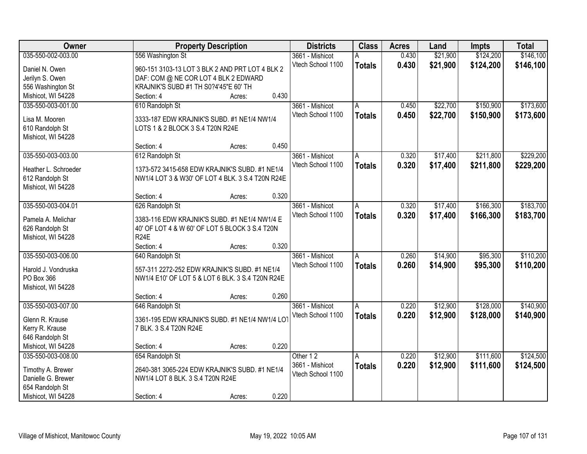| Owner                |                                                               | <b>Property Description</b> |       | <b>Districts</b>  | <b>Class</b>  | <b>Acres</b> | Land     | <b>Impts</b> | <b>Total</b> |
|----------------------|---------------------------------------------------------------|-----------------------------|-------|-------------------|---------------|--------------|----------|--------------|--------------|
| 035-550-002-003.00   | 556 Washington St                                             |                             |       | 3661 - Mishicot   | А             | 0.430        | \$21,900 | \$124,200    | \$146,100    |
| Daniel N. Owen       | 960-151 3103-13 LOT 3 BLK 2 AND PRT LOT 4 BLK 2               |                             |       | Vtech School 1100 | <b>Totals</b> | 0.430        | \$21,900 | \$124,200    | \$146,100    |
| Jerilyn S. Owen      | DAF: COM @ NE COR LOT 4 BLK 2 EDWARD                          |                             |       |                   |               |              |          |              |              |
| 556 Washington St    | KRAJNIK'S SUBD #1 TH S0?4'45"E 60' TH                         |                             |       |                   |               |              |          |              |              |
| Mishicot, WI 54228   | Section: 4                                                    | Acres:                      | 0.430 |                   |               |              |          |              |              |
| 035-550-003-001.00   | 610 Randolph St                                               |                             |       | 3661 - Mishicot   | A             | 0.450        | \$22,700 | \$150,900    | \$173,600    |
|                      |                                                               |                             |       | Vtech School 1100 | <b>Totals</b> | 0.450        | \$22,700 | \$150,900    | \$173,600    |
| Lisa M. Mooren       | 3333-187 EDW KRAJNIK'S SUBD. #1 NE1/4 NW1/4                   |                             |       |                   |               |              |          |              |              |
| 610 Randolph St      | LOTS 1 & 2 BLOCK 3 S.4 T20N R24E                              |                             |       |                   |               |              |          |              |              |
| Mishicot, WI 54228   |                                                               |                             | 0.450 |                   |               |              |          |              |              |
|                      | Section: 4                                                    | Acres:                      |       |                   |               |              |          |              |              |
| 035-550-003-003.00   | 612 Randolph St                                               |                             |       | 3661 - Mishicot   | A             | 0.320        | \$17,400 | \$211,800    | \$229,200    |
| Heather L. Schroeder | 1373-572 3415-658 EDW KRAJNIK'S SUBD. #1 NE1/4                |                             |       | Vtech School 1100 | <b>Totals</b> | 0.320        | \$17,400 | \$211,800    | \$229,200    |
| 612 Randolph St      | NW1/4 LOT 3 & W30' OF LOT 4 BLK. 3 S.4 T20N R24E              |                             |       |                   |               |              |          |              |              |
| Mishicot, WI 54228   |                                                               |                             |       |                   |               |              |          |              |              |
|                      | Section: 4                                                    | Acres:                      | 0.320 |                   |               |              |          |              |              |
| 035-550-003-004.01   | 626 Randolph St                                               |                             |       | 3661 - Mishicot   | A             | 0.320        | \$17,400 | \$166,300    | \$183,700    |
|                      |                                                               |                             |       | Vtech School 1100 | <b>Totals</b> | 0.320        | \$17,400 | \$166,300    | \$183,700    |
| Pamela A. Melichar   | 3383-116 EDW KRAJNIK'S SUBD. #1 NE1/4 NW1/4 E                 |                             |       |                   |               |              |          |              |              |
| 626 Randolph St      | 40' OF LOT 4 & W 60' OF LOT 5 BLOCK 3 S.4 T20N<br><b>R24E</b> |                             |       |                   |               |              |          |              |              |
| Mishicot, WI 54228   | Section: 4                                                    |                             | 0.320 |                   |               |              |          |              |              |
| 035-550-003-006.00   | 640 Randolph St                                               | Acres:                      |       | 3661 - Mishicot   | A             | 0.260        | \$14,900 | \$95,300     | \$110,200    |
|                      |                                                               |                             |       |                   |               |              |          |              |              |
| Harold J. Vondruska  | 557-311 2272-252 EDW KRAJNIK'S SUBD. #1 NE1/4                 |                             |       | Vtech School 1100 | <b>Totals</b> | 0.260        | \$14,900 | \$95,300     | \$110,200    |
| PO Box 366           | NW1/4 E10' OF LOT 5 & LOT 6 BLK. 3 S.4 T20N R24E              |                             |       |                   |               |              |          |              |              |
| Mishicot, WI 54228   |                                                               |                             |       |                   |               |              |          |              |              |
|                      | Section: 4                                                    | Acres:                      | 0.260 |                   |               |              |          |              |              |
| 035-550-003-007.00   | 646 Randolph St                                               |                             |       | 3661 - Mishicot   | A             | 0.220        | \$12,900 | \$128,000    | \$140,900    |
| Glenn R. Krause      | 3361-195 EDW KRAJNIK'S SUBD. #1 NE1/4 NW1/4 LOT               |                             |       | Vtech School 1100 | <b>Totals</b> | 0.220        | \$12,900 | \$128,000    | \$140,900    |
| Kerry R. Krause      | 7 BLK. 3 S.4 T20N R24E                                        |                             |       |                   |               |              |          |              |              |
| 646 Randolph St      |                                                               |                             |       |                   |               |              |          |              |              |
| Mishicot, WI 54228   | Section: 4                                                    | Acres:                      | 0.220 |                   |               |              |          |              |              |
| 035-550-003-008.00   | 654 Randolph St                                               |                             |       | Other 12          | A             | 0.220        | \$12,900 | \$111,600    | \$124,500    |
|                      |                                                               |                             |       | 3661 - Mishicot   | <b>Totals</b> | 0.220        | \$12,900 | \$111,600    | \$124,500    |
| Timothy A. Brewer    | 2640-381 3065-224 EDW KRAJNIK'S SUBD. #1 NE1/4                |                             |       | Vtech School 1100 |               |              |          |              |              |
| Danielle G. Brewer   | NW1/4 LOT 8 BLK. 3 S.4 T20N R24E                              |                             |       |                   |               |              |          |              |              |
| 654 Randolph St      |                                                               |                             |       |                   |               |              |          |              |              |
| Mishicot, WI 54228   | Section: 4                                                    | Acres:                      | 0.220 |                   |               |              |          |              |              |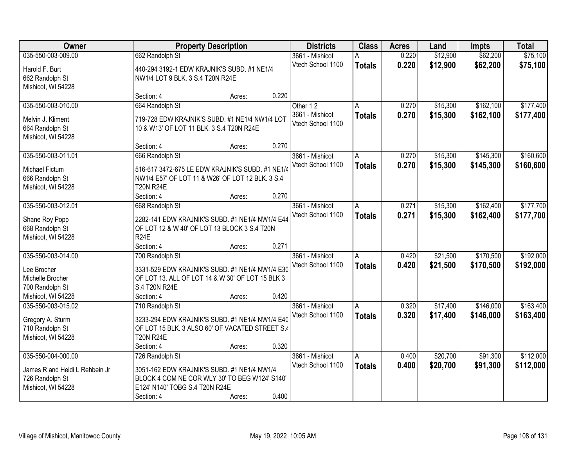| Owner                                 |                                                                      | <b>Property Description</b> |       | <b>Districts</b>  | <b>Class</b>  | <b>Acres</b> | Land     | <b>Impts</b> | <b>Total</b> |
|---------------------------------------|----------------------------------------------------------------------|-----------------------------|-------|-------------------|---------------|--------------|----------|--------------|--------------|
| 035-550-003-009.00                    | 662 Randolph St                                                      |                             |       | 3661 - Mishicot   | А             | 0.220        | \$12,900 | \$62,200     | \$75,100     |
| Harold F. Burt                        | 440-294 3192-1 EDW KRAJNIK'S SUBD. #1 NE1/4                          |                             |       | Vtech School 1100 | <b>Totals</b> | 0.220        | \$12,900 | \$62,200     | \$75,100     |
| 662 Randolph St                       | NW1/4 LOT 9 BLK. 3 S.4 T20N R24E                                     |                             |       |                   |               |              |          |              |              |
| Mishicot, WI 54228                    |                                                                      |                             |       |                   |               |              |          |              |              |
|                                       | Section: 4                                                           | Acres:                      | 0.220 |                   |               |              |          |              |              |
| 035-550-003-010.00                    | 664 Randolph St                                                      |                             |       | Other 12          | Α             | 0.270        | \$15,300 | \$162,100    | \$177,400    |
| Melvin J. Kliment                     | 719-728 EDW KRAJNIK'S SUBD. #1 NE1/4 NW1/4 LOT                       |                             |       | 3661 - Mishicot   | <b>Totals</b> | 0.270        | \$15,300 | \$162,100    | \$177,400    |
| 664 Randolph St                       | 10 & W13' OF LOT 11 BLK. 3 S.4 T20N R24E                             |                             |       | Vtech School 1100 |               |              |          |              |              |
| Mishicot, WI 54228                    |                                                                      |                             |       |                   |               |              |          |              |              |
|                                       | Section: 4                                                           | Acres:                      | 0.270 |                   |               |              |          |              |              |
| 035-550-003-011.01                    | 666 Randolph St                                                      |                             |       | 3661 - Mishicot   | A             | 0.270        | \$15,300 | \$145,300    | \$160,600    |
|                                       |                                                                      |                             |       | Vtech School 1100 | <b>Totals</b> | 0.270        | \$15,300 | \$145,300    | \$160,600    |
| Michael Fictum                        | 516-617 3472-675 LE EDW KRAJNIK'S SUBD. #1 NE1/4                     |                             |       |                   |               |              |          |              |              |
| 666 Randolph St<br>Mishicot, WI 54228 | NW1/4 E57' OF LOT 11 & W26' OF LOT 12 BLK. 3 S.4<br><b>T20N R24E</b> |                             |       |                   |               |              |          |              |              |
|                                       | Section: 4                                                           | Acres:                      | 0.270 |                   |               |              |          |              |              |
| 035-550-003-012.01                    | 668 Randolph St                                                      |                             |       | 3661 - Mishicot   | A             | 0.271        | \$15,300 | \$162,400    | \$177,700    |
|                                       |                                                                      |                             |       | Vtech School 1100 | <b>Totals</b> | 0.271        | \$15,300 | \$162,400    | \$177,700    |
| Shane Roy Popp                        | 2282-141 EDW KRAJNIK'S SUBD. #1 NE1/4 NW1/4 E44                      |                             |       |                   |               |              |          |              |              |
| 668 Randolph St                       | OF LOT 12 & W 40' OF LOT 13 BLOCK 3 S.4 T20N                         |                             |       |                   |               |              |          |              |              |
| Mishicot, WI 54228                    | <b>R24E</b>                                                          |                             |       |                   |               |              |          |              |              |
|                                       | Section: 4                                                           | Acres:                      | 0.271 |                   |               |              |          |              |              |
| 035-550-003-014.00                    | 700 Randolph St                                                      |                             |       | 3661 - Mishicot   | A             | 0.420        | \$21,500 | \$170,500    | \$192,000    |
| Lee Brocher                           | 3331-529 EDW KRAJNIK'S SUBD. #1 NE1/4 NW1/4 E30                      |                             |       | Vtech School 1100 | <b>Totals</b> | 0.420        | \$21,500 | \$170,500    | \$192,000    |
| Michelle Brocher                      | OF LOT 13. ALL OF LOT 14 & W 30' OF LOT 15 BLK 3                     |                             |       |                   |               |              |          |              |              |
| 700 Randolph St                       | S.4 T20N R24E                                                        |                             |       |                   |               |              |          |              |              |
| Mishicot, WI 54228                    | Section: 4                                                           | Acres:                      | 0.420 |                   |               |              |          |              |              |
| 035-550-003-015.02                    | 710 Randolph St                                                      |                             |       | 3661 - Mishicot   | A             | 0.320        | \$17,400 | \$146,000    | \$163,400    |
| Gregory A. Sturm                      | 3233-294 EDW KRAJNIK'S SUBD. #1 NE1/4 NW1/4 E40                      |                             |       | Vtech School 1100 | <b>Totals</b> | 0.320        | \$17,400 | \$146,000    | \$163,400    |
| 710 Randolph St                       | OF LOT 15 BLK. 3 ALSO 60' OF VACATED STREET S.4                      |                             |       |                   |               |              |          |              |              |
| Mishicot, WI 54228                    | <b>T20N R24E</b>                                                     |                             |       |                   |               |              |          |              |              |
|                                       | Section: 4                                                           | Acres:                      | 0.320 |                   |               |              |          |              |              |
| 035-550-004-000.00                    | 726 Randolph St                                                      |                             |       | 3661 - Mishicot   | A             | 0.400        | \$20,700 | \$91,300     | \$112,000    |
| James R and Heidi L Rehbein Jr        | 3051-162 EDW KRAJNIK'S SUBD. #1 NE1/4 NW1/4                          |                             |       | Vtech School 1100 | <b>Totals</b> | 0.400        | \$20,700 | \$91,300     | \$112,000    |
| 726 Randolph St                       | BLOCK 4 COM NE COR WLY 30' TO BEG W124' S140'                        |                             |       |                   |               |              |          |              |              |
| Mishicot, WI 54228                    | E124' N140' TOBG S.4 T20N R24E                                       |                             |       |                   |               |              |          |              |              |
|                                       | Section: 4                                                           | Acres:                      | 0.400 |                   |               |              |          |              |              |
|                                       |                                                                      |                             |       |                   |               |              |          |              |              |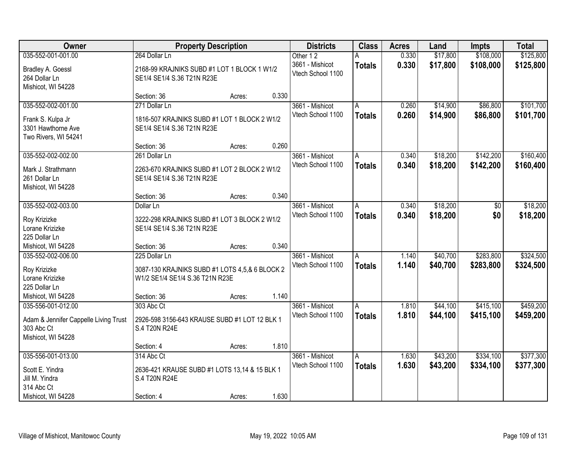| Owner                                                                     | <b>Property Description</b>                                                |        |       | <b>Districts</b>                     | <b>Class</b>  | <b>Acres</b> | Land     | <b>Impts</b> | <b>Total</b> |
|---------------------------------------------------------------------------|----------------------------------------------------------------------------|--------|-------|--------------------------------------|---------------|--------------|----------|--------------|--------------|
| 035-552-001-001.00                                                        | 264 Dollar Ln                                                              |        |       | Other 12                             |               | 0.330        | \$17,800 | \$108,000    | \$125,800    |
| Bradley A. Goessl<br>264 Dollar Ln<br>Mishicot, WI 54228                  | 2168-99 KRAJNIKS SUBD #1 LOT 1 BLOCK 1 W1/2<br>SE1/4 SE1/4 S.36 T21N R23E  |        |       | 3661 - Mishicot<br>Vtech School 1100 | <b>Totals</b> | 0.330        | \$17,800 | \$108,000    | \$125,800    |
|                                                                           | Section: 36                                                                | Acres: | 0.330 |                                      |               |              |          |              |              |
| 035-552-002-001.00                                                        | 271 Dollar Ln                                                              |        |       | 3661 - Mishicot                      | A             | 0.260        | \$14,900 | \$86,800     | \$101,700    |
| Frank S. Kulpa Jr<br>3301 Hawthorne Ave<br>Two Rivers, WI 54241           | 1816-507 KRAJNIKS SUBD #1 LOT 1 BLOCK 2 W1/2<br>SE1/4 SE1/4 S.36 T21N R23E |        |       | Vtech School 1100                    | <b>Totals</b> | 0.260        | \$14,900 | \$86,800     | \$101,700    |
|                                                                           | Section: 36                                                                | Acres: | 0.260 |                                      |               |              |          |              |              |
| 035-552-002-002.00                                                        | 261 Dollar Ln                                                              |        |       | 3661 - Mishicot                      | A             | 0.340        | \$18,200 | \$142,200    | \$160,400    |
| Mark J. Strathmann<br>261 Dollar Ln<br>Mishicot, WI 54228                 | 2263-670 KRAJNIKS SUBD #1 LOT 2 BLOCK 2 W1/2<br>SE1/4 SE1/4 S.36 T21N R23E |        |       | Vtech School 1100                    | <b>Totals</b> | 0.340        | \$18,200 | \$142,200    | \$160,400    |
|                                                                           | Section: 36                                                                | Acres: | 0.340 |                                      |               |              |          |              |              |
| 035-552-002-003.00                                                        | Dollar Ln                                                                  |        |       | 3661 - Mishicot                      | A             | 0.340        | \$18,200 | \$0          | \$18,200     |
| Roy Krizizke                                                              | 3222-298 KRAJNIKS SUBD #1 LOT 3 BLOCK 2 W1/2                               |        |       | Vtech School 1100                    | <b>Totals</b> | 0.340        | \$18,200 | \$0          | \$18,200     |
| Lorane Krizizke                                                           | SE1/4 SE1/4 S.36 T21N R23E                                                 |        |       |                                      |               |              |          |              |              |
| 225 Dollar Ln                                                             |                                                                            |        |       |                                      |               |              |          |              |              |
| Mishicot, WI 54228                                                        | Section: 36                                                                | Acres: | 0.340 |                                      |               |              |          |              |              |
| 035-552-002-006.00                                                        | 225 Dollar Ln                                                              |        |       | 3661 - Mishicot                      | A             | 1.140        | \$40,700 | \$283,800    | \$324,500    |
| Roy Krizizke                                                              | 3087-130 KRAJNIKS SUBD #1 LOTS 4,5,& 6 BLOCK 2                             |        |       | Vtech School 1100                    | <b>Totals</b> | 1.140        | \$40,700 | \$283,800    | \$324,500    |
| Lorane Krizizke                                                           | W1/2 SE1/4 SE1/4 S.36 T21N R23E                                            |        |       |                                      |               |              |          |              |              |
| 225 Dollar Ln                                                             |                                                                            |        |       |                                      |               |              |          |              |              |
| Mishicot, WI 54228                                                        | Section: 36                                                                | Acres: | 1.140 |                                      |               |              |          |              |              |
| 035-556-001-012.00                                                        | 303 Abc Ct                                                                 |        |       | 3661 - Mishicot                      | A             | 1.810        | \$44,100 | \$415,100    | \$459,200    |
| Adam & Jennifer Cappelle Living Trust<br>303 Abc Ct<br>Mishicot, WI 54228 | 2926-598 3156-643 KRAUSE SUBD #1 LOT 12 BLK 1<br>S.4 T20N R24E             |        |       | Vtech School 1100                    | <b>Totals</b> | 1.810        | \$44,100 | \$415,100    | \$459,200    |
|                                                                           | Section: 4                                                                 | Acres: | 1.810 |                                      |               |              |          |              |              |
| 035-556-001-013.00                                                        | 314 Abc Ct                                                                 |        |       | 3661 - Mishicot                      | A             | 1.630        | \$43,200 | \$334,100    | \$377,300    |
| Scott E. Yindra<br>Jill M. Yindra                                         | 2636-421 KRAUSE SUBD #1 LOTS 13,14 & 15 BLK 1<br>S.4 T20N R24E             |        |       | Vtech School 1100                    | <b>Totals</b> | 1.630        | \$43,200 | \$334,100    | \$377,300    |
| 314 Abc Ct<br>Mishicot, WI 54228                                          | Section: 4                                                                 | Acres: | 1.630 |                                      |               |              |          |              |              |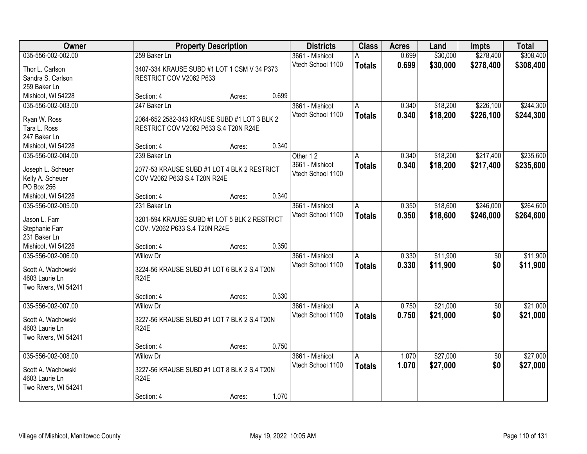| Owner                        |                                              | <b>Property Description</b> |       |                             | <b>Class</b>  | <b>Acres</b> | Land     | <b>Impts</b>    | <b>Total</b> |
|------------------------------|----------------------------------------------|-----------------------------|-------|-----------------------------|---------------|--------------|----------|-----------------|--------------|
| 035-556-002-002.00           | 259 Baker Ln                                 |                             |       | 3661 - Mishicot             | А             | 0.699        | \$30,000 | \$278,400       | \$308,400    |
| Thor L. Carlson              | 3407-334 KRAUSE SUBD #1 LOT 1 CSM V 34 P373  |                             |       | Vtech School 1100           | <b>Totals</b> | 0.699        | \$30,000 | \$278,400       | \$308,400    |
| Sandra S. Carlson            | RESTRICT COV V2062 P633                      |                             |       |                             |               |              |          |                 |              |
| 259 Baker Ln                 |                                              |                             |       |                             |               |              |          |                 |              |
| Mishicot, WI 54228           | Section: 4                                   | Acres:                      | 0.699 |                             |               |              |          |                 |              |
| 035-556-002-003.00           | 247 Baker Ln                                 |                             |       | 3661 - Mishicot             | A             | 0.340        | \$18,200 | \$226,100       | \$244,300    |
|                              |                                              |                             |       | Vtech School 1100           | <b>Totals</b> | 0.340        | \$18,200 | \$226,100       | \$244,300    |
| Ryan W. Ross                 | 2064-652 2582-343 KRAUSE SUBD #1 LOT 3 BLK 2 |                             |       |                             |               |              |          |                 |              |
| Tara L. Ross<br>247 Baker Ln | RESTRICT COV V2062 P633 S.4 T20N R24E        |                             |       |                             |               |              |          |                 |              |
|                              | Section: 4                                   |                             | 0.340 |                             |               |              |          |                 |              |
| Mishicot, WI 54228           |                                              | Acres:                      |       |                             |               |              |          |                 |              |
| 035-556-002-004.00           | 239 Baker Ln                                 |                             |       | Other 12<br>3661 - Mishicot | A             | 0.340        | \$18,200 | \$217,400       | \$235,600    |
| Joseph L. Scheuer            | 2077-53 KRAUSE SUBD #1 LOT 4 BLK 2 RESTRICT  |                             |       | Vtech School 1100           | <b>Totals</b> | 0.340        | \$18,200 | \$217,400       | \$235,600    |
| Kelly A. Scheuer             | COV V2062 P633 S.4 T20N R24E                 |                             |       |                             |               |              |          |                 |              |
| PO Box 256                   |                                              |                             |       |                             |               |              |          |                 |              |
| Mishicot, WI 54228           | Section: 4                                   | Acres:                      | 0.340 |                             |               |              |          |                 |              |
| 035-556-002-005.00           | 231 Baker Ln                                 |                             |       | 3661 - Mishicot             | A             | 0.350        | \$18,600 | \$246,000       | \$264,600    |
| Jason L. Farr                | 3201-594 KRAUSE SUBD #1 LOT 5 BLK 2 RESTRICT |                             |       | Vtech School 1100           | <b>Totals</b> | 0.350        | \$18,600 | \$246,000       | \$264,600    |
| Stephanie Farr               | COV. V2062 P633 S.4 T20N R24E                |                             |       |                             |               |              |          |                 |              |
| 231 Baker Ln                 |                                              |                             |       |                             |               |              |          |                 |              |
| Mishicot, WI 54228           | Section: 4                                   | Acres:                      | 0.350 |                             |               |              |          |                 |              |
| 035-556-002-006.00           | <b>Willow Dr</b>                             |                             |       | 3661 - Mishicot             | A             | 0.330        | \$11,900 | \$0             | \$11,900     |
|                              |                                              |                             |       | Vtech School 1100           | <b>Totals</b> | 0.330        | \$11,900 | \$0             | \$11,900     |
| Scott A. Wachowski           | 3224-56 KRAUSE SUBD #1 LOT 6 BLK 2 S.4 T20N  |                             |       |                             |               |              |          |                 |              |
| 4603 Laurie Ln               | <b>R24E</b>                                  |                             |       |                             |               |              |          |                 |              |
| Two Rivers, WI 54241         |                                              |                             |       |                             |               |              |          |                 |              |
|                              | Section: 4                                   | Acres:                      | 0.330 |                             |               |              |          |                 |              |
| 035-556-002-007.00           | <b>Willow Dr</b>                             |                             |       | 3661 - Mishicot             | A             | 0.750        | \$21,000 | $\overline{50}$ | \$21,000     |
| Scott A. Wachowski           | 3227-56 KRAUSE SUBD #1 LOT 7 BLK 2 S.4 T20N  |                             |       | Vtech School 1100           | <b>Totals</b> | 0.750        | \$21,000 | \$0             | \$21,000     |
| 4603 Laurie Ln               | <b>R24E</b>                                  |                             |       |                             |               |              |          |                 |              |
| Two Rivers, WI 54241         |                                              |                             |       |                             |               |              |          |                 |              |
|                              | Section: 4                                   | Acres:                      | 0.750 |                             |               |              |          |                 |              |
| 035-556-002-008.00           | <b>Willow Dr</b>                             |                             |       | 3661 - Mishicot             | A             | 1.070        | \$27,000 | $\overline{50}$ | \$27,000     |
|                              |                                              |                             |       | Vtech School 1100           | <b>Totals</b> | 1.070        | \$27,000 | \$0             | \$27,000     |
| Scott A. Wachowski           | 3227-56 KRAUSE SUBD #1 LOT 8 BLK 2 S.4 T20N  |                             |       |                             |               |              |          |                 |              |
| 4603 Laurie Ln               | <b>R24E</b>                                  |                             |       |                             |               |              |          |                 |              |
| Two Rivers, WI 54241         |                                              |                             |       |                             |               |              |          |                 |              |
|                              | Section: 4                                   | Acres:                      | 1.070 |                             |               |              |          |                 |              |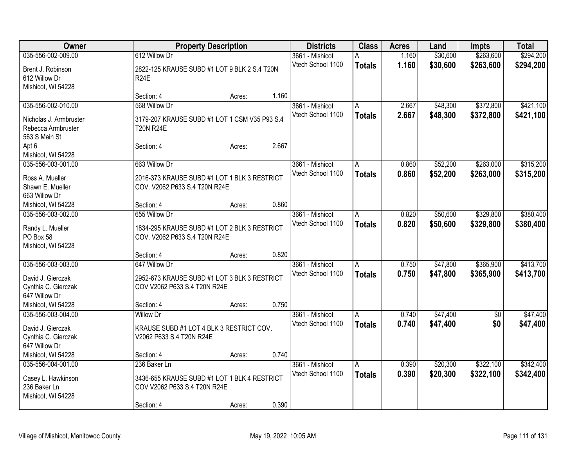| Owner                               |                                               | <b>Property Description</b> |       |                   | <b>Class</b>   | <b>Acres</b> | Land     | <b>Impts</b>    | <b>Total</b> |
|-------------------------------------|-----------------------------------------------|-----------------------------|-------|-------------------|----------------|--------------|----------|-----------------|--------------|
| 035-556-002-009.00                  | 612 Willow Dr                                 |                             |       | 3661 - Mishicot   | А              | 1.160        | \$30,600 | \$263,600       | \$294,200    |
| Brent J. Robinson                   | 2822-125 KRAUSE SUBD #1 LOT 9 BLK 2 S.4 T20N  |                             |       | Vtech School 1100 | <b>Totals</b>  | 1.160        | \$30,600 | \$263,600       | \$294,200    |
| 612 Willow Dr                       | <b>R24E</b>                                   |                             |       |                   |                |              |          |                 |              |
| Mishicot, WI 54228                  |                                               |                             |       |                   |                |              |          |                 |              |
|                                     | Section: 4                                    | Acres:                      | 1.160 |                   |                |              |          |                 |              |
| 035-556-002-010.00                  | 568 Willow Dr                                 |                             |       | 3661 - Mishicot   | A              | 2.667        | \$48,300 | \$372,800       | \$421,100    |
| Nicholas J. Armbruster              | 3179-207 KRAUSE SUBD #1 LOT 1 CSM V35 P93 S.4 |                             |       | Vtech School 1100 | <b>Totals</b>  | 2.667        | \$48,300 | \$372,800       | \$421,100    |
| Rebecca Armbruster                  | <b>T20N R24E</b>                              |                             |       |                   |                |              |          |                 |              |
| 563 S Main St                       |                                               |                             |       |                   |                |              |          |                 |              |
| Apt 6                               | Section: 4                                    | Acres:                      | 2.667 |                   |                |              |          |                 |              |
| Mishicot, WI 54228                  |                                               |                             |       |                   |                |              |          |                 |              |
| 035-556-003-001.00                  | 663 Willow Dr                                 |                             |       | 3661 - Mishicot   | A              | 0.860        | \$52,200 | \$263,000       | \$315,200    |
|                                     |                                               |                             |       | Vtech School 1100 | <b>Totals</b>  | 0.860        | \$52,200 | \$263,000       | \$315,200    |
| Ross A. Mueller                     | 2016-373 KRAUSE SUBD #1 LOT 1 BLK 3 RESTRICT  |                             |       |                   |                |              |          |                 |              |
| Shawn E. Mueller                    | COV. V2062 P633 S.4 T20N R24E                 |                             |       |                   |                |              |          |                 |              |
| 663 Willow Dr<br>Mishicot, WI 54228 | Section: 4                                    | Acres:                      | 0.860 |                   |                |              |          |                 |              |
| 035-556-003-002.00                  | 655 Willow Dr                                 |                             |       | 3661 - Mishicot   | A              | 0.820        | \$50,600 | \$329,800       | \$380,400    |
|                                     |                                               |                             |       | Vtech School 1100 |                | 0.820        | \$50,600 |                 |              |
| Randy L. Mueller                    | 1834-295 KRAUSE SUBD #1 LOT 2 BLK 3 RESTRICT  |                             |       |                   | <b>Totals</b>  |              |          | \$329,800       | \$380,400    |
| PO Box 58                           | COV. V2062 P633 S.4 T20N R24E                 |                             |       |                   |                |              |          |                 |              |
| Mishicot, WI 54228                  |                                               |                             |       |                   |                |              |          |                 |              |
|                                     | Section: 4                                    | Acres:                      | 0.820 |                   |                |              |          |                 |              |
| 035-556-003-003.00                  | 647 Willow Dr                                 |                             |       | 3661 - Mishicot   | A              | 0.750        | \$47,800 | \$365,900       | \$413,700    |
| David J. Gierczak                   | 2952-673 KRAUSE SUBD #1 LOT 3 BLK 3 RESTRICT  |                             |       | Vtech School 1100 | <b>Totals</b>  | 0.750        | \$47,800 | \$365,900       | \$413,700    |
| Cynthia C. Gierczak                 | COV V2062 P633 S.4 T20N R24E                  |                             |       |                   |                |              |          |                 |              |
| 647 Willow Dr                       |                                               |                             |       |                   |                |              |          |                 |              |
| Mishicot, WI 54228                  | Section: 4                                    | Acres:                      | 0.750 |                   |                |              |          |                 |              |
| 035-556-003-004.00                  | <b>Willow Dr</b>                              |                             |       | 3661 - Mishicot   | A              | 0.740        | \$47,400 | $\overline{50}$ | \$47,400     |
| David J. Gierczak                   | KRAUSE SUBD #1 LOT 4 BLK 3 RESTRICT COV.      |                             |       | Vtech School 1100 | <b>Totals</b>  | 0.740        | \$47,400 | \$0             | \$47,400     |
| Cynthia C. Gierczak                 | V2062 P633 S.4 T20N R24E                      |                             |       |                   |                |              |          |                 |              |
| 647 Willow Dr                       |                                               |                             |       |                   |                |              |          |                 |              |
| Mishicot, WI 54228                  | Section: 4                                    | Acres:                      | 0.740 |                   |                |              |          |                 |              |
| 035-556-004-001.00                  | 236 Baker Ln                                  |                             |       | 3661 - Mishicot   | $\overline{A}$ | 0.390        | \$20,300 | \$322,100       | \$342,400    |
|                                     |                                               |                             |       | Vtech School 1100 | <b>Totals</b>  | 0.390        | \$20,300 | \$322,100       | \$342,400    |
| Casey L. Hawkinson<br>236 Baker Ln  | 3436-655 KRAUSE SUBD #1 LOT 1 BLK 4 RESTRICT  |                             |       |                   |                |              |          |                 |              |
| Mishicot, WI 54228                  | COV V2062 P633 S.4 T20N R24E                  |                             |       |                   |                |              |          |                 |              |
|                                     |                                               |                             | 0.390 |                   |                |              |          |                 |              |
|                                     | Section: 4                                    | Acres:                      |       |                   |                |              |          |                 |              |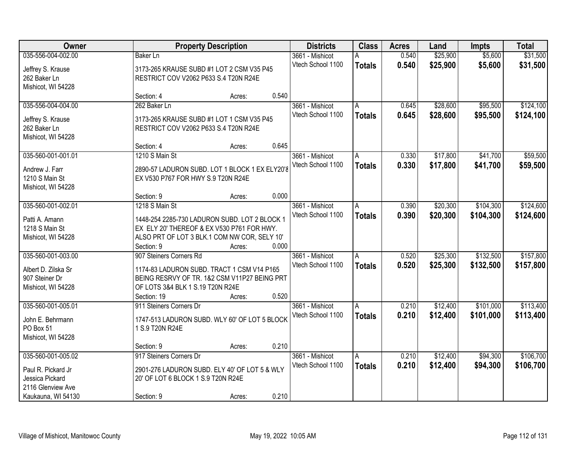| Owner                                                                                                  |                                                                                                                                                                          | <b>Property Description</b> |                |                                      |                    | <b>Districts</b> | <b>Class</b>         | <b>Acres</b>           | Land                   | <b>Impts</b> | <b>Total</b> |
|--------------------------------------------------------------------------------------------------------|--------------------------------------------------------------------------------------------------------------------------------------------------------------------------|-----------------------------|----------------|--------------------------------------|--------------------|------------------|----------------------|------------------------|------------------------|--------------|--------------|
| 035-556-004-002.00<br>Jeffrey S. Krause<br>262 Baker Ln                                                | <b>Baker Ln</b><br>3173-265 KRAUSE SUBD #1 LOT 2 CSM V35 P45<br>RESTRICT COV V2062 P633 S.4 T20N R24E                                                                    |                             |                | 3661 - Mishicot<br>Vtech School 1100 | Α<br><b>Totals</b> | 0.540<br>0.540   | \$25,900<br>\$25,900 | \$5,600<br>\$5,600     | \$31,500<br>\$31,500   |              |              |
| Mishicot, WI 54228                                                                                     | Section: 4                                                                                                                                                               | Acres:                      | 0.540          |                                      |                    |                  |                      |                        |                        |              |              |
| 035-556-004-004.00<br>Jeffrey S. Krause<br>262 Baker Ln<br>Mishicot, WI 54228                          | 262 Baker Ln<br>3173-265 KRAUSE SUBD #1 LOT 1 CSM V35 P45<br>RESTRICT COV V2062 P633 S.4 T20N R24E                                                                       |                             |                | 3661 - Mishicot<br>Vtech School 1100 | A<br><b>Totals</b> | 0.645<br>0.645   | \$28,600<br>\$28,600 | \$95,500<br>\$95,500   | \$124,100<br>\$124,100 |              |              |
| 035-560-001-001.01<br>Andrew J. Farr<br>1210 S Main St<br>Mishicot, WI 54228                           | Section: 4<br>1210 S Main St<br>2890-57 LADURON SUBD. LOT 1 BLOCK 1 EX ELY20'8<br>EX V530 P767 FOR HWY S.9 T20N R24E                                                     | Acres:                      | 0.645          | 3661 - Mishicot<br>Vtech School 1100 | A<br><b>Totals</b> | 0.330<br>0.330   | \$17,800<br>\$17,800 | \$41,700<br>\$41,700   | \$59,500<br>\$59,500   |              |              |
| 035-560-001-002.01                                                                                     | Section: 9<br>1218 S Main St                                                                                                                                             | Acres:                      | 0.000          | 3661 - Mishicot<br>Vtech School 1100 | A                  | 0.390<br>0.390   | \$20,300<br>\$20,300 | \$104,300<br>\$104,300 | \$124,600              |              |              |
| Patti A. Amann<br>1218 S Main St<br>Mishicot, WI 54228                                                 | 1448-254 2285-730 LADURON SUBD. LOT 2 BLOCK 1<br>EX ELY 20' THEREOF & EX V530 P761 FOR HWY.<br>ALSO PRT OF LOT 3 BLK.1 COM NW COR, SELY 10'<br>Section: 9                | Acres:                      | 0.000          |                                      | <b>Totals</b>      |                  |                      |                        | \$124,600              |              |              |
| 035-560-001-003.00<br>Albert D. Zilska Sr<br>907 Steiner Dr<br>Mishicot, WI 54228                      | 907 Steiners Corners Rd<br>1174-83 LADURON SUBD. TRACT 1 CSM V14 P165<br>BEING RESRVY OF TR. 1&2 CSM V11P27 BEING PRT<br>OF LOTS 3&4 BLK 1 S.19 T20N R24E<br>Section: 19 | Acres:                      | 0.520          | 3661 - Mishicot<br>Vtech School 1100 | A<br><b>Totals</b> | 0.520<br>0.520   | \$25,300<br>\$25,300 | \$132,500<br>\$132,500 | \$157,800<br>\$157,800 |              |              |
| 035-560-001-005.01<br>John E. Behrmann<br>PO Box 51<br>Mishicot, WI 54228                              | 911 Steiners Corners Dr<br>1747-513 LADURON SUBD. WLY 60' OF LOT 5 BLOCK<br>1 S.9 T20N R24E                                                                              |                             |                | 3661 - Mishicot<br>Vtech School 1100 | A<br><b>Totals</b> | 0.210<br>0.210   | \$12,400<br>\$12,400 | \$101,000<br>\$101,000 | \$113,400<br>\$113,400 |              |              |
| 035-560-001-005.02<br>Paul R. Pickard Jr<br>Jessica Pickard<br>2116 Glenview Ave<br>Kaukauna, WI 54130 | Section: 9<br>917 Steiners Corners Dr<br>2901-276 LADURON SUBD. ELY 40' OF LOT 5 & WLY<br>20' OF LOT 6 BLOCK 1 S.9 T20N R24E<br>Section: 9                               | Acres:<br>Acres:            | 0.210<br>0.210 | 3661 - Mishicot<br>Vtech School 1100 | A<br><b>Totals</b> | 0.210<br>0.210   | \$12,400<br>\$12,400 | \$94,300<br>\$94,300   | \$106,700<br>\$106,700 |              |              |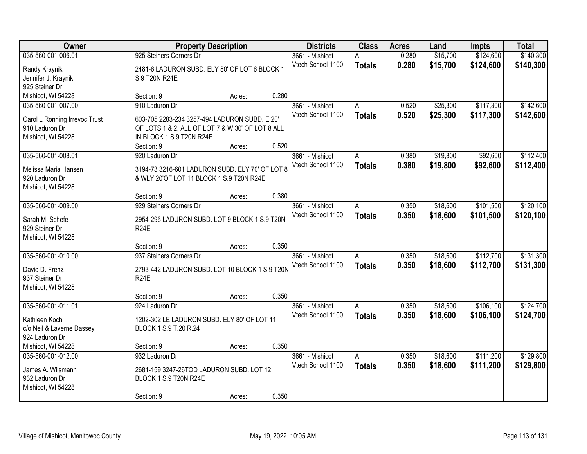| Owner                                    |                                                              | <b>Property Description</b> |       |                                      | <b>Class</b>  | <b>Acres</b>   | Land     | <b>Impts</b> | <b>Total</b> |
|------------------------------------------|--------------------------------------------------------------|-----------------------------|-------|--------------------------------------|---------------|----------------|----------|--------------|--------------|
| 035-560-001-006.01                       | 925 Steiners Corners Dr                                      |                             |       | 3661 - Mishicot                      | А             | 0.280          | \$15,700 | \$124,600    | \$140,300    |
| Randy Kraynik                            | 2481-6 LADURON SUBD. ELY 80' OF LOT 6 BLOCK 1                |                             |       | Vtech School 1100                    | <b>Totals</b> | 0.280          | \$15,700 | \$124,600    | \$140,300    |
| Jennifer J. Kraynik                      | S.9 T20N R24E                                                |                             |       |                                      |               |                |          |              |              |
| 925 Steiner Dr                           |                                                              |                             |       |                                      |               |                |          |              |              |
| Mishicot, WI 54228                       | Section: 9                                                   | Acres:                      | 0.280 |                                      |               |                |          |              |              |
| 035-560-001-007.00                       | 910 Laduron Dr                                               |                             |       | 3661 - Mishicot                      | A             | 0.520          | \$25,300 | \$117,300    | \$142,600    |
| Carol L Ronning Irrevoc Trust            | 603-705 2283-234 3257-494 LADURON SUBD. E 20'                |                             |       | Vtech School 1100                    | <b>Totals</b> | 0.520          | \$25,300 | \$117,300    | \$142,600    |
| 910 Laduron Dr                           | OF LOTS 1 & 2, ALL OF LOT 7 & W 30' OF LOT 8 ALL             |                             |       |                                      |               |                |          |              |              |
| Mishicot, WI 54228                       | IN BLOCK 1 S.9 T20N R24E                                     |                             |       |                                      |               |                |          |              |              |
|                                          | Section: 9                                                   | Acres:                      | 0.520 |                                      |               |                |          |              |              |
| 035-560-001-008.01                       | 920 Laduron Dr                                               |                             |       | 3661 - Mishicot                      | A             | 0.380          | \$19,800 | \$92,600     | \$112,400    |
| Melissa Maria Hansen                     | 3194-73 3216-601 LADURON SUBD. ELY 70' OF LOT 8              |                             |       | Vtech School 1100                    | <b>Totals</b> | 0.380          | \$19,800 | \$92,600     | \$112,400    |
| 920 Laduron Dr                           | & WLY 20'OF LOT 11 BLOCK 1 S.9 T20N R24E                     |                             |       |                                      |               |                |          |              |              |
| Mishicot, WI 54228                       |                                                              |                             |       |                                      |               |                |          |              |              |
|                                          | Section: 9                                                   | Acres:                      | 0.380 |                                      |               |                |          |              |              |
| 035-560-001-009.00                       | 929 Steiners Corners Dr                                      |                             |       | 3661 - Mishicot                      | Α             | 0.350          | \$18,600 | \$101,500    | \$120,100    |
|                                          |                                                              |                             |       | Vtech School 1100                    | <b>Totals</b> | 0.350          | \$18,600 | \$101,500    | \$120,100    |
| Sarah M. Schefe<br>929 Steiner Dr        | 2954-296 LADURON SUBD. LOT 9 BLOCK 1 S.9 T20N<br><b>R24E</b> |                             |       |                                      |               |                |          |              |              |
| Mishicot, WI 54228                       |                                                              |                             |       |                                      |               |                |          |              |              |
|                                          | Section: 9                                                   | Acres:                      | 0.350 |                                      |               |                |          |              |              |
| 035-560-001-010.00                       | 937 Steiners Corners Dr                                      |                             |       | 3661 - Mishicot                      | A             | 0.350          | \$18,600 | \$112,700    | \$131,300    |
|                                          |                                                              |                             |       | Vtech School 1100                    | <b>Totals</b> | 0.350          | \$18,600 | \$112,700    | \$131,300    |
| David D. Frenz                           | 2793-442 LADURON SUBD. LOT 10 BLOCK 1 S.9 T20N               |                             |       |                                      |               |                |          |              |              |
| 937 Steiner Dr                           | <b>R24E</b>                                                  |                             |       |                                      |               |                |          |              |              |
| Mishicot, WI 54228                       | Section: 9                                                   | Acres:                      | 0.350 |                                      |               |                |          |              |              |
| 035-560-001-011.01                       | 924 Laduron Dr                                               |                             |       | 3661 - Mishicot                      | A             | 0.350          | \$18,600 | \$106,100    | \$124,700    |
|                                          |                                                              |                             |       | Vtech School 1100                    | <b>Totals</b> | 0.350          | \$18,600 | \$106,100    | \$124,700    |
| Kathleen Koch                            | 1202-302 LE LADURON SUBD. ELY 80' OF LOT 11                  |                             |       |                                      |               |                |          |              |              |
| c/o Neil & Laverne Dassey                | BLOCK 1 S.9 T.20 R.24                                        |                             |       |                                      |               |                |          |              |              |
| 924 Laduron Dr                           |                                                              |                             |       |                                      |               |                |          |              |              |
| Mishicot, WI 54228<br>035-560-001-012.00 | Section: 9<br>932 Laduron Dr                                 | Acres:                      | 0.350 |                                      | A             |                | \$18,600 | \$111,200    | \$129,800    |
|                                          |                                                              |                             |       | 3661 - Mishicot<br>Vtech School 1100 |               | 0.350<br>0.350 |          |              |              |
| James A. Wilsmann                        | 2681-159 3247-26TOD LADURON SUBD. LOT 12                     |                             |       |                                      | <b>Totals</b> |                | \$18,600 | \$111,200    | \$129,800    |
| 932 Laduron Dr                           | BLOCK 1 S.9 T20N R24E                                        |                             |       |                                      |               |                |          |              |              |
| Mishicot, WI 54228                       |                                                              |                             |       |                                      |               |                |          |              |              |
|                                          | Section: 9                                                   | Acres:                      | 0.350 |                                      |               |                |          |              |              |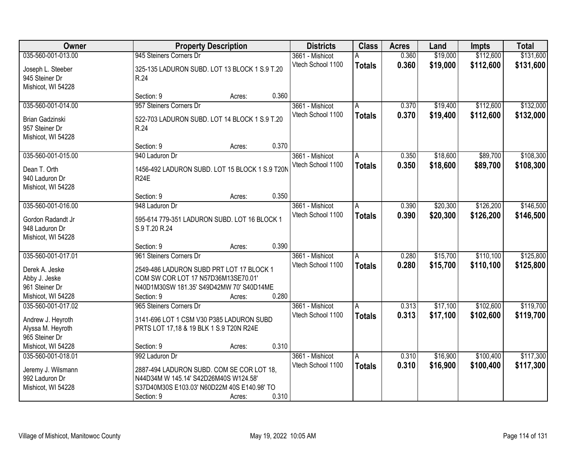| Owner                               | <b>Property Description</b>                           |        |       | <b>Districts</b>  | <b>Class</b>  | <b>Acres</b> | Land     | <b>Impts</b> | <b>Total</b> |
|-------------------------------------|-------------------------------------------------------|--------|-------|-------------------|---------------|--------------|----------|--------------|--------------|
| 035-560-001-013.00                  | 945 Steiners Corners Dr                               |        |       | 3661 - Mishicot   | А             | 0.360        | \$19,000 | \$112,600    | \$131,600    |
| Joseph L. Steeber<br>945 Steiner Dr | 325-135 LADURON SUBD. LOT 13 BLOCK 1 S.9 T.20<br>R.24 |        |       | Vtech School 1100 | <b>Totals</b> | 0.360        | \$19,000 | \$112,600    | \$131,600    |
| Mishicot, WI 54228                  |                                                       |        |       |                   |               |              |          |              |              |
|                                     | Section: 9                                            | Acres: | 0.360 |                   |               |              |          |              |              |
| 035-560-001-014.00                  | 957 Steiners Corners Dr                               |        |       | 3661 - Mishicot   | A             | 0.370        | \$19,400 | \$112,600    | \$132,000    |
| <b>Brian Gadzinski</b>              | 522-703 LADURON SUBD. LOT 14 BLOCK 1 S.9 T.20         |        |       | Vtech School 1100 | <b>Totals</b> | 0.370        | \$19,400 | \$112,600    | \$132,000    |
| 957 Steiner Dr                      | R.24                                                  |        |       |                   |               |              |          |              |              |
| Mishicot, WI 54228                  |                                                       |        |       |                   |               |              |          |              |              |
|                                     | Section: 9                                            | Acres: | 0.370 |                   |               |              |          |              |              |
| 035-560-001-015.00                  | 940 Laduron Dr                                        |        |       | 3661 - Mishicot   | A             | 0.350        | \$18,600 | \$89,700     | \$108,300    |
| Dean T. Orth                        | 1456-492 LADURON SUBD. LOT 15 BLOCK 1 S.9 T20N        |        |       | Vtech School 1100 | <b>Totals</b> | 0.350        | \$18,600 | \$89,700     | \$108,300    |
| 940 Laduron Dr                      | <b>R24E</b>                                           |        |       |                   |               |              |          |              |              |
| Mishicot, WI 54228                  |                                                       |        |       |                   |               |              |          |              |              |
|                                     | Section: 9                                            | Acres: | 0.350 |                   |               |              |          |              |              |
| 035-560-001-016.00                  | 948 Laduron Dr                                        |        |       | 3661 - Mishicot   | A             | 0.390        | \$20,300 | \$126,200    | \$146,500    |
| Gordon Radandt Jr                   | 595-614 779-351 LADURON SUBD. LOT 16 BLOCK 1          |        |       | Vtech School 1100 | <b>Totals</b> | 0.390        | \$20,300 | \$126,200    | \$146,500    |
| 948 Laduron Dr                      | S.9 T.20 R.24                                         |        |       |                   |               |              |          |              |              |
| Mishicot, WI 54228                  |                                                       |        |       |                   |               |              |          |              |              |
|                                     | Section: 9                                            | Acres: | 0.390 |                   |               |              |          |              |              |
| 035-560-001-017.01                  | 961 Steiners Corners Dr                               |        |       | 3661 - Mishicot   | A             | 0.280        | \$15,700 | \$110,100    | \$125,800    |
| Derek A. Jeske                      | 2549-486 LADURON SUBD PRT LOT 17 BLOCK 1              |        |       | Vtech School 1100 | <b>Totals</b> | 0.280        | \$15,700 | \$110,100    | \$125,800    |
| Abby J. Jeske                       | COM SW COR LOT 17 N57D36M13SE70.01'                   |        |       |                   |               |              |          |              |              |
| 961 Steiner Dr                      | N40D1M30SW 181.35' S49D42MW 70' S40D14ME              |        |       |                   |               |              |          |              |              |
| Mishicot, WI 54228                  | Section: 9                                            | Acres: | 0.280 |                   |               |              |          |              |              |
| 035-560-001-017.02                  | 965 Steiners Corners Dr                               |        |       | 3661 - Mishicot   | A             | 0.313        | \$17,100 | \$102,600    | \$119,700    |
|                                     |                                                       |        |       | Vtech School 1100 | <b>Totals</b> | 0.313        | \$17,100 | \$102,600    | \$119,700    |
| Andrew J. Heyroth                   | 3141-696 LOT 1 CSM V30 P385 LADURON SUBD              |        |       |                   |               |              |          |              |              |
| Alyssa M. Heyroth<br>965 Steiner Dr | PRTS LOT 17,18 & 19 BLK 1 S.9 T20N R24E               |        |       |                   |               |              |          |              |              |
| Mishicot, WI 54228                  | Section: 9                                            | Acres: | 0.310 |                   |               |              |          |              |              |
| 035-560-001-018.01                  | 992 Laduron Dr                                        |        |       | 3661 - Mishicot   | A             | 0.310        | \$16,900 | \$100,400    | \$117,300    |
|                                     |                                                       |        |       | Vtech School 1100 | <b>Totals</b> | 0.310        | \$16,900 | \$100,400    | \$117,300    |
| Jeremy J. Wilsmann                  | 2887-494 LADURON SUBD. COM SE COR LOT 18,             |        |       |                   |               |              |          |              |              |
| 992 Laduron Dr                      | N44D34M W 145.14' S42D26M40S W124.58'                 |        |       |                   |               |              |          |              |              |
| Mishicot, WI 54228                  | S37D40M30S E103.03' N60D22M 40S E140.98' TO           |        |       |                   |               |              |          |              |              |
|                                     | Section: 9                                            | Acres: | 0.310 |                   |               |              |          |              |              |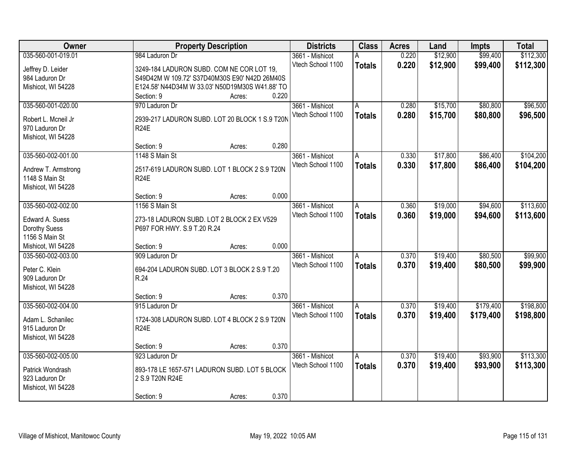| \$99,400<br>035-560-001-019.01<br>0.220<br>\$12,900<br>984 Laduron Dr<br>3661 - Mishicot<br>А                                                | \$112,300 |
|----------------------------------------------------------------------------------------------------------------------------------------------|-----------|
|                                                                                                                                              |           |
| 0.220<br>Vtech School 1100<br>\$12,900<br>\$99,400<br><b>Totals</b><br>Jeffrey D. Leider<br>3249-184 LADURON SUBD. COM NE COR LOT 19,        | \$112,300 |
| S49D42M W 109.72' S37D40M30S E90' N42D 26M40S<br>984 Laduron Dr                                                                              |           |
| E124.58' N44D34M W 33.03' N50D19M30S W41.88' TO<br>Mishicot, WI 54228                                                                        |           |
| 0.220<br>Section: 9<br>Acres:                                                                                                                |           |
| 035-560-001-020.00<br>\$15,700<br>\$80,800<br>970 Laduron Dr<br>3661 - Mishicot<br>0.280<br>A                                                | \$96,500  |
| 0.280<br>Vtech School 1100<br>\$15,700<br>\$80,800<br><b>Totals</b><br>2939-217 LADURON SUBD. LOT 20 BLOCK 1 S.9 T20N<br>Robert L. Mcneil Jr | \$96,500  |
| 970 Laduron Dr<br><b>R24E</b>                                                                                                                |           |
| Mishicot, WI 54228                                                                                                                           |           |
| 0.280<br>Section: 9<br>Acres:                                                                                                                |           |
| \$86,400<br>035-560-002-001.00<br>1148 S Main St<br>0.330<br>\$17,800<br>3661 - Mishicot<br>A                                                | \$104,200 |
| Vtech School 1100<br>\$17,800<br>0.330<br>\$86,400<br><b>Totals</b>                                                                          | \$104,200 |
| 2517-619 LADURON SUBD. LOT 1 BLOCK 2 S.9 T20N<br>Andrew T. Armstrong<br><b>R24E</b>                                                          |           |
| 1148 S Main St                                                                                                                               |           |
| Mishicot, WI 54228<br>0.000<br>Section: 9<br>Acres:                                                                                          |           |
| 035-560-002-002.00<br>\$19,000<br>\$94,600<br>1156 S Main St<br>3661 - Mishicot<br>0.360<br>A                                                | \$113,600 |
| Vtech School 1100<br>0.360<br>\$19,000<br>\$94,600<br><b>Totals</b>                                                                          | \$113,600 |
| Edward A. Suess<br>273-18 LADURON SUBD. LOT 2 BLOCK 2 EX V529                                                                                |           |
| Dorothy Suess<br>P697 FOR HWY. S.9 T.20 R.24                                                                                                 |           |
| 1156 S Main St                                                                                                                               |           |
| 0.000<br>Mishicot, WI 54228<br>Section: 9<br>Acres:                                                                                          |           |
| \$80,500<br>035-560-002-003.00<br>909 Laduron Dr<br>0.370<br>\$19,400<br>3661 - Mishicot<br>A                                                | \$99,900  |
| 0.370<br>Vtech School 1100<br>\$19,400<br>\$80,500<br><b>Totals</b><br>Peter C. Klein<br>694-204 LADURON SUBD. LOT 3 BLOCK 2 S.9 T.20        | \$99,900  |
| R.24<br>909 Laduron Dr                                                                                                                       |           |
| Mishicot, WI 54228                                                                                                                           |           |
| 0.370<br>Section: 9<br>Acres:                                                                                                                |           |
| \$179,400<br>035-560-002-004.00<br>3661 - Mishicot<br>0.370<br>\$19,400<br>915 Laduron Dr<br>A                                               | \$198,800 |
| Vtech School 1100<br>0.370<br>\$19,400<br>\$179,400<br><b>Totals</b><br>1724-308 LADURON SUBD. LOT 4 BLOCK 2 S.9 T20N<br>Adam L. Schanilec   | \$198,800 |
| R <sub>24</sub> E<br>915 Laduron Dr                                                                                                          |           |
| Mishicot, WI 54228                                                                                                                           |           |
| 0.370<br>Section: 9<br>Acres:                                                                                                                |           |
| 035-560-002-005.00<br>\$19,400<br>\$93,900<br>0.370<br>923 Laduron Dr<br>3661 - Mishicot<br>A                                                | \$113,300 |
| 0.370<br>Vtech School 1100<br>\$19,400<br>\$93,900<br><b>Totals</b><br>893-178 LE 1657-571 LADURON SUBD. LOT 5 BLOCK                         | \$113,300 |
| Patrick Wondrash<br>923 Laduron Dr<br>2 S.9 T20N R24E                                                                                        |           |
| Mishicot, WI 54228                                                                                                                           |           |
| 0.370<br>Section: 9<br>Acres:                                                                                                                |           |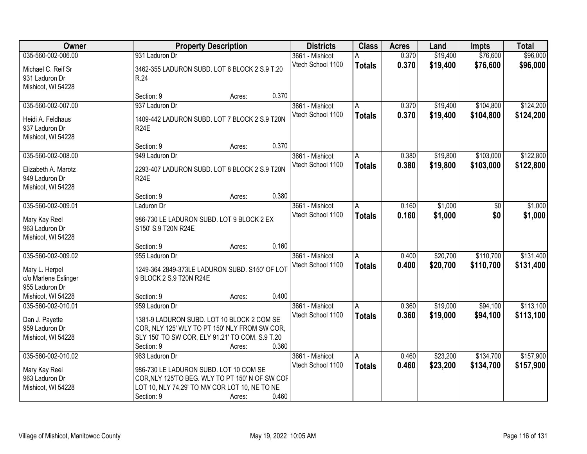| Owner                |                                                 | <b>Property Description</b> |                   |               | <b>Acres</b> | Land     | <b>Impts</b> | <b>Total</b> |
|----------------------|-------------------------------------------------|-----------------------------|-------------------|---------------|--------------|----------|--------------|--------------|
| 035-560-002-006.00   | 931 Laduron Dr                                  |                             | 3661 - Mishicot   | А             | 0.370        | \$19,400 | \$76,600     | \$96,000     |
| Michael C. Reif Sr   | 3462-355 LADURON SUBD. LOT 6 BLOCK 2 S.9 T.20   |                             | Vtech School 1100 | <b>Totals</b> | 0.370        | \$19,400 | \$76,600     | \$96,000     |
| 931 Laduron Dr       | R.24                                            |                             |                   |               |              |          |              |              |
| Mishicot, WI 54228   |                                                 |                             |                   |               |              |          |              |              |
|                      | Section: 9                                      | 0.370<br>Acres:             |                   |               |              |          |              |              |
| 035-560-002-007.00   | 937 Laduron Dr                                  |                             | 3661 - Mishicot   | А             | 0.370        | \$19,400 | \$104,800    | \$124,200    |
| Heidi A. Feldhaus    | 1409-442 LADURON SUBD. LOT 7 BLOCK 2 S.9 T20N   |                             | Vtech School 1100 | <b>Totals</b> | 0.370        | \$19,400 | \$104,800    | \$124,200    |
| 937 Laduron Dr       | <b>R24E</b>                                     |                             |                   |               |              |          |              |              |
| Mishicot, WI 54228   |                                                 |                             |                   |               |              |          |              |              |
|                      | Section: 9<br>Acres:                            | 0.370                       |                   |               |              |          |              |              |
| 035-560-002-008.00   | 949 Laduron Dr                                  |                             | 3661 - Mishicot   | A             | 0.380        | \$19,800 | \$103,000    | \$122,800    |
| Elizabeth A. Marotz  | 2293-407 LADURON SUBD. LOT 8 BLOCK 2 S.9 T20N   |                             | Vtech School 1100 | <b>Totals</b> | 0.380        | \$19,800 | \$103,000    | \$122,800    |
| 949 Laduron Dr       | <b>R24E</b>                                     |                             |                   |               |              |          |              |              |
| Mishicot, WI 54228   |                                                 |                             |                   |               |              |          |              |              |
|                      | Section: 9<br>Acres:                            | 0.380                       |                   |               |              |          |              |              |
| 035-560-002-009.01   | Laduron Dr                                      |                             | 3661 - Mishicot   | A             | 0.160        | \$1,000  | $\sqrt[6]{}$ | \$1,000      |
| Mary Kay Reel        | 986-730 LE LADURON SUBD. LOT 9 BLOCK 2 EX       |                             | Vtech School 1100 | <b>Totals</b> | 0.160        | \$1,000  | \$0          | \$1,000      |
| 963 Laduron Dr       | S150' S.9 T20N R24E                             |                             |                   |               |              |          |              |              |
| Mishicot, WI 54228   |                                                 |                             |                   |               |              |          |              |              |
|                      | Section: 9                                      | 0.160<br>Acres:             |                   |               |              |          |              |              |
| 035-560-002-009.02   | 955 Laduron Dr                                  |                             | 3661 - Mishicot   | A             | 0.400        | \$20,700 | \$110,700    | \$131,400    |
| Mary L. Herpel       | 1249-364 2849-373LE LADURON SUBD. S150' OF LOT  |                             | Vtech School 1100 | <b>Totals</b> | 0.400        | \$20,700 | \$110,700    | \$131,400    |
| c/o Marlene Eslinger | 9 BLOCK 2 S.9 T20N R24E                         |                             |                   |               |              |          |              |              |
| 955 Laduron Dr       |                                                 |                             |                   |               |              |          |              |              |
| Mishicot, WI 54228   | Section: 9<br>Acres:                            | 0.400                       |                   |               |              |          |              |              |
| 035-560-002-010.01   | 959 Laduron Dr                                  |                             | 3661 - Mishicot   | A             | 0.360        | \$19,000 | \$94,100     | \$113,100    |
| Dan J. Payette       | 1381-9 LADURON SUBD. LOT 10 BLOCK 2 COM SE      |                             | Vtech School 1100 | <b>Totals</b> | 0.360        | \$19,000 | \$94,100     | \$113,100    |
| 959 Laduron Dr       | COR, NLY 125' WLY TO PT 150' NLY FROM SW COR,   |                             |                   |               |              |          |              |              |
| Mishicot, WI 54228   | SLY 150' TO SW COR, ELY 91.21' TO COM. S.9 T.20 |                             |                   |               |              |          |              |              |
|                      | Section: 9<br>Acres:                            | 0.360                       |                   |               |              |          |              |              |
| 035-560-002-010.02   | 963 Laduron Dr                                  |                             | 3661 - Mishicot   | A             | 0.460        | \$23,200 | \$134,700    | \$157,900    |
| Mary Kay Reel        | 986-730 LE LADURON SUBD. LOT 10 COM SE          |                             | Vtech School 1100 | <b>Totals</b> | 0.460        | \$23,200 | \$134,700    | \$157,900    |
| 963 Laduron Dr       | COR, NLY 125'TO BEG. WLY TO PT 150' N OF SW COF |                             |                   |               |              |          |              |              |
| Mishicot, WI 54228   | LOT 10, NLY 74.29' TO NW COR LOT 10, NE TO NE   |                             |                   |               |              |          |              |              |
|                      | Section: 9<br>Acres:                            | 0.460                       |                   |               |              |          |              |              |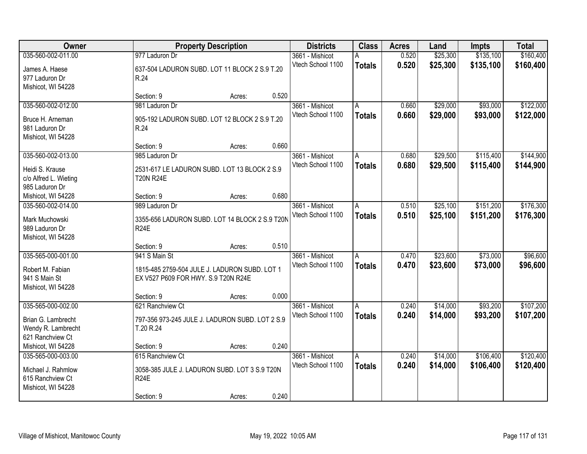| <b>Owner</b>          |                                                 | <b>Property Description</b> |       |                   | <b>Class</b>  | <b>Acres</b> | Land     | <b>Impts</b> | <b>Total</b> |
|-----------------------|-------------------------------------------------|-----------------------------|-------|-------------------|---------------|--------------|----------|--------------|--------------|
| 035-560-002-011.00    | 977 Laduron Dr                                  |                             |       | 3661 - Mishicot   | А             | 0.520        | \$25,300 | \$135,100    | \$160,400    |
| James A. Haese        | 637-504 LADURON SUBD. LOT 11 BLOCK 2 S.9 T.20   |                             |       | Vtech School 1100 | <b>Totals</b> | 0.520        | \$25,300 | \$135,100    | \$160,400    |
| 977 Laduron Dr        | R.24                                            |                             |       |                   |               |              |          |              |              |
| Mishicot, WI 54228    |                                                 |                             |       |                   |               |              |          |              |              |
|                       | Section: 9                                      | Acres:                      | 0.520 |                   |               |              |          |              |              |
| 035-560-002-012.00    | 981 Laduron Dr                                  |                             |       | 3661 - Mishicot   | А             | 0.660        | \$29,000 | \$93,000     | \$122,000    |
| Bruce H. Arneman      | 905-192 LADURON SUBD. LOT 12 BLOCK 2 S.9 T.20   |                             |       | Vtech School 1100 | <b>Totals</b> | 0.660        | \$29,000 | \$93,000     | \$122,000    |
| 981 Laduron Dr        | R.24                                            |                             |       |                   |               |              |          |              |              |
| Mishicot, WI 54228    |                                                 |                             |       |                   |               |              |          |              |              |
|                       | Section: 9                                      | Acres:                      | 0.660 |                   |               |              |          |              |              |
| 035-560-002-013.00    | 985 Laduron Dr                                  |                             |       | 3661 - Mishicot   | A             | 0.680        | \$29,500 | \$115,400    | \$144,900    |
| Heidi S. Krause       | 2531-617 LE LADURON SUBD. LOT 13 BLOCK 2 S.9    |                             |       | Vtech School 1100 | <b>Totals</b> | 0.680        | \$29,500 | \$115,400    | \$144,900    |
| c/o Alfred L. Wieting | <b>T20N R24E</b>                                |                             |       |                   |               |              |          |              |              |
| 985 Laduron Dr        |                                                 |                             |       |                   |               |              |          |              |              |
| Mishicot, WI 54228    | Section: 9                                      | Acres:                      | 0.680 |                   |               |              |          |              |              |
| 035-560-002-014.00    | 989 Laduron Dr                                  |                             |       | 3661 - Mishicot   | A             | 0.510        | \$25,100 | \$151,200    | \$176,300    |
| Mark Muchowski        | 3355-656 LADURON SUBD. LOT 14 BLOCK 2 S.9 T20N  |                             |       | Vtech School 1100 | <b>Totals</b> | 0.510        | \$25,100 | \$151,200    | \$176,300    |
| 989 Laduron Dr        | R <sub>24</sub> E                               |                             |       |                   |               |              |          |              |              |
| Mishicot, WI 54228    |                                                 |                             |       |                   |               |              |          |              |              |
|                       | Section: 9                                      | Acres:                      | 0.510 |                   |               |              |          |              |              |
| 035-565-000-001.00    | 941 S Main St                                   |                             |       | 3661 - Mishicot   | A             | 0.470        | \$23,600 | \$73,000     | \$96,600     |
| Robert M. Fabian      | 1815-485 2759-504 JULE J. LADURON SUBD. LOT 1   |                             |       | Vtech School 1100 | <b>Totals</b> | 0.470        | \$23,600 | \$73,000     | \$96,600     |
| 941 S Main St         | EX V527 P609 FOR HWY. S.9 T20N R24E             |                             |       |                   |               |              |          |              |              |
| Mishicot, WI 54228    |                                                 |                             |       |                   |               |              |          |              |              |
|                       | Section: 9                                      | Acres:                      | 0.000 |                   |               |              |          |              |              |
| 035-565-000-002.00    | 621 Ranchview Ct                                |                             |       | 3661 - Mishicot   | A             | 0.240        | \$14,000 | \$93,200     | \$107,200    |
| Brian G. Lambrecht    | 797-356 973-245 JULE J. LADURON SUBD. LOT 2 S.9 |                             |       | Vtech School 1100 | <b>Totals</b> | 0.240        | \$14,000 | \$93,200     | \$107,200    |
| Wendy R. Lambrecht    | T.20 R.24                                       |                             |       |                   |               |              |          |              |              |
| 621 Ranchview Ct      |                                                 |                             |       |                   |               |              |          |              |              |
| Mishicot, WI 54228    | Section: 9                                      | Acres:                      | 0.240 |                   |               |              |          |              |              |
| 035-565-000-003.00    | 615 Ranchview Ct                                |                             |       | 3661 - Mishicot   | A             | 0.240        | \$14,000 | \$106,400    | \$120,400    |
| Michael J. Rahmlow    | 3058-385 JULE J. LADURON SUBD. LOT 3 S.9 T20N   |                             |       | Vtech School 1100 | <b>Totals</b> | 0.240        | \$14,000 | \$106,400    | \$120,400    |
| 615 Ranchview Ct      | <b>R24E</b>                                     |                             |       |                   |               |              |          |              |              |
| Mishicot, WI 54228    |                                                 |                             |       |                   |               |              |          |              |              |
|                       | Section: 9                                      | Acres:                      | 0.240 |                   |               |              |          |              |              |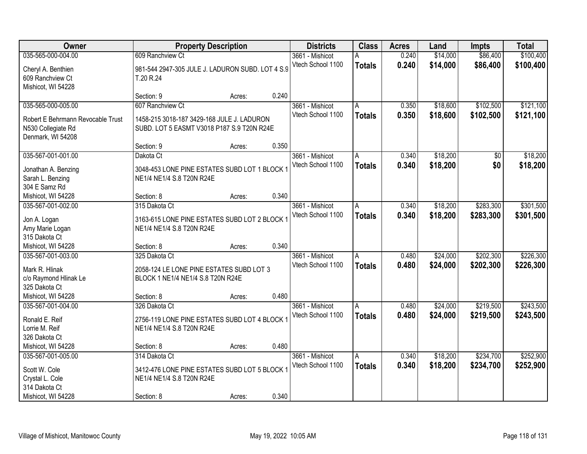| Owner                                  | <b>Property Description</b>                                                   |        |       | <b>Districts</b>  | <b>Class</b>  | <b>Acres</b> | Land     | <b>Impts</b> | <b>Total</b> |
|----------------------------------------|-------------------------------------------------------------------------------|--------|-------|-------------------|---------------|--------------|----------|--------------|--------------|
| 035-565-000-004.00                     | 609 Ranchview Ct                                                              |        |       | 3661 - Mishicot   | A             | 0.240        | \$14,000 | \$86,400     | \$100,400    |
| Cheryl A. Benthien                     | 981-544 2947-305 JULE J. LADURON SUBD. LOT 4 S.9                              |        |       | Vtech School 1100 | <b>Totals</b> | 0.240        | \$14,000 | \$86,400     | \$100,400    |
| 609 Ranchview Ct                       | T.20 R.24                                                                     |        |       |                   |               |              |          |              |              |
| Mishicot, WI 54228                     |                                                                               |        |       |                   |               |              |          |              |              |
|                                        | Section: 9                                                                    | Acres: | 0.240 |                   |               |              |          |              |              |
| 035-565-000-005.00                     | 607 Ranchview Ct                                                              |        |       | 3661 - Mishicot   | Α             | 0.350        | \$18,600 | \$102,500    | \$121,100    |
| Robert E Behrmann Revocable Trust      | 1458-215 3018-187 3429-168 JULE J. LADURON                                    |        |       | Vtech School 1100 | <b>Totals</b> | 0.350        | \$18,600 | \$102,500    | \$121,100    |
| N530 Collegiate Rd                     | SUBD. LOT 5 EASMT V3018 P187 S.9 T20N R24E                                    |        |       |                   |               |              |          |              |              |
| Denmark, WI 54208                      |                                                                               |        |       |                   |               |              |          |              |              |
|                                        | Section: 9                                                                    | Acres: | 0.350 |                   |               |              |          |              |              |
| 035-567-001-001.00                     | Dakota Ct                                                                     |        |       | 3661 - Mishicot   | A             | 0.340        | \$18,200 | \$0          | \$18,200     |
| Jonathan A. Benzing                    | 3048-453 LONE PINE ESTATES SUBD LOT 1 BLOCK 1                                 |        |       | Vtech School 1100 | <b>Totals</b> | 0.340        | \$18,200 | \$0          | \$18,200     |
| Sarah L. Benzing                       | NE1/4 NE1/4 S.8 T20N R24E                                                     |        |       |                   |               |              |          |              |              |
| 304 E Samz Rd                          |                                                                               |        |       |                   |               |              |          |              |              |
| Mishicot, WI 54228                     | Section: 8                                                                    | Acres: | 0.340 |                   |               |              |          |              |              |
| 035-567-001-002.00                     | 315 Dakota Ct                                                                 |        |       | 3661 - Mishicot   | A             | 0.340        | \$18,200 | \$283,300    | \$301,500    |
|                                        |                                                                               |        |       | Vtech School 1100 | <b>Totals</b> | 0.340        | \$18,200 | \$283,300    | \$301,500    |
| Jon A. Logan<br>Amy Marie Logan        | 3163-615 LONE PINE ESTATES SUBD LOT 2 BLOCK 1<br>NE1/4 NE1/4 S.8 T20N R24E    |        |       |                   |               |              |          |              |              |
| 315 Dakota Ct                          |                                                                               |        |       |                   |               |              |          |              |              |
| Mishicot, WI 54228                     | Section: 8                                                                    | Acres: | 0.340 |                   |               |              |          |              |              |
| 035-567-001-003.00                     | 325 Dakota Ct                                                                 |        |       | 3661 - Mishicot   | A             | 0.480        | \$24,000 | \$202,300    | \$226,300    |
|                                        |                                                                               |        |       | Vtech School 1100 | <b>Totals</b> | 0.480        | \$24,000 | \$202,300    | \$226,300    |
| Mark R. Hlinak                         | 2058-124 LE LONE PINE ESTATES SUBD LOT 3<br>BLOCK 1 NE1/4 NE1/4 S.8 T20N R24E |        |       |                   |               |              |          |              |              |
| c/o Raymond Hlinak Le<br>325 Dakota Ct |                                                                               |        |       |                   |               |              |          |              |              |
| Mishicot, WI 54228                     | Section: 8                                                                    | Acres: | 0.480 |                   |               |              |          |              |              |
| 035-567-001-004.00                     | 326 Dakota Ct                                                                 |        |       | 3661 - Mishicot   | A             | 0.480        | \$24,000 | \$219,500    | \$243,500    |
|                                        |                                                                               |        |       | Vtech School 1100 | <b>Totals</b> | 0.480        | \$24,000 | \$219,500    | \$243,500    |
| Ronald E. Reif                         | 2756-119 LONE PINE ESTATES SUBD LOT 4 BLOCK 1                                 |        |       |                   |               |              |          |              |              |
| Lorrie M. Reif<br>326 Dakota Ct        | NE1/4 NE1/4 S.8 T20N R24E                                                     |        |       |                   |               |              |          |              |              |
| Mishicot, WI 54228                     | Section: 8                                                                    | Acres: | 0.480 |                   |               |              |          |              |              |
| 035-567-001-005.00                     | 314 Dakota Ct                                                                 |        |       | 3661 - Mishicot   | A             | 0.340        | \$18,200 | \$234,700    | \$252,900    |
|                                        |                                                                               |        |       | Vtech School 1100 | <b>Totals</b> | 0.340        | \$18,200 | \$234,700    | \$252,900    |
| Scott W. Cole                          | 3412-476 LONE PINE ESTATES SUBD LOT 5 BLOCK 1                                 |        |       |                   |               |              |          |              |              |
| Crystal L. Cole                        | NE1/4 NE1/4 S.8 T20N R24E                                                     |        |       |                   |               |              |          |              |              |
| 314 Dakota Ct                          |                                                                               |        | 0.340 |                   |               |              |          |              |              |
| Mishicot, WI 54228                     | Section: 8                                                                    | Acres: |       |                   |               |              |          |              |              |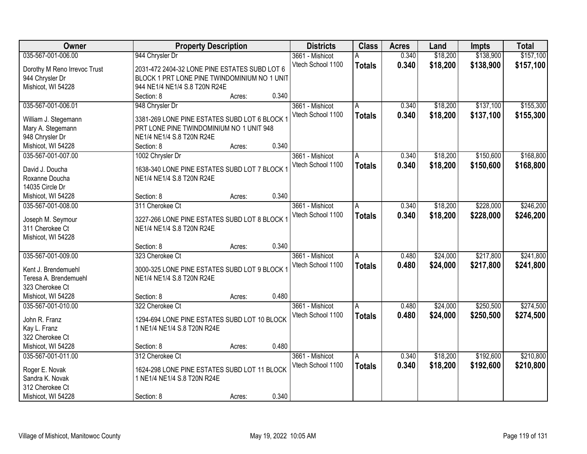| Owner                        |                                               | <b>Property Description</b> |       |                   | <b>Class</b>  | <b>Acres</b> | Land     | <b>Impts</b> | <b>Total</b> |
|------------------------------|-----------------------------------------------|-----------------------------|-------|-------------------|---------------|--------------|----------|--------------|--------------|
| 035-567-001-006.00           | 944 Chrysler Dr                               |                             |       | 3661 - Mishicot   | А             | 0.340        | \$18,200 | \$138,900    | \$157,100    |
| Dorothy M Reno Irrevoc Trust | 2031-472 2404-32 LONE PINE ESTATES SUBD LOT 6 |                             |       | Vtech School 1100 | <b>Totals</b> | 0.340        | \$18,200 | \$138,900    | \$157,100    |
| 944 Chrysler Dr              | BLOCK 1 PRT LONE PINE TWINDOMINIUM NO 1 UNIT  |                             |       |                   |               |              |          |              |              |
| Mishicot, WI 54228           | 944 NE1/4 NE1/4 S.8 T20N R24E                 |                             |       |                   |               |              |          |              |              |
|                              | Section: 8                                    | Acres:                      | 0.340 |                   |               |              |          |              |              |
| 035-567-001-006.01           | 948 Chrysler Dr                               |                             |       | 3661 - Mishicot   | A             | 0.340        | \$18,200 | \$137,100    | \$155,300    |
|                              |                                               |                             |       | Vtech School 1100 | <b>Totals</b> | 0.340        | \$18,200 | \$137,100    | \$155,300    |
| William J. Stegemann         | 3381-269 LONE PINE ESTATES SUBD LOT 6 BLOCK 1 |                             |       |                   |               |              |          |              |              |
| Mary A. Stegemann            | PRT LONE PINE TWINDOMINIUM NO 1 UNIT 948      |                             |       |                   |               |              |          |              |              |
| 948 Chrysler Dr              | NE1/4 NE1/4 S.8 T20N R24E                     |                             | 0.340 |                   |               |              |          |              |              |
| Mishicot, WI 54228           | Section: 8                                    | Acres:                      |       |                   |               |              |          |              |              |
| 035-567-001-007.00           | 1002 Chrysler Dr                              |                             |       | 3661 - Mishicot   | А             | 0.340        | \$18,200 | \$150,600    | \$168,800    |
| David J. Doucha              | 1638-340 LONE PINE ESTATES SUBD LOT 7 BLOCK 1 |                             |       | Vtech School 1100 | <b>Totals</b> | 0.340        | \$18,200 | \$150,600    | \$168,800    |
| Roxanne Doucha               | NE1/4 NE1/4 S.8 T20N R24E                     |                             |       |                   |               |              |          |              |              |
| 14035 Circle Dr              |                                               |                             |       |                   |               |              |          |              |              |
| Mishicot, WI 54228           | Section: 8                                    | Acres:                      | 0.340 |                   |               |              |          |              |              |
| 035-567-001-008.00           | 311 Cherokee Ct                               |                             |       | 3661 - Mishicot   | A             | 0.340        | \$18,200 | \$228,000    | \$246,200    |
|                              |                                               |                             |       | Vtech School 1100 | <b>Totals</b> | 0.340        | \$18,200 | \$228,000    | \$246,200    |
| Joseph M. Seymour            | 3227-266 LONE PINE ESTATES SUBD LOT 8 BLOCK 1 |                             |       |                   |               |              |          |              |              |
| 311 Cherokee Ct              | NE1/4 NE1/4 S.8 T20N R24E                     |                             |       |                   |               |              |          |              |              |
| Mishicot, WI 54228           |                                               |                             |       |                   |               |              |          |              |              |
|                              | Section: 8                                    | Acres:                      | 0.340 |                   |               |              |          |              |              |
| 035-567-001-009.00           | 323 Cherokee Ct                               |                             |       | 3661 - Mishicot   | A             | 0.480        | \$24,000 | \$217,800    | \$241,800    |
| Kent J. Brendemuehl          | 3000-325 LONE PINE ESTATES SUBD LOT 9 BLOCK   |                             |       | Vtech School 1100 | <b>Totals</b> | 0.480        | \$24,000 | \$217,800    | \$241,800    |
| Teresa A. Brendemuehl        | NE1/4 NE1/4 S.8 T20N R24E                     |                             |       |                   |               |              |          |              |              |
| 323 Cherokee Ct              |                                               |                             |       |                   |               |              |          |              |              |
| Mishicot, WI 54228           | Section: 8                                    | Acres:                      | 0.480 |                   |               |              |          |              |              |
| 035-567-001-010.00           | 322 Cherokee Ct                               |                             |       | 3661 - Mishicot   | A             | 0.480        | \$24,000 | \$250,500    | \$274,500    |
|                              |                                               |                             |       | Vtech School 1100 | <b>Totals</b> | 0.480        | \$24,000 | \$250,500    | \$274,500    |
| John R. Franz                | 1294-694 LONE PINE ESTATES SUBD LOT 10 BLOCK  |                             |       |                   |               |              |          |              |              |
| Kay L. Franz                 | 1 NE1/4 NE1/4 S.8 T20N R24E                   |                             |       |                   |               |              |          |              |              |
| 322 Cherokee Ct              |                                               |                             |       |                   |               |              |          |              |              |
| Mishicot, WI 54228           | Section: 8                                    | Acres:                      | 0.480 |                   |               |              |          |              |              |
| 035-567-001-011.00           | 312 Cherokee Ct                               |                             |       | 3661 - Mishicot   | Α             | 0.340        | \$18,200 | \$192,600    | \$210,800    |
| Roger E. Novak               | 1624-298 LONE PINE ESTATES SUBD LOT 11 BLOCK  |                             |       | Vtech School 1100 | <b>Totals</b> | 0.340        | \$18,200 | \$192,600    | \$210,800    |
| Sandra K. Novak              | 1 NE1/4 NE1/4 S.8 T20N R24E                   |                             |       |                   |               |              |          |              |              |
| 312 Cherokee Ct              |                                               |                             |       |                   |               |              |          |              |              |
| Mishicot, WI 54228           | Section: 8                                    | Acres:                      | 0.340 |                   |               |              |          |              |              |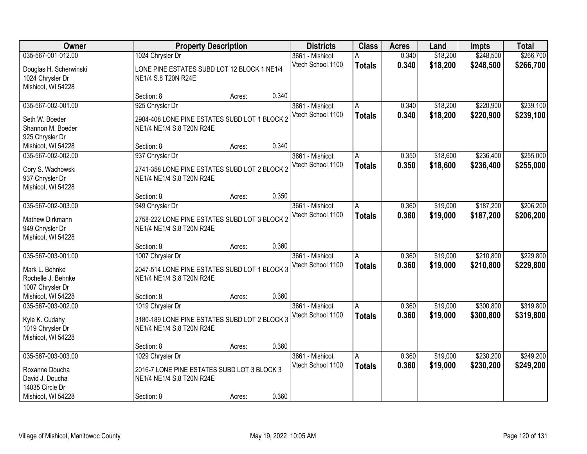| Owner                  | <b>Property Description</b>                   |        |       | <b>Districts</b>  | <b>Class</b>  | <b>Acres</b> | Land     | <b>Impts</b> | <b>Total</b> |
|------------------------|-----------------------------------------------|--------|-------|-------------------|---------------|--------------|----------|--------------|--------------|
| 035-567-001-012.00     | 1024 Chrysler Dr                              |        |       | 3661 - Mishicot   | А             | 0.340        | \$18,200 | \$248,500    | \$266,700    |
| Douglas H. Scherwinski | LONE PINE ESTATES SUBD LOT 12 BLOCK 1 NE1/4   |        |       | Vtech School 1100 | <b>Totals</b> | 0.340        | \$18,200 | \$248,500    | \$266,700    |
| 1024 Chrysler Dr       | NE1/4 S.8 T20N R24E                           |        |       |                   |               |              |          |              |              |
| Mishicot, WI 54228     |                                               |        |       |                   |               |              |          |              |              |
|                        | Section: 8                                    | Acres: | 0.340 |                   |               |              |          |              |              |
| 035-567-002-001.00     | 925 Chrysler Dr                               |        |       | 3661 - Mishicot   | А             | 0.340        | \$18,200 | \$220,900    | \$239,100    |
| Seth W. Boeder         | 2904-408 LONE PINE ESTATES SUBD LOT 1 BLOCK 2 |        |       | Vtech School 1100 | <b>Totals</b> | 0.340        | \$18,200 | \$220,900    | \$239,100    |
| Shannon M. Boeder      | NE1/4 NE1/4 S.8 T20N R24E                     |        |       |                   |               |              |          |              |              |
| 925 Chrysler Dr        |                                               |        |       |                   |               |              |          |              |              |
| Mishicot, WI 54228     | Section: 8                                    | Acres: | 0.340 |                   |               |              |          |              |              |
| 035-567-002-002.00     | 937 Chrysler Dr                               |        |       | 3661 - Mishicot   | A             | 0.350        | \$18,600 | \$236,400    | \$255,000    |
| Cory S. Wachowski      | 2741-358 LONE PINE ESTATES SUBD LOT 2 BLOCK 2 |        |       | Vtech School 1100 | <b>Totals</b> | 0.350        | \$18,600 | \$236,400    | \$255,000    |
| 937 Chrysler Dr        | NE1/4 NE1/4 S.8 T20N R24E                     |        |       |                   |               |              |          |              |              |
| Mishicot, WI 54228     |                                               |        |       |                   |               |              |          |              |              |
|                        | Section: 8                                    | Acres: | 0.350 |                   |               |              |          |              |              |
| 035-567-002-003.00     | 949 Chrysler Dr                               |        |       | 3661 - Mishicot   | A             | 0.360        | \$19,000 | \$187,200    | \$206,200    |
| Mathew Dirkmann        | 2758-222 LONE PINE ESTATES SUBD LOT 3 BLOCK 2 |        |       | Vtech School 1100 | <b>Totals</b> | 0.360        | \$19,000 | \$187,200    | \$206,200    |
| 949 Chrysler Dr        | NE1/4 NE1/4 S.8 T20N R24E                     |        |       |                   |               |              |          |              |              |
| Mishicot, WI 54228     |                                               |        |       |                   |               |              |          |              |              |
|                        | Section: 8                                    | Acres: | 0.360 |                   |               |              |          |              |              |
| 035-567-003-001.00     | 1007 Chrysler Dr                              |        |       | 3661 - Mishicot   | A             | 0.360        | \$19,000 | \$210,800    | \$229,800    |
| Mark L. Behnke         | 2047-514 LONE PINE ESTATES SUBD LOT 1 BLOCK 3 |        |       | Vtech School 1100 | <b>Totals</b> | 0.360        | \$19,000 | \$210,800    | \$229,800    |
| Rochelle J. Behnke     | NE1/4 NE1/4 S.8 T20N R24E                     |        |       |                   |               |              |          |              |              |
| 1007 Chrysler Dr       |                                               |        |       |                   |               |              |          |              |              |
| Mishicot, WI 54228     | Section: 8                                    | Acres: | 0.360 |                   |               |              |          |              |              |
| 035-567-003-002.00     | 1019 Chrysler Dr                              |        |       | 3661 - Mishicot   | A             | 0.360        | \$19,000 | \$300,800    | \$319,800    |
| Kyle K. Cudahy         | 3180-189 LONE PINE ESTATES SUBD LOT 2 BLOCK 3 |        |       | Vtech School 1100 | <b>Totals</b> | 0.360        | \$19,000 | \$300,800    | \$319,800    |
| 1019 Chrysler Dr       | NE1/4 NE1/4 S.8 T20N R24E                     |        |       |                   |               |              |          |              |              |
| Mishicot, WI 54228     |                                               |        |       |                   |               |              |          |              |              |
|                        | Section: 8                                    | Acres: | 0.360 |                   |               |              |          |              |              |
| 035-567-003-003.00     | 1029 Chrysler Dr                              |        |       | 3661 - Mishicot   | A             | 0.360        | \$19,000 | \$230,200    | \$249,200    |
| Roxanne Doucha         | 2016-7 LONE PINE ESTATES SUBD LOT 3 BLOCK 3   |        |       | Vtech School 1100 | <b>Totals</b> | 0.360        | \$19,000 | \$230,200    | \$249,200    |
| David J. Doucha        | NE1/4 NE1/4 S.8 T20N R24E                     |        |       |                   |               |              |          |              |              |
| 14035 Circle Dr        |                                               |        |       |                   |               |              |          |              |              |
| Mishicot, WI 54228     | Section: 8                                    | Acres: | 0.360 |                   |               |              |          |              |              |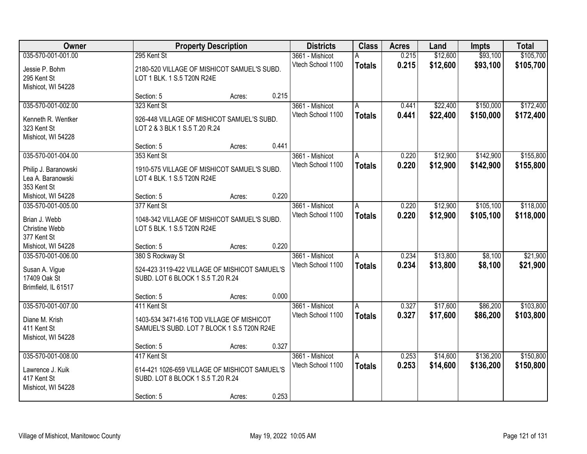| Owner                                                                          | <b>Property Description</b>                                                                                     |                                                                                                                   | <b>Districts</b> | <b>Class</b>                         | <b>Acres</b>                             | Land           | <b>Impts</b>         | <b>Total</b>           |                        |
|--------------------------------------------------------------------------------|-----------------------------------------------------------------------------------------------------------------|-------------------------------------------------------------------------------------------------------------------|------------------|--------------------------------------|------------------------------------------|----------------|----------------------|------------------------|------------------------|
| 035-570-001-001.00<br>Jessie P. Bohm<br>295 Kent St<br>Mishicot, WI 54228      | 295 Kent St                                                                                                     | 3661 - Mishicot<br>Vtech School 1100<br>2180-520 VILLAGE OF MISHICOT SAMUEL'S SUBD.<br>LOT 1 BLK. 1 S.5 T20N R24E |                  |                                      |                                          | 0.215<br>0.215 | \$12,600<br>\$12,600 | \$93,100<br>\$93,100   | \$105,700<br>\$105,700 |
|                                                                                | Section: 5                                                                                                      | Acres:                                                                                                            | 0.215            |                                      |                                          |                |                      |                        |                        |
| 035-570-001-002.00<br>Kenneth R. Wentker<br>323 Kent St<br>Mishicot, WI 54228  | 323 Kent St<br>926-448 VILLAGE OF MISHICOT SAMUEL'S SUBD.<br>LOT 2 & 3 BLK 1 S.5 T.20 R.24                      |                                                                                                                   |                  | 3661 - Mishicot<br>Vtech School 1100 | Α<br><b>Totals</b>                       | 0.441<br>0.441 | \$22,400<br>\$22,400 | \$150,000<br>\$150,000 | \$172,400<br>\$172,400 |
|                                                                                | Section: 5                                                                                                      | Acres:                                                                                                            | 0.441            |                                      |                                          |                |                      |                        |                        |
| 035-570-001-004.00<br>Philip J. Baranowski<br>Lea A. Baranowski<br>353 Kent St | 353 Kent St<br>1910-575 VILLAGE OF MISHICOT SAMUEL'S SUBD.<br>LOT 4 BLK. 1 S.5 T20N R24E                        |                                                                                                                   |                  | 3661 - Mishicot<br>Vtech School 1100 | A<br><b>Totals</b>                       | 0.220<br>0.220 | \$12,900<br>\$12,900 | \$142,900<br>\$142,900 | \$155,800<br>\$155,800 |
| Mishicot, WI 54228                                                             | Section: 5                                                                                                      | Acres:                                                                                                            | 0.220            |                                      |                                          |                |                      |                        |                        |
| 035-570-001-005.00<br>Brian J. Webb<br>Christine Webb<br>377 Kent St           | 377 Kent St<br>1048-342 VILLAGE OF MISHICOT SAMUEL'S SUBD.<br>LOT 5 BLK. 1 S.5 T20N R24E                        |                                                                                                                   |                  | 3661 - Mishicot<br>Vtech School 1100 | Α<br><b>Totals</b>                       | 0.220<br>0.220 | \$12,900<br>\$12,900 | \$105,100<br>\$105,100 | \$118,000<br>\$118,000 |
| Mishicot, WI 54228                                                             | Section: 5                                                                                                      | Acres:                                                                                                            | 0.220            |                                      |                                          |                |                      |                        |                        |
| 035-570-001-006.00<br>Susan A. Vigue<br>17409 Oak St<br>Brimfield, IL 61517    | 380 S Rockway St<br>524-423 3119-422 VILLAGE OF MISHICOT SAMUEL'S<br>SUBD. LOT 6 BLOCK 1 S.5 T.20 R.24          |                                                                                                                   |                  | 3661 - Mishicot<br>Vtech School 1100 | $\overline{A}$<br><b>Totals</b>          | 0.234<br>0.234 | \$13,800<br>\$13,800 | \$8,100<br>\$8,100     | \$21,900<br>\$21,900   |
|                                                                                | Section: 5                                                                                                      | Acres:                                                                                                            | 0.000            |                                      |                                          |                |                      |                        |                        |
| 035-570-001-007.00<br>Diane M. Krish<br>411 Kent St<br>Mishicot, WI 54228      | 411 Kent St<br>1403-534 3471-616 TOD VILLAGE OF MISHICOT<br>SAMUEL'S SUBD. LOT 7 BLOCK 1 S.5 T20N R24E          |                                                                                                                   |                  | 3661 - Mishicot<br>Vtech School 1100 | A<br><b>Totals</b>                       | 0.327<br>0.327 | \$17,600<br>\$17,600 | \$86,200<br>\$86,200   | \$103,800<br>\$103,800 |
|                                                                                | Section: 5                                                                                                      | Acres:                                                                                                            | 0.327            |                                      |                                          |                |                      |                        |                        |
| 035-570-001-008.00<br>Lawrence J. Kuik<br>417 Kent St<br>Mishicot, WI 54228    | 417 Kent St<br>614-421 1026-659 VILLAGE OF MISHICOT SAMUEL'S<br>SUBD. LOT 8 BLOCK 1 S.5 T.20 R.24<br>Section: 5 | Acres:                                                                                                            | 0.253            | 3661 - Mishicot<br>Vtech School 1100 | $\overline{\mathsf{A}}$<br><b>Totals</b> | 0.253<br>0.253 | \$14,600<br>\$14,600 | \$136,200<br>\$136,200 | \$150,800<br>\$150,800 |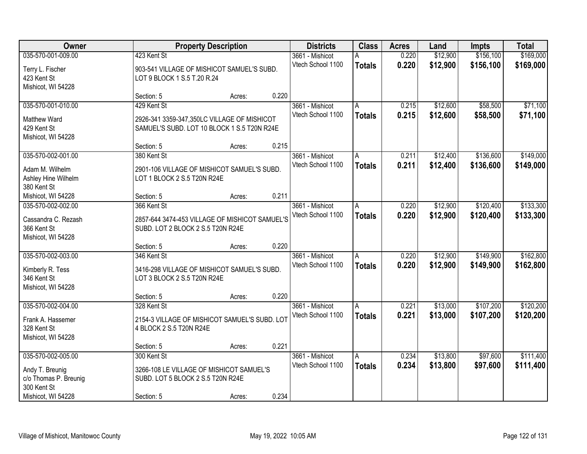| Owner                             |                                   | <b>Property Description</b>                    |       |                   | <b>Class</b>  | <b>Acres</b> | Land     | <b>Impts</b> | <b>Total</b> |
|-----------------------------------|-----------------------------------|------------------------------------------------|-------|-------------------|---------------|--------------|----------|--------------|--------------|
| 035-570-001-009.00                | 423 Kent St                       |                                                |       | 3661 - Mishicot   | Α             | 0.220        | \$12,900 | \$156,100    | \$169,000    |
| Terry L. Fischer                  |                                   | 903-541 VILLAGE OF MISHICOT SAMUEL'S SUBD.     |       | Vtech School 1100 | <b>Totals</b> | 0.220        | \$12,900 | \$156,100    | \$169,000    |
| 423 Kent St                       | LOT 9 BLOCK 1 S.5 T.20 R.24       |                                                |       |                   |               |              |          |              |              |
| Mishicot, WI 54228                |                                   |                                                |       |                   |               |              |          |              |              |
|                                   | Section: 5                        | Acres:                                         | 0.220 |                   |               |              |          |              |              |
| 035-570-001-010.00                | 429 Kent St                       |                                                |       | 3661 - Mishicot   | A             | 0.215        | \$12,600 | \$58,500     | \$71,100     |
| <b>Matthew Ward</b>               |                                   | 2926-341 3359-347,350LC VILLAGE OF MISHICOT    |       | Vtech School 1100 | <b>Totals</b> | 0.215        | \$12,600 | \$58,500     | \$71,100     |
| 429 Kent St                       |                                   | SAMUEL'S SUBD. LOT 10 BLOCK 1 S.5 T20N R24E    |       |                   |               |              |          |              |              |
| Mishicot, WI 54228                |                                   |                                                |       |                   |               |              |          |              |              |
|                                   | Section: 5                        | Acres:                                         | 0.215 |                   |               |              |          |              |              |
| 035-570-002-001.00                | 380 Kent St                       |                                                |       | 3661 - Mishicot   | A             | 0.211        | \$12,400 | \$136,600    | \$149,000    |
| Adam M. Wilhelm                   |                                   | 2901-106 VILLAGE OF MISHICOT SAMUEL'S SUBD.    |       | Vtech School 1100 | <b>Totals</b> | 0.211        | \$12,400 | \$136,600    | \$149,000    |
| Ashley Hine Wilhelm               | LOT 1 BLOCK 2 S.5 T20N R24E       |                                                |       |                   |               |              |          |              |              |
| 380 Kent St                       |                                   |                                                |       |                   |               |              |          |              |              |
| Mishicot, WI 54228                | Section: 5                        | Acres:                                         | 0.211 |                   |               |              |          |              |              |
| 035-570-002-002.00                | 366 Kent St                       |                                                |       | 3661 - Mishicot   | A             | 0.220        | \$12,900 | \$120,400    | \$133,300    |
|                                   |                                   |                                                |       | Vtech School 1100 | <b>Totals</b> | 0.220        | \$12,900 | \$120,400    | \$133,300    |
| Cassandra C. Rezash               |                                   | 2857-644 3474-453 VILLAGE OF MISHICOT SAMUEL'S |       |                   |               |              |          |              |              |
| 366 Kent St<br>Mishicot, WI 54228 | SUBD. LOT 2 BLOCK 2 S.5 T20N R24E |                                                |       |                   |               |              |          |              |              |
|                                   | Section: 5                        | Acres:                                         | 0.220 |                   |               |              |          |              |              |
| 035-570-002-003.00                | 346 Kent St                       |                                                |       | 3661 - Mishicot   | A             | 0.220        | \$12,900 | \$149,900    | \$162,800    |
|                                   |                                   |                                                |       | Vtech School 1100 | <b>Totals</b> | 0.220        | \$12,900 | \$149,900    | \$162,800    |
| Kimberly R. Tess                  |                                   | 3416-298 VILLAGE OF MISHICOT SAMUEL'S SUBD.    |       |                   |               |              |          |              |              |
| 346 Kent St                       | LOT 3 BLOCK 2 S.5 T20N R24E       |                                                |       |                   |               |              |          |              |              |
| Mishicot, WI 54228                |                                   |                                                |       |                   |               |              |          |              |              |
|                                   | Section: 5                        | Acres:                                         | 0.220 |                   |               |              |          |              |              |
| 035-570-002-004.00                | 328 Kent St                       |                                                |       | 3661 - Mishicot   | A             | 0.221        | \$13,000 | \$107,200    | \$120,200    |
| Frank A. Hassemer                 |                                   | 2154-3 VILLAGE OF MISHICOT SAMUEL'S SUBD. LOT  |       | Vtech School 1100 | <b>Totals</b> | 0.221        | \$13,000 | \$107,200    | \$120,200    |
| 328 Kent St                       | 4 BLOCK 2 S.5 T20N R24E           |                                                |       |                   |               |              |          |              |              |
| Mishicot, WI 54228                |                                   |                                                |       |                   |               |              |          |              |              |
|                                   | Section: 5                        | Acres:                                         | 0.221 |                   |               |              |          |              |              |
| 035-570-002-005.00                | 300 Kent St                       |                                                |       | 3661 - Mishicot   | A             | 0.234        | \$13,800 | \$97,600     | \$111,400    |
| Andy T. Breunig                   |                                   | 3266-108 LE VILLAGE OF MISHICOT SAMUEL'S       |       | Vtech School 1100 | <b>Totals</b> | 0.234        | \$13,800 | \$97,600     | \$111,400    |
| c/o Thomas P. Breunig             | SUBD. LOT 5 BLOCK 2 S.5 T20N R24E |                                                |       |                   |               |              |          |              |              |
| 300 Kent St                       |                                   |                                                |       |                   |               |              |          |              |              |
| Mishicot, WI 54228                | Section: 5                        | Acres:                                         | 0.234 |                   |               |              |          |              |              |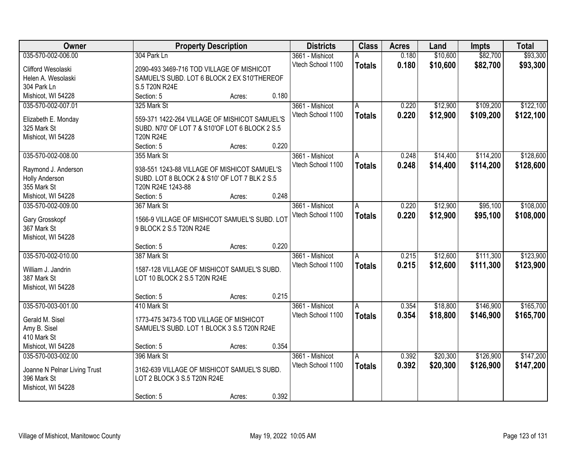| Owner                        | <b>Property Description</b>                    |        |       | <b>Districts</b>  | <b>Class</b>  | <b>Acres</b> | Land     | <b>Impts</b> | <b>Total</b> |
|------------------------------|------------------------------------------------|--------|-------|-------------------|---------------|--------------|----------|--------------|--------------|
| 035-570-002-006.00           | 304 Park Ln                                    |        |       | 3661 - Mishicot   | А             | 0.180        | \$10,600 | \$82,700     | \$93,300     |
| Clifford Wesolaski           | 2090-493 3469-716 TOD VILLAGE OF MISHICOT      |        |       | Vtech School 1100 | <b>Totals</b> | 0.180        | \$10,600 | \$82,700     | \$93,300     |
| Helen A. Wesolaski           | SAMUEL'S SUBD. LOT 6 BLOCK 2 EX S10'THEREOF    |        |       |                   |               |              |          |              |              |
| 304 Park Ln                  | S.5 T20N R24E                                  |        |       |                   |               |              |          |              |              |
| Mishicot, WI 54228           | Section: 5                                     | Acres: | 0.180 |                   |               |              |          |              |              |
| 035-570-002-007.01           | 325 Mark St                                    |        |       | 3661 - Mishicot   | A             | 0.220        | \$12,900 | \$109,200    | \$122,100    |
|                              |                                                |        |       | Vtech School 1100 | <b>Totals</b> | 0.220        | \$12,900 | \$109,200    | \$122,100    |
| Elizabeth E. Monday          | 559-371 1422-264 VILLAGE OF MISHICOT SAMUEL'S  |        |       |                   |               |              |          |              |              |
| 325 Mark St                  | SUBD. N70' OF LOT 7 & S10'OF LOT 6 BLOCK 2 S.5 |        |       |                   |               |              |          |              |              |
| Mishicot, WI 54228           | <b>T20N R24E</b>                               |        |       |                   |               |              |          |              |              |
|                              | Section: 5                                     | Acres: | 0.220 |                   |               |              |          |              |              |
| 035-570-002-008.00           | 355 Mark St                                    |        |       | 3661 - Mishicot   | A             | 0.248        | \$14,400 | \$114,200    | \$128,600    |
| Raymond J. Anderson          | 938-551 1243-88 VILLAGE OF MISHICOT SAMUEL'S   |        |       | Vtech School 1100 | <b>Totals</b> | 0.248        | \$14,400 | \$114,200    | \$128,600    |
| Holly Anderson               | SUBD. LOT 8 BLOCK 2 & S10' OF LOT 7 BLK 2 S.5  |        |       |                   |               |              |          |              |              |
| 355 Mark St                  | T20N R24E 1243-88                              |        |       |                   |               |              |          |              |              |
| Mishicot, WI 54228           | Section: 5                                     | Acres: | 0.248 |                   |               |              |          |              |              |
| 035-570-002-009.00           | 367 Mark St                                    |        |       | 3661 - Mishicot   | A             | 0.220        | \$12,900 | \$95,100     | \$108,000    |
|                              |                                                |        |       | Vtech School 1100 | <b>Totals</b> | 0.220        | \$12,900 | \$95,100     | \$108,000    |
| Gary Grosskopf               | 1566-9 VILLAGE OF MISHICOT SAMUEL'S SUBD. LOT  |        |       |                   |               |              |          |              |              |
| 367 Mark St                  | 9 BLOCK 2 S.5 T20N R24E                        |        |       |                   |               |              |          |              |              |
| Mishicot, WI 54228           |                                                |        | 0.220 |                   |               |              |          |              |              |
| 035-570-002-010.00           | Section: 5<br>387 Mark St                      | Acres: |       |                   |               | 0.215        | \$12,600 | \$111,300    | \$123,900    |
|                              |                                                |        |       | 3661 - Mishicot   | A             |              |          |              |              |
| William J. Jandrin           | 1587-128 VILLAGE OF MISHICOT SAMUEL'S SUBD.    |        |       | Vtech School 1100 | <b>Totals</b> | 0.215        | \$12,600 | \$111,300    | \$123,900    |
| 387 Mark St                  | LOT 10 BLOCK 2 S.5 T20N R24E                   |        |       |                   |               |              |          |              |              |
| Mishicot, WI 54228           |                                                |        |       |                   |               |              |          |              |              |
|                              | Section: 5                                     | Acres: | 0.215 |                   |               |              |          |              |              |
| 035-570-003-001.00           | 410 Mark St                                    |        |       | 3661 - Mishicot   | A             | 0.354        | \$18,800 | \$146,900    | \$165,700    |
| Gerald M. Sisel              | 1773-475 3473-5 TOD VILLAGE OF MISHICOT        |        |       | Vtech School 1100 | <b>Totals</b> | 0.354        | \$18,800 | \$146,900    | \$165,700    |
| Amy B. Sisel                 | SAMUEL'S SUBD. LOT 1 BLOCK 3 S.5 T20N R24E     |        |       |                   |               |              |          |              |              |
| 410 Mark St                  |                                                |        |       |                   |               |              |          |              |              |
| Mishicot, WI 54228           | Section: 5                                     | Acres: | 0.354 |                   |               |              |          |              |              |
| 035-570-003-002.00           | 396 Mark St                                    |        |       | 3661 - Mishicot   | Α             | 0.392        | \$20,300 | \$126,900    | \$147,200    |
|                              |                                                |        |       | Vtech School 1100 | <b>Totals</b> | 0.392        | \$20,300 | \$126,900    | \$147,200    |
| Joanne N Pelnar Living Trust | 3162-639 VILLAGE OF MISHICOT SAMUEL'S SUBD.    |        |       |                   |               |              |          |              |              |
| 396 Mark St                  | LOT 2 BLOCK 3 S.5 T20N R24E                    |        |       |                   |               |              |          |              |              |
| Mishicot, WI 54228           |                                                |        |       |                   |               |              |          |              |              |
|                              | Section: 5                                     | Acres: | 0.392 |                   |               |              |          |              |              |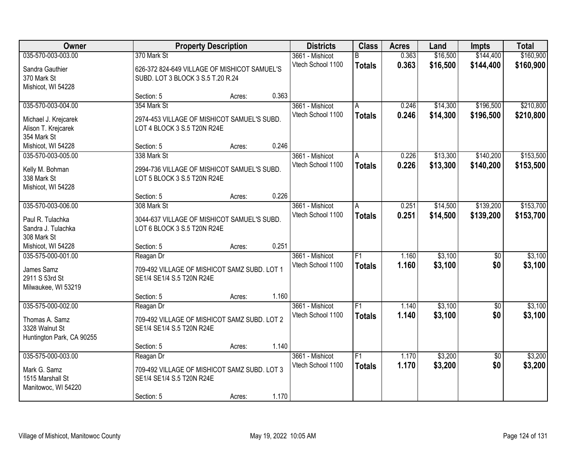| Owner                                       |                                              | <b>Property Description</b> |       | <b>Districts</b>  | <b>Class</b>    | <b>Acres</b> | Land     | <b>Impts</b>    | <b>Total</b> |
|---------------------------------------------|----------------------------------------------|-----------------------------|-------|-------------------|-----------------|--------------|----------|-----------------|--------------|
| 035-570-003-003.00                          | 370 Mark St                                  |                             |       | 3661 - Mishicot   | R.              | 0.363        | \$16,500 | \$144,400       | \$160,900    |
| Sandra Gauthier                             | 626-372 824-649 VILLAGE OF MISHICOT SAMUEL'S |                             |       | Vtech School 1100 | <b>Totals</b>   | 0.363        | \$16,500 | \$144,400       | \$160,900    |
| 370 Mark St                                 | SUBD. LOT 3 BLOCK 3 S.5 T.20 R.24            |                             |       |                   |                 |              |          |                 |              |
| Mishicot, WI 54228                          |                                              |                             |       |                   |                 |              |          |                 |              |
|                                             | Section: 5                                   | Acres:                      | 0.363 |                   |                 |              |          |                 |              |
| 035-570-003-004.00                          | 354 Mark St                                  |                             |       | 3661 - Mishicot   | A               | 0.246        | \$14,300 | \$196,500       | \$210,800    |
|                                             | 2974-453 VILLAGE OF MISHICOT SAMUEL'S SUBD.  |                             |       | Vtech School 1100 | <b>Totals</b>   | 0.246        | \$14,300 | \$196,500       | \$210,800    |
| Michael J. Krejcarek<br>Alison T. Krejcarek | LOT 4 BLOCK 3 S.5 T20N R24E                  |                             |       |                   |                 |              |          |                 |              |
| 354 Mark St                                 |                                              |                             |       |                   |                 |              |          |                 |              |
| Mishicot, WI 54228                          | Section: 5                                   | Acres:                      | 0.246 |                   |                 |              |          |                 |              |
| 035-570-003-005.00                          | 338 Mark St                                  |                             |       | 3661 - Mishicot   | A               | 0.226        | \$13,300 | \$140,200       | \$153,500    |
|                                             |                                              |                             |       | Vtech School 1100 | <b>Totals</b>   | 0.226        | \$13,300 | \$140,200       | \$153,500    |
| Kelly M. Bohman                             | 2994-736 VILLAGE OF MISHICOT SAMUEL'S SUBD.  |                             |       |                   |                 |              |          |                 |              |
| 338 Mark St                                 | LOT 5 BLOCK 3 S.5 T20N R24E                  |                             |       |                   |                 |              |          |                 |              |
| Mishicot, WI 54228                          | Section: 5                                   | Acres:                      | 0.226 |                   |                 |              |          |                 |              |
| 035-570-003-006.00                          | 308 Mark St                                  |                             |       | 3661 - Mishicot   | A               | 0.251        | \$14,500 | \$139,200       | \$153,700    |
|                                             |                                              |                             |       | Vtech School 1100 |                 | 0.251        | \$14,500 | \$139,200       | \$153,700    |
| Paul R. Tulachka                            | 3044-637 VILLAGE OF MISHICOT SAMUEL'S SUBD.  |                             |       |                   | <b>Totals</b>   |              |          |                 |              |
| Sandra J. Tulachka                          | LOT 6 BLOCK 3 S.5 T20N R24E                  |                             |       |                   |                 |              |          |                 |              |
| 308 Mark St                                 |                                              |                             |       |                   |                 |              |          |                 |              |
| Mishicot, WI 54228                          | Section: 5                                   | Acres:                      | 0.251 |                   |                 |              |          |                 |              |
| 035-575-000-001.00                          | Reagan Dr                                    |                             |       | 3661 - Mishicot   | F1              | 1.160        | \$3,100  | $\overline{50}$ | \$3,100      |
| James Samz                                  | 709-492 VILLAGE OF MISHICOT SAMZ SUBD. LOT 1 |                             |       | Vtech School 1100 | <b>Totals</b>   | 1.160        | \$3,100  | \$0             | \$3,100      |
| 2911 S 53rd St                              | SE1/4 SE1/4 S.5 T20N R24E                    |                             |       |                   |                 |              |          |                 |              |
| Milwaukee, WI 53219                         |                                              |                             |       |                   |                 |              |          |                 |              |
|                                             | Section: 5                                   | Acres:                      | 1.160 |                   |                 |              |          |                 |              |
| 035-575-000-002.00                          | Reagan Dr                                    |                             |       | 3661 - Mishicot   | $\overline{F1}$ | 1.140        | \$3,100  | $\overline{50}$ | \$3,100      |
| Thomas A. Samz                              | 709-492 VILLAGE OF MISHICOT SAMZ SUBD. LOT 2 |                             |       | Vtech School 1100 | <b>Totals</b>   | 1.140        | \$3,100  | \$0             | \$3,100      |
| 3328 Walnut St                              | SE1/4 SE1/4 S.5 T20N R24E                    |                             |       |                   |                 |              |          |                 |              |
| Huntington Park, CA 90255                   |                                              |                             |       |                   |                 |              |          |                 |              |
|                                             | Section: 5                                   | Acres:                      | 1.140 |                   |                 |              |          |                 |              |
| 035-575-000-003.00                          | Reagan Dr                                    |                             |       | 3661 - Mishicot   | F1              | 1.170        | \$3,200  | $\overline{50}$ | \$3,200      |
| Mark G. Samz                                | 709-492 VILLAGE OF MISHICOT SAMZ SUBD. LOT 3 |                             |       | Vtech School 1100 | <b>Totals</b>   | 1.170        | \$3,200  | \$0             | \$3,200      |
| 1515 Marshall St                            | SE1/4 SE1/4 S.5 T20N R24E                    |                             |       |                   |                 |              |          |                 |              |
| Manitowoc, WI 54220                         |                                              |                             |       |                   |                 |              |          |                 |              |
|                                             | Section: 5                                   | Acres:                      | 1.170 |                   |                 |              |          |                 |              |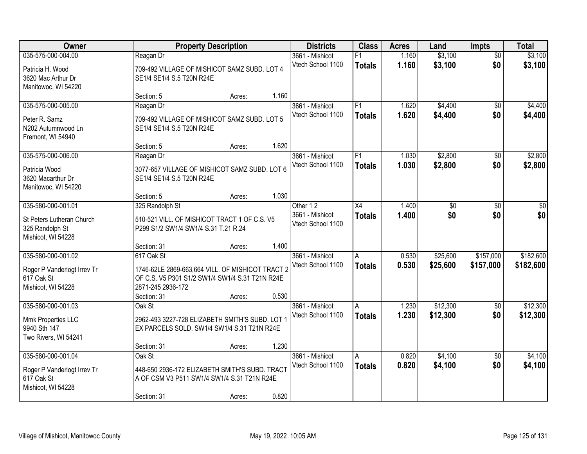| \$3,100<br>035-575-000-004.00<br>1.160<br>3661 - Mishicot<br>$\overline{50}$<br>Reagan Dr<br>F1<br>1.160<br>\$0<br>Vtech School 1100<br>\$3,100<br>\$3,100<br><b>Totals</b><br>Patricia H. Wood<br>709-492 VILLAGE OF MISHICOT SAMZ SUBD. LOT 4<br>3620 Mac Arthur Dr<br>SE1/4 SE1/4 S.5 T20N R24E<br>Manitowoc, WI 54220<br>1.160<br>Section: 5<br>Acres:<br>035-575-000-005.00<br>F1<br>\$4,400<br>3661 - Mishicot<br>1.620<br>$\overline{50}$<br>Reagan Dr<br>1.620<br>Vtech School 1100<br>\$4,400<br>\$0<br><b>Totals</b><br>709-492 VILLAGE OF MISHICOT SAMZ SUBD. LOT 5<br>Peter R. Samz<br>N202 Autumnwood Ln<br>SE1/4 SE1/4 S.5 T20N R24E<br>Fremont, WI 54940<br>1.620<br>Section: 5<br>Acres:<br>\$2,800<br>035-575-000-006.00<br>F1<br>\$0<br>3661 - Mishicot<br>1.030<br>Reagan Dr<br>Vtech School 1100<br>\$2,800<br>\$0<br>1.030<br><b>Totals</b><br>Patricia Wood<br>3077-657 VILLAGE OF MISHICOT SAMZ SUBD. LOT 6<br>3620 Macarthur Dr<br>SE1/4 SE1/4 S.5 T20N R24E<br>Manitowoc, WI 54220<br>1.030<br>Section: 5<br>Acres:<br>035-580-000-001.01<br>325 Randolph St<br>Other 12<br>X4<br>1.400<br>\$0<br>\$0<br>\$0<br>\$0<br>1.400<br>3661 - Mishicot<br>\$0<br><b>Totals</b><br>St Peters Lutheran Church<br>510-521 VILL. OF MISHICOT TRACT 1 OF C.S. V5<br>Vtech School 1100<br>325 Randolph St<br>P299 S1/2 SW1/4 SW1/4 S.31 T.21 R.24<br>Mishicot, WI 54228<br>1.400<br>Section: 31<br>Acres:<br>035-580-000-001.02<br>617 Oak St<br>0.530<br>\$25,600<br>\$157,000<br>3661 - Mishicot<br>A<br>0.530<br>Vtech School 1100<br>\$25,600<br>\$157,000<br><b>Totals</b><br>Roger P Vanderlogt Irrev Tr<br>1746-62LE 2869-663,664 VILL. OF MISHICOT TRACT 2<br>OF C.S. V5 P301 S1/2 SW1/4 SW1/4 S.31 T21N R24E<br>617 Oak St<br>Mishicot, WI 54228<br>2871-245 2936-172<br>Section: 31<br>0.530<br>Acres:<br>035-580-000-001.03<br>\$12,300<br>3661 - Mishicot<br>1.230<br>$\overline{50}$<br>Oak St<br>A<br>Vtech School 1100<br>1.230<br>\$12,300<br>\$0<br><b>Totals</b><br>2962-493 3227-728 ELIZABETH SMITH'S SUBD. LOT 1<br>Mmk Properties LLC<br>9940 Sth 147<br>EX PARCELS SOLD. SW1/4 SW1/4 S.31 T21N R24E<br>Two Rivers, WI 54241<br>1.230<br>Section: 31<br>Acres:<br>035-580-000-001.04<br>\$4,100<br>Oak St<br>0.820<br>$\overline{50}$<br>3661 - Mishicot<br>A<br>\$0<br>Vtech School 1100<br>0.820<br>\$4,100<br><b>Totals</b><br>448-650 2936-172 ELIZABETH SMITH'S SUBD. TRACT<br>Roger P Vanderlogt Irrev Tr<br>617 Oak St<br>A OF CSM V3 P511 SW1/4 SW1/4 S.31 T21N R24E<br>Mishicot, WI 54228 | Owner |             | <b>Property Description</b> |       | <b>Districts</b> | <b>Class</b> | <b>Acres</b> | Land | Impts | <b>Total</b> |
|--------------------------------------------------------------------------------------------------------------------------------------------------------------------------------------------------------------------------------------------------------------------------------------------------------------------------------------------------------------------------------------------------------------------------------------------------------------------------------------------------------------------------------------------------------------------------------------------------------------------------------------------------------------------------------------------------------------------------------------------------------------------------------------------------------------------------------------------------------------------------------------------------------------------------------------------------------------------------------------------------------------------------------------------------------------------------------------------------------------------------------------------------------------------------------------------------------------------------------------------------------------------------------------------------------------------------------------------------------------------------------------------------------------------------------------------------------------------------------------------------------------------------------------------------------------------------------------------------------------------------------------------------------------------------------------------------------------------------------------------------------------------------------------------------------------------------------------------------------------------------------------------------------------------------------------------------------------------------------------------------------------------------------------------------------------------------------------------------------------------------------------------------------------------------------------------------------------------------------------------------------------------------------------------------------------------------------------------------------------------------------------------------------------------------------------------------------------------------------------------------------------------------------------|-------|-------------|-----------------------------|-------|------------------|--------------|--------------|------|-------|--------------|
|                                                                                                                                                                                                                                                                                                                                                                                                                                                                                                                                                                                                                                                                                                                                                                                                                                                                                                                                                                                                                                                                                                                                                                                                                                                                                                                                                                                                                                                                                                                                                                                                                                                                                                                                                                                                                                                                                                                                                                                                                                                                                                                                                                                                                                                                                                                                                                                                                                                                                                                                      |       |             |                             |       |                  |              |              |      |       | \$3,100      |
| \$4,400<br>\$4,400<br>\$2,800<br>\$2,800<br>\$0<br>\$182,600<br>\$182,600<br>\$12,300<br>\$12,300<br>\$4,100<br>\$4,100                                                                                                                                                                                                                                                                                                                                                                                                                                                                                                                                                                                                                                                                                                                                                                                                                                                                                                                                                                                                                                                                                                                                                                                                                                                                                                                                                                                                                                                                                                                                                                                                                                                                                                                                                                                                                                                                                                                                                                                                                                                                                                                                                                                                                                                                                                                                                                                                              |       |             |                             |       |                  |              |              |      |       |              |
|                                                                                                                                                                                                                                                                                                                                                                                                                                                                                                                                                                                                                                                                                                                                                                                                                                                                                                                                                                                                                                                                                                                                                                                                                                                                                                                                                                                                                                                                                                                                                                                                                                                                                                                                                                                                                                                                                                                                                                                                                                                                                                                                                                                                                                                                                                                                                                                                                                                                                                                                      |       |             |                             |       |                  |              |              |      |       |              |
|                                                                                                                                                                                                                                                                                                                                                                                                                                                                                                                                                                                                                                                                                                                                                                                                                                                                                                                                                                                                                                                                                                                                                                                                                                                                                                                                                                                                                                                                                                                                                                                                                                                                                                                                                                                                                                                                                                                                                                                                                                                                                                                                                                                                                                                                                                                                                                                                                                                                                                                                      |       |             |                             |       |                  |              |              |      |       |              |
|                                                                                                                                                                                                                                                                                                                                                                                                                                                                                                                                                                                                                                                                                                                                                                                                                                                                                                                                                                                                                                                                                                                                                                                                                                                                                                                                                                                                                                                                                                                                                                                                                                                                                                                                                                                                                                                                                                                                                                                                                                                                                                                                                                                                                                                                                                                                                                                                                                                                                                                                      |       |             |                             |       |                  |              |              |      |       |              |
|                                                                                                                                                                                                                                                                                                                                                                                                                                                                                                                                                                                                                                                                                                                                                                                                                                                                                                                                                                                                                                                                                                                                                                                                                                                                                                                                                                                                                                                                                                                                                                                                                                                                                                                                                                                                                                                                                                                                                                                                                                                                                                                                                                                                                                                                                                                                                                                                                                                                                                                                      |       |             |                             |       |                  |              |              |      |       |              |
|                                                                                                                                                                                                                                                                                                                                                                                                                                                                                                                                                                                                                                                                                                                                                                                                                                                                                                                                                                                                                                                                                                                                                                                                                                                                                                                                                                                                                                                                                                                                                                                                                                                                                                                                                                                                                                                                                                                                                                                                                                                                                                                                                                                                                                                                                                                                                                                                                                                                                                                                      |       |             |                             |       |                  |              |              |      |       |              |
|                                                                                                                                                                                                                                                                                                                                                                                                                                                                                                                                                                                                                                                                                                                                                                                                                                                                                                                                                                                                                                                                                                                                                                                                                                                                                                                                                                                                                                                                                                                                                                                                                                                                                                                                                                                                                                                                                                                                                                                                                                                                                                                                                                                                                                                                                                                                                                                                                                                                                                                                      |       |             |                             |       |                  |              |              |      |       |              |
|                                                                                                                                                                                                                                                                                                                                                                                                                                                                                                                                                                                                                                                                                                                                                                                                                                                                                                                                                                                                                                                                                                                                                                                                                                                                                                                                                                                                                                                                                                                                                                                                                                                                                                                                                                                                                                                                                                                                                                                                                                                                                                                                                                                                                                                                                                                                                                                                                                                                                                                                      |       |             |                             |       |                  |              |              |      |       |              |
|                                                                                                                                                                                                                                                                                                                                                                                                                                                                                                                                                                                                                                                                                                                                                                                                                                                                                                                                                                                                                                                                                                                                                                                                                                                                                                                                                                                                                                                                                                                                                                                                                                                                                                                                                                                                                                                                                                                                                                                                                                                                                                                                                                                                                                                                                                                                                                                                                                                                                                                                      |       |             |                             |       |                  |              |              |      |       |              |
|                                                                                                                                                                                                                                                                                                                                                                                                                                                                                                                                                                                                                                                                                                                                                                                                                                                                                                                                                                                                                                                                                                                                                                                                                                                                                                                                                                                                                                                                                                                                                                                                                                                                                                                                                                                                                                                                                                                                                                                                                                                                                                                                                                                                                                                                                                                                                                                                                                                                                                                                      |       |             |                             |       |                  |              |              |      |       |              |
|                                                                                                                                                                                                                                                                                                                                                                                                                                                                                                                                                                                                                                                                                                                                                                                                                                                                                                                                                                                                                                                                                                                                                                                                                                                                                                                                                                                                                                                                                                                                                                                                                                                                                                                                                                                                                                                                                                                                                                                                                                                                                                                                                                                                                                                                                                                                                                                                                                                                                                                                      |       |             |                             |       |                  |              |              |      |       |              |
|                                                                                                                                                                                                                                                                                                                                                                                                                                                                                                                                                                                                                                                                                                                                                                                                                                                                                                                                                                                                                                                                                                                                                                                                                                                                                                                                                                                                                                                                                                                                                                                                                                                                                                                                                                                                                                                                                                                                                                                                                                                                                                                                                                                                                                                                                                                                                                                                                                                                                                                                      |       |             |                             |       |                  |              |              |      |       |              |
|                                                                                                                                                                                                                                                                                                                                                                                                                                                                                                                                                                                                                                                                                                                                                                                                                                                                                                                                                                                                                                                                                                                                                                                                                                                                                                                                                                                                                                                                                                                                                                                                                                                                                                                                                                                                                                                                                                                                                                                                                                                                                                                                                                                                                                                                                                                                                                                                                                                                                                                                      |       |             |                             |       |                  |              |              |      |       |              |
|                                                                                                                                                                                                                                                                                                                                                                                                                                                                                                                                                                                                                                                                                                                                                                                                                                                                                                                                                                                                                                                                                                                                                                                                                                                                                                                                                                                                                                                                                                                                                                                                                                                                                                                                                                                                                                                                                                                                                                                                                                                                                                                                                                                                                                                                                                                                                                                                                                                                                                                                      |       |             |                             |       |                  |              |              |      |       |              |
|                                                                                                                                                                                                                                                                                                                                                                                                                                                                                                                                                                                                                                                                                                                                                                                                                                                                                                                                                                                                                                                                                                                                                                                                                                                                                                                                                                                                                                                                                                                                                                                                                                                                                                                                                                                                                                                                                                                                                                                                                                                                                                                                                                                                                                                                                                                                                                                                                                                                                                                                      |       |             |                             |       |                  |              |              |      |       |              |
|                                                                                                                                                                                                                                                                                                                                                                                                                                                                                                                                                                                                                                                                                                                                                                                                                                                                                                                                                                                                                                                                                                                                                                                                                                                                                                                                                                                                                                                                                                                                                                                                                                                                                                                                                                                                                                                                                                                                                                                                                                                                                                                                                                                                                                                                                                                                                                                                                                                                                                                                      |       |             |                             |       |                  |              |              |      |       |              |
|                                                                                                                                                                                                                                                                                                                                                                                                                                                                                                                                                                                                                                                                                                                                                                                                                                                                                                                                                                                                                                                                                                                                                                                                                                                                                                                                                                                                                                                                                                                                                                                                                                                                                                                                                                                                                                                                                                                                                                                                                                                                                                                                                                                                                                                                                                                                                                                                                                                                                                                                      |       |             |                             |       |                  |              |              |      |       |              |
|                                                                                                                                                                                                                                                                                                                                                                                                                                                                                                                                                                                                                                                                                                                                                                                                                                                                                                                                                                                                                                                                                                                                                                                                                                                                                                                                                                                                                                                                                                                                                                                                                                                                                                                                                                                                                                                                                                                                                                                                                                                                                                                                                                                                                                                                                                                                                                                                                                                                                                                                      |       |             |                             |       |                  |              |              |      |       |              |
|                                                                                                                                                                                                                                                                                                                                                                                                                                                                                                                                                                                                                                                                                                                                                                                                                                                                                                                                                                                                                                                                                                                                                                                                                                                                                                                                                                                                                                                                                                                                                                                                                                                                                                                                                                                                                                                                                                                                                                                                                                                                                                                                                                                                                                                                                                                                                                                                                                                                                                                                      |       |             |                             |       |                  |              |              |      |       |              |
|                                                                                                                                                                                                                                                                                                                                                                                                                                                                                                                                                                                                                                                                                                                                                                                                                                                                                                                                                                                                                                                                                                                                                                                                                                                                                                                                                                                                                                                                                                                                                                                                                                                                                                                                                                                                                                                                                                                                                                                                                                                                                                                                                                                                                                                                                                                                                                                                                                                                                                                                      |       |             |                             |       |                  |              |              |      |       |              |
|                                                                                                                                                                                                                                                                                                                                                                                                                                                                                                                                                                                                                                                                                                                                                                                                                                                                                                                                                                                                                                                                                                                                                                                                                                                                                                                                                                                                                                                                                                                                                                                                                                                                                                                                                                                                                                                                                                                                                                                                                                                                                                                                                                                                                                                                                                                                                                                                                                                                                                                                      |       |             |                             |       |                  |              |              |      |       |              |
|                                                                                                                                                                                                                                                                                                                                                                                                                                                                                                                                                                                                                                                                                                                                                                                                                                                                                                                                                                                                                                                                                                                                                                                                                                                                                                                                                                                                                                                                                                                                                                                                                                                                                                                                                                                                                                                                                                                                                                                                                                                                                                                                                                                                                                                                                                                                                                                                                                                                                                                                      |       |             |                             |       |                  |              |              |      |       |              |
|                                                                                                                                                                                                                                                                                                                                                                                                                                                                                                                                                                                                                                                                                                                                                                                                                                                                                                                                                                                                                                                                                                                                                                                                                                                                                                                                                                                                                                                                                                                                                                                                                                                                                                                                                                                                                                                                                                                                                                                                                                                                                                                                                                                                                                                                                                                                                                                                                                                                                                                                      |       |             |                             |       |                  |              |              |      |       |              |
|                                                                                                                                                                                                                                                                                                                                                                                                                                                                                                                                                                                                                                                                                                                                                                                                                                                                                                                                                                                                                                                                                                                                                                                                                                                                                                                                                                                                                                                                                                                                                                                                                                                                                                                                                                                                                                                                                                                                                                                                                                                                                                                                                                                                                                                                                                                                                                                                                                                                                                                                      |       |             |                             |       |                  |              |              |      |       |              |
|                                                                                                                                                                                                                                                                                                                                                                                                                                                                                                                                                                                                                                                                                                                                                                                                                                                                                                                                                                                                                                                                                                                                                                                                                                                                                                                                                                                                                                                                                                                                                                                                                                                                                                                                                                                                                                                                                                                                                                                                                                                                                                                                                                                                                                                                                                                                                                                                                                                                                                                                      |       |             |                             |       |                  |              |              |      |       |              |
|                                                                                                                                                                                                                                                                                                                                                                                                                                                                                                                                                                                                                                                                                                                                                                                                                                                                                                                                                                                                                                                                                                                                                                                                                                                                                                                                                                                                                                                                                                                                                                                                                                                                                                                                                                                                                                                                                                                                                                                                                                                                                                                                                                                                                                                                                                                                                                                                                                                                                                                                      |       |             |                             |       |                  |              |              |      |       |              |
|                                                                                                                                                                                                                                                                                                                                                                                                                                                                                                                                                                                                                                                                                                                                                                                                                                                                                                                                                                                                                                                                                                                                                                                                                                                                                                                                                                                                                                                                                                                                                                                                                                                                                                                                                                                                                                                                                                                                                                                                                                                                                                                                                                                                                                                                                                                                                                                                                                                                                                                                      |       |             |                             |       |                  |              |              |      |       |              |
|                                                                                                                                                                                                                                                                                                                                                                                                                                                                                                                                                                                                                                                                                                                                                                                                                                                                                                                                                                                                                                                                                                                                                                                                                                                                                                                                                                                                                                                                                                                                                                                                                                                                                                                                                                                                                                                                                                                                                                                                                                                                                                                                                                                                                                                                                                                                                                                                                                                                                                                                      |       |             |                             |       |                  |              |              |      |       |              |
|                                                                                                                                                                                                                                                                                                                                                                                                                                                                                                                                                                                                                                                                                                                                                                                                                                                                                                                                                                                                                                                                                                                                                                                                                                                                                                                                                                                                                                                                                                                                                                                                                                                                                                                                                                                                                                                                                                                                                                                                                                                                                                                                                                                                                                                                                                                                                                                                                                                                                                                                      |       |             |                             |       |                  |              |              |      |       |              |
|                                                                                                                                                                                                                                                                                                                                                                                                                                                                                                                                                                                                                                                                                                                                                                                                                                                                                                                                                                                                                                                                                                                                                                                                                                                                                                                                                                                                                                                                                                                                                                                                                                                                                                                                                                                                                                                                                                                                                                                                                                                                                                                                                                                                                                                                                                                                                                                                                                                                                                                                      |       |             |                             |       |                  |              |              |      |       |              |
|                                                                                                                                                                                                                                                                                                                                                                                                                                                                                                                                                                                                                                                                                                                                                                                                                                                                                                                                                                                                                                                                                                                                                                                                                                                                                                                                                                                                                                                                                                                                                                                                                                                                                                                                                                                                                                                                                                                                                                                                                                                                                                                                                                                                                                                                                                                                                                                                                                                                                                                                      |       |             |                             |       |                  |              |              |      |       |              |
|                                                                                                                                                                                                                                                                                                                                                                                                                                                                                                                                                                                                                                                                                                                                                                                                                                                                                                                                                                                                                                                                                                                                                                                                                                                                                                                                                                                                                                                                                                                                                                                                                                                                                                                                                                                                                                                                                                                                                                                                                                                                                                                                                                                                                                                                                                                                                                                                                                                                                                                                      |       |             |                             |       |                  |              |              |      |       |              |
|                                                                                                                                                                                                                                                                                                                                                                                                                                                                                                                                                                                                                                                                                                                                                                                                                                                                                                                                                                                                                                                                                                                                                                                                                                                                                                                                                                                                                                                                                                                                                                                                                                                                                                                                                                                                                                                                                                                                                                                                                                                                                                                                                                                                                                                                                                                                                                                                                                                                                                                                      |       | Section: 31 | Acres:                      | 0.820 |                  |              |              |      |       |              |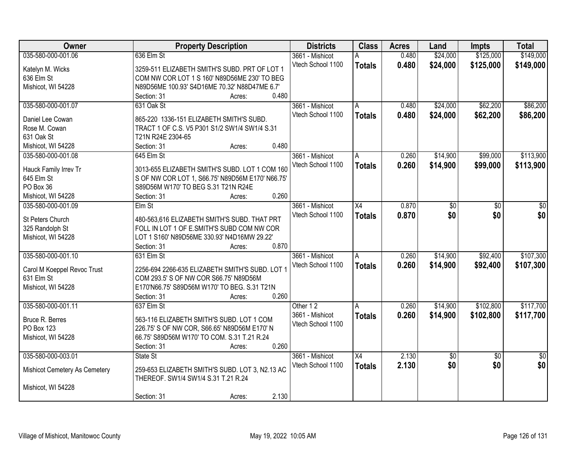| Owner                                     | <b>Property Description</b>                      | <b>Districts</b>                     | <b>Class</b>    | <b>Acres</b> | Land       | <b>Impts</b>    | <b>Total</b>    |
|-------------------------------------------|--------------------------------------------------|--------------------------------------|-----------------|--------------|------------|-----------------|-----------------|
| 035-580-000-001.06                        | 636 Elm St                                       | 3661 - Mishicot                      |                 | 0.480        | \$24,000   | \$125,000       | \$149,000       |
| Katelyn M. Wicks                          | 3259-511 ELIZABETH SMITH'S SUBD. PRT OF LOT 1    | Vtech School 1100                    | <b>Totals</b>   | 0.480        | \$24,000   | \$125,000       | \$149,000       |
| 636 Elm St                                | COM NW COR LOT 1 S 160' N89D56ME 230' TO BEG     |                                      |                 |              |            |                 |                 |
| Mishicot, WI 54228                        | N89D56ME 100.93' S4D16ME 70.32' N88D47ME 6.7'    |                                      |                 |              |            |                 |                 |
|                                           | 0.480<br>Section: 31<br>Acres:                   |                                      |                 |              |            |                 |                 |
| 035-580-000-001.07                        | 631 Oak St                                       | 3661 - Mishicot                      | A               | 0.480        | \$24,000   | \$62,200        | \$86,200        |
|                                           |                                                  | Vtech School 1100                    | <b>Totals</b>   | 0.480        | \$24,000   | \$62,200        | \$86,200        |
| Daniel Lee Cowan                          | 865-220 1336-151 ELIZABETH SMITH'S SUBD.         |                                      |                 |              |            |                 |                 |
| Rose M. Cowan                             | TRACT 1 OF C.S. V5 P301 S1/2 SW1/4 SW1/4 S.31    |                                      |                 |              |            |                 |                 |
| 631 Oak St                                | T21N R24E 2304-65                                |                                      |                 |              |            |                 |                 |
| Mishicot, WI 54228                        | 0.480<br>Section: 31<br>Acres:                   |                                      |                 |              |            |                 |                 |
| 035-580-000-001.08                        | 645 Elm St                                       | 3661 - Mishicot                      | A               | 0.260        | \$14,900   | \$99,000        | \$113,900       |
| Hauck Family Irrev Tr                     | 3013-655 ELIZABETH SMITH'S SUBD. LOT 1 COM 160   | Vtech School 1100                    | <b>Totals</b>   | 0.260        | \$14,900   | \$99,000        | \$113,900       |
| 645 Elm St                                | S OF NW COR LOT 1, S66.75' N89D56M E170' N66.75' |                                      |                 |              |            |                 |                 |
| PO Box 36                                 | S89D56M W170' TO BEG S.31 T21N R24E              |                                      |                 |              |            |                 |                 |
| Mishicot, WI 54228                        | 0.260<br>Section: 31<br>Acres:                   |                                      |                 |              |            |                 |                 |
| 035-580-000-001.09                        | $E$ Im St                                        | 3661 - Mishicot                      | X4              | 0.870        | \$0        | \$0             | \$0             |
|                                           |                                                  | Vtech School 1100                    |                 | 0.870        | \$0        | \$0             | \$0             |
| St Peters Church                          | 480-563,616 ELIZABETH SMITH'S SUBD. THAT PRT     |                                      | <b>Totals</b>   |              |            |                 |                 |
| 325 Randolph St                           | FOLL IN LOT 1 OF E.SMITH'S SUBD COM NW COR       |                                      |                 |              |            |                 |                 |
| Mishicot, WI 54228                        | LOT 1 S160' N89D56ME 330.93' N4D16MW 29.22'      |                                      |                 |              |            |                 |                 |
|                                           | 0.870<br>Section: 31<br>Acres:                   |                                      |                 |              |            |                 |                 |
| 035-580-000-001.10                        | 631 Elm St                                       | 3661 - Mishicot                      | A               | 0.260        | \$14,900   | \$92,400        | \$107,300       |
|                                           | 2256-694 2266-635 ELIZABETH SMITH'S SUBD. LOT 1  | Vtech School 1100                    | <b>Totals</b>   | 0.260        | \$14,900   | \$92,400        | \$107,300       |
| Carol M Koeppel Revoc Trust<br>631 Elm St | COM 293.5' S OF NW COR S66.75' N89D56M           |                                      |                 |              |            |                 |                 |
| Mishicot, WI 54228                        | E170'N66.75' S89D56M W170' TO BEG. S.31 T21N     |                                      |                 |              |            |                 |                 |
|                                           | 0.260<br>Section: 31<br>Acres:                   |                                      |                 |              |            |                 |                 |
|                                           |                                                  |                                      |                 |              |            |                 |                 |
| 035-580-000-001.11                        | 637 Elm St                                       | Other 12                             | A               | 0.260        | \$14,900   | \$102,800       | \$117,700       |
| Bruce R. Berres                           | 563-116 ELIZABETH SMITH'S SUBD. LOT 1 COM        | 3661 - Mishicot<br>Vtech School 1100 | <b>Totals</b>   | 0.260        | \$14,900   | \$102,800       | \$117,700       |
| PO Box 123                                | 226.75' S OF NW COR, S66.65' N89D56M E170' N     |                                      |                 |              |            |                 |                 |
| Mishicot, WI 54228                        | 66.75' S89D56M W170' TO COM. S.31 T.21 R.24      |                                      |                 |              |            |                 |                 |
|                                           | 0.260<br>Section: 31<br>Acres:                   |                                      |                 |              |            |                 |                 |
| 035-580-000-003.01                        | State St                                         | 3661 - Mishicot                      | $\overline{X4}$ | 2.130        | $\sqrt{6}$ | $\overline{50}$ | $\overline{50}$ |
|                                           |                                                  | Vtech School 1100                    | <b>Totals</b>   | 2.130        | \$0        | \$0             | \$0             |
| Mishicot Cemetery As Cemetery             | 259-653 ELIZABETH SMITH'S SUBD. LOT 3, N2.13 AC  |                                      |                 |              |            |                 |                 |
|                                           | THEREOF. SW1/4 SW1/4 S.31 T.21 R.24              |                                      |                 |              |            |                 |                 |
| Mishicot, WI 54228                        |                                                  |                                      |                 |              |            |                 |                 |
|                                           | 2.130<br>Section: 31<br>Acres:                   |                                      |                 |              |            |                 |                 |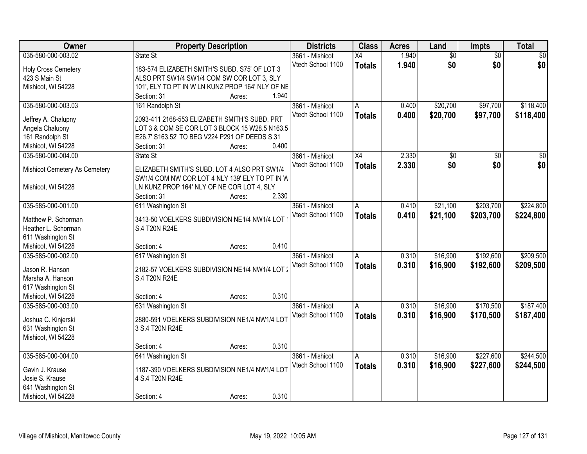| Owner                         |                                                  | <b>Property Description</b> |       | <b>Districts</b>  | <b>Class</b>    | <b>Acres</b> | Land            | <b>Impts</b>    | <b>Total</b>    |
|-------------------------------|--------------------------------------------------|-----------------------------|-------|-------------------|-----------------|--------------|-----------------|-----------------|-----------------|
| 035-580-000-003.02            | State St                                         |                             |       | 3661 - Mishicot   | $\overline{X4}$ | 1.940        | $\overline{50}$ | $\overline{50}$ | $\overline{30}$ |
| <b>Holy Cross Cemetery</b>    | 183-574 ELIZABETH SMITH'S SUBD. S75' OF LOT 3    |                             |       | Vtech School 1100 | <b>Totals</b>   | 1.940        | \$0             | \$0             | \$0             |
| 423 S Main St                 | ALSO PRT SW1/4 SW1/4 COM SW COR LOT 3, SLY       |                             |       |                   |                 |              |                 |                 |                 |
| Mishicot, WI 54228            | 101', ELY TO PT IN W LN KUNZ PROP 164' NLY OF NE |                             |       |                   |                 |              |                 |                 |                 |
|                               | Section: 31                                      | Acres:                      | 1.940 |                   |                 |              |                 |                 |                 |
| 035-580-000-003.03            | 161 Randolph St                                  |                             |       | 3661 - Mishicot   | A               | 0.400        | \$20,700        | \$97,700        | \$118,400       |
|                               |                                                  |                             |       | Vtech School 1100 | <b>Totals</b>   | 0.400        | \$20,700        | \$97,700        | \$118,400       |
| Jeffrey A. Chalupny           | 2093-411 2168-553 ELIZABETH SMITH'S SUBD. PRT    |                             |       |                   |                 |              |                 |                 |                 |
| Angela Chalupny               | LOT 3 & COM SE COR LOT 3 BLOCK 15 W28.5 N163.5   |                             |       |                   |                 |              |                 |                 |                 |
| 161 Randolph St               | E26.7' S163.52' TO BEG V224 P291 OF DEEDS S.31   |                             | 0.400 |                   |                 |              |                 |                 |                 |
| Mishicot, WI 54228            | Section: 31                                      | Acres:                      |       |                   |                 |              |                 |                 |                 |
| 035-580-000-004.00            | State St                                         |                             |       | 3661 - Mishicot   | $\overline{X4}$ | 2.330        | $\overline{50}$ | $\overline{50}$ | $\overline{30}$ |
| Mishicot Cemetery As Cemetery | ELIZABETH SMITH'S SUBD. LOT 4 ALSO PRT SW1/4     |                             |       | Vtech School 1100 | <b>Totals</b>   | 2.330        | \$0             | \$0             | \$0             |
|                               | SW1/4 COM NW COR LOT 4 NLY 139' ELY TO PT IN W   |                             |       |                   |                 |              |                 |                 |                 |
| Mishicot, WI 54228            | LN KUNZ PROP 164' NLY OF NE COR LOT 4, SLY       |                             |       |                   |                 |              |                 |                 |                 |
|                               | Section: 31                                      | Acres:                      | 2.330 |                   |                 |              |                 |                 |                 |
| 035-585-000-001.00            | 611 Washington St                                |                             |       | 3661 - Mishicot   | A               | 0.410        | \$21,100        | \$203,700       | \$224,800       |
|                               |                                                  |                             |       | Vtech School 1100 | <b>Totals</b>   | 0.410        | \$21,100        | \$203,700       | \$224,800       |
| Matthew P. Schorman           | 3413-50 VOELKERS SUBDIVISION NE1/4 NW1/4 LOT     |                             |       |                   |                 |              |                 |                 |                 |
| Heather L. Schorman           | S.4 T20N R24E                                    |                             |       |                   |                 |              |                 |                 |                 |
| 611 Washington St             |                                                  |                             |       |                   |                 |              |                 |                 |                 |
| Mishicot, WI 54228            | Section: 4                                       | Acres:                      | 0.410 |                   |                 |              |                 |                 |                 |
| 035-585-000-002.00            | 617 Washington St                                |                             |       | 3661 - Mishicot   | A               | 0.310        | \$16,900        | \$192,600       | \$209,500       |
| Jason R. Hanson               | 2182-57 VOELKERS SUBDIVISION NE1/4 NW1/4 LOT     |                             |       | Vtech School 1100 | <b>Totals</b>   | 0.310        | \$16,900        | \$192,600       | \$209,500       |
| Marsha A. Hanson              | S.4 T20N R24E                                    |                             |       |                   |                 |              |                 |                 |                 |
| 617 Washington St             |                                                  |                             |       |                   |                 |              |                 |                 |                 |
| Mishicot, WI 54228            | Section: 4                                       | Acres:                      | 0.310 |                   |                 |              |                 |                 |                 |
| 035-585-000-003.00            | 631 Washington St                                |                             |       | 3661 - Mishicot   | A               | 0.310        | \$16,900        | \$170,500       | \$187,400       |
|                               |                                                  |                             |       | Vtech School 1100 | <b>Totals</b>   | 0.310        | \$16,900        | \$170,500       | \$187,400       |
| Joshua C. Kinjerski           | 2880-591 VOELKERS SUBDIVISION NE1/4 NW1/4 LOT    |                             |       |                   |                 |              |                 |                 |                 |
| 631 Washington St             | 3 S.4 T20N R24E                                  |                             |       |                   |                 |              |                 |                 |                 |
| Mishicot, WI 54228            |                                                  |                             |       |                   |                 |              |                 |                 |                 |
|                               | Section: 4                                       | Acres:                      | 0.310 |                   |                 |              |                 |                 |                 |
| 035-585-000-004.00            | 641 Washington St                                |                             |       | 3661 - Mishicot   | Α               | 0.310        | \$16,900        | \$227,600       | \$244,500       |
| Gavin J. Krause               | 1187-390 VOELKERS SUBDIVISION NE1/4 NW1/4 LOT    |                             |       | Vtech School 1100 | <b>Totals</b>   | 0.310        | \$16,900        | \$227,600       | \$244,500       |
| Josie S. Krause               | 4 S.4 T20N R24E                                  |                             |       |                   |                 |              |                 |                 |                 |
| 641 Washington St             |                                                  |                             |       |                   |                 |              |                 |                 |                 |
| Mishicot, WI 54228            | Section: 4                                       | Acres:                      | 0.310 |                   |                 |              |                 |                 |                 |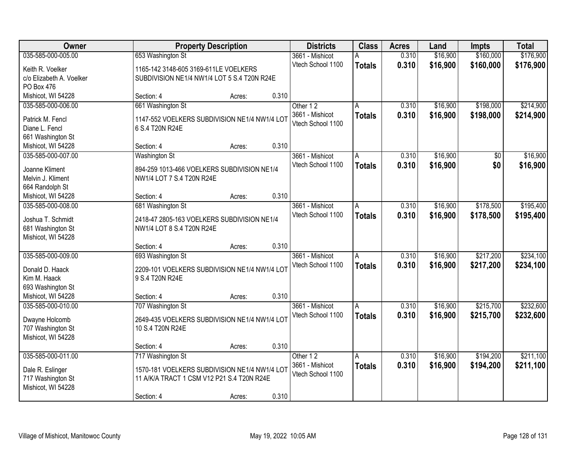| Owner                                |                                               | <b>Property Description</b> |       | <b>Districts</b>  | <b>Class</b>  | <b>Acres</b> | Land     | <b>Impts</b> | <b>Total</b> |
|--------------------------------------|-----------------------------------------------|-----------------------------|-------|-------------------|---------------|--------------|----------|--------------|--------------|
| 035-585-000-005.00                   | 653 Washington St                             |                             |       | 3661 - Mishicot   | А             | 0.310        | \$16,900 | \$160,000    | \$176,900    |
| Keith R. Voelker                     | 1165-142 3148-605 3169-611LE VOELKERS         |                             |       | Vtech School 1100 | <b>Totals</b> | 0.310        | \$16,900 | \$160,000    | \$176,900    |
| c/o Elizabeth A. Voelker             | SUBDIVISION NE1/4 NW1/4 LOT 5 S.4 T20N R24E   |                             |       |                   |               |              |          |              |              |
| PO Box 476                           |                                               |                             |       |                   |               |              |          |              |              |
| Mishicot, WI 54228                   | Section: 4                                    | Acres:                      | 0.310 |                   |               |              |          |              |              |
| 035-585-000-006.00                   | 661 Washington St                             |                             |       | Other 12          | А             | 0.310        | \$16,900 | \$198,000    | \$214,900    |
| Patrick M. Fencl                     | 1147-552 VOELKERS SUBDIVISION NE1/4 NW1/4 LOT |                             |       | 3661 - Mishicot   | <b>Totals</b> | 0.310        | \$16,900 | \$198,000    | \$214,900    |
| Diane L. Fencl                       | 6 S.4 T20N R24E                               |                             |       | Vtech School 1100 |               |              |          |              |              |
| 661 Washington St                    |                                               |                             |       |                   |               |              |          |              |              |
| Mishicot, WI 54228                   | Section: 4                                    | Acres:                      | 0.310 |                   |               |              |          |              |              |
| 035-585-000-007.00                   | <b>Washington St</b>                          |                             |       | 3661 - Mishicot   | A             | 0.310        | \$16,900 | \$0          | \$16,900     |
|                                      |                                               |                             |       | Vtech School 1100 | <b>Totals</b> | 0.310        | \$16,900 | \$0          | \$16,900     |
| Joanne Kliment                       | 894-259 1013-466 VOELKERS SUBDIVISION NE1/4   |                             |       |                   |               |              |          |              |              |
| Melvin J. Kliment<br>664 Randolph St | NW1/4 LOT 7 S.4 T20N R24E                     |                             |       |                   |               |              |          |              |              |
| Mishicot, WI 54228                   | Section: 4                                    | Acres:                      | 0.310 |                   |               |              |          |              |              |
| 035-585-000-008.00                   | 681 Washington St                             |                             |       | 3661 - Mishicot   | Α             | 0.310        | \$16,900 | \$178,500    | \$195,400    |
|                                      |                                               |                             |       | Vtech School 1100 | <b>Totals</b> | 0.310        | \$16,900 | \$178,500    | \$195,400    |
| Joshua T. Schmidt                    | 2418-47 2805-163 VOELKERS SUBDIVISION NE1/4   |                             |       |                   |               |              |          |              |              |
| 681 Washington St                    | NW1/4 LOT 8 S.4 T20N R24E                     |                             |       |                   |               |              |          |              |              |
| Mishicot, WI 54228                   |                                               |                             |       |                   |               |              |          |              |              |
|                                      | Section: 4                                    | Acres:                      | 0.310 |                   |               |              |          |              |              |
| 035-585-000-009.00                   | 693 Washington St                             |                             |       | 3661 - Mishicot   | A             | 0.310        | \$16,900 | \$217,200    | \$234,100    |
| Donald D. Haack                      | 2209-101 VOELKERS SUBDIVISION NE1/4 NW1/4 LOT |                             |       | Vtech School 1100 | <b>Totals</b> | 0.310        | \$16,900 | \$217,200    | \$234,100    |
| Kim M. Haack                         | 9 S.4 T20N R24E                               |                             |       |                   |               |              |          |              |              |
| 693 Washington St                    |                                               |                             |       |                   |               |              |          |              |              |
| Mishicot, WI 54228                   | Section: 4                                    | Acres:                      | 0.310 |                   |               |              |          |              |              |
| 035-585-000-010.00                   | 707 Washington St                             |                             |       | 3661 - Mishicot   | A             | 0.310        | \$16,900 | \$215,700    | \$232,600    |
| Dwayne Holcomb                       | 2649-435 VOELKERS SUBDIVISION NE1/4 NW1/4 LOT |                             |       | Vtech School 1100 | <b>Totals</b> | 0.310        | \$16,900 | \$215,700    | \$232,600    |
| 707 Washington St                    | 10 S.4 T20N R24E                              |                             |       |                   |               |              |          |              |              |
| Mishicot, WI 54228                   |                                               |                             |       |                   |               |              |          |              |              |
|                                      | Section: 4                                    | Acres:                      | 0.310 |                   |               |              |          |              |              |
| 035-585-000-011.00                   | 717 Washington St                             |                             |       | Other 12          | A             | 0.310        | \$16,900 | \$194,200    | \$211,100    |
| Dale R. Eslinger                     | 1570-181 VOELKERS SUBDIVISION NE1/4 NW1/4 LOT |                             |       | 3661 - Mishicot   | <b>Totals</b> | 0.310        | \$16,900 | \$194,200    | \$211,100    |
| 717 Washington St                    | 11 A/K/A TRACT 1 CSM V12 P21 S.4 T20N R24E    |                             |       | Vtech School 1100 |               |              |          |              |              |
| Mishicot, WI 54228                   |                                               |                             |       |                   |               |              |          |              |              |
|                                      | Section: 4                                    | Acres:                      | 0.310 |                   |               |              |          |              |              |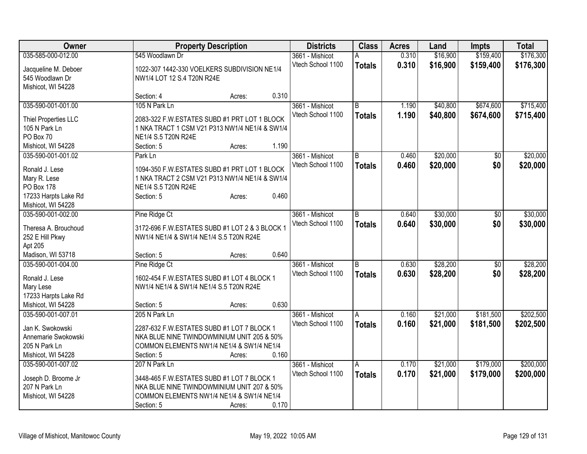| <b>Owner</b>         |                                                 | <b>Property Description</b> |       | <b>Districts</b>  | <b>Class</b>   | <b>Acres</b> | Land     | Impts           | <b>Total</b> |
|----------------------|-------------------------------------------------|-----------------------------|-------|-------------------|----------------|--------------|----------|-----------------|--------------|
| 035-585-000-012.00   | 545 Woodlawn Dr                                 |                             |       | 3661 - Mishicot   |                | 0.310        | \$16,900 | \$159,400       | \$176,300    |
| Jacqueline M. Deboer | 1022-307 1442-330 VOELKERS SUBDIVISION NE1/4    |                             |       | Vtech School 1100 | <b>Totals</b>  | 0.310        | \$16,900 | \$159,400       | \$176,300    |
| 545 Woodlawn Dr      | NW1/4 LOT 12 S.4 T20N R24E                      |                             |       |                   |                |              |          |                 |              |
| Mishicot, WI 54228   |                                                 |                             |       |                   |                |              |          |                 |              |
|                      | Section: 4                                      | Acres:                      | 0.310 |                   |                |              |          |                 |              |
| 035-590-001-001.00   | 105 N Park Ln                                   |                             |       | 3661 - Mishicot   | $\overline{B}$ | 1.190        | \$40,800 | \$674,600       | \$715,400    |
|                      |                                                 |                             |       | Vtech School 1100 | <b>Totals</b>  | 1.190        | \$40,800 | \$674,600       | \$715,400    |
| Thiel Properties LLC | 2083-322 F.W.ESTATES SUBD #1 PRT LOT 1 BLOCK    |                             |       |                   |                |              |          |                 |              |
| 105 N Park Ln        | 1 NKA TRACT 1 CSM V21 P313 NW1/4 NE1/4 & SW1/4  |                             |       |                   |                |              |          |                 |              |
| PO Box 70            | NE1/4 S.5 T20N R24E                             |                             |       |                   |                |              |          |                 |              |
| Mishicot, WI 54228   | Section: 5                                      | Acres:                      | 1.190 |                   |                |              |          |                 |              |
| 035-590-001-001.02   | Park Ln                                         |                             |       | 3661 - Mishicot   | B              | 0.460        | \$20,000 | \$0             | \$20,000     |
| Ronald J. Lese       | 1094-350 F.W. ESTATES SUBD #1 PRT LOT 1 BLOCK   |                             |       | Vtech School 1100 | <b>Totals</b>  | 0.460        | \$20,000 | \$0             | \$20,000     |
| Mary R. Lese         | 1 NKA TRACT 2 CSM V21 P313 NW1/4 NE1/4 & SW1/4  |                             |       |                   |                |              |          |                 |              |
| PO Box 178           | NE1/4 S.5 T20N R24E                             |                             |       |                   |                |              |          |                 |              |
| 17233 Harpts Lake Rd | Section: 5                                      | Acres:                      | 0.460 |                   |                |              |          |                 |              |
| Mishicot, WI 54228   |                                                 |                             |       |                   |                |              |          |                 |              |
| 035-590-001-002.00   | Pine Ridge Ct                                   |                             |       | 3661 - Mishicot   | B              | 0.640        | \$30,000 | \$0             | \$30,000     |
|                      |                                                 |                             |       | Vtech School 1100 | <b>Totals</b>  | 0.640        | \$30,000 | \$0             | \$30,000     |
| Theresa A. Brouchoud | 3172-696 F.W. ESTATES SUBD #1 LOT 2 & 3 BLOCK 1 |                             |       |                   |                |              |          |                 |              |
| 252 E Hill Pkwy      | NW1/4 NE1/4 & SW1/4 NE1/4 S.5 T20N R24E         |                             |       |                   |                |              |          |                 |              |
| Apt 205              |                                                 |                             |       |                   |                |              |          |                 |              |
| Madison, WI 53718    | Section: 5                                      | Acres:                      | 0.640 |                   |                |              |          |                 |              |
| 035-590-001-004.00   | Pine Ridge Ct                                   |                             |       | 3661 - Mishicot   | B              | 0.630        | \$28,200 | $\overline{50}$ | \$28,200     |
| Ronald J. Lese       | 1602-454 F.W.ESTATES SUBD #1 LOT 4 BLOCK 1      |                             |       | Vtech School 1100 | <b>Totals</b>  | 0.630        | \$28,200 | \$0             | \$28,200     |
| Mary Lese            | NW1/4 NE1/4 & SW1/4 NE1/4 S.5 T20N R24E         |                             |       |                   |                |              |          |                 |              |
| 17233 Harpts Lake Rd |                                                 |                             |       |                   |                |              |          |                 |              |
| Mishicot, WI 54228   | Section: 5                                      | Acres:                      | 0.630 |                   |                |              |          |                 |              |
| 035-590-001-007.01   | 205 N Park Ln                                   |                             |       | 3661 - Mishicot   | A              | 0.160        | \$21,000 | \$181,500       | \$202,500    |
|                      |                                                 |                             |       | Vtech School 1100 | <b>Totals</b>  | 0.160        | \$21,000 | \$181,500       | \$202,500    |
| Jan K. Swokowski     | 2287-632 F.W.ESTATES SUBD #1 LOT 7 BLOCK 1      |                             |       |                   |                |              |          |                 |              |
| Annemarie Swokowski  | NKA BLUE NINE TWINDOWMINIUM UNIT 205 & 50%      |                             |       |                   |                |              |          |                 |              |
| 205 N Park Ln        | COMMON ELEMENTS NW1/4 NE1/4 & SW1/4 NE1/4       |                             | 0.160 |                   |                |              |          |                 |              |
| Mishicot, WI 54228   | Section: 5                                      | Acres:                      |       |                   |                |              |          |                 |              |
| 035-590-001-007.02   | 207 N Park Ln                                   |                             |       | 3661 - Mishicot   | Α              | 0.170        | \$21,000 | \$179,000       | \$200,000    |
| Joseph D. Broome Jr  | 3448-465 F.W.ESTATES SUBD #1 LOT 7 BLOCK 1      |                             |       | Vtech School 1100 | <b>Totals</b>  | 0.170        | \$21,000 | \$179,000       | \$200,000    |
| 207 N Park Ln        | NKA BLUE NINE TWINDOWMINIUM UNIT 207 & 50%      |                             |       |                   |                |              |          |                 |              |
| Mishicot, WI 54228   | COMMON ELEMENTS NW1/4 NE1/4 & SW1/4 NE1/4       |                             |       |                   |                |              |          |                 |              |
|                      | Section: 5                                      | Acres:                      | 0.170 |                   |                |              |          |                 |              |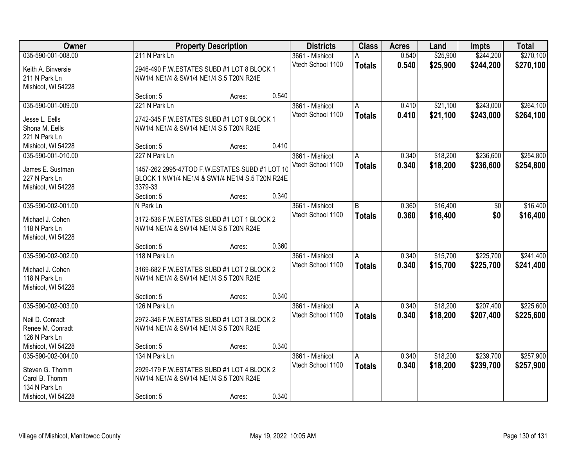| Owner              |                                                 | <b>Property Description</b> |       | <b>Districts</b>  | <b>Class</b>  | <b>Acres</b> | Land     | <b>Impts</b> | <b>Total</b> |
|--------------------|-------------------------------------------------|-----------------------------|-------|-------------------|---------------|--------------|----------|--------------|--------------|
| 035-590-001-008.00 | 211 N Park Ln                                   |                             |       | 3661 - Mishicot   | Α             | 0.540        | \$25,900 | \$244,200    | \$270,100    |
| Keith A. Binversie | 2946-490 F.W. ESTATES SUBD #1 LOT 8 BLOCK 1     |                             |       | Vtech School 1100 | <b>Totals</b> | 0.540        | \$25,900 | \$244,200    | \$270,100    |
| 211 N Park Ln      | NW1/4 NE1/4 & SW1/4 NE1/4 S.5 T20N R24E         |                             |       |                   |               |              |          |              |              |
| Mishicot, WI 54228 |                                                 |                             |       |                   |               |              |          |              |              |
|                    | Section: 5                                      | Acres:                      | 0.540 |                   |               |              |          |              |              |
| 035-590-001-009.00 | 221 N Park Ln                                   |                             |       | 3661 - Mishicot   | A             | 0.410        | \$21,100 | \$243,000    | \$264,100    |
| Jesse L. Eells     | 2742-345 F.W.ESTATES SUBD #1 LOT 9 BLOCK 1      |                             |       | Vtech School 1100 | <b>Totals</b> | 0.410        | \$21,100 | \$243,000    | \$264,100    |
| Shona M. Eells     | NW1/4 NE1/4 & SW1/4 NE1/4 S.5 T20N R24E         |                             |       |                   |               |              |          |              |              |
| 221 N Park Ln      |                                                 |                             |       |                   |               |              |          |              |              |
| Mishicot, WI 54228 | Section: 5                                      | Acres:                      | 0.410 |                   |               |              |          |              |              |
| 035-590-001-010.00 | 227 N Park Ln                                   |                             |       | 3661 - Mishicot   | Α             | 0.340        | \$18,200 | \$236,600    | \$254,800    |
|                    |                                                 |                             |       | Vtech School 1100 | <b>Totals</b> | 0.340        | \$18,200 | \$236,600    | \$254,800    |
| James E. Sustman   | 1457-262 2995-47TOD F.W.ESTATES SUBD #1 LOT 10  |                             |       |                   |               |              |          |              |              |
| 227 N Park Ln      | BLOCK 1 NW1/4 NE1/4 & SW1/4 NE1/4 S.5 T20N R24E |                             |       |                   |               |              |          |              |              |
| Mishicot, WI 54228 | 3379-33                                         |                             |       |                   |               |              |          |              |              |
|                    | Section: 5                                      | Acres:                      | 0.340 |                   |               |              |          |              |              |
| 035-590-002-001.00 | N Park Ln                                       |                             |       | 3661 - Mishicot   | B             | 0.360        | \$16,400 | \$0          | \$16,400     |
| Michael J. Cohen   | 3172-536 F.W.ESTATES SUBD #1 LOT 1 BLOCK 2      |                             |       | Vtech School 1100 | <b>Totals</b> | 0.360        | \$16,400 | \$0          | \$16,400     |
| 118 N Park Ln      | NW1/4 NE1/4 & SW1/4 NE1/4 S.5 T20N R24E         |                             |       |                   |               |              |          |              |              |
| Mishicot, WI 54228 |                                                 |                             |       |                   |               |              |          |              |              |
|                    | Section: 5                                      | Acres:                      | 0.360 |                   |               |              |          |              |              |
| 035-590-002-002.00 | 118 N Park Ln                                   |                             |       | 3661 - Mishicot   | A             | 0.340        | \$15,700 | \$225,700    | \$241,400    |
| Michael J. Cohen   | 3169-682 F.W.ESTATES SUBD #1 LOT 2 BLOCK 2      |                             |       | Vtech School 1100 | <b>Totals</b> | 0.340        | \$15,700 | \$225,700    | \$241,400    |
| 118 N Park Ln      | NW1/4 NE1/4 & SW1/4 NE1/4 S.5 T20N R24E         |                             |       |                   |               |              |          |              |              |
| Mishicot, WI 54228 |                                                 |                             |       |                   |               |              |          |              |              |
|                    | Section: 5                                      | Acres:                      | 0.340 |                   |               |              |          |              |              |
| 035-590-002-003.00 | 126 N Park Ln                                   |                             |       | 3661 - Mishicot   | A             | 0.340        | \$18,200 | \$207,400    | \$225,600    |
|                    |                                                 |                             |       | Vtech School 1100 | <b>Totals</b> | 0.340        | \$18,200 | \$207,400    | \$225,600    |
| Neil D. Conradt    | 2972-346 F.W.ESTATES SUBD #1 LOT 3 BLOCK 2      |                             |       |                   |               |              |          |              |              |
| Renee M. Conradt   | NW1/4 NE1/4 & SW1/4 NE1/4 S.5 T20N R24E         |                             |       |                   |               |              |          |              |              |
| 126 N Park Ln      |                                                 |                             |       |                   |               |              |          |              |              |
| Mishicot, WI 54228 | Section: 5                                      | Acres:                      | 0.340 |                   |               |              |          |              |              |
| 035-590-002-004.00 | 134 N Park Ln                                   |                             |       | 3661 - Mishicot   | A             | 0.340        | \$18,200 | \$239,700    | \$257,900    |
| Steven G. Thomm    | 2929-179 F.W.ESTATES SUBD #1 LOT 4 BLOCK 2      |                             |       | Vtech School 1100 | <b>Totals</b> | 0.340        | \$18,200 | \$239,700    | \$257,900    |
| Carol B. Thomm     | NW1/4 NE1/4 & SW1/4 NE1/4 S.5 T20N R24E         |                             |       |                   |               |              |          |              |              |
| 134 N Park Ln      |                                                 |                             |       |                   |               |              |          |              |              |
| Mishicot, WI 54228 | Section: 5                                      | Acres:                      | 0.340 |                   |               |              |          |              |              |